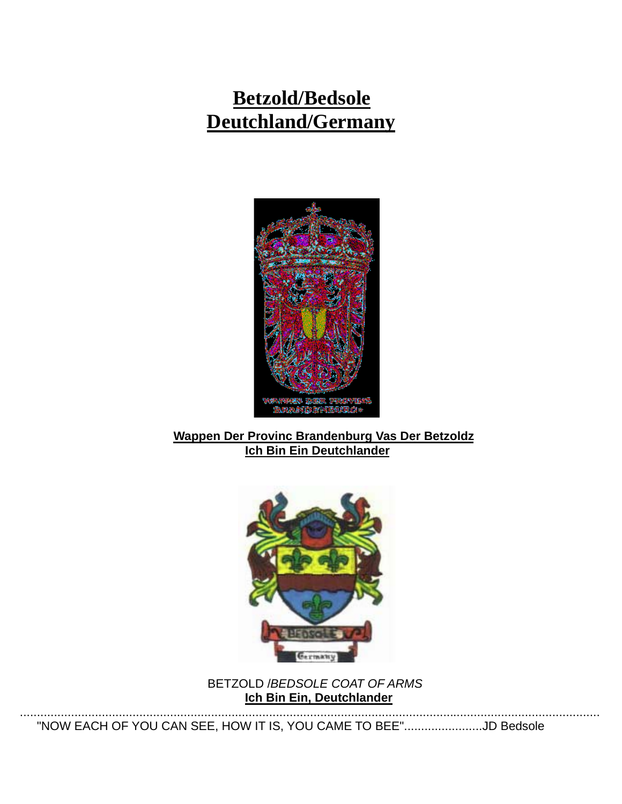# **Betzold/Bedsole Deutchland/Germany**



#### **Wappen Der Provinc Brandenburg Vas Der Betzoldz Ich Bin Ein Deutchlander**



 BETZOLD /*BEDSOLE COAT OF ARMS*  **Ich Bin Ein, Deutchlander**

..........................................................................................................................................................................

"NOW EACH OF YOU CAN SEE, HOW IT IS, YOU CAME TO BEE".......................JD Bedsole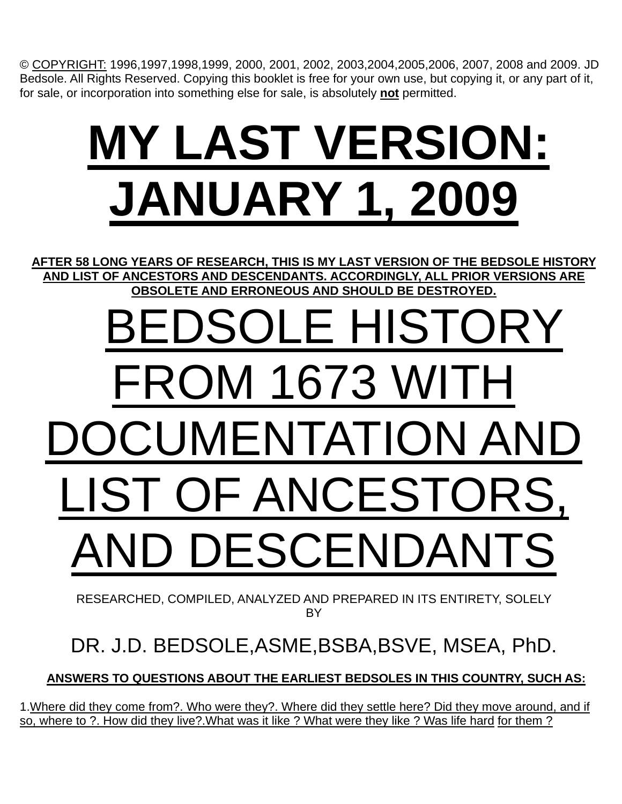© COPYRIGHT: 1996,1997,1998,1999, 2000, 2001, 2002, 2003,2004,2005,2006, 2007, 2008 and 2009. JD Bedsole. All Rights Reserved. Copying this booklet is free for your own use, but copying it, or any part of it, for sale, or incorporation into something else for sale, is absolutely **not** permitted.

# **MY LAST VERSION: JANUARY 1, 2009**

**AFTER 58 LONG YEARS OF RESEARCH, THIS IS MY LAST VERSION OF THE BEDSOLE HISTORY AND LIST OF ANCESTORS AND DESCENDANTS. ACCORDINGLY, ALL PRIOR VERSIONS ARE OBSOLETE AND ERRONEOUS AND SHOULD BE DESTROYED.**

# BEDSOLE HISTORY FROM 1673 WITH DOCUMENTATION AND LIST OF ANCESTORS, AND DESCENDANTS

RESEARCHED, COMPILED, ANALYZED AND PREPARED IN ITS ENTIRETY, SOLELY BY

# DR. J.D. BEDSOLE,ASME,BSBA,BSVE, MSEA, PhD.

 **ANSWERS TO QUESTIONS ABOUT THE EARLIEST BEDSOLES IN THIS COUNTRY, SUCH AS:**

1.Where did they come from?. Who were they?. Where did they settle here? Did they move around, and if so, where to ?. How did they live?.What was it like ? What were they like ? Was life hard for them ?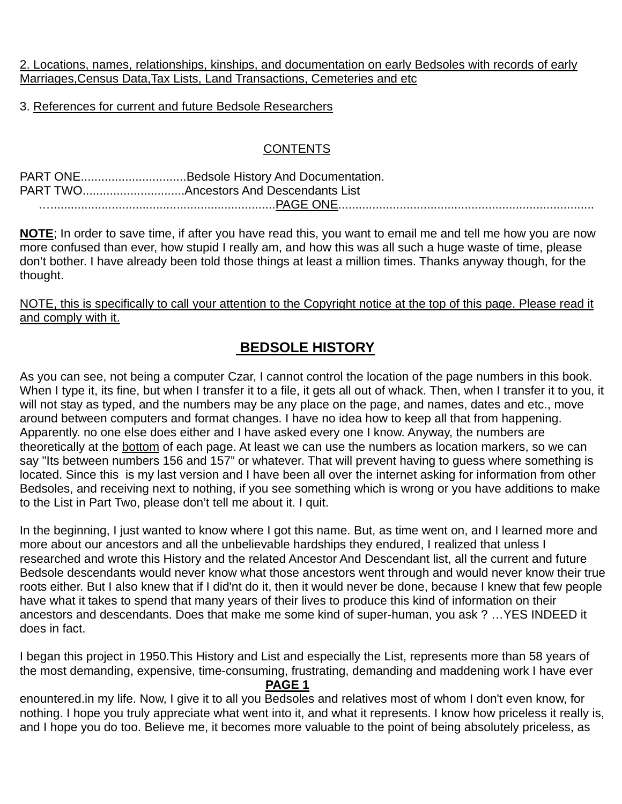2. Locations, names, relationships, kinships, and documentation on early Bedsoles with records of early Marriages,Census Data,Tax Lists, Land Transactions, Cemeteries and etc

3. References for current and future Bedsole Researchers

#### **CONTENTS**

|  |  | PART ONEBedsole History And Documentation. |  |  |  |
|--|--|--------------------------------------------|--|--|--|
|  |  |                                            |  |  |  |
|  |  |                                            |  |  |  |

**NOTE**; In order to save time, if after you have read this, you want to email me and tell me how you are now more confused than ever, how stupid I really am, and how this was all such a huge waste of time, please don't bother. I have already been told those things at least a million times. Thanks anyway though, for the thought.

NOTE, this is specifically to call your attention to the Copyright notice at the top of this page. Please read it and comply with it.

## **BEDSOLE HISTORY**

As you can see, not being a computer Czar, I cannot control the location of the page numbers in this book. When I type it, its fine, but when I transfer it to a file, it gets all out of whack. Then, when I transfer it to you, it will not stay as typed, and the numbers may be any place on the page, and names, dates and etc., move around between computers and format changes. I have no idea how to keep all that from happening. Apparently. no one else does either and I have asked every one I know. Anyway, the numbers are theoretically at the bottom of each page. At least we can use the numbers as location markers, so we can say "Its between numbers 156 and 157" or whatever. That will prevent having to guess where something is located. Since this is my last version and I have been all over the internet asking for information from other Bedsoles, and receiving next to nothing, if you see something which is wrong or you have additions to make to the List in Part Two, please don't tell me about it. I quit.

In the beginning, I just wanted to know where I got this name. But, as time went on, and I learned more and more about our ancestors and all the unbelievable hardships they endured, I realized that unless I researched and wrote this History and the related Ancestor And Descendant list, all the current and future Bedsole descendants would never know what those ancestors went through and would never know their true roots either. But I also knew that if I did'nt do it, then it would never be done, because I knew that few people have what it takes to spend that many years of their lives to produce this kind of information on their ancestors and descendants. Does that make me some kind of super-human, you ask ? …YES INDEED it does in fact.

I began this project in 1950.This History and List and especially the List, represents more than 58 years of the most demanding, expensive, time-consuming, frustrating, demanding and maddening work I have ever

#### **PAGE 1**

enountered.in my life. Now, I give it to all you Bedsoles and relatives most of whom I don't even know, for nothing. I hope you truly appreciate what went into it, and what it represents. I know how priceless it really is, and I hope you do too. Believe me, it becomes more valuable to the point of being absolutely priceless, as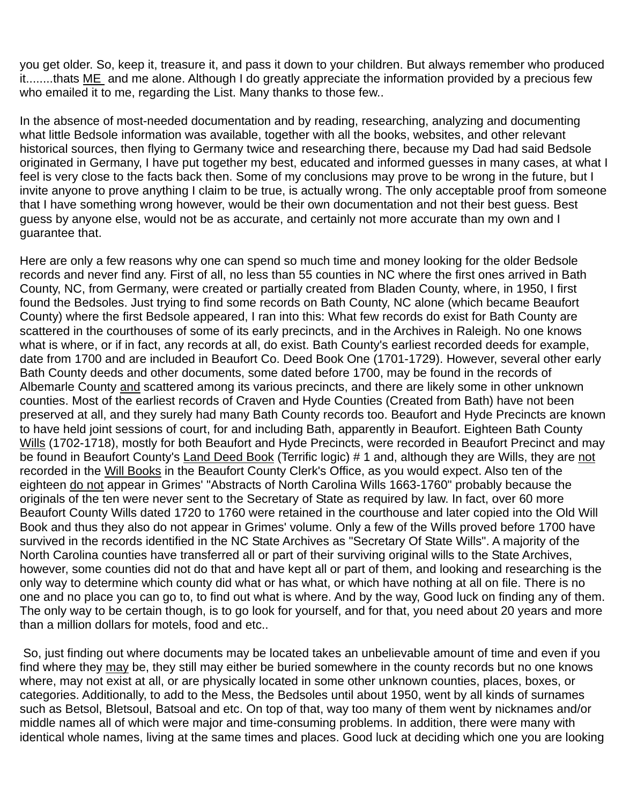you get older. So, keep it, treasure it, and pass it down to your children. But always remember who produced it........thats ME and me alone. Although I do greatly appreciate the information provided by a precious few who emailed it to me, regarding the List. Many thanks to those few..

In the absence of most-needed documentation and by reading, researching, analyzing and documenting what little Bedsole information was available, together with all the books, websites, and other relevant historical sources, then flying to Germany twice and researching there, because my Dad had said Bedsole originated in Germany, I have put together my best, educated and informed guesses in many cases, at what I feel is very close to the facts back then. Some of my conclusions may prove to be wrong in the future, but I invite anyone to prove anything I claim to be true, is actually wrong. The only acceptable proof from someone that I have something wrong however, would be their own documentation and not their best guess. Best guess by anyone else, would not be as accurate, and certainly not more accurate than my own and I guarantee that.

Here are only a few reasons why one can spend so much time and money looking for the older Bedsole records and never find any. First of all, no less than 55 counties in NC where the first ones arrived in Bath County, NC, from Germany, were created or partially created from Bladen County, where, in 1950, I first found the Bedsoles. Just trying to find some records on Bath County, NC alone (which became Beaufort County) where the first Bedsole appeared, I ran into this: What few records do exist for Bath County are scattered in the courthouses of some of its early precincts, and in the Archives in Raleigh. No one knows what is where, or if in fact, any records at all, do exist. Bath County's earliest recorded deeds for example, date from 1700 and are included in Beaufort Co. Deed Book One (1701-1729). However, several other early Bath County deeds and other documents, some dated before 1700, may be found in the records of Albemarle County and scattered among its various precincts, and there are likely some in other unknown counties. Most of the earliest records of Craven and Hyde Counties (Created from Bath) have not been preserved at all, and they surely had many Bath County records too. Beaufort and Hyde Precincts are known to have held joint sessions of court, for and including Bath, apparently in Beaufort. Eighteen Bath County Wills (1702-1718), mostly for both Beaufort and Hyde Precincts, were recorded in Beaufort Precinct and may be found in Beaufort County's Land Deed Book (Terrific logic) # 1 and, although they are Wills, they are not recorded in the Will Books in the Beaufort County Clerk's Office, as you would expect. Also ten of the eighteen do not appear in Grimes' "Abstracts of North Carolina Wills 1663-1760" probably because the originals of the ten were never sent to the Secretary of State as required by law. In fact, over 60 more Beaufort County Wills dated 1720 to 1760 were retained in the courthouse and later copied into the Old Will Book and thus they also do not appear in Grimes' volume. Only a few of the Wills proved before 1700 have survived in the records identified in the NC State Archives as "Secretary Of State Wills". A majority of the North Carolina counties have transferred all or part of their surviving original wills to the State Archives, however, some counties did not do that and have kept all or part of them, and looking and researching is the only way to determine which county did what or has what, or which have nothing at all on file. There is no one and no place you can go to, to find out what is where. And by the way, Good luck on finding any of them. The only way to be certain though, is to go look for yourself, and for that, you need about 20 years and more than a million dollars for motels, food and etc..

 So, just finding out where documents may be located takes an unbelievable amount of time and even if you find where they may be, they still may either be buried somewhere in the county records but no one knows where, may not exist at all, or are physically located in some other unknown counties, places, boxes, or categories. Additionally, to add to the Mess, the Bedsoles until about 1950, went by all kinds of surnames such as Betsol, Bletsoul, Batsoal and etc. On top of that, way too many of them went by nicknames and/or middle names all of which were major and time-consuming problems. In addition, there were many with identical whole names, living at the same times and places. Good luck at deciding which one you are looking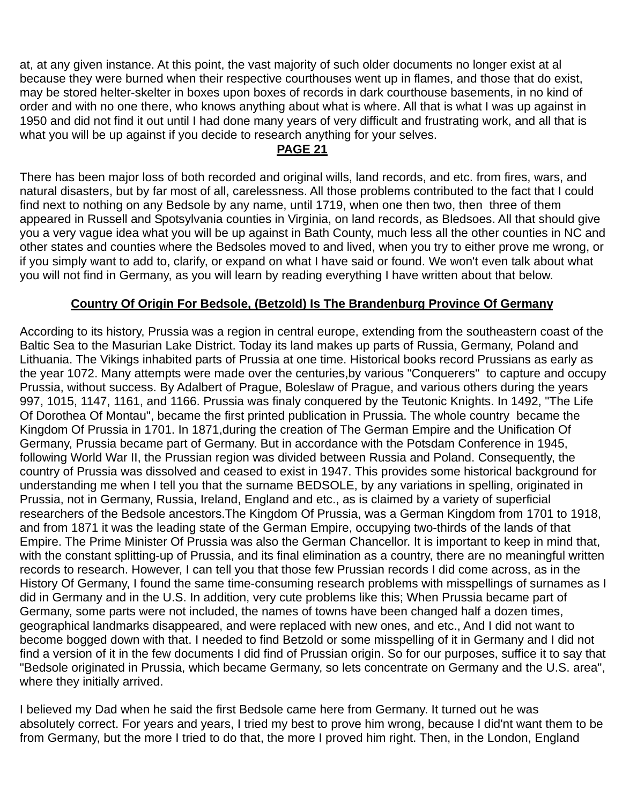at, at any given instance. At this point, the vast majority of such older documents no longer exist at al because they were burned when their respective courthouses went up in flames, and those that do exist, may be stored helter-skelter in boxes upon boxes of records in dark courthouse basements, in no kind of order and with no one there, who knows anything about what is where. All that is what I was up against in 1950 and did not find it out until I had done many years of very difficult and frustrating work, and all that is what you will be up against if you decide to research anything for your selves.

### **PAGE 21**

There has been major loss of both recorded and original wills, land records, and etc. from fires, wars, and natural disasters, but by far most of all, carelessness. All those problems contributed to the fact that I could find next to nothing on any Bedsole by any name, until 1719, when one then two, then three of them appeared in Russell and Spotsylvania counties in Virginia, on land records, as Bledsoes. All that should give you a very vague idea what you will be up against in Bath County, much less all the other counties in NC and other states and counties where the Bedsoles moved to and lived, when you try to either prove me wrong, or if you simply want to add to, clarify, or expand on what I have said or found. We won't even talk about what you will not find in Germany, as you will learn by reading everything I have written about that below.

#### **Country Of Origin For Bedsole, (Betzold) Is The Brandenburg Province Of Germany**

According to its history, Prussia was a region in central europe, extending from the southeastern coast of the Baltic Sea to the Masurian Lake District. Today its land makes up parts of Russia, Germany, Poland and Lithuania. The Vikings inhabited parts of Prussia at one time. Historical books record Prussians as early as the year 1072. Many attempts were made over the centuries,by various "Conquerers" to capture and occupy Prussia, without success. By Adalbert of Prague, Boleslaw of Prague, and various others during the years 997, 1015, 1147, 1161, and 1166. Prussia was finaly conquered by the Teutonic Knights. In 1492, "The Life Of Dorothea Of Montau", became the first printed publication in Prussia. The whole country became the Kingdom Of Prussia in 1701. In 1871,during the creation of The German Empire and the Unification Of Germany, Prussia became part of Germany. But in accordance with the Potsdam Conference in 1945, following World War II, the Prussian region was divided between Russia and Poland. Consequently, the country of Prussia was dissolved and ceased to exist in 1947. This provides some historical background for understanding me when I tell you that the surname BEDSOLE, by any variations in spelling, originated in Prussia, not in Germany, Russia, Ireland, England and etc., as is claimed by a variety of superficial researchers of the Bedsole ancestors.The Kingdom Of Prussia, was a German Kingdom from 1701 to 1918, and from 1871 it was the leading state of the German Empire, occupying two-thirds of the lands of that Empire. The Prime Minister Of Prussia was also the German Chancellor. It is important to keep in mind that, with the constant splitting-up of Prussia, and its final elimination as a country, there are no meaningful written records to research. However, I can tell you that those few Prussian records I did come across, as in the History Of Germany, I found the same time-consuming research problems with misspellings of surnames as I did in Germany and in the U.S. In addition, very cute problems like this; When Prussia became part of Germany, some parts were not included, the names of towns have been changed half a dozen times, geographical landmarks disappeared, and were replaced with new ones, and etc., And I did not want to become bogged down with that. I needed to find Betzold or some misspelling of it in Germany and I did not find a version of it in the few documents I did find of Prussian origin. So for our purposes, suffice it to say that "Bedsole originated in Prussia, which became Germany, so lets concentrate on Germany and the U.S. area", where they initially arrived.

I believed my Dad when he said the first Bedsole came here from Germany. It turned out he was absolutely correct. For years and years, I tried my best to prove him wrong, because I did'nt want them to be from Germany, but the more I tried to do that, the more I proved him right. Then, in the London, England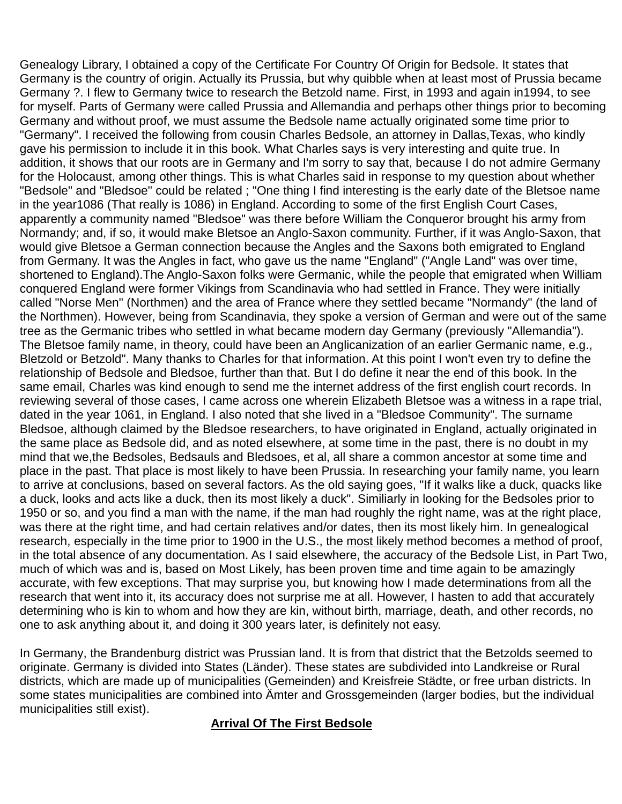Genealogy Library, I obtained a copy of the Certificate For Country Of Origin for Bedsole. It states that Germany is the country of origin. Actually its Prussia, but why quibble when at least most of Prussia became Germany ?. I flew to Germany twice to research the Betzold name. First, in 1993 and again in1994, to see for myself. Parts of Germany were called Prussia and Allemandia and perhaps other things prior to becoming Germany and without proof, we must assume the Bedsole name actually originated some time prior to "Germany". I received the following from cousin Charles Bedsole, an attorney in Dallas,Texas, who kindly gave his permission to include it in this book. What Charles says is very interesting and quite true. In addition, it shows that our roots are in Germany and I'm sorry to say that, because I do not admire Germany for the Holocaust, among other things. This is what Charles said in response to my question about whether "Bedsole" and "Bledsoe" could be related ; "One thing I find interesting is the early date of the Bletsoe name in the year1086 (That really is 1086) in England. According to some of the first English Court Cases, apparently a community named "Bledsoe" was there before William the Conqueror brought his army from Normandy; and, if so, it would make Bletsoe an Anglo-Saxon community. Further, if it was Anglo-Saxon, that would give Bletsoe a German connection because the Angles and the Saxons both emigrated to England from Germany. It was the Angles in fact, who gave us the name "England" ("Angle Land" was over time, shortened to England).The Anglo-Saxon folks were Germanic, while the people that emigrated when William conquered England were former Vikings from Scandinavia who had settled in France. They were initially called "Norse Men" (Northmen) and the area of France where they settled became "Normandy" (the land of the Northmen). However, being from Scandinavia, they spoke a version of German and were out of the same tree as the Germanic tribes who settled in what became modern day Germany (previously "Allemandia"). The Bletsoe family name, in theory, could have been an Anglicanization of an earlier Germanic name, e.g., Bletzold or Betzold". Many thanks to Charles for that information. At this point I won't even try to define the relationship of Bedsole and Bledsoe, further than that. But I do define it near the end of this book. In the same email, Charles was kind enough to send me the internet address of the first english court records. In reviewing several of those cases, I came across one wherein Elizabeth Bletsoe was a witness in a rape trial, dated in the year 1061, in England. I also noted that she lived in a "Bledsoe Community". The surname Bledsoe, although claimed by the Bledsoe researchers, to have originated in England, actually originated in the same place as Bedsole did, and as noted elsewhere, at some time in the past, there is no doubt in my mind that we,the Bedsoles, Bedsauls and Bledsoes, et al, all share a common ancestor at some time and place in the past. That place is most likely to have been Prussia. In researching your family name, you learn to arrive at conclusions, based on several factors. As the old saying goes, "If it walks like a duck, quacks like a duck, looks and acts like a duck, then its most likely a duck". Similiarly in looking for the Bedsoles prior to 1950 or so, and you find a man with the name, if the man had roughly the right name, was at the right place, was there at the right time, and had certain relatives and/or dates, then its most likely him. In genealogical research, especially in the time prior to 1900 in the U.S., the most likely method becomes a method of proof, in the total absence of any documentation. As I said elsewhere, the accuracy of the Bedsole List, in Part Two, much of which was and is, based on Most Likely, has been proven time and time again to be amazingly accurate, with few exceptions. That may surprise you, but knowing how I made determinations from all the research that went into it, its accuracy does not surprise me at all. However, I hasten to add that accurately determining who is kin to whom and how they are kin, without birth, marriage, death, and other records, no one to ask anything about it, and doing it 300 years later, is definitely not easy.

In Germany, the Brandenburg district was Prussian land. It is from that district that the Betzolds seemed to originate. Germany is divided into States (Länder). These states are subdivided into Landkreise or Rural districts, which are made up of municipalities (Gemeinden) and Kreisfreie Städte, or free urban districts. In some states municipalities are combined into Ämter and Grossgemeinden (larger bodies, but the individual municipalities still exist).

#### **Arrival Of The First Bedsole**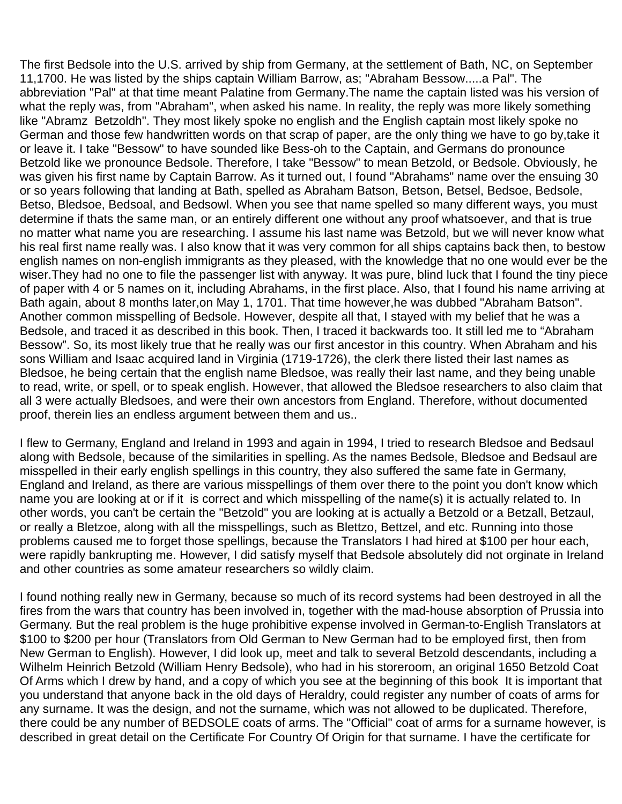The first Bedsole into the U.S. arrived by ship from Germany, at the settlement of Bath, NC, on September 11,1700. He was listed by the ships captain William Barrow, as; "Abraham Bessow.....a Pal". The abbreviation "Pal" at that time meant Palatine from Germany.The name the captain listed was his version of what the reply was, from "Abraham", when asked his name. In reality, the reply was more likely something like "Abramz Betzoldh". They most likely spoke no english and the English captain most likely spoke no German and those few handwritten words on that scrap of paper, are the only thing we have to go by,take it or leave it. I take "Bessow" to have sounded like Bess-oh to the Captain, and Germans do pronounce Betzold like we pronounce Bedsole. Therefore, I take "Bessow" to mean Betzold, or Bedsole. Obviously, he was given his first name by Captain Barrow. As it turned out, I found "Abrahams" name over the ensuing 30 or so years following that landing at Bath, spelled as Abraham Batson, Betson, Betsel, Bedsoe, Bedsole, Betso, Bledsoe, Bedsoal, and Bedsowl. When you see that name spelled so many different ways, you must determine if thats the same man, or an entirely different one without any proof whatsoever, and that is true no matter what name you are researching. I assume his last name was Betzold, but we will never know what his real first name really was. I also know that it was very common for all ships captains back then, to bestow english names on non-english immigrants as they pleased, with the knowledge that no one would ever be the wiser.They had no one to file the passenger list with anyway. It was pure, blind luck that I found the tiny piece of paper with 4 or 5 names on it, including Abrahams, in the first place. Also, that I found his name arriving at Bath again, about 8 months later,on May 1, 1701. That time however,he was dubbed "Abraham Batson". Another common misspelling of Bedsole. However, despite all that, I stayed with my belief that he was a Bedsole, and traced it as described in this book. Then, I traced it backwards too. It still led me to "Abraham Bessow". So, its most likely true that he really was our first ancestor in this country. When Abraham and his sons William and Isaac acquired land in Virginia (1719-1726), the clerk there listed their last names as Bledsoe, he being certain that the english name Bledsoe, was really their last name, and they being unable to read, write, or spell, or to speak english. However, that allowed the Bledsoe researchers to also claim that all 3 were actually Bledsoes, and were their own ancestors from England. Therefore, without documented proof, therein lies an endless argument between them and us..

I flew to Germany, England and Ireland in 1993 and again in 1994, I tried to research Bledsoe and Bedsaul along with Bedsole, because of the similarities in spelling. As the names Bedsole, Bledsoe and Bedsaul are misspelled in their early english spellings in this country, they also suffered the same fate in Germany, England and Ireland, as there are various misspellings of them over there to the point you don't know which name you are looking at or if it is correct and which misspelling of the name(s) it is actually related to. In other words, you can't be certain the "Betzold" you are looking at is actually a Betzold or a Betzall, Betzaul, or really a Bletzoe, along with all the misspellings, such as Blettzo, Bettzel, and etc. Running into those problems caused me to forget those spellings, because the Translators I had hired at \$100 per hour each, were rapidly bankrupting me. However, I did satisfy myself that Bedsole absolutely did not orginate in Ireland and other countries as some amateur researchers so wildly claim.

I found nothing really new in Germany, because so much of its record systems had been destroyed in all the fires from the wars that country has been involved in, together with the mad-house absorption of Prussia into Germany. But the real problem is the huge prohibitive expense involved in German-to-English Translators at \$100 to \$200 per hour (Translators from Old German to New German had to be employed first, then from New German to English). However, I did look up, meet and talk to several Betzold descendants, including a Wilhelm Heinrich Betzold (William Henry Bedsole), who had in his storeroom, an original 1650 Betzold Coat Of Arms which I drew by hand, and a copy of which you see at the beginning of this book It is important that you understand that anyone back in the old days of Heraldry, could register any number of coats of arms for any surname. It was the design, and not the surname, which was not allowed to be duplicated. Therefore, there could be any number of BEDSOLE coats of arms. The "Official" coat of arms for a surname however, is described in great detail on the Certificate For Country Of Origin for that surname. I have the certificate for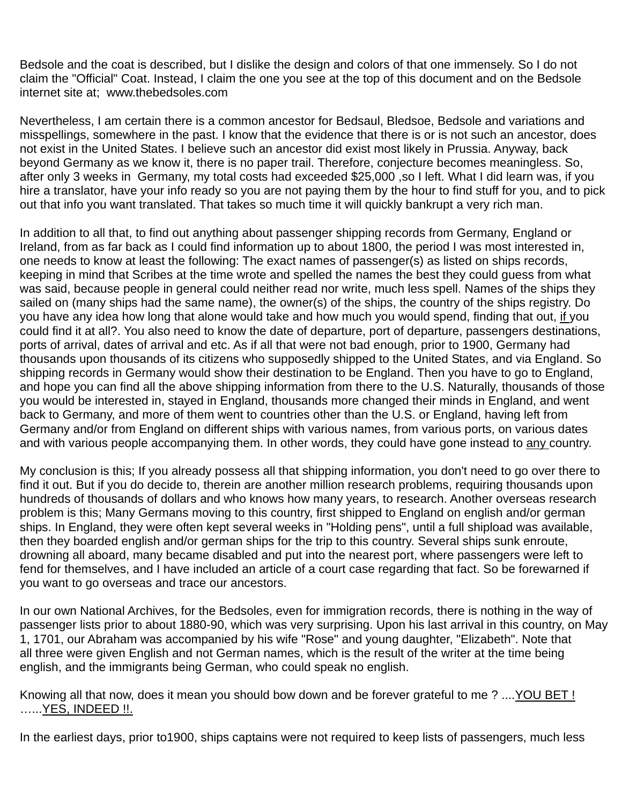Bedsole and the coat is described, but I dislike the design and colors of that one immensely. So I do not claim the "Official" Coat. Instead, I claim the one you see at the top of this document and on the Bedsole internet site at; www.thebedsoles.com

Nevertheless, I am certain there is a common ancestor for Bedsaul, Bledsoe, Bedsole and variations and misspellings, somewhere in the past. I know that the evidence that there is or is not such an ancestor, does not exist in the United States. I believe such an ancestor did exist most likely in Prussia. Anyway, back beyond Germany as we know it, there is no paper trail. Therefore, conjecture becomes meaningless. So, after only 3 weeks in Germany, my total costs had exceeded \$25,000 ,so I left. What I did learn was, if you hire a translator, have your info ready so you are not paying them by the hour to find stuff for you, and to pick out that info you want translated. That takes so much time it will quickly bankrupt a very rich man.

In addition to all that, to find out anything about passenger shipping records from Germany, England or Ireland, from as far back as I could find information up to about 1800, the period I was most interested in, one needs to know at least the following: The exact names of passenger(s) as listed on ships records, keeping in mind that Scribes at the time wrote and spelled the names the best they could guess from what was said, because people in general could neither read nor write, much less spell. Names of the ships they sailed on (many ships had the same name), the owner(s) of the ships, the country of the ships registry. Do you have any idea how long that alone would take and how much you would spend, finding that out, if you could find it at all?. You also need to know the date of departure, port of departure, passengers destinations, ports of arrival, dates of arrival and etc. As if all that were not bad enough, prior to 1900, Germany had thousands upon thousands of its citizens who supposedly shipped to the United States, and via England. So shipping records in Germany would show their destination to be England. Then you have to go to England, and hope you can find all the above shipping information from there to the U.S. Naturally, thousands of those you would be interested in, stayed in England, thousands more changed their minds in England, and went back to Germany, and more of them went to countries other than the U.S. or England, having left from Germany and/or from England on different ships with various names, from various ports, on various dates and with various people accompanying them. In other words, they could have gone instead to any country.

My conclusion is this; If you already possess all that shipping information, you don't need to go over there to find it out. But if you do decide to, therein are another million research problems, requiring thousands upon hundreds of thousands of dollars and who knows how many years, to research. Another overseas research problem is this; Many Germans moving to this country, first shipped to England on english and/or german ships. In England, they were often kept several weeks in "Holding pens", until a full shipload was available, then they boarded english and/or german ships for the trip to this country. Several ships sunk enroute, drowning all aboard, many became disabled and put into the nearest port, where passengers were left to fend for themselves, and I have included an article of a court case regarding that fact. So be forewarned if you want to go overseas and trace our ancestors.

In our own National Archives, for the Bedsoles, even for immigration records, there is nothing in the way of passenger lists prior to about 1880-90, which was very surprising. Upon his last arrival in this country, on May 1, 1701, our Abraham was accompanied by his wife "Rose" and young daughter, "Elizabeth". Note that all three were given English and not German names, which is the result of the writer at the time being english, and the immigrants being German, who could speak no english.

Knowing all that now, does it mean you should bow down and be forever grateful to me ? ....YOU BET ! …...YES, INDEED !!.

In the earliest days, prior to1900, ships captains were not required to keep lists of passengers, much less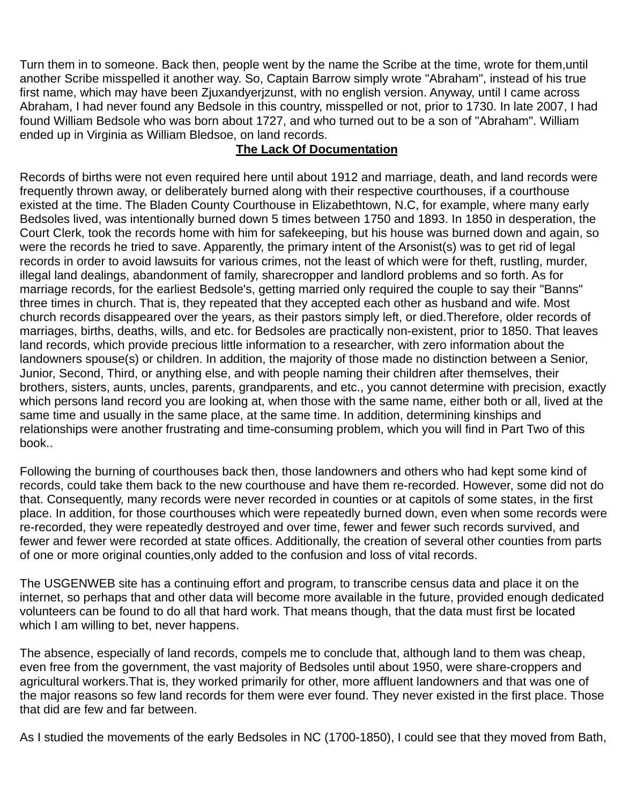Turn them in to someone. Back then, people went by the name the Scribe at the time, wrote for them,until another Scribe misspelled it another way. So, Captain Barrow simply wrote "Abraham", instead of his true first name, which may have been Zjuxandyerjzunst, with no english version. Anyway, until I came across Abraham, I had never found any Bedsole in this country, misspelled or not, prior to 1730. In late 2007, I had found William Bedsole who was born about 1727, and who turned out to be a son of "Abraham". William ended up in Virginia as William Bledsoe, on land records.

#### **The Lack Of Documentation**

Records of births were not even required here until about 1912 and marriage, death, and land records were frequently thrown away, or deliberately burned along with their respective courthouses, if a courthouse existed at the time. The Bladen County Courthouse in Elizabethtown, N.C, for example, where many early Bedsoles lived, was intentionally burned down 5 times between 1750 and 1893. In 1850 in desperation, the Court Clerk, took the records home with him for safekeeping, but his house was burned down and again, so were the records he tried to save. Apparently, the primary intent of the Arsonist(s) was to get rid of legal records in order to avoid lawsuits for various crimes, not the least of which were for theft, rustling, murder, illegal land dealings, abandonment of family, sharecropper and landlord problems and so forth. As for marriage records, for the earliest Bedsole's, getting married only required the couple to say their "Banns" three times in church. That is, they repeated that they accepted each other as husband and wife. Most church records disappeared over the years, as their pastors simply left, or died.Therefore, older records of marriages, births, deaths, wills, and etc. for Bedsoles are practically non-existent, prior to 1850. That leaves land records, which provide precious little information to a researcher, with zero information about the landowners spouse(s) or children. In addition, the majority of those made no distinction between a Senior, Junior, Second, Third, or anything else, and with people naming their children after themselves, their brothers, sisters, aunts, uncles, parents, grandparents, and etc., you cannot determine with precision, exactly which persons land record you are looking at, when those with the same name, either both or all, lived at the same time and usually in the same place, at the same time. In addition, determining kinships and relationships were another frustrating and time-consuming problem, which you will find in Part Two of this book..

Following the burning of courthouses back then, those landowners and others who had kept some kind of records, could take them back to the new courthouse and have them re-recorded. However, some did not do that. Consequently, many records were never recorded in counties or at capitols of some states, in the first place. In addition, for those courthouses which were repeatedly burned down, even when some records were re-recorded, they were repeatedly destroyed and over time, fewer and fewer such records survived, and fewer and fewer were recorded at state offices. Additionally, the creation of several other counties from parts of one or more original counties,only added to the confusion and loss of vital records.

The USGENWEB site has a continuing effort and program, to transcribe census data and place it on the internet, so perhaps that and other data will become more available in the future, provided enough dedicated volunteers can be found to do all that hard work. That means though, that the data must first be located which I am willing to bet, never happens.

The absence, especially of land records, compels me to conclude that, although land to them was cheap, even free from the government, the vast majority of Bedsoles until about 1950, were share-croppers and agricultural workers.That is, they worked primarily for other, more affluent landowners and that was one of the major reasons so few land records for them were ever found. They never existed in the first place. Those that did are few and far between.

As I studied the movements of the early Bedsoles in NC (1700-1850), I could see that they moved from Bath,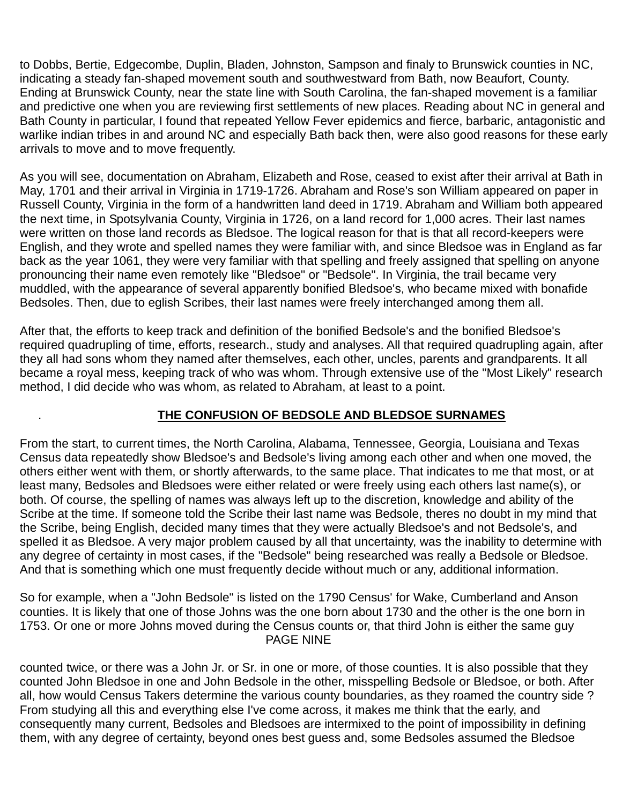to Dobbs, Bertie, Edgecombe, Duplin, Bladen, Johnston, Sampson and finaly to Brunswick counties in NC, indicating a steady fan-shaped movement south and southwestward from Bath, now Beaufort, County. Ending at Brunswick County, near the state line with South Carolina, the fan-shaped movement is a familiar and predictive one when you are reviewing first settlements of new places. Reading about NC in general and Bath County in particular, I found that repeated Yellow Fever epidemics and fierce, barbaric, antagonistic and warlike indian tribes in and around NC and especially Bath back then, were also good reasons for these early arrivals to move and to move frequently.

As you will see, documentation on Abraham, Elizabeth and Rose, ceased to exist after their arrival at Bath in May, 1701 and their arrival in Virginia in 1719-1726. Abraham and Rose's son William appeared on paper in Russell County, Virginia in the form of a handwritten land deed in 1719. Abraham and William both appeared the next time, in Spotsylvania County, Virginia in 1726, on a land record for 1,000 acres. Their last names were written on those land records as Bledsoe. The logical reason for that is that all record-keepers were English, and they wrote and spelled names they were familiar with, and since Bledsoe was in England as far back as the year 1061, they were very familiar with that spelling and freely assigned that spelling on anyone pronouncing their name even remotely like "Bledsoe" or "Bedsole". In Virginia, the trail became very muddled, with the appearance of several apparently bonified Bledsoe's, who became mixed with bonafide Bedsoles. Then, due to eglish Scribes, their last names were freely interchanged among them all.

After that, the efforts to keep track and definition of the bonified Bedsole's and the bonified Bledsoe's required quadrupling of time, efforts, research., study and analyses. All that required quadrupling again, after they all had sons whom they named after themselves, each other, uncles, parents and grandparents. It all became a royal mess, keeping track of who was whom. Through extensive use of the "Most Likely" research method, I did decide who was whom, as related to Abraham, at least to a point.

#### . **THE CONFUSION OF BEDSOLE AND BLEDSOE SURNAMES**

From the start, to current times, the North Carolina, Alabama, Tennessee, Georgia, Louisiana and Texas Census data repeatedly show Bledsoe's and Bedsole's living among each other and when one moved, the others either went with them, or shortly afterwards, to the same place. That indicates to me that most, or at least many, Bedsoles and Bledsoes were either related or were freely using each others last name(s), or both. Of course, the spelling of names was always left up to the discretion, knowledge and ability of the Scribe at the time. If someone told the Scribe their last name was Bedsole, theres no doubt in my mind that the Scribe, being English, decided many times that they were actually Bledsoe's and not Bedsole's, and spelled it as Bledsoe. A very major problem caused by all that uncertainty, was the inability to determine with any degree of certainty in most cases, if the "Bedsole" being researched was really a Bedsole or Bledsoe. And that is something which one must frequently decide without much or any, additional information.

So for example, when a "John Bedsole" is listed on the 1790 Census' for Wake, Cumberland and Anson counties. It is likely that one of those Johns was the one born about 1730 and the other is the one born in 1753. Or one or more Johns moved during the Census counts or, that third John is either the same guy PAGE NINE

counted twice, or there was a John Jr. or Sr. in one or more, of those counties. It is also possible that they counted John Bledsoe in one and John Bedsole in the other, misspelling Bedsole or Bledsoe, or both. After all, how would Census Takers determine the various county boundaries, as they roamed the country side ? From studying all this and everything else I've come across, it makes me think that the early, and consequently many current, Bedsoles and Bledsoes are intermixed to the point of impossibility in defining them, with any degree of certainty, beyond ones best guess and, some Bedsoles assumed the Bledsoe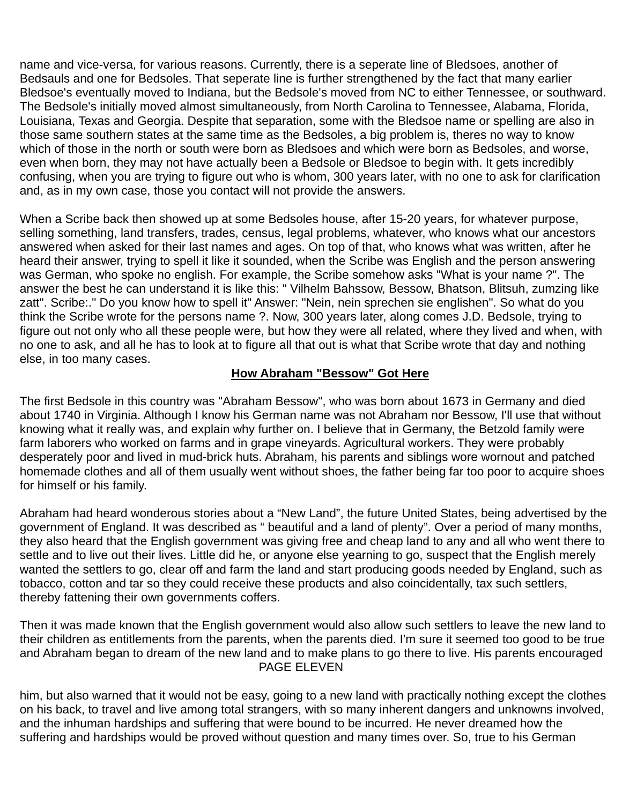name and vice-versa, for various reasons. Currently, there is a seperate line of Bledsoes, another of Bedsauls and one for Bedsoles. That seperate line is further strengthened by the fact that many earlier Bledsoe's eventually moved to Indiana, but the Bedsole's moved from NC to either Tennessee, or southward. The Bedsole's initially moved almost simultaneously, from North Carolina to Tennessee, Alabama, Florida, Louisiana, Texas and Georgia. Despite that separation, some with the Bledsoe name or spelling are also in those same southern states at the same time as the Bedsoles, a big problem is, theres no way to know which of those in the north or south were born as Bledsoes and which were born as Bedsoles, and worse, even when born, they may not have actually been a Bedsole or Bledsoe to begin with. It gets incredibly confusing, when you are trying to figure out who is whom, 300 years later, with no one to ask for clarification and, as in my own case, those you contact will not provide the answers.

When a Scribe back then showed up at some Bedsoles house, after 15-20 years, for whatever purpose, selling something, land transfers, trades, census, legal problems, whatever, who knows what our ancestors answered when asked for their last names and ages. On top of that, who knows what was written, after he heard their answer, trying to spell it like it sounded, when the Scribe was English and the person answering was German, who spoke no english. For example, the Scribe somehow asks "What is your name ?". The answer the best he can understand it is like this: " Vilhelm Bahssow, Bessow, Bhatson, Blitsuh, zumzing like zatt". Scribe:." Do you know how to spell it" Answer: "Nein, nein sprechen sie englishen". So what do you think the Scribe wrote for the persons name ?. Now, 300 years later, along comes J.D. Bedsole, trying to figure out not only who all these people were, but how they were all related, where they lived and when, with no one to ask, and all he has to look at to figure all that out is what that Scribe wrote that day and nothing else, in too many cases.

#### **How Abraham "Bessow" Got Here**

The first Bedsole in this country was "Abraham Bessow", who was born about 1673 in Germany and died about 1740 in Virginia. Although I know his German name was not Abraham nor Bessow, I'll use that without knowing what it really was, and explain why further on. I believe that in Germany, the Betzold family were farm laborers who worked on farms and in grape vineyards. Agricultural workers. They were probably desperately poor and lived in mud-brick huts. Abraham, his parents and siblings wore wornout and patched homemade clothes and all of them usually went without shoes, the father being far too poor to acquire shoes for himself or his family.

Abraham had heard wonderous stories about a "New Land", the future United States, being advertised by the government of England. It was described as " beautiful and a land of plenty". Over a period of many months, they also heard that the English government was giving free and cheap land to any and all who went there to settle and to live out their lives. Little did he, or anyone else yearning to go, suspect that the English merely wanted the settlers to go, clear off and farm the land and start producing goods needed by England, such as tobacco, cotton and tar so they could receive these products and also coincidentally, tax such settlers, thereby fattening their own governments coffers.

Then it was made known that the English government would also allow such settlers to leave the new land to their children as entitlements from the parents, when the parents died. I'm sure it seemed too good to be true and Abraham began to dream of the new land and to make plans to go there to live. His parents encouraged PAGE ELEVEN

him, but also warned that it would not be easy, going to a new land with practically nothing except the clothes on his back, to travel and live among total strangers, with so many inherent dangers and unknowns involved, and the inhuman hardships and suffering that were bound to be incurred. He never dreamed how the suffering and hardships would be proved without question and many times over. So, true to his German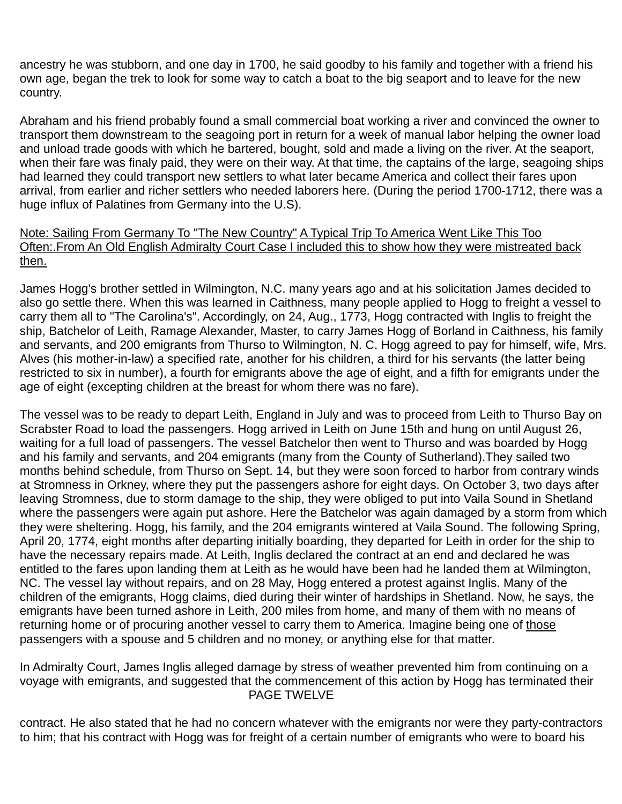ancestry he was stubborn, and one day in 1700, he said goodby to his family and together with a friend his own age, began the trek to look for some way to catch a boat to the big seaport and to leave for the new country.

Abraham and his friend probably found a small commercial boat working a river and convinced the owner to transport them downstream to the seagoing port in return for a week of manual labor helping the owner load and unload trade goods with which he bartered, bought, sold and made a living on the river. At the seaport, when their fare was finaly paid, they were on their way. At that time, the captains of the large, seagoing ships had learned they could transport new settlers to what later became America and collect their fares upon arrival, from earlier and richer settlers who needed laborers here. (During the period 1700-1712, there was a huge influx of Palatines from Germany into the U.S).

#### Note: Sailing From Germany To "The New Country" A Typical Trip To America Went Like This Too Often:.From An Old English Admiralty Court Case I included this to show how they were mistreated back then.

James Hogg's brother settled in Wilmington, N.C. many years ago and at his solicitation James decided to also go settle there. When this was learned in Caithness, many people applied to Hogg to freight a vessel to carry them all to "The Carolina's". Accordingly, on 24, Aug., 1773, Hogg contracted with Inglis to freight the ship, Batchelor of Leith, Ramage Alexander, Master, to carry James Hogg of Borland in Caithness, his family and servants, and 200 emigrants from Thurso to Wilmington, N. C. Hogg agreed to pay for himself, wife, Mrs. Alves (his mother-in-law) a specified rate, another for his children, a third for his servants (the latter being restricted to six in number), a fourth for emigrants above the age of eight, and a fifth for emigrants under the age of eight (excepting children at the breast for whom there was no fare).

The vessel was to be ready to depart Leith, England in July and was to proceed from Leith to Thurso Bay on Scrabster Road to load the passengers. Hogg arrived in Leith on June 15th and hung on until August 26, waiting for a full load of passengers. The vessel Batchelor then went to Thurso and was boarded by Hogg and his family and servants, and 204 emigrants (many from the County of Sutherland).They sailed two months behind schedule, from Thurso on Sept. 14, but they were soon forced to harbor from contrary winds at Stromness in Orkney, where they put the passengers ashore for eight days. On October 3, two days after leaving Stromness, due to storm damage to the ship, they were obliged to put into Vaila Sound in Shetland where the passengers were again put ashore. Here the Batchelor was again damaged by a storm from which they were sheltering. Hogg, his family, and the 204 emigrants wintered at Vaila Sound. The following Spring, April 20, 1774, eight months after departing initially boarding, they departed for Leith in order for the ship to have the necessary repairs made. At Leith, Inglis declared the contract at an end and declared he was entitled to the fares upon landing them at Leith as he would have been had he landed them at Wilmington, NC. The vessel lay without repairs, and on 28 May, Hogg entered a protest against Inglis. Many of the children of the emigrants, Hogg claims, died during their winter of hardships in Shetland. Now, he says, the emigrants have been turned ashore in Leith, 200 miles from home, and many of them with no means of returning home or of procuring another vessel to carry them to America. Imagine being one of those passengers with a spouse and 5 children and no money, or anything else for that matter.

In Admiralty Court, James Inglis alleged damage by stress of weather prevented him from continuing on a voyage with emigrants, and suggested that the commencement of this action by Hogg has terminated their PAGE TWELVE

contract. He also stated that he had no concern whatever with the emigrants nor were they party-contractors to him; that his contract with Hogg was for freight of a certain number of emigrants who were to board his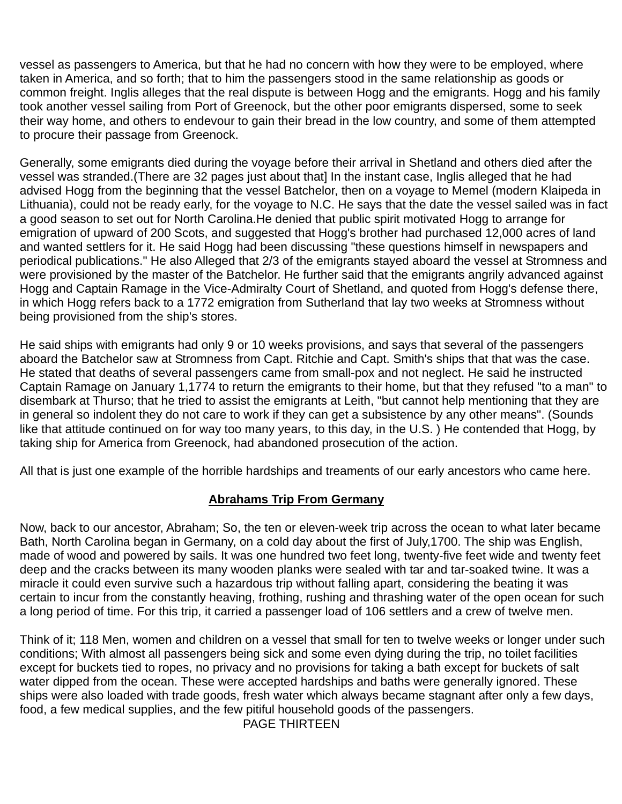vessel as passengers to America, but that he had no concern with how they were to be employed, where taken in America, and so forth; that to him the passengers stood in the same relationship as goods or common freight. Inglis alleges that the real dispute is between Hogg and the emigrants. Hogg and his family took another vessel sailing from Port of Greenock, but the other poor emigrants dispersed, some to seek their way home, and others to endevour to gain their bread in the low country, and some of them attempted to procure their passage from Greenock.

Generally, some emigrants died during the voyage before their arrival in Shetland and others died after the vessel was stranded.(There are 32 pages just about that] In the instant case, Inglis alleged that he had advised Hogg from the beginning that the vessel Batchelor, then on a voyage to Memel (modern Klaipeda in Lithuania), could not be ready early, for the voyage to N.C. He says that the date the vessel sailed was in fact a good season to set out for North Carolina.He denied that public spirit motivated Hogg to arrange for emigration of upward of 200 Scots, and suggested that Hogg's brother had purchased 12,000 acres of land and wanted settlers for it. He said Hogg had been discussing "these questions himself in newspapers and periodical publications." He also Alleged that 2/3 of the emigrants stayed aboard the vessel at Stromness and were provisioned by the master of the Batchelor. He further said that the emigrants angrily advanced against Hogg and Captain Ramage in the Vice-Admiralty Court of Shetland, and quoted from Hogg's defense there, in which Hogg refers back to a 1772 emigration from Sutherland that lay two weeks at Stromness without being provisioned from the ship's stores.

He said ships with emigrants had only 9 or 10 weeks provisions, and says that several of the passengers aboard the Batchelor saw at Stromness from Capt. Ritchie and Capt. Smith's ships that that was the case. He stated that deaths of several passengers came from small-pox and not neglect. He said he instructed Captain Ramage on January 1,1774 to return the emigrants to their home, but that they refused "to a man" to disembark at Thurso; that he tried to assist the emigrants at Leith, "but cannot help mentioning that they are in general so indolent they do not care to work if they can get a subsistence by any other means". (Sounds like that attitude continued on for way too many years, to this day, in the U.S. ) He contended that Hogg, by taking ship for America from Greenock, had abandoned prosecution of the action.

All that is just one example of the horrible hardships and treaments of our early ancestors who came here.

### **Abrahams Trip From Germany**

Now, back to our ancestor, Abraham; So, the ten or eleven-week trip across the ocean to what later became Bath, North Carolina began in Germany, on a cold day about the first of July,1700. The ship was English, made of wood and powered by sails. It was one hundred two feet long, twenty-five feet wide and twenty feet deep and the cracks between its many wooden planks were sealed with tar and tar-soaked twine. It was a miracle it could even survive such a hazardous trip without falling apart, considering the beating it was certain to incur from the constantly heaving, frothing, rushing and thrashing water of the open ocean for such a long period of time. For this trip, it carried a passenger load of 106 settlers and a crew of twelve men.

Think of it; 118 Men, women and children on a vessel that small for ten to twelve weeks or longer under such conditions; With almost all passengers being sick and some even dying during the trip, no toilet facilities except for buckets tied to ropes, no privacy and no provisions for taking a bath except for buckets of salt water dipped from the ocean. These were accepted hardships and baths were generally ignored. These ships were also loaded with trade goods, fresh water which always became stagnant after only a few days, food, a few medical supplies, and the few pitiful household goods of the passengers.

PAGE THIRTEEN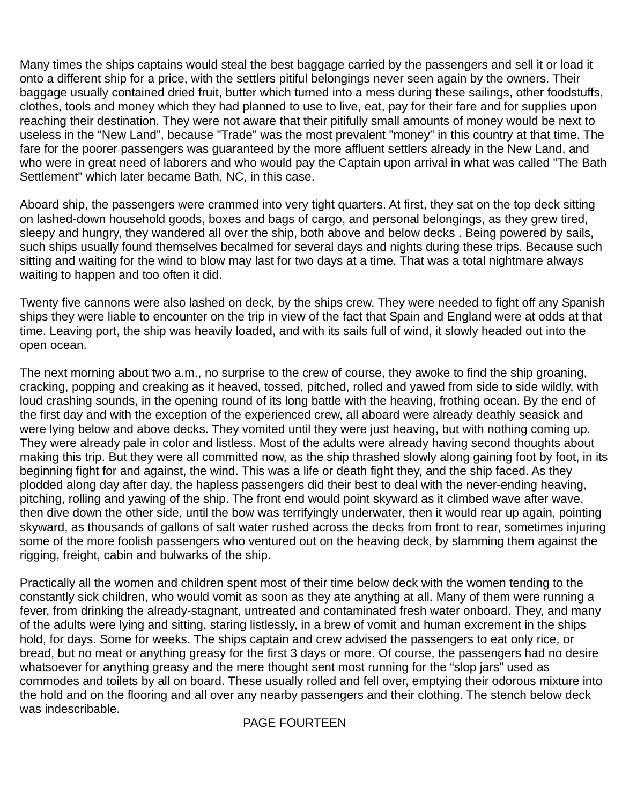Many times the ships captains would steal the best baggage carried by the passengers and sell it or load it onto a different ship for a price, with the settlers pitiful belongings never seen again by the owners. Their baggage usually contained dried fruit, butter which turned into a mess during these sailings, other foodstuffs, clothes, tools and money which they had planned to use to live, eat, pay for their fare and for supplies upon reaching their destination. They were not aware that their pitifully small amounts of money would be next to useless in the "New Land", because "Trade" was the most prevalent "money" in this country at that time. The fare for the poorer passengers was guaranteed by the more affluent settlers already in the New Land, and who were in great need of laborers and who would pay the Captain upon arrival in what was called "The Bath Settlement" which later became Bath, NC, in this case.

Aboard ship, the passengers were crammed into very tight quarters. At first, they sat on the top deck sitting on lashed-down household goods, boxes and bags of cargo, and personal belongings, as they grew tired, sleepy and hungry, they wandered all over the ship, both above and below decks . Being powered by sails, such ships usually found themselves becalmed for several days and nights during these trips. Because such sitting and waiting for the wind to blow may last for two days at a time. That was a total nightmare always waiting to happen and too often it did.

Twenty five cannons were also lashed on deck, by the ships crew. They were needed to fight off any Spanish ships they were liable to encounter on the trip in view of the fact that Spain and England were at odds at that time. Leaving port, the ship was heavily loaded, and with its sails full of wind, it slowly headed out into the open ocean.

The next morning about two a.m., no surprise to the crew of course, they awoke to find the ship groaning, cracking, popping and creaking as it heaved, tossed, pitched, rolled and yawed from side to side wildly, with loud crashing sounds, in the opening round of its long battle with the heaving, frothing ocean. By the end of the first day and with the exception of the experienced crew, all aboard were already deathly seasick and were lying below and above decks. They vomited until they were just heaving, but with nothing coming up. They were already pale in color and listless. Most of the adults were already having second thoughts about making this trip. But they were all committed now, as the ship thrashed slowly along gaining foot by foot, in its beginning fight for and against, the wind. This was a life or death fight they, and the ship faced. As they plodded along day after day, the hapless passengers did their best to deal with the never-ending heaving, pitching, rolling and yawing of the ship. The front end would point skyward as it climbed wave after wave, then dive down the other side, until the bow was terrifyingly underwater, then it would rear up again, pointing skyward, as thousands of gallons of salt water rushed across the decks from front to rear, sometimes injuring some of the more foolish passengers who ventured out on the heaving deck, by slamming them against the rigging, freight, cabin and bulwarks of the ship.

Practically all the women and children spent most of their time below deck with the women tending to the constantly sick children, who would vomit as soon as they ate anything at all. Many of them were running a fever, from drinking the already-stagnant, untreated and contaminated fresh water onboard. They, and many of the adults were lying and sitting, staring listlessly, in a brew of vomit and human excrement in the ships hold, for days. Some for weeks. The ships captain and crew advised the passengers to eat only rice, or bread, but no meat or anything greasy for the first 3 days or more. Of course, the passengers had no desire whatsoever for anything greasy and the mere thought sent most running for the "slop jars" used as commodes and toilets by all on board. These usually rolled and fell over, emptying their odorous mixture into the hold and on the flooring and all over any nearby passengers and their clothing. The stench below deck was indescribable.

#### PAGE FOURTEEN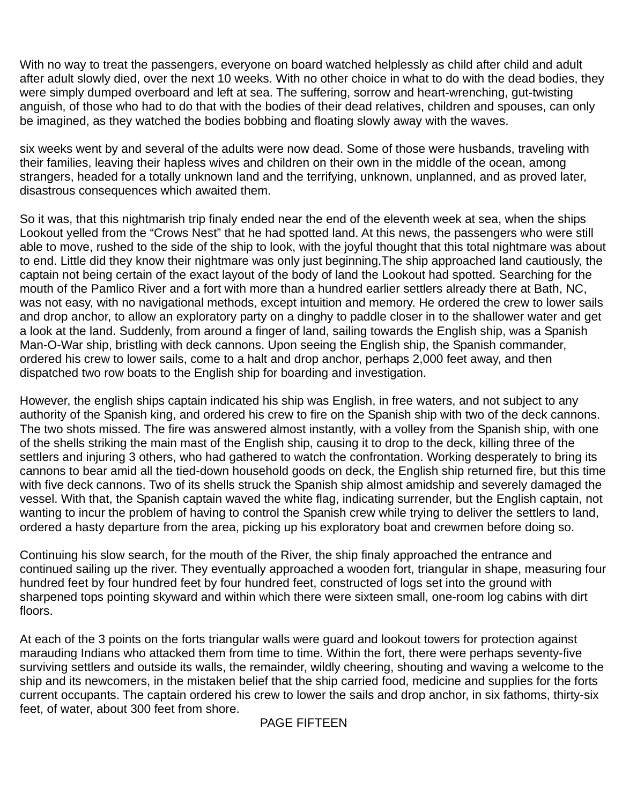With no way to treat the passengers, everyone on board watched helplessly as child after child and adult after adult slowly died, over the next 10 weeks. With no other choice in what to do with the dead bodies, they were simply dumped overboard and left at sea. The suffering, sorrow and heart-wrenching, gut-twisting anguish, of those who had to do that with the bodies of their dead relatives, children and spouses, can only be imagined, as they watched the bodies bobbing and floating slowly away with the waves.

six weeks went by and several of the adults were now dead. Some of those were husbands, traveling with their families, leaving their hapless wives and children on their own in the middle of the ocean, among strangers, headed for a totally unknown land and the terrifying, unknown, unplanned, and as proved later, disastrous consequences which awaited them.

So it was, that this nightmarish trip finaly ended near the end of the eleventh week at sea, when the ships Lookout yelled from the "Crows Nest" that he had spotted land. At this news, the passengers who were still able to move, rushed to the side of the ship to look, with the joyful thought that this total nightmare was about to end. Little did they know their nightmare was only just beginning.The ship approached land cautiously, the captain not being certain of the exact layout of the body of land the Lookout had spotted. Searching for the mouth of the Pamlico River and a fort with more than a hundred earlier settlers already there at Bath, NC, was not easy, with no navigational methods, except intuition and memory. He ordered the crew to lower sails and drop anchor, to allow an exploratory party on a dinghy to paddle closer in to the shallower water and get a look at the land. Suddenly, from around a finger of land, sailing towards the English ship, was a Spanish Man-O-War ship, bristling with deck cannons. Upon seeing the English ship, the Spanish commander, ordered his crew to lower sails, come to a halt and drop anchor, perhaps 2,000 feet away, and then dispatched two row boats to the English ship for boarding and investigation.

However, the english ships captain indicated his ship was English, in free waters, and not subject to any authority of the Spanish king, and ordered his crew to fire on the Spanish ship with two of the deck cannons. The two shots missed. The fire was answered almost instantly, with a volley from the Spanish ship, with one of the shells striking the main mast of the English ship, causing it to drop to the deck, killing three of the settlers and injuring 3 others, who had gathered to watch the confrontation. Working desperately to bring its cannons to bear amid all the tied-down household goods on deck, the English ship returned fire, but this time with five deck cannons. Two of its shells struck the Spanish ship almost amidship and severely damaged the vessel. With that, the Spanish captain waved the white flag, indicating surrender, but the English captain, not wanting to incur the problem of having to control the Spanish crew while trying to deliver the settlers to land, ordered a hasty departure from the area, picking up his exploratory boat and crewmen before doing so.

Continuing his slow search, for the mouth of the River, the ship finaly approached the entrance and continued sailing up the river. They eventually approached a wooden fort, triangular in shape, measuring four hundred feet by four hundred feet by four hundred feet, constructed of logs set into the ground with sharpened tops pointing skyward and within which there were sixteen small, one-room log cabins with dirt floors.

At each of the 3 points on the forts triangular walls were guard and lookout towers for protection against marauding Indians who attacked them from time to time. Within the fort, there were perhaps seventy-five surviving settlers and outside its walls, the remainder, wildly cheering, shouting and waving a welcome to the ship and its newcomers, in the mistaken belief that the ship carried food, medicine and supplies for the forts current occupants. The captain ordered his crew to lower the sails and drop anchor, in six fathoms, thirty-six feet, of water, about 300 feet from shore.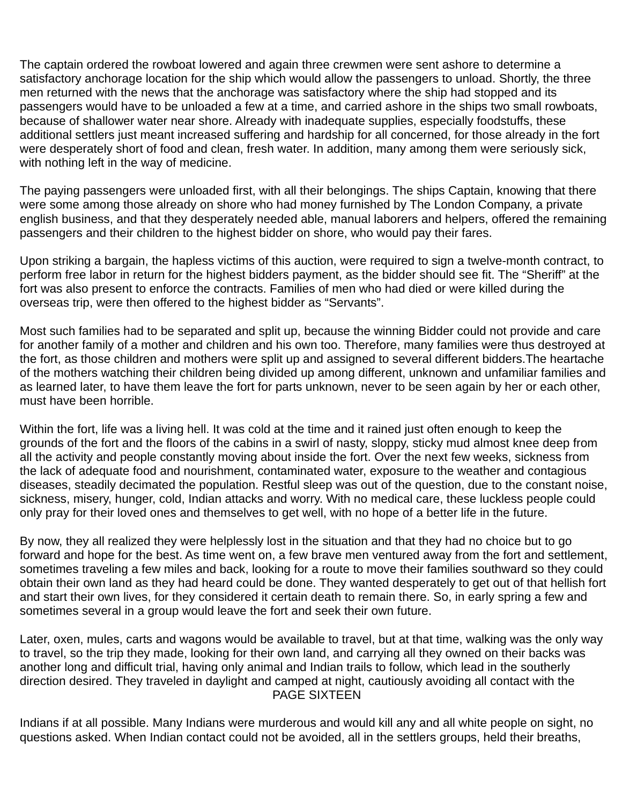The captain ordered the rowboat lowered and again three crewmen were sent ashore to determine a satisfactory anchorage location for the ship which would allow the passengers to unload. Shortly, the three men returned with the news that the anchorage was satisfactory where the ship had stopped and its passengers would have to be unloaded a few at a time, and carried ashore in the ships two small rowboats, because of shallower water near shore. Already with inadequate supplies, especially foodstuffs, these additional settlers just meant increased suffering and hardship for all concerned, for those already in the fort were desperately short of food and clean, fresh water. In addition, many among them were seriously sick, with nothing left in the way of medicine.

The paying passengers were unloaded first, with all their belongings. The ships Captain, knowing that there were some among those already on shore who had money furnished by The London Company, a private english business, and that they desperately needed able, manual laborers and helpers, offered the remaining passengers and their children to the highest bidder on shore, who would pay their fares.

Upon striking a bargain, the hapless victims of this auction, were required to sign a twelve-month contract, to perform free labor in return for the highest bidders payment, as the bidder should see fit. The "Sheriff" at the fort was also present to enforce the contracts. Families of men who had died or were killed during the overseas trip, were then offered to the highest bidder as "Servants".

Most such families had to be separated and split up, because the winning Bidder could not provide and care for another family of a mother and children and his own too. Therefore, many families were thus destroyed at the fort, as those children and mothers were split up and assigned to several different bidders.The heartache of the mothers watching their children being divided up among different, unknown and unfamiliar families and as learned later, to have them leave the fort for parts unknown, never to be seen again by her or each other, must have been horrible.

Within the fort, life was a living hell. It was cold at the time and it rained just often enough to keep the grounds of the fort and the floors of the cabins in a swirl of nasty, sloppy, sticky mud almost knee deep from all the activity and people constantly moving about inside the fort. Over the next few weeks, sickness from the lack of adequate food and nourishment, contaminated water, exposure to the weather and contagious diseases, steadily decimated the population. Restful sleep was out of the question, due to the constant noise, sickness, misery, hunger, cold, Indian attacks and worry. With no medical care, these luckless people could only pray for their loved ones and themselves to get well, with no hope of a better life in the future.

By now, they all realized they were helplessly lost in the situation and that they had no choice but to go forward and hope for the best. As time went on, a few brave men ventured away from the fort and settlement, sometimes traveling a few miles and back, looking for a route to move their families southward so they could obtain their own land as they had heard could be done. They wanted desperately to get out of that hellish fort and start their own lives, for they considered it certain death to remain there. So, in early spring a few and sometimes several in a group would leave the fort and seek their own future.

Later, oxen, mules, carts and wagons would be available to travel, but at that time, walking was the only way to travel, so the trip they made, looking for their own land, and carrying all they owned on their backs was another long and difficult trial, having only animal and Indian trails to follow, which lead in the southerly direction desired. They traveled in daylight and camped at night, cautiously avoiding all contact with the PAGE SIXTEEN

Indians if at all possible. Many Indians were murderous and would kill any and all white people on sight, no questions asked. When Indian contact could not be avoided, all in the settlers groups, held their breaths,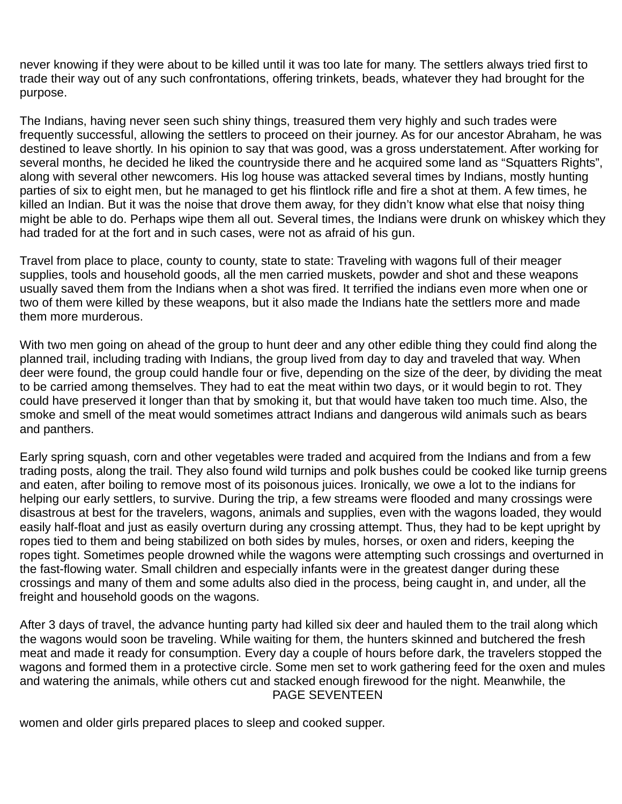never knowing if they were about to be killed until it was too late for many. The settlers always tried first to trade their way out of any such confrontations, offering trinkets, beads, whatever they had brought for the purpose.

The Indians, having never seen such shiny things, treasured them very highly and such trades were frequently successful, allowing the settlers to proceed on their journey. As for our ancestor Abraham, he was destined to leave shortly. In his opinion to say that was good, was a gross understatement. After working for several months, he decided he liked the countryside there and he acquired some land as "Squatters Rights", along with several other newcomers. His log house was attacked several times by Indians, mostly hunting parties of six to eight men, but he managed to get his flintlock rifle and fire a shot at them. A few times, he killed an Indian. But it was the noise that drove them away, for they didn't know what else that noisy thing might be able to do. Perhaps wipe them all out. Several times, the Indians were drunk on whiskey which they had traded for at the fort and in such cases, were not as afraid of his gun.

Travel from place to place, county to county, state to state: Traveling with wagons full of their meager supplies, tools and household goods, all the men carried muskets, powder and shot and these weapons usually saved them from the Indians when a shot was fired. It terrified the indians even more when one or two of them were killed by these weapons, but it also made the Indians hate the settlers more and made them more murderous.

With two men going on ahead of the group to hunt deer and any other edible thing they could find along the planned trail, including trading with Indians, the group lived from day to day and traveled that way. When deer were found, the group could handle four or five, depending on the size of the deer, by dividing the meat to be carried among themselves. They had to eat the meat within two days, or it would begin to rot. They could have preserved it longer than that by smoking it, but that would have taken too much time. Also, the smoke and smell of the meat would sometimes attract Indians and dangerous wild animals such as bears and panthers.

Early spring squash, corn and other vegetables were traded and acquired from the Indians and from a few trading posts, along the trail. They also found wild turnips and polk bushes could be cooked like turnip greens and eaten, after boiling to remove most of its poisonous juices. Ironically, we owe a lot to the indians for helping our early settlers, to survive. During the trip, a few streams were flooded and many crossings were disastrous at best for the travelers, wagons, animals and supplies, even with the wagons loaded, they would easily half-float and just as easily overturn during any crossing attempt. Thus, they had to be kept upright by ropes tied to them and being stabilized on both sides by mules, horses, or oxen and riders, keeping the ropes tight. Sometimes people drowned while the wagons were attempting such crossings and overturned in the fast-flowing water. Small children and especially infants were in the greatest danger during these crossings and many of them and some adults also died in the process, being caught in, and under, all the freight and household goods on the wagons.

After 3 days of travel, the advance hunting party had killed six deer and hauled them to the trail along which the wagons would soon be traveling. While waiting for them, the hunters skinned and butchered the fresh meat and made it ready for consumption. Every day a couple of hours before dark, the travelers stopped the wagons and formed them in a protective circle. Some men set to work gathering feed for the oxen and mules and watering the animals, while others cut and stacked enough firewood for the night. Meanwhile, the PAGE SEVENTEEN

women and older girls prepared places to sleep and cooked supper.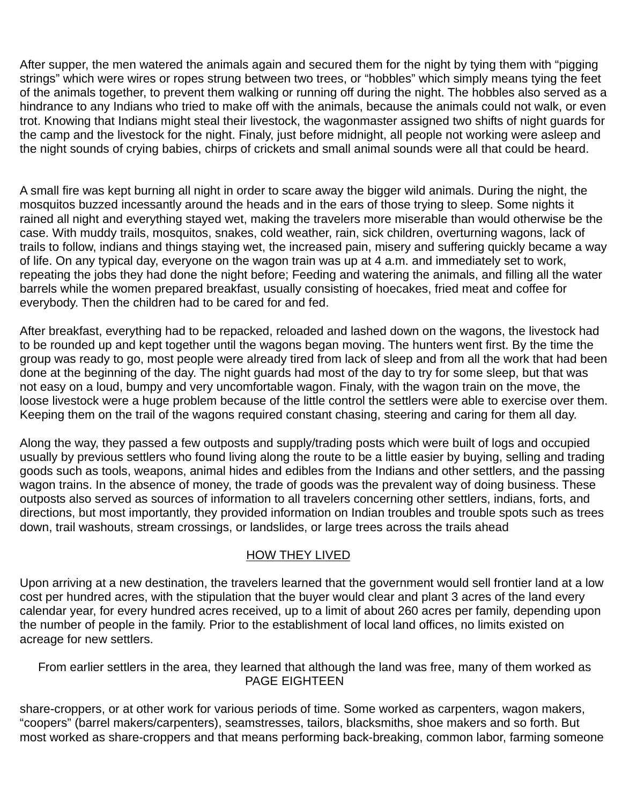After supper, the men watered the animals again and secured them for the night by tying them with "pigging strings" which were wires or ropes strung between two trees, or "hobbles" which simply means tying the feet of the animals together, to prevent them walking or running off during the night. The hobbles also served as a hindrance to any Indians who tried to make off with the animals, because the animals could not walk, or even trot. Knowing that Indians might steal their livestock, the wagonmaster assigned two shifts of night guards for the camp and the livestock for the night. Finaly, just before midnight, all people not working were asleep and the night sounds of crying babies, chirps of crickets and small animal sounds were all that could be heard.

A small fire was kept burning all night in order to scare away the bigger wild animals. During the night, the mosquitos buzzed incessantly around the heads and in the ears of those trying to sleep. Some nights it rained all night and everything stayed wet, making the travelers more miserable than would otherwise be the case. With muddy trails, mosquitos, snakes, cold weather, rain, sick children, overturning wagons, lack of trails to follow, indians and things staying wet, the increased pain, misery and suffering quickly became a way of life. On any typical day, everyone on the wagon train was up at 4 a.m. and immediately set to work, repeating the jobs they had done the night before; Feeding and watering the animals, and filling all the water barrels while the women prepared breakfast, usually consisting of hoecakes, fried meat and coffee for everybody. Then the children had to be cared for and fed.

After breakfast, everything had to be repacked, reloaded and lashed down on the wagons, the livestock had to be rounded up and kept together until the wagons began moving. The hunters went first. By the time the group was ready to go, most people were already tired from lack of sleep and from all the work that had been done at the beginning of the day. The night guards had most of the day to try for some sleep, but that was not easy on a loud, bumpy and very uncomfortable wagon. Finaly, with the wagon train on the move, the loose livestock were a huge problem because of the little control the settlers were able to exercise over them. Keeping them on the trail of the wagons required constant chasing, steering and caring for them all day.

Along the way, they passed a few outposts and supply/trading posts which were built of logs and occupied usually by previous settlers who found living along the route to be a little easier by buying, selling and trading goods such as tools, weapons, animal hides and edibles from the Indians and other settlers, and the passing wagon trains. In the absence of money, the trade of goods was the prevalent way of doing business. These outposts also served as sources of information to all travelers concerning other settlers, indians, forts, and directions, but most importantly, they provided information on Indian troubles and trouble spots such as trees down, trail washouts, stream crossings, or landslides, or large trees across the trails ahead

#### HOW THEY LIVED

Upon arriving at a new destination, the travelers learned that the government would sell frontier land at a low cost per hundred acres, with the stipulation that the buyer would clear and plant 3 acres of the land every calendar year, for every hundred acres received, up to a limit of about 260 acres per family, depending upon the number of people in the family. Prior to the establishment of local land offices, no limits existed on acreage for new settlers.

From earlier settlers in the area, they learned that although the land was free, many of them worked as PAGE EIGHTEEN

share-croppers, or at other work for various periods of time. Some worked as carpenters, wagon makers, "coopers" (barrel makers/carpenters), seamstresses, tailors, blacksmiths, shoe makers and so forth. But most worked as share-croppers and that means performing back-breaking, common labor, farming someone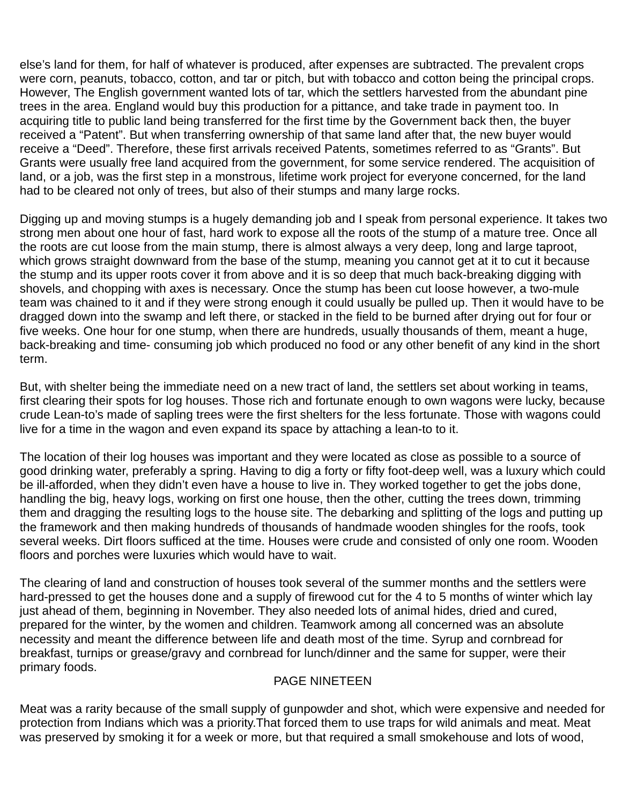else's land for them, for half of whatever is produced, after expenses are subtracted. The prevalent crops were corn, peanuts, tobacco, cotton, and tar or pitch, but with tobacco and cotton being the principal crops. However, The English government wanted lots of tar, which the settlers harvested from the abundant pine trees in the area. England would buy this production for a pittance, and take trade in payment too. In acquiring title to public land being transferred for the first time by the Government back then, the buyer received a "Patent". But when transferring ownership of that same land after that, the new buyer would receive a "Deed". Therefore, these first arrivals received Patents, sometimes referred to as "Grants". But Grants were usually free land acquired from the government, for some service rendered. The acquisition of land, or a job, was the first step in a monstrous, lifetime work project for everyone concerned, for the land had to be cleared not only of trees, but also of their stumps and many large rocks.

Digging up and moving stumps is a hugely demanding job and I speak from personal experience. It takes two strong men about one hour of fast, hard work to expose all the roots of the stump of a mature tree. Once all the roots are cut loose from the main stump, there is almost always a very deep, long and large taproot, which grows straight downward from the base of the stump, meaning you cannot get at it to cut it because the stump and its upper roots cover it from above and it is so deep that much back-breaking digging with shovels, and chopping with axes is necessary. Once the stump has been cut loose however, a two-mule team was chained to it and if they were strong enough it could usually be pulled up. Then it would have to be dragged down into the swamp and left there, or stacked in the field to be burned after drying out for four or five weeks. One hour for one stump, when there are hundreds, usually thousands of them, meant a huge, back-breaking and time- consuming job which produced no food or any other benefit of any kind in the short term.

But, with shelter being the immediate need on a new tract of land, the settlers set about working in teams, first clearing their spots for log houses. Those rich and fortunate enough to own wagons were lucky, because crude Lean-to's made of sapling trees were the first shelters for the less fortunate. Those with wagons could live for a time in the wagon and even expand its space by attaching a lean-to to it.

The location of their log houses was important and they were located as close as possible to a source of good drinking water, preferably a spring. Having to dig a forty or fifty foot-deep well, was a luxury which could be ill-afforded, when they didn't even have a house to live in. They worked together to get the jobs done, handling the big, heavy logs, working on first one house, then the other, cutting the trees down, trimming them and dragging the resulting logs to the house site. The debarking and splitting of the logs and putting up the framework and then making hundreds of thousands of handmade wooden shingles for the roofs, took several weeks. Dirt floors sufficed at the time. Houses were crude and consisted of only one room. Wooden floors and porches were luxuries which would have to wait.

The clearing of land and construction of houses took several of the summer months and the settlers were hard-pressed to get the houses done and a supply of firewood cut for the 4 to 5 months of winter which lay just ahead of them, beginning in November. They also needed lots of animal hides, dried and cured, prepared for the winter, by the women and children. Teamwork among all concerned was an absolute necessity and meant the difference between life and death most of the time. Syrup and cornbread for breakfast, turnips or grease/gravy and cornbread for lunch/dinner and the same for supper, were their primary foods.

#### PAGE NINETEEN

Meat was a rarity because of the small supply of gunpowder and shot, which were expensive and needed for protection from Indians which was a priority.That forced them to use traps for wild animals and meat. Meat was preserved by smoking it for a week or more, but that required a small smokehouse and lots of wood,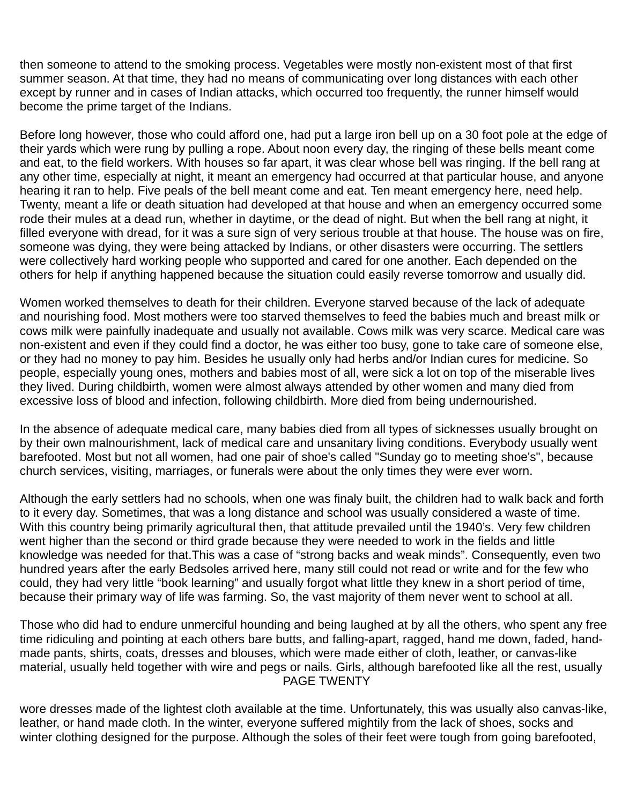then someone to attend to the smoking process. Vegetables were mostly non-existent most of that first summer season. At that time, they had no means of communicating over long distances with each other except by runner and in cases of Indian attacks, which occurred too frequently, the runner himself would become the prime target of the Indians.

Before long however, those who could afford one, had put a large iron bell up on a 30 foot pole at the edge of their yards which were rung by pulling a rope. About noon every day, the ringing of these bells meant come and eat, to the field workers. With houses so far apart, it was clear whose bell was ringing. If the bell rang at any other time, especially at night, it meant an emergency had occurred at that particular house, and anyone hearing it ran to help. Five peals of the bell meant come and eat. Ten meant emergency here, need help. Twenty, meant a life or death situation had developed at that house and when an emergency occurred some rode their mules at a dead run, whether in daytime, or the dead of night. But when the bell rang at night, it filled everyone with dread, for it was a sure sign of very serious trouble at that house. The house was on fire, someone was dying, they were being attacked by Indians, or other disasters were occurring. The settlers were collectively hard working people who supported and cared for one another. Each depended on the others for help if anything happened because the situation could easily reverse tomorrow and usually did.

Women worked themselves to death for their children. Everyone starved because of the lack of adequate and nourishing food. Most mothers were too starved themselves to feed the babies much and breast milk or cows milk were painfully inadequate and usually not available. Cows milk was very scarce. Medical care was non-existent and even if they could find a doctor, he was either too busy, gone to take care of someone else, or they had no money to pay him. Besides he usually only had herbs and/or Indian cures for medicine. So people, especially young ones, mothers and babies most of all, were sick a lot on top of the miserable lives they lived. During childbirth, women were almost always attended by other women and many died from excessive loss of blood and infection, following childbirth. More died from being undernourished.

In the absence of adequate medical care, many babies died from all types of sicknesses usually brought on by their own malnourishment, lack of medical care and unsanitary living conditions. Everybody usually went barefooted. Most but not all women, had one pair of shoe's called "Sunday go to meeting shoe's", because church services, visiting, marriages, or funerals were about the only times they were ever worn.

Although the early settlers had no schools, when one was finaly built, the children had to walk back and forth to it every day. Sometimes, that was a long distance and school was usually considered a waste of time. With this country being primarily agricultural then, that attitude prevailed until the 1940's. Very few children went higher than the second or third grade because they were needed to work in the fields and little knowledge was needed for that.This was a case of "strong backs and weak minds". Consequently, even two hundred years after the early Bedsoles arrived here, many still could not read or write and for the few who could, they had very little "book learning" and usually forgot what little they knew in a short period of time, because their primary way of life was farming. So, the vast majority of them never went to school at all.

Those who did had to endure unmerciful hounding and being laughed at by all the others, who spent any free time ridiculing and pointing at each others bare butts, and falling-apart, ragged, hand me down, faded, handmade pants, shirts, coats, dresses and blouses, which were made either of cloth, leather, or canvas-like material, usually held together with wire and pegs or nails. Girls, although barefooted like all the rest, usually PAGE TWENTY

wore dresses made of the lightest cloth available at the time. Unfortunately, this was usually also canvas-like, leather, or hand made cloth. In the winter, everyone suffered mightily from the lack of shoes, socks and winter clothing designed for the purpose. Although the soles of their feet were tough from going barefooted,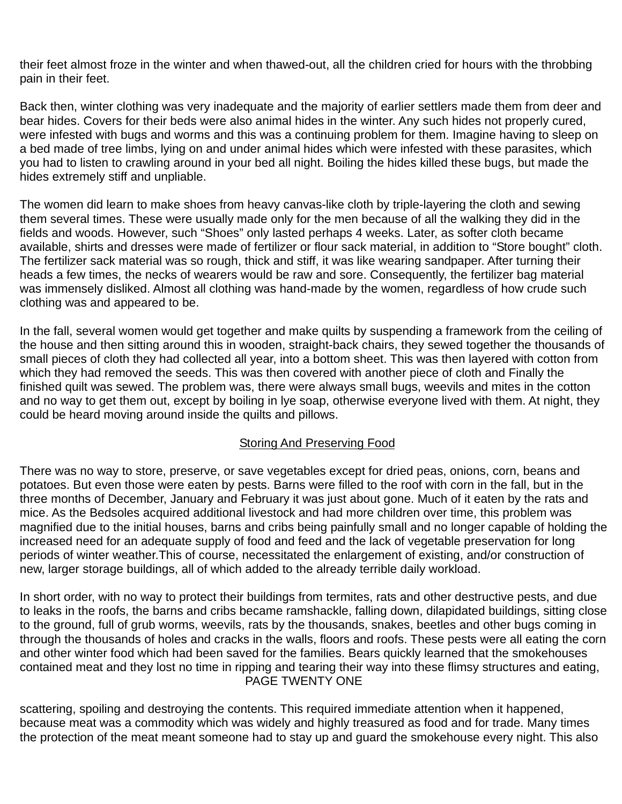their feet almost froze in the winter and when thawed-out, all the children cried for hours with the throbbing pain in their feet.

Back then, winter clothing was very inadequate and the majority of earlier settlers made them from deer and bear hides. Covers for their beds were also animal hides in the winter. Any such hides not properly cured, were infested with bugs and worms and this was a continuing problem for them. Imagine having to sleep on a bed made of tree limbs, lying on and under animal hides which were infested with these parasites, which you had to listen to crawling around in your bed all night. Boiling the hides killed these bugs, but made the hides extremely stiff and unpliable.

The women did learn to make shoes from heavy canvas-like cloth by triple-layering the cloth and sewing them several times. These were usually made only for the men because of all the walking they did in the fields and woods. However, such "Shoes" only lasted perhaps 4 weeks. Later, as softer cloth became available, shirts and dresses were made of fertilizer or flour sack material, in addition to "Store bought" cloth. The fertilizer sack material was so rough, thick and stiff, it was like wearing sandpaper. After turning their heads a few times, the necks of wearers would be raw and sore. Consequently, the fertilizer bag material was immensely disliked. Almost all clothing was hand-made by the women, regardless of how crude such clothing was and appeared to be.

In the fall, several women would get together and make quilts by suspending a framework from the ceiling of the house and then sitting around this in wooden, straight-back chairs, they sewed together the thousands of small pieces of cloth they had collected all year, into a bottom sheet. This was then layered with cotton from which they had removed the seeds. This was then covered with another piece of cloth and Finally the finished quilt was sewed. The problem was, there were always small bugs, weevils and mites in the cotton and no way to get them out, except by boiling in lye soap, otherwise everyone lived with them. At night, they could be heard moving around inside the quilts and pillows.

#### Storing And Preserving Food

There was no way to store, preserve, or save vegetables except for dried peas, onions, corn, beans and potatoes. But even those were eaten by pests. Barns were filled to the roof with corn in the fall, but in the three months of December, January and February it was just about gone. Much of it eaten by the rats and mice. As the Bedsoles acquired additional livestock and had more children over time, this problem was magnified due to the initial houses, barns and cribs being painfully small and no longer capable of holding the increased need for an adequate supply of food and feed and the lack of vegetable preservation for long periods of winter weather.This of course, necessitated the enlargement of existing, and/or construction of new, larger storage buildings, all of which added to the already terrible daily workload.

In short order, with no way to protect their buildings from termites, rats and other destructive pests, and due to leaks in the roofs, the barns and cribs became ramshackle, falling down, dilapidated buildings, sitting close to the ground, full of grub worms, weevils, rats by the thousands, snakes, beetles and other bugs coming in through the thousands of holes and cracks in the walls, floors and roofs. These pests were all eating the corn and other winter food which had been saved for the families. Bears quickly learned that the smokehouses contained meat and they lost no time in ripping and tearing their way into these flimsy structures and eating, PAGE TWENTY ONE

scattering, spoiling and destroying the contents. This required immediate attention when it happened, because meat was a commodity which was widely and highly treasured as food and for trade. Many times the protection of the meat meant someone had to stay up and guard the smokehouse every night. This also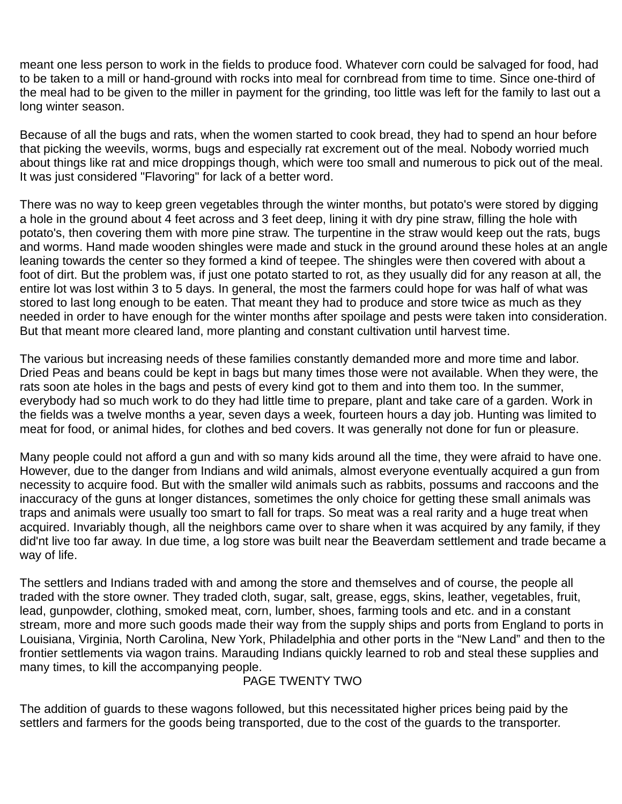meant one less person to work in the fields to produce food. Whatever corn could be salvaged for food, had to be taken to a mill or hand-ground with rocks into meal for cornbread from time to time. Since one-third of the meal had to be given to the miller in payment for the grinding, too little was left for the family to last out a long winter season.

Because of all the bugs and rats, when the women started to cook bread, they had to spend an hour before that picking the weevils, worms, bugs and especially rat excrement out of the meal. Nobody worried much about things like rat and mice droppings though, which were too small and numerous to pick out of the meal. It was just considered "Flavoring" for lack of a better word.

There was no way to keep green vegetables through the winter months, but potato's were stored by digging a hole in the ground about 4 feet across and 3 feet deep, lining it with dry pine straw, filling the hole with potato's, then covering them with more pine straw. The turpentine in the straw would keep out the rats, bugs and worms. Hand made wooden shingles were made and stuck in the ground around these holes at an angle leaning towards the center so they formed a kind of teepee. The shingles were then covered with about a foot of dirt. But the problem was, if just one potato started to rot, as they usually did for any reason at all, the entire lot was lost within 3 to 5 days. In general, the most the farmers could hope for was half of what was stored to last long enough to be eaten. That meant they had to produce and store twice as much as they needed in order to have enough for the winter months after spoilage and pests were taken into consideration. But that meant more cleared land, more planting and constant cultivation until harvest time.

The various but increasing needs of these families constantly demanded more and more time and labor. Dried Peas and beans could be kept in bags but many times those were not available. When they were, the rats soon ate holes in the bags and pests of every kind got to them and into them too. In the summer, everybody had so much work to do they had little time to prepare, plant and take care of a garden. Work in the fields was a twelve months a year, seven days a week, fourteen hours a day job. Hunting was limited to meat for food, or animal hides, for clothes and bed covers. It was generally not done for fun or pleasure.

Many people could not afford a gun and with so many kids around all the time, they were afraid to have one. However, due to the danger from Indians and wild animals, almost everyone eventually acquired a gun from necessity to acquire food. But with the smaller wild animals such as rabbits, possums and raccoons and the inaccuracy of the guns at longer distances, sometimes the only choice for getting these small animals was traps and animals were usually too smart to fall for traps. So meat was a real rarity and a huge treat when acquired. Invariably though, all the neighbors came over to share when it was acquired by any family, if they did'nt live too far away. In due time, a log store was built near the Beaverdam settlement and trade became a way of life.

The settlers and Indians traded with and among the store and themselves and of course, the people all traded with the store owner. They traded cloth, sugar, salt, grease, eggs, skins, leather, vegetables, fruit, lead, gunpowder, clothing, smoked meat, corn, lumber, shoes, farming tools and etc. and in a constant stream, more and more such goods made their way from the supply ships and ports from England to ports in Louisiana, Virginia, North Carolina, New York, Philadelphia and other ports in the "New Land" and then to the frontier settlements via wagon trains. Marauding Indians quickly learned to rob and steal these supplies and many times, to kill the accompanying people.

#### PAGE TWENTY TWO

The addition of guards to these wagons followed, but this necessitated higher prices being paid by the settlers and farmers for the goods being transported, due to the cost of the guards to the transporter.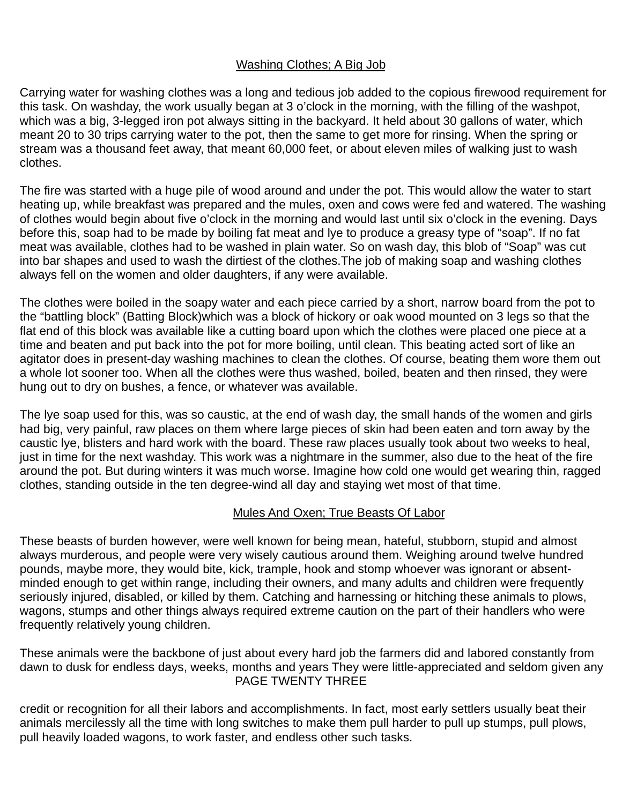#### Washing Clothes; A Big Job

Carrying water for washing clothes was a long and tedious job added to the copious firewood requirement for this task. On washday, the work usually began at 3 o'clock in the morning, with the filling of the washpot, which was a big, 3-legged iron pot always sitting in the backyard. It held about 30 gallons of water, which meant 20 to 30 trips carrying water to the pot, then the same to get more for rinsing. When the spring or stream was a thousand feet away, that meant 60,000 feet, or about eleven miles of walking just to wash clothes.

The fire was started with a huge pile of wood around and under the pot. This would allow the water to start heating up, while breakfast was prepared and the mules, oxen and cows were fed and watered. The washing of clothes would begin about five o'clock in the morning and would last until six o'clock in the evening. Days before this, soap had to be made by boiling fat meat and lye to produce a greasy type of "soap". If no fat meat was available, clothes had to be washed in plain water. So on wash day, this blob of "Soap" was cut into bar shapes and used to wash the dirtiest of the clothes.The job of making soap and washing clothes always fell on the women and older daughters, if any were available.

The clothes were boiled in the soapy water and each piece carried by a short, narrow board from the pot to the "battling block" (Batting Block)which was a block of hickory or oak wood mounted on 3 legs so that the flat end of this block was available like a cutting board upon which the clothes were placed one piece at a time and beaten and put back into the pot for more boiling, until clean. This beating acted sort of like an agitator does in present-day washing machines to clean the clothes. Of course, beating them wore them out a whole lot sooner too. When all the clothes were thus washed, boiled, beaten and then rinsed, they were hung out to dry on bushes, a fence, or whatever was available.

The lye soap used for this, was so caustic, at the end of wash day, the small hands of the women and girls had big, very painful, raw places on them where large pieces of skin had been eaten and torn away by the caustic lye, blisters and hard work with the board. These raw places usually took about two weeks to heal, just in time for the next washday. This work was a nightmare in the summer, also due to the heat of the fire around the pot. But during winters it was much worse. Imagine how cold one would get wearing thin, ragged clothes, standing outside in the ten degree-wind all day and staying wet most of that time.

#### Mules And Oxen; True Beasts Of Labor

These beasts of burden however, were well known for being mean, hateful, stubborn, stupid and almost always murderous, and people were very wisely cautious around them. Weighing around twelve hundred pounds, maybe more, they would bite, kick, trample, hook and stomp whoever was ignorant or absentminded enough to get within range, including their owners, and many adults and children were frequently seriously injured, disabled, or killed by them. Catching and harnessing or hitching these animals to plows, wagons, stumps and other things always required extreme caution on the part of their handlers who were frequently relatively young children.

These animals were the backbone of just about every hard job the farmers did and labored constantly from dawn to dusk for endless days, weeks, months and years They were little-appreciated and seldom given any PAGE TWENTY THREE

credit or recognition for all their labors and accomplishments. In fact, most early settlers usually beat their animals mercilessly all the time with long switches to make them pull harder to pull up stumps, pull plows, pull heavily loaded wagons, to work faster, and endless other such tasks.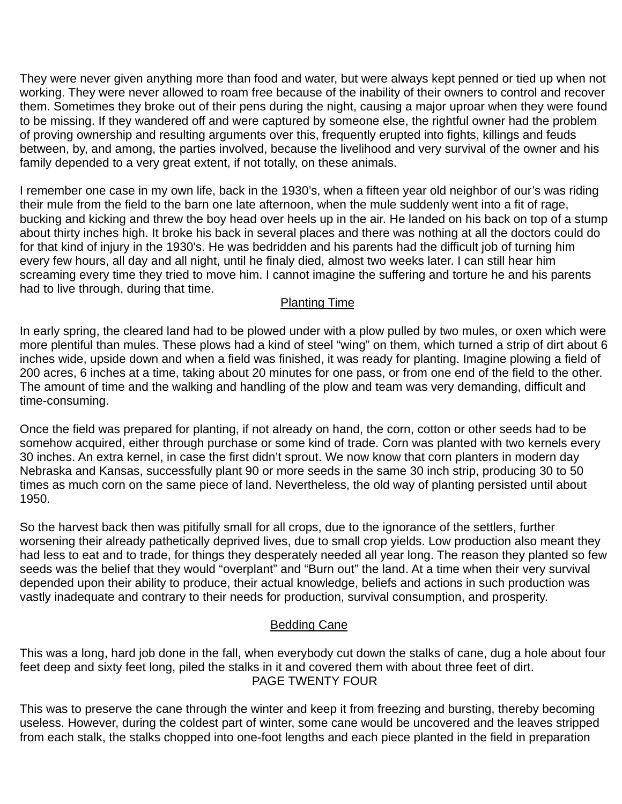They were never given anything more than food and water, but were always kept penned or tied up when not working. They were never allowed to roam free because of the inability of their owners to control and recover them. Sometimes they broke out of their pens during the night, causing a major uproar when they were found to be missing. If they wandered off and were captured by someone else, the rightful owner had the problem of proving ownership and resulting arguments over this, frequently erupted into fights, killings and feuds between, by, and among, the parties involved, because the livelihood and very survival of the owner and his family depended to a very great extent, if not totally, on these animals.

I remember one case in my own life, back in the 1930's, when a fifteen year old neighbor of our's was riding their mule from the field to the barn one late afternoon, when the mule suddenly went into a fit of rage, bucking and kicking and threw the boy head over heels up in the air. He landed on his back on top of a stump about thirty inches high. It broke his back in several places and there was nothing at all the doctors could do for that kind of injury in the 1930's. He was bedridden and his parents had the difficult job of turning him every few hours, all day and all night, until he finaly died, almost two weeks later. I can still hear him screaming every time they tried to move him. I cannot imagine the suffering and torture he and his parents had to live through, during that time.

#### Planting Time

In early spring, the cleared land had to be plowed under with a plow pulled by two mules, or oxen which were more plentiful than mules. These plows had a kind of steel "wing" on them, which turned a strip of dirt about 6 inches wide, upside down and when a field was finished, it was ready for planting. Imagine plowing a field of 200 acres, 6 inches at a time, taking about 20 minutes for one pass, or from one end of the field to the other. The amount of time and the walking and handling of the plow and team was very demanding, difficult and time-consuming.

Once the field was prepared for planting, if not already on hand, the corn, cotton or other seeds had to be somehow acquired, either through purchase or some kind of trade. Corn was planted with two kernels every 30 inches. An extra kernel, in case the first didn't sprout. We now know that corn planters in modern day Nebraska and Kansas, successfully plant 90 or more seeds in the same 30 inch strip, producing 30 to 50 times as much corn on the same piece of land. Nevertheless, the old way of planting persisted until about 1950.

So the harvest back then was pitifully small for all crops, due to the ignorance of the settlers, further worsening their already pathetically deprived lives, due to small crop yields. Low production also meant they had less to eat and to trade, for things they desperately needed all year long. The reason they planted so few seeds was the belief that they would "overplant" and "Burn out" the land. At a time when their very survival depended upon their ability to produce, their actual knowledge, beliefs and actions in such production was vastly inadequate and contrary to their needs for production, survival consumption, and prosperity.

#### Bedding Cane

This was a long, hard job done in the fall, when everybody cut down the stalks of cane, dug a hole about four feet deep and sixty feet long, piled the stalks in it and covered them with about three feet of dirt. PAGE TWENTY FOUR

This was to preserve the cane through the winter and keep it from freezing and bursting, thereby becoming useless. However, during the coldest part of winter, some cane would be uncovered and the leaves stripped from each stalk, the stalks chopped into one-foot lengths and each piece planted in the field in preparation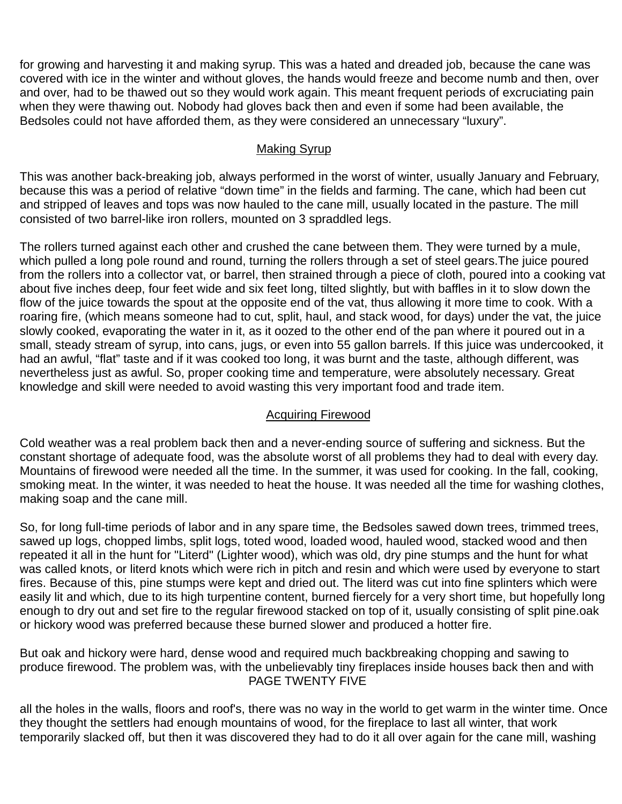for growing and harvesting it and making syrup. This was a hated and dreaded job, because the cane was covered with ice in the winter and without gloves, the hands would freeze and become numb and then, over and over, had to be thawed out so they would work again. This meant frequent periods of excruciating pain when they were thawing out. Nobody had gloves back then and even if some had been available, the Bedsoles could not have afforded them, as they were considered an unnecessary "luxury".

#### Making Syrup

This was another back-breaking job, always performed in the worst of winter, usually January and February, because this was a period of relative "down time" in the fields and farming. The cane, which had been cut and stripped of leaves and tops was now hauled to the cane mill, usually located in the pasture. The mill consisted of two barrel-like iron rollers, mounted on 3 spraddled legs.

The rollers turned against each other and crushed the cane between them. They were turned by a mule, which pulled a long pole round and round, turning the rollers through a set of steel gears.The juice poured from the rollers into a collector vat, or barrel, then strained through a piece of cloth, poured into a cooking vat about five inches deep, four feet wide and six feet long, tilted slightly, but with baffles in it to slow down the flow of the juice towards the spout at the opposite end of the vat, thus allowing it more time to cook. With a roaring fire, (which means someone had to cut, split, haul, and stack wood, for days) under the vat, the juice slowly cooked, evaporating the water in it, as it oozed to the other end of the pan where it poured out in a small, steady stream of syrup, into cans, jugs, or even into 55 gallon barrels. If this juice was undercooked, it had an awful, "flat" taste and if it was cooked too long, it was burnt and the taste, although different, was nevertheless just as awful. So, proper cooking time and temperature, were absolutely necessary. Great knowledge and skill were needed to avoid wasting this very important food and trade item.

#### Acquiring Firewood

Cold weather was a real problem back then and a never-ending source of suffering and sickness. But the constant shortage of adequate food, was the absolute worst of all problems they had to deal with every day. Mountains of firewood were needed all the time. In the summer, it was used for cooking. In the fall, cooking, smoking meat. In the winter, it was needed to heat the house. It was needed all the time for washing clothes, making soap and the cane mill.

So, for long full-time periods of labor and in any spare time, the Bedsoles sawed down trees, trimmed trees, sawed up logs, chopped limbs, split logs, toted wood, loaded wood, hauled wood, stacked wood and then repeated it all in the hunt for "Literd" (Lighter wood), which was old, dry pine stumps and the hunt for what was called knots, or literd knots which were rich in pitch and resin and which were used by everyone to start fires. Because of this, pine stumps were kept and dried out. The literd was cut into fine splinters which were easily lit and which, due to its high turpentine content, burned fiercely for a very short time, but hopefully long enough to dry out and set fire to the regular firewood stacked on top of it, usually consisting of split pine.oak or hickory wood was preferred because these burned slower and produced a hotter fire.

But oak and hickory were hard, dense wood and required much backbreaking chopping and sawing to produce firewood. The problem was, with the unbelievably tiny fireplaces inside houses back then and with PAGE TWENTY FIVE

all the holes in the walls, floors and roof's, there was no way in the world to get warm in the winter time. Once they thought the settlers had enough mountains of wood, for the fireplace to last all winter, that work temporarily slacked off, but then it was discovered they had to do it all over again for the cane mill, washing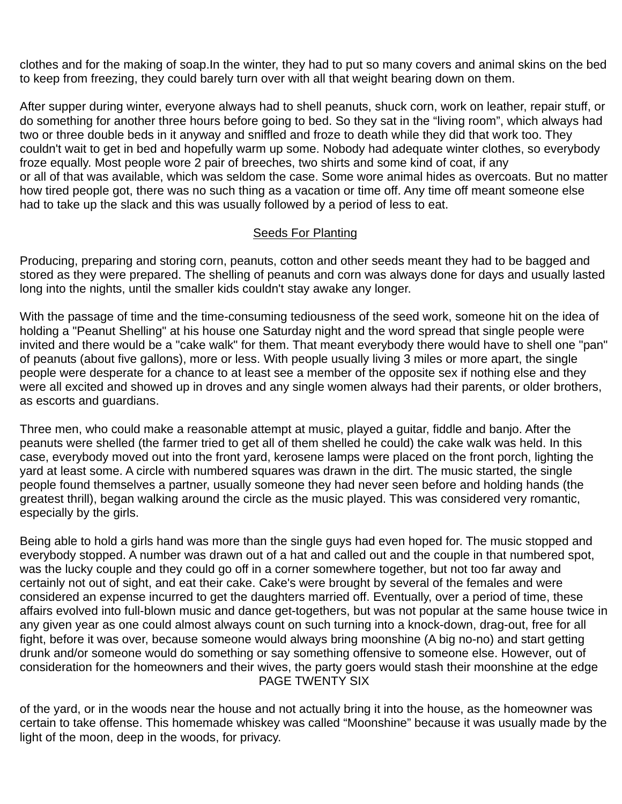clothes and for the making of soap.In the winter, they had to put so many covers and animal skins on the bed to keep from freezing, they could barely turn over with all that weight bearing down on them.

After supper during winter, everyone always had to shell peanuts, shuck corn, work on leather, repair stuff, or do something for another three hours before going to bed. So they sat in the "living room", which always had two or three double beds in it anyway and sniffled and froze to death while they did that work too. They couldn't wait to get in bed and hopefully warm up some. Nobody had adequate winter clothes, so everybody froze equally. Most people wore 2 pair of breeches, two shirts and some kind of coat, if any or all of that was available, which was seldom the case. Some wore animal hides as overcoats. But no matter how tired people got, there was no such thing as a vacation or time off. Any time off meant someone else had to take up the slack and this was usually followed by a period of less to eat.

#### Seeds For Planting

Producing, preparing and storing corn, peanuts, cotton and other seeds meant they had to be bagged and stored as they were prepared. The shelling of peanuts and corn was always done for days and usually lasted long into the nights, until the smaller kids couldn't stay awake any longer.

With the passage of time and the time-consuming tediousness of the seed work, someone hit on the idea of holding a "Peanut Shelling" at his house one Saturday night and the word spread that single people were invited and there would be a "cake walk" for them. That meant everybody there would have to shell one "pan" of peanuts (about five gallons), more or less. With people usually living 3 miles or more apart, the single people were desperate for a chance to at least see a member of the opposite sex if nothing else and they were all excited and showed up in droves and any single women always had their parents, or older brothers, as escorts and guardians.

Three men, who could make a reasonable attempt at music, played a guitar, fiddle and banjo. After the peanuts were shelled (the farmer tried to get all of them shelled he could) the cake walk was held. In this case, everybody moved out into the front yard, kerosene lamps were placed on the front porch, lighting the yard at least some. A circle with numbered squares was drawn in the dirt. The music started, the single people found themselves a partner, usually someone they had never seen before and holding hands (the greatest thrill), began walking around the circle as the music played. This was considered very romantic, especially by the girls.

Being able to hold a girls hand was more than the single guys had even hoped for. The music stopped and everybody stopped. A number was drawn out of a hat and called out and the couple in that numbered spot, was the lucky couple and they could go off in a corner somewhere together, but not too far away and certainly not out of sight, and eat their cake. Cake's were brought by several of the females and were considered an expense incurred to get the daughters married off. Eventually, over a period of time, these affairs evolved into full-blown music and dance get-togethers, but was not popular at the same house twice in any given year as one could almost always count on such turning into a knock-down, drag-out, free for all fight, before it was over, because someone would always bring moonshine (A big no-no) and start getting drunk and/or someone would do something or say something offensive to someone else. However, out of consideration for the homeowners and their wives, the party goers would stash their moonshine at the edge PAGE TWENTY SIX

of the yard, or in the woods near the house and not actually bring it into the house, as the homeowner was certain to take offense. This homemade whiskey was called "Moonshine" because it was usually made by the light of the moon, deep in the woods, for privacy.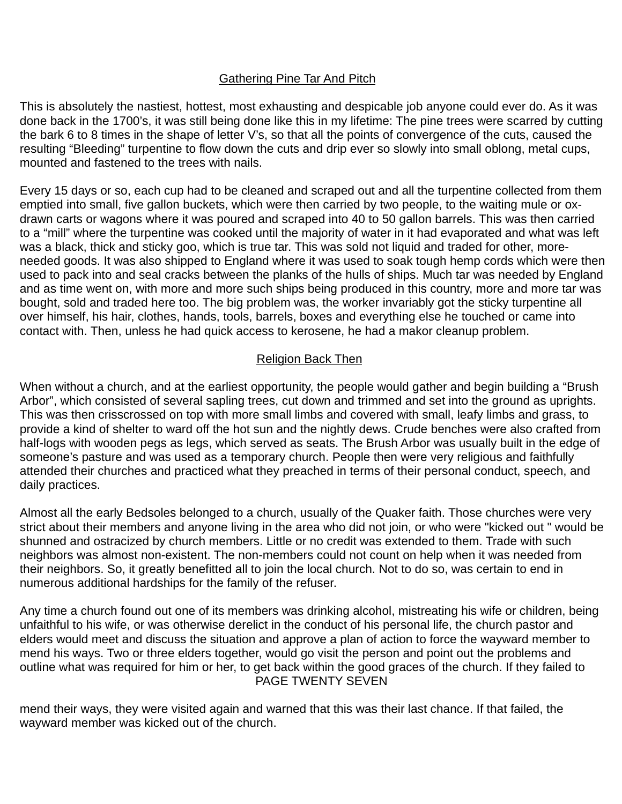#### Gathering Pine Tar And Pitch

This is absolutely the nastiest, hottest, most exhausting and despicable job anyone could ever do. As it was done back in the 1700's, it was still being done like this in my lifetime: The pine trees were scarred by cutting the bark 6 to 8 times in the shape of letter V's, so that all the points of convergence of the cuts, caused the resulting "Bleeding" turpentine to flow down the cuts and drip ever so slowly into small oblong, metal cups, mounted and fastened to the trees with nails.

Every 15 days or so, each cup had to be cleaned and scraped out and all the turpentine collected from them emptied into small, five gallon buckets, which were then carried by two people, to the waiting mule or oxdrawn carts or wagons where it was poured and scraped into 40 to 50 gallon barrels. This was then carried to a "mill" where the turpentine was cooked until the majority of water in it had evaporated and what was left was a black, thick and sticky goo, which is true tar. This was sold not liquid and traded for other, moreneeded goods. It was also shipped to England where it was used to soak tough hemp cords which were then used to pack into and seal cracks between the planks of the hulls of ships. Much tar was needed by England and as time went on, with more and more such ships being produced in this country, more and more tar was bought, sold and traded here too. The big problem was, the worker invariably got the sticky turpentine all over himself, his hair, clothes, hands, tools, barrels, boxes and everything else he touched or came into contact with. Then, unless he had quick access to kerosene, he had a makor cleanup problem.

#### Religion Back Then

When without a church, and at the earliest opportunity, the people would gather and begin building a "Brush Arbor", which consisted of several sapling trees, cut down and trimmed and set into the ground as uprights. This was then crisscrossed on top with more small limbs and covered with small, leafy limbs and grass, to provide a kind of shelter to ward off the hot sun and the nightly dews. Crude benches were also crafted from half-logs with wooden pegs as legs, which served as seats. The Brush Arbor was usually built in the edge of someone's pasture and was used as a temporary church. People then were very religious and faithfully attended their churches and practiced what they preached in terms of their personal conduct, speech, and daily practices.

Almost all the early Bedsoles belonged to a church, usually of the Quaker faith. Those churches were very strict about their members and anyone living in the area who did not join, or who were "kicked out " would be shunned and ostracized by church members. Little or no credit was extended to them. Trade with such neighbors was almost non-existent. The non-members could not count on help when it was needed from their neighbors. So, it greatly benefitted all to join the local church. Not to do so, was certain to end in numerous additional hardships for the family of the refuser.

Any time a church found out one of its members was drinking alcohol, mistreating his wife or children, being unfaithful to his wife, or was otherwise derelict in the conduct of his personal life, the church pastor and elders would meet and discuss the situation and approve a plan of action to force the wayward member to mend his ways. Two or three elders together, would go visit the person and point out the problems and outline what was required for him or her, to get back within the good graces of the church. If they failed to PAGE TWENTY SEVEN

mend their ways, they were visited again and warned that this was their last chance. If that failed, the wayward member was kicked out of the church.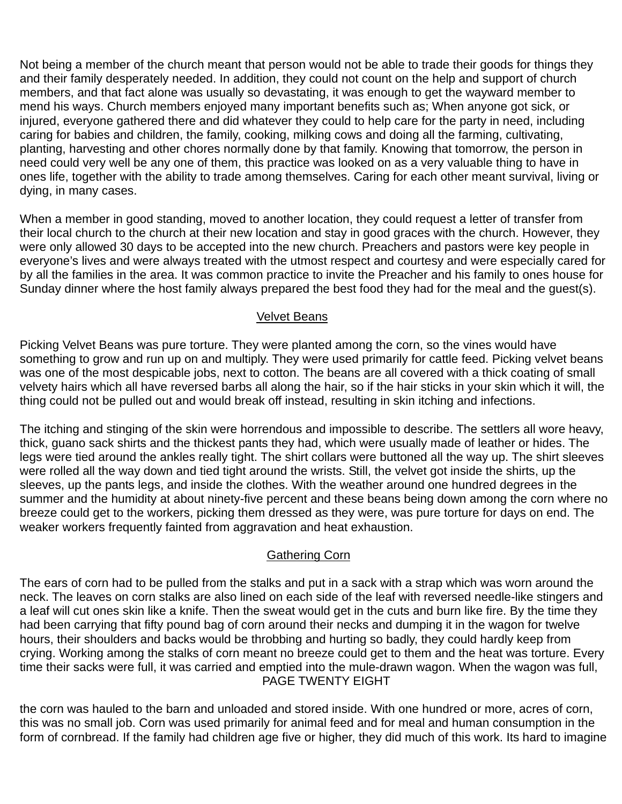Not being a member of the church meant that person would not be able to trade their goods for things they and their family desperately needed. In addition, they could not count on the help and support of church members, and that fact alone was usually so devastating, it was enough to get the wayward member to mend his ways. Church members enjoyed many important benefits such as; When anyone got sick, or injured, everyone gathered there and did whatever they could to help care for the party in need, including caring for babies and children, the family, cooking, milking cows and doing all the farming, cultivating, planting, harvesting and other chores normally done by that family. Knowing that tomorrow, the person in need could very well be any one of them, this practice was looked on as a very valuable thing to have in ones life, together with the ability to trade among themselves. Caring for each other meant survival, living or dying, in many cases.

When a member in good standing, moved to another location, they could request a letter of transfer from their local church to the church at their new location and stay in good graces with the church. However, they were only allowed 30 days to be accepted into the new church. Preachers and pastors were key people in everyone's lives and were always treated with the utmost respect and courtesy and were especially cared for by all the families in the area. It was common practice to invite the Preacher and his family to ones house for Sunday dinner where the host family always prepared the best food they had for the meal and the guest(s).

#### Velvet Beans

Picking Velvet Beans was pure torture. They were planted among the corn, so the vines would have something to grow and run up on and multiply. They were used primarily for cattle feed. Picking velvet beans was one of the most despicable jobs, next to cotton. The beans are all covered with a thick coating of small velvety hairs which all have reversed barbs all along the hair, so if the hair sticks in your skin which it will, the thing could not be pulled out and would break off instead, resulting in skin itching and infections.

The itching and stinging of the skin were horrendous and impossible to describe. The settlers all wore heavy, thick, guano sack shirts and the thickest pants they had, which were usually made of leather or hides. The legs were tied around the ankles really tight. The shirt collars were buttoned all the way up. The shirt sleeves were rolled all the way down and tied tight around the wrists. Still, the velvet got inside the shirts, up the sleeves, up the pants legs, and inside the clothes. With the weather around one hundred degrees in the summer and the humidity at about ninety-five percent and these beans being down among the corn where no breeze could get to the workers, picking them dressed as they were, was pure torture for days on end. The weaker workers frequently fainted from aggravation and heat exhaustion.

#### Gathering Corn

The ears of corn had to be pulled from the stalks and put in a sack with a strap which was worn around the neck. The leaves on corn stalks are also lined on each side of the leaf with reversed needle-like stingers and a leaf will cut ones skin like a knife. Then the sweat would get in the cuts and burn like fire. By the time they had been carrying that fifty pound bag of corn around their necks and dumping it in the wagon for twelve hours, their shoulders and backs would be throbbing and hurting so badly, they could hardly keep from crying. Working among the stalks of corn meant no breeze could get to them and the heat was torture. Every time their sacks were full, it was carried and emptied into the mule-drawn wagon. When the wagon was full, PAGE TWENTY EIGHT

the corn was hauled to the barn and unloaded and stored inside. With one hundred or more, acres of corn, this was no small job. Corn was used primarily for animal feed and for meal and human consumption in the form of cornbread. If the family had children age five or higher, they did much of this work. Its hard to imagine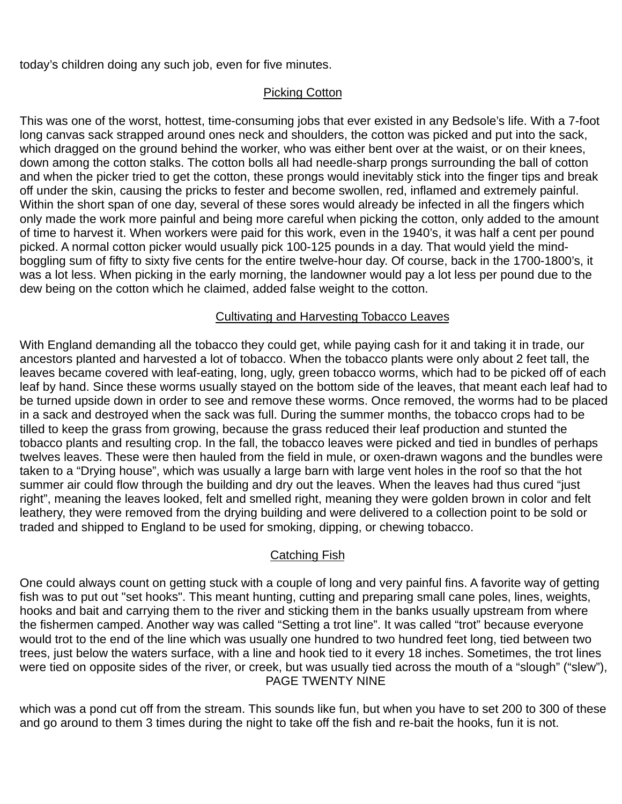today's children doing any such job, even for five minutes.

#### Picking Cotton

This was one of the worst, hottest, time-consuming jobs that ever existed in any Bedsole's life. With a 7-foot long canvas sack strapped around ones neck and shoulders, the cotton was picked and put into the sack, which dragged on the ground behind the worker, who was either bent over at the waist, or on their knees, down among the cotton stalks. The cotton bolls all had needle-sharp prongs surrounding the ball of cotton and when the picker tried to get the cotton, these prongs would inevitably stick into the finger tips and break off under the skin, causing the pricks to fester and become swollen, red, inflamed and extremely painful. Within the short span of one day, several of these sores would already be infected in all the fingers which only made the work more painful and being more careful when picking the cotton, only added to the amount of time to harvest it. When workers were paid for this work, even in the 1940's, it was half a cent per pound picked. A normal cotton picker would usually pick 100-125 pounds in a day. That would yield the mindboggling sum of fifty to sixty five cents for the entire twelve-hour day. Of course, back in the 1700-1800's, it was a lot less. When picking in the early morning, the landowner would pay a lot less per pound due to the dew being on the cotton which he claimed, added false weight to the cotton.

#### Cultivating and Harvesting Tobacco Leaves

With England demanding all the tobacco they could get, while paying cash for it and taking it in trade, our ancestors planted and harvested a lot of tobacco. When the tobacco plants were only about 2 feet tall, the leaves became covered with leaf-eating, long, ugly, green tobacco worms, which had to be picked off of each leaf by hand. Since these worms usually stayed on the bottom side of the leaves, that meant each leaf had to be turned upside down in order to see and remove these worms. Once removed, the worms had to be placed in a sack and destroyed when the sack was full. During the summer months, the tobacco crops had to be tilled to keep the grass from growing, because the grass reduced their leaf production and stunted the tobacco plants and resulting crop. In the fall, the tobacco leaves were picked and tied in bundles of perhaps twelves leaves. These were then hauled from the field in mule, or oxen-drawn wagons and the bundles were taken to a "Drying house", which was usually a large barn with large vent holes in the roof so that the hot summer air could flow through the building and dry out the leaves. When the leaves had thus cured "just right", meaning the leaves looked, felt and smelled right, meaning they were golden brown in color and felt leathery, they were removed from the drying building and were delivered to a collection point to be sold or traded and shipped to England to be used for smoking, dipping, or chewing tobacco.

#### Catching Fish

One could always count on getting stuck with a couple of long and very painful fins. A favorite way of getting fish was to put out "set hooks". This meant hunting, cutting and preparing small cane poles, lines, weights, hooks and bait and carrying them to the river and sticking them in the banks usually upstream from where the fishermen camped. Another way was called "Setting a trot line". It was called "trot" because everyone would trot to the end of the line which was usually one hundred to two hundred feet long, tied between two trees, just below the waters surface, with a line and hook tied to it every 18 inches. Sometimes, the trot lines were tied on opposite sides of the river, or creek, but was usually tied across the mouth of a "slough" ("slew"), PAGE TWENTY NINE

which was a pond cut off from the stream. This sounds like fun, but when you have to set 200 to 300 of these and go around to them 3 times during the night to take off the fish and re-bait the hooks, fun it is not.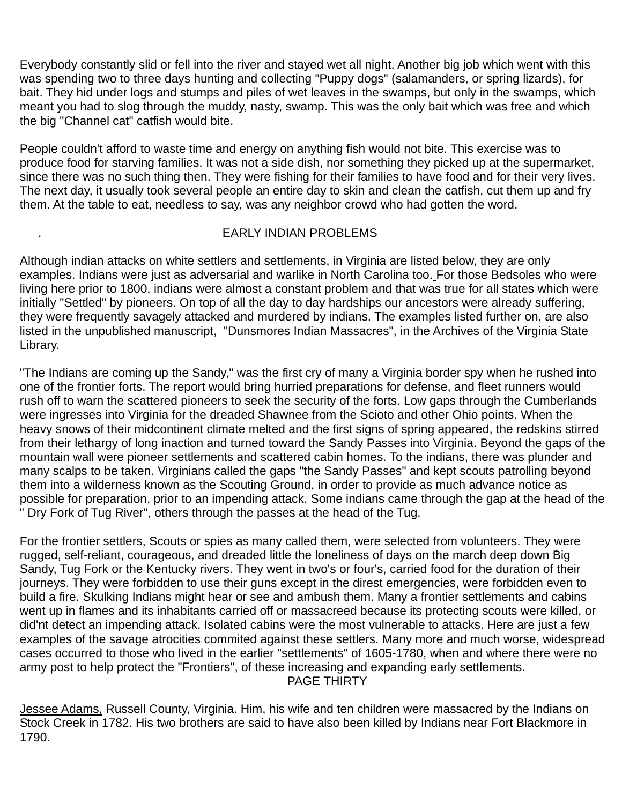Everybody constantly slid or fell into the river and stayed wet all night. Another big job which went with this was spending two to three days hunting and collecting "Puppy dogs" (salamanders, or spring lizards), for bait. They hid under logs and stumps and piles of wet leaves in the swamps, but only in the swamps, which meant you had to slog through the muddy, nasty, swamp. This was the only bait which was free and which the big "Channel cat" catfish would bite.

People couldn't afford to waste time and energy on anything fish would not bite. This exercise was to produce food for starving families. It was not a side dish, nor something they picked up at the supermarket, since there was no such thing then. They were fishing for their families to have food and for their very lives. The next day, it usually took several people an entire day to skin and clean the catfish, cut them up and fry them. At the table to eat, needless to say, was any neighbor crowd who had gotten the word.

#### . EARLY INDIAN PROBLEMS

Although indian attacks on white settlers and settlements, in Virginia are listed below, they are only examples. Indians were just as adversarial and warlike in North Carolina too. For those Bedsoles who were living here prior to 1800, indians were almost a constant problem and that was true for all states which were initially "Settled" by pioneers. On top of all the day to day hardships our ancestors were already suffering, they were frequently savagely attacked and murdered by indians. The examples listed further on, are also listed in the unpublished manuscript, "Dunsmores Indian Massacres", in the Archives of the Virginia State Library.

"The Indians are coming up the Sandy," was the first cry of many a Virginia border spy when he rushed into one of the frontier forts. The report would bring hurried preparations for defense, and fleet runners would rush off to warn the scattered pioneers to seek the security of the forts. Low gaps through the Cumberlands were ingresses into Virginia for the dreaded Shawnee from the Scioto and other Ohio points. When the heavy snows of their midcontinent climate melted and the first signs of spring appeared, the redskins stirred from their lethargy of long inaction and turned toward the Sandy Passes into Virginia. Beyond the gaps of the mountain wall were pioneer settlements and scattered cabin homes. To the indians, there was plunder and many scalps to be taken. Virginians called the gaps "the Sandy Passes" and kept scouts patrolling beyond them into a wilderness known as the Scouting Ground, in order to provide as much advance notice as possible for preparation, prior to an impending attack. Some indians came through the gap at the head of the Dry Fork of Tug River", others through the passes at the head of the Tug.

For the frontier settlers, Scouts or spies as many called them, were selected from volunteers. They were rugged, self-reliant, courageous, and dreaded little the loneliness of days on the march deep down Big Sandy, Tug Fork or the Kentucky rivers. They went in two's or four's, carried food for the duration of their journeys. They were forbidden to use their guns except in the direst emergencies, were forbidden even to build a fire. Skulking Indians might hear or see and ambush them. Many a frontier settlements and cabins went up in flames and its inhabitants carried off or massacreed because its protecting scouts were killed, or did'nt detect an impending attack. Isolated cabins were the most vulnerable to attacks. Here are just a few examples of the savage atrocities commited against these settlers. Many more and much worse, widespread cases occurred to those who lived in the earlier "settlements" of 1605-1780, when and where there were no army post to help protect the "Frontiers", of these increasing and expanding early settlements. PAGE THIRTY

Jessee Adams, Russell County, Virginia. Him, his wife and ten children were massacred by the Indians on Stock Creek in 1782. His two brothers are said to have also been killed by Indians near Fort Blackmore in 1790.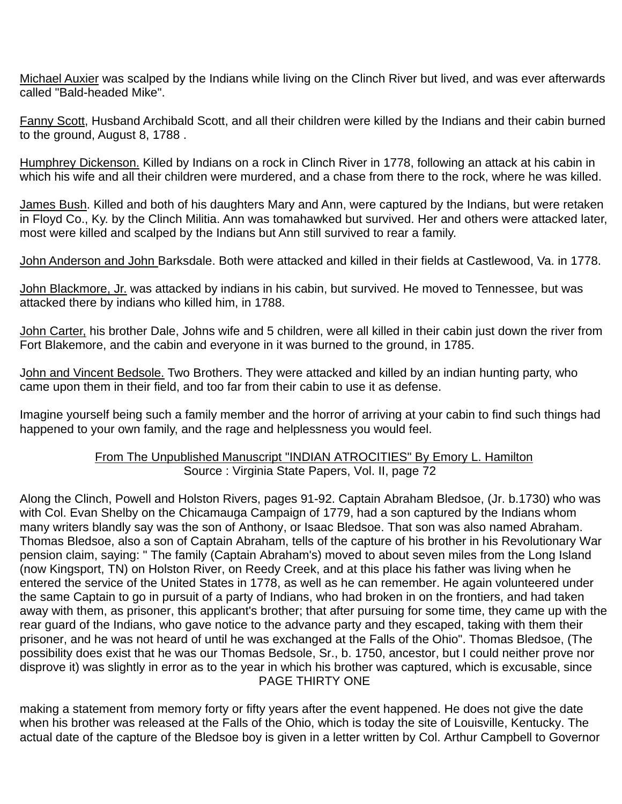Michael Auxier was scalped by the Indians while living on the Clinch River but lived, and was ever afterwards called "Bald-headed Mike".

Fanny Scott, Husband Archibald Scott, and all their children were killed by the Indians and their cabin burned to the ground, August 8, 1788 .

Humphrey Dickenson. Killed by Indians on a rock in Clinch River in 1778, following an attack at his cabin in which his wife and all their children were murdered, and a chase from there to the rock, where he was killed.

James Bush. Killed and both of his daughters Mary and Ann, were captured by the Indians, but were retaken in Floyd Co., Ky. by the Clinch Militia. Ann was tomahawked but survived. Her and others were attacked later, most were killed and scalped by the Indians but Ann still survived to rear a family.

John Anderson and John Barksdale. Both were attacked and killed in their fields at Castlewood, Va. in 1778.

John Blackmore, Jr. was attacked by indians in his cabin, but survived. He moved to Tennessee, but was attacked there by indians who killed him, in 1788.

John Carter, his brother Dale, Johns wife and 5 children, were all killed in their cabin just down the river from Fort Blakemore, and the cabin and everyone in it was burned to the ground, in 1785.

John and Vincent Bedsole. Two Brothers. They were attacked and killed by an indian hunting party, who came upon them in their field, and too far from their cabin to use it as defense.

Imagine yourself being such a family member and the horror of arriving at your cabin to find such things had happened to your own family, and the rage and helplessness you would feel.

#### From The Unpublished Manuscript "INDIAN ATROCITIES" By Emory L. Hamilton Source : Virginia State Papers, Vol. II, page 72

Along the Clinch, Powell and Holston Rivers, pages 91-92. Captain Abraham Bledsoe, (Jr. b.1730) who was with Col. Evan Shelby on the Chicamauga Campaign of 1779, had a son captured by the Indians whom many writers blandly say was the son of Anthony, or Isaac Bledsoe. That son was also named Abraham. Thomas Bledsoe, also a son of Captain Abraham, tells of the capture of his brother in his Revolutionary War pension claim, saying: " The family (Captain Abraham's) moved to about seven miles from the Long Island (now Kingsport, TN) on Holston River, on Reedy Creek, and at this place his father was living when he entered the service of the United States in 1778, as well as he can remember. He again volunteered under the same Captain to go in pursuit of a party of Indians, who had broken in on the frontiers, and had taken away with them, as prisoner, this applicant's brother; that after pursuing for some time, they came up with the rear guard of the Indians, who gave notice to the advance party and they escaped, taking with them their prisoner, and he was not heard of until he was exchanged at the Falls of the Ohio". Thomas Bledsoe, (The possibility does exist that he was our Thomas Bedsole, Sr., b. 1750, ancestor, but I could neither prove nor disprove it) was slightly in error as to the year in which his brother was captured, which is excusable, since PAGE THIRTY ONE

making a statement from memory forty or fifty years after the event happened. He does not give the date when his brother was released at the Falls of the Ohio, which is today the site of Louisville, Kentucky. The actual date of the capture of the Bledsoe boy is given in a letter written by Col. Arthur Campbell to Governor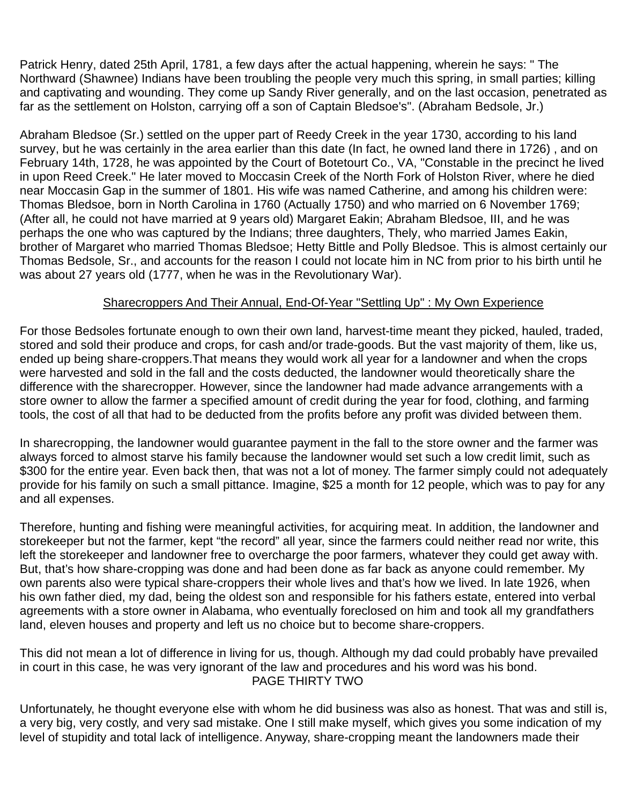Patrick Henry, dated 25th April, 1781, a few days after the actual happening, wherein he says: " The Northward (Shawnee) Indians have been troubling the people very much this spring, in small parties; killing and captivating and wounding. They come up Sandy River generally, and on the last occasion, penetrated as far as the settlement on Holston, carrying off a son of Captain Bledsoe's". (Abraham Bedsole, Jr.)

Abraham Bledsoe (Sr.) settled on the upper part of Reedy Creek in the year 1730, according to his land survey, but he was certainly in the area earlier than this date (In fact, he owned land there in 1726) , and on February 14th, 1728, he was appointed by the Court of Botetourt Co., VA, "Constable in the precinct he lived in upon Reed Creek." He later moved to Moccasin Creek of the North Fork of Holston River, where he died near Moccasin Gap in the summer of 1801. His wife was named Catherine, and among his children were: Thomas Bledsoe, born in North Carolina in 1760 (Actually 1750) and who married on 6 November 1769; (After all, he could not have married at 9 years old) Margaret Eakin; Abraham Bledsoe, III, and he was perhaps the one who was captured by the Indians; three daughters, Thely, who married James Eakin, brother of Margaret who married Thomas Bledsoe; Hetty Bittle and Polly Bledsoe. This is almost certainly our Thomas Bedsole, Sr., and accounts for the reason I could not locate him in NC from prior to his birth until he was about 27 years old (1777, when he was in the Revolutionary War).

#### Sharecroppers And Their Annual, End-Of-Year "Settling Up" : My Own Experience

For those Bedsoles fortunate enough to own their own land, harvest-time meant they picked, hauled, traded, stored and sold their produce and crops, for cash and/or trade-goods. But the vast majority of them, like us, ended up being share-croppers.That means they would work all year for a landowner and when the crops were harvested and sold in the fall and the costs deducted, the landowner would theoretically share the difference with the sharecropper. However, since the landowner had made advance arrangements with a store owner to allow the farmer a specified amount of credit during the year for food, clothing, and farming tools, the cost of all that had to be deducted from the profits before any profit was divided between them.

In sharecropping, the landowner would guarantee payment in the fall to the store owner and the farmer was always forced to almost starve his family because the landowner would set such a low credit limit, such as \$300 for the entire year. Even back then, that was not a lot of money. The farmer simply could not adequately provide for his family on such a small pittance. Imagine, \$25 a month for 12 people, which was to pay for any and all expenses.

Therefore, hunting and fishing were meaningful activities, for acquiring meat. In addition, the landowner and storekeeper but not the farmer, kept "the record" all year, since the farmers could neither read nor write, this left the storekeeper and landowner free to overcharge the poor farmers, whatever they could get away with. But, that's how share-cropping was done and had been done as far back as anyone could remember. My own parents also were typical share-croppers their whole lives and that's how we lived. In late 1926, when his own father died, my dad, being the oldest son and responsible for his fathers estate, entered into verbal agreements with a store owner in Alabama, who eventually foreclosed on him and took all my grandfathers land, eleven houses and property and left us no choice but to become share-croppers.

This did not mean a lot of difference in living for us, though. Although my dad could probably have prevailed in court in this case, he was very ignorant of the law and procedures and his word was his bond. PAGE THIRTY TWO

Unfortunately, he thought everyone else with whom he did business was also as honest. That was and still is, a very big, very costly, and very sad mistake. One I still make myself, which gives you some indication of my level of stupidity and total lack of intelligence. Anyway, share-cropping meant the landowners made their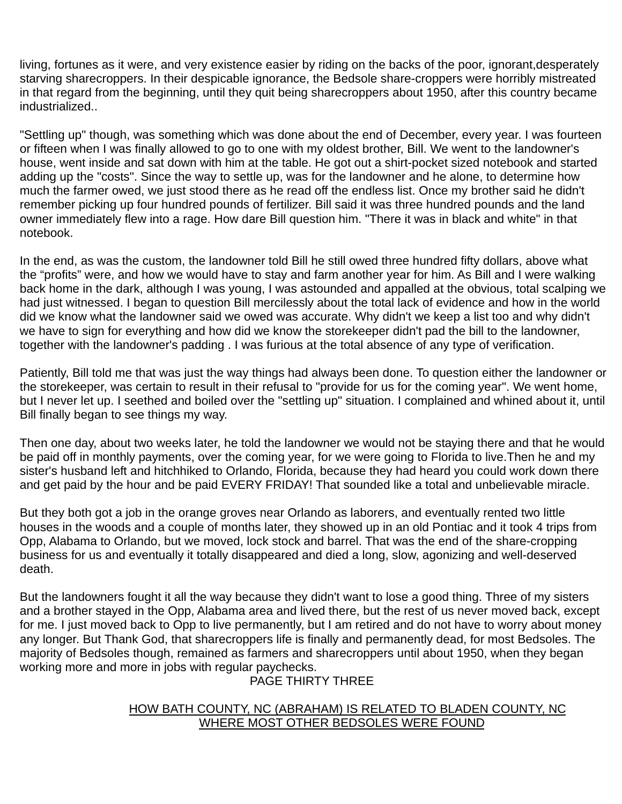living, fortunes as it were, and very existence easier by riding on the backs of the poor, ignorant,desperately starving sharecroppers. In their despicable ignorance, the Bedsole share-croppers were horribly mistreated in that regard from the beginning, until they quit being sharecroppers about 1950, after this country became industrialized..

"Settling up" though, was something which was done about the end of December, every year. I was fourteen or fifteen when I was finally allowed to go to one with my oldest brother, Bill. We went to the landowner's house, went inside and sat down with him at the table. He got out a shirt-pocket sized notebook and started adding up the "costs". Since the way to settle up, was for the landowner and he alone, to determine how much the farmer owed, we just stood there as he read off the endless list. Once my brother said he didn't remember picking up four hundred pounds of fertilizer. Bill said it was three hundred pounds and the land owner immediately flew into a rage. How dare Bill question him. "There it was in black and white" in that notebook.

In the end, as was the custom, the landowner told Bill he still owed three hundred fifty dollars, above what the "profits" were, and how we would have to stay and farm another year for him. As Bill and I were walking back home in the dark, although I was young, I was astounded and appalled at the obvious, total scalping we had just witnessed. I began to question Bill mercilessly about the total lack of evidence and how in the world did we know what the landowner said we owed was accurate. Why didn't we keep a list too and why didn't we have to sign for everything and how did we know the storekeeper didn't pad the bill to the landowner, together with the landowner's padding . I was furious at the total absence of any type of verification.

Patiently, Bill told me that was just the way things had always been done. To question either the landowner or the storekeeper, was certain to result in their refusal to "provide for us for the coming year". We went home, but I never let up. I seethed and boiled over the "settling up" situation. I complained and whined about it, until Bill finally began to see things my way.

Then one day, about two weeks later, he told the landowner we would not be staying there and that he would be paid off in monthly payments, over the coming year, for we were going to Florida to live.Then he and my sister's husband left and hitchhiked to Orlando, Florida, because they had heard you could work down there and get paid by the hour and be paid EVERY FRIDAY! That sounded like a total and unbelievable miracle.

But they both got a job in the orange groves near Orlando as laborers, and eventually rented two little houses in the woods and a couple of months later, they showed up in an old Pontiac and it took 4 trips from Opp, Alabama to Orlando, but we moved, lock stock and barrel. That was the end of the share-cropping business for us and eventually it totally disappeared and died a long, slow, agonizing and well-deserved death.

But the landowners fought it all the way because they didn't want to lose a good thing. Three of my sisters and a brother stayed in the Opp, Alabama area and lived there, but the rest of us never moved back, except for me. I just moved back to Opp to live permanently, but I am retired and do not have to worry about money any longer. But Thank God, that sharecroppers life is finally and permanently dead, for most Bedsoles. The majority of Bedsoles though, remained as farmers and sharecroppers until about 1950, when they began working more and more in jobs with regular paychecks.

PAGE THIRTY THREE

#### HOW BATH COUNTY, NC (ABRAHAM) IS RELATED TO BLADEN COUNTY, NC WHERE MOST OTHER BEDSOLES WERE FOUND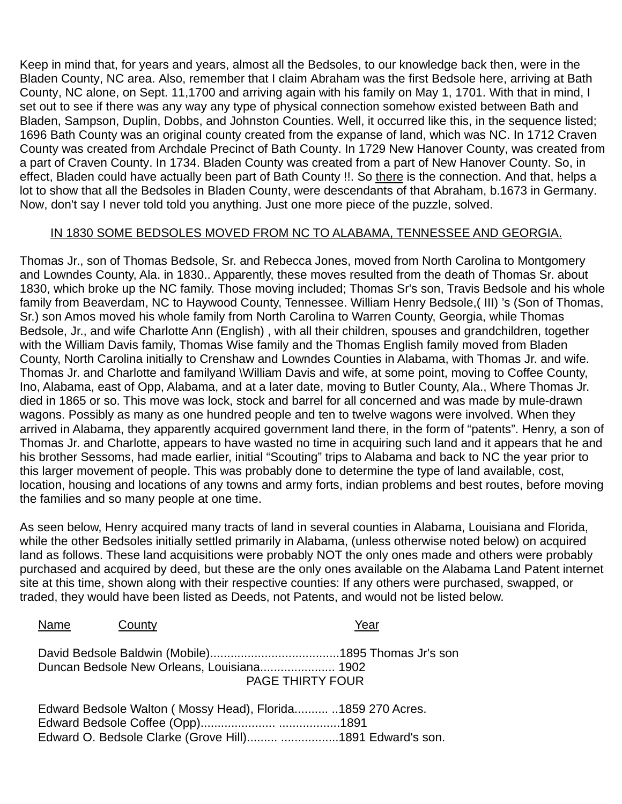Keep in mind that, for years and years, almost all the Bedsoles, to our knowledge back then, were in the Bladen County, NC area. Also, remember that I claim Abraham was the first Bedsole here, arriving at Bath County, NC alone, on Sept. 11,1700 and arriving again with his family on May 1, 1701. With that in mind, I set out to see if there was any way any type of physical connection somehow existed between Bath and Bladen, Sampson, Duplin, Dobbs, and Johnston Counties. Well, it occurred like this, in the sequence listed; 1696 Bath County was an original county created from the expanse of land, which was NC. In 1712 Craven County was created from Archdale Precinct of Bath County. In 1729 New Hanover County, was created from a part of Craven County. In 1734. Bladen County was created from a part of New Hanover County. So, in effect, Bladen could have actually been part of Bath County !!. So there is the connection. And that, helps a lot to show that all the Bedsoles in Bladen County, were descendants of that Abraham, b.1673 in Germany. Now, don't say I never told told you anything. Just one more piece of the puzzle, solved.

#### IN 1830 SOME BEDSOLES MOVED FROM NC TO ALABAMA, TENNESSEE AND GEORGIA.

Thomas Jr., son of Thomas Bedsole, Sr. and Rebecca Jones, moved from North Carolina to Montgomery and Lowndes County, Ala. in 1830.. Apparently, these moves resulted from the death of Thomas Sr. about 1830, which broke up the NC family. Those moving included; Thomas Sr's son, Travis Bedsole and his whole family from Beaverdam, NC to Haywood County, Tennessee. William Henry Bedsole,( III) 's (Son of Thomas, Sr.) son Amos moved his whole family from North Carolina to Warren County, Georgia, while Thomas Bedsole, Jr., and wife Charlotte Ann (English) , with all their children, spouses and grandchildren, together with the William Davis family, Thomas Wise family and the Thomas English family moved from Bladen County, North Carolina initially to Crenshaw and Lowndes Counties in Alabama, with Thomas Jr. and wife. Thomas Jr. and Charlotte and familyand \William Davis and wife, at some point, moving to Coffee County, Ino, Alabama, east of Opp, Alabama, and at a later date, moving to Butler County, Ala., Where Thomas Jr. died in 1865 or so. This move was lock, stock and barrel for all concerned and was made by mule-drawn wagons. Possibly as many as one hundred people and ten to twelve wagons were involved. When they arrived in Alabama, they apparently acquired government land there, in the form of "patents". Henry, a son of Thomas Jr. and Charlotte, appears to have wasted no time in acquiring such land and it appears that he and his brother Sessoms, had made earlier, initial "Scouting" trips to Alabama and back to NC the year prior to this larger movement of people. This was probably done to determine the type of land available, cost, location, housing and locations of any towns and army forts, indian problems and best routes, before moving the families and so many people at one time.

As seen below, Henry acquired many tracts of land in several counties in Alabama, Louisiana and Florida, while the other Bedsoles initially settled primarily in Alabama, (unless otherwise noted below) on acquired land as follows. These land acquisitions were probably NOT the only ones made and others were probably purchased and acquired by deed, but these are the only ones available on the Alabama Land Patent internet site at this time, shown along with their respective counties: If any others were purchased, swapped, or traded, they would have been listed as Deeds, not Patents, and would not be listed below.

| Name | County                                                       |                         | Year |
|------|--------------------------------------------------------------|-------------------------|------|
|      | Duncan Bedsole New Orleans, Louisiana 1902                   | <b>PAGE THIRTY FOUR</b> |      |
|      | Edward Bedsole Walton (Mossy Head), Florida .1859 270 Acres. |                         |      |

Edward O. Bedsole Clarke (Grove Hill)......... .................1891 Edward's son.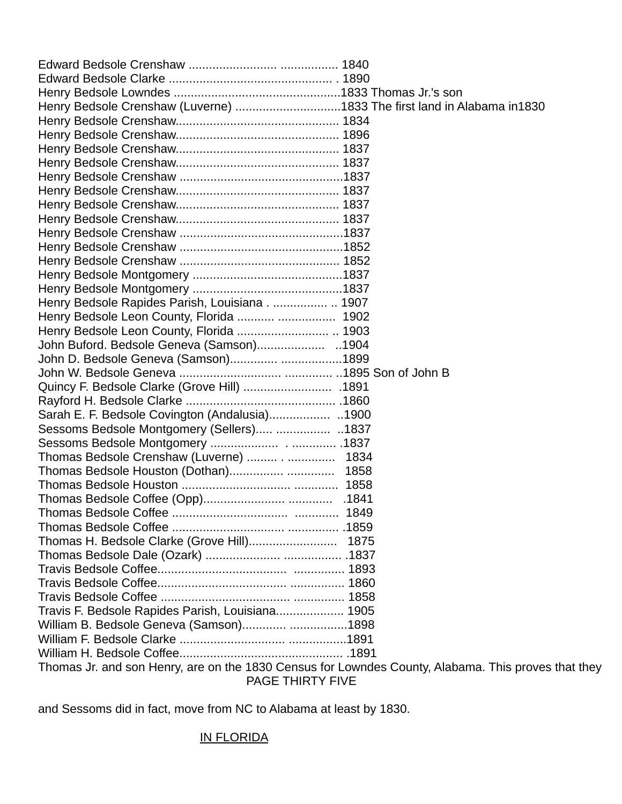| Henry Bedsole Crenshaw (Luverne) 1833 The first land in Alabama in1830                              |  |  |  |  |
|-----------------------------------------------------------------------------------------------------|--|--|--|--|
|                                                                                                     |  |  |  |  |
|                                                                                                     |  |  |  |  |
|                                                                                                     |  |  |  |  |
|                                                                                                     |  |  |  |  |
|                                                                                                     |  |  |  |  |
|                                                                                                     |  |  |  |  |
|                                                                                                     |  |  |  |  |
|                                                                                                     |  |  |  |  |
|                                                                                                     |  |  |  |  |
|                                                                                                     |  |  |  |  |
|                                                                                                     |  |  |  |  |
|                                                                                                     |  |  |  |  |
|                                                                                                     |  |  |  |  |
| Henry Bedsole Rapides Parish, Louisiana . 1907                                                      |  |  |  |  |
|                                                                                                     |  |  |  |  |
|                                                                                                     |  |  |  |  |
|                                                                                                     |  |  |  |  |
| John D. Bedsole Geneva (Samson) 1899                                                                |  |  |  |  |
|                                                                                                     |  |  |  |  |
|                                                                                                     |  |  |  |  |
|                                                                                                     |  |  |  |  |
|                                                                                                     |  |  |  |  |
| Sessoms Bedsole Montgomery (Sellers)  1837                                                          |  |  |  |  |
|                                                                                                     |  |  |  |  |
| Thomas Bedsole Crenshaw (Luverne)  1834                                                             |  |  |  |  |
| Thomas Bedsole Houston (Dothan)  1858                                                               |  |  |  |  |
|                                                                                                     |  |  |  |  |
|                                                                                                     |  |  |  |  |
|                                                                                                     |  |  |  |  |
|                                                                                                     |  |  |  |  |
|                                                                                                     |  |  |  |  |
|                                                                                                     |  |  |  |  |
|                                                                                                     |  |  |  |  |
|                                                                                                     |  |  |  |  |
|                                                                                                     |  |  |  |  |
| Travis F. Bedsole Rapides Parish, Louisiana 1905                                                    |  |  |  |  |
| William B. Bedsole Geneva (Samson) 1898                                                             |  |  |  |  |
|                                                                                                     |  |  |  |  |
|                                                                                                     |  |  |  |  |
| Thomas Jr. and son Henry, are on the 1830 Census for Lowndes County, Alabama. This proves that they |  |  |  |  |
| <b>PAGE THIRTY FIVE</b>                                                                             |  |  |  |  |

and Sessoms did in fact, move from NC to Alabama at least by 1830.

## IN FLORIDA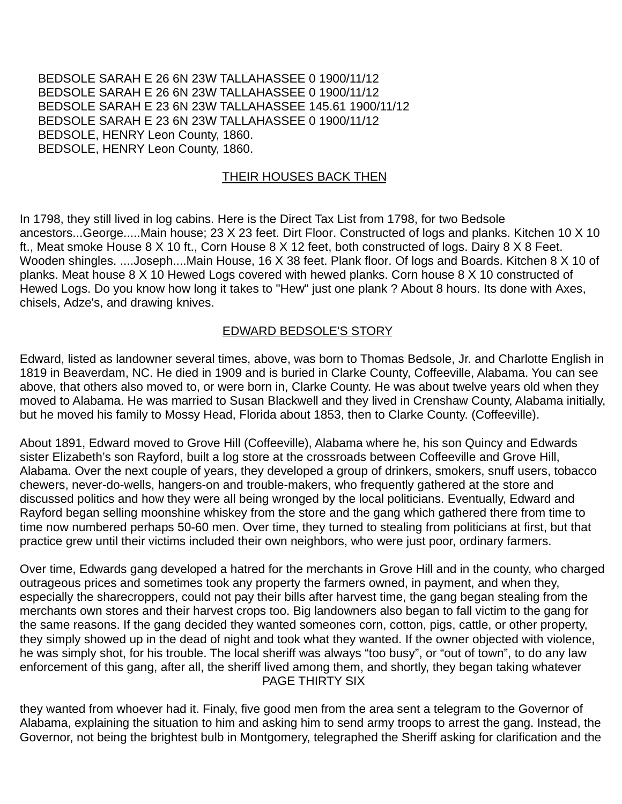BEDSOLE SARAH E 26 6N 23W TALLAHASSEE 0 1900/11/12 BEDSOLE SARAH E 26 6N 23W TALLAHASSEE 0 1900/11/12 BEDSOLE SARAH E 23 6N 23W TALLAHASSEE 145.61 1900/11/12 BEDSOLE SARAH E 23 6N 23W TALLAHASSEE 0 1900/11/12 BEDSOLE, HENRY Leon County, 1860. BEDSOLE, HENRY Leon County, 1860.

#### THEIR HOUSES BACK THEN

In 1798, they still lived in log cabins. Here is the Direct Tax List from 1798, for two Bedsole ancestors...George.....Main house; 23 X 23 feet. Dirt Floor. Constructed of logs and planks. Kitchen 10 X 10 ft., Meat smoke House 8 X 10 ft., Corn House 8 X 12 feet, both constructed of logs. Dairy 8 X 8 Feet. Wooden shingles. ....Joseph....Main House, 16 X 38 feet. Plank floor. Of logs and Boards. Kitchen 8 X 10 of planks. Meat house 8 X 10 Hewed Logs covered with hewed planks. Corn house 8 X 10 constructed of Hewed Logs. Do you know how long it takes to "Hew" just one plank ? About 8 hours. Its done with Axes, chisels, Adze's, and drawing knives.

#### EDWARD BEDSOLE'S STORY

Edward, listed as landowner several times, above, was born to Thomas Bedsole, Jr. and Charlotte English in 1819 in Beaverdam, NC. He died in 1909 and is buried in Clarke County, Coffeeville, Alabama. You can see above, that others also moved to, or were born in, Clarke County. He was about twelve years old when they moved to Alabama. He was married to Susan Blackwell and they lived in Crenshaw County, Alabama initially, but he moved his family to Mossy Head, Florida about 1853, then to Clarke County. (Coffeeville).

About 1891, Edward moved to Grove Hill (Coffeeville), Alabama where he, his son Quincy and Edwards sister Elizabeth's son Rayford, built a log store at the crossroads between Coffeeville and Grove Hill, Alabama. Over the next couple of years, they developed a group of drinkers, smokers, snuff users, tobacco chewers, never-do-wells, hangers-on and trouble-makers, who frequently gathered at the store and discussed politics and how they were all being wronged by the local politicians. Eventually, Edward and Rayford began selling moonshine whiskey from the store and the gang which gathered there from time to time now numbered perhaps 50-60 men. Over time, they turned to stealing from politicians at first, but that practice grew until their victims included their own neighbors, who were just poor, ordinary farmers.

Over time, Edwards gang developed a hatred for the merchants in Grove Hill and in the county, who charged outrageous prices and sometimes took any property the farmers owned, in payment, and when they, especially the sharecroppers, could not pay their bills after harvest time, the gang began stealing from the merchants own stores and their harvest crops too. Big landowners also began to fall victim to the gang for the same reasons. If the gang decided they wanted someones corn, cotton, pigs, cattle, or other property, they simply showed up in the dead of night and took what they wanted. If the owner objected with violence, he was simply shot, for his trouble. The local sheriff was always "too busy", or "out of town", to do any law enforcement of this gang, after all, the sheriff lived among them, and shortly, they began taking whatever PAGE THIRTY SIX

they wanted from whoever had it. Finaly, five good men from the area sent a telegram to the Governor of Alabama, explaining the situation to him and asking him to send army troops to arrest the gang. Instead, the Governor, not being the brightest bulb in Montgomery, telegraphed the Sheriff asking for clarification and the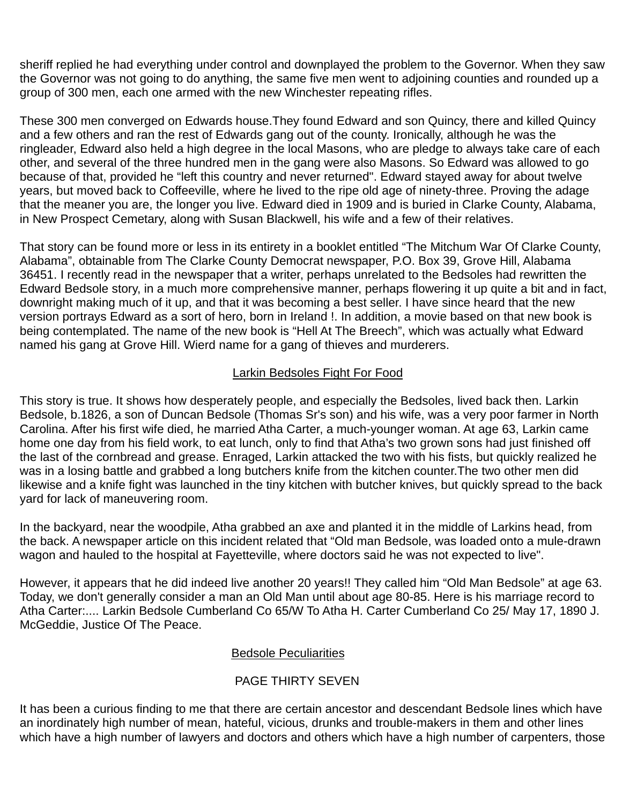sheriff replied he had everything under control and downplayed the problem to the Governor. When they saw the Governor was not going to do anything, the same five men went to adjoining counties and rounded up a group of 300 men, each one armed with the new Winchester repeating rifles.

These 300 men converged on Edwards house.They found Edward and son Quincy, there and killed Quincy and a few others and ran the rest of Edwards gang out of the county. Ironically, although he was the ringleader, Edward also held a high degree in the local Masons, who are pledge to always take care of each other, and several of the three hundred men in the gang were also Masons. So Edward was allowed to go because of that, provided he "left this country and never returned". Edward stayed away for about twelve years, but moved back to Coffeeville, where he lived to the ripe old age of ninety-three. Proving the adage that the meaner you are, the longer you live. Edward died in 1909 and is buried in Clarke County, Alabama, in New Prospect Cemetary, along with Susan Blackwell, his wife and a few of their relatives.

That story can be found more or less in its entirety in a booklet entitled "The Mitchum War Of Clarke County, Alabama", obtainable from The Clarke County Democrat newspaper, P.O. Box 39, Grove Hill, Alabama 36451. I recently read in the newspaper that a writer, perhaps unrelated to the Bedsoles had rewritten the Edward Bedsole story, in a much more comprehensive manner, perhaps flowering it up quite a bit and in fact, downright making much of it up, and that it was becoming a best seller. I have since heard that the new version portrays Edward as a sort of hero, born in Ireland !. In addition, a movie based on that new book is being contemplated. The name of the new book is "Hell At The Breech", which was actually what Edward named his gang at Grove Hill. Wierd name for a gang of thieves and murderers.

## Larkin Bedsoles Fight For Food

This story is true. It shows how desperately people, and especially the Bedsoles, lived back then. Larkin Bedsole, b.1826, a son of Duncan Bedsole (Thomas Sr's son) and his wife, was a very poor farmer in North Carolina. After his first wife died, he married Atha Carter, a much-younger woman. At age 63, Larkin came home one day from his field work, to eat lunch, only to find that Atha's two grown sons had just finished off the last of the cornbread and grease. Enraged, Larkin attacked the two with his fists, but quickly realized he was in a losing battle and grabbed a long butchers knife from the kitchen counter.The two other men did likewise and a knife fight was launched in the tiny kitchen with butcher knives, but quickly spread to the back yard for lack of maneuvering room.

In the backyard, near the woodpile, Atha grabbed an axe and planted it in the middle of Larkins head, from the back. A newspaper article on this incident related that "Old man Bedsole, was loaded onto a mule-drawn wagon and hauled to the hospital at Fayetteville, where doctors said he was not expected to live".

However, it appears that he did indeed live another 20 years!! They called him "Old Man Bedsole" at age 63. Today, we don't generally consider a man an Old Man until about age 80-85. Here is his marriage record to Atha Carter:.... Larkin Bedsole Cumberland Co 65/W To Atha H. Carter Cumberland Co 25/ May 17, 1890 J. McGeddie, Justice Of The Peace.

### Bedsole Peculiarities

## PAGE THIRTY SEVEN

It has been a curious finding to me that there are certain ancestor and descendant Bedsole lines which have an inordinately high number of mean, hateful, vicious, drunks and trouble-makers in them and other lines which have a high number of lawyers and doctors and others which have a high number of carpenters, those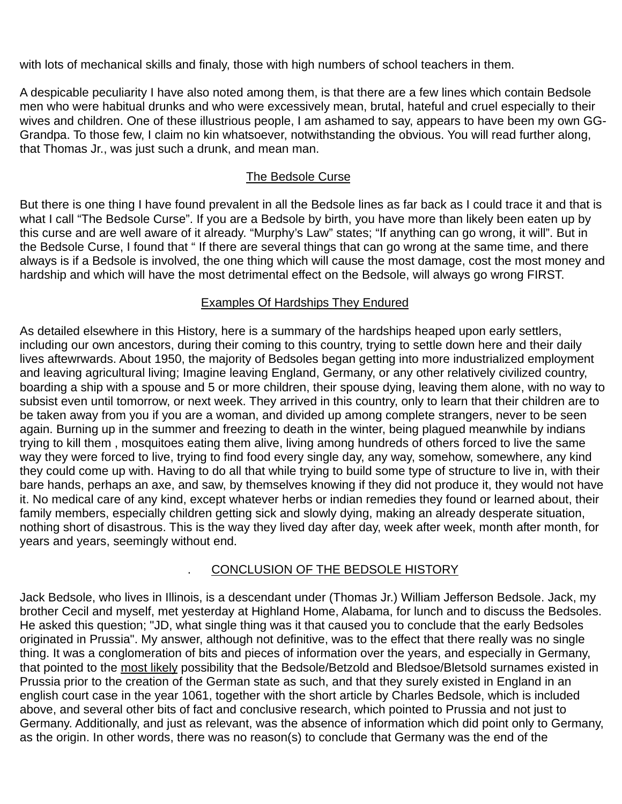with lots of mechanical skills and finaly, those with high numbers of school teachers in them.

A despicable peculiarity I have also noted among them, is that there are a few lines which contain Bedsole men who were habitual drunks and who were excessively mean, brutal, hateful and cruel especially to their wives and children. One of these illustrious people, I am ashamed to say, appears to have been my own GG-Grandpa. To those few, I claim no kin whatsoever, notwithstanding the obvious. You will read further along, that Thomas Jr., was just such a drunk, and mean man.

## The Bedsole Curse

But there is one thing I have found prevalent in all the Bedsole lines as far back as I could trace it and that is what I call "The Bedsole Curse". If you are a Bedsole by birth, you have more than likely been eaten up by this curse and are well aware of it already. "Murphy's Law" states; "If anything can go wrong, it will". But in the Bedsole Curse, I found that " If there are several things that can go wrong at the same time, and there always is if a Bedsole is involved, the one thing which will cause the most damage, cost the most money and hardship and which will have the most detrimental effect on the Bedsole, will always go wrong FIRST.

### Examples Of Hardships They Endured

As detailed elsewhere in this History, here is a summary of the hardships heaped upon early settlers, including our own ancestors, during their coming to this country, trying to settle down here and their daily lives aftewrwards. About 1950, the majority of Bedsoles began getting into more industrialized employment and leaving agricultural living; Imagine leaving England, Germany, or any other relatively civilized country, boarding a ship with a spouse and 5 or more children, their spouse dying, leaving them alone, with no way to subsist even until tomorrow, or next week. They arrived in this country, only to learn that their children are to be taken away from you if you are a woman, and divided up among complete strangers, never to be seen again. Burning up in the summer and freezing to death in the winter, being plagued meanwhile by indians trying to kill them , mosquitoes eating them alive, living among hundreds of others forced to live the same way they were forced to live, trying to find food every single day, any way, somehow, somewhere, any kind they could come up with. Having to do all that while trying to build some type of structure to live in, with their bare hands, perhaps an axe, and saw, by themselves knowing if they did not produce it, they would not have it. No medical care of any kind, except whatever herbs or indian remedies they found or learned about, their family members, especially children getting sick and slowly dying, making an already desperate situation, nothing short of disastrous. This is the way they lived day after day, week after week, month after month, for years and years, seemingly without end.

## . CONCLUSION OF THE BEDSOLE HISTORY

Jack Bedsole, who lives in Illinois, is a descendant under (Thomas Jr.) William Jefferson Bedsole. Jack, my brother Cecil and myself, met yesterday at Highland Home, Alabama, for lunch and to discuss the Bedsoles. He asked this question; "JD, what single thing was it that caused you to conclude that the early Bedsoles originated in Prussia". My answer, although not definitive, was to the effect that there really was no single thing. It was a conglomeration of bits and pieces of information over the years, and especially in Germany, that pointed to the most likely possibility that the Bedsole/Betzold and Bledsoe/Bletsold surnames existed in Prussia prior to the creation of the German state as such, and that they surely existed in England in an english court case in the year 1061, together with the short article by Charles Bedsole, which is included above, and several other bits of fact and conclusive research, which pointed to Prussia and not just to Germany. Additionally, and just as relevant, was the absence of information which did point only to Germany, as the origin. In other words, there was no reason(s) to conclude that Germany was the end of the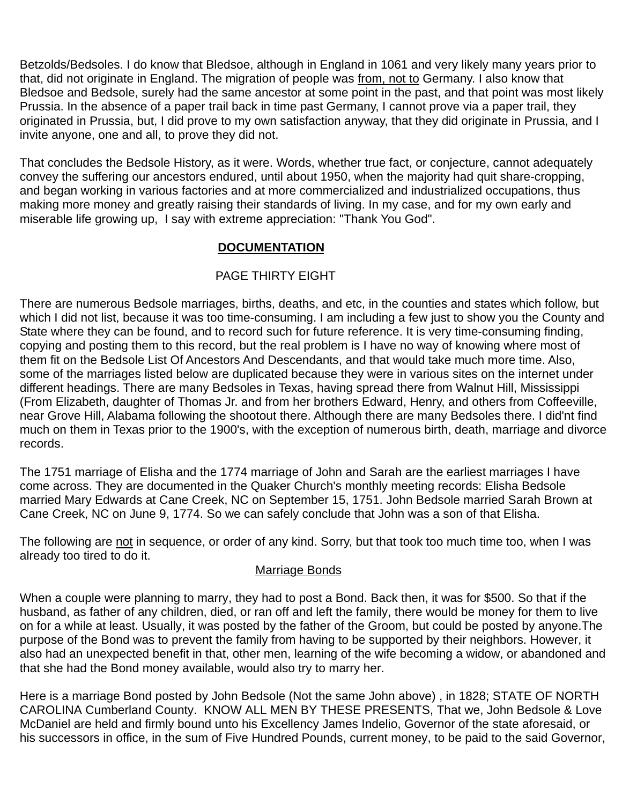Betzolds/Bedsoles. I do know that Bledsoe, although in England in 1061 and very likely many years prior to that, did not originate in England. The migration of people was from, not to Germany. I also know that Bledsoe and Bedsole, surely had the same ancestor at some point in the past, and that point was most likely Prussia. In the absence of a paper trail back in time past Germany, I cannot prove via a paper trail, they originated in Prussia, but, I did prove to my own satisfaction anyway, that they did originate in Prussia, and I invite anyone, one and all, to prove they did not.

That concludes the Bedsole History, as it were. Words, whether true fact, or conjecture, cannot adequately convey the suffering our ancestors endured, until about 1950, when the majority had quit share-cropping, and began working in various factories and at more commercialized and industrialized occupations, thus making more money and greatly raising their standards of living. In my case, and for my own early and miserable life growing up, I say with extreme appreciation: "Thank You God".

## **DOCUMENTATION**

## PAGE THIRTY EIGHT

There are numerous Bedsole marriages, births, deaths, and etc, in the counties and states which follow, but which I did not list, because it was too time-consuming. I am including a few just to show you the County and State where they can be found, and to record such for future reference. It is very time-consuming finding, copying and posting them to this record, but the real problem is I have no way of knowing where most of them fit on the Bedsole List Of Ancestors And Descendants, and that would take much more time. Also, some of the marriages listed below are duplicated because they were in various sites on the internet under different headings. There are many Bedsoles in Texas, having spread there from Walnut Hill, Mississippi (From Elizabeth, daughter of Thomas Jr. and from her brothers Edward, Henry, and others from Coffeeville, near Grove Hill, Alabama following the shootout there. Although there are many Bedsoles there. I did'nt find much on them in Texas prior to the 1900's, with the exception of numerous birth, death, marriage and divorce records.

The 1751 marriage of Elisha and the 1774 marriage of John and Sarah are the earliest marriages I have come across. They are documented in the Quaker Church's monthly meeting records: Elisha Bedsole married Mary Edwards at Cane Creek, NC on September 15, 1751. John Bedsole married Sarah Brown at Cane Creek, NC on June 9, 1774. So we can safely conclude that John was a son of that Elisha.

The following are not in sequence, or order of any kind. Sorry, but that took too much time too, when I was already too tired to do it.

#### Marriage Bonds

When a couple were planning to marry, they had to post a Bond. Back then, it was for \$500. So that if the husband, as father of any children, died, or ran off and left the family, there would be money for them to live on for a while at least. Usually, it was posted by the father of the Groom, but could be posted by anyone.The purpose of the Bond was to prevent the family from having to be supported by their neighbors. However, it also had an unexpected benefit in that, other men, learning of the wife becoming a widow, or abandoned and that she had the Bond money available, would also try to marry her.

Here is a marriage Bond posted by John Bedsole (Not the same John above) , in 1828; STATE OF NORTH CAROLINA Cumberland County. KNOW ALL MEN BY THESE PRESENTS, That we, John Bedsole & Love McDaniel are held and firmly bound unto his Excellency James Indelio, Governor of the state aforesaid, or his successors in office, in the sum of Five Hundred Pounds, current money, to be paid to the said Governor,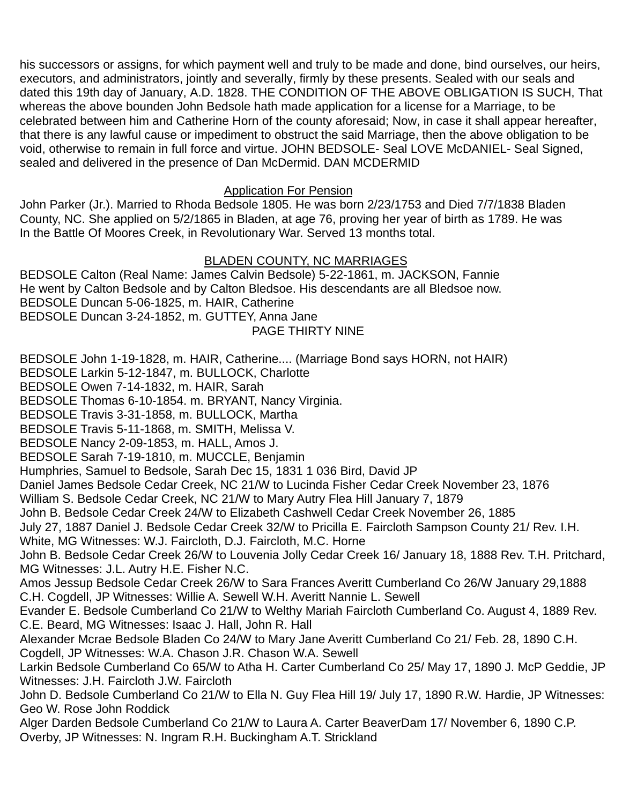his successors or assigns, for which payment well and truly to be made and done, bind ourselves, our heirs, executors, and administrators, jointly and severally, firmly by these presents. Sealed with our seals and dated this 19th day of January, A.D. 1828. THE CONDITION OF THE ABOVE OBLIGATION IS SUCH, That whereas the above bounden John Bedsole hath made application for a license for a Marriage, to be celebrated between him and Catherine Horn of the county aforesaid; Now, in case it shall appear hereafter, that there is any lawful cause or impediment to obstruct the said Marriage, then the above obligation to be void, otherwise to remain in full force and virtue. JOHN BEDSOLE- Seal LOVE McDANIEL- Seal Signed, sealed and delivered in the presence of Dan McDermid. DAN MCDERMID

## Application For Pension

John Parker (Jr.). Married to Rhoda Bedsole 1805. He was born 2/23/1753 and Died 7/7/1838 Bladen County, NC. She applied on 5/2/1865 in Bladen, at age 76, proving her year of birth as 1789. He was In the Battle Of Moores Creek, in Revolutionary War. Served 13 months total.

## BLADEN COUNTY, NC MARRIAGES

BEDSOLE Calton (Real Name: James Calvin Bedsole) 5-22-1861, m. JACKSON, Fannie He went by Calton Bedsole and by Calton Bledsoe. His descendants are all Bledsoe now. BEDSOLE Duncan 5-06-1825, m. HAIR, Catherine BEDSOLE Duncan 3-24-1852, m. GUTTEY, Anna Jane PAGE THIRTY NINE

BEDSOLE John 1-19-1828, m. HAIR, Catherine.... (Marriage Bond says HORN, not HAIR)

BEDSOLE Larkin 5-12-1847, m. BULLOCK, Charlotte

BEDSOLE Owen 7-14-1832, m. HAIR, Sarah

BEDSOLE Thomas 6-10-1854. m. BRYANT, Nancy Virginia.

BEDSOLE Travis 3-31-1858, m. BULLOCK, Martha

BEDSOLE Travis 5-11-1868, m. SMITH, Melissa V.

BEDSOLE Nancy 2-09-1853, m. HALL, Amos J.

BEDSOLE Sarah 7-19-1810, m. MUCCLE, Benjamin

Humphries, Samuel to Bedsole, Sarah Dec 15, 1831 1 036 Bird, David JP

Daniel James Bedsole Cedar Creek, NC 21/W to Lucinda Fisher Cedar Creek November 23, 1876

William S. Bedsole Cedar Creek, NC 21/W to Mary Autry Flea Hill January 7, 1879

John B. Bedsole Cedar Creek 24/W to Elizabeth Cashwell Cedar Creek November 26, 1885

July 27, 1887 Daniel J. Bedsole Cedar Creek 32/W to Pricilla E. Faircloth Sampson County 21/ Rev. I.H.

White, MG Witnesses: W.J. Faircloth, D.J. Faircloth, M.C. Horne

John B. Bedsole Cedar Creek 26/W to Louvenia Jolly Cedar Creek 16/ January 18, 1888 Rev. T.H. Pritchard, MG Witnesses: J.L. Autry H.E. Fisher N.C.

Amos Jessup Bedsole Cedar Creek 26/W to Sara Frances Averitt Cumberland Co 26/W January 29,1888 C.H. Cogdell, JP Witnesses: Willie A. Sewell W.H. Averitt Nannie L. Sewell

Evander E. Bedsole Cumberland Co 21/W to Welthy Mariah Faircloth Cumberland Co. August 4, 1889 Rev. C.E. Beard, MG Witnesses: Isaac J. Hall, John R. Hall

Alexander Mcrae Bedsole Bladen Co 24/W to Mary Jane Averitt Cumberland Co 21/ Feb. 28, 1890 C.H. Cogdell, JP Witnesses: W.A. Chason J.R. Chason W.A. Sewell

Larkin Bedsole Cumberland Co 65/W to Atha H. Carter Cumberland Co 25/ May 17, 1890 J. McP Geddie, JP Witnesses: J.H. Faircloth J.W. Faircloth

John D. Bedsole Cumberland Co 21/W to Ella N. Guy Flea Hill 19/ July 17, 1890 R.W. Hardie, JP Witnesses: Geo W. Rose John Roddick

Alger Darden Bedsole Cumberland Co 21/W to Laura A. Carter BeaverDam 17/ November 6, 1890 C.P. Overby, JP Witnesses: N. Ingram R.H. Buckingham A.T. Strickland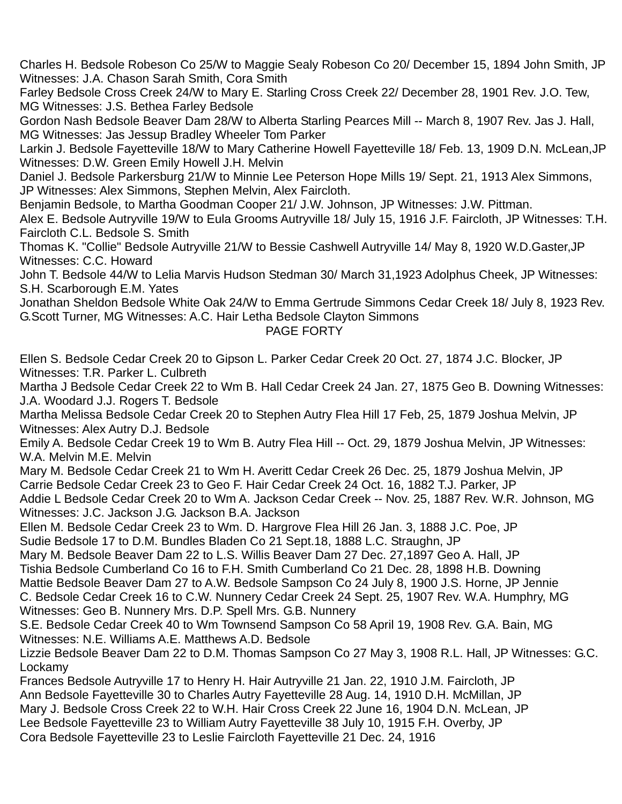Charles H. Bedsole Robeson Co 25/W to Maggie Sealy Robeson Co 20/ December 15, 1894 John Smith, JP Witnesses: J.A. Chason Sarah Smith, Cora Smith

Farley Bedsole Cross Creek 24/W to Mary E. Starling Cross Creek 22/ December 28, 1901 Rev. J.O. Tew, MG Witnesses: J.S. Bethea Farley Bedsole

Gordon Nash Bedsole Beaver Dam 28/W to Alberta Starling Pearces Mill -- March 8, 1907 Rev. Jas J. Hall, MG Witnesses: Jas Jessup Bradley Wheeler Tom Parker

Larkin J. Bedsole Fayetteville 18/W to Mary Catherine Howell Fayetteville 18/ Feb. 13, 1909 D.N. McLean,JP Witnesses: D.W. Green Emily Howell J.H. Melvin

Daniel J. Bedsole Parkersburg 21/W to Minnie Lee Peterson Hope Mills 19/ Sept. 21, 1913 Alex Simmons, JP Witnesses: Alex Simmons, Stephen Melvin, Alex Faircloth.

Benjamin Bedsole, to Martha Goodman Cooper 21/ J.W. Johnson, JP Witnesses: J.W. Pittman.

Alex E. Bedsole Autryville 19/W to Eula Grooms Autryville 18/ July 15, 1916 J.F. Faircloth, JP Witnesses: T.H. Faircloth C.L. Bedsole S. Smith

Thomas K. "Collie" Bedsole Autryville 21/W to Bessie Cashwell Autryville 14/ May 8, 1920 W.D.Gaster,JP Witnesses: C.C. Howard

John T. Bedsole 44/W to Lelia Marvis Hudson Stedman 30/ March 31,1923 Adolphus Cheek, JP Witnesses: S.H. Scarborough E.M. Yates

Jonathan Sheldon Bedsole White Oak 24/W to Emma Gertrude Simmons Cedar Creek 18/ July 8, 1923 Rev. G.Scott Turner, MG Witnesses: A.C. Hair Letha Bedsole Clayton Simmons

### PAGE FORTY

Ellen S. Bedsole Cedar Creek 20 to Gipson L. Parker Cedar Creek 20 Oct. 27, 1874 J.C. Blocker, JP Witnesses: T.R. Parker L. Culbreth

Martha J Bedsole Cedar Creek 22 to Wm B. Hall Cedar Creek 24 Jan. 27, 1875 Geo B. Downing Witnesses: J.A. Woodard J.J. Rogers T. Bedsole

Martha Melissa Bedsole Cedar Creek 20 to Stephen Autry Flea Hill 17 Feb, 25, 1879 Joshua Melvin, JP Witnesses: Alex Autry D.J. Bedsole

Emily A. Bedsole Cedar Creek 19 to Wm B. Autry Flea Hill -- Oct. 29, 1879 Joshua Melvin, JP Witnesses: W.A. Melvin M.E. Melvin

Mary M. Bedsole Cedar Creek 21 to Wm H. Averitt Cedar Creek 26 Dec. 25, 1879 Joshua Melvin, JP Carrie Bedsole Cedar Creek 23 to Geo F. Hair Cedar Creek 24 Oct. 16, 1882 T.J. Parker, JP

Addie L Bedsole Cedar Creek 20 to Wm A. Jackson Cedar Creek -- Nov. 25, 1887 Rev. W.R. Johnson, MG Witnesses: J.C. Jackson J.G. Jackson B.A. Jackson

Ellen M. Bedsole Cedar Creek 23 to Wm. D. Hargrove Flea Hill 26 Jan. 3, 1888 J.C. Poe, JP Sudie Bedsole 17 to D.M. Bundles Bladen Co 21 Sept.18, 1888 L.C. Straughn, JP

Mary M. Bedsole Beaver Dam 22 to L.S. Willis Beaver Dam 27 Dec. 27,1897 Geo A. Hall, JP Tishia Bedsole Cumberland Co 16 to F.H. Smith Cumberland Co 21 Dec. 28, 1898 H.B. Downing Mattie Bedsole Beaver Dam 27 to A.W. Bedsole Sampson Co 24 July 8, 1900 J.S. Horne, JP Jennie C. Bedsole Cedar Creek 16 to C.W. Nunnery Cedar Creek 24 Sept. 25, 1907 Rev. W.A. Humphry, MG Witnesses: Geo B. Nunnery Mrs. D.P. Spell Mrs. G.B. Nunnery

S.E. Bedsole Cedar Creek 40 to Wm Townsend Sampson Co 58 April 19, 1908 Rev. G.A. Bain, MG Witnesses: N.E. Williams A.E. Matthews A.D. Bedsole

Lizzie Bedsole Beaver Dam 22 to D.M. Thomas Sampson Co 27 May 3, 1908 R.L. Hall, JP Witnesses: G.C. Lockamy

Frances Bedsole Autryville 17 to Henry H. Hair Autryville 21 Jan. 22, 1910 J.M. Faircloth, JP Ann Bedsole Fayetteville 30 to Charles Autry Fayetteville 28 Aug. 14, 1910 D.H. McMillan, JP Mary J. Bedsole Cross Creek 22 to W.H. Hair Cross Creek 22 June 16, 1904 D.N. McLean, JP Lee Bedsole Fayetteville 23 to William Autry Fayetteville 38 July 10, 1915 F.H. Overby, JP Cora Bedsole Fayetteville 23 to Leslie Faircloth Fayetteville 21 Dec. 24, 1916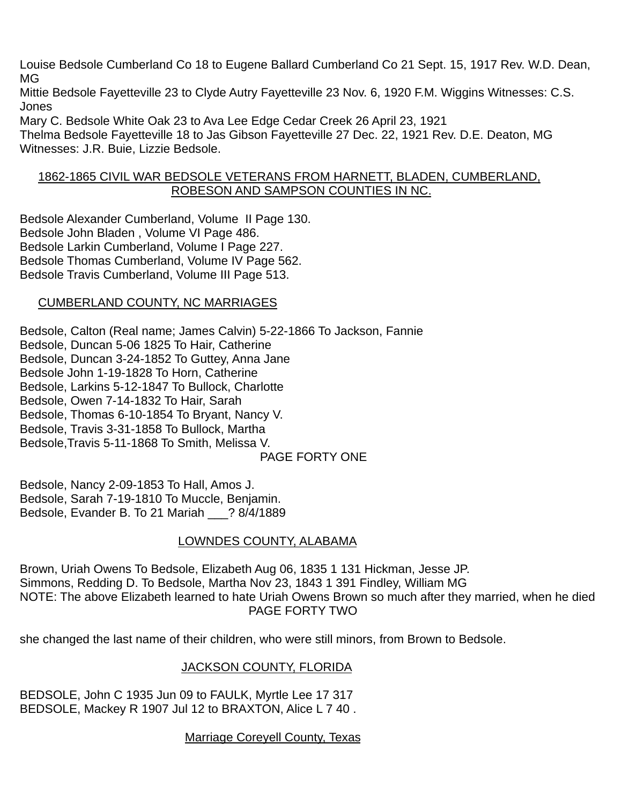Louise Bedsole Cumberland Co 18 to Eugene Ballard Cumberland Co 21 Sept. 15, 1917 Rev. W.D. Dean, MG

Mittie Bedsole Fayetteville 23 to Clyde Autry Fayetteville 23 Nov. 6, 1920 F.M. Wiggins Witnesses: C.S. Jones

Mary C. Bedsole White Oak 23 to Ava Lee Edge Cedar Creek 26 April 23, 1921 Thelma Bedsole Fayetteville 18 to Jas Gibson Fayetteville 27 Dec. 22, 1921 Rev. D.E. Deaton, MG Witnesses: J.R. Buie, Lizzie Bedsole.

### 1862-1865 CIVIL WAR BEDSOLE VETERANS FROM HARNETT, BLADEN, CUMBERLAND, ROBESON AND SAMPSON COUNTIES IN NC.

Bedsole Alexander Cumberland, Volume II Page 130. Bedsole John Bladen , Volume VI Page 486. Bedsole Larkin Cumberland, Volume I Page 227. Bedsole Thomas Cumberland, Volume IV Page 562. Bedsole Travis Cumberland, Volume III Page 513.

## CUMBERLAND COUNTY, NC MARRIAGES

Bedsole, Calton (Real name; James Calvin) 5-22-1866 To Jackson, Fannie Bedsole, Duncan 5-06 1825 To Hair, Catherine Bedsole, Duncan 3-24-1852 To Guttey, Anna Jane Bedsole John 1-19-1828 To Horn, Catherine Bedsole, Larkins 5-12-1847 To Bullock, Charlotte Bedsole, Owen 7-14-1832 To Hair, Sarah Bedsole, Thomas 6-10-1854 To Bryant, Nancy V. Bedsole, Travis 3-31-1858 To Bullock, Martha Bedsole,Travis 5-11-1868 To Smith, Melissa V. PAGE FORTY ONE

Bedsole, Nancy 2-09-1853 To Hall, Amos J. Bedsole, Sarah 7-19-1810 To Muccle, Benjamin. Bedsole, Evander B. To 21 Mariah \_\_\_? 8/4/1889

## LOWNDES COUNTY, ALABAMA

Brown, Uriah Owens To Bedsole, Elizabeth Aug 06, 1835 1 131 Hickman, Jesse JP. Simmons, Redding D. To Bedsole, Martha Nov 23, 1843 1 391 Findley, William MG NOTE: The above Elizabeth learned to hate Uriah Owens Brown so much after they married, when he died PAGE FORTY TWO

she changed the last name of their children, who were still minors, from Brown to Bedsole.

# JACKSON COUNTY, FLORIDA

BEDSOLE, John C 1935 Jun 09 to FAULK, Myrtle Lee 17 317 BEDSOLE, Mackey R 1907 Jul 12 to BRAXTON, Alice L 7 40 .

## Marriage Coreyell County, Texas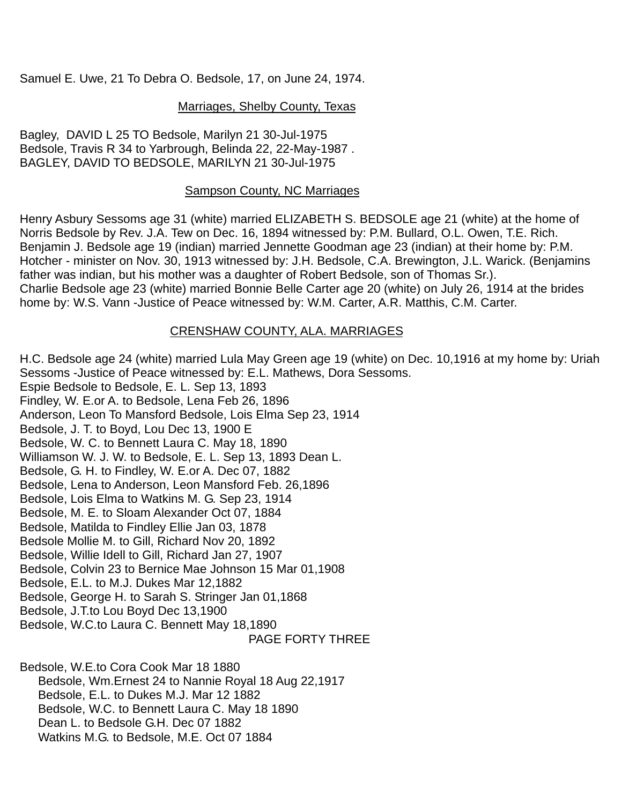Samuel E. Uwe, 21 To Debra O. Bedsole, 17, on June 24, 1974.

### Marriages, Shelby County, Texas

Bagley, DAVID L 25 TO Bedsole, Marilyn 21 30-Jul-1975 Bedsole, Travis R 34 to Yarbrough, Belinda 22, 22-May-1987 . BAGLEY, DAVID TO BEDSOLE, MARILYN 21 30-Jul-1975

### Sampson County, NC Marriages

Henry Asbury Sessoms age 31 (white) married ELIZABETH S. BEDSOLE age 21 (white) at the home of Norris Bedsole by Rev. J.A. Tew on Dec. 16, 1894 witnessed by: P.M. Bullard, O.L. Owen, T.E. Rich. Benjamin J. Bedsole age 19 (indian) married Jennette Goodman age 23 (indian) at their home by: P.M. Hotcher - minister on Nov. 30, 1913 witnessed by: J.H. Bedsole, C.A. Brewington, J.L. Warick. (Benjamins father was indian, but his mother was a daughter of Robert Bedsole, son of Thomas Sr.). Charlie Bedsole age 23 (white) married Bonnie Belle Carter age 20 (white) on July 26, 1914 at the brides home by: W.S. Vann -Justice of Peace witnessed by: W.M. Carter, A.R. Matthis, C.M. Carter.

## CRENSHAW COUNTY, ALA. MARRIAGES

H.C. Bedsole age 24 (white) married Lula May Green age 19 (white) on Dec. 10,1916 at my home by: Uriah Sessoms -Justice of Peace witnessed by: E.L. Mathews, Dora Sessoms. Espie Bedsole to Bedsole, E. L. Sep 13, 1893 Findley, W. E.or A. to Bedsole, Lena Feb 26, 1896 Anderson, Leon To Mansford Bedsole, Lois Elma Sep 23, 1914 Bedsole, J. T. to Boyd, Lou Dec 13, 1900 E Bedsole, W. C. to Bennett Laura C. May 18, 1890 Williamson W. J. W. to Bedsole, E. L. Sep 13, 1893 Dean L. Bedsole, G. H. to Findley, W. E.or A. Dec 07, 1882 Bedsole, Lena to Anderson, Leon Mansford Feb. 26,1896 Bedsole, Lois Elma to Watkins M. G. Sep 23, 1914 Bedsole, M. E. to Sloam Alexander Oct 07, 1884 Bedsole, Matilda to Findley Ellie Jan 03, 1878 Bedsole Mollie M. to Gill, Richard Nov 20, 1892 Bedsole, Willie Idell to Gill, Richard Jan 27, 1907 Bedsole, Colvin 23 to Bernice Mae Johnson 15 Mar 01,1908 Bedsole, E.L. to M.J. Dukes Mar 12,1882 Bedsole, George H. to Sarah S. Stringer Jan 01,1868 Bedsole, J.T.to Lou Boyd Dec 13,1900 Bedsole, W.C.to Laura C. Bennett May 18,1890 PAGE FORTY THREE

Bedsole, W.E.to Cora Cook Mar 18 1880 Bedsole, Wm.Ernest 24 to Nannie Royal 18 Aug 22,1917 Bedsole, E.L. to Dukes M.J. Mar 12 1882 Bedsole, W.C. to Bennett Laura C. May 18 1890 Dean L. to Bedsole G.H. Dec 07 1882 Watkins M.G. to Bedsole, M.E. Oct 07 1884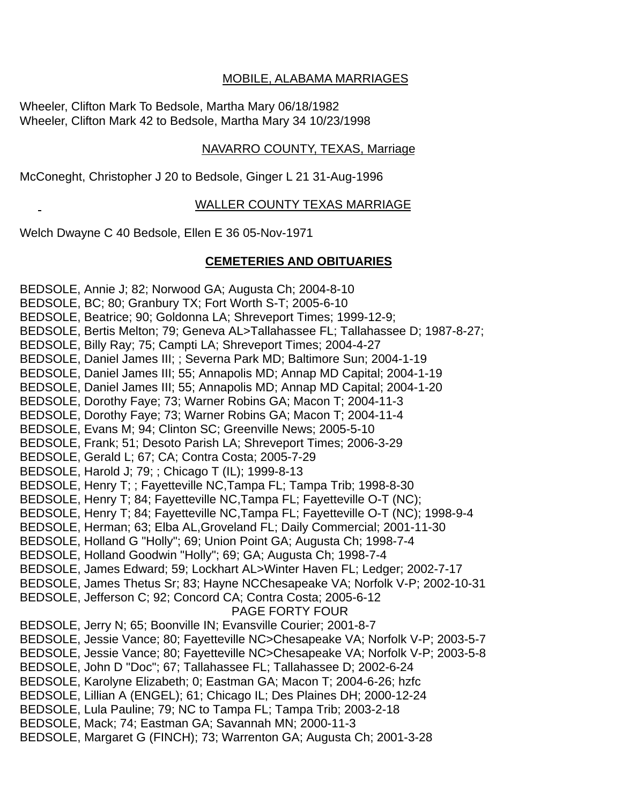### MOBILE, ALABAMA MARRIAGES

Wheeler, Clifton Mark To Bedsole, Martha Mary 06/18/1982 Wheeler, Clifton Mark 42 to Bedsole, Martha Mary 34 10/23/1998

#### NAVARRO COUNTY, TEXAS, Marriage

McConeght, Christopher J 20 to Bedsole, Ginger L 21 31-Aug-1996

#### WALLER COUNTY TEXAS MARRIAGE

Welch Dwayne C 40 Bedsole, Ellen E 36 05-Nov-1971

#### **CEMETERIES AND OBITUARIES**

BEDSOLE, Annie J; 82; Norwood GA; Augusta Ch; 2004-8-10 BEDSOLE, BC; 80; Granbury TX; Fort Worth S-T; 2005-6-10 BEDSOLE, Beatrice; 90; Goldonna LA; Shreveport Times; 1999-12-9; BEDSOLE, Bertis Melton; 79; Geneva AL>Tallahassee FL; Tallahassee D; 1987-8-27; BEDSOLE, Billy Ray; 75; Campti LA; Shreveport Times; 2004-4-27 BEDSOLE, Daniel James III; ; Severna Park MD; Baltimore Sun; 2004-1-19 BEDSOLE, Daniel James III; 55; Annapolis MD; Annap MD Capital; 2004-1-19 BEDSOLE, Daniel James III; 55; Annapolis MD; Annap MD Capital; 2004-1-20 BEDSOLE, Dorothy Faye; 73; Warner Robins GA; Macon T; 2004-11-3 BEDSOLE, Dorothy Faye; 73; Warner Robins GA; Macon T; 2004-11-4 BEDSOLE, Evans M; 94; Clinton SC; Greenville News; 2005-5-10 BEDSOLE, Frank; 51; Desoto Parish LA; Shreveport Times; 2006-3-29 BEDSOLE, Gerald L; 67; CA; Contra Costa; 2005-7-29 BEDSOLE, Harold J; 79; ; Chicago T (IL); 1999-8-13 BEDSOLE, Henry T; ; Fayetteville NC,Tampa FL; Tampa Trib; 1998-8-30 BEDSOLE, Henry T; 84; Fayetteville NC,Tampa FL; Fayetteville O-T (NC); BEDSOLE, Henry T; 84; Fayetteville NC,Tampa FL; Fayetteville O-T (NC); 1998-9-4 BEDSOLE, Herman; 63; Elba AL,Groveland FL; Daily Commercial; 2001-11-30 BEDSOLE, Holland G "Holly"; 69; Union Point GA; Augusta Ch; 1998-7-4 BEDSOLE, Holland Goodwin "Holly"; 69; GA; Augusta Ch; 1998-7-4 BEDSOLE, James Edward; 59; Lockhart AL>Winter Haven FL; Ledger; 2002-7-17 BEDSOLE, James Thetus Sr; 83; Hayne NCChesapeake VA; Norfolk V-P; 2002-10-31 BEDSOLE, Jefferson C; 92; Concord CA; Contra Costa; 2005-6-12 PAGE FORTY FOUR BEDSOLE, Jerry N; 65; Boonville IN; Evansville Courier; 2001-8-7 BEDSOLE, Jessie Vance; 80; Fayetteville NC>Chesapeake VA; Norfolk V-P; 2003-5-7 BEDSOLE, Jessie Vance; 80; Fayetteville NC>Chesapeake VA; Norfolk V-P; 2003-5-8 BEDSOLE, John D "Doc"; 67; Tallahassee FL; Tallahassee D; 2002-6-24 BEDSOLE, Karolyne Elizabeth; 0; Eastman GA; Macon T; 2004-6-26; hzfc BEDSOLE, Lillian A (ENGEL); 61; Chicago IL; Des Plaines DH; 2000-12-24 BEDSOLE, Lula Pauline; 79; NC to Tampa FL; Tampa Trib; 2003-2-18 BEDSOLE, Mack; 74; Eastman GA; Savannah MN; 2000-11-3 BEDSOLE, Margaret G (FINCH); 73; Warrenton GA; Augusta Ch; 2001-3-28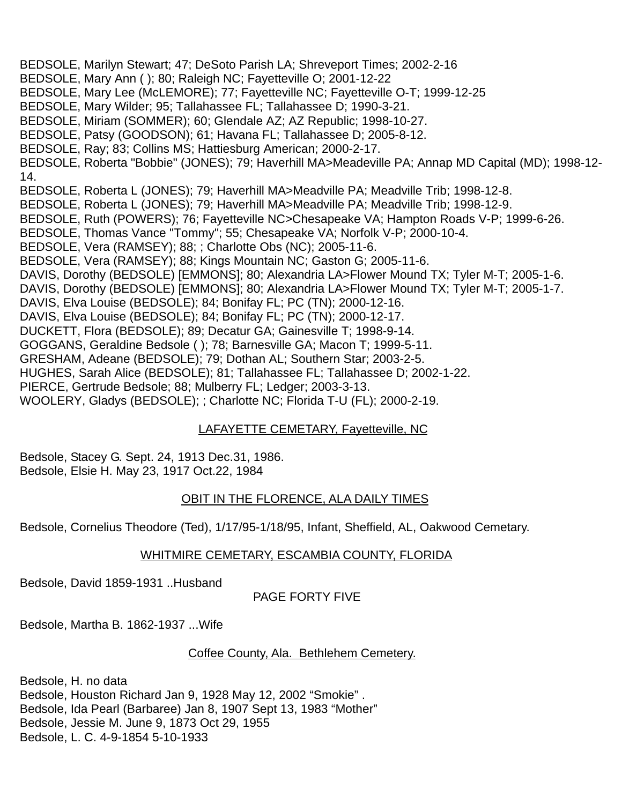BEDSOLE, Marilyn Stewart; 47; DeSoto Parish LA; Shreveport Times; 2002-2-16 BEDSOLE, Mary Ann ( ); 80; Raleigh NC; Fayetteville O; 2001-12-22 BEDSOLE, Mary Lee (McLEMORE); 77; Fayetteville NC; Fayetteville O-T; 1999-12-25 BEDSOLE, Mary Wilder; 95; Tallahassee FL; Tallahassee D; 1990-3-21. BEDSOLE, Miriam (SOMMER); 60; Glendale AZ; AZ Republic; 1998-10-27. BEDSOLE, Patsy (GOODSON); 61; Havana FL; Tallahassee D; 2005-8-12. BEDSOLE, Ray; 83; Collins MS; Hattiesburg American; 2000-2-17. BEDSOLE, Roberta "Bobbie" (JONES); 79; Haverhill MA>Meadeville PA; Annap MD Capital (MD); 1998-12- 14. BEDSOLE, Roberta L (JONES); 79; Haverhill MA>Meadville PA; Meadville Trib; 1998-12-8. BEDSOLE, Roberta L (JONES); 79; Haverhill MA>Meadville PA; Meadville Trib; 1998-12-9. BEDSOLE, Ruth (POWERS); 76; Fayetteville NC>Chesapeake VA; Hampton Roads V-P; 1999-6-26. BEDSOLE, Thomas Vance "Tommy"; 55; Chesapeake VA; Norfolk V-P; 2000-10-4. BEDSOLE, Vera (RAMSEY); 88; ; Charlotte Obs (NC); 2005-11-6. BEDSOLE, Vera (RAMSEY); 88; Kings Mountain NC; Gaston G; 2005-11-6. DAVIS, Dorothy (BEDSOLE) [EMMONS]; 80; Alexandria LA>Flower Mound TX; Tyler M-T; 2005-1-6. DAVIS, Dorothy (BEDSOLE) [EMMONS]; 80; Alexandria LA>Flower Mound TX; Tyler M-T; 2005-1-7. DAVIS, Elva Louise (BEDSOLE); 84; Bonifay FL; PC (TN); 2000-12-16. DAVIS, Elva Louise (BEDSOLE); 84; Bonifay FL; PC (TN); 2000-12-17. DUCKETT, Flora (BEDSOLE); 89; Decatur GA; Gainesville T; 1998-9-14. GOGGANS, Geraldine Bedsole ( ); 78; Barnesville GA; Macon T; 1999-5-11. GRESHAM, Adeane (BEDSOLE); 79; Dothan AL; Southern Star; 2003-2-5. HUGHES, Sarah Alice (BEDSOLE); 81; Tallahassee FL; Tallahassee D; 2002-1-22. PIERCE, Gertrude Bedsole; 88; Mulberry FL; Ledger; 2003-3-13. WOOLERY, Gladys (BEDSOLE); ; Charlotte NC; Florida T-U (FL); 2000-2-19.

# LAFAYETTE CEMETARY, Fayetteville, NC

Bedsole, Stacey G. Sept. 24, 1913 Dec.31, 1986. Bedsole, Elsie H. May 23, 1917 Oct.22, 1984

## OBIT IN THE FLORENCE, ALA DAILY TIMES

Bedsole, Cornelius Theodore (Ted), 1/17/95-1/18/95, Infant, Sheffield, AL, Oakwood Cemetary.

## WHITMIRE CEMETARY, ESCAMBIA COUNTY, FLORIDA

Bedsole, David 1859-1931 ..Husband

## PAGE FORTY FIVE

Bedsole, Martha B. 1862-1937 ...Wife

## Coffee County, Ala. Bethlehem Cemetery.

Bedsole, H. no data Bedsole, Houston Richard Jan 9, 1928 May 12, 2002 "Smokie" . Bedsole, Ida Pearl (Barbaree) Jan 8, 1907 Sept 13, 1983 "Mother" Bedsole, Jessie M. June 9, 1873 Oct 29, 1955 Bedsole, L. C. 4-9-1854 5-10-1933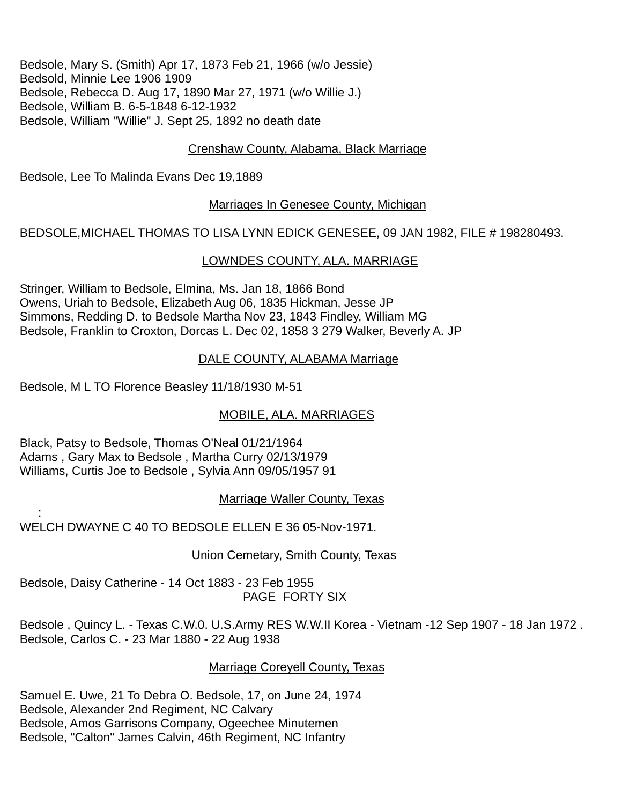Bedsole, Mary S. (Smith) Apr 17, 1873 Feb 21, 1966 (w/o Jessie) Bedsold, Minnie Lee 1906 1909 Bedsole, Rebecca D. Aug 17, 1890 Mar 27, 1971 (w/o Willie J.) Bedsole, William B. 6-5-1848 6-12-1932 Bedsole, William "Willie" J. Sept 25, 1892 no death date

## Crenshaw County, Alabama, Black Marriage

Bedsole, Lee To Malinda Evans Dec 19,1889

#### Marriages In Genesee County, Michigan

BEDSOLE,MICHAEL THOMAS TO LISA LYNN EDICK GENESEE, 09 JAN 1982, FILE # 198280493.

#### LOWNDES COUNTY, ALA. MARRIAGE

Stringer, William to Bedsole, Elmina, Ms. Jan 18, 1866 Bond Owens, Uriah to Bedsole, Elizabeth Aug 06, 1835 Hickman, Jesse JP Simmons, Redding D. to Bedsole Martha Nov 23, 1843 Findley, William MG Bedsole, Franklin to Croxton, Dorcas L. Dec 02, 1858 3 279 Walker, Beverly A. JP

### DALE COUNTY, ALABAMA Marriage

Bedsole, M L TO Florence Beasley 11/18/1930 M-51

:

### MOBILE, ALA. MARRIAGES

Black, Patsy to Bedsole, Thomas O'Neal 01/21/1964 Adams , Gary Max to Bedsole , Martha Curry 02/13/1979 Williams, Curtis Joe to Bedsole , Sylvia Ann 09/05/1957 91

### Marriage Waller County, Texas

WELCH DWAYNE C 40 TO BEDSOLE ELLEN E 36 05-Nov-1971.

### Union Cemetary, Smith County, Texas

Bedsole, Daisy Catherine - 14 Oct 1883 - 23 Feb 1955 PAGE FORTY SIX

Bedsole , Quincy L. - Texas C.W.0. U.S.Army RES W.W.II Korea - Vietnam -12 Sep 1907 - 18 Jan 1972 . Bedsole, Carlos C. - 23 Mar 1880 - 22 Aug 1938

### Marriage Coreyell County, Texas

Samuel E. Uwe, 21 To Debra O. Bedsole, 17, on June 24, 1974 Bedsole, Alexander 2nd Regiment, NC Calvary Bedsole, Amos Garrisons Company, Ogeechee Minutemen Bedsole, "Calton" James Calvin, 46th Regiment, NC Infantry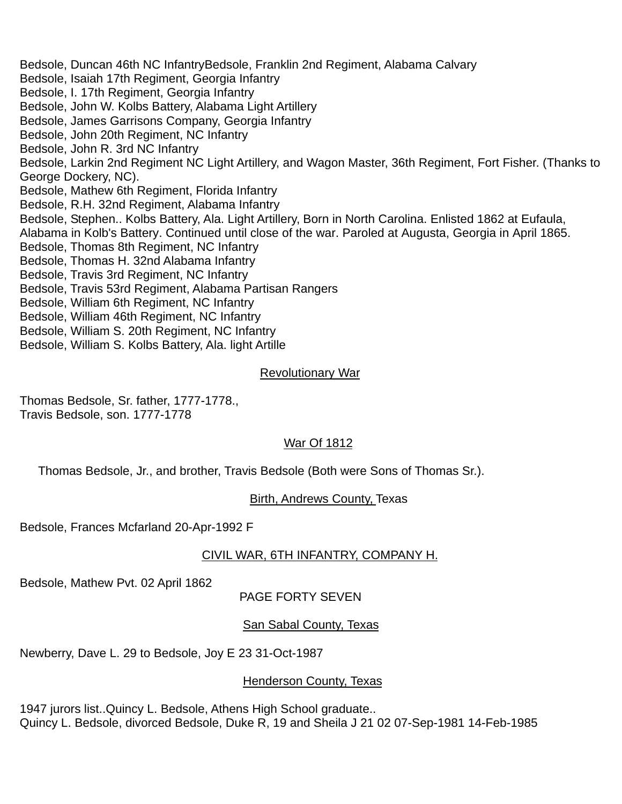Bedsole, Duncan 46th NC InfantryBedsole, Franklin 2nd Regiment, Alabama Calvary Bedsole, Isaiah 17th Regiment, Georgia Infantry Bedsole, I. 17th Regiment, Georgia Infantry Bedsole, John W. Kolbs Battery, Alabama Light Artillery Bedsole, James Garrisons Company, Georgia Infantry Bedsole, John 20th Regiment, NC Infantry Bedsole, John R. 3rd NC Infantry Bedsole, Larkin 2nd Regiment NC Light Artillery, and Wagon Master, 36th Regiment, Fort Fisher. (Thanks to George Dockery, NC). Bedsole, Mathew 6th Regiment, Florida Infantry Bedsole, R.H. 32nd Regiment, Alabama Infantry Bedsole, Stephen.. Kolbs Battery, Ala. Light Artillery, Born in North Carolina. Enlisted 1862 at Eufaula, Alabama in Kolb's Battery. Continued until close of the war. Paroled at Augusta, Georgia in April 1865. Bedsole, Thomas 8th Regiment, NC Infantry Bedsole, Thomas H. 32nd Alabama Infantry Bedsole, Travis 3rd Regiment, NC Infantry Bedsole, Travis 53rd Regiment, Alabama Partisan Rangers Bedsole, William 6th Regiment, NC Infantry Bedsole, William 46th Regiment, NC Infantry Bedsole, William S. 20th Regiment, NC Infantry Bedsole, William S. Kolbs Battery, Ala. light Artille

#### Revolutionary War

Thomas Bedsole, Sr. father, 1777-1778., Travis Bedsole, son. 1777-1778

### War Of 1812

Thomas Bedsole, Jr., and brother, Travis Bedsole (Both were Sons of Thomas Sr.).

#### Birth, Andrews County, Texas

Bedsole, Frances Mcfarland 20-Apr-1992 F

### CIVIL WAR, 6TH INFANTRY, COMPANY H.

Bedsole, Mathew Pvt. 02 April 1862

### PAGE FORTY SEVEN

### San Sabal County, Texas

Newberry, Dave L. 29 to Bedsole, Joy E 23 31-Oct-1987

#### Henderson County, Texas

1947 jurors list..Quincy L. Bedsole, Athens High School graduate.. Quincy L. Bedsole, divorced Bedsole, Duke R, 19 and Sheila J 21 02 07-Sep-1981 14-Feb-1985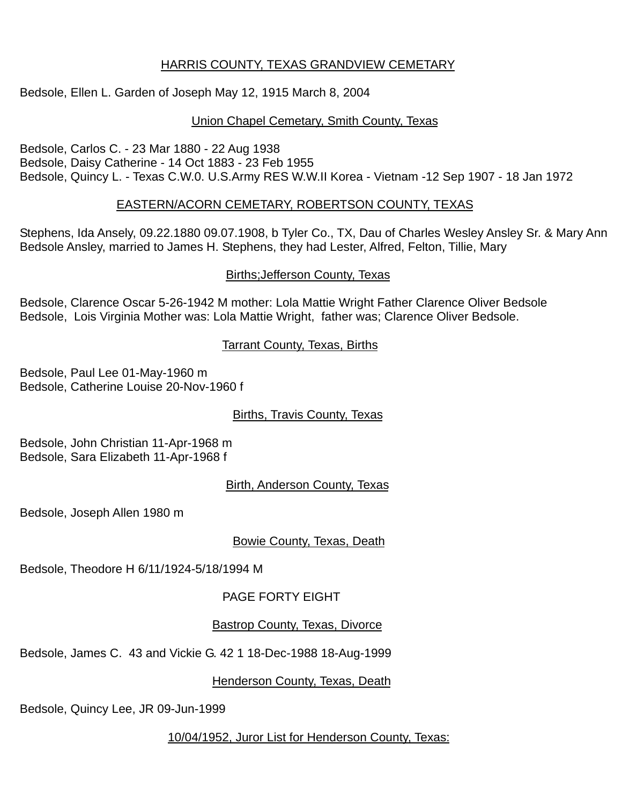## HARRIS COUNTY, TEXAS GRANDVIEW CEMETARY

Bedsole, Ellen L. Garden of Joseph May 12, 1915 March 8, 2004

# Union Chapel Cemetary, Smith County, Texas

Bedsole, Carlos C. - 23 Mar 1880 - 22 Aug 1938 Bedsole, Daisy Catherine - 14 Oct 1883 - 23 Feb 1955 Bedsole, Quincy L. - Texas C.W.0. U.S.Army RES W.W.II Korea - Vietnam -12 Sep 1907 - 18 Jan 1972

# EASTERN/ACORN CEMETARY, ROBERTSON COUNTY, TEXAS

Stephens, Ida Ansely, 09.22.1880 09.07.1908, b Tyler Co., TX, Dau of Charles Wesley Ansley Sr. & Mary Ann Bedsole Ansley, married to James H. Stephens, they had Lester, Alfred, Felton, Tillie, Mary

# Births;Jefferson County, Texas

Bedsole, Clarence Oscar 5-26-1942 M mother: Lola Mattie Wright Father Clarence Oliver Bedsole Bedsole, Lois Virginia Mother was: Lola Mattie Wright, father was; Clarence Oliver Bedsole.

**Tarrant County, Texas, Births** 

Bedsole, Paul Lee 01-May-1960 m Bedsole, Catherine Louise 20-Nov-1960 f

Births, Travis County, Texas

Bedsole, John Christian 11-Apr-1968 m Bedsole, Sara Elizabeth 11-Apr-1968 f

Birth, Anderson County, Texas

Bedsole, Joseph Allen 1980 m

Bowie County, Texas, Death

Bedsole, Theodore H 6/11/1924-5/18/1994 M

PAGE FORTY EIGHT

# Bastrop County, Texas, Divorce

Bedsole, James C. 43 and Vickie G. 42 1 18-Dec-1988 18-Aug-1999

Henderson County, Texas, Death

Bedsole, Quincy Lee, JR 09-Jun-1999

10/04/1952, Juror List for Henderson County, Texas: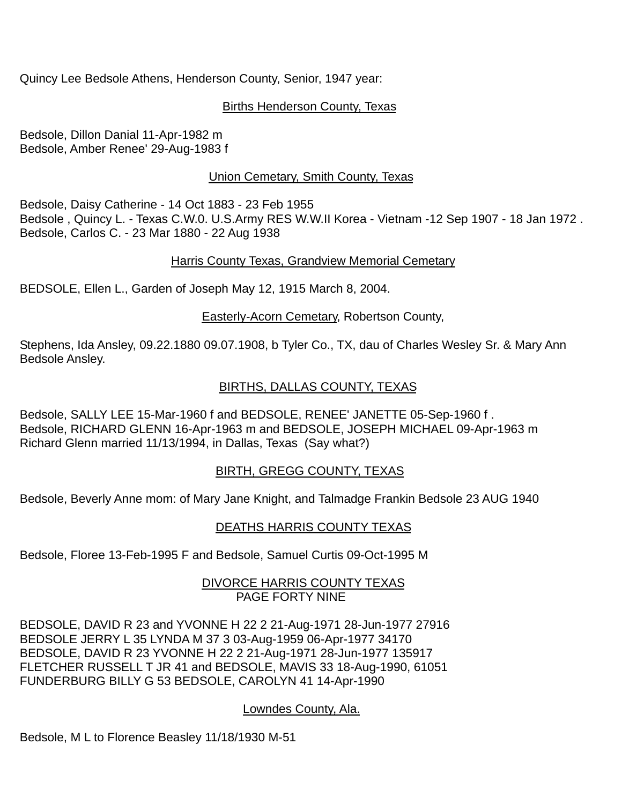Quincy Lee Bedsole Athens, Henderson County, Senior, 1947 year:

## Births Henderson County, Texas

Bedsole, Dillon Danial 11-Apr-1982 m Bedsole, Amber Renee' 29-Aug-1983 f

## Union Cemetary, Smith County, Texas

Bedsole, Daisy Catherine - 14 Oct 1883 - 23 Feb 1955 Bedsole , Quincy L. - Texas C.W.0. U.S.Army RES W.W.II Korea - Vietnam -12 Sep 1907 - 18 Jan 1972 . Bedsole, Carlos C. - 23 Mar 1880 - 22 Aug 1938

### Harris County Texas, Grandview Memorial Cemetary

BEDSOLE, Ellen L., Garden of Joseph May 12, 1915 March 8, 2004.

**Easterly-Acorn Cemetary, Robertson County,** 

Stephens, Ida Ansley, 09.22.1880 09.07.1908, b Tyler Co., TX, dau of Charles Wesley Sr. & Mary Ann Bedsole Ansley.

## BIRTHS, DALLAS COUNTY, TEXAS

Bedsole, SALLY LEE 15-Mar-1960 f and BEDSOLE, RENEE' JANETTE 05-Sep-1960 f . Bedsole, RICHARD GLENN 16-Apr-1963 m and BEDSOLE, JOSEPH MICHAEL 09-Apr-1963 m Richard Glenn married 11/13/1994, in Dallas, Texas (Say what?)

## BIRTH, GREGG COUNTY, TEXAS

Bedsole, Beverly Anne mom: of Mary Jane Knight, and Talmadge Frankin Bedsole 23 AUG 1940

## DEATHS HARRIS COUNTY TEXAS

Bedsole, Floree 13-Feb-1995 F and Bedsole, Samuel Curtis 09-Oct-1995 M

### DIVORCE HARRIS COUNTY TEXAS PAGE FORTY NINE

BEDSOLE, DAVID R 23 and YVONNE H 22 2 21-Aug-1971 28-Jun-1977 27916 BEDSOLE JERRY L 35 LYNDA M 37 3 03-Aug-1959 06-Apr-1977 34170 BEDSOLE, DAVID R 23 YVONNE H 22 2 21-Aug-1971 28-Jun-1977 135917 FLETCHER RUSSELL T JR 41 and BEDSOLE, MAVIS 33 18-Aug-1990, 61051 FUNDERBURG BILLY G 53 BEDSOLE, CAROLYN 41 14-Apr-1990

### Lowndes County, Ala.

Bedsole, M L to Florence Beasley 11/18/1930 M-51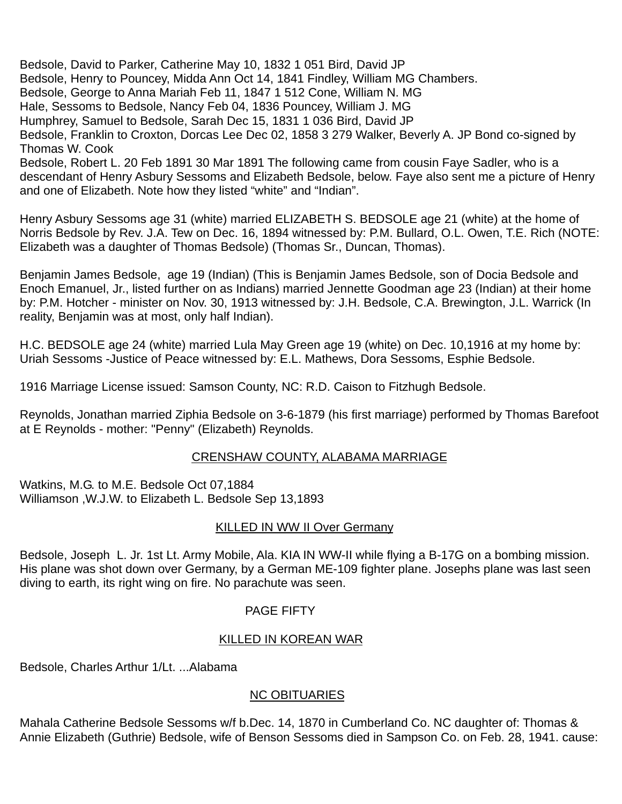Bedsole, David to Parker, Catherine May 10, 1832 1 051 Bird, David JP Bedsole, Henry to Pouncey, Midda Ann Oct 14, 1841 Findley, William MG Chambers. Bedsole, George to Anna Mariah Feb 11, 1847 1 512 Cone, William N. MG Hale, Sessoms to Bedsole, Nancy Feb 04, 1836 Pouncey, William J. MG Humphrey, Samuel to Bedsole, Sarah Dec 15, 1831 1 036 Bird, David JP Bedsole, Franklin to Croxton, Dorcas Lee Dec 02, 1858 3 279 Walker, Beverly A. JP Bond co-signed by Thomas W. Cook Bedsole, Robert L. 20 Feb 1891 30 Mar 1891 The following came from cousin Faye Sadler, who is a descendant of Henry Asbury Sessoms and Elizabeth Bedsole, below. Faye also sent me a picture of Henry and one of Elizabeth. Note how they listed "white" and "Indian".

Henry Asbury Sessoms age 31 (white) married ELIZABETH S. BEDSOLE age 21 (white) at the home of Norris Bedsole by Rev. J.A. Tew on Dec. 16, 1894 witnessed by: P.M. Bullard, O.L. Owen, T.E. Rich (NOTE: Elizabeth was a daughter of Thomas Bedsole) (Thomas Sr., Duncan, Thomas).

Benjamin James Bedsole, age 19 (Indian) (This is Benjamin James Bedsole, son of Docia Bedsole and Enoch Emanuel, Jr., listed further on as Indians) married Jennette Goodman age 23 (Indian) at their home by: P.M. Hotcher - minister on Nov. 30, 1913 witnessed by: J.H. Bedsole, C.A. Brewington, J.L. Warrick (In reality, Benjamin was at most, only half Indian).

H.C. BEDSOLE age 24 (white) married Lula May Green age 19 (white) on Dec. 10,1916 at my home by: Uriah Sessoms -Justice of Peace witnessed by: E.L. Mathews, Dora Sessoms, Esphie Bedsole.

1916 Marriage License issued: Samson County, NC: R.D. Caison to Fitzhugh Bedsole.

Reynolds, Jonathan married Ziphia Bedsole on 3-6-1879 (his first marriage) performed by Thomas Barefoot at E Reynolds - mother: "Penny" (Elizabeth) Reynolds.

### CRENSHAW COUNTY, ALABAMA MARRIAGE

Watkins, M.G. to M.E. Bedsole Oct 07,1884 Williamson ,W.J.W. to Elizabeth L. Bedsole Sep 13,1893

### **KILLED IN WW II Over Germany**

Bedsole, Joseph L. Jr. 1st Lt. Army Mobile, Ala. KIA IN WW-II while flying a B-17G on a bombing mission. His plane was shot down over Germany, by a German ME-109 fighter plane. Josephs plane was last seen diving to earth, its right wing on fire. No parachute was seen.

### PAGE FIFTY

### KILLED IN KOREAN WAR

Bedsole, Charles Arthur 1/Lt. ...Alabama

## NC OBITUARIES

Mahala Catherine Bedsole Sessoms w/f b.Dec. 14, 1870 in Cumberland Co. NC daughter of: Thomas & Annie Elizabeth (Guthrie) Bedsole, wife of Benson Sessoms died in Sampson Co. on Feb. 28, 1941. cause: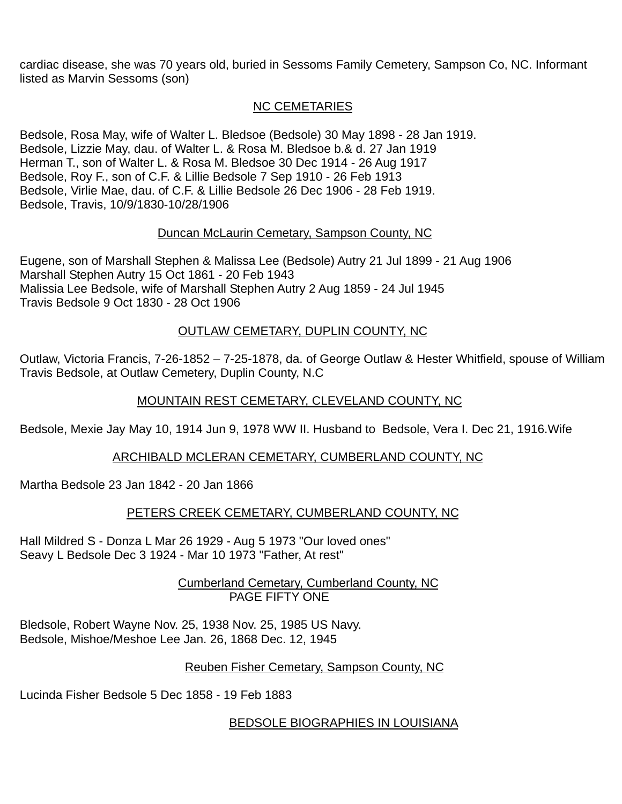cardiac disease, she was 70 years old, buried in Sessoms Family Cemetery, Sampson Co, NC. Informant listed as Marvin Sessoms (son)

## NC CEMETARIES

Bedsole, Rosa May, wife of Walter L. Bledsoe (Bedsole) 30 May 1898 - 28 Jan 1919. Bedsole, Lizzie May, dau. of Walter L. & Rosa M. Bledsoe b.& d. 27 Jan 1919 Herman T., son of Walter L. & Rosa M. Bledsoe 30 Dec 1914 - 26 Aug 1917 Bedsole, Roy F., son of C.F. & Lillie Bedsole 7 Sep 1910 - 26 Feb 1913 Bedsole, Virlie Mae, dau. of C.F. & Lillie Bedsole 26 Dec 1906 - 28 Feb 1919. Bedsole, Travis, 10/9/1830-10/28/1906

## Duncan McLaurin Cemetary, Sampson County, NC

Eugene, son of Marshall Stephen & Malissa Lee (Bedsole) Autry 21 Jul 1899 - 21 Aug 1906 Marshall Stephen Autry 15 Oct 1861 - 20 Feb 1943 Malissia Lee Bedsole, wife of Marshall Stephen Autry 2 Aug 1859 - 24 Jul 1945 Travis Bedsole 9 Oct 1830 - 28 Oct 1906

# OUTLAW CEMETARY, DUPLIN COUNTY, NC

Outlaw, Victoria Francis, 7-26-1852 – 7-25-1878, da. of George Outlaw & Hester Whitfield, spouse of William Travis Bedsole, at Outlaw Cemetery, Duplin County, N.C

## MOUNTAIN REST CEMETARY, CLEVELAND COUNTY, NC

Bedsole, Mexie Jay May 10, 1914 Jun 9, 1978 WW II. Husband to Bedsole, Vera I. Dec 21, 1916.Wife

# ARCHIBALD MCLERAN CEMETARY, CUMBERLAND COUNTY, NC

Martha Bedsole 23 Jan 1842 - 20 Jan 1866

# PETERS CREEK CEMETARY, CUMBERLAND COUNTY, NC

Hall Mildred S - Donza L Mar 26 1929 - Aug 5 1973 "Our loved ones" Seavy L Bedsole Dec 3 1924 - Mar 10 1973 "Father, At rest"

> Cumberland Cemetary, Cumberland County, NC PAGE FIFTY ONE

Bledsole, Robert Wayne Nov. 25, 1938 Nov. 25, 1985 US Navy. Bedsole, Mishoe/Meshoe Lee Jan. 26, 1868 Dec. 12, 1945

# Reuben Fisher Cemetary, Sampson County, NC

Lucinda Fisher Bedsole 5 Dec 1858 - 19 Feb 1883

BEDSOLE BIOGRAPHIES IN LOUISIANA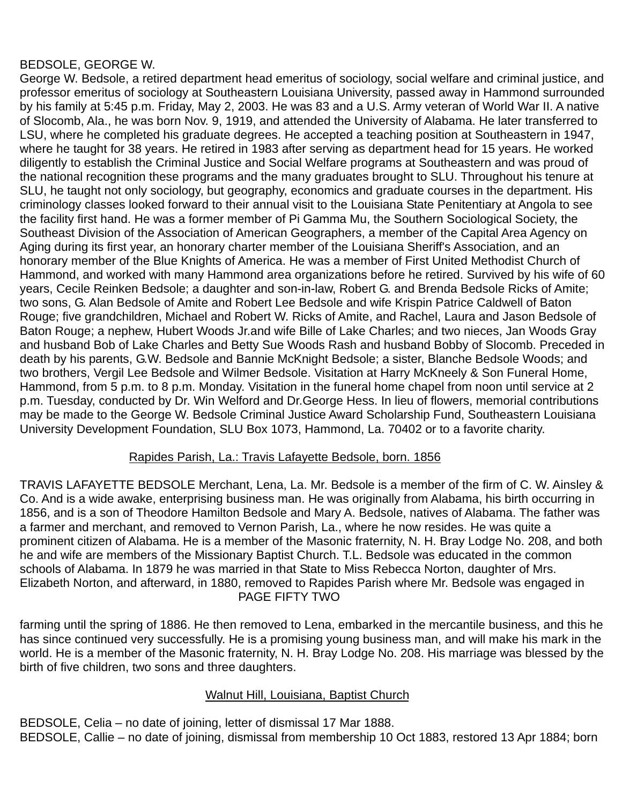## BEDSOLE, GEORGE W.

George W. Bedsole, a retired department head emeritus of sociology, social welfare and criminal justice, and professor emeritus of sociology at Southeastern Louisiana University, passed away in Hammond surrounded by his family at 5:45 p.m. Friday, May 2, 2003. He was 83 and a U.S. Army veteran of World War II. A native of Slocomb, Ala., he was born Nov. 9, 1919, and attended the University of Alabama. He later transferred to LSU, where he completed his graduate degrees. He accepted a teaching position at Southeastern in 1947, where he taught for 38 years. He retired in 1983 after serving as department head for 15 years. He worked diligently to establish the Criminal Justice and Social Welfare programs at Southeastern and was proud of the national recognition these programs and the many graduates brought to SLU. Throughout his tenure at SLU, he taught not only sociology, but geography, economics and graduate courses in the department. His criminology classes looked forward to their annual visit to the Louisiana State Penitentiary at Angola to see the facility first hand. He was a former member of Pi Gamma Mu, the Southern Sociological Society, the Southeast Division of the Association of American Geographers, a member of the Capital Area Agency on Aging during its first year, an honorary charter member of the Louisiana Sheriff's Association, and an honorary member of the Blue Knights of America. He was a member of First United Methodist Church of Hammond, and worked with many Hammond area organizations before he retired. Survived by his wife of 60 years, Cecile Reinken Bedsole; a daughter and son-in-law, Robert G. and Brenda Bedsole Ricks of Amite; two sons, G. Alan Bedsole of Amite and Robert Lee Bedsole and wife Krispin Patrice Caldwell of Baton Rouge; five grandchildren, Michael and Robert W. Ricks of Amite, and Rachel, Laura and Jason Bedsole of Baton Rouge; a nephew, Hubert Woods Jr.and wife Bille of Lake Charles; and two nieces, Jan Woods Gray and husband Bob of Lake Charles and Betty Sue Woods Rash and husband Bobby of Slocomb. Preceded in death by his parents, G.W. Bedsole and Bannie McKnight Bedsole; a sister, Blanche Bedsole Woods; and two brothers, Vergil Lee Bedsole and Wilmer Bedsole. Visitation at Harry McKneely & Son Funeral Home, Hammond, from 5 p.m. to 8 p.m. Monday. Visitation in the funeral home chapel from noon until service at 2 p.m. Tuesday, conducted by Dr. Win Welford and Dr.George Hess. In lieu of flowers, memorial contributions may be made to the George W. Bedsole Criminal Justice Award Scholarship Fund, Southeastern Louisiana University Development Foundation, SLU Box 1073, Hammond, La. 70402 or to a favorite charity.

## Rapides Parish, La.: Travis Lafayette Bedsole, born. 1856

TRAVIS LAFAYETTE BEDSOLE Merchant, Lena, La. Mr. Bedsole is a member of the firm of C. W. Ainsley & Co. And is a wide awake, enterprising business man. He was originally from Alabama, his birth occurring in 1856, and is a son of Theodore Hamilton Bedsole and Mary A. Bedsole, natives of Alabama. The father was a farmer and merchant, and removed to Vernon Parish, La., where he now resides. He was quite a prominent citizen of Alabama. He is a member of the Masonic fraternity, N. H. Bray Lodge No. 208, and both he and wife are members of the Missionary Baptist Church. T.L. Bedsole was educated in the common schools of Alabama. In 1879 he was married in that State to Miss Rebecca Norton, daughter of Mrs. Elizabeth Norton, and afterward, in 1880, removed to Rapides Parish where Mr. Bedsole was engaged in PAGE FIFTY TWO

farming until the spring of 1886. He then removed to Lena, embarked in the mercantile business, and this he has since continued very successfully. He is a promising young business man, and will make his mark in the world. He is a member of the Masonic fraternity, N. H. Bray Lodge No. 208. His marriage was blessed by the birth of five children, two sons and three daughters.

## Walnut Hill, Louisiana, Baptist Church

BEDSOLE, Celia – no date of joining, letter of dismissal 17 Mar 1888. BEDSOLE, Callie – no date of joining, dismissal from membership 10 Oct 1883, restored 13 Apr 1884; born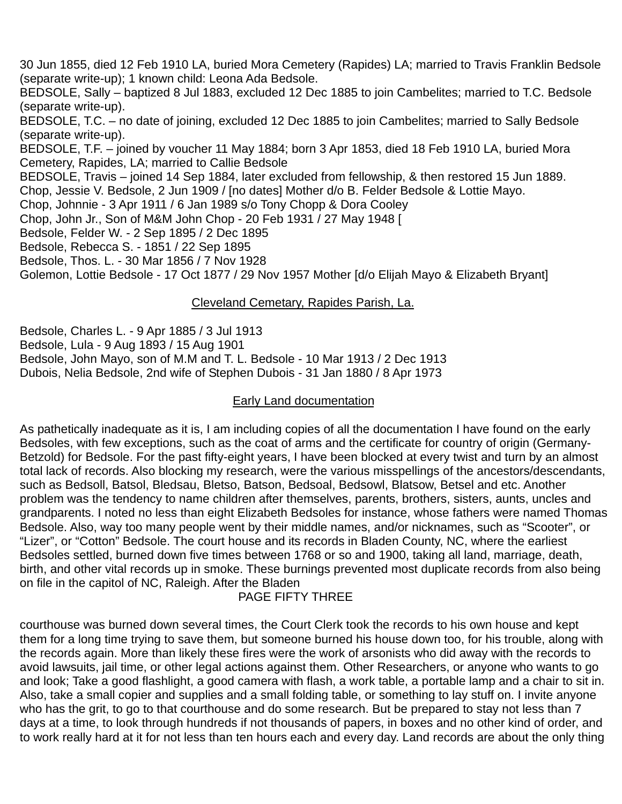30 Jun 1855, died 12 Feb 1910 LA, buried Mora Cemetery (Rapides) LA; married to Travis Franklin Bedsole (separate write-up); 1 known child: Leona Ada Bedsole.

BEDSOLE, Sally – baptized 8 Jul 1883, excluded 12 Dec 1885 to join Cambelites; married to T.C. Bedsole (separate write-up).

BEDSOLE, T.C. – no date of joining, excluded 12 Dec 1885 to join Cambelites; married to Sally Bedsole (separate write-up).

BEDSOLE, T.F. – joined by voucher 11 May 1884; born 3 Apr 1853, died 18 Feb 1910 LA, buried Mora Cemetery, Rapides, LA; married to Callie Bedsole

BEDSOLE, Travis – joined 14 Sep 1884, later excluded from fellowship, & then restored 15 Jun 1889.

Chop, Jessie V. Bedsole, 2 Jun 1909 / [no dates] Mother d/o B. Felder Bedsole & Lottie Mayo.

Chop, Johnnie - 3 Apr 1911 / 6 Jan 1989 s/o Tony Chopp & Dora Cooley

Chop, John Jr., Son of M&M John Chop - 20 Feb 1931 / 27 May 1948 [

Bedsole, Felder W. - 2 Sep 1895 / 2 Dec 1895

Bedsole, Rebecca S. - 1851 / 22 Sep 1895

Bedsole, Thos. L. - 30 Mar 1856 / 7 Nov 1928

Golemon, Lottie Bedsole - 17 Oct 1877 / 29 Nov 1957 Mother [d/o Elijah Mayo & Elizabeth Bryant]

### Cleveland Cemetary, Rapides Parish, La.

Bedsole, Charles L. - 9 Apr 1885 / 3 Jul 1913 Bedsole, Lula - 9 Aug 1893 / 15 Aug 1901 Bedsole, John Mayo, son of M.M and T. L. Bedsole - 10 Mar 1913 / 2 Dec 1913 Dubois, Nelia Bedsole, 2nd wife of Stephen Dubois - 31 Jan 1880 / 8 Apr 1973

## Early Land documentation

As pathetically inadequate as it is, I am including copies of all the documentation I have found on the early Bedsoles, with few exceptions, such as the coat of arms and the certificate for country of origin (Germany-Betzold) for Bedsole. For the past fifty-eight years, I have been blocked at every twist and turn by an almost total lack of records. Also blocking my research, were the various misspellings of the ancestors/descendants, such as Bedsoll, Batsol, Bledsau, Bletso, Batson, Bedsoal, Bedsowl, Blatsow, Betsel and etc. Another problem was the tendency to name children after themselves, parents, brothers, sisters, aunts, uncles and grandparents. I noted no less than eight Elizabeth Bedsoles for instance, whose fathers were named Thomas Bedsole. Also, way too many people went by their middle names, and/or nicknames, such as "Scooter", or "Lizer", or "Cotton" Bedsole. The court house and its records in Bladen County, NC, where the earliest Bedsoles settled, burned down five times between 1768 or so and 1900, taking all land, marriage, death, birth, and other vital records up in smoke. These burnings prevented most duplicate records from also being on file in the capitol of NC, Raleigh. After the Bladen

## PAGE FIFTY THREE

courthouse was burned down several times, the Court Clerk took the records to his own house and kept them for a long time trying to save them, but someone burned his house down too, for his trouble, along with the records again. More than likely these fires were the work of arsonists who did away with the records to avoid lawsuits, jail time, or other legal actions against them. Other Researchers, or anyone who wants to go and look; Take a good flashlight, a good camera with flash, a work table, a portable lamp and a chair to sit in. Also, take a small copier and supplies and a small folding table, or something to lay stuff on. I invite anyone who has the grit, to go to that courthouse and do some research. But be prepared to stay not less than 7 days at a time, to look through hundreds if not thousands of papers, in boxes and no other kind of order, and to work really hard at it for not less than ten hours each and every day. Land records are about the only thing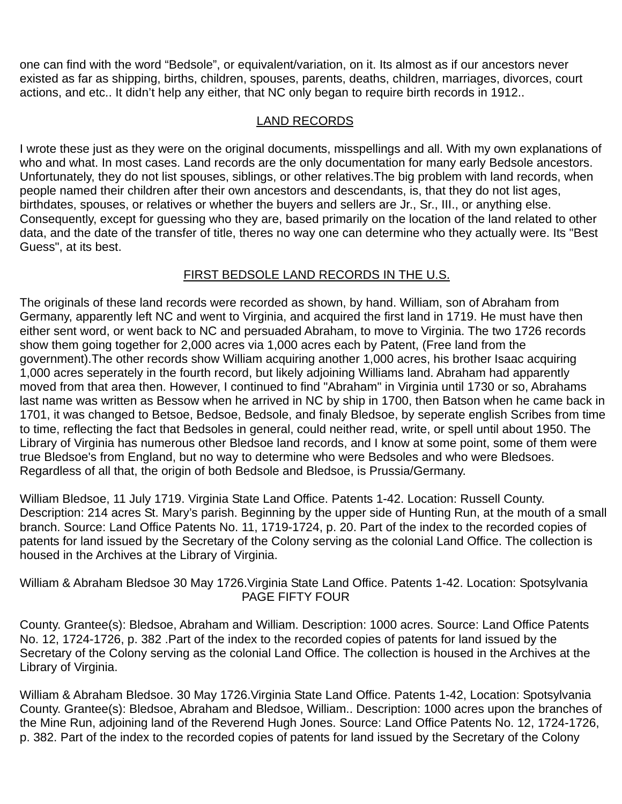one can find with the word "Bedsole", or equivalent/variation, on it. Its almost as if our ancestors never existed as far as shipping, births, children, spouses, parents, deaths, children, marriages, divorces, court actions, and etc.. It didn't help any either, that NC only began to require birth records in 1912..

## LAND RECORDS

I wrote these just as they were on the original documents, misspellings and all. With my own explanations of who and what. In most cases. Land records are the only documentation for many early Bedsole ancestors. Unfortunately, they do not list spouses, siblings, or other relatives.The big problem with land records, when people named their children after their own ancestors and descendants, is, that they do not list ages, birthdates, spouses, or relatives or whether the buyers and sellers are Jr., Sr., III., or anything else. Consequently, except for quessing who they are, based primarily on the location of the land related to other data, and the date of the transfer of title, theres no way one can determine who they actually were. Its "Best Guess", at its best.

# FIRST BEDSOLE LAND RECORDS IN THE U.S.

The originals of these land records were recorded as shown, by hand. William, son of Abraham from Germany, apparently left NC and went to Virginia, and acquired the first land in 1719. He must have then either sent word, or went back to NC and persuaded Abraham, to move to Virginia. The two 1726 records show them going together for 2,000 acres via 1,000 acres each by Patent, (Free land from the government).The other records show William acquiring another 1,000 acres, his brother Isaac acquiring 1,000 acres seperately in the fourth record, but likely adjoining Williams land. Abraham had apparently moved from that area then. However, I continued to find "Abraham" in Virginia until 1730 or so, Abrahams last name was written as Bessow when he arrived in NC by ship in 1700, then Batson when he came back in 1701, it was changed to Betsoe, Bedsoe, Bedsole, and finaly Bledsoe, by seperate english Scribes from time to time, reflecting the fact that Bedsoles in general, could neither read, write, or spell until about 1950. The Library of Virginia has numerous other Bledsoe land records, and I know at some point, some of them were true Bledsoe's from England, but no way to determine who were Bedsoles and who were Bledsoes. Regardless of all that, the origin of both Bedsole and Bledsoe, is Prussia/Germany.

William Bledsoe, 11 July 1719. Virginia State Land Office. Patents 1-42. Location: Russell County. Description: 214 acres St. Mary's parish. Beginning by the upper side of Hunting Run, at the mouth of a small branch. Source: Land Office Patents No. 11, 1719-1724, p. 20. Part of the index to the recorded copies of patents for land issued by the Secretary of the Colony serving as the colonial Land Office. The collection is housed in the Archives at the Library of Virginia.

William & Abraham Bledsoe 30 May 1726.Virginia State Land Office. Patents 1-42. Location: Spotsylvania PAGE FIFTY FOUR

County. Grantee(s): Bledsoe, Abraham and William. Description: 1000 acres. Source: Land Office Patents No. 12, 1724-1726, p. 382 .Part of the index to the recorded copies of patents for land issued by the Secretary of the Colony serving as the colonial Land Office. The collection is housed in the Archives at the Library of Virginia.

William & Abraham Bledsoe. 30 May 1726.Virginia State Land Office. Patents 1-42, Location: Spotsylvania County. Grantee(s): Bledsoe, Abraham and Bledsoe, William.. Description: 1000 acres upon the branches of the Mine Run, adjoining land of the Reverend Hugh Jones. Source: Land Office Patents No. 12, 1724-1726, p. 382. Part of the index to the recorded copies of patents for land issued by the Secretary of the Colony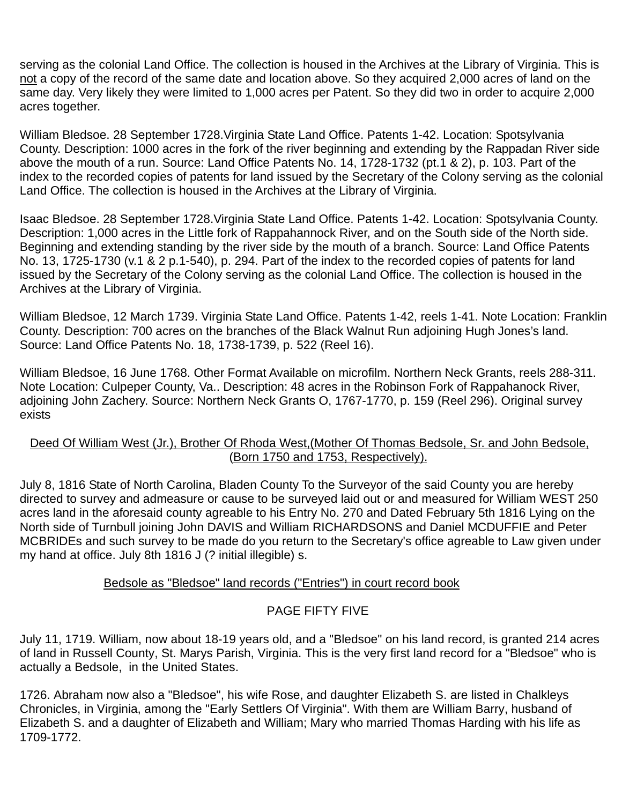serving as the colonial Land Office. The collection is housed in the Archives at the Library of Virginia. This is not a copy of the record of the same date and location above. So they acquired 2,000 acres of land on the same day. Very likely they were limited to 1,000 acres per Patent. So they did two in order to acquire 2,000 acres together.

William Bledsoe. 28 September 1728.Virginia State Land Office. Patents 1-42. Location: Spotsylvania County. Description: 1000 acres in the fork of the river beginning and extending by the Rappadan River side above the mouth of a run. Source: Land Office Patents No. 14, 1728-1732 (pt.1 & 2), p. 103. Part of the index to the recorded copies of patents for land issued by the Secretary of the Colony serving as the colonial Land Office. The collection is housed in the Archives at the Library of Virginia.

Isaac Bledsoe. 28 September 1728.Virginia State Land Office. Patents 1-42. Location: Spotsylvania County. Description: 1,000 acres in the Little fork of Rappahannock River, and on the South side of the North side. Beginning and extending standing by the river side by the mouth of a branch. Source: Land Office Patents No. 13, 1725-1730 (v.1 & 2 p.1-540), p. 294. Part of the index to the recorded copies of patents for land issued by the Secretary of the Colony serving as the colonial Land Office. The collection is housed in the Archives at the Library of Virginia.

William Bledsoe, 12 March 1739. Virginia State Land Office. Patents 1-42, reels 1-41. Note Location: Franklin County. Description: 700 acres on the branches of the Black Walnut Run adjoining Hugh Jones's land. Source: Land Office Patents No. 18, 1738-1739, p. 522 (Reel 16).

William Bledsoe, 16 June 1768. Other Format Available on microfilm. Northern Neck Grants, reels 288-311. Note Location: Culpeper County, Va.. Description: 48 acres in the Robinson Fork of Rappahanock River, adjoining John Zachery. Source: Northern Neck Grants O, 1767-1770, p. 159 (Reel 296). Original survey exists

### Deed Of William West (Jr.), Brother Of Rhoda West,(Mother Of Thomas Bedsole, Sr. and John Bedsole, (Born 1750 and 1753, Respectively).

July 8, 1816 State of North Carolina, Bladen County To the Surveyor of the said County you are hereby directed to survey and admeasure or cause to be surveyed laid out or and measured for William WEST 250 acres land in the aforesaid county agreable to his Entry No. 270 and Dated February 5th 1816 Lying on the North side of Turnbull joining John DAVIS and William RICHARDSONS and Daniel MCDUFFIE and Peter MCBRIDEs and such survey to be made do you return to the Secretary's office agreable to Law given under my hand at office. July 8th 1816 J (? initial illegible) s.

## Bedsole as "Bledsoe" land records ("Entries") in court record book

## PAGE FIFTY FIVE

July 11, 1719. William, now about 18-19 years old, and a "Bledsoe" on his land record, is granted 214 acres of land in Russell County, St. Marys Parish, Virginia. This is the very first land record for a "Bledsoe" who is actually a Bedsole, in the United States.

1726. Abraham now also a "Bledsoe", his wife Rose, and daughter Elizabeth S. are listed in Chalkleys Chronicles, in Virginia, among the "Early Settlers Of Virginia". With them are William Barry, husband of Elizabeth S. and a daughter of Elizabeth and William; Mary who married Thomas Harding with his life as 1709-1772.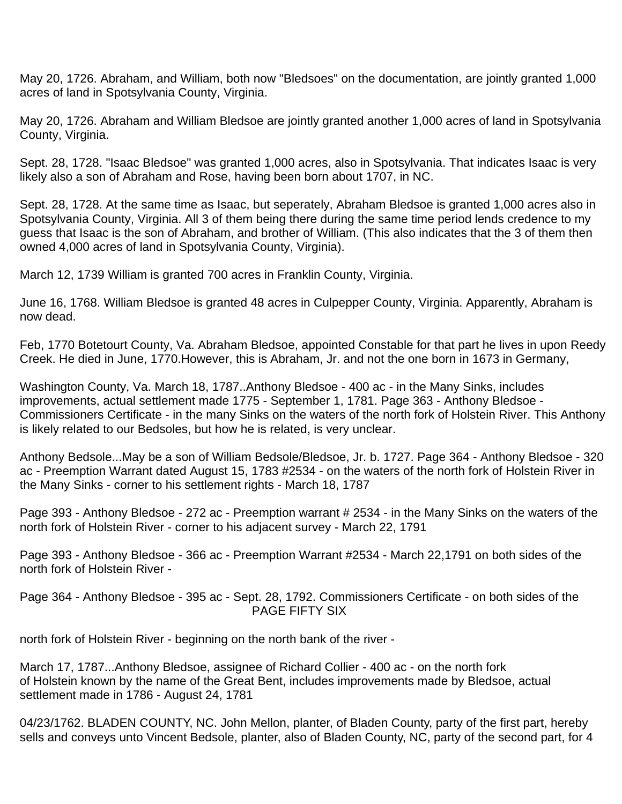May 20, 1726. Abraham, and William, both now "Bledsoes" on the documentation, are jointly granted 1,000 acres of land in Spotsylvania County, Virginia.

May 20, 1726. Abraham and William Bledsoe are jointly granted another 1,000 acres of land in Spotsylvania County, Virginia.

Sept. 28, 1728. "Isaac Bledsoe" was granted 1,000 acres, also in Spotsylvania. That indicates Isaac is very likely also a son of Abraham and Rose, having been born about 1707, in NC.

Sept. 28, 1728. At the same time as Isaac, but seperately, Abraham Bledsoe is granted 1,000 acres also in Spotsylvania County, Virginia. All 3 of them being there during the same time period lends credence to my guess that Isaac is the son of Abraham, and brother of William. (This also indicates that the 3 of them then owned 4,000 acres of land in Spotsylvania County, Virginia).

March 12, 1739 William is granted 700 acres in Franklin County, Virginia.

June 16, 1768. William Bledsoe is granted 48 acres in Culpepper County, Virginia. Apparently, Abraham is now dead.

Feb, 1770 Botetourt County, Va. Abraham Bledsoe, appointed Constable for that part he lives in upon Reedy Creek. He died in June, 1770.However, this is Abraham, Jr. and not the one born in 1673 in Germany,

Washington County, Va. March 18, 1787..Anthony Bledsoe - 400 ac - in the Many Sinks, includes improvements, actual settlement made 1775 - September 1, 1781. Page 363 - Anthony Bledsoe - Commissioners Certificate - in the many Sinks on the waters of the north fork of Holstein River. This Anthony is likely related to our Bedsoles, but how he is related, is very unclear.

Anthony Bedsole...May be a son of William Bedsole/Bledsoe, Jr. b. 1727. Page 364 - Anthony Bledsoe - 320 ac - Preemption Warrant dated August 15, 1783 #2534 - on the waters of the north fork of Holstein River in the Many Sinks - corner to his settlement rights - March 18, 1787

Page 393 - Anthony Bledsoe - 272 ac - Preemption warrant # 2534 - in the Many Sinks on the waters of the north fork of Holstein River - corner to his adjacent survey - March 22, 1791

Page 393 - Anthony Bledsoe - 366 ac - Preemption Warrant #2534 - March 22,1791 on both sides of the north fork of Holstein River -

Page 364 - Anthony Bledsoe - 395 ac - Sept. 28, 1792. Commissioners Certificate - on both sides of the PAGE FIFTY SIX

north fork of Holstein River - beginning on the north bank of the river -

March 17, 1787...Anthony Bledsoe, assignee of Richard Collier - 400 ac - on the north fork of Holstein known by the name of the Great Bent, includes improvements made by Bledsoe, actual settlement made in 1786 - August 24, 1781

04/23/1762. BLADEN COUNTY, NC. John Mellon, planter, of Bladen County, party of the first part, hereby sells and conveys unto Vincent Bedsole, planter, also of Bladen County, NC, party of the second part, for 4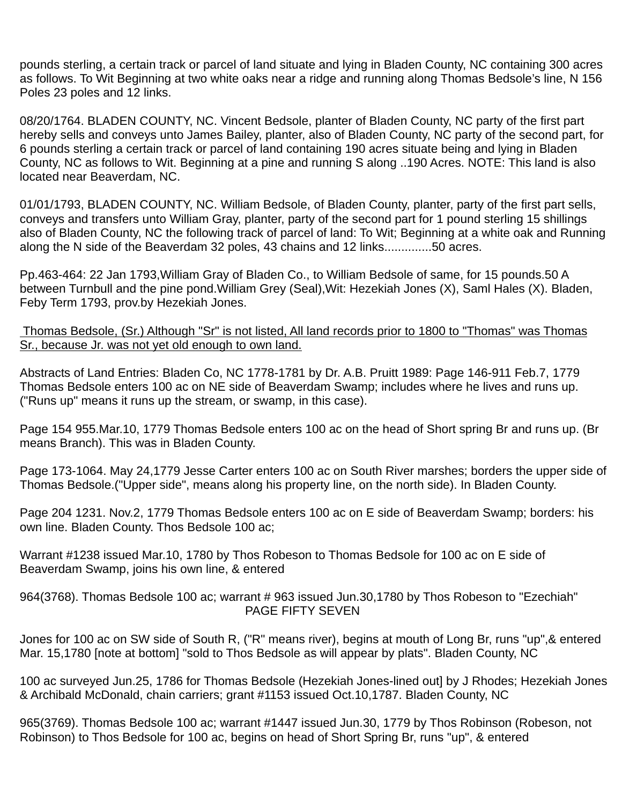pounds sterling, a certain track or parcel of land situate and lying in Bladen County, NC containing 300 acres as follows. To Wit Beginning at two white oaks near a ridge and running along Thomas Bedsole's line, N 156 Poles 23 poles and 12 links.

08/20/1764. BLADEN COUNTY, NC. Vincent Bedsole, planter of Bladen County, NC party of the first part hereby sells and conveys unto James Bailey, planter, also of Bladen County, NC party of the second part, for 6 pounds sterling a certain track or parcel of land containing 190 acres situate being and lying in Bladen County, NC as follows to Wit. Beginning at a pine and running S along ..190 Acres. NOTE: This land is also located near Beaverdam, NC.

01/01/1793, BLADEN COUNTY, NC. William Bedsole, of Bladen County, planter, party of the first part sells, conveys and transfers unto William Gray, planter, party of the second part for 1 pound sterling 15 shillings also of Bladen County, NC the following track of parcel of land: To Wit; Beginning at a white oak and Running along the N side of the Beaverdam 32 poles, 43 chains and 12 links..............50 acres.

Pp.463-464: 22 Jan 1793,William Gray of Bladen Co., to William Bedsole of same, for 15 pounds.50 A between Turnbull and the pine pond.William Grey (Seal),Wit: Hezekiah Jones (X), Saml Hales (X). Bladen, Feby Term 1793, prov.by Hezekiah Jones.

 Thomas Bedsole, (Sr.) Although "Sr" is not listed, All land records prior to 1800 to "Thomas" was Thomas Sr., because Jr. was not yet old enough to own land.

Abstracts of Land Entries: Bladen Co, NC 1778-1781 by Dr. A.B. Pruitt 1989: Page 146-911 Feb.7, 1779 Thomas Bedsole enters 100 ac on NE side of Beaverdam Swamp; includes where he lives and runs up. ("Runs up" means it runs up the stream, or swamp, in this case).

Page 154 955.Mar.10, 1779 Thomas Bedsole enters 100 ac on the head of Short spring Br and runs up. (Br means Branch). This was in Bladen County.

Page 173-1064. May 24,1779 Jesse Carter enters 100 ac on South River marshes; borders the upper side of Thomas Bedsole.("Upper side", means along his property line, on the north side). In Bladen County.

Page 204 1231. Nov.2, 1779 Thomas Bedsole enters 100 ac on E side of Beaverdam Swamp; borders: his own line. Bladen County. Thos Bedsole 100 ac;

Warrant #1238 issued Mar.10, 1780 by Thos Robeson to Thomas Bedsole for 100 ac on E side of Beaverdam Swamp, joins his own line, & entered

964(3768). Thomas Bedsole 100 ac; warrant # 963 issued Jun.30,1780 by Thos Robeson to "Ezechiah" PAGE FIFTY SEVEN

Jones for 100 ac on SW side of South R, ("R" means river), begins at mouth of Long Br, runs "up",& entered Mar. 15,1780 [note at bottom] "sold to Thos Bedsole as will appear by plats". Bladen County, NC

100 ac surveyed Jun.25, 1786 for Thomas Bedsole (Hezekiah Jones-lined out] by J Rhodes; Hezekiah Jones & Archibald McDonald, chain carriers; grant #1153 issued Oct.10,1787. Bladen County, NC

965(3769). Thomas Bedsole 100 ac; warrant #1447 issued Jun.30, 1779 by Thos Robinson (Robeson, not Robinson) to Thos Bedsole for 100 ac, begins on head of Short Spring Br, runs "up", & entered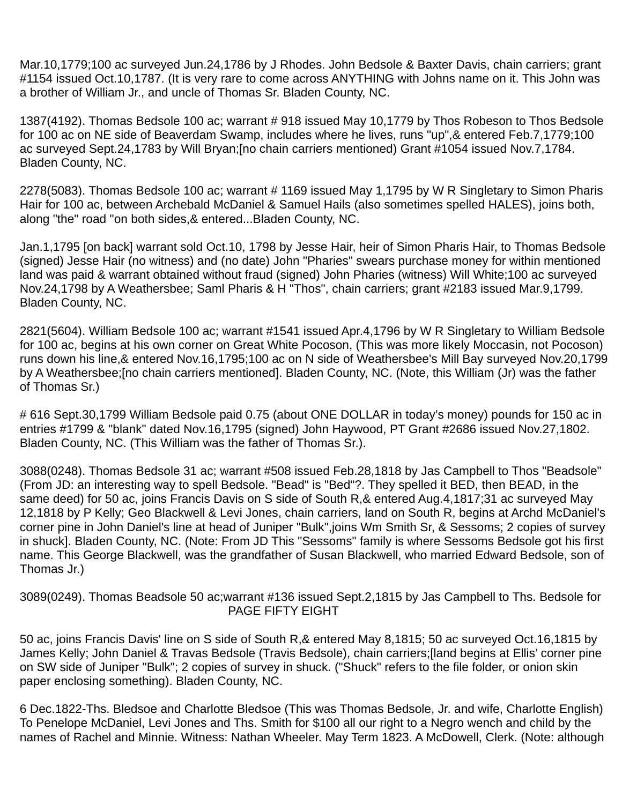Mar.10,1779;100 ac surveyed Jun.24,1786 by J Rhodes. John Bedsole & Baxter Davis, chain carriers; grant #1154 issued Oct.10,1787. (It is very rare to come across ANYTHING with Johns name on it. This John was a brother of William Jr., and uncle of Thomas Sr. Bladen County, NC.

1387(4192). Thomas Bedsole 100 ac; warrant # 918 issued May 10,1779 by Thos Robeson to Thos Bedsole for 100 ac on NE side of Beaverdam Swamp, includes where he lives, runs "up",& entered Feb.7,1779;100 ac surveyed Sept.24,1783 by Will Bryan;[no chain carriers mentioned) Grant #1054 issued Nov.7,1784. Bladen County, NC.

2278(5083). Thomas Bedsole 100 ac; warrant # 1169 issued May 1,1795 by W R Singletary to Simon Pharis Hair for 100 ac, between Archebald McDaniel & Samuel Hails (also sometimes spelled HALES), joins both, along "the" road "on both sides,& entered...Bladen County, NC.

Jan.1,1795 [on back] warrant sold Oct.10, 1798 by Jesse Hair, heir of Simon Pharis Hair, to Thomas Bedsole (signed) Jesse Hair (no witness) and (no date) John "Pharies" swears purchase money for within mentioned land was paid & warrant obtained without fraud (signed) John Pharies (witness) Will White;100 ac surveyed Nov.24,1798 by A Weathersbee; Saml Pharis & H "Thos", chain carriers; grant #2183 issued Mar.9,1799. Bladen County, NC.

2821(5604). William Bedsole 100 ac; warrant #1541 issued Apr.4,1796 by W R Singletary to William Bedsole for 100 ac, begins at his own corner on Great White Pocoson, (This was more likely Moccasin, not Pocoson) runs down his line,& entered Nov.16,1795;100 ac on N side of Weathersbee's Mill Bay surveyed Nov.20,1799 by A Weathersbee;[no chain carriers mentioned]. Bladen County, NC. (Note, this William (Jr) was the father of Thomas Sr.)

# 616 Sept.30,1799 William Bedsole paid 0.75 (about ONE DOLLAR in today's money) pounds for 150 ac in entries #1799 & "blank" dated Nov.16,1795 (signed) John Haywood, PT Grant #2686 issued Nov.27,1802. Bladen County, NC. (This William was the father of Thomas Sr.).

3088(0248). Thomas Bedsole 31 ac; warrant #508 issued Feb.28,1818 by Jas Campbell to Thos "Beadsole" (From JD: an interesting way to spell Bedsole. "Bead" is "Bed"?. They spelled it BED, then BEAD, in the same deed) for 50 ac, joins Francis Davis on S side of South R,& entered Aug.4,1817;31 ac surveyed May 12,1818 by P Kelly; Geo Blackwell & Levi Jones, chain carriers, land on South R, begins at Archd McDaniel's corner pine in John Daniel's line at head of Juniper "Bulk",joins Wm Smith Sr, & Sessoms; 2 copies of survey in shuck]. Bladen County, NC. (Note: From JD This "Sessoms" family is where Sessoms Bedsole got his first name. This George Blackwell, was the grandfather of Susan Blackwell, who married Edward Bedsole, son of Thomas Jr.)

3089(0249). Thomas Beadsole 50 ac;warrant #136 issued Sept.2,1815 by Jas Campbell to Ths. Bedsole for PAGE FIFTY EIGHT

50 ac, joins Francis Davis' line on S side of South R,& entered May 8,1815; 50 ac surveyed Oct.16,1815 by James Kelly; John Daniel & Travas Bedsole (Travis Bedsole), chain carriers;[land begins at Ellis' corner pine on SW side of Juniper "Bulk"; 2 copies of survey in shuck. ("Shuck" refers to the file folder, or onion skin paper enclosing something). Bladen County, NC.

6 Dec.1822-Ths. Bledsoe and Charlotte Bledsoe (This was Thomas Bedsole, Jr. and wife, Charlotte English) To Penelope McDaniel, Levi Jones and Ths. Smith for \$100 all our right to a Negro wench and child by the names of Rachel and Minnie. Witness: Nathan Wheeler. May Term 1823. A McDowell, Clerk. (Note: although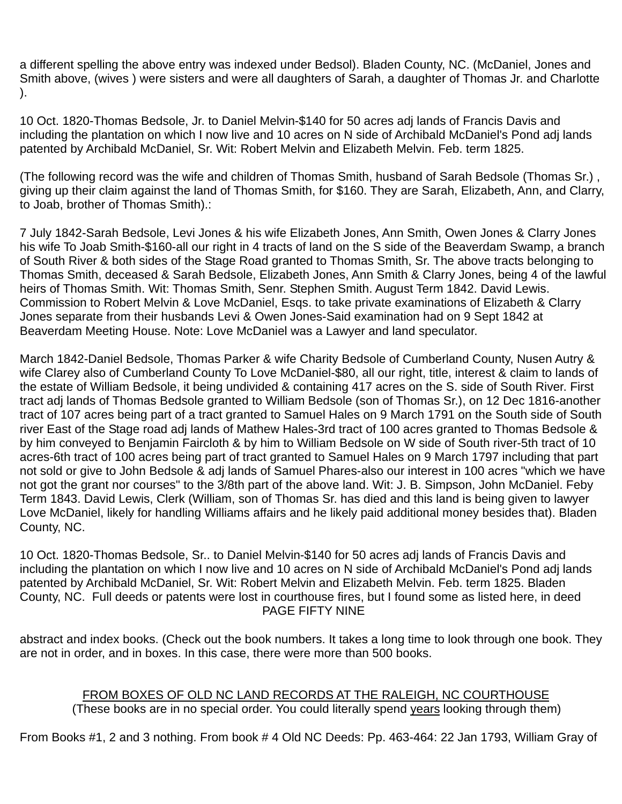a different spelling the above entry was indexed under Bedsol). Bladen County, NC. (McDaniel, Jones and Smith above, (wives ) were sisters and were all daughters of Sarah, a daughter of Thomas Jr. and Charlotte ).

10 Oct. 1820-Thomas Bedsole, Jr. to Daniel Melvin-\$140 for 50 acres adj lands of Francis Davis and including the plantation on which I now live and 10 acres on N side of Archibald McDaniel's Pond adj lands patented by Archibald McDaniel, Sr. Wit: Robert Melvin and Elizabeth Melvin. Feb. term 1825.

(The following record was the wife and children of Thomas Smith, husband of Sarah Bedsole (Thomas Sr.) , giving up their claim against the land of Thomas Smith, for \$160. They are Sarah, Elizabeth, Ann, and Clarry, to Joab, brother of Thomas Smith).:

7 July 1842-Sarah Bedsole, Levi Jones & his wife Elizabeth Jones, Ann Smith, Owen Jones & Clarry Jones his wife To Joab Smith-\$160-all our right in 4 tracts of land on the S side of the Beaverdam Swamp, a branch of South River & both sides of the Stage Road granted to Thomas Smith, Sr. The above tracts belonging to Thomas Smith, deceased & Sarah Bedsole, Elizabeth Jones, Ann Smith & Clarry Jones, being 4 of the lawful heirs of Thomas Smith. Wit: Thomas Smith, Senr. Stephen Smith. August Term 1842. David Lewis. Commission to Robert Melvin & Love McDaniel, Esqs. to take private examinations of Elizabeth & Clarry Jones separate from their husbands Levi & Owen Jones-Said examination had on 9 Sept 1842 at Beaverdam Meeting House. Note: Love McDaniel was a Lawyer and land speculator.

March 1842-Daniel Bedsole, Thomas Parker & wife Charity Bedsole of Cumberland County, Nusen Autry & wife Clarey also of Cumberland County To Love McDaniel-\$80, all our right, title, interest & claim to lands of the estate of William Bedsole, it being undivided & containing 417 acres on the S. side of South River. First tract adj lands of Thomas Bedsole granted to William Bedsole (son of Thomas Sr.), on 12 Dec 1816-another tract of 107 acres being part of a tract granted to Samuel Hales on 9 March 1791 on the South side of South river East of the Stage road adj lands of Mathew Hales-3rd tract of 100 acres granted to Thomas Bedsole & by him conveyed to Benjamin Faircloth & by him to William Bedsole on W side of South river-5th tract of 10 acres-6th tract of 100 acres being part of tract granted to Samuel Hales on 9 March 1797 including that part not sold or give to John Bedsole & adj lands of Samuel Phares-also our interest in 100 acres "which we have not got the grant nor courses" to the 3/8th part of the above land. Wit: J. B. Simpson, John McDaniel. Feby Term 1843. David Lewis, Clerk (William, son of Thomas Sr. has died and this land is being given to lawyer Love McDaniel, likely for handling Williams affairs and he likely paid additional money besides that). Bladen County, NC.

10 Oct. 1820-Thomas Bedsole, Sr.. to Daniel Melvin-\$140 for 50 acres adj lands of Francis Davis and including the plantation on which I now live and 10 acres on N side of Archibald McDaniel's Pond adj lands patented by Archibald McDaniel, Sr. Wit: Robert Melvin and Elizabeth Melvin. Feb. term 1825. Bladen County, NC. Full deeds or patents were lost in courthouse fires, but I found some as listed here, in deed PAGE FIFTY NINE

abstract and index books. (Check out the book numbers. It takes a long time to look through one book. They are not in order, and in boxes. In this case, there were more than 500 books.

### FROM BOXES OF OLD NC LAND RECORDS AT THE RALEIGH, NC COURTHOUSE (These books are in no special order. You could literally spend years looking through them)

From Books #1, 2 and 3 nothing. From book # 4 Old NC Deeds: Pp. 463-464: 22 Jan 1793, William Gray of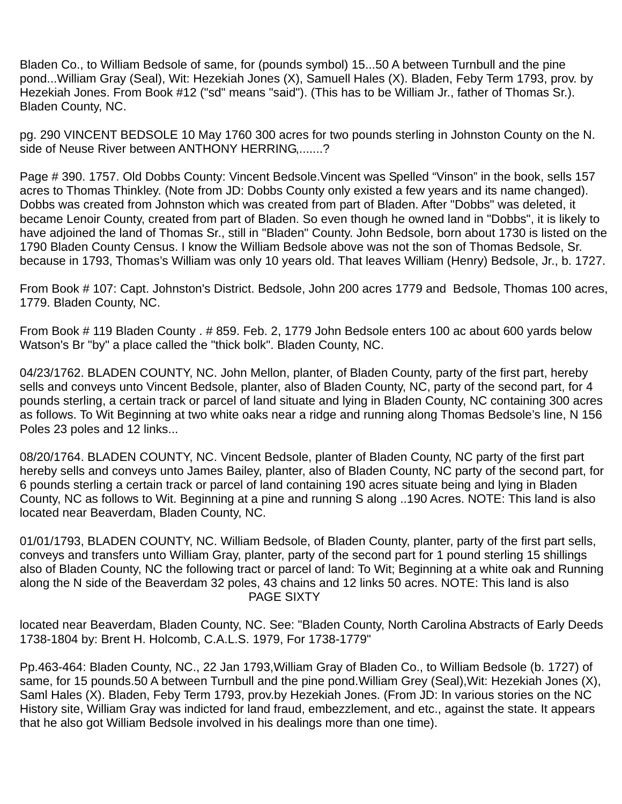Bladen Co., to William Bedsole of same, for (pounds symbol) 15...50 A between Turnbull and the pine pond...William Gray (Seal), Wit: Hezekiah Jones (X), Samuell Hales (X). Bladen, Feby Term 1793, prov. by Hezekiah Jones. From Book #12 ("sd" means "said"). (This has to be William Jr., father of Thomas Sr.). Bladen County, NC.

pg. 290 VINCENT BEDSOLE 10 May 1760 300 acres for two pounds sterling in Johnston County on the N. side of Neuse River between ANTHONY HERRING,.......?

Page # 390. 1757. Old Dobbs County: Vincent Bedsole.Vincent was Spelled "Vinson" in the book, sells 157 acres to Thomas Thinkley. (Note from JD: Dobbs County only existed a few years and its name changed). Dobbs was created from Johnston which was created from part of Bladen. After "Dobbs" was deleted, it became Lenoir County, created from part of Bladen. So even though he owned land in "Dobbs", it is likely to have adjoined the land of Thomas Sr., still in "Bladen" County. John Bedsole, born about 1730 is listed on the 1790 Bladen County Census. I know the William Bedsole above was not the son of Thomas Bedsole, Sr. because in 1793, Thomas's William was only 10 years old. That leaves William (Henry) Bedsole, Jr., b. 1727.

From Book # 107: Capt. Johnston's District. Bedsole, John 200 acres 1779 and Bedsole, Thomas 100 acres, 1779. Bladen County, NC.

From Book # 119 Bladen County . # 859. Feb. 2, 1779 John Bedsole enters 100 ac about 600 yards below Watson's Br "by" a place called the "thick bolk". Bladen County, NC.

04/23/1762. BLADEN COUNTY, NC. John Mellon, planter, of Bladen County, party of the first part, hereby sells and conveys unto Vincent Bedsole, planter, also of Bladen County, NC, party of the second part, for 4 pounds sterling, a certain track or parcel of land situate and lying in Bladen County, NC containing 300 acres as follows. To Wit Beginning at two white oaks near a ridge and running along Thomas Bedsole's line, N 156 Poles 23 poles and 12 links...

08/20/1764. BLADEN COUNTY, NC. Vincent Bedsole, planter of Bladen County, NC party of the first part hereby sells and conveys unto James Bailey, planter, also of Bladen County, NC party of the second part, for 6 pounds sterling a certain track or parcel of land containing 190 acres situate being and lying in Bladen County, NC as follows to Wit. Beginning at a pine and running S along ..190 Acres. NOTE: This land is also located near Beaverdam, Bladen County, NC.

01/01/1793, BLADEN COUNTY, NC. William Bedsole, of Bladen County, planter, party of the first part sells, conveys and transfers unto William Gray, planter, party of the second part for 1 pound sterling 15 shillings also of Bladen County, NC the following tract or parcel of land: To Wit; Beginning at a white oak and Running along the N side of the Beaverdam 32 poles, 43 chains and 12 links 50 acres. NOTE: This land is also PAGE SIXTY

located near Beaverdam, Bladen County, NC. See: "Bladen County, North Carolina Abstracts of Early Deeds 1738-1804 by: Brent H. Holcomb, C.A.L.S. 1979, For 1738-1779"

Pp.463-464: Bladen County, NC., 22 Jan 1793,William Gray of Bladen Co., to William Bedsole (b. 1727) of same, for 15 pounds.50 A between Turnbull and the pine pond.William Grey (Seal),Wit: Hezekiah Jones (X), Saml Hales (X). Bladen, Feby Term 1793, prov.by Hezekiah Jones. (From JD: In various stories on the NC History site, William Gray was indicted for land fraud, embezzlement, and etc., against the state. It appears that he also got William Bedsole involved in his dealings more than one time).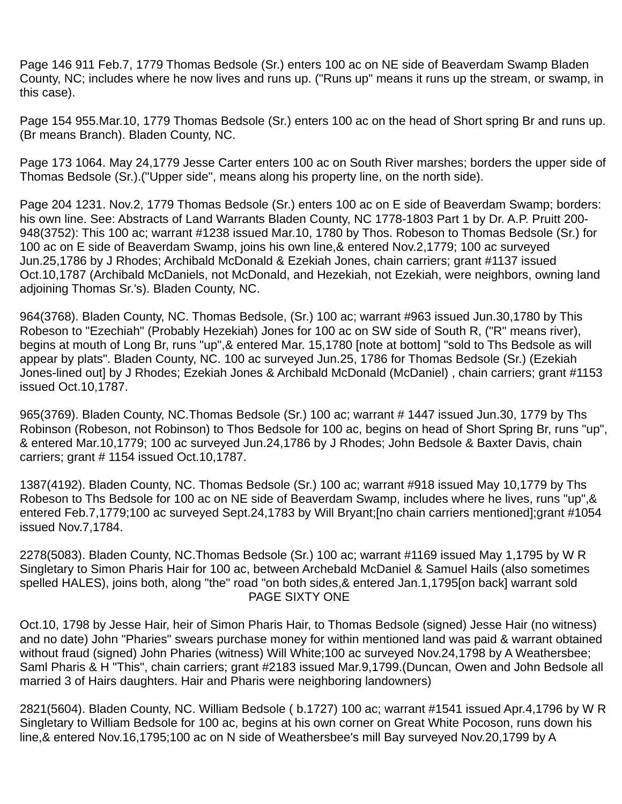Page 146 911 Feb.7, 1779 Thomas Bedsole (Sr.) enters 100 ac on NE side of Beaverdam Swamp Bladen County, NC; includes where he now lives and runs up. ("Runs up" means it runs up the stream, or swamp, in this case).

Page 154 955.Mar.10, 1779 Thomas Bedsole (Sr.) enters 100 ac on the head of Short spring Br and runs up. (Br means Branch). Bladen County, NC.

Page 173 1064. May 24,1779 Jesse Carter enters 100 ac on South River marshes; borders the upper side of Thomas Bedsole (Sr.).("Upper side", means along his property line, on the north side).

Page 204 1231. Nov.2, 1779 Thomas Bedsole (Sr.) enters 100 ac on E side of Beaverdam Swamp; borders: his own line. See: Abstracts of Land Warrants Bladen County, NC 1778-1803 Part 1 by Dr. A.P. Pruitt 200- 948(3752): This 100 ac; warrant #1238 issued Mar.10, 1780 by Thos. Robeson to Thomas Bedsole (Sr.) for 100 ac on E side of Beaverdam Swamp, joins his own line,& entered Nov.2,1779; 100 ac surveyed Jun.25,1786 by J Rhodes; Archibald McDonald & Ezekiah Jones, chain carriers; grant #1137 issued Oct.10,1787 (Archibald McDaniels, not McDonald, and Hezekiah, not Ezekiah, were neighbors, owning land adjoining Thomas Sr.'s). Bladen County, NC.

964(3768). Bladen County, NC. Thomas Bedsole, (Sr.) 100 ac; warrant #963 issued Jun.30,1780 by This Robeson to "Ezechiah" (Probably Hezekiah) Jones for 100 ac on SW side of South R, ("R" means river), begins at mouth of Long Br, runs "up",& entered Mar. 15,1780 [note at bottom] "sold to Ths Bedsole as will appear by plats". Bladen County, NC. 100 ac surveyed Jun.25, 1786 for Thomas Bedsole (Sr.) (Ezekiah Jones-lined out] by J Rhodes; Ezekiah Jones & Archibald McDonald (McDaniel) , chain carriers; grant #1153 issued Oct.10,1787.

965(3769). Bladen County, NC.Thomas Bedsole (Sr.) 100 ac; warrant # 1447 issued Jun.30, 1779 by Ths Robinson (Robeson, not Robinson) to Thos Bedsole for 100 ac, begins on head of Short Spring Br, runs "up", & entered Mar.10,1779; 100 ac surveyed Jun.24,1786 by J Rhodes; John Bedsole & Baxter Davis, chain carriers; grant # 1154 issued Oct.10,1787.

1387(4192). Bladen County, NC. Thomas Bedsole (Sr.) 100 ac; warrant #918 issued May 10,1779 by Ths Robeson to Ths Bedsole for 100 ac on NE side of Beaverdam Swamp, includes where he lives, runs "up", & entered Feb.7,1779;100 ac surveyed Sept.24,1783 by Will Bryant;[no chain carriers mentioned];grant #1054 issued Nov.7,1784.

2278(5083). Bladen County, NC.Thomas Bedsole (Sr.) 100 ac; warrant #1169 issued May 1,1795 by W R Singletary to Simon Pharis Hair for 100 ac, between Archebald McDaniel & Samuel Hails (also sometimes spelled HALES), joins both, along "the" road "on both sides,& entered Jan.1,1795[on back] warrant sold PAGE SIXTY ONE

Oct.10, 1798 by Jesse Hair, heir of Simon Pharis Hair, to Thomas Bedsole (signed) Jesse Hair (no witness) and no date) John "Pharies" swears purchase money for within mentioned land was paid & warrant obtained without fraud (signed) John Pharies (witness) Will White;100 ac surveyed Nov.24,1798 by A Weathersbee; Saml Pharis & H "This", chain carriers; grant #2183 issued Mar.9,1799.(Duncan, Owen and John Bedsole all married 3 of Hairs daughters. Hair and Pharis were neighboring landowners)

2821(5604). Bladen County, NC. William Bedsole ( b.1727) 100 ac; warrant #1541 issued Apr.4,1796 by W R Singletary to William Bedsole for 100 ac, begins at his own corner on Great White Pocoson, runs down his line,& entered Nov.16,1795;100 ac on N side of Weathersbee's mill Bay surveyed Nov.20,1799 by A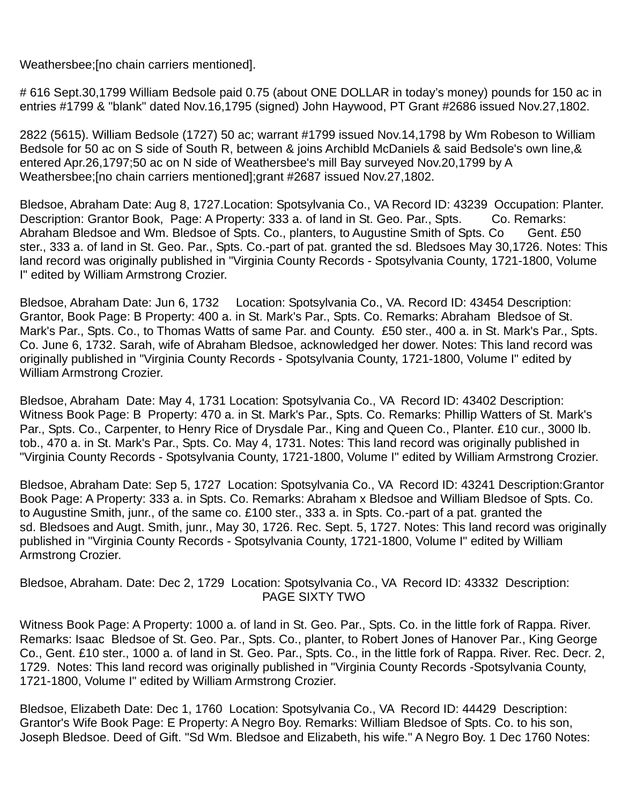Weathersbee;[no chain carriers mentioned].

# 616 Sept.30,1799 William Bedsole paid 0.75 (about ONE DOLLAR in today's money) pounds for 150 ac in entries #1799 & "blank" dated Nov.16,1795 (signed) John Haywood, PT Grant #2686 issued Nov.27,1802.

2822 (5615). William Bedsole (1727) 50 ac; warrant #1799 issued Nov.14,1798 by Wm Robeson to William Bedsole for 50 ac on S side of South R, between & joins Archibld McDaniels & said Bedsole's own line,& entered Apr.26,1797;50 ac on N side of Weathersbee's mill Bay surveyed Nov.20,1799 by A Weathersbee;[no chain carriers mentioned];grant #2687 issued Nov.27,1802.

Bledsoe, Abraham Date: Aug 8, 1727.Location: Spotsylvania Co., VA Record ID: 43239 Occupation: Planter. Description: Grantor Book. Page: A Property: 333 a. of land in St. Geo. Par., Spts. Co. Remarks: Abraham Bledsoe and Wm. Bledsoe of Spts. Co., planters, to Augustine Smith of Spts. Co Gent. £50 ster., 333 a. of land in St. Geo. Par., Spts. Co.-part of pat. granted the sd. Bledsoes May 30,1726. Notes: This land record was originally published in "Virginia County Records - Spotsylvania County, 1721-1800, Volume I" edited by William Armstrong Crozier.

Bledsoe, Abraham Date: Jun 6, 1732 Location: Spotsylvania Co., VA. Record ID: 43454 Description: Grantor, Book Page: B Property: 400 a. in St. Mark's Par., Spts. Co. Remarks: Abraham Bledsoe of St. Mark's Par., Spts. Co., to Thomas Watts of same Par. and County. £50 ster., 400 a. in St. Mark's Par., Spts. Co. June 6, 1732. Sarah, wife of Abraham Bledsoe, acknowledged her dower. Notes: This land record was originally published in "Virginia County Records - Spotsylvania County, 1721-1800, Volume I" edited by William Armstrong Crozier.

Bledsoe, Abraham Date: May 4, 1731 Location: Spotsylvania Co., VA Record ID: 43402 Description: Witness Book Page: B Property: 470 a. in St. Mark's Par., Spts. Co. Remarks: Phillip Watters of St. Mark's Par., Spts. Co., Carpenter, to Henry Rice of Drysdale Par., King and Queen Co., Planter. £10 cur., 3000 lb. tob., 470 a. in St. Mark's Par., Spts. Co. May 4, 1731. Notes: This land record was originally published in "Virginia County Records - Spotsylvania County, 1721-1800, Volume I" edited by William Armstrong Crozier.

Bledsoe, Abraham Date: Sep 5, 1727 Location: Spotsylvania Co., VA Record ID: 43241 Description:Grantor Book Page: A Property: 333 a. in Spts. Co. Remarks: Abraham x Bledsoe and William Bledsoe of Spts. Co. to Augustine Smith, junr., of the same co. £100 ster., 333 a. in Spts. Co.-part of a pat. granted the sd. Bledsoes and Augt. Smith, junr., May 30, 1726. Rec. Sept. 5, 1727. Notes: This land record was originally published in "Virginia County Records - Spotsylvania County, 1721-1800, Volume I" edited by William Armstrong Crozier.

Bledsoe, Abraham. Date: Dec 2, 1729 Location: Spotsylvania Co., VA Record ID: 43332 Description: PAGE SIXTY TWO

Witness Book Page: A Property: 1000 a. of land in St. Geo. Par., Spts. Co. in the little fork of Rappa. River. Remarks: Isaac Bledsoe of St. Geo. Par., Spts. Co., planter, to Robert Jones of Hanover Par., King George Co., Gent. £10 ster., 1000 a. of land in St. Geo. Par., Spts. Co., in the little fork of Rappa. River. Rec. Decr. 2, 1729. Notes: This land record was originally published in "Virginia County Records -Spotsylvania County, 1721-1800, Volume I" edited by William Armstrong Crozier.

Bledsoe, Elizabeth Date: Dec 1, 1760 Location: Spotsylvania Co., VA Record ID: 44429 Description: Grantor's Wife Book Page: E Property: A Negro Boy. Remarks: William Bledsoe of Spts. Co. to his son, Joseph Bledsoe. Deed of Gift. "Sd Wm. Bledsoe and Elizabeth, his wife." A Negro Boy. 1 Dec 1760 Notes: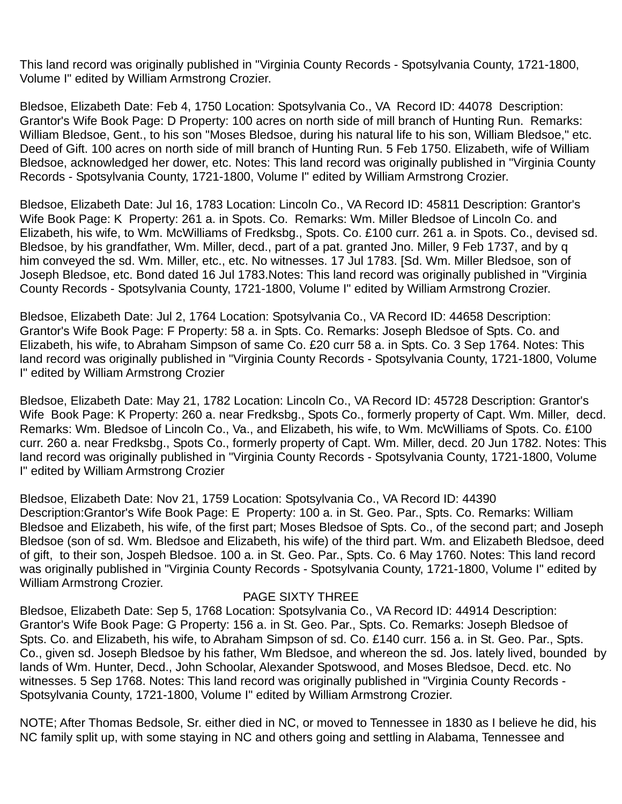This land record was originally published in "Virginia County Records - Spotsylvania County, 1721-1800, Volume I" edited by William Armstrong Crozier.

Bledsoe, Elizabeth Date: Feb 4, 1750 Location: Spotsylvania Co., VA Record ID: 44078 Description: Grantor's Wife Book Page: D Property: 100 acres on north side of mill branch of Hunting Run. Remarks: William Bledsoe, Gent., to his son "Moses Bledsoe, during his natural life to his son, William Bledsoe," etc. Deed of Gift. 100 acres on north side of mill branch of Hunting Run. 5 Feb 1750. Elizabeth, wife of William Bledsoe, acknowledged her dower, etc. Notes: This land record was originally published in "Virginia County Records - Spotsylvania County, 1721-1800, Volume I" edited by William Armstrong Crozier.

Bledsoe, Elizabeth Date: Jul 16, 1783 Location: Lincoln Co., VA Record ID: 45811 Description: Grantor's Wife Book Page: K Property: 261 a. in Spots. Co. Remarks: Wm. Miller Bledsoe of Lincoln Co. and Elizabeth, his wife, to Wm. McWilliams of Fredksbg., Spots. Co. £100 curr. 261 a. in Spots. Co., devised sd. Bledsoe, by his grandfather, Wm. Miller, decd., part of a pat. granted Jno. Miller, 9 Feb 1737, and by q him conveyed the sd. Wm. Miller, etc., etc. No witnesses. 17 Jul 1783. [Sd. Wm. Miller Bledsoe, son of Joseph Bledsoe, etc. Bond dated 16 Jul 1783.Notes: This land record was originally published in "Virginia County Records - Spotsylvania County, 1721-1800, Volume I" edited by William Armstrong Crozier.

Bledsoe, Elizabeth Date: Jul 2, 1764 Location: Spotsylvania Co., VA Record ID: 44658 Description: Grantor's Wife Book Page: F Property: 58 a. in Spts. Co. Remarks: Joseph Bledsoe of Spts. Co. and Elizabeth, his wife, to Abraham Simpson of same Co. £20 curr 58 a. in Spts. Co. 3 Sep 1764. Notes: This land record was originally published in "Virginia County Records - Spotsylvania County, 1721-1800, Volume I" edited by William Armstrong Crozier

Bledsoe, Elizabeth Date: May 21, 1782 Location: Lincoln Co., VA Record ID: 45728 Description: Grantor's Wife Book Page: K Property: 260 a. near Fredksbg., Spots Co., formerly property of Capt. Wm. Miller, decd. Remarks: Wm. Bledsoe of Lincoln Co., Va., and Elizabeth, his wife, to Wm. McWilliams of Spots. Co. £100 curr. 260 a. near Fredksbg., Spots Co., formerly property of Capt. Wm. Miller, decd. 20 Jun 1782. Notes: This land record was originally published in "Virginia County Records - Spotsylvania County, 1721-1800, Volume I" edited by William Armstrong Crozier

Bledsoe, Elizabeth Date: Nov 21, 1759 Location: Spotsylvania Co., VA Record ID: 44390 Description:Grantor's Wife Book Page: E Property: 100 a. in St. Geo. Par., Spts. Co. Remarks: William Bledsoe and Elizabeth, his wife, of the first part; Moses Bledsoe of Spts. Co., of the second part; and Joseph Bledsoe (son of sd. Wm. Bledsoe and Elizabeth, his wife) of the third part. Wm. and Elizabeth Bledsoe, deed of gift, to their son, Jospeh Bledsoe. 100 a. in St. Geo. Par., Spts. Co. 6 May 1760. Notes: This land record was originally published in "Virginia County Records - Spotsylvania County, 1721-1800, Volume I" edited by William Armstrong Crozier.

### PAGE SIXTY THREE

Bledsoe, Elizabeth Date: Sep 5, 1768 Location: Spotsylvania Co., VA Record ID: 44914 Description: Grantor's Wife Book Page: G Property: 156 a. in St. Geo. Par., Spts. Co. Remarks: Joseph Bledsoe of Spts. Co. and Elizabeth, his wife, to Abraham Simpson of sd. Co. £140 curr. 156 a. in St. Geo. Par., Spts. Co., given sd. Joseph Bledsoe by his father, Wm Bledsoe, and whereon the sd. Jos. lately lived, bounded by lands of Wm. Hunter, Decd., John Schoolar, Alexander Spotswood, and Moses Bledsoe, Decd. etc. No witnesses. 5 Sep 1768. Notes: This land record was originally published in "Virginia County Records - Spotsylvania County, 1721-1800, Volume I" edited by William Armstrong Crozier.

NOTE; After Thomas Bedsole, Sr. either died in NC, or moved to Tennessee in 1830 as I believe he did, his NC family split up, with some staying in NC and others going and settling in Alabama, Tennessee and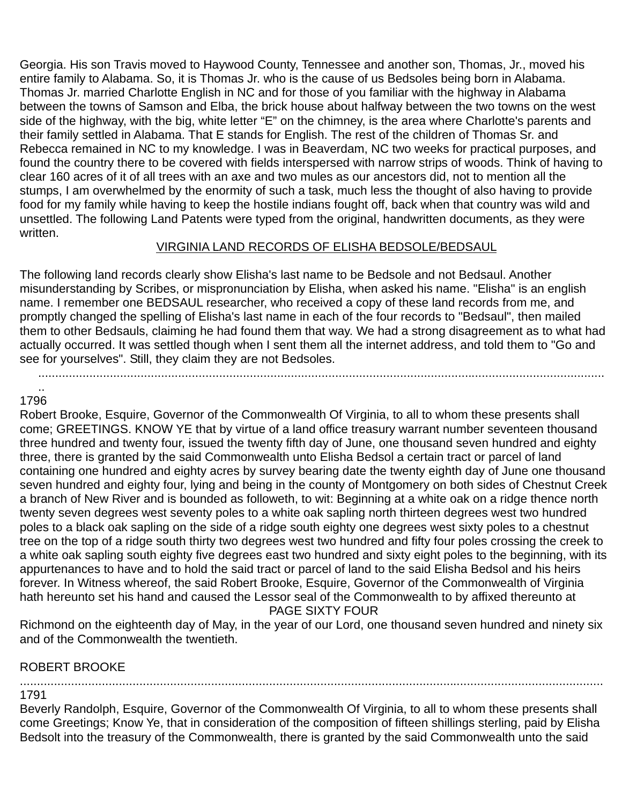Georgia. His son Travis moved to Haywood County, Tennessee and another son, Thomas, Jr., moved his entire family to Alabama. So, it is Thomas Jr. who is the cause of us Bedsoles being born in Alabama. Thomas Jr. married Charlotte English in NC and for those of you familiar with the highway in Alabama between the towns of Samson and Elba, the brick house about halfway between the two towns on the west side of the highway, with the big, white letter "E" on the chimney, is the area where Charlotte's parents and their family settled in Alabama. That E stands for English. The rest of the children of Thomas Sr. and Rebecca remained in NC to my knowledge. I was in Beaverdam, NC two weeks for practical purposes, and found the country there to be covered with fields interspersed with narrow strips of woods. Think of having to clear 160 acres of it of all trees with an axe and two mules as our ancestors did, not to mention all the stumps, I am overwhelmed by the enormity of such a task, much less the thought of also having to provide food for my family while having to keep the hostile indians fought off, back when that country was wild and unsettled. The following Land Patents were typed from the original, handwritten documents, as they were written.

## VIRGINIA LAND RECORDS OF ELISHA BEDSOLE/BEDSAUL

The following land records clearly show Elisha's last name to be Bedsole and not Bedsaul. Another misunderstanding by Scribes, or mispronunciation by Elisha, when asked his name. "Elisha" is an english name. I remember one BEDSAUL researcher, who received a copy of these land records from me, and promptly changed the spelling of Elisha's last name in each of the four records to "Bedsaul", then mailed them to other Bedsauls, claiming he had found them that way. We had a strong disagreement as to what had actually occurred. It was settled though when I sent them all the internet address, and told them to "Go and see for yourselves". Still, they claim they are not Bedsoles.

......................................................................................................................................................................

#### .. 1796

Robert Brooke, Esquire, Governor of the Commonwealth Of Virginia, to all to whom these presents shall come; GREETINGS. KNOW YE that by virtue of a land office treasury warrant number seventeen thousand three hundred and twenty four, issued the twenty fifth day of June, one thousand seven hundred and eighty three, there is granted by the said Commonwealth unto Elisha Bedsol a certain tract or parcel of land containing one hundred and eighty acres by survey bearing date the twenty eighth day of June one thousand seven hundred and eighty four, lying and being in the county of Montgomery on both sides of Chestnut Creek a branch of New River and is bounded as followeth, to wit: Beginning at a white oak on a ridge thence north twenty seven degrees west seventy poles to a white oak sapling north thirteen degrees west two hundred poles to a black oak sapling on the side of a ridge south eighty one degrees west sixty poles to a chestnut tree on the top of a ridge south thirty two degrees west two hundred and fifty four poles crossing the creek to a white oak sapling south eighty five degrees east two hundred and sixty eight poles to the beginning, with its appurtenances to have and to hold the said tract or parcel of land to the said Elisha Bedsol and his heirs forever. In Witness whereof, the said Robert Brooke, Esquire, Governor of the Commonwealth of Virginia hath hereunto set his hand and caused the Lessor seal of the Commonwealth to by affixed thereunto at

### PAGE SIXTY FOUR

Richmond on the eighteenth day of May, in the year of our Lord, one thousand seven hundred and ninety six and of the Commonwealth the twentieth.

## ROBERT BROOKE

...........................................................................................................................................................................

### 1791

Beverly Randolph, Esquire, Governor of the Commonwealth Of Virginia, to all to whom these presents shall come Greetings; Know Ye, that in consideration of the composition of fifteen shillings sterling, paid by Elisha Bedsolt into the treasury of the Commonwealth, there is granted by the said Commonwealth unto the said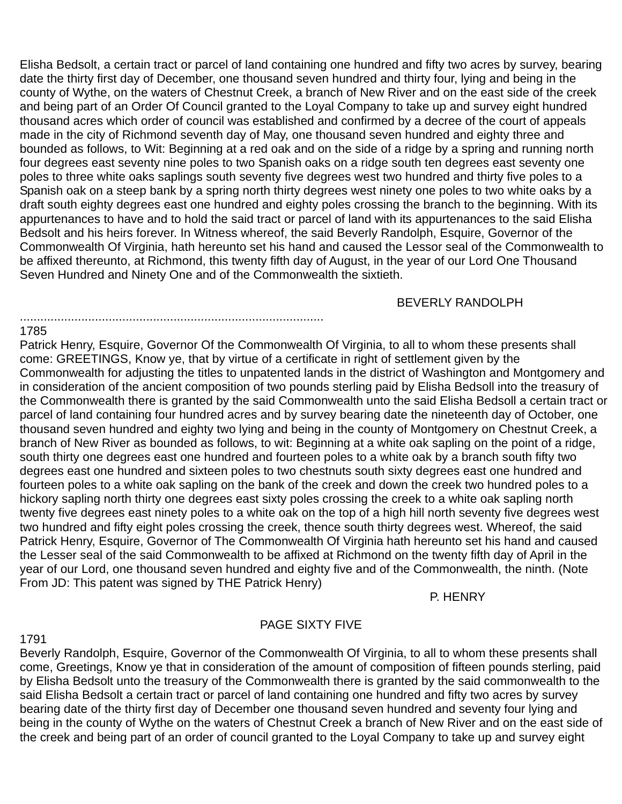Elisha Bedsolt, a certain tract or parcel of land containing one hundred and fifty two acres by survey, bearing date the thirty first day of December, one thousand seven hundred and thirty four, lying and being in the county of Wythe, on the waters of Chestnut Creek, a branch of New River and on the east side of the creek and being part of an Order Of Council granted to the Loyal Company to take up and survey eight hundred thousand acres which order of council was established and confirmed by a decree of the court of appeals made in the city of Richmond seventh day of May, one thousand seven hundred and eighty three and bounded as follows, to Wit: Beginning at a red oak and on the side of a ridge by a spring and running north four degrees east seventy nine poles to two Spanish oaks on a ridge south ten degrees east seventy one poles to three white oaks saplings south seventy five degrees west two hundred and thirty five poles to a Spanish oak on a steep bank by a spring north thirty degrees west ninety one poles to two white oaks by a draft south eighty degrees east one hundred and eighty poles crossing the branch to the beginning. With its appurtenances to have and to hold the said tract or parcel of land with its appurtenances to the said Elisha Bedsolt and his heirs forever. In Witness whereof, the said Beverly Randolph, Esquire, Governor of the Commonwealth Of Virginia, hath hereunto set his hand and caused the Lessor seal of the Commonwealth to be affixed thereunto, at Richmond, this twenty fifth day of August, in the year of our Lord One Thousand Seven Hundred and Ninety One and of the Commonwealth the sixtieth.

BEVERLY RANDOLPH

#### ......................................................................................... 1785

Patrick Henry, Esquire, Governor Of the Commonwealth Of Virginia, to all to whom these presents shall come: GREETINGS, Know ye, that by virtue of a certificate in right of settlement given by the Commonwealth for adjusting the titles to unpatented lands in the district of Washington and Montgomery and in consideration of the ancient composition of two pounds sterling paid by Elisha Bedsoll into the treasury of the Commonwealth there is granted by the said Commonwealth unto the said Elisha Bedsoll a certain tract or parcel of land containing four hundred acres and by survey bearing date the nineteenth day of October, one thousand seven hundred and eighty two lying and being in the county of Montgomery on Chestnut Creek, a branch of New River as bounded as follows, to wit: Beginning at a white oak sapling on the point of a ridge, south thirty one degrees east one hundred and fourteen poles to a white oak by a branch south fifty two degrees east one hundred and sixteen poles to two chestnuts south sixty degrees east one hundred and fourteen poles to a white oak sapling on the bank of the creek and down the creek two hundred poles to a hickory sapling north thirty one degrees east sixty poles crossing the creek to a white oak sapling north twenty five degrees east ninety poles to a white oak on the top of a high hill north seventy five degrees west two hundred and fifty eight poles crossing the creek, thence south thirty degrees west. Whereof, the said Patrick Henry, Esquire, Governor of The Commonwealth Of Virginia hath hereunto set his hand and caused the Lesser seal of the said Commonwealth to be affixed at Richmond on the twenty fifth day of April in the year of our Lord, one thousand seven hundred and eighty five and of the Commonwealth, the ninth. (Note From JD: This patent was signed by THE Patrick Henry)

P. HENRY

## PAGE SIXTY FIVE

1791

Beverly Randolph, Esquire, Governor of the Commonwealth Of Virginia, to all to whom these presents shall come, Greetings, Know ye that in consideration of the amount of composition of fifteen pounds sterling, paid by Elisha Bedsolt unto the treasury of the Commonwealth there is granted by the said commonwealth to the said Elisha Bedsolt a certain tract or parcel of land containing one hundred and fifty two acres by survey bearing date of the thirty first day of December one thousand seven hundred and seventy four lying and being in the county of Wythe on the waters of Chestnut Creek a branch of New River and on the east side of the creek and being part of an order of council granted to the Loyal Company to take up and survey eight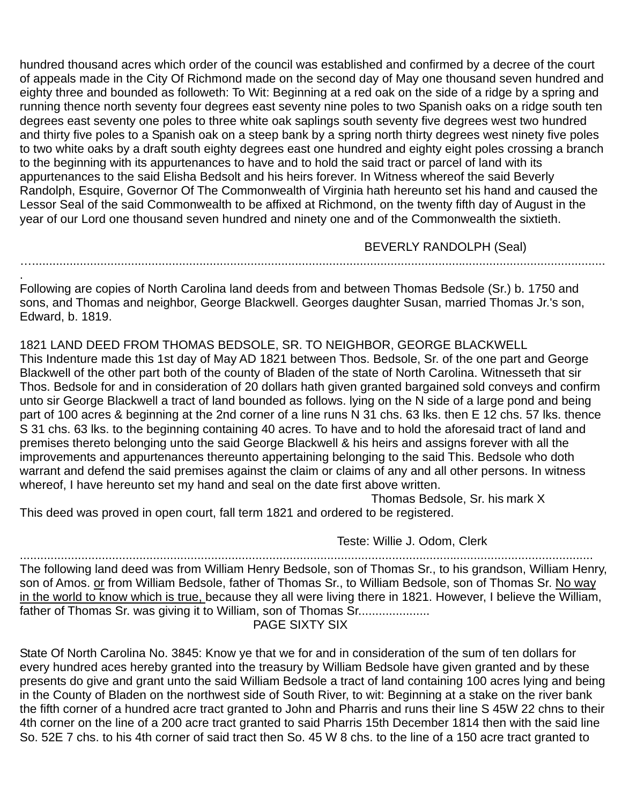hundred thousand acres which order of the council was established and confirmed by a decree of the court of appeals made in the City Of Richmond made on the second day of May one thousand seven hundred and eighty three and bounded as followeth: To Wit: Beginning at a red oak on the side of a ridge by a spring and running thence north seventy four degrees east seventy nine poles to two Spanish oaks on a ridge south ten degrees east seventy one poles to three white oak saplings south seventy five degrees west two hundred and thirty five poles to a Spanish oak on a steep bank by a spring north thirty degrees west ninety five poles to two white oaks by a draft south eighty degrees east one hundred and eighty eight poles crossing a branch to the beginning with its appurtenances to have and to hold the said tract or parcel of land with its appurtenances to the said Elisha Bedsolt and his heirs forever. In Witness whereof the said Beverly Randolph, Esquire, Governor Of The Commonwealth of Virginia hath hereunto set his hand and caused the Lessor Seal of the said Commonwealth to be affixed at Richmond, on the twenty fifth day of August in the year of our Lord one thousand seven hundred and ninety one and of the Commonwealth the sixtieth.

BEVERLY RANDOLPH (Seal)

. Following are copies of North Carolina land deeds from and between Thomas Bedsole (Sr.) b. 1750 and sons, and Thomas and neighbor, George Blackwell. Georges daughter Susan, married Thomas Jr.'s son, Edward, b. 1819.

…........................................................................................................................................................................

1821 LAND DEED FROM THOMAS BEDSOLE, SR. TO NEIGHBOR, GEORGE BLACKWELL

This Indenture made this 1st day of May AD 1821 between Thos. Bedsole, Sr. of the one part and George Blackwell of the other part both of the county of Bladen of the state of North Carolina. Witnesseth that sir Thos. Bedsole for and in consideration of 20 dollars hath given granted bargained sold conveys and confirm unto sir George Blackwell a tract of land bounded as follows. lying on the N side of a large pond and being part of 100 acres & beginning at the 2nd corner of a line runs N 31 chs. 63 lks. then E 12 chs. 57 lks. thence S 31 chs. 63 lks. to the beginning containing 40 acres. To have and to hold the aforesaid tract of land and premises thereto belonging unto the said George Blackwell & his heirs and assigns forever with all the improvements and appurtenances thereunto appertaining belonging to the said This. Bedsole who doth warrant and defend the said premises against the claim or claims of any and all other persons. In witness whereof, I have hereunto set my hand and seal on the date first above written.

Thomas Bedsole, Sr. his mark X

This deed was proved in open court, fall term 1821 and ordered to be registered.

Teste: Willie J. Odom, Clerk

........................................................................................................................................................................ The following land deed was from William Henry Bedsole, son of Thomas Sr., to his grandson, William Henry, son of Amos. or from William Bedsole, father of Thomas Sr., to William Bedsole, son of Thomas Sr. No way in the world to know which is true, because they all were living there in 1821. However, I believe the William, father of Thomas Sr. was giving it to William, son of Thomas Sr..................... PAGE SIXTY SIX

State Of North Carolina No. 3845: Know ye that we for and in consideration of the sum of ten dollars for every hundred aces hereby granted into the treasury by William Bedsole have given granted and by these presents do give and grant unto the said William Bedsole a tract of land containing 100 acres lying and being in the County of Bladen on the northwest side of South River, to wit: Beginning at a stake on the river bank the fifth corner of a hundred acre tract granted to John and Pharris and runs their line S 45W 22 chns to their 4th corner on the line of a 200 acre tract granted to said Pharris 15th December 1814 then with the said line So. 52E 7 chs. to his 4th corner of said tract then So. 45 W 8 chs. to the line of a 150 acre tract granted to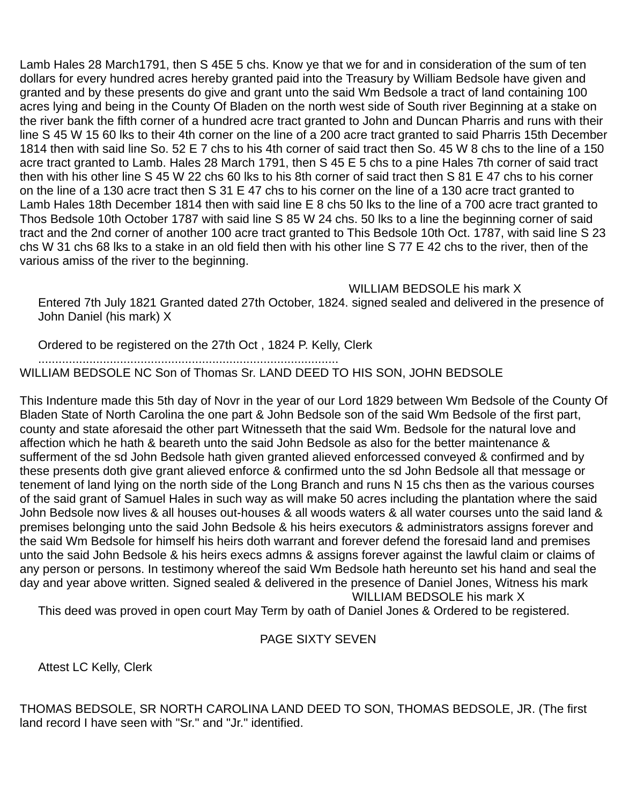Lamb Hales 28 March1791, then S 45E 5 chs. Know ye that we for and in consideration of the sum of ten dollars for every hundred acres hereby granted paid into the Treasury by William Bedsole have given and granted and by these presents do give and grant unto the said Wm Bedsole a tract of land containing 100 acres lying and being in the County Of Bladen on the north west side of South river Beginning at a stake on the river bank the fifth corner of a hundred acre tract granted to John and Duncan Pharris and runs with their line S 45 W 15 60 lks to their 4th corner on the line of a 200 acre tract granted to said Pharris 15th December 1814 then with said line So. 52 E 7 chs to his 4th corner of said tract then So. 45 W 8 chs to the line of a 150 acre tract granted to Lamb. Hales 28 March 1791, then S 45 E 5 chs to a pine Hales 7th corner of said tract then with his other line S 45 W 22 chs 60 lks to his 8th corner of said tract then S 81 E 47 chs to his corner on the line of a 130 acre tract then S 31 E 47 chs to his corner on the line of a 130 acre tract granted to Lamb Hales 18th December 1814 then with said line E 8 chs 50 lks to the line of a 700 acre tract granted to Thos Bedsole 10th October 1787 with said line S 85 W 24 chs. 50 lks to a line the beginning corner of said tract and the 2nd corner of another 100 acre tract granted to This Bedsole 10th Oct. 1787, with said line S 23 chs W 31 chs 68 lks to a stake in an old field then with his other line S 77 E 42 chs to the river, then of the various amiss of the river to the beginning.

WILLIAM BEDSOLE his mark X

Entered 7th July 1821 Granted dated 27th October, 1824. signed sealed and delivered in the presence of John Daniel (his mark) X

Ordered to be registered on the 27th Oct , 1824 P. Kelly, Clerk

........................................................................................

WILLIAM BEDSOLE NC Son of Thomas Sr. LAND DEED TO HIS SON, JOHN BEDSOLE

This Indenture made this 5th day of Novr in the year of our Lord 1829 between Wm Bedsole of the County Of Bladen State of North Carolina the one part & John Bedsole son of the said Wm Bedsole of the first part, county and state aforesaid the other part Witnesseth that the said Wm. Bedsole for the natural love and affection which he hath & beareth unto the said John Bedsole as also for the better maintenance & sufferment of the sd John Bedsole hath given granted alieved enforcessed conveyed & confirmed and by these presents doth give grant alieved enforce & confirmed unto the sd John Bedsole all that message or tenement of land lying on the north side of the Long Branch and runs N 15 chs then as the various courses of the said grant of Samuel Hales in such way as will make 50 acres including the plantation where the said John Bedsole now lives & all houses out-houses & all woods waters & all water courses unto the said land & premises belonging unto the said John Bedsole & his heirs executors & administrators assigns forever and the said Wm Bedsole for himself his heirs doth warrant and forever defend the foresaid land and premises unto the said John Bedsole & his heirs execs admns & assigns forever against the lawful claim or claims of any person or persons. In testimony whereof the said Wm Bedsole hath hereunto set his hand and seal the day and year above written. Signed sealed & delivered in the presence of Daniel Jones, Witness his mark

WILLIAM BEDSOLE his mark X

This deed was proved in open court May Term by oath of Daniel Jones & Ordered to be registered.

## PAGE SIXTY SEVEN

Attest LC Kelly, Clerk

THOMAS BEDSOLE, SR NORTH CAROLINA LAND DEED TO SON, THOMAS BEDSOLE, JR. (The first land record I have seen with "Sr." and "Jr." identified.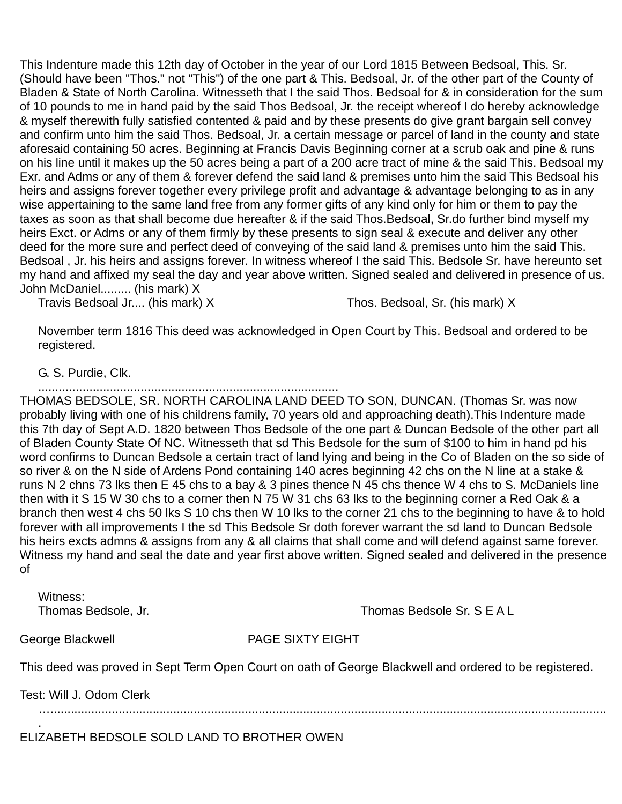This Indenture made this 12th day of October in the year of our Lord 1815 Between Bedsoal, This. Sr. (Should have been "Thos." not "This") of the one part & This. Bedsoal, Jr. of the other part of the County of Bladen & State of North Carolina. Witnesseth that I the said Thos. Bedsoal for & in consideration for the sum of 10 pounds to me in hand paid by the said Thos Bedsoal, Jr. the receipt whereof I do hereby acknowledge & myself therewith fully satisfied contented & paid and by these presents do give grant bargain sell convey and confirm unto him the said Thos. Bedsoal, Jr. a certain message or parcel of land in the county and state aforesaid containing 50 acres. Beginning at Francis Davis Beginning corner at a scrub oak and pine & runs on his line until it makes up the 50 acres being a part of a 200 acre tract of mine & the said This. Bedsoal my Exr. and Adms or any of them & forever defend the said land & premises unto him the said This Bedsoal his heirs and assigns forever together every privilege profit and advantage & advantage belonging to as in any wise appertaining to the same land free from any former gifts of any kind only for him or them to pay the taxes as soon as that shall become due hereafter & if the said Thos.Bedsoal, Sr.do further bind myself my heirs Exct. or Adms or any of them firmly by these presents to sign seal & execute and deliver any other deed for the more sure and perfect deed of conveying of the said land & premises unto him the said This. Bedsoal , Jr. his heirs and assigns forever. In witness whereof I the said This. Bedsole Sr. have hereunto set my hand and affixed my seal the day and year above written. Signed sealed and delivered in presence of us. John McDaniel......... (his mark) X

Travis Bedsoal Jr.... (his mark) X Thos. Bedsoal, Sr. (his mark) X

November term 1816 This deed was acknowledged in Open Court by This. Bedsoal and ordered to be registered.

G. S. Purdie, Clk.

........................................................................................

THOMAS BEDSOLE, SR. NORTH CAROLINA LAND DEED TO SON, DUNCAN. (Thomas Sr. was now probably living with one of his childrens family, 70 years old and approaching death).This Indenture made this 7th day of Sept A.D. 1820 between Thos Bedsole of the one part & Duncan Bedsole of the other part all of Bladen County State Of NC. Witnesseth that sd This Bedsole for the sum of \$100 to him in hand pd his word confirms to Duncan Bedsole a certain tract of land lying and being in the Co of Bladen on the so side of so river & on the N side of Ardens Pond containing 140 acres beginning 42 chs on the N line at a stake & runs N 2 chns 73 lks then E 45 chs to a bay & 3 pines thence N 45 chs thence W 4 chs to S. McDaniels line then with it S 15 W 30 chs to a corner then N 75 W 31 chs 63 lks to the beginning corner a Red Oak & a branch then west 4 chs 50 lks S 10 chs then W 10 lks to the corner 21 chs to the beginning to have & to hold forever with all improvements I the sd This Bedsole Sr doth forever warrant the sd land to Duncan Bedsole his heirs excts admns & assigns from any & all claims that shall come and will defend against same forever. Witness my hand and seal the date and year first above written. Signed sealed and delivered in the presence of

Witness:

Thomas Bedsole, Jr. Thomas Bedsole Sr. S E A L

.

George Blackwell **PAGE SIXTY EIGHT** 

This deed was proved in Sept Term Open Court on oath of George Blackwell and ordered to be registered.

Test: Will J. Odom Clerk

…...................................................................................................................................................................

ELIZABETH BEDSOLE SOLD LAND TO BROTHER OWEN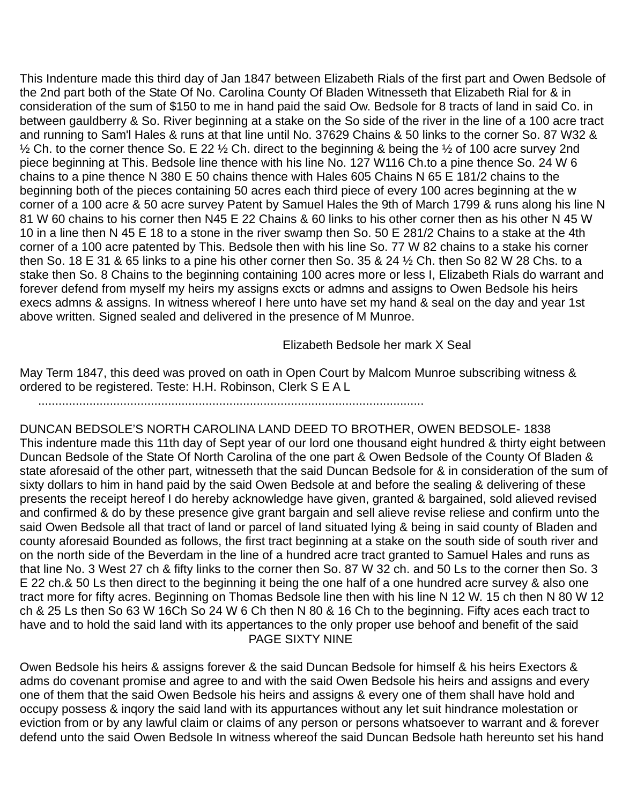This Indenture made this third day of Jan 1847 between Elizabeth Rials of the first part and Owen Bedsole of the 2nd part both of the State Of No. Carolina County Of Bladen Witnesseth that Elizabeth Rial for & in consideration of the sum of \$150 to me in hand paid the said Ow. Bedsole for 8 tracts of land in said Co. in between gauldberry & So. River beginning at a stake on the So side of the river in the line of a 100 acre tract and running to Sam'l Hales & runs at that line until No. 37629 Chains & 50 links to the corner So. 87 W32 &  $\frac{1}{2}$  Ch. to the corner thence So. E 22  $\frac{1}{2}$  Ch. direct to the beginning & being the  $\frac{1}{2}$  of 100 acre survey 2nd piece beginning at This. Bedsole line thence with his line No. 127 W116 Ch.to a pine thence So. 24 W 6 chains to a pine thence N 380 E 50 chains thence with Hales 605 Chains N 65 E 181/2 chains to the beginning both of the pieces containing 50 acres each third piece of every 100 acres beginning at the w corner of a 100 acre & 50 acre survey Patent by Samuel Hales the 9th of March 1799 & runs along his line N 81 W 60 chains to his corner then N45 E 22 Chains & 60 links to his other corner then as his other N 45 W 10 in a line then N 45 E 18 to a stone in the river swamp then So. 50 E 281/2 Chains to a stake at the 4th corner of a 100 acre patented by This. Bedsole then with his line So. 77 W 82 chains to a stake his corner then So. 18 E 31 & 65 links to a pine his other corner then So. 35 & 24 ½ Ch. then So 82 W 28 Chs. to a stake then So. 8 Chains to the beginning containing 100 acres more or less I, Elizabeth Rials do warrant and forever defend from myself my heirs my assigns excts or admns and assigns to Owen Bedsole his heirs execs admns & assigns. In witness whereof I here unto have set my hand & seal on the day and year 1st above written. Signed sealed and delivered in the presence of M Munroe.

Elizabeth Bedsole her mark X Seal

May Term 1847, this deed was proved on oath in Open Court by Malcom Munroe subscribing witness & ordered to be registered. Teste: H.H. Robinson, Clerk S E A L

.................................................................................................................

DUNCAN BEDSOLE'S NORTH CAROLINA LAND DEED TO BROTHER, OWEN BEDSOLE- 1838 This indenture made this 11th day of Sept year of our lord one thousand eight hundred & thirty eight between Duncan Bedsole of the State Of North Carolina of the one part & Owen Bedsole of the County Of Bladen & state aforesaid of the other part, witnesseth that the said Duncan Bedsole for & in consideration of the sum of sixty dollars to him in hand paid by the said Owen Bedsole at and before the sealing & delivering of these presents the receipt hereof I do hereby acknowledge have given, granted & bargained, sold alieved revised and confirmed & do by these presence give grant bargain and sell alieve revise reliese and confirm unto the said Owen Bedsole all that tract of land or parcel of land situated lying & being in said county of Bladen and county aforesaid Bounded as follows, the first tract beginning at a stake on the south side of south river and on the north side of the Beverdam in the line of a hundred acre tract granted to Samuel Hales and runs as that line No. 3 West 27 ch & fifty links to the corner then So. 87 W 32 ch. and 50 Ls to the corner then So. 3 E 22 ch.& 50 Ls then direct to the beginning it being the one half of a one hundred acre survey & also one tract more for fifty acres. Beginning on Thomas Bedsole line then with his line N 12 W. 15 ch then N 80 W 12 ch & 25 Ls then So 63 W 16Ch So 24 W 6 Ch then N 80 & 16 Ch to the beginning. Fifty aces each tract to have and to hold the said land with its appertances to the only proper use behoof and benefit of the said PAGE SIXTY NINE

Owen Bedsole his heirs & assigns forever & the said Duncan Bedsole for himself & his heirs Exectors & adms do covenant promise and agree to and with the said Owen Bedsole his heirs and assigns and every one of them that the said Owen Bedsole his heirs and assigns & every one of them shall have hold and occupy possess & inqory the said land with its appurtances without any let suit hindrance molestation or eviction from or by any lawful claim or claims of any person or persons whatsoever to warrant and & forever defend unto the said Owen Bedsole In witness whereof the said Duncan Bedsole hath hereunto set his hand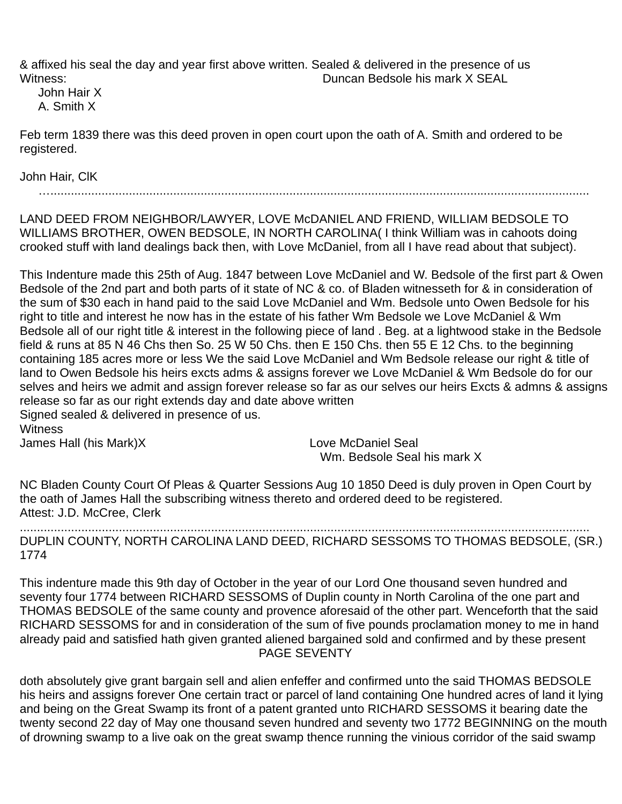& affixed his seal the day and year first above written. Sealed & delivered in the presence of us Witness: Duncan Bedsole his mark X SEAL

John Hair X A. Smith X

Feb term 1839 there was this deed proven in open court upon the oath of A. Smith and ordered to be registered.

John Hair, ClK

…..............................................................................................................................................................

LAND DEED FROM NEIGHBOR/LAWYER, LOVE McDANIEL AND FRIEND, WILLIAM BEDSOLE TO WILLIAMS BROTHER, OWEN BEDSOLE, IN NORTH CAROLINA( I think William was in cahoots doing crooked stuff with land dealings back then, with Love McDaniel, from all I have read about that subject).

This Indenture made this 25th of Aug. 1847 between Love McDaniel and W. Bedsole of the first part & Owen Bedsole of the 2nd part and both parts of it state of NC & co. of Bladen witnesseth for & in consideration of the sum of \$30 each in hand paid to the said Love McDaniel and Wm. Bedsole unto Owen Bedsole for his right to title and interest he now has in the estate of his father Wm Bedsole we Love McDaniel & Wm Bedsole all of our right title & interest in the following piece of land . Beg. at a lightwood stake in the Bedsole field & runs at 85 N 46 Chs then So. 25 W 50 Chs. then E 150 Chs. then 55 E 12 Chs. to the beginning containing 185 acres more or less We the said Love McDaniel and Wm Bedsole release our right & title of land to Owen Bedsole his heirs excts adms & assigns forever we Love McDaniel & Wm Bedsole do for our selves and heirs we admit and assign forever release so far as our selves our heirs Excts & admns & assigns release so far as our right extends day and date above written

Signed sealed & delivered in presence of us. **Witness** 

James Hall (his Mark)X Love McDaniel Seal

Wm. Bedsole Seal his mark X

NC Bladen County Court Of Pleas & Quarter Sessions Aug 10 1850 Deed is duly proven in Open Court by the oath of James Hall the subscribing witness thereto and ordered deed to be registered. Attest: J.D. McCree, Clerk

....................................................................................................................................................................... DUPLIN COUNTY, NORTH CAROLINA LAND DEED, RICHARD SESSOMS TO THOMAS BEDSOLE, (SR.) 1774

This indenture made this 9th day of October in the year of our Lord One thousand seven hundred and seventy four 1774 between RICHARD SESSOMS of Duplin county in North Carolina of the one part and THOMAS BEDSOLE of the same county and provence aforesaid of the other part. Wenceforth that the said RICHARD SESSOMS for and in consideration of the sum of five pounds proclamation money to me in hand already paid and satisfied hath given granted aliened bargained sold and confirmed and by these present PAGE SEVENTY

doth absolutely give grant bargain sell and alien enfeffer and confirmed unto the said THOMAS BEDSOLE his heirs and assigns forever One certain tract or parcel of land containing One hundred acres of land it lying and being on the Great Swamp its front of a patent granted unto RICHARD SESSOMS it bearing date the twenty second 22 day of May one thousand seven hundred and seventy two 1772 BEGINNING on the mouth of drowning swamp to a live oak on the great swamp thence running the vinious corridor of the said swamp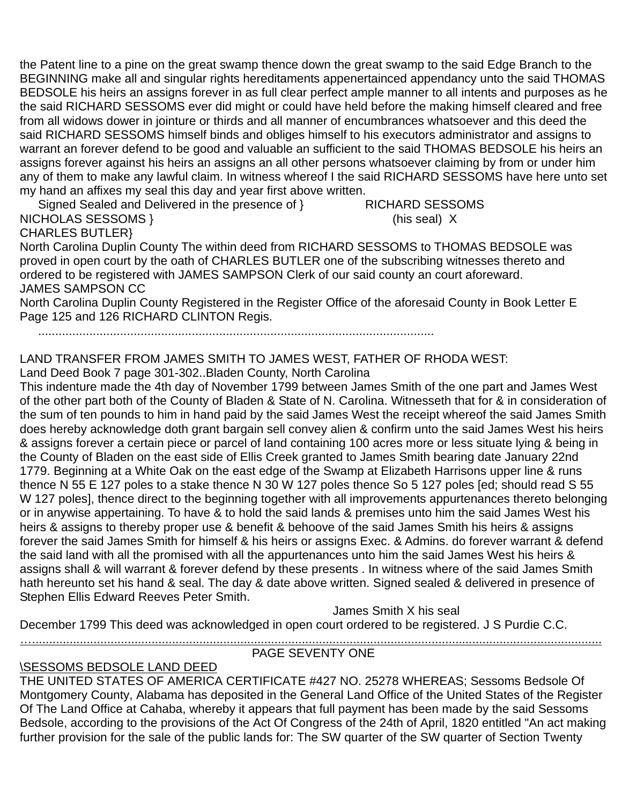the Patent line to a pine on the great swamp thence down the great swamp to the said Edge Branch to the BEGINNING make all and singular rights hereditaments appenertainced appendancy unto the said THOMAS BEDSOLE his heirs an assigns forever in as full clear perfect ample manner to all intents and purposes as he the said RICHARD SESSOMS ever did might or could have held before the making himself cleared and free from all widows dower in jointure or thirds and all manner of encumbrances whatsoever and this deed the said RICHARD SESSOMS himself binds and obliges himself to his executors administrator and assigns to warrant an forever defend to be good and valuable an sufficient to the said THOMAS BEDSOLE his heirs an assigns forever against his heirs an assigns an all other persons whatsoever claiming by from or under him any of them to make any lawful claim. In witness whereof I the said RICHARD SESSOMS have here unto set my hand an affixes my seal this day and year first above written.

Signed Sealed and Delivered in the presence of } RICHARD SESSOMS NICHOLAS SESSOMS } (his seal) X

## CHARLES BUTLER}

North Carolina Duplin County The within deed from RICHARD SESSOMS to THOMAS BEDSOLE was proved in open court by the oath of CHARLES BUTLER one of the subscribing witnesses thereto and ordered to be registered with JAMES SAMPSON Clerk of our said county an court aforeward. JAMES SAMPSON CC

North Carolina Duplin County Registered in the Register Office of the aforesaid County in Book Letter E Page 125 and 126 RICHARD CLINTON Regis.

....................................................................................................................

# LAND TRANSFER FROM JAMES SMITH TO JAMES WEST, FATHER OF RHODA WEST:

Land Deed Book 7 page 301-302..Bladen County, North Carolina

This indenture made the 4th day of November 1799 between James Smith of the one part and James West of the other part both of the County of Bladen & State of N. Carolina. Witnesseth that for & in consideration of the sum of ten pounds to him in hand paid by the said James West the receipt whereof the said James Smith does hereby acknowledge doth grant bargain sell convey alien & confirm unto the said James West his heirs & assigns forever a certain piece or parcel of land containing 100 acres more or less situate lying & being in the County of Bladen on the east side of Ellis Creek granted to James Smith bearing date January 22nd 1779. Beginning at a White Oak on the east edge of the Swamp at Elizabeth Harrisons upper line & runs thence N 55 E 127 poles to a stake thence N 30 W 127 poles thence So 5 127 poles [ed; should read S 55 W 127 poles], thence direct to the beginning together with all improvements appurtenances thereto belonging or in anywise appertaining. To have & to hold the said lands & premises unto him the said James West his heirs & assigns to thereby proper use & benefit & behoove of the said James Smith his heirs & assigns forever the said James Smith for himself & his heirs or assigns Exec. & Admins. do forever warrant & defend the said land with all the promised with all the appurtenances unto him the said James West his heirs & assigns shall & will warrant & forever defend by these presents . In witness where of the said James Smith hath hereunto set his hand & seal. The day & date above written. Signed sealed & delivered in presence of Stephen Ellis Edward Reeves Peter Smith.

James Smith X his seal

December 1799 This deed was acknowledged in open court ordered to be registered. J S Purdie C.C.

#### …....................................................................................................................................................................... PAGE SEVENTY ONE

## \SESSOMS BEDSOLE LAND DEED

THE UNITED STATES OF AMERICA CERTIFICATE #427 NO. 25278 WHEREAS; Sessoms Bedsole Of Montgomery County, Alabama has deposited in the General Land Office of the United States of the Register Of The Land Office at Cahaba, whereby it appears that full payment has been made by the said Sessoms Bedsole, according to the provisions of the Act Of Congress of the 24th of April, 1820 entitled "An act making further provision for the sale of the public lands for: The SW quarter of the SW quarter of Section Twenty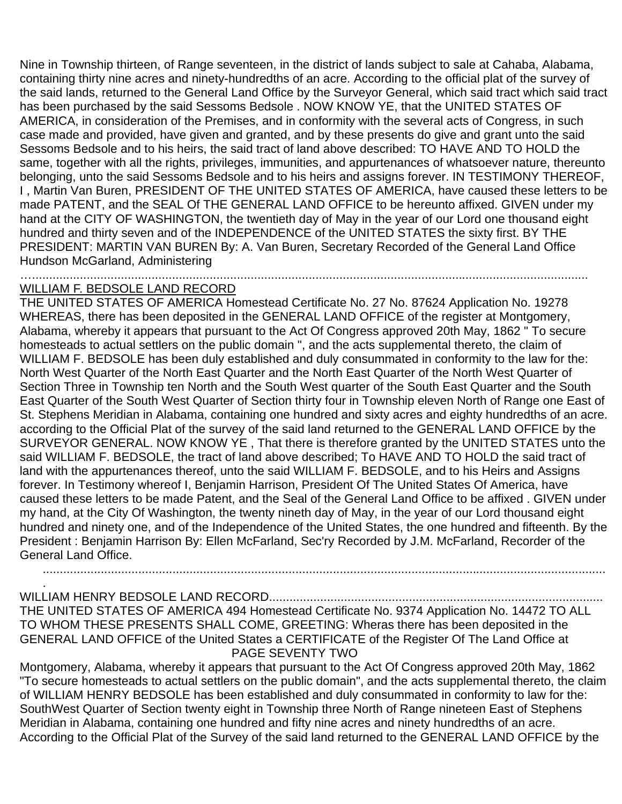Nine in Township thirteen, of Range seventeen, in the district of lands subject to sale at Cahaba, Alabama, containing thirty nine acres and ninety-hundredths of an acre. According to the official plat of the survey of the said lands, returned to the General Land Office by the Surveyor General, which said tract which said tract has been purchased by the said Sessoms Bedsole . NOW KNOW YE, that the UNITED STATES OF AMERICA, in consideration of the Premises, and in conformity with the several acts of Congress, in such case made and provided, have given and granted, and by these presents do give and grant unto the said Sessoms Bedsole and to his heirs, the said tract of land above described: TO HAVE AND TO HOLD the same, together with all the rights, privileges, immunities, and appurtenances of whatsoever nature, thereunto belonging, unto the said Sessoms Bedsole and to his heirs and assigns forever. IN TESTIMONY THEREOF, I , Martin Van Buren, PRESIDENT OF THE UNITED STATES OF AMERICA, have caused these letters to be made PATENT, and the SEAL Of THE GENERAL LAND OFFICE to be hereunto affixed. GIVEN under my hand at the CITY OF WASHINGTON, the twentieth day of May in the year of our Lord one thousand eight hundred and thirty seven and of the INDEPENDENCE of the UNITED STATES the sixty first. BY THE PRESIDENT: MARTIN VAN BUREN By: A. Van Buren, Secretary Recorded of the General Land Office Hundson McGarland, Administering

…...................................................................................................................................................................

## WILLIAM F. BEDSOLE LAND RECORD

.

THE UNITED STATES OF AMERICA Homestead Certificate No. 27 No. 87624 Application No. 19278 WHEREAS, there has been deposited in the GENERAL LAND OFFICE of the register at Montgomery, Alabama, whereby it appears that pursuant to the Act Of Congress approved 20th May, 1862 " To secure homesteads to actual settlers on the public domain ", and the acts supplemental thereto, the claim of WILLIAM F. BEDSOLE has been duly established and duly consummated in conformity to the law for the: North West Quarter of the North East Quarter and the North East Quarter of the North West Quarter of Section Three in Township ten North and the South West quarter of the South East Quarter and the South East Quarter of the South West Quarter of Section thirty four in Township eleven North of Range one East of St. Stephens Meridian in Alabama, containing one hundred and sixty acres and eighty hundredths of an acre. according to the Official Plat of the survey of the said land returned to the GENERAL LAND OFFICE by the SURVEYOR GENERAL. NOW KNOW YE , That there is therefore granted by the UNITED STATES unto the said WILLIAM F. BEDSOLE, the tract of land above described; To HAVE AND TO HOLD the said tract of land with the appurtenances thereof, unto the said WILLIAM F. BEDSOLE, and to his Heirs and Assigns forever. In Testimony whereof I, Benjamin Harrison, President Of The United States Of America, have caused these letters to be made Patent, and the Seal of the General Land Office to be affixed . GIVEN under my hand, at the City Of Washington, the twenty nineth day of May, in the year of our Lord thousand eight hundred and ninety one, and of the Independence of the United States, the one hundred and fifteenth. By the President : Benjamin Harrison By: Ellen McFarland, Sec'ry Recorded by J.M. McFarland, Recorder of the General Land Office.

WILLIAM HENRY BEDSOLE LAND RECORD.................................................................................................. THE UNITED STATES OF AMERICA 494 Homestead Certificate No. 9374 Application No. 14472 TO ALL TO WHOM THESE PRESENTS SHALL COME, GREETING: Wheras there has been deposited in the GENERAL LAND OFFICE of the United States a CERTIFICATE of the Register Of The Land Office at PAGE SEVENTY TWO

.....................................................................................................................................................................

Montgomery, Alabama, whereby it appears that pursuant to the Act Of Congress approved 20th May, 1862 "To secure homesteads to actual settlers on the public domain", and the acts supplemental thereto, the claim of WILLIAM HENRY BEDSOLE has been established and duly consummated in conformity to law for the: SouthWest Quarter of Section twenty eight in Township three North of Range nineteen East of Stephens Meridian in Alabama, containing one hundred and fifty nine acres and ninety hundredths of an acre. According to the Official Plat of the Survey of the said land returned to the GENERAL LAND OFFICE by the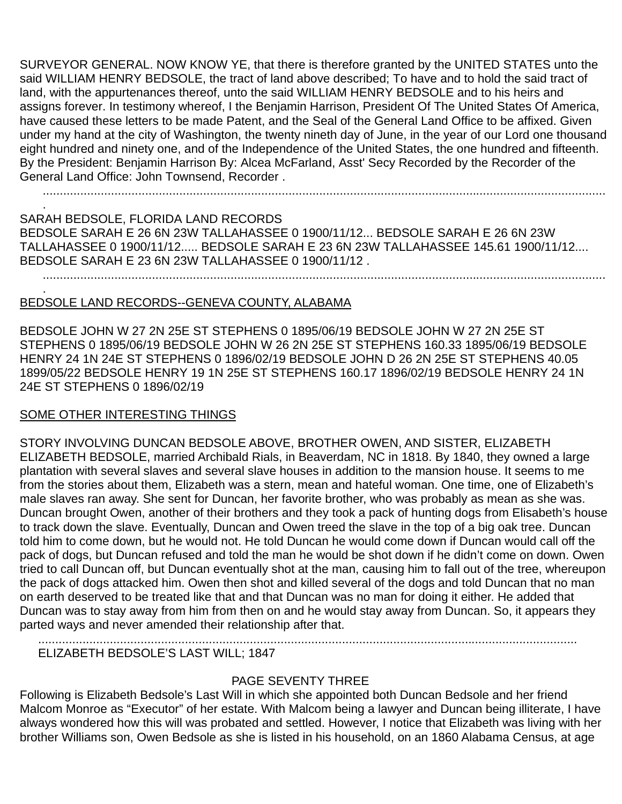SURVEYOR GENERAL. NOW KNOW YE, that there is therefore granted by the UNITED STATES unto the said WILLIAM HENRY BEDSOLE, the tract of land above described; To have and to hold the said tract of land, with the appurtenances thereof, unto the said WILLIAM HENRY BEDSOLE and to his heirs and assigns forever. In testimony whereof, I the Benjamin Harrison, President Of The United States Of America, have caused these letters to be made Patent, and the Seal of the General Land Office to be affixed. Given under my hand at the city of Washington, the twenty nineth day of June, in the year of our Lord one thousand eight hundred and ninety one, and of the Independence of the United States, the one hundred and fifteenth. By the President: Benjamin Harrison By: Alcea McFarland, Asst' Secy Recorded by the Recorder of the General Land Office: John Townsend, Recorder .

.....................................................................................................................................................................

SARAH BEDSOLE, FLORIDA LAND RECORDS BEDSOLE SARAH E 26 6N 23W TALLAHASSEE 0 1900/11/12... BEDSOLE SARAH E 26 6N 23W TALLAHASSEE 0 1900/11/12..... BEDSOLE SARAH E 23 6N 23W TALLAHASSEE 145.61 1900/11/12.... BEDSOLE SARAH E 23 6N 23W TALLAHASSEE 0 1900/11/12 . .....................................................................................................................................................................

#### . BEDSOLE LAND RECORDS--GENEVA COUNTY, ALABAMA

BEDSOLE JOHN W 27 2N 25E ST STEPHENS 0 1895/06/19 BEDSOLE JOHN W 27 2N 25E ST STEPHENS 0 1895/06/19 BEDSOLE JOHN W 26 2N 25E ST STEPHENS 160.33 1895/06/19 BEDSOLE HENRY 24 1N 24E ST STEPHENS 0 1896/02/19 BEDSOLE JOHN D 26 2N 25E ST STEPHENS 40.05 1899/05/22 BEDSOLE HENRY 19 1N 25E ST STEPHENS 160.17 1896/02/19 BEDSOLE HENRY 24 1N 24E ST STEPHENS 0 1896/02/19

### SOME OTHER INTERESTING THINGS

.

STORY INVOLVING DUNCAN BEDSOLE ABOVE, BROTHER OWEN, AND SISTER, ELIZABETH ELIZABETH BEDSOLE, married Archibald Rials, in Beaverdam, NC in 1818. By 1840, they owned a large plantation with several slaves and several slave houses in addition to the mansion house. It seems to me from the stories about them, Elizabeth was a stern, mean and hateful woman. One time, one of Elizabeth's male slaves ran away. She sent for Duncan, her favorite brother, who was probably as mean as she was. Duncan brought Owen, another of their brothers and they took a pack of hunting dogs from Elisabeth's house to track down the slave. Eventually, Duncan and Owen treed the slave in the top of a big oak tree. Duncan told him to come down, but he would not. He told Duncan he would come down if Duncan would call off the pack of dogs, but Duncan refused and told the man he would be shot down if he didn't come on down. Owen tried to call Duncan off, but Duncan eventually shot at the man, causing him to fall out of the tree, whereupon the pack of dogs attacked him. Owen then shot and killed several of the dogs and told Duncan that no man on earth deserved to be treated like that and that Duncan was no man for doing it either. He added that Duncan was to stay away from him from then on and he would stay away from Duncan. So, it appears they parted ways and never amended their relationship after that.

ELIZABETH BEDSOLE'S LAST WILL; 1847

# PAGE SEVENTY THREE

..............................................................................................................................................................

Following is Elizabeth Bedsole's Last Will in which she appointed both Duncan Bedsole and her friend Malcom Monroe as "Executor" of her estate. With Malcom being a lawyer and Duncan being illiterate, I have always wondered how this will was probated and settled. However, I notice that Elizabeth was living with her brother Williams son, Owen Bedsole as she is listed in his household, on an 1860 Alabama Census, at age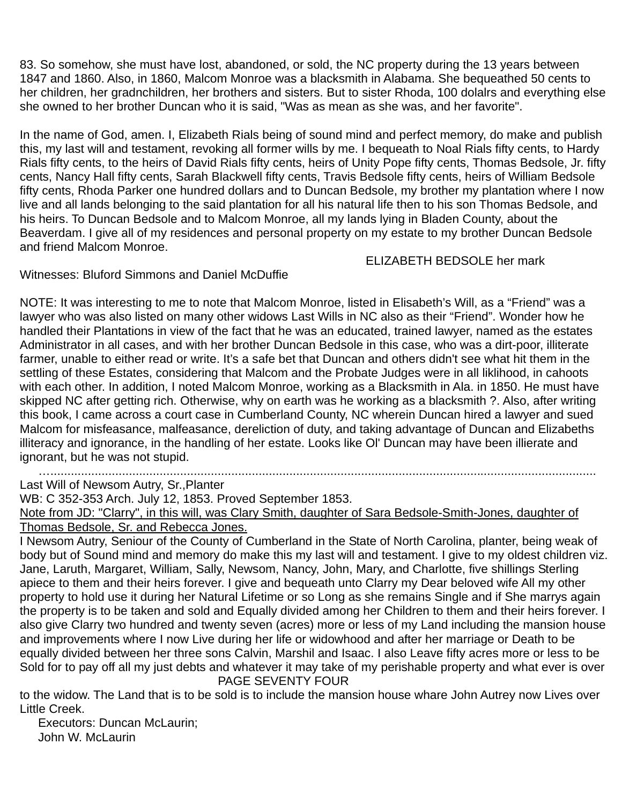83. So somehow, she must have lost, abandoned, or sold, the NC property during the 13 years between 1847 and 1860. Also, in 1860, Malcom Monroe was a blacksmith in Alabama. She bequeathed 50 cents to her children, her gradnchildren, her brothers and sisters. But to sister Rhoda, 100 dolalrs and everything else she owned to her brother Duncan who it is said, "Was as mean as she was, and her favorite".

In the name of God, amen. I, Elizabeth Rials being of sound mind and perfect memory, do make and publish this, my last will and testament, revoking all former wills by me. I bequeath to Noal Rials fifty cents, to Hardy Rials fifty cents, to the heirs of David Rials fifty cents, heirs of Unity Pope fifty cents, Thomas Bedsole, Jr. fifty cents, Nancy Hall fifty cents, Sarah Blackwell fifty cents, Travis Bedsole fifty cents, heirs of William Bedsole fifty cents, Rhoda Parker one hundred dollars and to Duncan Bedsole, my brother my plantation where I now live and all lands belonging to the said plantation for all his natural life then to his son Thomas Bedsole, and his heirs. To Duncan Bedsole and to Malcom Monroe, all my lands lying in Bladen County, about the Beaverdam. I give all of my residences and personal property on my estate to my brother Duncan Bedsole and friend Malcom Monroe.

ELIZABETH BEDSOLE her mark

Witnesses: Bluford Simmons and Daniel McDuffie

NOTE: It was interesting to me to note that Malcom Monroe, listed in Elisabeth's Will, as a "Friend" was a lawyer who was also listed on many other widows Last Wills in NC also as their "Friend". Wonder how he handled their Plantations in view of the fact that he was an educated, trained lawyer, named as the estates Administrator in all cases, and with her brother Duncan Bedsole in this case, who was a dirt-poor, illiterate farmer, unable to either read or write. It's a safe bet that Duncan and others didn't see what hit them in the settling of these Estates, considering that Malcom and the Probate Judges were in all liklihood, in cahoots with each other. In addition, I noted Malcom Monroe, working as a Blacksmith in Ala. in 1850. He must have skipped NC after getting rich. Otherwise, why on earth was he working as a blacksmith ?. Also, after writing this book, I came across a court case in Cumberland County, NC wherein Duncan hired a lawyer and sued Malcom for misfeasance, malfeasance, dereliction of duty, and taking advantage of Duncan and Elizabeths illiteracy and ignorance, in the handling of her estate. Looks like Ol' Duncan may have been illierate and ignorant, but he was not stupid.

…................................................................................................................................................................

Last Will of Newsom Autry, Sr.,Planter

WB: C 352-353 Arch. July 12, 1853. Proved September 1853.

Note from JD: "Clarry", in this will, was Clary Smith, daughter of Sara Bedsole-Smith-Jones, daughter of Thomas Bedsole, Sr. and Rebecca Jones.

I Newsom Autry, Seniour of the County of Cumberland in the State of North Carolina, planter, being weak of body but of Sound mind and memory do make this my last will and testament. I give to my oldest children viz. Jane, Laruth, Margaret, William, Sally, Newsom, Nancy, John, Mary, and Charlotte, five shillings Sterling apiece to them and their heirs forever. I give and bequeath unto Clarry my Dear beloved wife All my other property to hold use it during her Natural Lifetime or so Long as she remains Single and if She marrys again the property is to be taken and sold and Equally divided among her Children to them and their heirs forever. I also give Clarry two hundred and twenty seven (acres) more or less of my Land including the mansion house and improvements where I now Live during her life or widowhood and after her marriage or Death to be equally divided between her three sons Calvin, Marshil and Isaac. I also Leave fifty acres more or less to be Sold for to pay off all my just debts and whatever it may take of my perishable property and what ever is over PAGE SEVENTY FOUR

to the widow. The Land that is to be sold is to include the mansion house whare John Autrey now Lives over Little Creek.

Executors: Duncan McLaurin; John W. McLaurin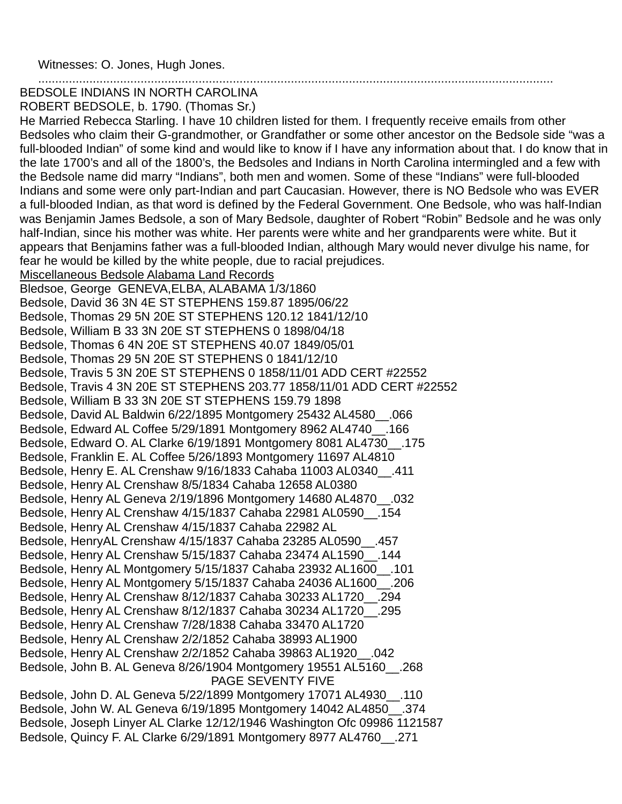Witnesses: O. Jones, Hugh Jones.

#### ....................................................................................................................................................... BEDSOLE INDIANS IN NORTH CAROLINA

ROBERT BEDSOLE, b. 1790. (Thomas Sr.)

He Married Rebecca Starling. I have 10 children listed for them. I frequently receive emails from other Bedsoles who claim their G-grandmother, or Grandfather or some other ancestor on the Bedsole side "was a full-blooded Indian" of some kind and would like to know if I have any information about that. I do know that in the late 1700's and all of the 1800's, the Bedsoles and Indians in North Carolina intermingled and a few with the Bedsole name did marry "Indians", both men and women. Some of these "Indians" were full-blooded Indians and some were only part-Indian and part Caucasian. However, there is NO Bedsole who was EVER a full-blooded Indian, as that word is defined by the Federal Government. One Bedsole, who was half-Indian was Benjamin James Bedsole, a son of Mary Bedsole, daughter of Robert "Robin" Bedsole and he was only half-Indian, since his mother was white. Her parents were white and her grandparents were white. But it appears that Benjamins father was a full-blooded Indian, although Mary would never divulge his name, for fear he would be killed by the white people, due to racial prejudices.

Miscellaneous Bedsole Alabama Land Records

Bledsoe, George GENEVA,ELBA, ALABAMA 1/3/1860 Bedsole, David 36 3N 4E ST STEPHENS 159.87 1895/06/22 Bedsole, Thomas 29 5N 20E ST STEPHENS 120.12 1841/12/10 Bedsole, William B 33 3N 20E ST STEPHENS 0 1898/04/18 Bedsole, Thomas 6 4N 20E ST STEPHENS 40.07 1849/05/01 Bedsole, Thomas 29 5N 20E ST STEPHENS 0 1841/12/10 Bedsole, Travis 5 3N 20E ST STEPHENS 0 1858/11/01 ADD CERT #22552 Bedsole, Travis 4 3N 20E ST STEPHENS 203.77 1858/11/01 ADD CERT #22552 Bedsole, William B 33 3N 20E ST STEPHENS 159.79 1898 Bedsole, David AL Baldwin 6/22/1895 Montgomery 25432 AL4580\_\_.066 Bedsole, Edward AL Coffee 5/29/1891 Montgomery 8962 AL4740\_\_.166 Bedsole, Edward O. AL Clarke 6/19/1891 Montgomery 8081 AL4730\_\_.175 Bedsole, Franklin E. AL Coffee 5/26/1893 Montgomery 11697 AL4810 Bedsole, Henry E. AL Crenshaw 9/16/1833 Cahaba 11003 AL0340\_\_.411 Bedsole, Henry AL Crenshaw 8/5/1834 Cahaba 12658 AL0380 Bedsole, Henry AL Geneva 2/19/1896 Montgomery 14680 AL4870\_\_.032 Bedsole, Henry AL Crenshaw 4/15/1837 Cahaba 22981 AL0590\_\_.154 Bedsole, Henry AL Crenshaw 4/15/1837 Cahaba 22982 AL Bedsole, HenryAL Crenshaw 4/15/1837 Cahaba 23285 AL0590\_\_.457 Bedsole, Henry AL Crenshaw 5/15/1837 Cahaba 23474 AL1590\_\_.144 Bedsole, Henry AL Montgomery 5/15/1837 Cahaba 23932 AL1600\_\_.101 Bedsole, Henry AL Montgomery 5/15/1837 Cahaba 24036 AL1600\_\_.206 Bedsole, Henry AL Crenshaw 8/12/1837 Cahaba 30233 AL1720\_\_.294 Bedsole, Henry AL Crenshaw 8/12/1837 Cahaba 30234 AL1720\_\_.295 Bedsole, Henry AL Crenshaw 7/28/1838 Cahaba 33470 AL1720 Bedsole, Henry AL Crenshaw 2/2/1852 Cahaba 38993 AL1900 Bedsole, Henry AL Crenshaw 2/2/1852 Cahaba 39863 AL1920\_\_.042 Bedsole, John B. AL Geneva 8/26/1904 Montgomery 19551 AL5160\_\_.268 PAGE SEVENTY FIVE Bedsole, John D. AL Geneva 5/22/1899 Montgomery 17071 AL4930\_\_.110 Bedsole, John W. AL Geneva 6/19/1895 Montgomery 14042 AL4850\_\_.374

Bedsole, Joseph Linyer AL Clarke 12/12/1946 Washington Ofc 09986 1121587 Bedsole, Quincy F. AL Clarke 6/29/1891 Montgomery 8977 AL4760\_\_.271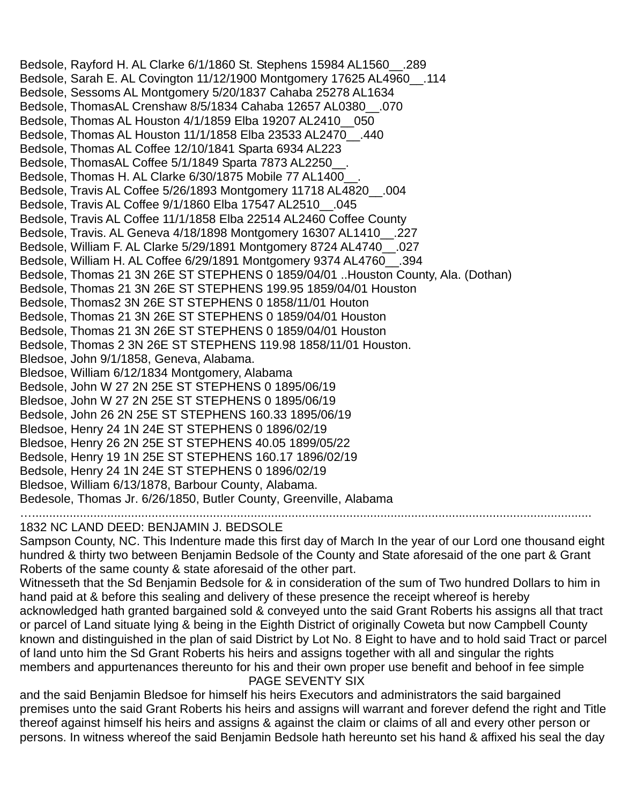Bedsole, Rayford H. AL Clarke 6/1/1860 St. Stephens 15984 AL1560\_\_.289 Bedsole, Sarah E. AL Covington 11/12/1900 Montgomery 17625 AL4960\_\_.114 Bedsole, Sessoms AL Montgomery 5/20/1837 Cahaba 25278 AL1634 Bedsole, ThomasAL Crenshaw 8/5/1834 Cahaba 12657 AL0380\_\_.070 Bedsole, Thomas AL Houston 4/1/1859 Elba 19207 AL2410\_\_050 Bedsole, Thomas AL Houston 11/1/1858 Elba 23533 AL2470\_\_.440 Bedsole, Thomas AL Coffee 12/10/1841 Sparta 6934 AL223 Bedsole, ThomasAL Coffee 5/1/1849 Sparta 7873 AL2250. Bedsole, Thomas H. AL Clarke 6/30/1875 Mobile 77 AL1400\_\_. Bedsole, Travis AL Coffee 5/26/1893 Montgomery 11718 AL4820\_\_.004 Bedsole, Travis AL Coffee 9/1/1860 Elba 17547 AL2510\_\_.045 Bedsole, Travis AL Coffee 11/1/1858 Elba 22514 AL2460 Coffee County Bedsole, Travis. AL Geneva 4/18/1898 Montgomery 16307 AL1410\_\_.227 Bedsole, William F. AL Clarke 5/29/1891 Montgomery 8724 AL4740\_\_.027 Bedsole, William H. AL Coffee 6/29/1891 Montgomery 9374 AL4760\_\_.394 Bedsole, Thomas 21 3N 26E ST STEPHENS 0 1859/04/01 ..Houston County, Ala. (Dothan) Bedsole, Thomas 21 3N 26E ST STEPHENS 199.95 1859/04/01 Houston Bedsole, Thomas2 3N 26E ST STEPHENS 0 1858/11/01 Houton Bedsole, Thomas 21 3N 26E ST STEPHENS 0 1859/04/01 Houston Bedsole, Thomas 21 3N 26E ST STEPHENS 0 1859/04/01 Houston Bedsole, Thomas 2 3N 26E ST STEPHENS 119.98 1858/11/01 Houston. Bledsoe, John 9/1/1858, Geneva, Alabama. Bledsoe, William 6/12/1834 Montgomery, Alabama Bedsole, John W 27 2N 25E ST STEPHENS 0 1895/06/19 Bledsoe, John W 27 2N 25E ST STEPHENS 0 1895/06/19 Bedsole, John 26 2N 25E ST STEPHENS 160.33 1895/06/19 Bledsoe, Henry 24 1N 24E ST STEPHENS 0 1896/02/19 Bledsoe, Henry 26 2N 25E ST STEPHENS 40.05 1899/05/22 Bedsole, Henry 19 1N 25E ST STEPHENS 160.17 1896/02/19 Bedsole, Henry 24 1N 24E ST STEPHENS 0 1896/02/19 Bledsoe, William 6/13/1878, Barbour County, Alabama. Bedesole, Thomas Jr. 6/26/1850, Butler County, Greenville, Alabama …....................................................................................................................................................................

# 1832 NC LAND DEED: BENJAMIN J. BEDSOLE

Sampson County, NC. This Indenture made this first day of March In the year of our Lord one thousand eight hundred & thirty two between Benjamin Bedsole of the County and State aforesaid of the one part & Grant Roberts of the same county & state aforesaid of the other part.

Witnesseth that the Sd Benjamin Bedsole for & in consideration of the sum of Two hundred Dollars to him in hand paid at & before this sealing and delivery of these presence the receipt whereof is hereby acknowledged hath granted bargained sold & conveyed unto the said Grant Roberts his assigns all that tract or parcel of Land situate lying & being in the Eighth District of originally Coweta but now Campbell County known and distinguished in the plan of said District by Lot No. 8 Eight to have and to hold said Tract or parcel of land unto him the Sd Grant Roberts his heirs and assigns together with all and singular the rights members and appurtenances thereunto for his and their own proper use benefit and behoof in fee simple PAGE SEVENTY SIX

and the said Benjamin Bledsoe for himself his heirs Executors and administrators the said bargained premises unto the said Grant Roberts his heirs and assigns will warrant and forever defend the right and Title thereof against himself his heirs and assigns & against the claim or claims of all and every other person or persons. In witness whereof the said Benjamin Bedsole hath hereunto set his hand & affixed his seal the day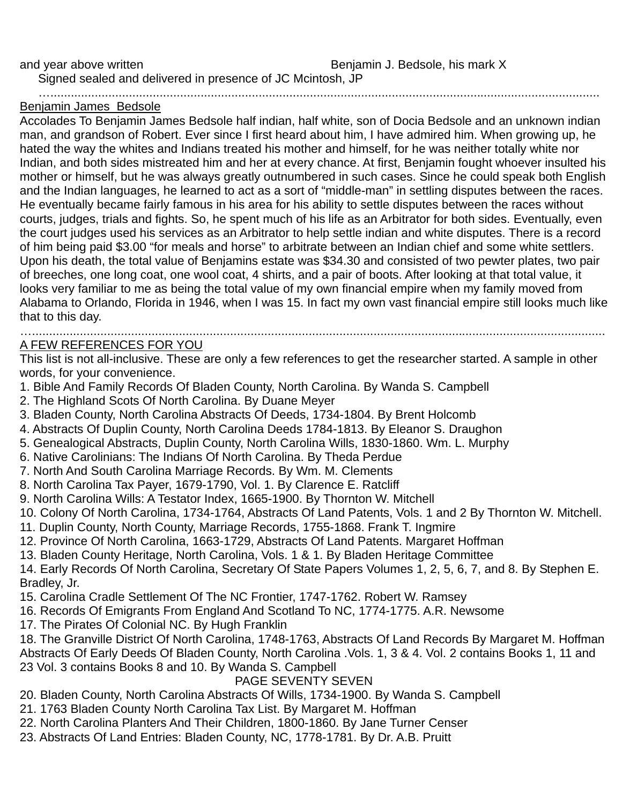Signed sealed and delivered in presence of JC Mcintosh, JP

….................................................................................................................................................................

### Benjamin James Bedsole

Accolades To Benjamin James Bedsole half indian, half white, son of Docia Bedsole and an unknown indian man, and grandson of Robert. Ever since I first heard about him, I have admired him. When growing up, he hated the way the whites and Indians treated his mother and himself, for he was neither totally white nor Indian, and both sides mistreated him and her at every chance. At first, Benjamin fought whoever insulted his mother or himself, but he was always greatly outnumbered in such cases. Since he could speak both English and the Indian languages, he learned to act as a sort of "middle-man" in settling disputes between the races. He eventually became fairly famous in his area for his ability to settle disputes between the races without courts, judges, trials and fights. So, he spent much of his life as an Arbitrator for both sides. Eventually, even the court judges used his services as an Arbitrator to help settle indian and white disputes. There is a record of him being paid \$3.00 "for meals and horse" to arbitrate between an Indian chief and some white settlers. Upon his death, the total value of Benjamins estate was \$34.30 and consisted of two pewter plates, two pair of breeches, one long coat, one wool coat, 4 shirts, and a pair of boots. After looking at that total value, it looks very familiar to me as being the total value of my own financial empire when my family moved from Alabama to Orlando, Florida in 1946, when I was 15. In fact my own vast financial empire still looks much like that to this day.

#### …........................................................................................................................................................................ A FEW REFERENCES FOR YOU

This list is not all-inclusive. These are only a few references to get the researcher started. A sample in other words, for your convenience.

- 1. Bible And Family Records Of Bladen County, North Carolina. By Wanda S. Campbell
- 2. The Highland Scots Of North Carolina. By Duane Meyer
- 3. Bladen County, North Carolina Abstracts Of Deeds, 1734-1804. By Brent Holcomb
- 4. Abstracts Of Duplin County, North Carolina Deeds 1784-1813. By Eleanor S. Draughon
- 5. Genealogical Abstracts, Duplin County, North Carolina Wills, 1830-1860. Wm. L. Murphy
- 6. Native Carolinians: The Indians Of North Carolina. By Theda Perdue
- 7. North And South Carolina Marriage Records. By Wm. M. Clements
- 8. North Carolina Tax Payer, 1679-1790, Vol. 1. By Clarence E. Ratcliff
- 9. North Carolina Wills: A Testator Index, 1665-1900. By Thornton W. Mitchell
- 10. Colony Of North Carolina, 1734-1764, Abstracts Of Land Patents, Vols. 1 and 2 By Thornton W. Mitchell.
- 11. Duplin County, North County, Marriage Records, 1755-1868. Frank T. Ingmire
- 12. Province Of North Carolina, 1663-1729, Abstracts Of Land Patents. Margaret Hoffman
- 13. Bladen County Heritage, North Carolina, Vols. 1 & 1. By Bladen Heritage Committee

14. Early Records Of North Carolina, Secretary Of State Papers Volumes 1, 2, 5, 6, 7, and 8. By Stephen E. Bradley, Jr.

- 15. Carolina Cradle Settlement Of The NC Frontier, 1747-1762. Robert W. Ramsey
- 16. Records Of Emigrants From England And Scotland To NC, 1774-1775. A.R. Newsome
- 17. The Pirates Of Colonial NC. By Hugh Franklin

18. The Granville District Of North Carolina, 1748-1763, Abstracts Of Land Records By Margaret M. Hoffman Abstracts Of Early Deeds Of Bladen County, North Carolina .Vols. 1, 3 & 4. Vol. 2 contains Books 1, 11 and 23 Vol. 3 contains Books 8 and 10. By Wanda S. Campbell

# PAGE SEVENTY SEVEN

- 20. Bladen County, North Carolina Abstracts Of Wills, 1734-1900. By Wanda S. Campbell
- 21. 1763 Bladen County North Carolina Tax List. By Margaret M. Hoffman
- 22. North Carolina Planters And Their Children, 1800-1860. By Jane Turner Censer
- 23. Abstracts Of Land Entries: Bladen County, NC, 1778-1781. By Dr. A.B. Pruitt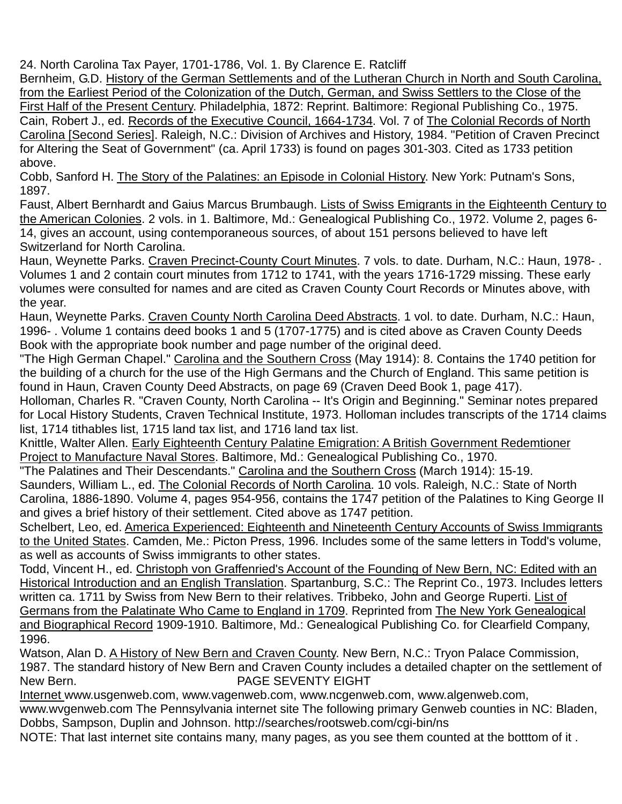24. North Carolina Tax Payer, 1701-1786, Vol. 1. By Clarence E. Ratcliff

Bernheim, G.D. History of the German Settlements and of the Lutheran Church in North and South Carolina, from the Earliest Period of the Colonization of the Dutch, German, and Swiss Settlers to the Close of the First Half of the Present Century. Philadelphia, 1872: Reprint. Baltimore: Regional Publishing Co., 1975. Cain, Robert J., ed. Records of the Executive Council, 1664-1734. Vol. 7 of The Colonial Records of North Carolina [Second Series]. Raleigh, N.C.: Division of Archives and History, 1984. "Petition of Craven Precinct for Altering the Seat of Government" (ca. April 1733) is found on pages 301-303. Cited as 1733 petition above.

Cobb, Sanford H. The Story of the Palatines: an Episode in Colonial History. New York: Putnam's Sons, 1897.

Faust, Albert Bernhardt and Gaius Marcus Brumbaugh. Lists of Swiss Emigrants in the Eighteenth Century to the American Colonies. 2 vols. in 1. Baltimore, Md.: Genealogical Publishing Co., 1972. Volume 2, pages 6- 14, gives an account, using contemporaneous sources, of about 151 persons believed to have left Switzerland for North Carolina.

Haun, Weynette Parks. Craven Precinct-County Court Minutes. 7 vols. to date. Durham, N.C.: Haun, 1978-. Volumes 1 and 2 contain court minutes from 1712 to 1741, with the years 1716-1729 missing. These early volumes were consulted for names and are cited as Craven County Court Records or Minutes above, with the year.

Haun, Weynette Parks. Craven County North Carolina Deed Abstracts. 1 vol. to date. Durham, N.C.: Haun, 1996- . Volume 1 contains deed books 1 and 5 (1707-1775) and is cited above as Craven County Deeds Book with the appropriate book number and page number of the original deed.

"The High German Chapel." Carolina and the Southern Cross (May 1914): 8. Contains the 1740 petition for the building of a church for the use of the High Germans and the Church of England. This same petition is found in Haun, Craven County Deed Abstracts, on page 69 (Craven Deed Book 1, page 417).

Holloman, Charles R. "Craven County, North Carolina -- It's Origin and Beginning." Seminar notes prepared for Local History Students, Craven Technical Institute, 1973. Holloman includes transcripts of the 1714 claims list, 1714 tithables list, 1715 land tax list, and 1716 land tax list.

Knittle, Walter Allen. Early Eighteenth Century Palatine Emigration: A British Government Redemtioner

Project to Manufacture Naval Stores. Baltimore, Md.: Genealogical Publishing Co., 1970.

"The Palatines and Their Descendants." Carolina and the Southern Cross (March 1914): 15-19.

Saunders, William L., ed. The Colonial Records of North Carolina. 10 vols. Raleigh, N.C.: State of North Carolina, 1886-1890. Volume 4, pages 954-956, contains the 1747 petition of the Palatines to King George II and gives a brief history of their settlement. Cited above as 1747 petition.

Schelbert, Leo, ed. America Experienced: Eighteenth and Nineteenth Century Accounts of Swiss Immigrants to the United States. Camden, Me.: Picton Press, 1996. Includes some of the same letters in Todd's volume, as well as accounts of Swiss immigrants to other states.

Todd, Vincent H., ed. Christoph von Graffenried's Account of the Founding of New Bern, NC: Edited with an Historical Introduction and an English Translation. Spartanburg, S.C.: The Reprint Co., 1973. Includes letters written ca. 1711 by Swiss from New Bern to their relatives. Tribbeko, John and George Ruperti. List of Germans from the Palatinate Who Came to England in 1709. Reprinted from The New York Genealogical and Biographical Record 1909-1910. Baltimore, Md.: Genealogical Publishing Co. for Clearfield Company, 1996.

Watson, Alan D. A History of New Bern and Craven County. New Bern, N.C.: Tryon Palace Commission, 1987. The standard history of New Bern and Craven County includes a detailed chapter on the settlement of New Bern. New Bern.

Internet www.usgenweb.com, www.vagenweb.com, www.ncgenweb.com, www.algenweb.com,

www.wvgenweb.com The Pennsylvania internet site The following primary Genweb counties in NC: Bladen, Dobbs, Sampson, Duplin and Johnson. http://searches/rootsweb.com/cgi-bin/ns

NOTE: That last internet site contains many, many pages, as you see them counted at the botttom of it .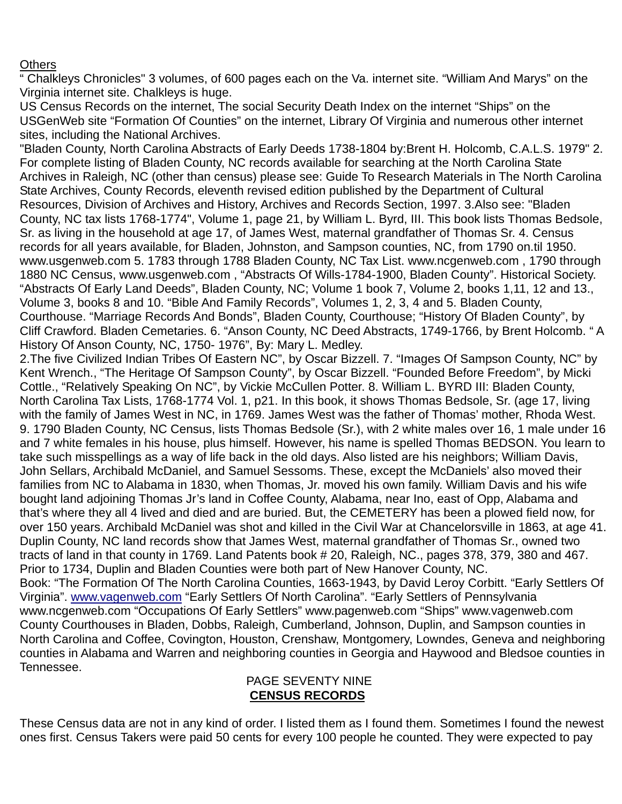### **Others**

Tennessee.

" Chalkleys Chronicles" 3 volumes, of 600 pages each on the Va. internet site. "William And Marys" on the Virginia internet site. Chalkleys is huge.

US Census Records on the internet, The social Security Death Index on the internet "Ships" on the USGenWeb site "Formation Of Counties" on the internet, Library Of Virginia and numerous other internet sites, including the National Archives.

"Bladen County, North Carolina Abstracts of Early Deeds 1738-1804 by:Brent H. Holcomb, C.A.L.S. 1979" 2. For complete listing of Bladen County, NC records available for searching at the North Carolina State Archives in Raleigh, NC (other than census) please see: Guide To Research Materials in The North Carolina State Archives, County Records, eleventh revised edition published by the Department of Cultural Resources, Division of Archives and History, Archives and Records Section, 1997. 3.Also see: "Bladen County, NC tax lists 1768-1774", Volume 1, page 21, by William L. Byrd, III. This book lists Thomas Bedsole, Sr. as living in the household at age 17, of James West, maternal grandfather of Thomas Sr. 4. Census records for all years available, for Bladen, Johnston, and Sampson counties, NC, from 1790 on.til 1950. www.usgenweb.com 5. 1783 through 1788 Bladen County, NC Tax List. www.ncgenweb.com , 1790 through 1880 NC Census, www.usgenweb.com , "Abstracts Of Wills-1784-1900, Bladen County". Historical Society. "Abstracts Of Early Land Deeds", Bladen County, NC; Volume 1 book 7, Volume 2, books 1,11, 12 and 13., Volume 3, books 8 and 10. "Bible And Family Records", Volumes 1, 2, 3, 4 and 5. Bladen County, Courthouse. "Marriage Records And Bonds", Bladen County, Courthouse; "History Of Bladen County", by Cliff Crawford. Bladen Cemetaries. 6. "Anson County, NC Deed Abstracts, 1749-1766, by Brent Holcomb. " A History Of Anson County, NC, 1750- 1976", By: Mary L. Medley.

2.The five Civilized Indian Tribes Of Eastern NC", by Oscar Bizzell. 7. "Images Of Sampson County, NC" by Kent Wrench., "The Heritage Of Sampson County", by Oscar Bizzell. "Founded Before Freedom", by Micki Cottle., "Relatively Speaking On NC", by Vickie McCullen Potter. 8. William L. BYRD III: Bladen County, North Carolina Tax Lists, 1768-1774 Vol. 1, p21. In this book, it shows Thomas Bedsole, Sr. (age 17, living with the family of James West in NC, in 1769. James West was the father of Thomas' mother, Rhoda West. 9. 1790 Bladen County, NC Census, lists Thomas Bedsole (Sr.), with 2 white males over 16, 1 male under 16 and 7 white females in his house, plus himself. However, his name is spelled Thomas BEDSON. You learn to take such misspellings as a way of life back in the old days. Also listed are his neighbors; William Davis, John Sellars, Archibald McDaniel, and Samuel Sessoms. These, except the McDaniels' also moved their families from NC to Alabama in 1830, when Thomas, Jr. moved his own family. William Davis and his wife bought land adjoining Thomas Jr's land in Coffee County, Alabama, near Ino, east of Opp, Alabama and that's where they all 4 lived and died and are buried. But, the CEMETERY has been a plowed field now, for over 150 years. Archibald McDaniel was shot and killed in the Civil War at Chancelorsville in 1863, at age 41. Duplin County, NC land records show that James West, maternal grandfather of Thomas Sr., owned two tracts of land in that county in 1769. Land Patents book # 20, Raleigh, NC., pages 378, 379, 380 and 467. Prior to 1734, Duplin and Bladen Counties were both part of New Hanover County, NC. Book: "The Formation Of The North Carolina Counties, 1663-1943, by David Leroy Corbitt. "Early Settlers Of Virginia". www.vagenweb.com "Early Settlers Of North Carolina". "Early Settlers of Pennsylvania www.ncgenweb.com "Occupations Of Early Settlers" www.pagenweb.com "Ships" www.vagenweb.com County Courthouses in Bladen, Dobbs, Raleigh, Cumberland, Johnson, Duplin, and Sampson counties in North Carolina and Coffee, Covington, Houston, Crenshaw, Montgomery, Lowndes, Geneva and neighboring

# PAGE SEVENTY NINE  **CENSUS RECORDS**

counties in Alabama and Warren and neighboring counties in Georgia and Haywood and Bledsoe counties in

These Census data are not in any kind of order. I listed them as I found them. Sometimes I found the newest ones first. Census Takers were paid 50 cents for every 100 people he counted. They were expected to pay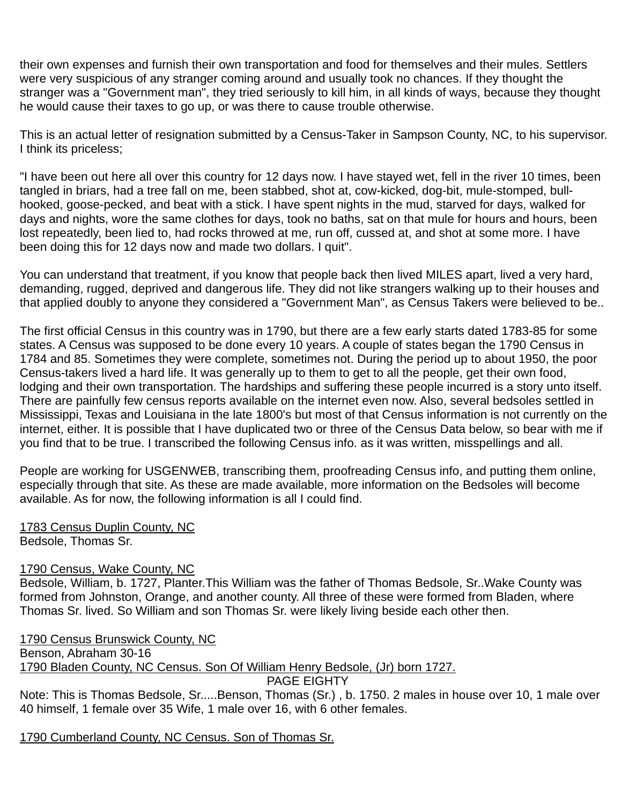their own expenses and furnish their own transportation and food for themselves and their mules. Settlers were very suspicious of any stranger coming around and usually took no chances. If they thought the stranger was a "Government man", they tried seriously to kill him, in all kinds of ways, because they thought he would cause their taxes to go up, or was there to cause trouble otherwise.

This is an actual letter of resignation submitted by a Census-Taker in Sampson County, NC, to his supervisor. I think its priceless;

"I have been out here all over this country for 12 days now. I have stayed wet, fell in the river 10 times, been tangled in briars, had a tree fall on me, been stabbed, shot at, cow-kicked, dog-bit, mule-stomped, bullhooked, goose-pecked, and beat with a stick. I have spent nights in the mud, starved for days, walked for days and nights, wore the same clothes for days, took no baths, sat on that mule for hours and hours, been lost repeatedly, been lied to, had rocks throwed at me, run off, cussed at, and shot at some more. I have been doing this for 12 days now and made two dollars. I quit".

You can understand that treatment, if you know that people back then lived MILES apart, lived a very hard, demanding, rugged, deprived and dangerous life. They did not like strangers walking up to their houses and that applied doubly to anyone they considered a "Government Man", as Census Takers were believed to be..

The first official Census in this country was in 1790, but there are a few early starts dated 1783-85 for some states. A Census was supposed to be done every 10 years. A couple of states began the 1790 Census in 1784 and 85. Sometimes they were complete, sometimes not. During the period up to about 1950, the poor Census-takers lived a hard life. It was generally up to them to get to all the people, get their own food, lodging and their own transportation. The hardships and suffering these people incurred is a story unto itself. There are painfully few census reports available on the internet even now. Also, several bedsoles settled in Mississippi, Texas and Louisiana in the late 1800's but most of that Census information is not currently on the internet, either. It is possible that I have duplicated two or three of the Census Data below, so bear with me if you find that to be true. I transcribed the following Census info. as it was written, misspellings and all.

People are working for USGENWEB, transcribing them, proofreading Census info, and putting them online, especially through that site. As these are made available, more information on the Bedsoles will become available. As for now, the following information is all I could find.

1783 Census Duplin County, NC Bedsole, Thomas Sr.

# 1790 Census, Wake County, NC

Bedsole, William, b. 1727, Planter.This William was the father of Thomas Bedsole, Sr..Wake County was formed from Johnston, Orange, and another county. All three of these were formed from Bladen, where Thomas Sr. lived. So William and son Thomas Sr. were likely living beside each other then.

1790 Census Brunswick County, NC Benson, Abraham 30-16 1790 Bladen County, NC Census. Son Of William Henry Bedsole, (Jr) born 1727. PAGE EIGHTY Note: This is Thomas Bedsole, Sr.....Benson, Thomas (Sr.) , b. 1750. 2 males in house over 10, 1 male over 40 himself, 1 female over 35 Wife, 1 male over 16, with 6 other females.

1790 Cumberland County, NC Census. Son of Thomas Sr.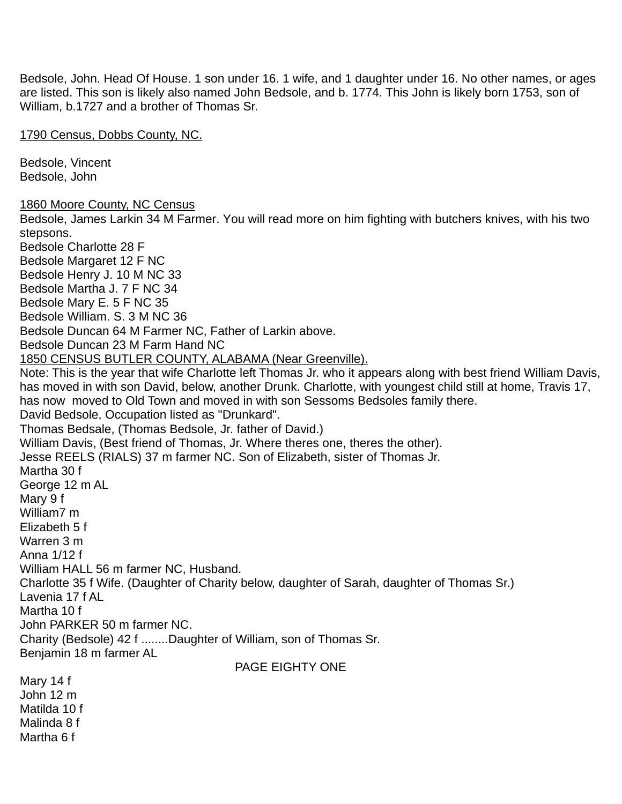Bedsole, John. Head Of House. 1 son under 16. 1 wife, and 1 daughter under 16. No other names, or ages are listed. This son is likely also named John Bedsole, and b. 1774. This John is likely born 1753, son of William, b.1727 and a brother of Thomas Sr.

1790 Census, Dobbs County, NC.

Bedsole, Vincent Bedsole, John

1860 Moore County, NC Census

Bedsole, James Larkin 34 M Farmer. You will read more on him fighting with butchers knives, with his two stepsons.

Bedsole Charlotte 28 F Bedsole Margaret 12 F NC Bedsole Henry J. 10 M NC 33 Bedsole Martha J. 7 F NC 34 Bedsole Mary E. 5 F NC 35 Bedsole William. S. 3 M NC 36 Bedsole Duncan 64 M Farmer NC, Father of Larkin above. Bedsole Duncan 23 M Farm Hand NC 1850 CENSUS BUTLER COUNTY, ALABAMA (Near Greenville). Note: This is the year that wife Charlotte left Thomas Jr. who it appears along with best friend William Davis, has moved in with son David, below, another Drunk. Charlotte, with youngest child still at home, Travis 17, has now moved to Old Town and moved in with son Sessoms Bedsoles family there. David Bedsole, Occupation listed as "Drunkard". Thomas Bedsale, (Thomas Bedsole, Jr. father of David.) William Davis, (Best friend of Thomas, Jr. Where theres one, theres the other). Jesse REELS (RIALS) 37 m farmer NC. Son of Elizabeth, sister of Thomas Jr. Martha 30 f George 12 m AL Mary 9 f William7 m Elizabeth 5 f Warren 3 m Anna 1/12 f William HALL 56 m farmer NC, Husband. Charlotte 35 f Wife. (Daughter of Charity below, daughter of Sarah, daughter of Thomas Sr.) Lavenia 17 f AL Martha 10 f John PARKER 50 m farmer NC. Charity (Bedsole) 42 f ........Daughter of William, son of Thomas Sr. Benjamin 18 m farmer AL PAGE EIGHTY ONE Mary 14 f John 12 m Matilda 10 f

Malinda 8 f Martha 6 f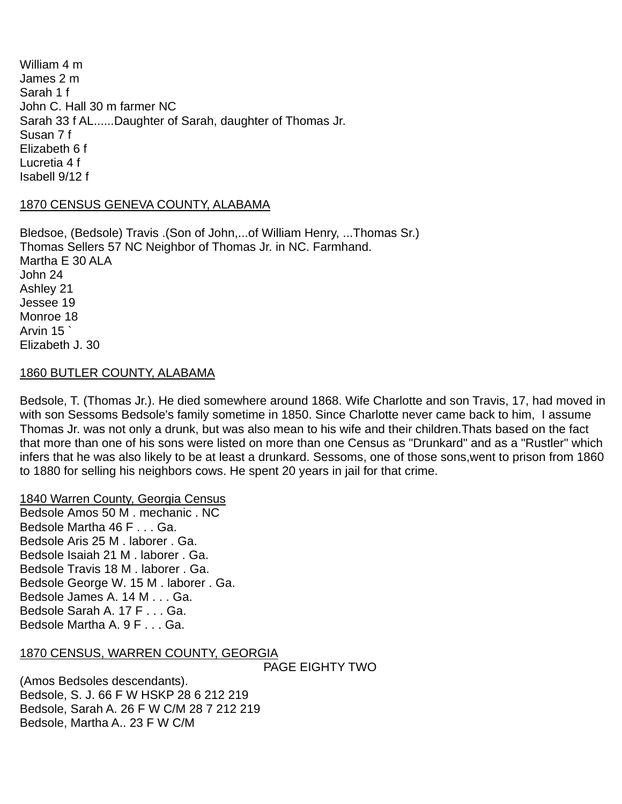William 4 m James 2 m Sarah 1 f John C. Hall 30 m farmer NC Sarah 33 f AL......Daughter of Sarah, daughter of Thomas Jr. Susan 7 f Elizabeth 6 f Lucretia 4 f Isabell 9/12 f

### 1870 CENSUS GENEVA COUNTY, ALABAMA

Bledsoe, (Bedsole) Travis .(Son of John,...of William Henry, ...Thomas Sr.) Thomas Sellers 57 NC Neighbor of Thomas Jr. in NC. Farmhand. Martha E 30 ALA John 24 Ashley 21 Jessee 19 Monroe 18 Arvin 15 ` Elizabeth J. 30

### 1860 BUTLER COUNTY, ALABAMA

Bedsole, T. (Thomas Jr.). He died somewhere around 1868. Wife Charlotte and son Travis, 17, had moved in with son Sessoms Bedsole's family sometime in 1850. Since Charlotte never came back to him, I assume Thomas Jr. was not only a drunk, but was also mean to his wife and their children.Thats based on the fact that more than one of his sons were listed on more than one Census as "Drunkard" and as a "Rustler" which infers that he was also likely to be at least a drunkard. Sessoms, one of those sons,went to prison from 1860 to 1880 for selling his neighbors cows. He spent 20 years in jail for that crime.

#### 1840 Warren County, Georgia Census

Bedsole Amos 50 M . mechanic . NC Bedsole Martha 46 F . . . Ga. Bedsole Aris 25 M . laborer . Ga. Bedsole Isaiah 21 M . laborer . Ga. Bedsole Travis 18 M . laborer . Ga. Bedsole George W. 15 M . laborer . Ga. Bedsole James A. 14 M . . . Ga. Bedsole Sarah A. 17 F . . . Ga. Bedsole Martha A. 9 F . . . Ga.

### 1870 CENSUS, WARREN COUNTY, GEORGIA

PAGE EIGHTY TWO

(Amos Bedsoles descendants). Bedsole, S. J. 66 F W HSKP 28 6 212 219 Bedsole, Sarah A. 26 F W C/M 28 7 212 219 Bedsole, Martha A.. 23 F W C/M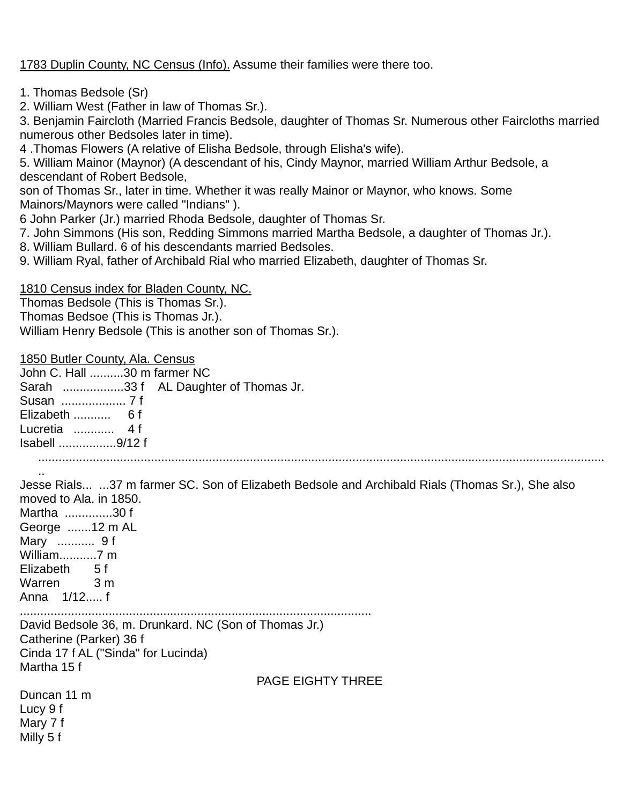1783 Duplin County, NC Census (Info). Assume their families were there too.

- 1. Thomas Bedsole (Sr)
- 2. William West (Father in law of Thomas Sr.).

3. Benjamin Faircloth (Married Francis Bedsole, daughter of Thomas Sr. Numerous other Faircloths married numerous other Bedsoles later in time).

4 .Thomas Flowers (A relative of Elisha Bedsole, through Elisha's wife).

5. William Mainor (Maynor) (A descendant of his, Cindy Maynor, married William Arthur Bedsole, a descendant of Robert Bedsole,

son of Thomas Sr., later in time. Whether it was really Mainor or Maynor, who knows. Some Mainors/Maynors were called "Indians" ).

6 John Parker (Jr.) married Rhoda Bedsole, daughter of Thomas Sr.

7. John Simmons (His son, Redding Simmons married Martha Bedsole, a daughter of Thomas Jr.).

- 8. William Bullard. 6 of his descendants married Bedsoles.
- 9. William Ryal, father of Archibald Rial who married Elizabeth, daughter of Thomas Sr.

1810 Census index for Bladen County, NC.

Thomas Bedsole (This is Thomas Sr.).

Thomas Bedsoe (This is Thomas Jr.).

William Henry Bedsole (This is another son of Thomas Sr.).

1850 Butler County, Ala. Census

| John C. Hall 30 m farmer NC |                                      |
|-----------------------------|--------------------------------------|
|                             | Sarah 33 f AL Daughter of Thomas Jr. |
|                             |                                      |
|                             |                                      |
| Lucretia  4f                |                                      |
| Isabell 9/12 f              |                                      |

...................................................................................................................................................................... ..

Jesse Rials... ...37 m farmer SC. Son of Elizabeth Bedsole and Archibald Rials (Thomas Sr.), She also moved to Ala. in 1850. Martha ..............30 f George .......12 m AL Mary ........... 9 f William...........7 m Elizabeth 5 f Warren 3 m

Anna 1/12..... f

.......................................................................................................

David Bedsole 36, m. Drunkard. NC (Son of Thomas Jr.) Catherine (Parker) 36 f Cinda 17 f AL ("Sinda" for Lucinda) Martha 15 f

PAGE EIGHTY THREE

Duncan 11 m Lucy 9 f Mary 7 f Milly 5 f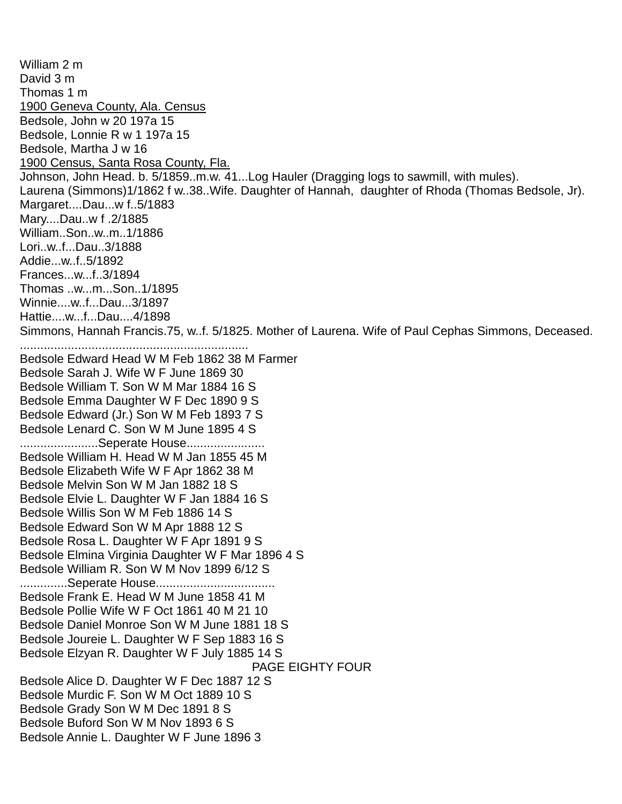William 2 m David 3 m Thomas 1 m 1900 Geneva County, Ala. Census Bedsole, John w 20 197a 15 Bedsole, Lonnie R w 1 197a 15 Bedsole, Martha J w 16 1900 Census, Santa Rosa County, Fla. Johnson, John Head. b. 5/1859..m.w. 41...Log Hauler (Dragging logs to sawmill, with mules). Laurena (Simmons)1/1862 f w..38..Wife. Daughter of Hannah, daughter of Rhoda (Thomas Bedsole, Jr). Margaret....Dau...w f..5/1883 Mary....Dau..w f .2/1885 William..Son..w..m..1/1886 Lori..w..f...Dau..3/1888 Addie...w..f..5/1892 Frances...w...f..3/1894 Thomas ..w...m...Son..1/1895 Winnie....w..f...Dau...3/1897 Hattie....w...f...Dau....4/1898 Simmons, Hannah Francis.75, w..f. 5/1825. Mother of Laurena. Wife of Paul Cephas Simmons, Deceased. ................................................................... Bedsole Edward Head W M Feb 1862 38 M Farmer Bedsole Sarah J. Wife W F June 1869 30 Bedsole William T. Son W M Mar 1884 16 S Bedsole Emma Daughter W F Dec 1890 9 S Bedsole Edward (Jr.) Son W M Feb 1893 7 S Bedsole Lenard C. Son W M June 1895 4 S .........................Seperate House....................... Bedsole William H. Head W M Jan 1855 45 M Bedsole Elizabeth Wife W F Apr 1862 38 M Bedsole Melvin Son W M Jan 1882 18 S Bedsole Elvie L. Daughter W F Jan 1884 16 S Bedsole Willis Son W M Feb 1886 14 S Bedsole Edward Son W M Apr 1888 12 S Bedsole Rosa L. Daughter W F Apr 1891 9 S Bedsole Elmina Virginia Daughter W F Mar 1896 4 S Bedsole William R. Son W M Nov 1899 6/12 S ..............Seperate House................................... Bedsole Frank E. Head W M June 1858 41 M Bedsole Pollie Wife W F Oct 1861 40 M 21 10 Bedsole Daniel Monroe Son W M June 1881 18 S Bedsole Joureie L. Daughter W F Sep 1883 16 S Bedsole Elzyan R. Daughter W F July 1885 14 S PAGE EIGHTY FOUR Bedsole Alice D. Daughter W F Dec 1887 12 S Bedsole Murdic F. Son W M Oct 1889 10 S Bedsole Grady Son W M Dec 1891 8 S Bedsole Buford Son W M Nov 1893 6 S Bedsole Annie L. Daughter W F June 1896 3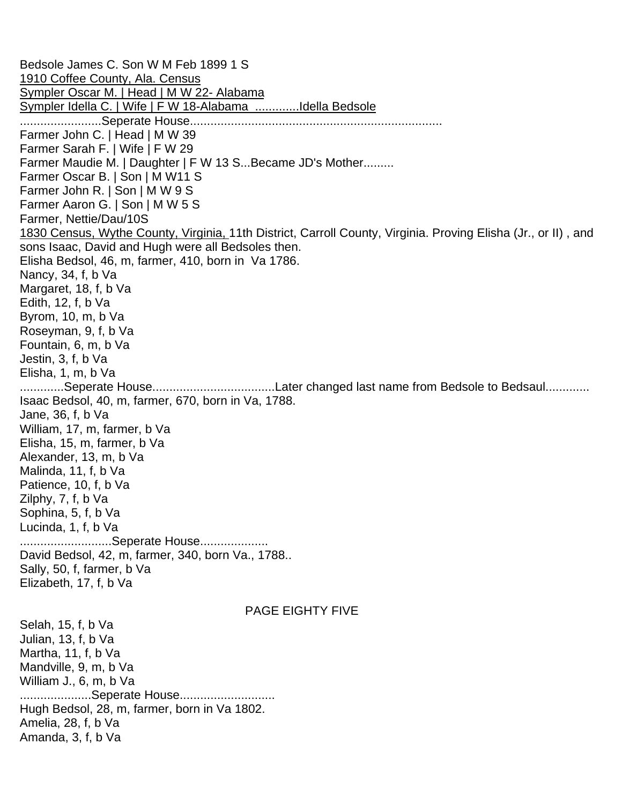Bedsole James C. Son W M Feb 1899 1 S 1910 Coffee County, Ala. Census Sympler Oscar M. | Head | M W 22- Alabama Sympler Idella C. | Wife | F W 18-Alabama .............Idella Bedsole ........................Seperate House.......................................................................... Farmer John C. | Head | M W 39 Farmer Sarah F. | Wife | F W 29 Farmer Maudie M. | Daughter | F W 13 S...Became JD's Mother......... Farmer Oscar B. | Son | M W11 S Farmer John R. | Son | M W 9 S Farmer Aaron G. | Son | M W 5 S Farmer, Nettie/Dau/10S 1830 Census, Wythe County, Virginia, 11th District, Carroll County, Virginia. Proving Elisha (Jr., or II) , and sons Isaac, David and Hugh were all Bedsoles then. Elisha Bedsol, 46, m, farmer, 410, born in Va 1786. Nancy, 34, f, b Va Margaret, 18, f, b Va Edith, 12, f, b Va Byrom, 10, m, b Va Roseyman, 9, f, b Va Fountain, 6, m, b Va Jestin, 3, f, b Va Elisha, 1, m, b Va .............Seperate House....................................Later changed last name from Bedsole to Bedsaul............. Isaac Bedsol, 40, m, farmer, 670, born in Va, 1788. Jane, 36, f, b Va William, 17, m, farmer, b Va Elisha, 15, m, farmer, b Va Alexander, 13, m, b Va Malinda, 11, f, b Va Patience, 10, f, b Va Zilphy, 7, f, b Va Sophina, 5, f, b Va Lucinda, 1, f, b Va ...........................Seperate House.................... David Bedsol, 42, m, farmer, 340, born Va., 1788.. Sally, 50, f, farmer, b Va Elizabeth, 17, f, b Va PAGE EIGHTY FIVE Selah, 15, f, b Va Julian, 13, f, b Va Martha, 11, f, b Va Mandville, 9, m, b Va William J., 6, m, b Va .....................Seperate House............................ Hugh Bedsol, 28, m, farmer, born in Va 1802. Amelia, 28, f, b Va Amanda, 3, f, b Va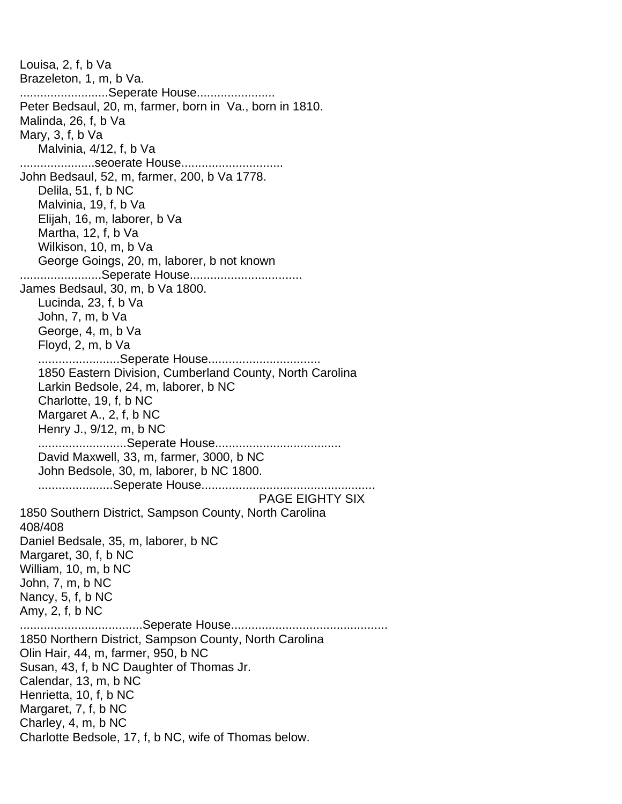Louisa, 2, f, b Va Brazeleton, 1, m, b Va. ...........................Seperate House...................... Peter Bedsaul, 20, m, farmer, born in Va., born in 1810. Malinda, 26, f, b Va Mary, 3, f, b Va Malvinia, 4/12, f, b Va ......................seoerate House.............................. John Bedsaul, 52, m, farmer, 200, b Va 1778. Delila, 51, f, b NC Malvinia, 19, f, b Va Elijah, 16, m, laborer, b Va Martha, 12, f, b Va Wilkison, 10, m, b Va George Goings, 20, m, laborer, b not known ........................Seperate House................................. James Bedsaul, 30, m, b Va 1800. Lucinda, 23, f, b Va John, 7, m, b Va George, 4, m, b Va Floyd, 2, m, b Va ........................Seperate House................................. 1850 Eastern Division, Cumberland County, North Carolina Larkin Bedsole, 24, m, laborer, b NC Charlotte, 19, f, b NC Margaret A., 2, f, b NC Henry J., 9/12, m, b NC ..........................Seperate House..................................... David Maxwell, 33, m, farmer, 3000, b NC John Bedsole, 30, m, laborer, b NC 1800. ......................Seperate House................................................... PAGE EIGHTY SIX 1850 Southern District, Sampson County, North Carolina 408/408 Daniel Bedsale, 35, m, laborer, b NC Margaret, 30, f, b NC William, 10, m, b NC John, 7, m, b NC Nancy, 5, f, b NC Amy, 2, f, b NC ....................................Seperate House.............................................. 1850 Northern District, Sampson County, North Carolina Olin Hair, 44, m, farmer, 950, b NC Susan, 43, f, b NC Daughter of Thomas Jr. Calendar, 13, m, b NC Henrietta, 10, f, b NC Margaret, 7, f, b NC Charley, 4, m, b NC Charlotte Bedsole, 17, f, b NC, wife of Thomas below.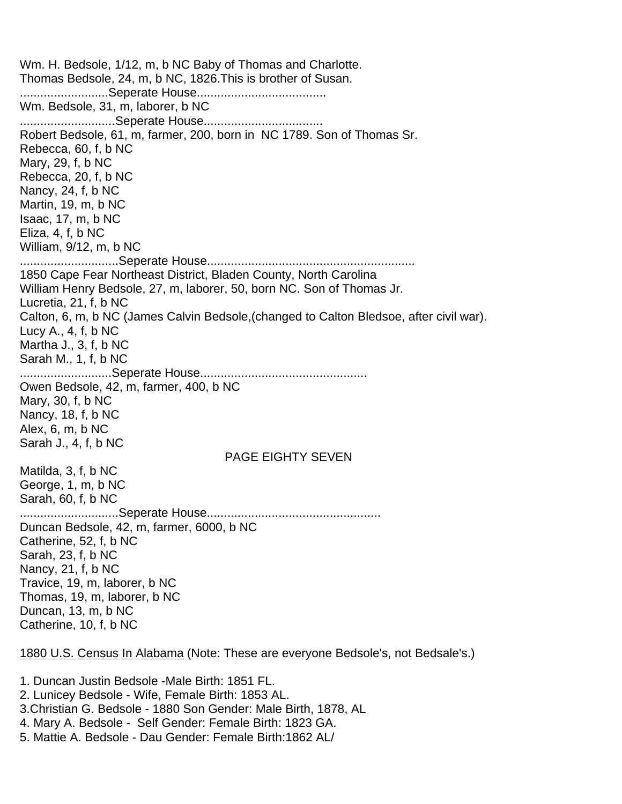Wm. H. Bedsole, 1/12, m, b NC Baby of Thomas and Charlotte. Thomas Bedsole, 24, m, b NC, 1826.This is brother of Susan. ..........................Seperate House...................................... Wm. Bedsole, 31, m, laborer, b NC ............................Seperate House................................... Robert Bedsole, 61, m, farmer, 200, born in NC 1789. Son of Thomas Sr. Rebecca, 60, f, b NC Mary, 29, f, b NC Rebecca, 20, f, b NC Nancy, 24, f, b NC Martin, 19, m, b NC Isaac, 17, m, b NC Eliza, 4, f, b NC William, 9/12, m, b NC .............................Seperate House............................................................. 1850 Cape Fear Northeast District, Bladen County, North Carolina William Henry Bedsole, 27, m, laborer, 50, born NC. Son of Thomas Jr. Lucretia, 21, f, b NC Calton, 6, m, b NC (James Calvin Bedsole,(changed to Calton Bledsoe, after civil war). Lucy A., 4, f, b NC Martha J., 3, f, b NC Sarah M., 1, f, b NC ...........................Seperate House................................................. Owen Bedsole, 42, m, farmer, 400, b NC Mary, 30, f, b NC Nancy, 18, f, b NC Alex, 6, m, b NC Sarah J., 4, f, b NC PAGE EIGHTY SEVEN Matilda, 3, f, b NC George, 1, m, b NC Sarah, 60, f, b NC .............................Seperate House................................................... Duncan Bedsole, 42, m, farmer, 6000, b NC Catherine, 52, f, b NC Sarah, 23, f, b NC Nancy, 21, f, b NC Travice, 19, m, laborer, b NC Thomas, 19, m, laborer, b NC Duncan, 13, m, b NC Catherine, 10, f, b NC

1880 U.S. Census In Alabama (Note: These are everyone Bedsole's, not Bedsale's.)

1. Duncan Justin Bedsole -Male Birth: 1851 FL.

2. Lunicey Bedsole - Wife, Female Birth: 1853 AL.

3.Christian G. Bedsole - 1880 Son Gender: Male Birth, 1878, AL

4. Mary A. Bedsole - Self Gender: Female Birth: 1823 GA.

5. Mattie A. Bedsole - Dau Gender: Female Birth:1862 AL/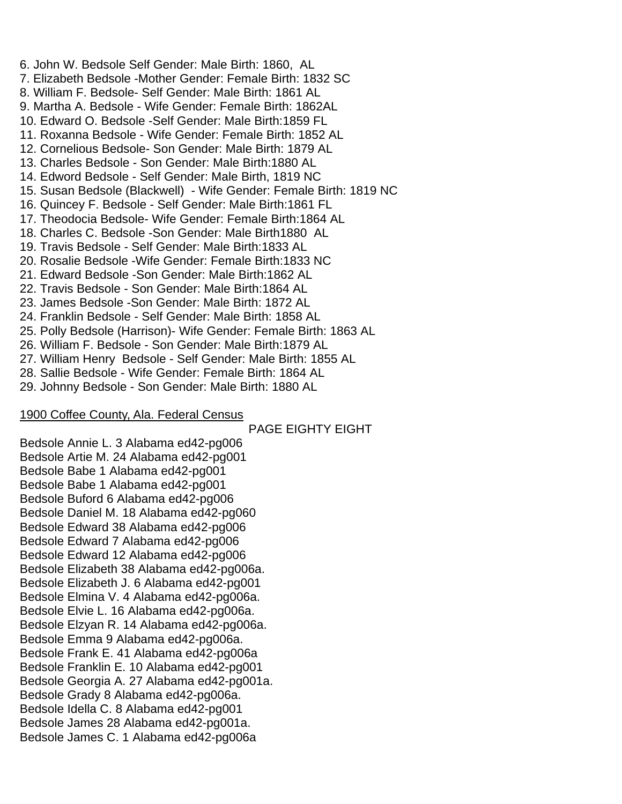6. John W. Bedsole Self Gender: Male Birth: 1860, AL 7. Elizabeth Bedsole -Mother Gender: Female Birth: 1832 SC 8. William F. Bedsole- Self Gender: Male Birth: 1861 AL 9. Martha A. Bedsole - Wife Gender: Female Birth: 1862AL 10. Edward O. Bedsole -Self Gender: Male Birth:1859 FL 11. Roxanna Bedsole - Wife Gender: Female Birth: 1852 AL 12. Cornelious Bedsole- Son Gender: Male Birth: 1879 AL 13. Charles Bedsole - Son Gender: Male Birth:1880 AL 14. Edword Bedsole - Self Gender: Male Birth, 1819 NC 15. Susan Bedsole (Blackwell) - Wife Gender: Female Birth: 1819 NC 16. Quincey F. Bedsole - Self Gender: Male Birth:1861 FL 17. Theodocia Bedsole- Wife Gender: Female Birth:1864 AL 18. Charles C. Bedsole -Son Gender: Male Birth1880 AL 19. Travis Bedsole - Self Gender: Male Birth:1833 AL 20. Rosalie Bedsole -Wife Gender: Female Birth:1833 NC 21. Edward Bedsole -Son Gender: Male Birth:1862 AL 22. Travis Bedsole - Son Gender: Male Birth:1864 AL 23. James Bedsole -Son Gender: Male Birth: 1872 AL 24. Franklin Bedsole - Self Gender: Male Birth: 1858 AL 25. Polly Bedsole (Harrison)- Wife Gender: Female Birth: 1863 AL 26. William F. Bedsole - Son Gender: Male Birth:1879 AL 27. William Henry Bedsole - Self Gender: Male Birth: 1855 AL 28. Sallie Bedsole - Wife Gender: Female Birth: 1864 AL

29. Johnny Bedsole - Son Gender: Male Birth: 1880 AL

### 1900 Coffee County, Ala. Federal Census

PAGE EIGHTY EIGHT

Bedsole Annie L. 3 Alabama ed42-pg006 Bedsole Artie M. 24 Alabama ed42-pg001 Bedsole Babe 1 Alabama ed42-pg001 Bedsole Babe 1 Alabama ed42-pg001 Bedsole Buford 6 Alabama ed42-pg006 Bedsole Daniel M. 18 Alabama ed42-pg060 Bedsole Edward 38 Alabama ed42-pg006 Bedsole Edward 7 Alabama ed42-pg006 Bedsole Edward 12 Alabama ed42-pg006 Bedsole Elizabeth 38 Alabama ed42-pg006a. Bedsole Elizabeth J. 6 Alabama ed42-pg001 Bedsole Elmina V. 4 Alabama ed42-pg006a. Bedsole Elvie L. 16 Alabama ed42-pg006a. Bedsole Elzyan R. 14 Alabama ed42-pg006a. Bedsole Emma 9 Alabama ed42-pg006a. Bedsole Frank E. 41 Alabama ed42-pg006a Bedsole Franklin E. 10 Alabama ed42-pg001 Bedsole Georgia A. 27 Alabama ed42-pg001a. Bedsole Grady 8 Alabama ed42-pg006a. Bedsole Idella C. 8 Alabama ed42-pg001 Bedsole James 28 Alabama ed42-pg001a. Bedsole James C. 1 Alabama ed42-pg006a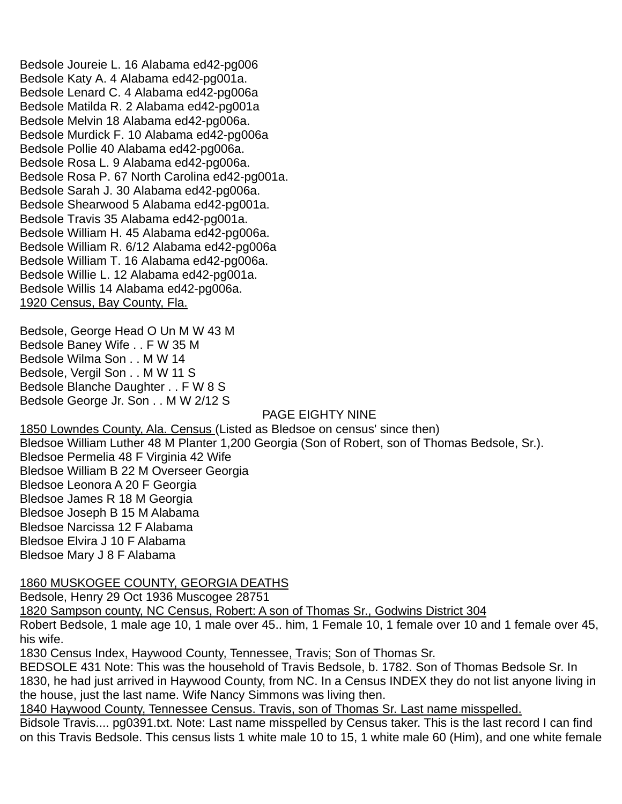Bedsole Joureie L. 16 Alabama ed42-pg006 Bedsole Katy A. 4 Alabama ed42-pg001a. Bedsole Lenard C. 4 Alabama ed42-pg006a Bedsole Matilda R. 2 Alabama ed42-pg001a Bedsole Melvin 18 Alabama ed42-pg006a. Bedsole Murdick F. 10 Alabama ed42-pg006a Bedsole Pollie 40 Alabama ed42-pg006a. Bedsole Rosa L. 9 Alabama ed42-pg006a. Bedsole Rosa P. 67 North Carolina ed42-pg001a. Bedsole Sarah J. 30 Alabama ed42-pg006a. Bedsole Shearwood 5 Alabama ed42-pg001a. Bedsole Travis 35 Alabama ed42-pg001a. Bedsole William H. 45 Alabama ed42-pg006a. Bedsole William R. 6/12 Alabama ed42-pg006a Bedsole William T. 16 Alabama ed42-pg006a. Bedsole Willie L. 12 Alabama ed42-pg001a. Bedsole Willis 14 Alabama ed42-pg006a. 1920 Census, Bay County, Fla.

Bedsole, George Head O Un M W 43 M Bedsole Baney Wife . . F W 35 M Bedsole Wilma Son . . M W 14 Bedsole, Vergil Son . . M W 11 S Bedsole Blanche Daughter . . F W 8 S Bedsole George Jr. Son . . M W 2/12 S

### PAGE EIGHTY NINE

1850 Lowndes County, Ala. Census (Listed as Bledsoe on census' since then) Bledsoe William Luther 48 M Planter 1,200 Georgia (Son of Robert, son of Thomas Bedsole, Sr.). Bledsoe Permelia 48 F Virginia 42 Wife Bledsoe William B 22 M Overseer Georgia Bledsoe Leonora A 20 F Georgia Bledsoe James R 18 M Georgia Bledsoe Joseph B 15 M Alabama Bledsoe Narcissa 12 F Alabama Bledsoe Elvira J 10 F Alabama Bledsoe Mary J 8 F Alabama

### 1860 MUSKOGEE COUNTY, GEORGIA DEATHS

Bedsole, Henry 29 Oct 1936 Muscogee 28751

1820 Sampson county, NC Census, Robert: A son of Thomas Sr., Godwins District 304

Robert Bedsole, 1 male age 10, 1 male over 45.. him, 1 Female 10, 1 female over 10 and 1 female over 45, his wife.

1830 Census Index, Haywood County, Tennessee, Travis; Son of Thomas Sr.

BEDSOLE 431 Note: This was the household of Travis Bedsole, b. 1782. Son of Thomas Bedsole Sr. In 1830, he had just arrived in Haywood County, from NC. In a Census INDEX they do not list anyone living in the house, just the last name. Wife Nancy Simmons was living then.

1840 Haywood County, Tennessee Census. Travis, son of Thomas Sr. Last name misspelled.

Bidsole Travis.... pg0391.txt. Note: Last name misspelled by Census taker. This is the last record I can find on this Travis Bedsole. This census lists 1 white male 10 to 15, 1 white male 60 (Him), and one white female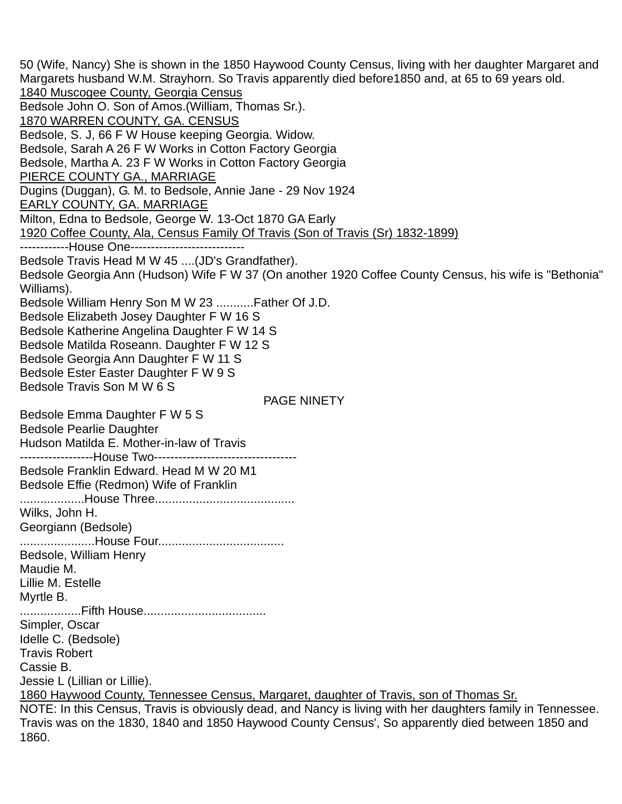50 (Wife, Nancy) She is shown in the 1850 Haywood County Census, living with her daughter Margaret and Margarets husband W.M. Strayhorn. So Travis apparently died before1850 and, at 65 to 69 years old. 1840 Muscogee County, Georgia Census Bedsole John O. Son of Amos.(William, Thomas Sr.). 1870 WARREN COUNTY, GA. CENSUS Bedsole, S. J, 66 F W House keeping Georgia. Widow. Bedsole, Sarah A 26 F W Works in Cotton Factory Georgia Bedsole, Martha A. 23 F W Works in Cotton Factory Georgia PIERCE COUNTY GA., MARRIAGE Dugins (Duggan), G. M. to Bedsole, Annie Jane - 29 Nov 1924 EARLY COUNTY, GA. MARRIAGE Milton, Edna to Bedsole, George W. 13-Oct 1870 GA Early 1920 Coffee County, Ala, Census Family Of Travis (Son of Travis (Sr) 1832-1899) -------------House One----------------------------Bedsole Travis Head M W 45 ....(JD's Grandfather). Bedsole Georgia Ann (Hudson) Wife F W 37 (On another 1920 Coffee County Census, his wife is "Bethonia" Williams). Bedsole William Henry Son M W 23 ...........Father Of J.D. Bedsole Elizabeth Josey Daughter F W 16 S Bedsole Katherine Angelina Daughter F W 14 S Bedsole Matilda Roseann. Daughter F W 12 S Bedsole Georgia Ann Daughter F W 11 S Bedsole Ester Easter Daughter F W 9 S Bedsole Travis Son M W 6 S PAGE NINETY Bedsole Emma Daughter F W 5 S Bedsole Pearlie Daughter Hudson Matilda E. Mother-in-law of Travis -------------------House Two-----------------------------------Bedsole Franklin Edward. Head M W 20 M1 Bedsole Effie (Redmon) Wife of Franklin ...................House Three......................................... Wilks, John H. Georgiann (Bedsole) ......................House Four..................................... Bedsole, William Henry Maudie M. Lillie M. Estelle Myrtle B. ..................Fifth House.................................... Simpler, Oscar Idelle C. (Bedsole) Travis Robert Cassie B. Jessie L (Lillian or Lillie). 1860 Haywood County, Tennessee Census, Margaret, daughter of Travis, son of Thomas Sr. NOTE: In this Census, Travis is obviously dead, and Nancy is living with her daughters family in Tennessee. Travis was on the 1830, 1840 and 1850 Haywood County Census', So apparently died between 1850 and 1860.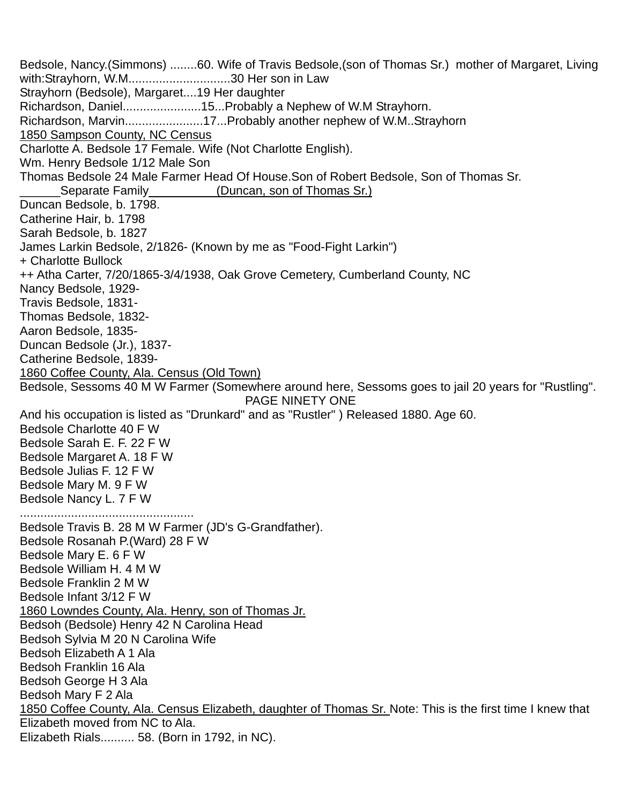Bedsole, Nancy.(Simmons) ........60. Wife of Travis Bedsole,(son of Thomas Sr.) mother of Margaret, Living with:Strayhorn, W.M..............................30 Her son in Law Strayhorn (Bedsole), Margaret....19 Her daughter Richardson, Daniel.........................15...Probably a Nephew of W.M Strayhorn. Richardson, Marvin.......................17...Probably another nephew of W.M..Strayhorn 1850 Sampson County, NC Census Charlotte A. Bedsole 17 Female. Wife (Not Charlotte English). Wm. Henry Bedsole 1/12 Male Son Thomas Bedsole 24 Male Farmer Head Of House.Son of Robert Bedsole, Son of Thomas Sr. Separate Family\_\_\_\_\_\_\_\_\_(Duncan, son of Thomas Sr.) Duncan Bedsole, b. 1798. Catherine Hair, b. 1798 Sarah Bedsole, b. 1827 James Larkin Bedsole, 2/1826- (Known by me as "Food-Fight Larkin") + Charlotte Bullock ++ Atha Carter, 7/20/1865-3/4/1938, Oak Grove Cemetery, Cumberland County, NC Nancy Bedsole, 1929- Travis Bedsole, 1831- Thomas Bedsole, 1832- Aaron Bedsole, 1835- Duncan Bedsole (Jr.), 1837- Catherine Bedsole, 1839- 1860 Coffee County, Ala. Census (Old Town) Bedsole, Sessoms 40 M W Farmer (Somewhere around here, Sessoms goes to jail 20 years for "Rustling". PAGE NINETY ONE And his occupation is listed as "Drunkard" and as "Rustler" ) Released 1880. Age 60. Bedsole Charlotte 40 F W Bedsole Sarah E. F. 22 F W Bedsole Margaret A. 18 F W Bedsole Julias F. 12 F W Bedsole Mary M. 9 F W Bedsole Nancy L. 7 F W ................................................... Bedsole Travis B. 28 M W Farmer (JD's G-Grandfather). Bedsole Rosanah P.(Ward) 28 F W Bedsole Mary E. 6 F W Bedsole William H. 4 M W Bedsole Franklin 2 M W Bedsole Infant 3/12 F W 1860 Lowndes County, Ala. Henry, son of Thomas Jr. Bedsoh (Bedsole) Henry 42 N Carolina Head Bedsoh Sylvia M 20 N Carolina Wife Bedsoh Elizabeth A 1 Ala Bedsoh Franklin 16 Ala Bedsoh George H 3 Ala Bedsoh Mary F 2 Ala 1850 Coffee County, Ala. Census Elizabeth, daughter of Thomas Sr. Note: This is the first time I knew that Elizabeth moved from NC to Ala. Elizabeth Rials.......... 58. (Born in 1792, in NC).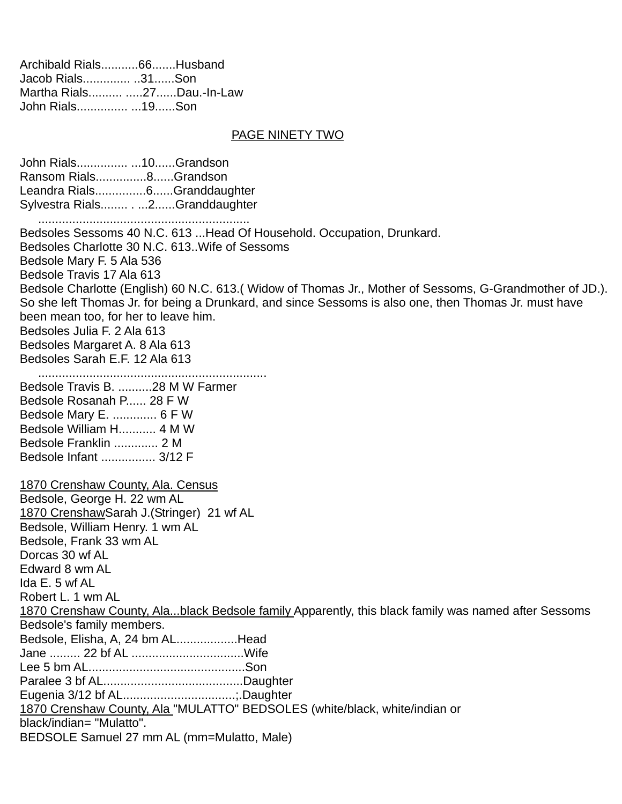| Archibald Rials66Husband   |  |
|----------------------------|--|
| Jacob Rials31Son           |  |
| Martha Rials 27Dau.-In-Law |  |
| John Rials 19Son           |  |

#### PAGE NINETY TWO

John Rials............... ...10......Grandson Ransom Rials...............8......Grandson Leandra Rials...............6......Granddaughter Sylvestra Rials........ . ...2......Granddaughter .............................................................. Bedsoles Sessoms 40 N.C. 613 ...Head Of Household. Occupation, Drunkard. Bedsoles Charlotte 30 N.C. 613..Wife of Sessoms Bedsole Mary F. 5 Ala 536 Bedsole Travis 17 Ala 613 Bedsole Charlotte (English) 60 N.C. 613.( Widow of Thomas Jr., Mother of Sessoms, G-Grandmother of JD.). So she left Thomas Jr. for being a Drunkard, and since Sessoms is also one, then Thomas Jr. must have been mean too, for her to leave him. Bedsoles Julia F. 2 Ala 613 Bedsoles Margaret A. 8 Ala 613 Bedsoles Sarah E.F. 12 Ala 613 ................................................................... Bedsole Travis B. ..........28 M W Farmer Bedsole Rosanah P...... 28 F W Bedsole Mary E. ............. 6 F W Bedsole William H........... 4 M W Bedsole Franklin ............. 2 M Bedsole Infant ................ 3/12 F 1870 Crenshaw County, Ala. Census Bedsole, George H. 22 wm AL 1870 CrenshawSarah J.(Stringer) 21 wf AL Bedsole, William Henry. 1 wm AL Bedsole, Frank 33 wm AL Dorcas 30 wf AL Edward 8 wm AL Ida E. 5 wf AL Robert L. 1 wm AL 1870 Crenshaw County, Ala...black Bedsole family Apparently, this black family was named after Sessoms Bedsole's family members. Bedsole, Elisha, A, 24 bm AL..................Head Jane ......... 22 bf AL .................................Wife Lee 5 bm AL..............................................Son Paralee 3 bf AL.........................................Daughter Eugenia 3/12 bf AL.................................;.Daughter 1870 Crenshaw County, Ala "MULATTO" BEDSOLES (white/black, white/indian or black/indian= "Mulatto". BEDSOLE Samuel 27 mm AL (mm=Mulatto, Male)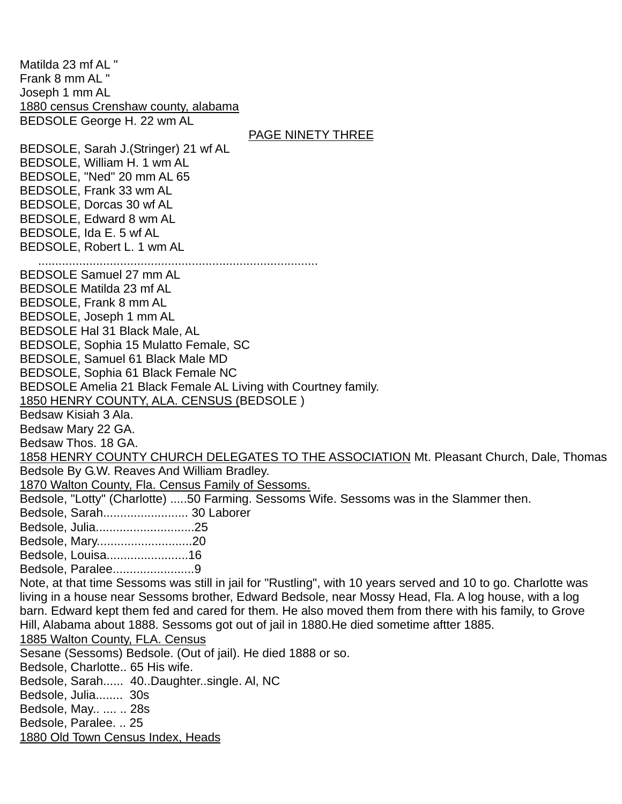Matilda 23 mf Al " Frank 8 mm AL " Joseph 1 mm AL 1880 census Crenshaw county, alabama BEDSOLE George H. 22 wm AL PAGE NINETY THREE BEDSOLE, Sarah J.(Stringer) 21 wf AL BEDSOLE, William H. 1 wm AL BEDSOLE, "Ned" 20 mm AL 65 BEDSOLE, Frank 33 wm AL BEDSOLE, Dorcas 30 wf AL BEDSOLE, Edward 8 wm AL BEDSOLE, Ida E. 5 wf AL BEDSOLE, Robert L. 1 wm AL .................................................................................. BEDSOLE Samuel 27 mm AL BEDSOLE Matilda 23 mf AL BEDSOLE, Frank 8 mm AL BEDSOLE, Joseph 1 mm AL BEDSOLE Hal 31 Black Male, AL BEDSOLE, Sophia 15 Mulatto Female, SC BEDSOLE, Samuel 61 Black Male MD BEDSOLE, Sophia 61 Black Female NC BEDSOLE Amelia 21 Black Female AL Living with Courtney family. 1850 HENRY COUNTY, ALA. CENSUS (BEDSOLE ) Bedsaw Kisiah 3 Ala. Bedsaw Mary 22 GA. Bedsaw Thos. 18 GA. 1858 HENRY COUNTY CHURCH DELEGATES TO THE ASSOCIATION Mt. Pleasant Church, Dale, Thomas Bedsole By G.W. Reaves And William Bradley. 1870 Walton County, Fla. Census Family of Sessoms. Bedsole, "Lotty" (Charlotte) .....50 Farming. Sessoms Wife. Sessoms was in the Slammer then. Bedsole, Sarah......................... 30 Laborer Bedsole, Julia.............................25 Bedsole, Mary............................20 Bedsole, Louisa........................16 Bedsole, Paralee........................9 Note, at that time Sessoms was still in jail for "Rustling", with 10 years served and 10 to go. Charlotte was living in a house near Sessoms brother, Edward Bedsole, near Mossy Head, Fla. A log house, with a log barn. Edward kept them fed and cared for them. He also moved them from there with his family, to Grove Hill, Alabama about 1888. Sessoms got out of jail in 1880.He died sometime aftter 1885. 1885 Walton County, FLA. Census Sesane (Sessoms) Bedsole. (Out of jail). He died 1888 or so. Bedsole, Charlotte.. 65 His wife. Bedsole, Sarah...... 40..Daughter..single. Al, NC Bedsole, Julia........ 30s Bedsole, May.. .... .. 28s Bedsole, Paralee. .. 25 1880 Old Town Census Index, Heads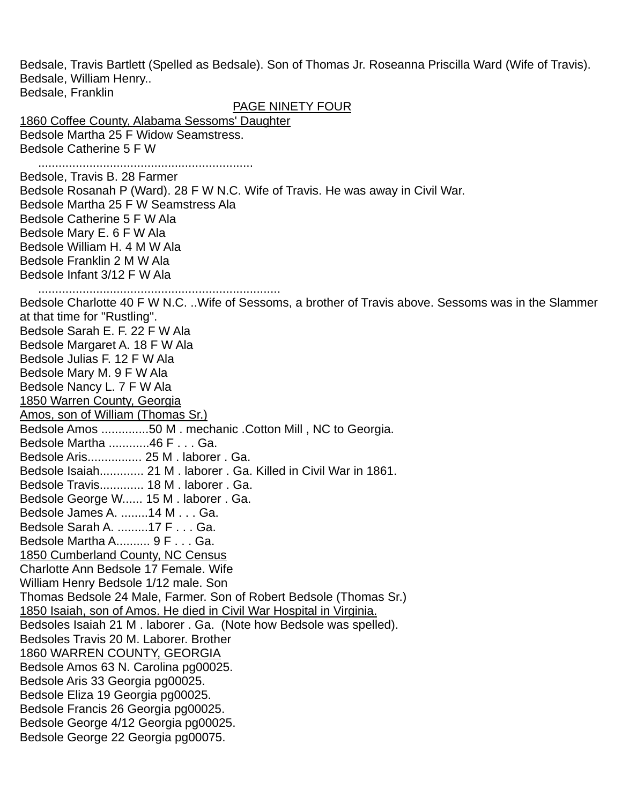Bedsale, Travis Bartlett (Spelled as Bedsale). Son of Thomas Jr. Roseanna Priscilla Ward (Wife of Travis). Bedsale, William Henry.. Bedsale, Franklin PAGE NINETY FOUR 1860 Coffee County, Alabama Sessoms' Daughter Bedsole Martha 25 F Widow Seamstress. Bedsole Catherine 5 F W ............................................................... Bedsole, Travis B. 28 Farmer Bedsole Rosanah P (Ward). 28 F W N.C. Wife of Travis. He was away in Civil War. Bedsole Martha 25 F W Seamstress Ala Bedsole Catherine 5 F W Ala Bedsole Mary E. 6 F W Ala Bedsole William H. 4 M W Ala Bedsole Franklin 2 M W Ala Bedsole Infant 3/12 F W Ala ....................................................................... Bedsole Charlotte 40 F W N.C. ..Wife of Sessoms, a brother of Travis above. Sessoms was in the Slammer at that time for "Rustling". Bedsole Sarah E. F. 22 F W Ala Bedsole Margaret A. 18 F W Ala Bedsole Julias F. 12 F W Ala Bedsole Mary M. 9 F W Ala Bedsole Nancy L. 7 F W Ala 1850 Warren County, Georgia Amos, son of William (Thomas Sr.) Bedsole Amos ..............50 M . mechanic .Cotton Mill , NC to Georgia. Bedsole Martha ............46 F . . . Ga. Bedsole Aris................ 25 M . laborer . Ga. Bedsole Isaiah............. 21 M . laborer . Ga. Killed in Civil War in 1861. Bedsole Travis............. 18 M . laborer . Ga. Bedsole George W...... 15 M . laborer . Ga. Bedsole James A. ........14 M . . . Ga. Bedsole Sarah A. .........17 F . . . Ga. Bedsole Martha A.......... 9 F . . . Ga. 1850 Cumberland County, NC Census Charlotte Ann Bedsole 17 Female. Wife William Henry Bedsole 1/12 male. Son Thomas Bedsole 24 Male, Farmer. Son of Robert Bedsole (Thomas Sr.) 1850 Isaiah, son of Amos. He died in Civil War Hospital in Virginia. Bedsoles Isaiah 21 M . laborer . Ga. (Note how Bedsole was spelled). Bedsoles Travis 20 M. Laborer. Brother 1860 WARREN COUNTY, GEORGIA Bedsole Amos 63 N. Carolina pg00025. Bedsole Aris 33 Georgia pg00025. Bedsole Eliza 19 Georgia pg00025. Bedsole Francis 26 Georgia pg00025. Bedsole George 4/12 Georgia pg00025. Bedsole George 22 Georgia pg00075.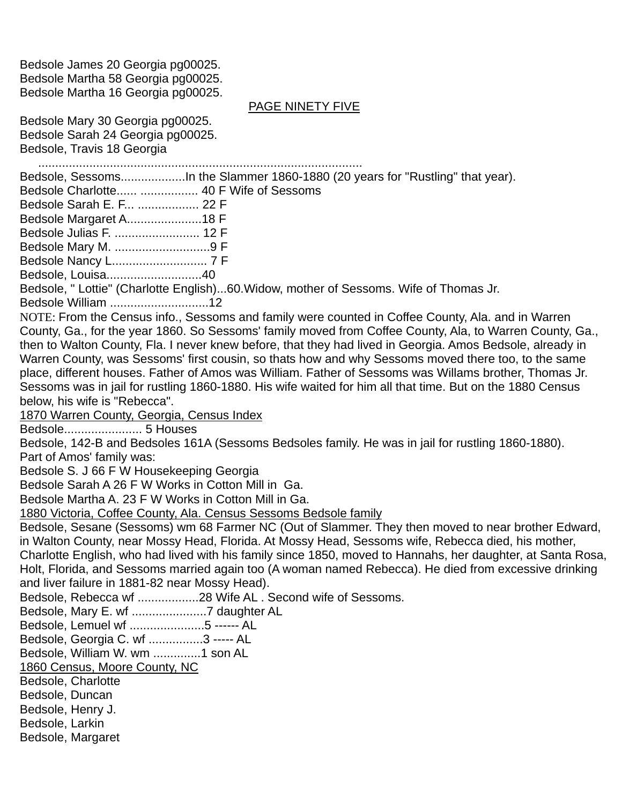Bedsole James 20 Georgia pg00025. Bedsole Martha 58 Georgia pg00025. Bedsole Martha 16 Georgia pg00025.

#### PAGE NINETY FIVE

Bedsole Mary 30 Georgia pg00025. Bedsole Sarah 24 Georgia pg00025. Bedsole, Travis 18 Georgia

............................................................................................... Bedsole, Sessoms...................In the Slammer 1860-1880 (20 years for "Rustling" that year). Bedsole Charlotte...... ................. 40 F Wife of Sessoms Bedsole Sarah E. F... .................. 22 F Bedsole Margaret A......................18 F Bedsole Julias F. ......................... 12 F Bedsole Mary M. ............................9 F Bedsole Nancy L............................ 7 F Bedsole, Louisa............................40 Bedsole, " Lottie" (Charlotte English)...60.Widow, mother of Sessoms. Wife of Thomas Jr. Bedsole William .............................12 NOTE: From the Census info., Sessoms and family were counted in Coffee County, Ala. and in Warren County, Ga., for the year 1860. So Sessoms' family moved from Coffee County, Ala, to Warren County, Ga., then to Walton County, Fla. I never knew before, that they had lived in Georgia. Amos Bedsole, already in Warren County, was Sessoms' first cousin, so thats how and why Sessoms moved there too, to the same place, different houses. Father of Amos was William. Father of Sessoms was Willams brother, Thomas Jr. Sessoms was in jail for rustling 1860-1880. His wife waited for him all that time. But on the 1880 Census below, his wife is "Rebecca". 1870 Warren County, Georgia, Census Index Bedsole....................... 5 Houses Bedsole, 142-B and Bedsoles 161A (Sessoms Bedsoles family. He was in jail for rustling 1860-1880). Part of Amos' family was: Bedsole S. J 66 F W Housekeeping Georgia Bedsole Sarah A 26 F W Works in Cotton Mill in Ga. Bedsole Martha A. 23 F W Works in Cotton Mill in Ga. 1880 Victoria, Coffee County, Ala. Census Sessoms Bedsole family Bedsole, Sesane (Sessoms) wm 68 Farmer NC (Out of Slammer. They then moved to near brother Edward, in Walton County, near Mossy Head, Florida. At Mossy Head, Sessoms wife, Rebecca died, his mother, Charlotte English, who had lived with his family since 1850, moved to Hannahs, her daughter, at Santa Rosa, Holt, Florida, and Sessoms married again too (A woman named Rebecca). He died from excessive drinking and liver failure in 1881-82 near Mossy Head). Bedsole, Rebecca wf ..................28 Wife AL . Second wife of Sessoms. Bedsole, Mary E. wf ......................7 daughter AL Bedsole, Lemuel wf ......................5 ------ AL Bedsole, Georgia C. wf ................3 ----- AL Bedsole, William W. wm ..............1 son AL 1860 Census, Moore County, NC Bedsole, Charlotte Bedsole, Duncan Bedsole, Henry J. Bedsole, Larkin Bedsole, Margaret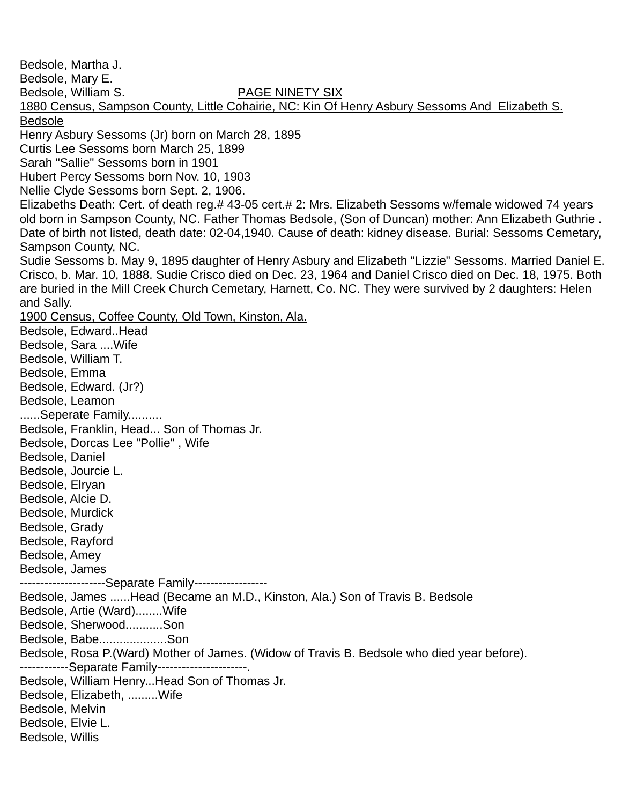Bedsole, Martha J. Bedsole, Mary E. Bedsole, William S. PAGE NINETY SIX 1880 Census, Sampson County, Little Cohairie, NC: Kin Of Henry Asbury Sessoms And Elizabeth S. Bedsole Henry Asbury Sessoms (Jr) born on March 28, 1895 Curtis Lee Sessoms born March 25, 1899 Sarah "Sallie" Sessoms born in 1901 Hubert Percy Sessoms born Nov. 10, 1903 Nellie Clyde Sessoms born Sept. 2, 1906. Elizabeths Death: Cert. of death reg.# 43-05 cert.# 2: Mrs. Elizabeth Sessoms w/female widowed 74 years old born in Sampson County, NC. Father Thomas Bedsole, (Son of Duncan) mother: Ann Elizabeth Guthrie . Date of birth not listed, death date: 02-04,1940. Cause of death: kidney disease. Burial: Sessoms Cemetary, Sampson County, NC. Sudie Sessoms b. May 9, 1895 daughter of Henry Asbury and Elizabeth "Lizzie" Sessoms. Married Daniel E. Crisco, b. Mar. 10, 1888. Sudie Crisco died on Dec. 23, 1964 and Daniel Crisco died on Dec. 18, 1975. Both are buried in the Mill Creek Church Cemetary, Harnett, Co. NC. They were survived by 2 daughters: Helen and Sally. 1900 Census, Coffee County, Old Town, Kinston, Ala. Bedsole, Edward..Head Bedsole, Sara ....Wife Bedsole, William T. Bedsole, Emma Bedsole, Edward. (Jr?) Bedsole, Leamon ......Seperate Family.......... Bedsole, Franklin, Head... Son of Thomas Jr. Bedsole, Dorcas Lee "Pollie" , Wife Bedsole, Daniel Bedsole, Jourcie L. Bedsole, Elryan Bedsole, Alcie D. Bedsole, Murdick Bedsole, Grady Bedsole, Rayford Bedsole, Amey Bedsole, James ---------------------Separate Family------------------ Bedsole, James ......Head (Became an M.D., Kinston, Ala.) Son of Travis B. Bedsole Bedsole, Artie (Ward)........Wife Bedsole, Sherwood...........Son Bedsole, Babe....................Son Bedsole, Rosa P.(Ward) Mother of James. (Widow of Travis B. Bedsole who died year before). -------------Separate Family-----------------------. Bedsole, William Henry...Head Son of Thomas Jr. Bedsole, Elizabeth, .........Wife Bedsole, Melvin Bedsole, Elvie L. Bedsole, Willis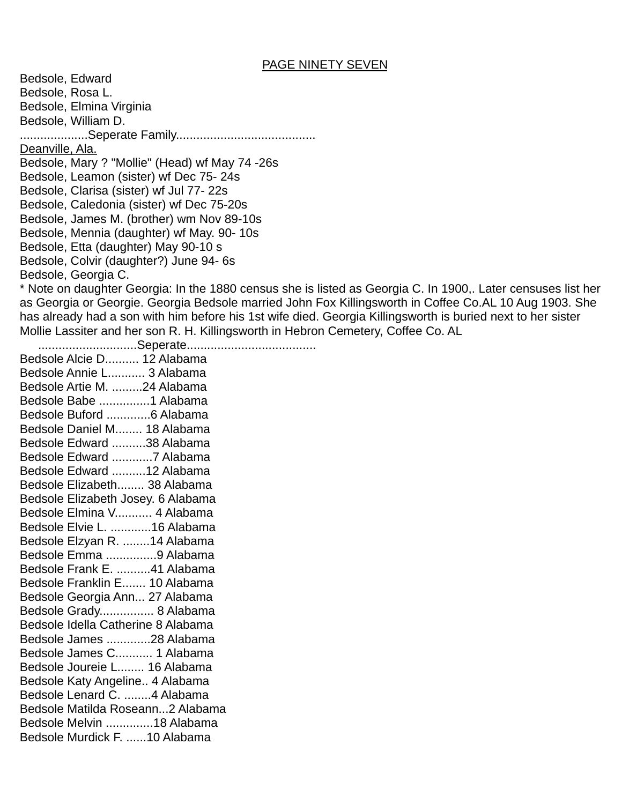#### PAGE NINETY SEVEN

Bedsole, Edward Bedsole, Rosa L. Bedsole, Elmina Virginia Bedsole, William D. ....................Seperate Family......................................... Deanville, Ala. Bedsole, Mary ? "Mollie" (Head) wf May 74 -26s Bedsole, Leamon (sister) wf Dec 75- 24s Bedsole, Clarisa (sister) wf Jul 77- 22s Bedsole, Caledonia (sister) wf Dec 75-20s Bedsole, James M. (brother) wm Nov 89-10s Bedsole, Mennia (daughter) wf May. 90- 10s Bedsole, Etta (daughter) May 90-10 s Bedsole, Colvir (daughter?) June 94- 6s Bedsole, Georgia C.

\* Note on daughter Georgia: In the 1880 census she is listed as Georgia C. In 1900,. Later censuses list her as Georgia or Georgie. Georgia Bedsole married John Fox Killingsworth in Coffee Co.AL 10 Aug 1903. She has already had a son with him before his 1st wife died. Georgia Killingsworth is buried next to her sister Mollie Lassiter and her son R. H. Killingsworth in Hebron Cemetery, Coffee Co. AL

.............................Seperate......................................

Bedsole Alcie D.......... 12 Alabama Bedsole Annie L........... 3 Alabama Bedsole Artie M. .........24 Alabama Bedsole Babe ...............1 Alabama Bedsole Buford .............6 Alabama Bedsole Daniel M........ 18 Alabama Bedsole Edward ..........38 Alabama Bedsole Edward ............7 Alabama Bedsole Edward ..........12 Alabama Bedsole Elizabeth........ 38 Alabama Bedsole Elizabeth Josey. 6 Alabama Bedsole Elmina V........... 4 Alabama Bedsole Elvie L. ............16 Alabama Bedsole Elzyan R. ........14 Alabama Bedsole Emma ...............9 Alabama Bedsole Frank E. ..........41 Alabama Bedsole Franklin E....... 10 Alabama Bedsole Georgia Ann... 27 Alabama Bedsole Grady................ 8 Alabama Bedsole Idella Catherine 8 Alabama Bedsole James .............28 Alabama Bedsole James C........... 1 Alabama Bedsole Joureie L........ 16 Alabama Bedsole Katy Angeline.. 4 Alabama Bedsole Lenard C. ........4 Alabama Bedsole Matilda Roseann...2 Alabama Bedsole Melvin ..............18 Alabama Bedsole Murdick F. ......10 Alabama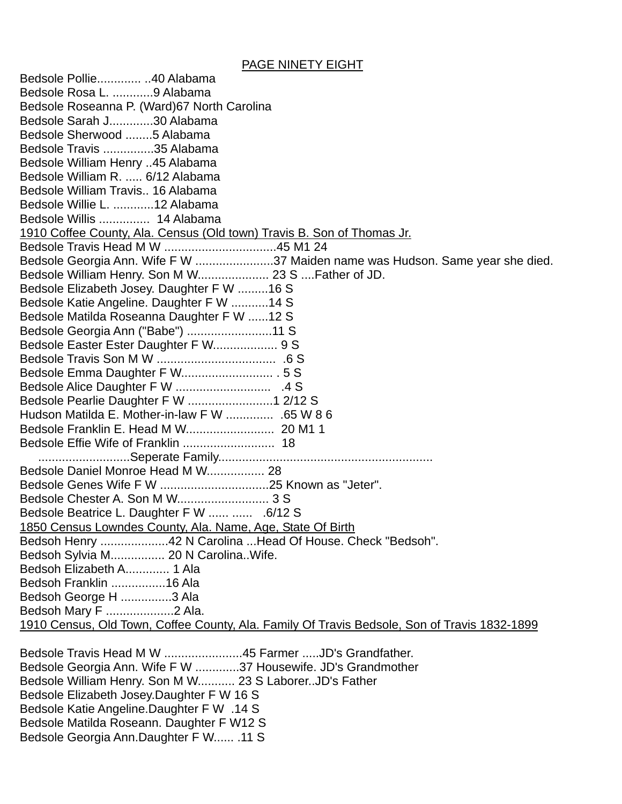#### PAGE NINETY EIGHT

Bedsole Pollie............. ..40 Alabama Bedsole Rosa L. ............9 Alabama Bedsole Roseanna P. (Ward)67 North Carolina Bedsole Sarah J.............30 Alabama Bedsole Sherwood ........5 Alabama Bedsole Travis ...............35 Alabama Bedsole William Henry ..45 Alabama Bedsole William R. ..... 6/12 Alabama Bedsole William Travis.. 16 Alabama Bedsole Willie L. ............12 Alabama Bedsole Willis ............... 14 Alabama 1910 Coffee County, Ala. Census (Old town) Travis B. Son of Thomas Jr. Bedsole Travis Head M W .................................45 M1 24 Bedsole Georgia Ann. Wife F W ..........................37 Maiden name was Hudson. Same year she died. Bedsole William Henry. Son M W..................... 23 S ....Father of JD. Bedsole Elizabeth Josey. Daughter F W .........16 S Bedsole Katie Angeline. Daughter F W ...........14 S Bedsole Matilda Roseanna Daughter F W ......12 S Bedsole Georgia Ann ("Babe") .........................11 S Bedsole Easter Ester Daughter F W................... 9 S Bedsole Travis Son M W ................................... .6 S Bedsole Emma Daughter F W........................... . 5 S Bedsole Alice Daughter F W ............................ .4 S Bedsole Pearlie Daughter F W .........................1 2/12 S Hudson Matilda E. Mother-in-law F W .............. .65 W 8 6 Bedsole Franklin E. Head M W.......................... 20 M1 1 Bedsole Effie Wife of Franklin ........................... 18 ...........................Seperate Family............................................................... Bedsole Daniel Monroe Head M W................. 28 Bedsole Genes Wife F W ................................25 Known as "Jeter". Bedsole Chester A. Son M W........................... 3 S Bedsole Beatrice L. Daughter F W ...... ...... .6/12 S 1850 Census Lowndes County, Ala. Name, Age, State Of Birth Bedsoh Henry ....................42 N Carolina ...Head Of House. Check "Bedsoh". Bedsoh Sylvia M................ 20 N Carolina..Wife. Bedsoh Elizabeth A............. 1 Ala Bedsoh Franklin ................16 Ala Bedsoh George H ...............3 Ala Bedsoh Mary F ....................2 Ala. 1910 Census, Old Town, Coffee County, Ala. Family Of Travis Bedsole, Son of Travis 1832-1899

Bedsole Travis Head M W .......................45 Farmer .....JD's Grandfather. Bedsole Georgia Ann. Wife F W .............37 Housewife. JD's Grandmother Bedsole William Henry. Son M W........... 23 S Laborer..JD's Father Bedsole Elizabeth Josey.Daughter F W 16 S Bedsole Katie Angeline.Daughter F W .14 S Bedsole Matilda Roseann. Daughter F W12 S Bedsole Georgia Ann.Daughter F W...... .11 S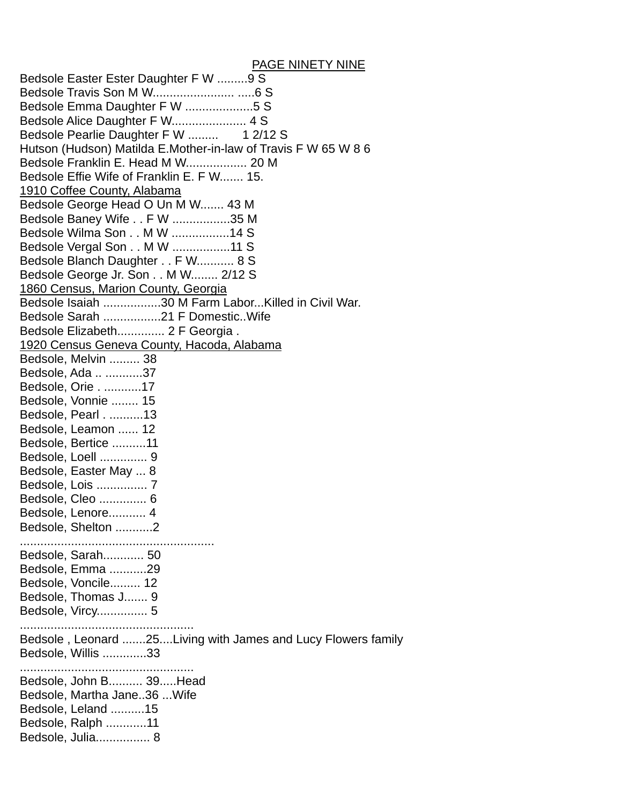# PAGE NINETY NINE

| Bedsole Easter Ester Daughter F W 9 S                          |
|----------------------------------------------------------------|
|                                                                |
| Bedsole Emma Daughter F W 5 S                                  |
| Bedsole Alice Daughter F W 4 S                                 |
| Bedsole Pearlie Daughter F W  1 2/12 S                         |
| Hutson (Hudson) Matilda E.Mother-in-law of Travis F W 65 W 8 6 |
| Bedsole Franklin E. Head M W 20 M                              |
| Bedsole Effie Wife of Franklin E. F W 15.                      |
| 1910 Coffee County, Alabama                                    |
| Bedsole George Head O Un M W 43 M                              |
| Bedsole Baney Wife F W 35 M                                    |
| Bedsole Wilma Son M W 14 S                                     |
| Bedsole Vergal Son M W 11 S                                    |
| Bedsole Blanch Daughter F W 8 S                                |
| Bedsole George Jr. Son M W 2/12 S                              |
|                                                                |
| 1860 Census, Marion County, Georgia                            |
| Bedsole Isaiah 30 M Farm LaborKilled in Civil War.             |
| Bedsole Sarah 21 F DomesticWife                                |
| Bedsole Elizabeth 2 F Georgia.                                 |
| 1920 Census Geneva County, Hacoda, Alabama                     |
| Bedsole, Melvin  38                                            |
| Bedsole, Ada  37                                               |
| Bedsole, Orie17                                                |
| Bedsole, Vonnie  15                                            |
| Bedsole, Pearl13                                               |
| Bedsole, Leamon  12                                            |
| Bedsole, Bertice 11                                            |
| Bedsole, Loell  9                                              |
| Bedsole, Easter May  8                                         |
| Bedsole, Lois  7                                               |
| Bedsole, Cleo  6                                               |
| Bedsole, Lenore 4                                              |
| Bedsole, Shelton 2                                             |
|                                                                |
| Bedsole, Sarah 50                                              |
| Bedsole, Emma 29                                               |
| Bedsole, Voncile 12                                            |
| Bedsole, Thomas J 9                                            |
| Bedsole, Vircy 5                                               |
|                                                                |
| Bedsole, Leonard 25Living with James and Lucy Flowers family   |
| Bedsole, Willis 33                                             |
|                                                                |
| Bedsole, John B 39Head                                         |
|                                                                |
| Bedsole, Martha Jane36  Wife                                   |
| Bedsole, Leland 15                                             |
| Bedsole, Ralph 11                                              |
| Bedsole, Julia 8                                               |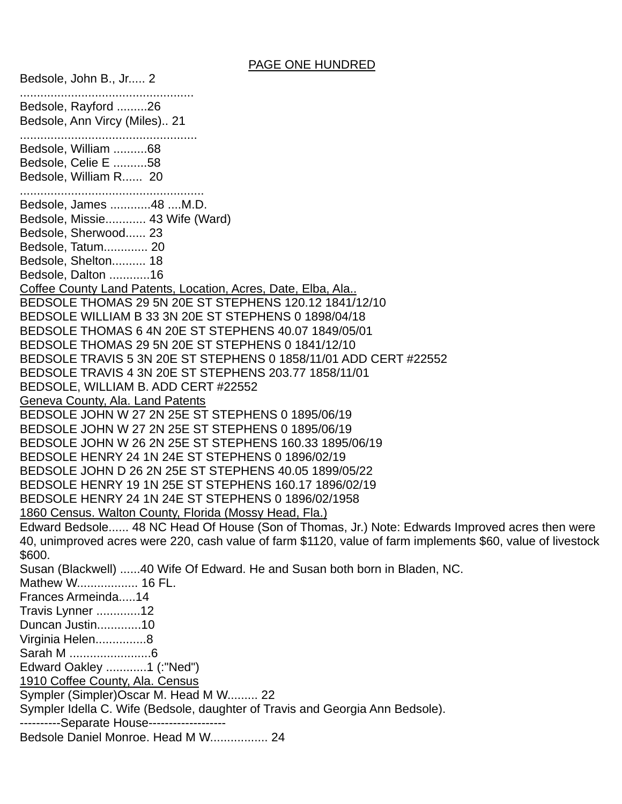### PAGE ONE HUNDRED

Bedsole, John B., Jr..... 2 ................................................... Bedsole, Rayford .........26 Bedsole, Ann Vircy (Miles).. 21 .................................................... Bedsole, William ..........68 Bedsole, Celie E ..........58 Bedsole, William R...... 20 ...................................................... Bedsole, James ............48 ....M.D. Bedsole, Missie............ 43 Wife (Ward) Bedsole, Sherwood...... 23 Bedsole, Tatum............. 20 Bedsole, Shelton.......... 18 Bedsole, Dalton ............16 Coffee County Land Patents, Location, Acres, Date, Elba, Ala.. BEDSOLE THOMAS 29 5N 20E ST STEPHENS 120.12 1841/12/10 BEDSOLE WILLIAM B 33 3N 20E ST STEPHENS 0 1898/04/18 BEDSOLE THOMAS 6 4N 20E ST STEPHENS 40.07 1849/05/01 BEDSOLE THOMAS 29 5N 20E ST STEPHENS 0 1841/12/10 BEDSOLE TRAVIS 5 3N 20E ST STEPHENS 0 1858/11/01 ADD CERT #22552 BEDSOLE TRAVIS 4 3N 20E ST STEPHENS 203.77 1858/11/01 BEDSOLE, WILLIAM B. ADD CERT #22552 Geneva County, Ala. Land Patents BEDSOLE JOHN W 27 2N 25E ST STEPHENS 0 1895/06/19 BEDSOLE JOHN W 27 2N 25E ST STEPHENS 0 1895/06/19 BEDSOLE JOHN W 26 2N 25E ST STEPHENS 160.33 1895/06/19 BEDSOLE HENRY 24 1N 24E ST STEPHENS 0 1896/02/19 BEDSOLE JOHN D 26 2N 25E ST STEPHENS 40.05 1899/05/22 BEDSOLE HENRY 19 1N 25E ST STEPHENS 160.17 1896/02/19 BEDSOLE HENRY 24 1N 24E ST STEPHENS 0 1896/02/1958 1860 Census. Walton County, Florida (Mossy Head, Fla.) Edward Bedsole...... 48 NC Head Of House (Son of Thomas, Jr.) Note: Edwards Improved acres then were 40, unimproved acres were 220, cash value of farm \$1120, value of farm implements \$60, value of livestock \$600. Susan (Blackwell) ......40 Wife Of Edward. He and Susan both born in Bladen, NC. Mathew W.................. 16 FL. Frances Armeinda.....14 Travis Lynner .............12 Duncan Justin.............10 Virginia Helen...............8 Sarah M ........................6 Edward Oakley ............1 (:"Ned") 1910 Coffee County, Ala. Census Sympler (Simpler)Oscar M. Head M W......... 22 Sympler Idella C. Wife (Bedsole, daughter of Travis and Georgia Ann Bedsole). -----------Separate House--------------------Bedsole Daniel Monroe. Head M W................. 24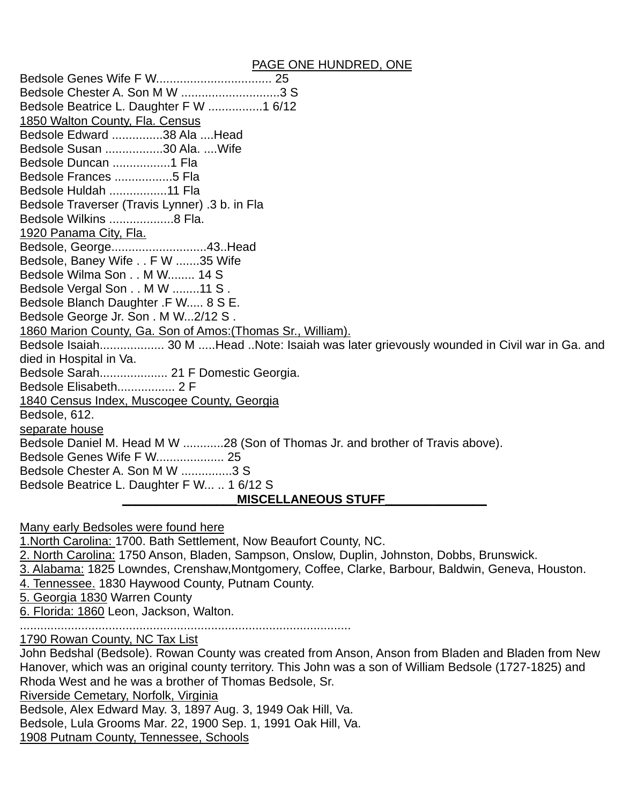### PAGE ONE HUNDRED, ONE

Bedsole Genes Wife F W.................................. 25 Bedsole Chester A. Son M W .............................3 S Bedsole Beatrice L. Daughter F W ................1 6/12 1850 Walton County, Fla. Census Bedsole Edward ...............38 Ala ....Head Bedsole Susan .................30 Ala. ....Wife Bedsole Duncan .................1 Fla Bedsole Frances .................5 Fla Bedsole Huldah .................11 Fla Bedsole Traverser (Travis Lynner) .3 b. in Fla Bedsole Wilkins ...................8 Fla. 1920 Panama City, Fla. Bedsole, George............................43..Head Bedsole, Baney Wife . . F W .......35 Wife Bedsole Wilma Son . . M W........ 14 S Bedsole Vergal Son . . M W ........11 S . Bedsole Blanch Daughter .F W..... 8 S E. Bedsole George Jr. Son . M W...2/12 S . 1860 Marion County, Ga. Son of Amos:(Thomas Sr., William). Bedsole Isaiah................... 30 M .....Head ..Note: Isaiah was later grievously wounded in Civil war in Ga. and died in Hospital in Va. Bedsole Sarah.................... 21 F Domestic Georgia. Bedsole Elisabeth................. 2 F 1840 Census Index, Muscogee County, Georgia Bedsole, 612. separate house Bedsole Daniel M. Head M W ............28 (Son of Thomas Jr. and brother of Travis above). Bedsole Genes Wife F W.................... 25 Bedsole Chester A. Son M W ...............3 S Bedsole Beatrice L. Daughter F W... .. 1 6/12 S  $MISCELLANEOUS$  STUFF

Many early Bedsoles were found here

1.North Carolina: 1700. Bath Settlement, Now Beaufort County, NC.

2. North Carolina: 1750 Anson, Bladen, Sampson, Onslow, Duplin, Johnston, Dobbs, Brunswick.

3. Alabama: 1825 Lowndes, Crenshaw,Montgomery, Coffee, Clarke, Barbour, Baldwin, Geneva, Houston.

4. Tennessee. 1830 Haywood County, Putnam County.

5. Georgia 1830 Warren County

6. Florida: 1860 Leon, Jackson, Walton.

.................................................................................................

1790 Rowan County, NC Tax List

John Bedshal (Bedsole). Rowan County was created from Anson, Anson from Bladen and Bladen from New Hanover, which was an original county territory. This John was a son of William Bedsole (1727-1825) and Rhoda West and he was a brother of Thomas Bedsole, Sr.

Riverside Cemetary, Norfolk, Virginia

Bedsole, Alex Edward May. 3, 1897 Aug. 3, 1949 Oak Hill, Va.

Bedsole, Lula Grooms Mar. 22, 1900 Sep. 1, 1991 Oak Hill, Va.

1908 Putnam County, Tennessee, Schools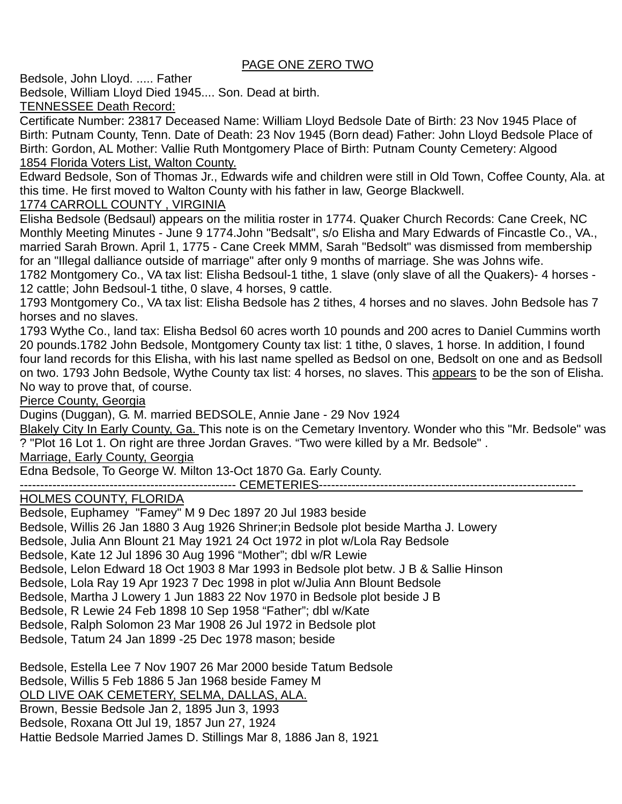# PAGE ONE ZERO TWO

Bedsole, John Lloyd. ..... Father

Bedsole, William Lloyd Died 1945.... Son. Dead at birth.

TENNESSEE Death Record:

Certificate Number: 23817 Deceased Name: William Lloyd Bedsole Date of Birth: 23 Nov 1945 Place of Birth: Putnam County, Tenn. Date of Death: 23 Nov 1945 (Born dead) Father: John Lloyd Bedsole Place of Birth: Gordon, AL Mother: Vallie Ruth Montgomery Place of Birth: Putnam County Cemetery: Algood 1854 Florida Voters List, Walton County.

Edward Bedsole, Son of Thomas Jr., Edwards wife and children were still in Old Town, Coffee County, Ala. at this time. He first moved to Walton County with his father in law, George Blackwell.

# 1774 CARROLL COUNTY , VIRGINIA

Elisha Bedsole (Bedsaul) appears on the militia roster in 1774. Quaker Church Records: Cane Creek, NC Monthly Meeting Minutes - June 9 1774.John "Bedsalt", s/o Elisha and Mary Edwards of Fincastle Co., VA., married Sarah Brown. April 1, 1775 - Cane Creek MMM, Sarah "Bedsolt" was dismissed from membership for an "Illegal dalliance outside of marriage" after only 9 months of marriage. She was Johns wife.

1782 Montgomery Co., VA tax list: Elisha Bedsoul-1 tithe, 1 slave (only slave of all the Quakers)- 4 horses - 12 cattle; John Bedsoul-1 tithe, 0 slave, 4 horses, 9 cattle.

1793 Montgomery Co., VA tax list: Elisha Bedsole has 2 tithes, 4 horses and no slaves. John Bedsole has 7 horses and no slaves.

1793 Wythe Co., land tax: Elisha Bedsol 60 acres worth 10 pounds and 200 acres to Daniel Cummins worth 20 pounds.1782 John Bedsole, Montgomery County tax list: 1 tithe, 0 slaves, 1 horse. In addition, I found four land records for this Elisha, with his last name spelled as Bedsol on one, Bedsolt on one and as Bedsoll on two. 1793 John Bedsole, Wythe County tax list: 4 horses, no slaves. This appears to be the son of Elisha. No way to prove that, of course.

Pierce County, Georgia

Dugins (Duggan), G. M. married BEDSOLE, Annie Jane - 29 Nov 1924

Blakely City In Early County, Ga. This note is on the Cemetary Inventory. Wonder who this "Mr. Bedsole" was ? "Plot 16 Lot 1. On right are three Jordan Graves. "Two were killed by a Mr. Bedsole" .

Marriage, Early County, Georgia

Edna Bedsole, To George W. Milton 13-Oct 1870 Ga. Early County.

----------------------------------------------------- CEMETERIES---------------------------------------------------------------\_

# HOLMES COUNTY, FLORIDA

Bedsole, Euphamey "Famey" M 9 Dec 1897 20 Jul 1983 beside Bedsole, Willis 26 Jan 1880 3 Aug 1926 Shriner;in Bedsole plot beside Martha J. Lowery Bedsole, Julia Ann Blount 21 May 1921 24 Oct 1972 in plot w/Lola Ray Bedsole Bedsole, Kate 12 Jul 1896 30 Aug 1996 "Mother"; dbl w/R Lewie Bedsole, Lelon Edward 18 Oct 1903 8 Mar 1993 in Bedsole plot betw. J B & Sallie Hinson Bedsole, Lola Ray 19 Apr 1923 7 Dec 1998 in plot w/Julia Ann Blount Bedsole Bedsole, Martha J Lowery 1 Jun 1883 22 Nov 1970 in Bedsole plot beside J B Bedsole, R Lewie 24 Feb 1898 10 Sep 1958 "Father"; dbl w/Kate Bedsole, Ralph Solomon 23 Mar 1908 26 Jul 1972 in Bedsole plot Bedsole, Tatum 24 Jan 1899 -25 Dec 1978 mason; beside

Bedsole, Estella Lee 7 Nov 1907 26 Mar 2000 beside Tatum Bedsole Bedsole, Willis 5 Feb 1886 5 Jan 1968 beside Famey M OLD LIVE OAK CEMETERY, SELMA, DALLAS, ALA. Brown, Bessie Bedsole Jan 2, 1895 Jun 3, 1993 Bedsole, Roxana Ott Jul 19, 1857 Jun 27, 1924 Hattie Bedsole Married James D. Stillings Mar 8, 1886 Jan 8, 1921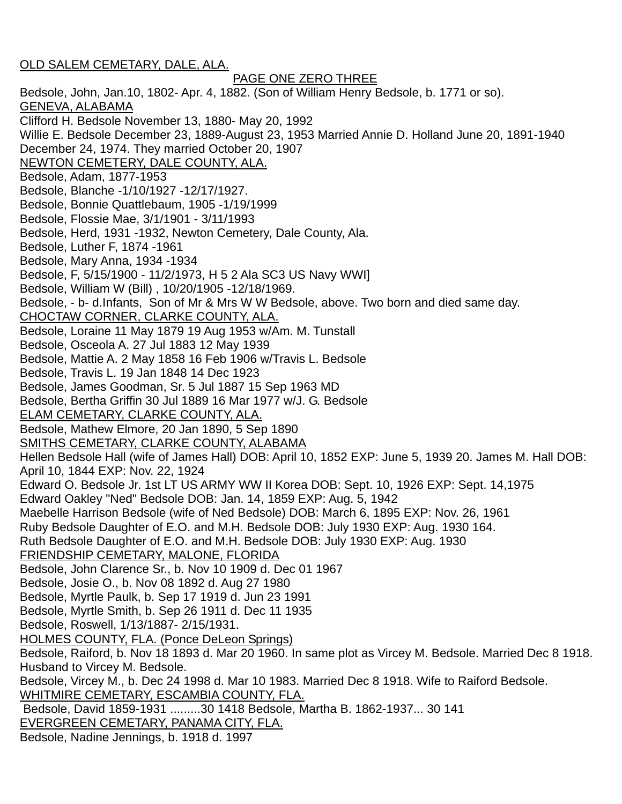## OLD SALEM CEMETARY, DALE, ALA.

 PAGE ONE ZERO THREE Bedsole, John, Jan.10, 1802- Apr. 4, 1882. (Son of William Henry Bedsole, b. 1771 or so). GENEVA, ALABAMA Clifford H. Bedsole November 13, 1880- May 20, 1992 Willie E. Bedsole December 23, 1889-August 23, 1953 Married Annie D. Holland June 20, 1891-1940 December 24, 1974. They married October 20, 1907 NEWTON CEMETERY, DALE COUNTY, ALA. Bedsole, Adam, 1877-1953 Bedsole, Blanche -1/10/1927 -12/17/1927. Bedsole, Bonnie Quattlebaum, 1905 -1/19/1999 Bedsole, Flossie Mae, 3/1/1901 - 3/11/1993 Bedsole, Herd, 1931 -1932, Newton Cemetery, Dale County, Ala. Bedsole, Luther F, 1874 -1961 Bedsole, Mary Anna, 1934 -1934 Bedsole, F, 5/15/1900 - 11/2/1973, H 5 2 Ala SC3 US Navy WWI] Bedsole, William W (Bill) , 10/20/1905 -12/18/1969. Bedsole, - b- d.Infants, Son of Mr & Mrs W W Bedsole, above. Two born and died same day. CHOCTAW CORNER, CLARKE COUNTY, ALA. Bedsole, Loraine 11 May 1879 19 Aug 1953 w/Am. M. Tunstall Bedsole, Osceola A. 27 Jul 1883 12 May 1939 Bedsole, Mattie A. 2 May 1858 16 Feb 1906 w/Travis L. Bedsole Bedsole, Travis L. 19 Jan 1848 14 Dec 1923 Bedsole, James Goodman, Sr. 5 Jul 1887 15 Sep 1963 MD Bedsole, Bertha Griffin 30 Jul 1889 16 Mar 1977 w/J. G. Bedsole ELAM CEMETARY, CLARKE COUNTY, ALA. Bedsole, Mathew Elmore, 20 Jan 1890, 5 Sep 1890 SMITHS CEMETARY, CLARKE COUNTY, ALABAMA Hellen Bedsole Hall (wife of James Hall) DOB: April 10, 1852 EXP: June 5, 1939 20. James M. Hall DOB: April 10, 1844 EXP: Nov. 22, 1924 Edward O. Bedsole Jr. 1st LT US ARMY WW II Korea DOB: Sept. 10, 1926 EXP: Sept. 14,1975 Edward Oakley "Ned" Bedsole DOB: Jan. 14, 1859 EXP: Aug. 5, 1942 Maebelle Harrison Bedsole (wife of Ned Bedsole) DOB: March 6, 1895 EXP: Nov. 26, 1961 Ruby Bedsole Daughter of E.O. and M.H. Bedsole DOB: July 1930 EXP: Aug. 1930 164. Ruth Bedsole Daughter of E.O. and M.H. Bedsole DOB: July 1930 EXP: Aug. 1930 FRIENDSHIP CEMETARY, MALONE, FLORIDA Bedsole, John Clarence Sr., b. Nov 10 1909 d. Dec 01 1967 Bedsole, Josie O., b. Nov 08 1892 d. Aug 27 1980 Bedsole, Myrtle Paulk, b. Sep 17 1919 d. Jun 23 1991 Bedsole, Myrtle Smith, b. Sep 26 1911 d. Dec 11 1935 Bedsole, Roswell, 1/13/1887- 2/15/1931. HOLMES COUNTY, FLA. (Ponce DeLeon Springs) Bedsole, Raiford, b. Nov 18 1893 d. Mar 20 1960. In same plot as Vircey M. Bedsole. Married Dec 8 1918. Husband to Vircey M. Bedsole. Bedsole, Vircey M., b. Dec 24 1998 d. Mar 10 1983. Married Dec 8 1918. Wife to Raiford Bedsole. WHITMIRE CEMETARY, ESCAMBIA COUNTY, FLA. Bedsole, David 1859-1931 .........30 1418 Bedsole, Martha B. 1862-1937... 30 141 EVERGREEN CEMETARY, PANAMA CITY, FLA. Bedsole, Nadine Jennings, b. 1918 d. 1997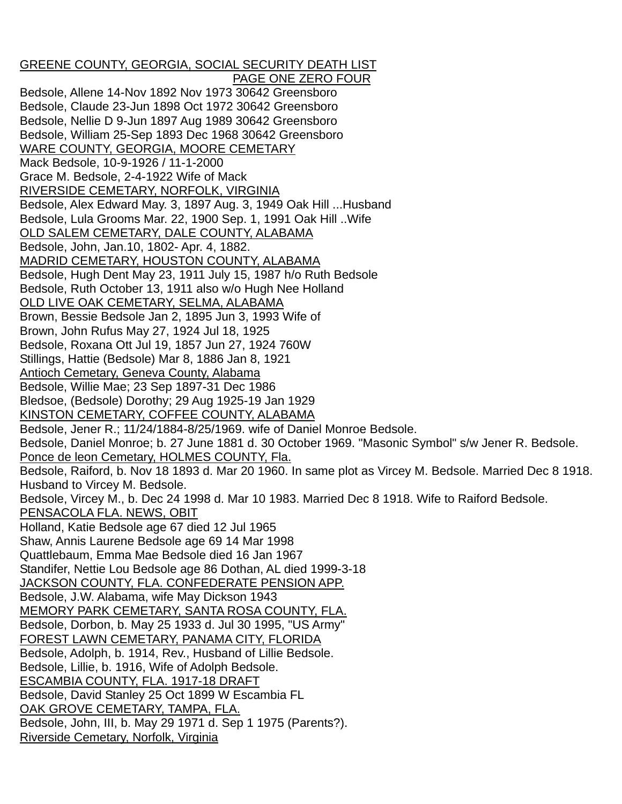# GREENE COUNTY, GEORGIA, SOCIAL SECURITY DEATH LIST

 PAGE ONE ZERO FOUR Bedsole, Allene 14-Nov 1892 Nov 1973 30642 Greensboro Bedsole, Claude 23-Jun 1898 Oct 1972 30642 Greensboro Bedsole, Nellie D 9-Jun 1897 Aug 1989 30642 Greensboro Bedsole, William 25-Sep 1893 Dec 1968 30642 Greensboro WARE COUNTY, GEORGIA, MOORE CEMETARY Mack Bedsole, 10-9-1926 / 11-1-2000 Grace M. Bedsole, 2-4-1922 Wife of Mack RIVERSIDE CEMETARY, NORFOLK, VIRGINIA Bedsole, Alex Edward May. 3, 1897 Aug. 3, 1949 Oak Hill ...Husband Bedsole, Lula Grooms Mar. 22, 1900 Sep. 1, 1991 Oak Hill ..Wife OLD SALEM CEMETARY, DALE COUNTY, ALABAMA Bedsole, John, Jan.10, 1802- Apr. 4, 1882. MADRID CEMETARY, HOUSTON COUNTY, ALABAMA Bedsole, Hugh Dent May 23, 1911 July 15, 1987 h/o Ruth Bedsole Bedsole, Ruth October 13, 1911 also w/o Hugh Nee Holland OLD LIVE OAK CEMETARY, SELMA, ALABAMA Brown, Bessie Bedsole Jan 2, 1895 Jun 3, 1993 Wife of Brown, John Rufus May 27, 1924 Jul 18, 1925 Bedsole, Roxana Ott Jul 19, 1857 Jun 27, 1924 760W Stillings, Hattie (Bedsole) Mar 8, 1886 Jan 8, 1921 Antioch Cemetary, Geneva County, Alabama Bedsole, Willie Mae; 23 Sep 1897-31 Dec 1986 Bledsoe, (Bedsole) Dorothy; 29 Aug 1925-19 Jan 1929 KINSTON CEMETARY, COFFEE COUNTY, ALABAMA Bedsole, Jener R.; 11/24/1884-8/25/1969. wife of Daniel Monroe Bedsole. Bedsole, Daniel Monroe; b. 27 June 1881 d. 30 October 1969. "Masonic Symbol" s/w Jener R. Bedsole. Ponce de leon Cemetary, HOLMES COUNTY, Fla. Bedsole, Raiford, b. Nov 18 1893 d. Mar 20 1960. In same plot as Vircey M. Bedsole. Married Dec 8 1918. Husband to Vircey M. Bedsole. Bedsole, Vircey M., b. Dec 24 1998 d. Mar 10 1983. Married Dec 8 1918. Wife to Raiford Bedsole. PENSACOLA FLA. NEWS, OBIT Holland, Katie Bedsole age 67 died 12 Jul 1965 Shaw, Annis Laurene Bedsole age 69 14 Mar 1998 Quattlebaum, Emma Mae Bedsole died 16 Jan 1967 Standifer, Nettie Lou Bedsole age 86 Dothan, AL died 1999-3-18 JACKSON COUNTY, FLA. CONFEDERATE PENSION APP. Bedsole, J.W. Alabama, wife May Dickson 1943 MEMORY PARK CEMETARY, SANTA ROSA COUNTY, FLA. Bedsole, Dorbon, b. May 25 1933 d. Jul 30 1995, "US Army" FOREST LAWN CEMETARY, PANAMA CITY, FLORIDA Bedsole, Adolph, b. 1914, Rev., Husband of Lillie Bedsole. Bedsole, Lillie, b. 1916, Wife of Adolph Bedsole. ESCAMBIA COUNTY, FLA. 1917-18 DRAFT Bedsole, David Stanley 25 Oct 1899 W Escambia FL OAK GROVE CEMETARY, TAMPA, FLA. Bedsole, John, III, b. May 29 1971 d. Sep 1 1975 (Parents?). Riverside Cemetary, Norfolk, Virginia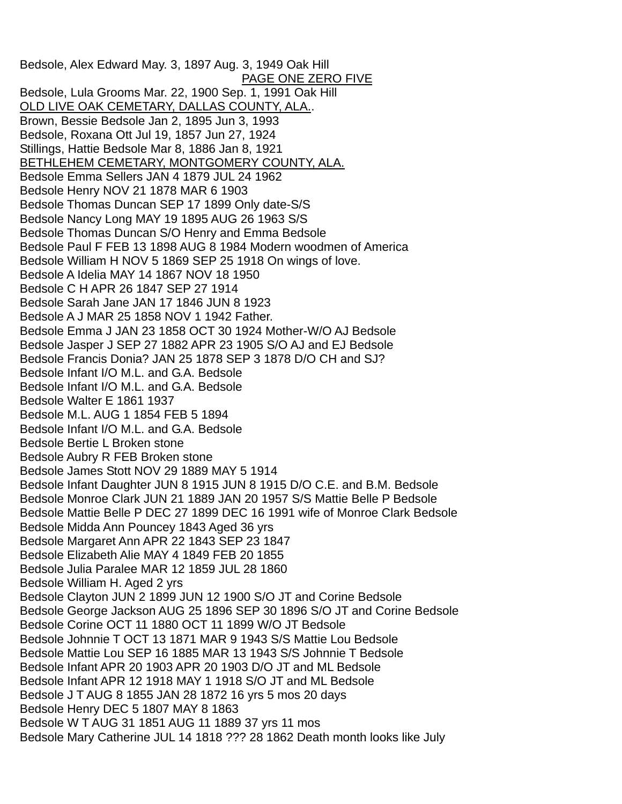Bedsole, Alex Edward May. 3, 1897 Aug. 3, 1949 Oak Hill PAGE ONE ZERO FIVE Bedsole, Lula Grooms Mar. 22, 1900 Sep. 1, 1991 Oak Hill OLD LIVE OAK CEMETARY, DALLAS COUNTY, ALA.. Brown, Bessie Bedsole Jan 2, 1895 Jun 3, 1993 Bedsole, Roxana Ott Jul 19, 1857 Jun 27, 1924 Stillings, Hattie Bedsole Mar 8, 1886 Jan 8, 1921 BETHLEHEM CEMETARY, MONTGOMERY COUNTY, ALA. Bedsole Emma Sellers JAN 4 1879 JUL 24 1962 Bedsole Henry NOV 21 1878 MAR 6 1903 Bedsole Thomas Duncan SEP 17 1899 Only date-S/S Bedsole Nancy Long MAY 19 1895 AUG 26 1963 S/S Bedsole Thomas Duncan S/O Henry and Emma Bedsole Bedsole Paul F FEB 13 1898 AUG 8 1984 Modern woodmen of America Bedsole William H NOV 5 1869 SEP 25 1918 On wings of love. Bedsole A Idelia MAY 14 1867 NOV 18 1950 Bedsole C H APR 26 1847 SEP 27 1914 Bedsole Sarah Jane JAN 17 1846 JUN 8 1923 Bedsole A J MAR 25 1858 NOV 1 1942 Father. Bedsole Emma J JAN 23 1858 OCT 30 1924 Mother-W/O AJ Bedsole Bedsole Jasper J SEP 27 1882 APR 23 1905 S/O AJ and EJ Bedsole Bedsole Francis Donia? JAN 25 1878 SEP 3 1878 D/O CH and SJ? Bedsole Infant I/O M.L. and G.A. Bedsole Bedsole Infant I/O M.L. and G.A. Bedsole Bedsole Walter E 1861 1937 Bedsole M.L. AUG 1 1854 FEB 5 1894 Bedsole Infant I/O M.L. and G.A. Bedsole Bedsole Bertie L Broken stone Bedsole Aubry R FEB Broken stone Bedsole James Stott NOV 29 1889 MAY 5 1914 Bedsole Infant Daughter JUN 8 1915 JUN 8 1915 D/O C.E. and B.M. Bedsole Bedsole Monroe Clark JUN 21 1889 JAN 20 1957 S/S Mattie Belle P Bedsole Bedsole Mattie Belle P DEC 27 1899 DEC 16 1991 wife of Monroe Clark Bedsole Bedsole Midda Ann Pouncey 1843 Aged 36 yrs Bedsole Margaret Ann APR 22 1843 SEP 23 1847 Bedsole Elizabeth Alie MAY 4 1849 FEB 20 1855 Bedsole Julia Paralee MAR 12 1859 JUL 28 1860 Bedsole William H. Aged 2 yrs Bedsole Clayton JUN 2 1899 JUN 12 1900 S/O JT and Corine Bedsole Bedsole George Jackson AUG 25 1896 SEP 30 1896 S/O JT and Corine Bedsole Bedsole Corine OCT 11 1880 OCT 11 1899 W/O JT Bedsole Bedsole Johnnie T OCT 13 1871 MAR 9 1943 S/S Mattie Lou Bedsole Bedsole Mattie Lou SEP 16 1885 MAR 13 1943 S/S Johnnie T Bedsole Bedsole Infant APR 20 1903 APR 20 1903 D/O JT and ML Bedsole Bedsole Infant APR 12 1918 MAY 1 1918 S/O JT and ML Bedsole Bedsole J T AUG 8 1855 JAN 28 1872 16 yrs 5 mos 20 days Bedsole Henry DEC 5 1807 MAY 8 1863 Bedsole W T AUG 31 1851 AUG 11 1889 37 yrs 11 mos Bedsole Mary Catherine JUL 14 1818 ??? 28 1862 Death month looks like July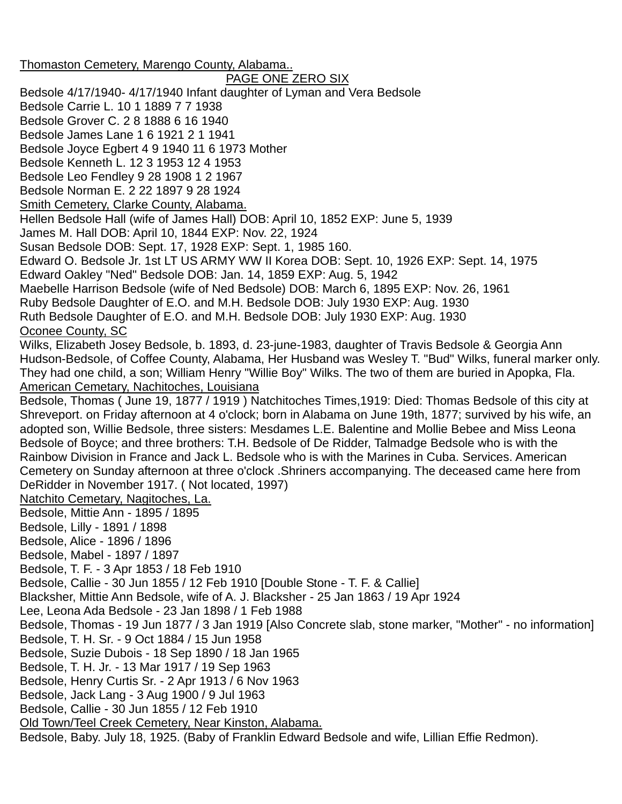Thomaston Cemetery, Marengo County, Alabama.. PAGE ONE ZERO SIX Bedsole 4/17/1940- 4/17/1940 Infant daughter of Lyman and Vera Bedsole Bedsole Carrie L. 10 1 1889 7 7 1938 Bedsole Grover C. 2 8 1888 6 16 1940 Bedsole James Lane 1 6 1921 2 1 1941 Bedsole Joyce Egbert 4 9 1940 11 6 1973 Mother Bedsole Kenneth L. 12 3 1953 12 4 1953 Bedsole Leo Fendley 9 28 1908 1 2 1967 Bedsole Norman E. 2 22 1897 9 28 1924 Smith Cemetery, Clarke County, Alabama. Hellen Bedsole Hall (wife of James Hall) DOB: April 10, 1852 EXP: June 5, 1939 James M. Hall DOB: April 10, 1844 EXP: Nov. 22, 1924 Susan Bedsole DOB: Sept. 17, 1928 EXP: Sept. 1, 1985 160. Edward O. Bedsole Jr. 1st LT US ARMY WW II Korea DOB: Sept. 10, 1926 EXP: Sept. 14, 1975 Edward Oakley "Ned" Bedsole DOB: Jan. 14, 1859 EXP: Aug. 5, 1942 Maebelle Harrison Bedsole (wife of Ned Bedsole) DOB: March 6, 1895 EXP: Nov. 26, 1961 Ruby Bedsole Daughter of E.O. and M.H. Bedsole DOB: July 1930 EXP: Aug. 1930 Ruth Bedsole Daughter of E.O. and M.H. Bedsole DOB: July 1930 EXP: Aug. 1930 Oconee County, SC Wilks, Elizabeth Josey Bedsole, b. 1893, d. 23-june-1983, daughter of Travis Bedsole & Georgia Ann Hudson-Bedsole, of Coffee County, Alabama, Her Husband was Wesley T. "Bud" Wilks, funeral marker only. They had one child, a son; William Henry "Willie Boy" Wilks. The two of them are buried in Apopka, Fla. American Cemetary, Nachitoches, Louisiana Bedsole, Thomas ( June 19, 1877 / 1919 ) Natchitoches Times,1919: Died: Thomas Bedsole of this city at Shreveport. on Friday afternoon at 4 o'clock; born in Alabama on June 19th, 1877; survived by his wife, an adopted son, Willie Bedsole, three sisters: Mesdames L.E. Balentine and Mollie Bebee and Miss Leona Bedsole of Boyce; and three brothers: T.H. Bedsole of De Ridder, Talmadge Bedsole who is with the Rainbow Division in France and Jack L. Bedsole who is with the Marines in Cuba. Services. American Cemetery on Sunday afternoon at three o'clock .Shriners accompanying. The deceased came here from DeRidder in November 1917. ( Not located, 1997) Natchito Cemetary, Nagitoches, La. Bedsole, Mittie Ann - 1895 / 1895 Bedsole, Lilly - 1891 / 1898 Bedsole, Alice - 1896 / 1896 Bedsole, Mabel - 1897 / 1897 Bedsole, T. F. - 3 Apr 1853 / 18 Feb 1910 Bedsole, Callie - 30 Jun 1855 / 12 Feb 1910 [Double Stone - T. F. & Callie] Blacksher, Mittie Ann Bedsole, wife of A. J. Blacksher - 25 Jan 1863 / 19 Apr 1924 Lee, Leona Ada Bedsole - 23 Jan 1898 / 1 Feb 1988 Bedsole, Thomas - 19 Jun 1877 / 3 Jan 1919 [Also Concrete slab, stone marker, "Mother" - no information] Bedsole, T. H. Sr. - 9 Oct 1884 / 15 Jun 1958 Bedsole, Suzie Dubois - 18 Sep 1890 / 18 Jan 1965 Bedsole, T. H. Jr. - 13 Mar 1917 / 19 Sep 1963 Bedsole, Henry Curtis Sr. - 2 Apr 1913 / 6 Nov 1963 Bedsole, Jack Lang - 3 Aug 1900 / 9 Jul 1963 Bedsole, Callie - 30 Jun 1855 / 12 Feb 1910 Old Town/Teel Creek Cemetery, Near Kinston, Alabama. Bedsole, Baby. July 18, 1925. (Baby of Franklin Edward Bedsole and wife, Lillian Effie Redmon).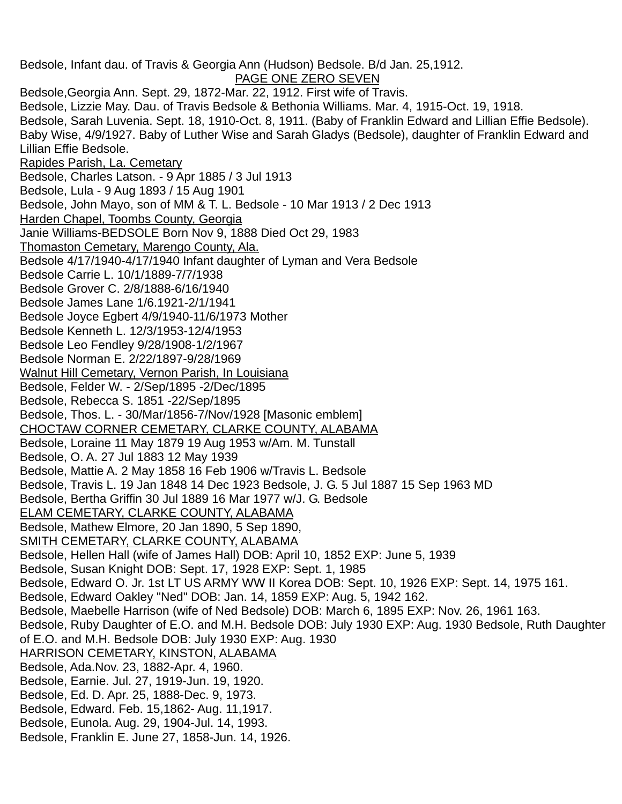Bedsole, Infant dau. of Travis & Georgia Ann (Hudson) Bedsole. B/d Jan. 25,1912. PAGE ONE ZERO SEVEN Bedsole,Georgia Ann. Sept. 29, 1872-Mar. 22, 1912. First wife of Travis. Bedsole, Lizzie May. Dau. of Travis Bedsole & Bethonia Williams. Mar. 4, 1915-Oct. 19, 1918. Bedsole, Sarah Luvenia. Sept. 18, 1910-Oct. 8, 1911. (Baby of Franklin Edward and Lillian Effie Bedsole). Baby Wise, 4/9/1927. Baby of Luther Wise and Sarah Gladys (Bedsole), daughter of Franklin Edward and Lillian Effie Bedsole. Rapides Parish, La. Cemetary Bedsole, Charles Latson. - 9 Apr 1885 / 3 Jul 1913 Bedsole, Lula - 9 Aug 1893 / 15 Aug 1901 Bedsole, John Mayo, son of MM & T. L. Bedsole - 10 Mar 1913 / 2 Dec 1913 Harden Chapel, Toombs County, Georgia Janie Williams-BEDSOLE Born Nov 9, 1888 Died Oct 29, 1983 Thomaston Cemetary, Marengo County, Ala. Bedsole 4/17/1940-4/17/1940 Infant daughter of Lyman and Vera Bedsole Bedsole Carrie L. 10/1/1889-7/7/1938 Bedsole Grover C. 2/8/1888-6/16/1940 Bedsole James Lane 1/6.1921-2/1/1941 Bedsole Joyce Egbert 4/9/1940-11/6/1973 Mother Bedsole Kenneth L. 12/3/1953-12/4/1953 Bedsole Leo Fendley 9/28/1908-1/2/1967 Bedsole Norman E. 2/22/1897-9/28/1969 Walnut Hill Cemetary, Vernon Parish, In Louisiana Bedsole, Felder W. - 2/Sep/1895 -2/Dec/1895 Bedsole, Rebecca S. 1851 -22/Sep/1895 Bedsole, Thos. L. - 30/Mar/1856-7/Nov/1928 [Masonic emblem] CHOCTAW CORNER CEMETARY, CLARKE COUNTY, ALABAMA Bedsole, Loraine 11 May 1879 19 Aug 1953 w/Am. M. Tunstall Bedsole, O. A. 27 Jul 1883 12 May 1939 Bedsole, Mattie A. 2 May 1858 16 Feb 1906 w/Travis L. Bedsole Bedsole, Travis L. 19 Jan 1848 14 Dec 1923 Bedsole, J. G. 5 Jul 1887 15 Sep 1963 MD Bedsole, Bertha Griffin 30 Jul 1889 16 Mar 1977 w/J. G. Bedsole ELAM CEMETARY, CLARKE COUNTY, ALABAMA Bedsole, Mathew Elmore, 20 Jan 1890, 5 Sep 1890, SMITH CEMETARY, CLARKE COUNTY, ALABAMA Bedsole, Hellen Hall (wife of James Hall) DOB: April 10, 1852 EXP: June 5, 1939 Bedsole, Susan Knight DOB: Sept. 17, 1928 EXP: Sept. 1, 1985 Bedsole, Edward O. Jr. 1st LT US ARMY WW II Korea DOB: Sept. 10, 1926 EXP: Sept. 14, 1975 161. Bedsole, Edward Oakley "Ned" DOB: Jan. 14, 1859 EXP: Aug. 5, 1942 162. Bedsole, Maebelle Harrison (wife of Ned Bedsole) DOB: March 6, 1895 EXP: Nov. 26, 1961 163. Bedsole, Ruby Daughter of E.O. and M.H. Bedsole DOB: July 1930 EXP: Aug. 1930 Bedsole, Ruth Daughter of E.O. and M.H. Bedsole DOB: July 1930 EXP: Aug. 1930 HARRISON CEMETARY, KINSTON, ALABAMA Bedsole, Ada.Nov. 23, 1882-Apr. 4, 1960. Bedsole, Earnie. Jul. 27, 1919-Jun. 19, 1920. Bedsole, Ed. D. Apr. 25, 1888-Dec. 9, 1973. Bedsole, Edward. Feb. 15,1862- Aug. 11,1917. Bedsole, Eunola. Aug. 29, 1904-Jul. 14, 1993. Bedsole, Franklin E. June 27, 1858-Jun. 14, 1926.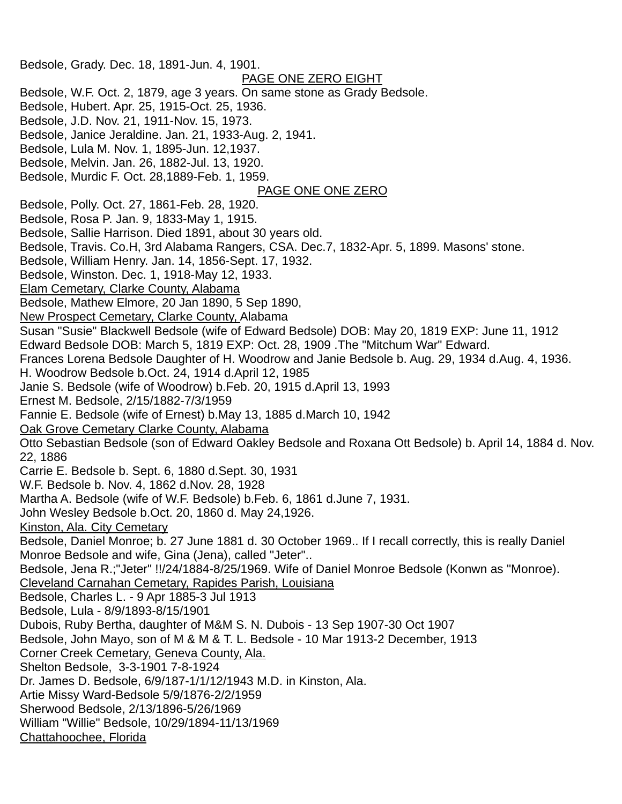Bedsole, Grady. Dec. 18, 1891-Jun. 4, 1901. PAGE ONE ZERO EIGHT Bedsole, W.F. Oct. 2, 1879, age 3 years. On same stone as Grady Bedsole. Bedsole, Hubert. Apr. 25, 1915-Oct. 25, 1936. Bedsole, J.D. Nov. 21, 1911-Nov. 15, 1973. Bedsole, Janice Jeraldine. Jan. 21, 1933-Aug. 2, 1941. Bedsole, Lula M. Nov. 1, 1895-Jun. 12,1937. Bedsole, Melvin. Jan. 26, 1882-Jul. 13, 1920. Bedsole, Murdic F. Oct. 28,1889-Feb. 1, 1959. PAGE ONE ONE ZERO Bedsole, Polly. Oct. 27, 1861-Feb. 28, 1920. Bedsole, Rosa P. Jan. 9, 1833-May 1, 1915. Bedsole, Sallie Harrison. Died 1891, about 30 years old. Bedsole, Travis. Co.H, 3rd Alabama Rangers, CSA. Dec.7, 1832-Apr. 5, 1899. Masons' stone. Bedsole, William Henry. Jan. 14, 1856-Sept. 17, 1932. Bedsole, Winston. Dec. 1, 1918-May 12, 1933. Elam Cemetary, Clarke County, Alabama Bedsole, Mathew Elmore, 20 Jan 1890, 5 Sep 1890, New Prospect Cemetary, Clarke County, Alabama Susan "Susie" Blackwell Bedsole (wife of Edward Bedsole) DOB: May 20, 1819 EXP: June 11, 1912 Edward Bedsole DOB: March 5, 1819 EXP: Oct. 28, 1909 .The "Mitchum War" Edward. Frances Lorena Bedsole Daughter of H. Woodrow and Janie Bedsole b. Aug. 29, 1934 d.Aug. 4, 1936. H. Woodrow Bedsole b.Oct. 24, 1914 d.April 12, 1985 Janie S. Bedsole (wife of Woodrow) b.Feb. 20, 1915 d.April 13, 1993 Ernest M. Bedsole, 2/15/1882-7/3/1959 Fannie E. Bedsole (wife of Ernest) b.May 13, 1885 d.March 10, 1942 Oak Grove Cemetary Clarke County, Alabama Otto Sebastian Bedsole (son of Edward Oakley Bedsole and Roxana Ott Bedsole) b. April 14, 1884 d. Nov. 22, 1886 Carrie E. Bedsole b. Sept. 6, 1880 d.Sept. 30, 1931 W.F. Bedsole b. Nov. 4, 1862 d.Nov. 28, 1928 Martha A. Bedsole (wife of W.F. Bedsole) b.Feb. 6, 1861 d.June 7, 1931. John Wesley Bedsole b.Oct. 20, 1860 d. May 24,1926. Kinston, Ala. City Cemetary Bedsole, Daniel Monroe; b. 27 June 1881 d. 30 October 1969.. If I recall correctly, this is really Daniel Monroe Bedsole and wife, Gina (Jena), called "Jeter".. Bedsole, Jena R.;"Jeter" !!/24/1884-8/25/1969. Wife of Daniel Monroe Bedsole (Konwn as "Monroe). Cleveland Carnahan Cemetary, Rapides Parish, Louisiana Bedsole, Charles L. - 9 Apr 1885-3 Jul 1913 Bedsole, Lula - 8/9/1893-8/15/1901 Dubois, Ruby Bertha, daughter of M&M S. N. Dubois - 13 Sep 1907-30 Oct 1907 Bedsole, John Mayo, son of M & M & T. L. Bedsole - 10 Mar 1913-2 December, 1913 Corner Creek Cemetary, Geneva County, Ala. Shelton Bedsole, 3-3-1901 7-8-1924 Dr. James D. Bedsole, 6/9/187-1/1/12/1943 M.D. in Kinston, Ala. Artie Missy Ward-Bedsole 5/9/1876-2/2/1959 Sherwood Bedsole, 2/13/1896-5/26/1969 William "Willie" Bedsole, 10/29/1894-11/13/1969 Chattahoochee, Florida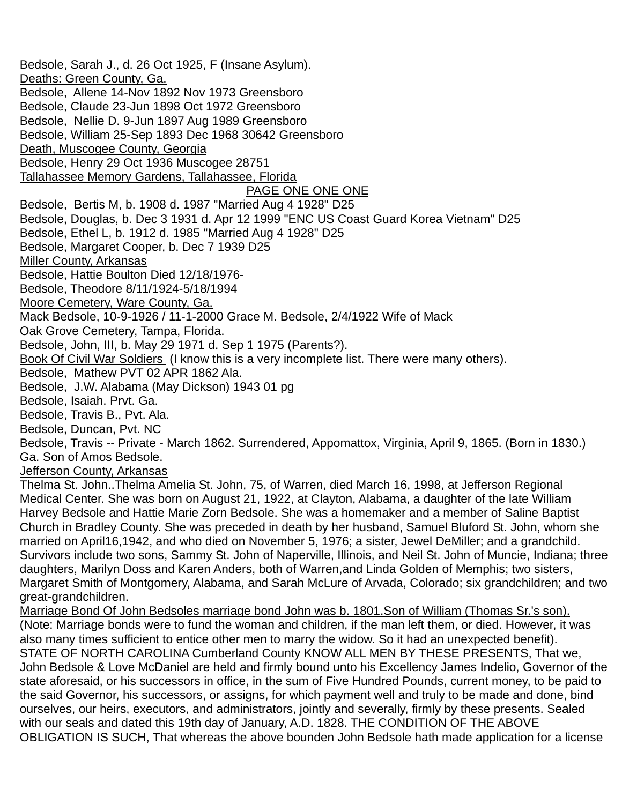Bedsole, Sarah J., d. 26 Oct 1925, F (Insane Asylum). Deaths: Green County, Ga. Bedsole, Allene 14-Nov 1892 Nov 1973 Greensboro Bedsole, Claude 23-Jun 1898 Oct 1972 Greensboro Bedsole, Nellie D. 9-Jun 1897 Aug 1989 Greensboro Bedsole, William 25-Sep 1893 Dec 1968 30642 Greensboro Death, Muscogee County, Georgia Bedsole, Henry 29 Oct 1936 Muscogee 28751 Tallahassee Memory Gardens, Tallahassee, Florida PAGE ONE ONE ONE Bedsole, Bertis M, b. 1908 d. 1987 "Married Aug 4 1928" D25 Bedsole, Douglas, b. Dec 3 1931 d. Apr 12 1999 "ENC US Coast Guard Korea Vietnam" D25 Bedsole, Ethel L, b. 1912 d. 1985 "Married Aug 4 1928" D25 Bedsole, Margaret Cooper, b. Dec 7 1939 D25 Miller County, Arkansas Bedsole, Hattie Boulton Died 12/18/1976- Bedsole, Theodore 8/11/1924-5/18/1994 Moore Cemetery, Ware County, Ga. Mack Bedsole, 10-9-1926 / 11-1-2000 Grace M. Bedsole, 2/4/1922 Wife of Mack Oak Grove Cemetery, Tampa, Florida. Bedsole, John, III, b. May 29 1971 d. Sep 1 1975 (Parents?). Book Of Civil War Soldiers (I know this is a very incomplete list. There were many others). Bedsole, Mathew PVT 02 APR 1862 Ala. Bedsole, J.W. Alabama (May Dickson) 1943 01 pg Bedsole, Isaiah. Prvt. Ga. Bedsole, Travis B., Pvt. Ala. Bedsole, Duncan, Pvt. NC Bedsole, Travis -- Private - March 1862. Surrendered, Appomattox, Virginia, April 9, 1865. (Born in 1830.) Ga. Son of Amos Bedsole. Jefferson County, Arkansas Thelma St. John..Thelma Amelia St. John, 75, of Warren, died March 16, 1998, at Jefferson Regional Medical Center. She was born on August 21, 1922, at Clayton, Alabama, a daughter of the late William Harvey Bedsole and Hattie Marie Zorn Bedsole. She was a homemaker and a member of Saline Baptist Church in Bradley County. She was preceded in death by her husband, Samuel Bluford St. John, whom she married on April16,1942, and who died on November 5, 1976; a sister, Jewel DeMiller; and a grandchild. Survivors include two sons, Sammy St. John of Naperville, Illinois, and Neil St. John of Muncie, Indiana; three daughters, Marilyn Doss and Karen Anders, both of Warren,and Linda Golden of Memphis; two sisters, Margaret Smith of Montgomery, Alabama, and Sarah McLure of Arvada, Colorado; six grandchildren; and two great-grandchildren. Marriage Bond Of John Bedsoles marriage bond John was b. 1801.Son of William (Thomas Sr.'s son). (Note: Marriage bonds were to fund the woman and children, if the man left them, or died. However, it was

also many times sufficient to entice other men to marry the widow. So it had an unexpected benefit). STATE OF NORTH CAROLINA Cumberland County KNOW ALL MEN BY THESE PRESENTS, That we, John Bedsole & Love McDaniel are held and firmly bound unto his Excellency James Indelio, Governor of the state aforesaid, or his successors in office, in the sum of Five Hundred Pounds, current money, to be paid to the said Governor, his successors, or assigns, for which payment well and truly to be made and done, bind ourselves, our heirs, executors, and administrators, jointly and severally, firmly by these presents. Sealed with our seals and dated this 19th day of January, A.D. 1828. THE CONDITION OF THE ABOVE OBLIGATION IS SUCH, That whereas the above bounden John Bedsole hath made application for a license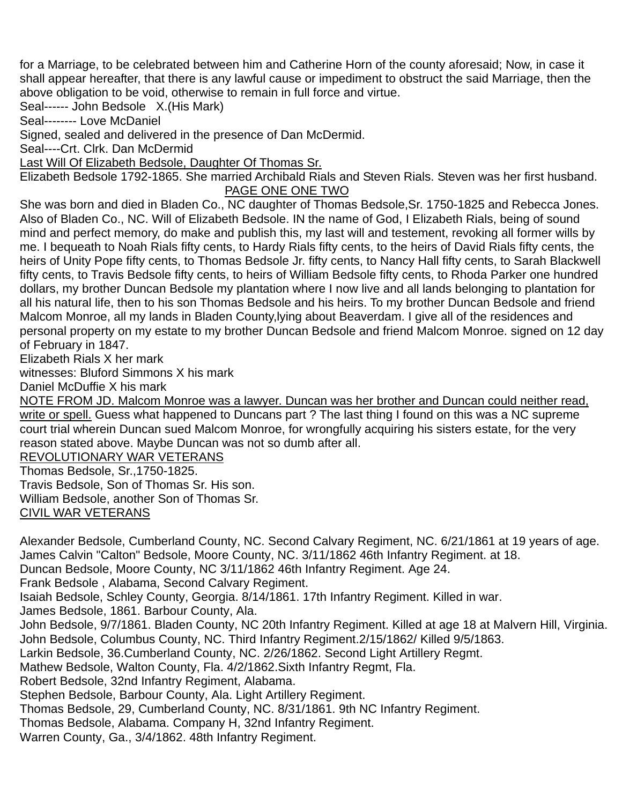for a Marriage, to be celebrated between him and Catherine Horn of the county aforesaid; Now, in case it shall appear hereafter, that there is any lawful cause or impediment to obstruct the said Marriage, then the above obligation to be void, otherwise to remain in full force and virtue.

Seal------ John Bedsole X.(His Mark)

Seal-------- Love McDaniel

Signed, sealed and delivered in the presence of Dan McDermid.

Seal----Crt. Clrk. Dan McDermid

Last Will Of Elizabeth Bedsole, Daughter Of Thomas Sr.

Elizabeth Bedsole 1792-1865. She married Archibald Rials and Steven Rials. Steven was her first husband. PAGE ONE ONE TWO

She was born and died in Bladen Co., NC daughter of Thomas Bedsole,Sr. 1750-1825 and Rebecca Jones. Also of Bladen Co., NC. Will of Elizabeth Bedsole. IN the name of God, I Elizabeth Rials, being of sound mind and perfect memory, do make and publish this, my last will and testement, revoking all former wills by me. I bequeath to Noah Rials fifty cents, to Hardy Rials fifty cents, to the heirs of David Rials fifty cents, the heirs of Unity Pope fifty cents, to Thomas Bedsole Jr. fifty cents, to Nancy Hall fifty cents, to Sarah Blackwell fifty cents, to Travis Bedsole fifty cents, to heirs of William Bedsole fifty cents, to Rhoda Parker one hundred dollars, my brother Duncan Bedsole my plantation where I now live and all lands belonging to plantation for all his natural life, then to his son Thomas Bedsole and his heirs. To my brother Duncan Bedsole and friend Malcom Monroe, all my lands in Bladen County,lying about Beaverdam. I give all of the residences and personal property on my estate to my brother Duncan Bedsole and friend Malcom Monroe. signed on 12 day of February in 1847.

Elizabeth Rials X her mark

witnesses: Bluford Simmons X his mark

Daniel McDuffie X his mark

NOTE FROM JD. Malcom Monroe was a lawyer. Duncan was her brother and Duncan could neither read, write or spell. Guess what happened to Duncans part ? The last thing I found on this was a NC supreme court trial wherein Duncan sued Malcom Monroe, for wrongfully acquiring his sisters estate, for the very reason stated above. Maybe Duncan was not so dumb after all.

REVOLUTIONARY WAR VETERANS

Thomas Bedsole, Sr.,1750-1825.

Travis Bedsole, Son of Thomas Sr. His son. William Bedsole, another Son of Thomas Sr. CIVIL WAR VETERANS

Alexander Bedsole, Cumberland County, NC. Second Calvary Regiment, NC. 6/21/1861 at 19 years of age. James Calvin "Calton" Bedsole, Moore County, NC. 3/11/1862 46th Infantry Regiment. at 18. Duncan Bedsole, Moore County, NC 3/11/1862 46th Infantry Regiment. Age 24. Frank Bedsole , Alabama, Second Calvary Regiment. Isaiah Bedsole, Schley County, Georgia. 8/14/1861. 17th Infantry Regiment. Killed in war. James Bedsole, 1861. Barbour County, Ala. John Bedsole, 9/7/1861. Bladen County, NC 20th Infantry Regiment. Killed at age 18 at Malvern Hill, Virginia. John Bedsole, Columbus County, NC. Third Infantry Regiment.2/15/1862/ Killed 9/5/1863. Larkin Bedsole, 36.Cumberland County, NC. 2/26/1862. Second Light Artillery Regmt. Mathew Bedsole, Walton County, Fla. 4/2/1862.Sixth Infantry Regmt, Fla. Robert Bedsole, 32nd Infantry Regiment, Alabama. Stephen Bedsole, Barbour County, Ala. Light Artillery Regiment. Thomas Bedsole, 29, Cumberland County, NC. 8/31/1861. 9th NC Infantry Regiment. Thomas Bedsole, Alabama. Company H, 32nd Infantry Regiment.

Warren County, Ga., 3/4/1862. 48th Infantry Regiment.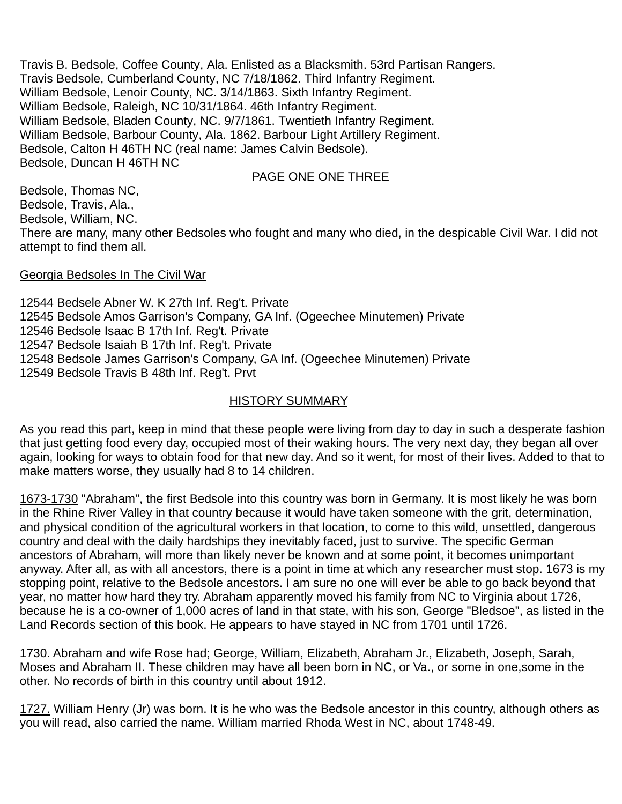Travis B. Bedsole, Coffee County, Ala. Enlisted as a Blacksmith. 53rd Partisan Rangers. Travis Bedsole, Cumberland County, NC 7/18/1862. Third Infantry Regiment. William Bedsole, Lenoir County, NC. 3/14/1863. Sixth Infantry Regiment. William Bedsole, Raleigh, NC 10/31/1864. 46th Infantry Regiment. William Bedsole, Bladen County, NC. 9/7/1861. Twentieth Infantry Regiment. William Bedsole, Barbour County, Ala. 1862. Barbour Light Artillery Regiment. Bedsole, Calton H 46TH NC (real name: James Calvin Bedsole). Bedsole, Duncan H 46TH NC

#### PAGE ONE ONE THREE

Bedsole, Thomas NC, Bedsole, Travis, Ala., Bedsole, William, NC. There are many, many other Bedsoles who fought and many who died, in the despicable Civil War. I did not attempt to find them all.

#### Georgia Bedsoles In The Civil War

12544 Bedsele Abner W. K 27th Inf. Reg't. Private 12545 Bedsole Amos Garrison's Company, GA Inf. (Ogeechee Minutemen) Private 12546 Bedsole Isaac B 17th Inf. Reg't. Private 12547 Bedsole Isaiah B 17th Inf. Reg't. Private 12548 Bedsole James Garrison's Company, GA Inf. (Ogeechee Minutemen) Private 12549 Bedsole Travis B 48th Inf. Reg't. Prvt

#### HISTORY SUMMARY

As you read this part, keep in mind that these people were living from day to day in such a desperate fashion that just getting food every day, occupied most of their waking hours. The very next day, they began all over again, looking for ways to obtain food for that new day. And so it went, for most of their lives. Added to that to make matters worse, they usually had 8 to 14 children.

1673-1730 "Abraham", the first Bedsole into this country was born in Germany. It is most likely he was born in the Rhine River Valley in that country because it would have taken someone with the grit, determination, and physical condition of the agricultural workers in that location, to come to this wild, unsettled, dangerous country and deal with the daily hardships they inevitably faced, just to survive. The specific German ancestors of Abraham, will more than likely never be known and at some point, it becomes unimportant anyway. After all, as with all ancestors, there is a point in time at which any researcher must stop. 1673 is my stopping point, relative to the Bedsole ancestors. I am sure no one will ever be able to go back beyond that year, no matter how hard they try. Abraham apparently moved his family from NC to Virginia about 1726, because he is a co-owner of 1,000 acres of land in that state, with his son, George "Bledsoe", as listed in the Land Records section of this book. He appears to have stayed in NC from 1701 until 1726.

1730. Abraham and wife Rose had; George, William, Elizabeth, Abraham Jr., Elizabeth, Joseph, Sarah, Moses and Abraham II. These children may have all been born in NC, or Va., or some in one,some in the other. No records of birth in this country until about 1912.

1727. William Henry (Jr) was born. It is he who was the Bedsole ancestor in this country, although others as you will read, also carried the name. William married Rhoda West in NC, about 1748-49.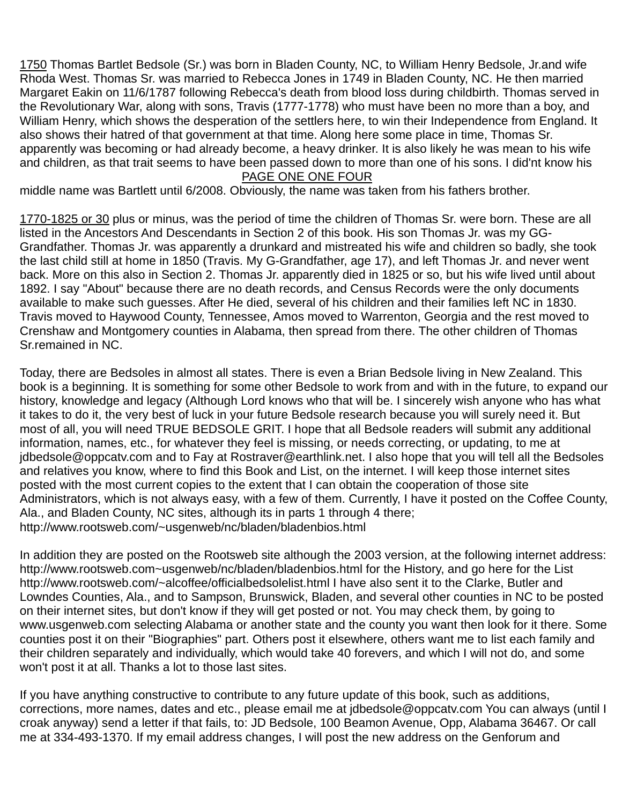1750 Thomas Bartlet Bedsole (Sr.) was born in Bladen County, NC, to William Henry Bedsole, Jr.and wife Rhoda West. Thomas Sr. was married to Rebecca Jones in 1749 in Bladen County, NC. He then married Margaret Eakin on 11/6/1787 following Rebecca's death from blood loss during childbirth. Thomas served in the Revolutionary War, along with sons, Travis (1777-1778) who must have been no more than a boy, and William Henry, which shows the desperation of the settlers here, to win their Independence from England. It also shows their hatred of that government at that time. Along here some place in time, Thomas Sr. apparently was becoming or had already become, a heavy drinker. It is also likely he was mean to his wife and children, as that trait seems to have been passed down to more than one of his sons. I did'nt know his

#### PAGE ONE ONE FOUR

middle name was Bartlett until 6/2008. Obviously, the name was taken from his fathers brother.

1770-1825 or 30 plus or minus, was the period of time the children of Thomas Sr. were born. These are all listed in the Ancestors And Descendants in Section 2 of this book. His son Thomas Jr. was my GG-Grandfather. Thomas Jr. was apparently a drunkard and mistreated his wife and children so badly, she took the last child still at home in 1850 (Travis. My G-Grandfather, age 17), and left Thomas Jr. and never went back. More on this also in Section 2. Thomas Jr. apparently died in 1825 or so, but his wife lived until about 1892. I say "About" because there are no death records, and Census Records were the only documents available to make such guesses. After He died, several of his children and their families left NC in 1830. Travis moved to Haywood County, Tennessee, Amos moved to Warrenton, Georgia and the rest moved to Crenshaw and Montgomery counties in Alabama, then spread from there. The other children of Thomas Sr.remained in NC.

Today, there are Bedsoles in almost all states. There is even a Brian Bedsole living in New Zealand. This book is a beginning. It is something for some other Bedsole to work from and with in the future, to expand our history, knowledge and legacy (Although Lord knows who that will be. I sincerely wish anyone who has what it takes to do it, the very best of luck in your future Bedsole research because you will surely need it. But most of all, you will need TRUE BEDSOLE GRIT. I hope that all Bedsole readers will submit any additional information, names, etc., for whatever they feel is missing, or needs correcting, or updating, to me at jdbedsole@oppcatv.com and to Fay at Rostraver@earthlink.net. I also hope that you will tell all the Bedsoles and relatives you know, where to find this Book and List, on the internet. I will keep those internet sites posted with the most current copies to the extent that I can obtain the cooperation of those site Administrators, which is not always easy, with a few of them. Currently, I have it posted on the Coffee County, Ala., and Bladen County, NC sites, although its in parts 1 through 4 there; http://www.rootsweb.com/~usgenweb/nc/bladen/bladenbios.html

In addition they are posted on the Rootsweb site although the 2003 version, at the following internet address: http://www.rootsweb.com~usgenweb/nc/bladen/bladenbios.html for the History, and go here for the List http://www.rootsweb.com/~alcoffee/officialbedsolelist.html I have also sent it to the Clarke, Butler and Lowndes Counties, Ala., and to Sampson, Brunswick, Bladen, and several other counties in NC to be posted on their internet sites, but don't know if they will get posted or not. You may check them, by going to www.usgenweb.com selecting Alabama or another state and the county you want then look for it there. Some counties post it on their "Biographies" part. Others post it elsewhere, others want me to list each family and their children separately and individually, which would take 40 forevers, and which I will not do, and some won't post it at all. Thanks a lot to those last sites.

If you have anything constructive to contribute to any future update of this book, such as additions, corrections, more names, dates and etc., please email me at jdbedsole@oppcatv.com You can always (until I croak anyway) send a letter if that fails, to: JD Bedsole, 100 Beamon Avenue, Opp, Alabama 36467. Or call me at 334-493-1370. If my email address changes, I will post the new address on the Genforum and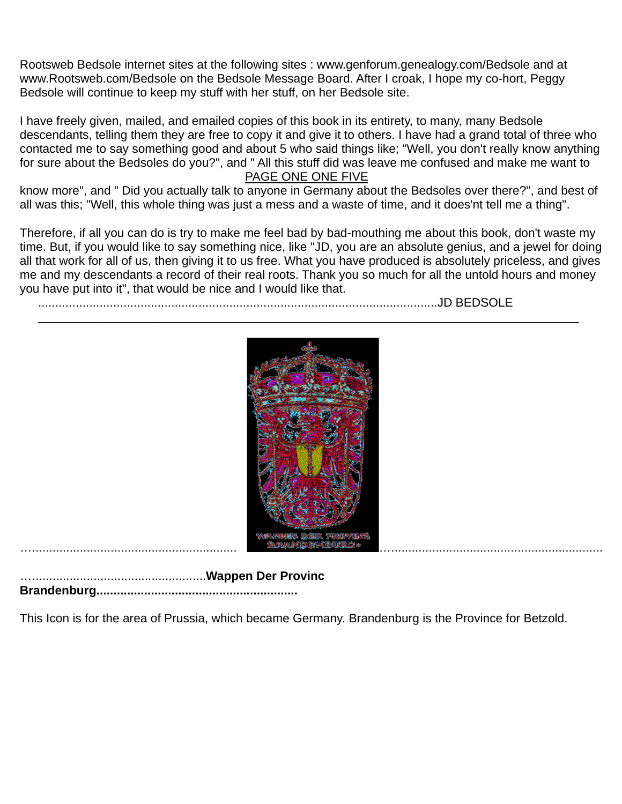Rootsweb Bedsole internet sites at the following sites : www.genforum.genealogy.com/Bedsole and at www.Rootsweb.com/Bedsole on the Bedsole Message Board. After I croak, I hope my co-hort, Peggy Bedsole will continue to keep my stuff with her stuff, on her Bedsole site.

I have freely given, mailed, and emailed copies of this book in its entirety, to many, many Bedsole descendants, telling them they are free to copy it and give it to others. I have had a grand total of three who contacted me to say something good and about 5 who said things like; "Well, you don't really know anything for sure about the Bedsoles do you?", and " All this stuff did was leave me confused and make me want to

#### PAGE ONE ONE FIVE

know more", and " Did you actually talk to anyone in Germany about the Bedsoles over there?", and best of all was this; "Well, this whole thing was just a mess and a waste of time, and it does'nt tell me a thing".

Therefore, if all you can do is try to make me feel bad by bad-mouthing me about this book, don't waste my time. But, if you would like to say something nice, like "JD, you are an absolute genius, and a jewel for doing all that work for all of us, then giving it to us free. What you have produced is absolutely priceless, and gives me and my descendants a record of their real roots. Thank you so much for all the untold hours and money you have put into it", that would be nice and I would like that.

.....................................................................................................................JD BEDSOLE



…...................................................**Wappen Der Provinc Brandenburg...........................................................** 

This Icon is for the area of Prussia, which became Germany. Brandenburg is the Province for Betzold.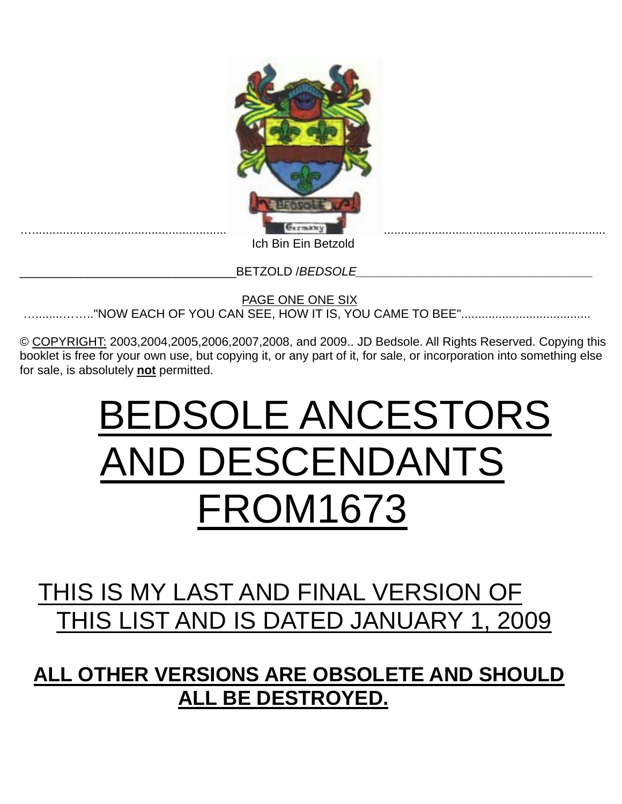

 PAGE ONE ONE SIX …........…….."NOW EACH OF YOU CAN SEE, HOW IT IS, YOU CAME TO BEE"......................................

© COPYRIGHT: 2003,2004,2005,2006,2007,2008, and 2009.. JD Bedsole. All Rights Reserved. Copying this booklet is free for your own use, but copying it, or any part of it, for sale, or incorporation into something else for sale, is absolutely **not** permitted.

# BEDSOLE ANCESTORS AND DESCENDANTS FROM1673

## THIS IS MY LAST AND FINAL VERSION OF HIS LIST AND IS DATED JANUARY 1, 2009

**ALL OTHER VERSIONS ARE OBSOLETE AND SHOULD ALL BE DESTROYED.**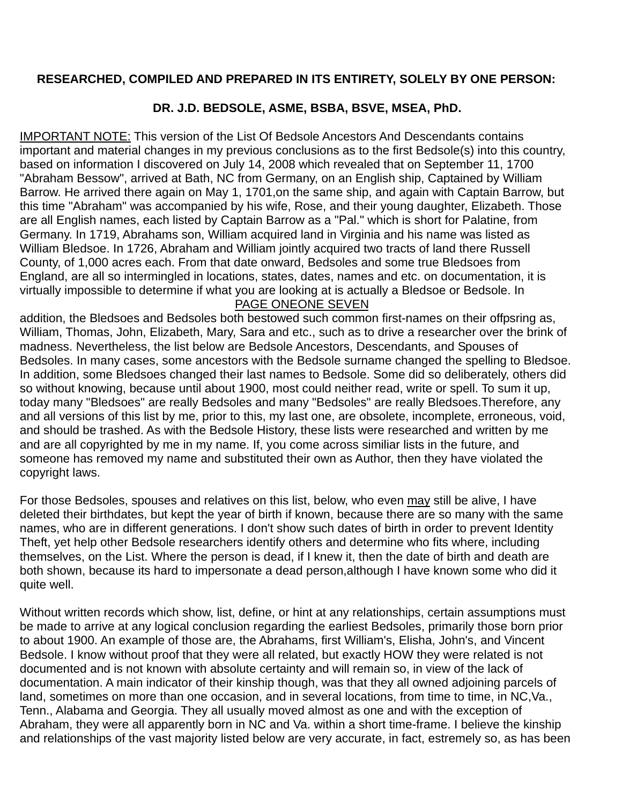#### **RESEARCHED, COMPILED AND PREPARED IN ITS ENTIRETY, SOLELY BY ONE PERSON:**

#### **DR. J.D. BEDSOLE, ASME, BSBA, BSVE, MSEA, PhD.**

IMPORTANT NOTE: This version of the List Of Bedsole Ancestors And Descendants contains important and material changes in my previous conclusions as to the first Bedsole(s) into this country, based on information I discovered on July 14, 2008 which revealed that on September 11, 1700 "Abraham Bessow", arrived at Bath, NC from Germany, on an English ship, Captained by William Barrow. He arrived there again on May 1, 1701,on the same ship, and again with Captain Barrow, but this time "Abraham" was accompanied by his wife, Rose, and their young daughter, Elizabeth. Those are all English names, each listed by Captain Barrow as a "Pal." which is short for Palatine, from Germany. In 1719, Abrahams son, William acquired land in Virginia and his name was listed as William Bledsoe. In 1726, Abraham and William jointly acquired two tracts of land there Russell County, of 1,000 acres each. From that date onward, Bedsoles and some true Bledsoes from England, are all so intermingled in locations, states, dates, names and etc. on documentation, it is virtually impossible to determine if what you are looking at is actually a Bledsoe or Bedsole. In

#### PAGE ONEONE SEVEN

addition, the Bledsoes and Bedsoles both bestowed such common first-names on their offpsring as, William, Thomas, John, Elizabeth, Mary, Sara and etc., such as to drive a researcher over the brink of madness. Nevertheless, the list below are Bedsole Ancestors, Descendants, and Spouses of Bedsoles. In many cases, some ancestors with the Bedsole surname changed the spelling to Bledsoe. In addition, some Bledsoes changed their last names to Bedsole. Some did so deliberately, others did so without knowing, because until about 1900, most could neither read, write or spell. To sum it up, today many "Bledsoes" are really Bedsoles and many "Bedsoles" are really Bledsoes.Therefore, any and all versions of this list by me, prior to this, my last one, are obsolete, incomplete, erroneous, void, and should be trashed. As with the Bedsole History, these lists were researched and written by me and are all copyrighted by me in my name. If, you come across similiar lists in the future, and someone has removed my name and substituted their own as Author, then they have violated the copyright laws.

For those Bedsoles, spouses and relatives on this list, below, who even may still be alive, I have deleted their birthdates, but kept the year of birth if known, because there are so many with the same names, who are in different generations. I don't show such dates of birth in order to prevent Identity Theft, yet help other Bedsole researchers identify others and determine who fits where, including themselves, on the List. Where the person is dead, if I knew it, then the date of birth and death are both shown, because its hard to impersonate a dead person,although I have known some who did it quite well.

Without written records which show, list, define, or hint at any relationships, certain assumptions must be made to arrive at any logical conclusion regarding the earliest Bedsoles, primarily those born prior to about 1900. An example of those are, the Abrahams, first William's, Elisha, John's, and Vincent Bedsole. I know without proof that they were all related, but exactly HOW they were related is not documented and is not known with absolute certainty and will remain so, in view of the lack of documentation. A main indicator of their kinship though, was that they all owned adjoining parcels of land, sometimes on more than one occasion, and in several locations, from time to time, in NC,Va., Tenn., Alabama and Georgia. They all usually moved almost as one and with the exception of Abraham, they were all apparently born in NC and Va. within a short time-frame. I believe the kinship and relationships of the vast majority listed below are very accurate, in fact, estremely so, as has been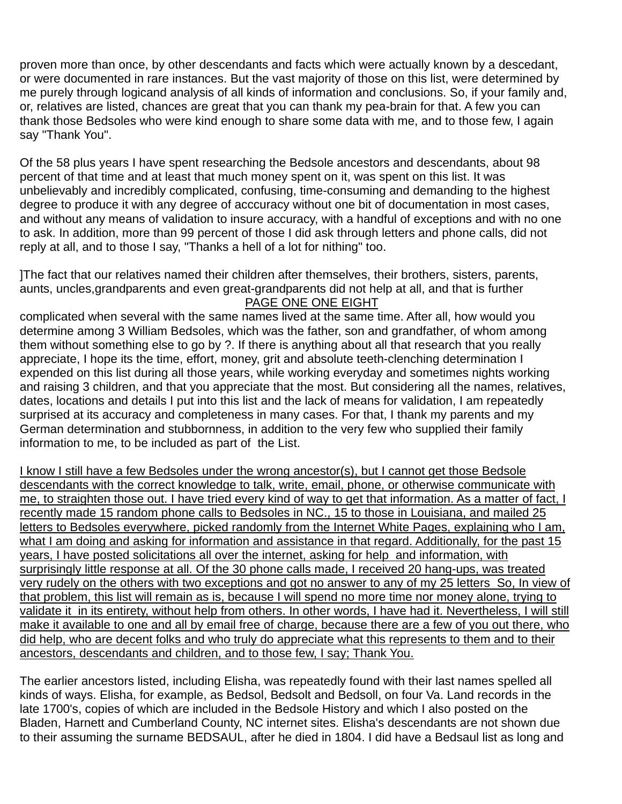proven more than once, by other descendants and facts which were actually known by a descedant, or were documented in rare instances. But the vast majority of those on this list, were determined by me purely through logicand analysis of all kinds of information and conclusions. So, if your family and, or, relatives are listed, chances are great that you can thank my pea-brain for that. A few you can thank those Bedsoles who were kind enough to share some data with me, and to those few, I again say "Thank You".

Of the 58 plus years I have spent researching the Bedsole ancestors and descendants, about 98 percent of that time and at least that much money spent on it, was spent on this list. It was unbelievably and incredibly complicated, confusing, time-consuming and demanding to the highest degree to produce it with any degree of acccuracy without one bit of documentation in most cases, and without any means of validation to insure accuracy, with a handful of exceptions and with no one to ask. In addition, more than 99 percent of those I did ask through letters and phone calls, did not reply at all, and to those I say, "Thanks a hell of a lot for nithing" too.

]The fact that our relatives named their children after themselves, their brothers, sisters, parents, aunts, uncles,grandparents and even great-grandparents did not help at all, and that is further PAGE ONE ONE EIGHT

complicated when several with the same names lived at the same time. After all, how would you determine among 3 William Bedsoles, which was the father, son and grandfather, of whom among them without something else to go by ?. If there is anything about all that research that you really appreciate, I hope its the time, effort, money, grit and absolute teeth-clenching determination I expended on this list during all those years, while working everyday and sometimes nights working and raising 3 children, and that you appreciate that the most. But considering all the names, relatives, dates, locations and details I put into this list and the lack of means for validation, I am repeatedly surprised at its accuracy and completeness in many cases. For that, I thank my parents and my German determination and stubbornness, in addition to the very few who supplied their family information to me, to be included as part of the List.

I know I still have a few Bedsoles under the wrong ancestor(s), but I cannot get those Bedsole descendants with the correct knowledge to talk, write, email, phone, or otherwise communicate with me, to straighten those out. I have tried every kind of way to get that information. As a matter of fact, I recently made 15 random phone calls to Bedsoles in NC., 15 to those in Louisiana, and mailed 25 letters to Bedsoles everywhere, picked randomly from the Internet White Pages, explaining who I am, what I am doing and asking for information and assistance in that regard. Additionally, for the past 15 years, I have posted solicitations all over the internet, asking for help and information, with surprisingly little response at all. Of the 30 phone calls made, I received 20 hang-ups, was treated very rudely on the others with two exceptions and got no answer to any of my 25 letters So, In view of that problem, this list will remain as is, because I will spend no more time nor money alone, trying to validate it in its entirety, without help from others. In other words, I have had it. Nevertheless, I will still make it available to one and all by email free of charge, because there are a few of you out there, who did help, who are decent folks and who truly do appreciate what this represents to them and to their ancestors, descendants and children, and to those few, I say; Thank You.

The earlier ancestors listed, including Elisha, was repeatedly found with their last names spelled all kinds of ways. Elisha, for example, as Bedsol, Bedsolt and Bedsoll, on four Va. Land records in the late 1700's, copies of which are included in the Bedsole History and which I also posted on the Bladen, Harnett and Cumberland County, NC internet sites. Elisha's descendants are not shown due to their assuming the surname BEDSAUL, after he died in 1804. I did have a Bedsaul list as long and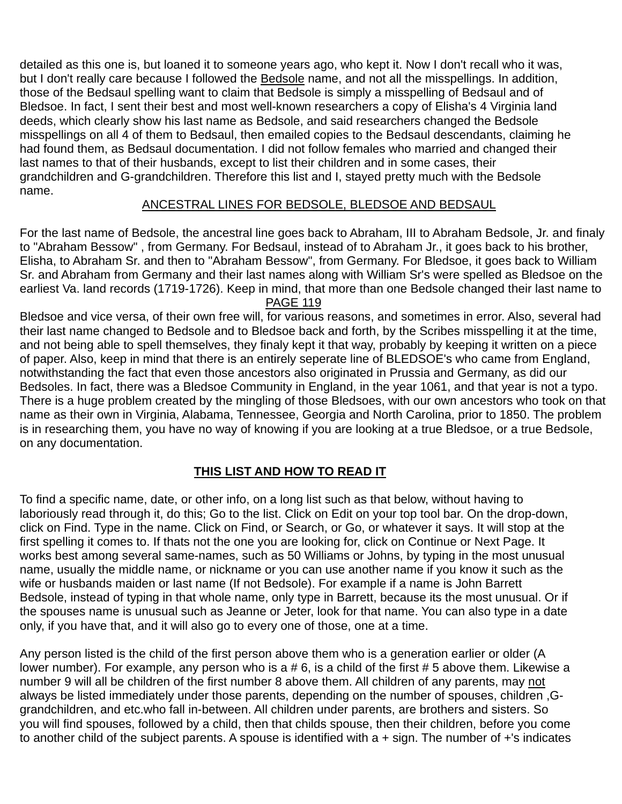detailed as this one is, but loaned it to someone years ago, who kept it. Now I don't recall who it was, but I don't really care because I followed the Bedsole name, and not all the misspellings. In addition, those of the Bedsaul spelling want to claim that Bedsole is simply a misspelling of Bedsaul and of Bledsoe. In fact, I sent their best and most well-known researchers a copy of Elisha's 4 Virginia land deeds, which clearly show his last name as Bedsole, and said researchers changed the Bedsole misspellings on all 4 of them to Bedsaul, then emailed copies to the Bedsaul descendants, claiming he had found them, as Bedsaul documentation. I did not follow females who married and changed their last names to that of their husbands, except to list their children and in some cases, their grandchildren and G-grandchildren. Therefore this list and I, stayed pretty much with the Bedsole name.

#### ANCESTRAL LINES FOR BEDSOLE, BLEDSOE AND BEDSAUL

For the last name of Bedsole, the ancestral line goes back to Abraham, III to Abraham Bedsole, Jr. and finaly to "Abraham Bessow" , from Germany. For Bedsaul, instead of to Abraham Jr., it goes back to his brother, Elisha, to Abraham Sr. and then to "Abraham Bessow", from Germany. For Bledsoe, it goes back to William Sr. and Abraham from Germany and their last names along with William Sr's were spelled as Bledsoe on the earliest Va. land records (1719-1726). Keep in mind, that more than one Bedsole changed their last name to PAGE 119

Bledsoe and vice versa, of their own free will, for various reasons, and sometimes in error. Also, several had their last name changed to Bedsole and to Bledsoe back and forth, by the Scribes misspelling it at the time, and not being able to spell themselves, they finaly kept it that way, probably by keeping it written on a piece of paper. Also, keep in mind that there is an entirely seperate line of BLEDSOE's who came from England, notwithstanding the fact that even those ancestors also originated in Prussia and Germany, as did our Bedsoles. In fact, there was a Bledsoe Community in England, in the year 1061, and that year is not a typo. There is a huge problem created by the mingling of those Bledsoes, with our own ancestors who took on that name as their own in Virginia, Alabama, Tennessee, Georgia and North Carolina, prior to 1850. The problem is in researching them, you have no way of knowing if you are looking at a true Bledsoe, or a true Bedsole, on any documentation.

#### **THIS LIST AND HOW TO READ IT**

To find a specific name, date, or other info, on a long list such as that below, without having to laboriously read through it, do this; Go to the list. Click on Edit on your top tool bar. On the drop-down, click on Find. Type in the name. Click on Find, or Search, or Go, or whatever it says. It will stop at the first spelling it comes to. If thats not the one you are looking for, click on Continue or Next Page. It works best among several same-names, such as 50 Williams or Johns, by typing in the most unusual name, usually the middle name, or nickname or you can use another name if you know it such as the wife or husbands maiden or last name (If not Bedsole). For example if a name is John Barrett Bedsole, instead of typing in that whole name, only type in Barrett, because its the most unusual. Or if the spouses name is unusual such as Jeanne or Jeter, look for that name. You can also type in a date only, if you have that, and it will also go to every one of those, one at a time.

Any person listed is the child of the first person above them who is a generation earlier or older (A lower number). For example, any person who is a # 6, is a child of the first # 5 above them. Likewise a number 9 will all be children of the first number 8 above them. All children of any parents, may not always be listed immediately under those parents, depending on the number of spouses, children ,Ggrandchildren, and etc.who fall in-between. All children under parents, are brothers and sisters. So you will find spouses, followed by a child, then that childs spouse, then their children, before you come to another child of the subject parents. A spouse is identified with a + sign. The number of +'s indicates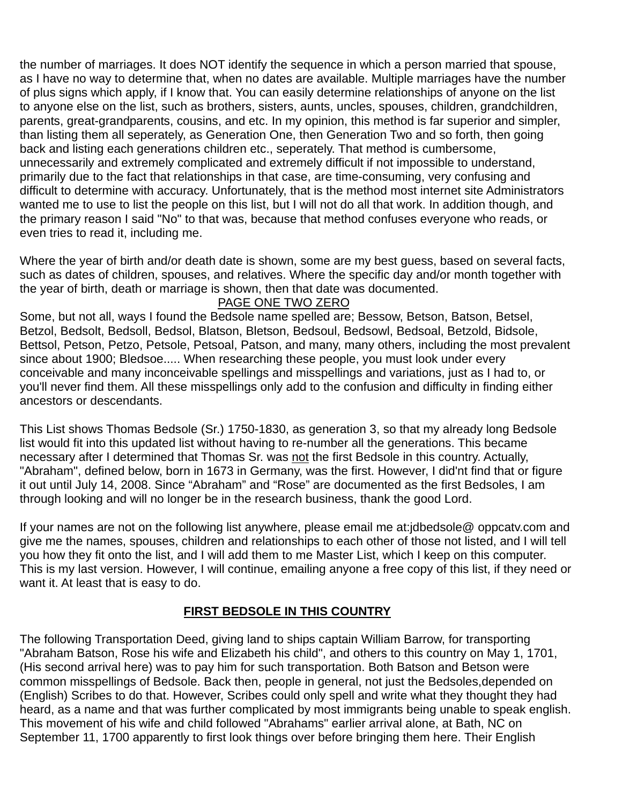the number of marriages. It does NOT identify the sequence in which a person married that spouse, as I have no way to determine that, when no dates are available. Multiple marriages have the number of plus signs which apply, if I know that. You can easily determine relationships of anyone on the list to anyone else on the list, such as brothers, sisters, aunts, uncles, spouses, children, grandchildren, parents, great-grandparents, cousins, and etc. In my opinion, this method is far superior and simpler, than listing them all seperately, as Generation One, then Generation Two and so forth, then going back and listing each generations children etc., seperately. That method is cumbersome, unnecessarily and extremely complicated and extremely difficult if not impossible to understand, primarily due to the fact that relationships in that case, are time-consuming, very confusing and difficult to determine with accuracy. Unfortunately, that is the method most internet site Administrators wanted me to use to list the people on this list, but I will not do all that work. In addition though, and the primary reason I said "No" to that was, because that method confuses everyone who reads, or even tries to read it, including me.

Where the year of birth and/or death date is shown, some are my best guess, based on several facts, such as dates of children, spouses, and relatives. Where the specific day and/or month together with the year of birth, death or marriage is shown, then that date was documented.

#### PAGE ONE TWO ZERO

Some, but not all, ways I found the Bedsole name spelled are; Bessow, Betson, Batson, Betsel, Betzol, Bedsolt, Bedsoll, Bedsol, Blatson, Bletson, Bedsoul, Bedsowl, Bedsoal, Betzold, Bidsole, Bettsol, Petson, Petzo, Petsole, Petsoal, Patson, and many, many others, including the most prevalent since about 1900; Bledsoe..... When researching these people, you must look under every conceivable and many inconceivable spellings and misspellings and variations, just as I had to, or you'll never find them. All these misspellings only add to the confusion and difficulty in finding either ancestors or descendants.

This List shows Thomas Bedsole (Sr.) 1750-1830, as generation 3, so that my already long Bedsole list would fit into this updated list without having to re-number all the generations. This became necessary after I determined that Thomas Sr. was not the first Bedsole in this country. Actually, "Abraham", defined below, born in 1673 in Germany, was the first. However, I did'nt find that or figure it out until July 14, 2008. Since "Abraham" and "Rose" are documented as the first Bedsoles, I am through looking and will no longer be in the research business, thank the good Lord.

If your names are not on the following list anywhere, please email me at:jdbedsole@ oppcatv.com and give me the names, spouses, children and relationships to each other of those not listed, and I will tell you how they fit onto the list, and I will add them to me Master List, which I keep on this computer. This is my last version. However, I will continue, emailing anyone a free copy of this list, if they need or want it. At least that is easy to do.

#### **FIRST BEDSOLE IN THIS COUNTRY**

The following Transportation Deed, giving land to ships captain William Barrow, for transporting "Abraham Batson, Rose his wife and Elizabeth his child", and others to this country on May 1, 1701, (His second arrival here) was to pay him for such transportation. Both Batson and Betson were common misspellings of Bedsole. Back then, people in general, not just the Bedsoles,depended on (English) Scribes to do that. However, Scribes could only spell and write what they thought they had heard, as a name and that was further complicated by most immigrants being unable to speak english. This movement of his wife and child followed "Abrahams" earlier arrival alone, at Bath, NC on September 11, 1700 apparently to first look things over before bringing them here. Their English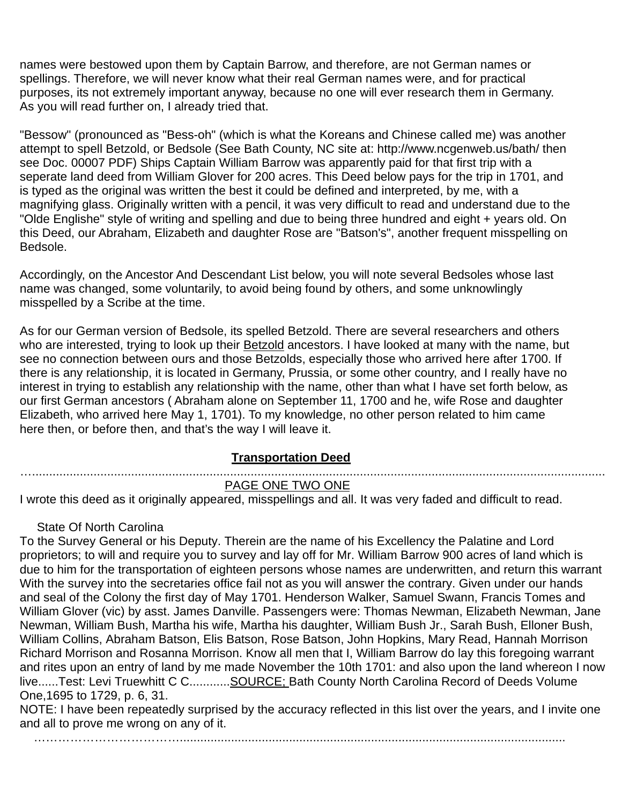names were bestowed upon them by Captain Barrow, and therefore, are not German names or spellings. Therefore, we will never know what their real German names were, and for practical purposes, its not extremely important anyway, because no one will ever research them in Germany. As you will read further on, I already tried that.

"Bessow" (pronounced as "Bess-oh" (which is what the Koreans and Chinese called me) was another attempt to spell Betzold, or Bedsole (See Bath County, NC site at: http://www.ncgenweb.us/bath/ then see Doc. 00007 PDF) Ships Captain William Barrow was apparently paid for that first trip with a seperate land deed from William Glover for 200 acres. This Deed below pays for the trip in 1701, and is typed as the original was written the best it could be defined and interpreted, by me, with a magnifying glass. Originally written with a pencil, it was very difficult to read and understand due to the "Olde Englishe" style of writing and spelling and due to being three hundred and eight + years old. On this Deed, our Abraham, Elizabeth and daughter Rose are "Batson's", another frequent misspelling on Bedsole.

Accordingly, on the Ancestor And Descendant List below, you will note several Bedsoles whose last name was changed, some voluntarily, to avoid being found by others, and some unknowlingly misspelled by a Scribe at the time.

As for our German version of Bedsole, its spelled Betzold. There are several researchers and others who are interested, trying to look up their Betzold ancestors. I have looked at many with the name, but see no connection between ours and those Betzolds, especially those who arrived here after 1700. If there is any relationship, it is located in Germany, Prussia, or some other country, and I really have no interest in trying to establish any relationship with the name, other than what I have set forth below, as our first German ancestors ( Abraham alone on September 11, 1700 and he, wife Rose and daughter Elizabeth, who arrived here May 1, 1701). To my knowledge, no other person related to him came here then, or before then, and that's the way I will leave it.

#### **Transportation Deed**

#### …........................................................................................................................................................................ PAGE ONE TWO ONE

I wrote this deed as it originally appeared, misspellings and all. It was very faded and difficult to read.

#### State Of North Carolina

To the Survey General or his Deputy. Therein are the name of his Excellency the Palatine and Lord proprietors; to will and require you to survey and lay off for Mr. William Barrow 900 acres of land which is due to him for the transportation of eighteen persons whose names are underwritten, and return this warrant With the survey into the secretaries office fail not as you will answer the contrary. Given under our hands and seal of the Colony the first day of May 1701. Henderson Walker, Samuel Swann, Francis Tomes and William Glover (vic) by asst. James Danville. Passengers were: Thomas Newman, Elizabeth Newman, Jane Newman, William Bush, Martha his wife, Martha his daughter, William Bush Jr., Sarah Bush, Elloner Bush, William Collins, Abraham Batson, Elis Batson, Rose Batson, John Hopkins, Mary Read, Hannah Morrison Richard Morrison and Rosanna Morrison. Know all men that I, William Barrow do lay this foregoing warrant and rites upon an entry of land by me made November the 10th 1701: and also upon the land whereon I now live......Test: Levi Truewhitt C C............SOURCE; Bath County North Carolina Record of Deeds Volume One,1695 to 1729, p. 6, 31.

NOTE: I have been repeatedly surprised by the accuracy reflected in this list over the years, and I invite one and all to prove me wrong on any of it.

……………………………….................................................................................................................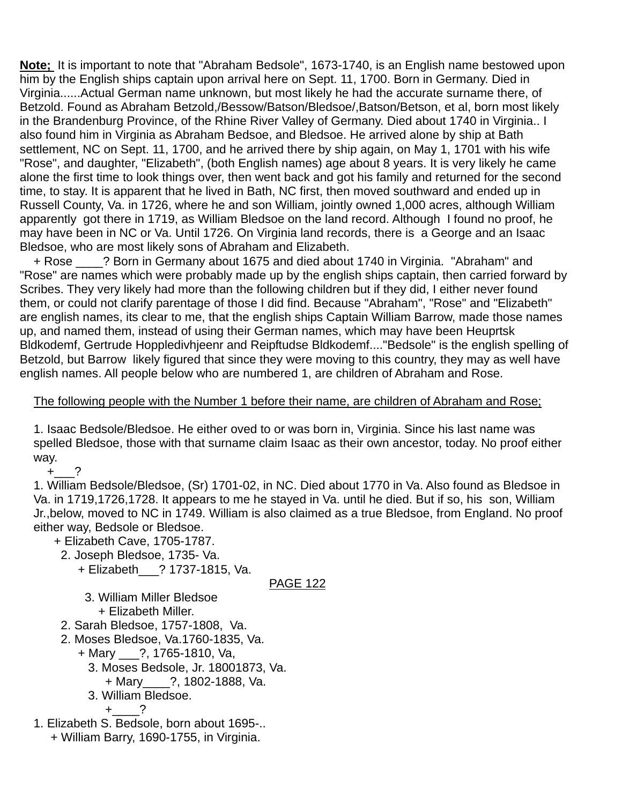**Note;** It is important to note that "Abraham Bedsole", 1673-1740, is an English name bestowed upon him by the English ships captain upon arrival here on Sept. 11, 1700. Born in Germany. Died in Virginia......Actual German name unknown, but most likely he had the accurate surname there, of Betzold. Found as Abraham Betzold,/Bessow/Batson/Bledsoe/,Batson/Betson, et al, born most likely in the Brandenburg Province, of the Rhine River Valley of Germany. Died about 1740 in Virginia.. I also found him in Virginia as Abraham Bedsoe, and Bledsoe. He arrived alone by ship at Bath settlement, NC on Sept. 11, 1700, and he arrived there by ship again, on May 1, 1701 with his wife "Rose", and daughter, "Elizabeth", (both English names) age about 8 years. It is very likely he came alone the first time to look things over, then went back and got his family and returned for the second time, to stay. It is apparent that he lived in Bath, NC first, then moved southward and ended up in Russell County, Va. in 1726, where he and son William, jointly owned 1,000 acres, although William apparently got there in 1719, as William Bledsoe on the land record. Although I found no proof, he may have been in NC or Va. Until 1726. On Virginia land records, there is a George and an Isaac Bledsoe, who are most likely sons of Abraham and Elizabeth.

+ Rose \_\_\_\_? Born in Germany about 1675 and died about 1740 in Virginia. "Abraham" and "Rose" are names which were probably made up by the english ships captain, then carried forward by Scribes. They very likely had more than the following children but if they did, I either never found them, or could not clarify parentage of those I did find. Because "Abraham", "Rose" and "Elizabeth" are english names, its clear to me, that the english ships Captain William Barrow, made those names up, and named them, instead of using their German names, which may have been Heuprtsk Bldkodemf, Gertrude Hoppledivhjeenr and Reipftudse Bldkodemf...."Bedsole" is the english spelling of Betzold, but Barrow likely figured that since they were moving to this country, they may as well have english names. All people below who are numbered 1, are children of Abraham and Rose.

#### The following people with the Number 1 before their name, are children of Abraham and Rose;

1. Isaac Bedsole/Bledsoe. He either oved to or was born in, Virginia. Since his last name was spelled Bledsoe, those with that surname claim Isaac as their own ancestor, today. No proof either way.

 $+$   $-$ ?

1. William Bedsole/Bledsoe, (Sr) 1701-02, in NC. Died about 1770 in Va. Also found as Bledsoe in Va. in 1719,1726,1728. It appears to me he stayed in Va. until he died. But if so, his son, William Jr.,below, moved to NC in 1749. William is also claimed as a true Bledsoe, from England. No proof either way, Bedsole or Bledsoe.

- + Elizabeth Cave, 1705-1787.
- 2. Joseph Bledsoe, 1735- Va.
	- + Elizabeth\_\_\_? 1737-1815, Va.

#### PAGE 122

- 3. William Miller Bledsoe + Elizabeth Miller.
- 2. Sarah Bledsoe, 1757-1808, Va.
- 2. Moses Bledsoe, Va.1760-1835, Va.
	- + Mary \_\_\_?, 1765-1810, Va,
		- 3. Moses Bedsole, Jr. 18001873, Va.
		- + Mary\_\_\_\_?, 1802-1888, Va.
		- 3. William Bledsoe.

 $+$  ?

1. Elizabeth S. Bedsole, born about 1695-.. + William Barry, 1690-1755, in Virginia.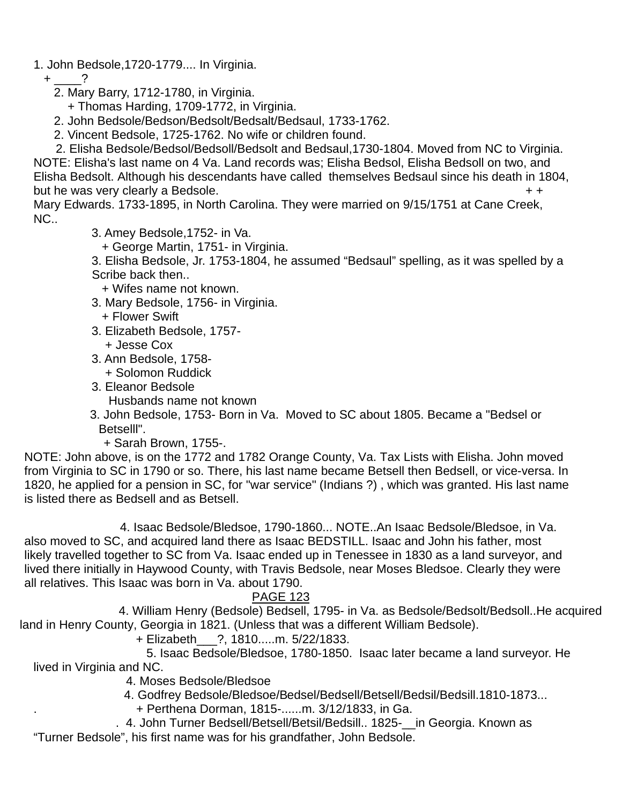1. John Bedsole,1720-1779.... In Virginia.

 $+$  ?

2. Mary Barry, 1712-1780, in Virginia.

+ Thomas Harding, 1709-1772, in Virginia.

2. John Bedsole/Bedson/Bedsolt/Bedsalt/Bedsaul, 1733-1762.

2. Vincent Bedsole, 1725-1762. No wife or children found.

 2. Elisha Bedsole/Bedsol/Bedsoll/Bedsolt and Bedsaul,1730-1804. Moved from NC to Virginia. NOTE: Elisha's last name on 4 Va. Land records was; Elisha Bedsol, Elisha Bedsoll on two, and Elisha Bedsolt. Although his descendants have called themselves Bedsaul since his death in 1804, but he was very clearly a Bedsole.  $+ +$ 

Mary Edwards. 1733-1895, in North Carolina. They were married on 9/15/1751 at Cane Creek, NC..

3. Amey Bedsole,1752- in Va.

+ George Martin, 1751- in Virginia.

 3. Elisha Bedsole, Jr. 1753-1804, he assumed "Bedsaul" spelling, as it was spelled by a Scribe back then..

+ Wifes name not known.

- 3. Mary Bedsole, 1756- in Virginia.
	- + Flower Swift
- 3. Elizabeth Bedsole, 1757-
- + Jesse Cox 3. Ann Bedsole, 1758-
	- + Solomon Ruddick
- 3. Eleanor Bedsole
- Husbands name not known

 3. John Bedsole, 1753- Born in Va. Moved to SC about 1805. Became a "Bedsel or Betselll".

+ Sarah Brown, 1755-.

NOTE: John above, is on the 1772 and 1782 Orange County, Va. Tax Lists with Elisha. John moved from Virginia to SC in 1790 or so. There, his last name became Betsell then Bedsell, or vice-versa. In 1820, he applied for a pension in SC, for "war service" (Indians ?) , which was granted. His last name is listed there as Bedsell and as Betsell.

 4. Isaac Bedsole/Bledsoe, 1790-1860... NOTE..An Isaac Bedsole/Bledsoe, in Va. also moved to SC, and acquired land there as Isaac BEDSTILL. Isaac and John his father, most likely travelled together to SC from Va. Isaac ended up in Tenessee in 1830 as a land surveyor, and lived there initially in Haywood County, with Travis Bedsole, near Moses Bledsoe. Clearly they were all relatives. This Isaac was born in Va. about 1790.

### PAGE 123

 4. William Henry (Bedsole) Bedsell, 1795- in Va. as Bedsole/Bedsolt/Bedsoll..He acquired land in Henry County, Georgia in 1821. (Unless that was a different William Bedsole).

+ Elizabeth\_\_\_?, 1810.....m. 5/22/1833.

 5. Isaac Bedsole/Bledsoe, 1780-1850. Isaac later became a land surveyor. He lived in Virginia and NC.

4. Moses Bedsole/Bledsoe

4. Godfrey Bedsole/Bledsoe/Bedsel/Bedsell/Betsell/Bedsil/Bedsill.1810-1873...

. + Perthena Dorman, 1815-......m. 3/12/1833, in Ga.

 . 4. John Turner Bedsell/Betsell/Betsil/Bedsill.. 1825-\_\_in Georgia. Known as "Turner Bedsole", his first name was for his grandfather, John Bedsole.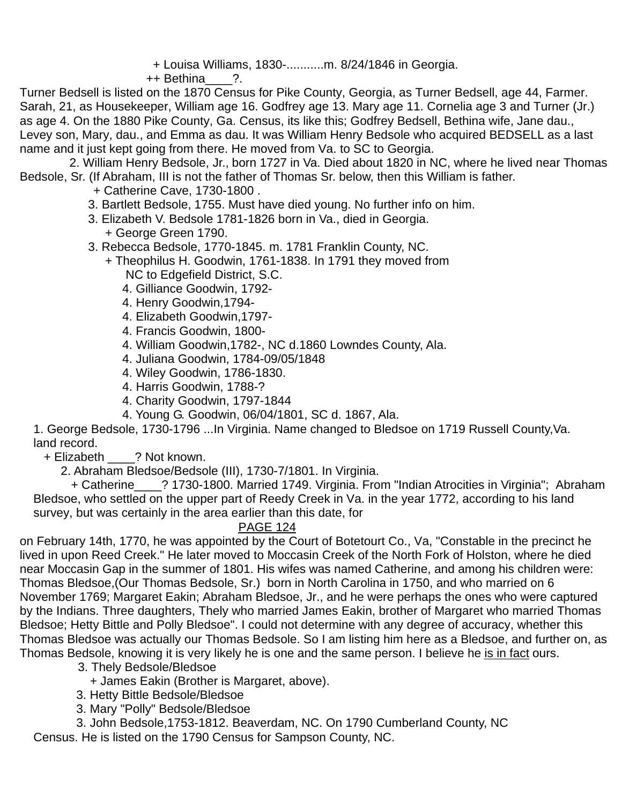+ Louisa Williams, 1830-...........m. 8/24/1846 in Georgia.

++ Bethina ?.

Turner Bedsell is listed on the 1870 Census for Pike County, Georgia, as Turner Bedsell, age 44, Farmer. Sarah, 21, as Housekeeper, William age 16. Godfrey age 13. Mary age 11. Cornelia age 3 and Turner (Jr.) as age 4. On the 1880 Pike County, Ga. Census, its like this; Godfrey Bedsell, Bethina wife, Jane dau., Levey son, Mary, dau., and Emma as dau. It was William Henry Bedsole who acquired BEDSELL as a last name and it just kept going from there. He moved from Va. to SC to Georgia.

 2. William Henry Bedsole, Jr., born 1727 in Va. Died about 1820 in NC, where he lived near Thomas Bedsole, Sr. (If Abraham, III is not the father of Thomas Sr. below, then this William is father.

- + Catherine Cave, 1730-1800 .
- 3. Bartlett Bedsole, 1755. Must have died young. No further info on him.
- 3. Elizabeth V. Bedsole 1781-1826 born in Va., died in Georgia. + George Green 1790.
- 3. Rebecca Bedsole, 1770-1845. m. 1781 Franklin County, NC.
	- + Theophilus H. Goodwin, 1761-1838. In 1791 they moved from NC to Edgefield District, S.C.
		- 4. Gilliance Goodwin, 1792-
		- 4. Henry Goodwin,1794-
		- 4. Elizabeth Goodwin,1797-
		- 4. Francis Goodwin, 1800-
		- 4. William Goodwin,1782-, NC d.1860 Lowndes County, Ala.
		- 4. Juliana Goodwin, 1784-09/05/1848
		- 4. Wiley Goodwin, 1786-1830.
		- 4. Harris Goodwin, 1788-?
		- 4. Charity Goodwin, 1797-1844
		- 4. Young G. Goodwin, 06/04/1801, SC d. 1867, Ala.

1. George Bedsole, 1730-1796 ...In Virginia. Name changed to Bledsoe on 1719 Russell County,Va. land record.

+ Elizabeth \_\_\_\_? Not known.

2. Abraham Bledsoe/Bedsole (III), 1730-7/1801. In Virginia.

 + Catherine\_\_\_\_? 1730-1800. Married 1749. Virginia. From "Indian Atrocities in Virginia"; Abraham Bledsoe, who settled on the upper part of Reedy Creek in Va. in the year 1772, according to his land survey, but was certainly in the area earlier than this date, for

### PAGE 124

on February 14th, 1770, he was appointed by the Court of Botetourt Co., Va, "Constable in the precinct he lived in upon Reed Creek." He later moved to Moccasin Creek of the North Fork of Holston, where he died near Moccasin Gap in the summer of 1801. His wifes was named Catherine, and among his children were: Thomas Bledsoe,(Our Thomas Bedsole, Sr.) born in North Carolina in 1750, and who married on 6 November 1769; Margaret Eakin; Abraham Bledsoe, Jr., and he were perhaps the ones who were captured by the Indians. Three daughters, Thely who married James Eakin, brother of Margaret who married Thomas Bledsoe; Hetty Bittle and Polly Bledsoe". I could not determine with any degree of accuracy, whether this Thomas Bledsoe was actually our Thomas Bedsole. So I am listing him here as a Bledsoe, and further on, as Thomas Bedsole, knowing it is very likely he is one and the same person. I believe he is in fact ours.

3. Thely Bedsole/Bledsoe

+ James Eakin (Brother is Margaret, above).

- 3. Hetty Bittle Bedsole/Bledsoe
- 3. Mary "Polly" Bedsole/Bledsoe

 3. John Bedsole,1753-1812. Beaverdam, NC. On 1790 Cumberland County, NC Census. He is listed on the 1790 Census for Sampson County, NC.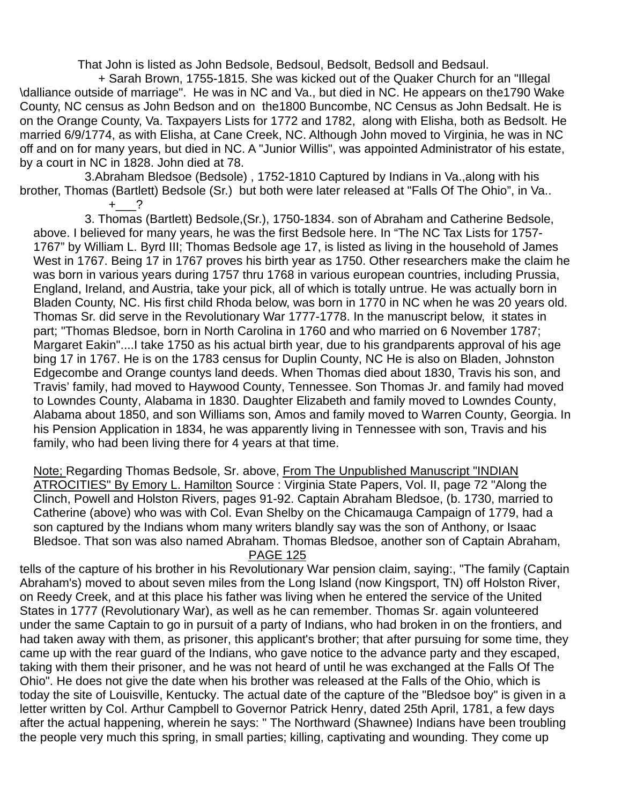That John is listed as John Bedsole, Bedsoul, Bedsolt, Bedsoll and Bedsaul.

 + Sarah Brown, 1755-1815. She was kicked out of the Quaker Church for an "Illegal \dalliance outside of marriage". He was in NC and Va., but died in NC. He appears on the1790 Wake County, NC census as John Bedson and on the1800 Buncombe, NC Census as John Bedsalt. He is on the Orange County, Va. Taxpayers Lists for 1772 and 1782, along with Elisha, both as Bedsolt. He married 6/9/1774, as with Elisha, at Cane Creek, NC. Although John moved to Virginia, he was in NC off and on for many years, but died in NC. A "Junior Willis", was appointed Administrator of his estate, by a court in NC in 1828. John died at 78.

 3.Abraham Bledsoe (Bedsole) , 1752-1810 Captured by Indians in Va.,along with his brother, Thomas (Bartlett) Bedsole (Sr.) but both were later released at "Falls Of The Ohio", in Va..  $+$  ?

 3. Thomas (Bartlett) Bedsole,(Sr.), 1750-1834. son of Abraham and Catherine Bedsole, above. I believed for many years, he was the first Bedsole here. In "The NC Tax Lists for 1757- 1767" by William L. Byrd III; Thomas Bedsole age 17, is listed as living in the household of James West in 1767. Being 17 in 1767 proves his birth year as 1750. Other researchers make the claim he was born in various years during 1757 thru 1768 in various european countries, including Prussia, England, Ireland, and Austria, take your pick, all of which is totally untrue. He was actually born in Bladen County, NC. His first child Rhoda below, was born in 1770 in NC when he was 20 years old. Thomas Sr. did serve in the Revolutionary War 1777-1778. In the manuscript below, it states in part; "Thomas Bledsoe, born in North Carolina in 1760 and who married on 6 November 1787; Margaret Eakin"....I take 1750 as his actual birth year, due to his grandparents approval of his age bing 17 in 1767. He is on the 1783 census for Duplin County, NC He is also on Bladen, Johnston Edgecombe and Orange countys land deeds. When Thomas died about 1830, Travis his son, and Travis' family, had moved to Haywood County, Tennessee. Son Thomas Jr. and family had moved to Lowndes County, Alabama in 1830. Daughter Elizabeth and family moved to Lowndes County, Alabama about 1850, and son Williams son, Amos and family moved to Warren County, Georgia. In his Pension Application in 1834, he was apparently living in Tennessee with son, Travis and his family, who had been living there for 4 years at that time.

Note; Regarding Thomas Bedsole, Sr. above, From The Unpublished Manuscript "INDIAN ATROCITIES" By Emory L. Hamilton Source : Virginia State Papers, Vol. II, page 72 "Along the Clinch, Powell and Holston Rivers, pages 91-92. Captain Abraham Bledsoe, (b. 1730, married to Catherine (above) who was with Col. Evan Shelby on the Chicamauga Campaign of 1779, had a son captured by the Indians whom many writers blandly say was the son of Anthony, or Isaac Bledsoe. That son was also named Abraham. Thomas Bledsoe, another son of Captain Abraham, PAGE 125

tells of the capture of his brother in his Revolutionary War pension claim, saying:, "The family (Captain Abraham's) moved to about seven miles from the Long Island (now Kingsport, TN) off Holston River, on Reedy Creek, and at this place his father was living when he entered the service of the United States in 1777 (Revolutionary War), as well as he can remember. Thomas Sr. again volunteered under the same Captain to go in pursuit of a party of Indians, who had broken in on the frontiers, and had taken away with them, as prisoner, this applicant's brother; that after pursuing for some time, they came up with the rear guard of the Indians, who gave notice to the advance party and they escaped, taking with them their prisoner, and he was not heard of until he was exchanged at the Falls Of The Ohio". He does not give the date when his brother was released at the Falls of the Ohio, which is today the site of Louisville, Kentucky. The actual date of the capture of the "Bledsoe boy" is given in a letter written by Col. Arthur Campbell to Governor Patrick Henry, dated 25th April, 1781, a few days after the actual happening, wherein he says: " The Northward (Shawnee) Indians have been troubling the people very much this spring, in small parties; killing, captivating and wounding. They come up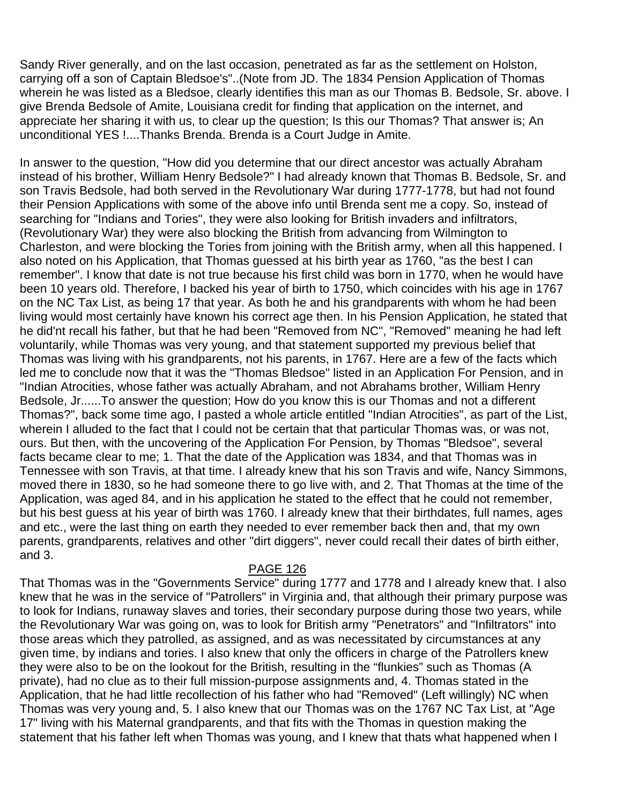Sandy River generally, and on the last occasion, penetrated as far as the settlement on Holston, carrying off a son of Captain Bledsoe's"..(Note from JD. The 1834 Pension Application of Thomas wherein he was listed as a Bledsoe, clearly identifies this man as our Thomas B. Bedsole, Sr. above. I give Brenda Bedsole of Amite, Louisiana credit for finding that application on the internet, and appreciate her sharing it with us, to clear up the question; Is this our Thomas? That answer is; An unconditional YES !....Thanks Brenda. Brenda is a Court Judge in Amite.

In answer to the question, "How did you determine that our direct ancestor was actually Abraham instead of his brother, William Henry Bedsole?" I had already known that Thomas B. Bedsole, Sr. and son Travis Bedsole, had both served in the Revolutionary War during 1777-1778, but had not found their Pension Applications with some of the above info until Brenda sent me a copy. So, instead of searching for "Indians and Tories", they were also looking for British invaders and infiltrators, (Revolutionary War) they were also blocking the British from advancing from Wilmington to Charleston, and were blocking the Tories from joining with the British army, when all this happened. I also noted on his Application, that Thomas guessed at his birth year as 1760, "as the best I can remember". I know that date is not true because his first child was born in 1770, when he would have been 10 years old. Therefore, I backed his year of birth to 1750, which coincides with his age in 1767 on the NC Tax List, as being 17 that year. As both he and his grandparents with whom he had been living would most certainly have known his correct age then. In his Pension Application, he stated that he did'nt recall his father, but that he had been "Removed from NC", "Removed" meaning he had left voluntarily, while Thomas was very young, and that statement supported my previous belief that Thomas was living with his grandparents, not his parents, in 1767. Here are a few of the facts which led me to conclude now that it was the "Thomas Bledsoe" listed in an Application For Pension, and in "Indian Atrocities, whose father was actually Abraham, and not Abrahams brother, William Henry Bedsole, Jr......To answer the question; How do you know this is our Thomas and not a different Thomas?", back some time ago, I pasted a whole article entitled "Indian Atrocities", as part of the List, wherein I alluded to the fact that I could not be certain that that particular Thomas was, or was not, ours. But then, with the uncovering of the Application For Pension, by Thomas "Bledsoe", several facts became clear to me; 1. That the date of the Application was 1834, and that Thomas was in Tennessee with son Travis, at that time. I already knew that his son Travis and wife, Nancy Simmons, moved there in 1830, so he had someone there to go live with, and 2. That Thomas at the time of the Application, was aged 84, and in his application he stated to the effect that he could not remember, but his best guess at his year of birth was 1760. I already knew that their birthdates, full names, ages and etc., were the last thing on earth they needed to ever remember back then and, that my own parents, grandparents, relatives and other "dirt diggers", never could recall their dates of birth either, and 3.

#### PAGE 126

That Thomas was in the "Governments Service" during 1777 and 1778 and I already knew that. I also knew that he was in the service of "Patrollers" in Virginia and, that although their primary purpose was to look for Indians, runaway slaves and tories, their secondary purpose during those two years, while the Revolutionary War was going on, was to look for British army "Penetrators" and "Infiltrators" into those areas which they patrolled, as assigned, and as was necessitated by circumstances at any given time, by indians and tories. I also knew that only the officers in charge of the Patrollers knew they were also to be on the lookout for the British, resulting in the "flunkies" such as Thomas (A private), had no clue as to their full mission-purpose assignments and, 4. Thomas stated in the Application, that he had little recollection of his father who had "Removed" (Left willingly) NC when Thomas was very young and, 5. I also knew that our Thomas was on the 1767 NC Tax List, at "Age 17" living with his Maternal grandparents, and that fits with the Thomas in question making the statement that his father left when Thomas was young, and I knew that thats what happened when I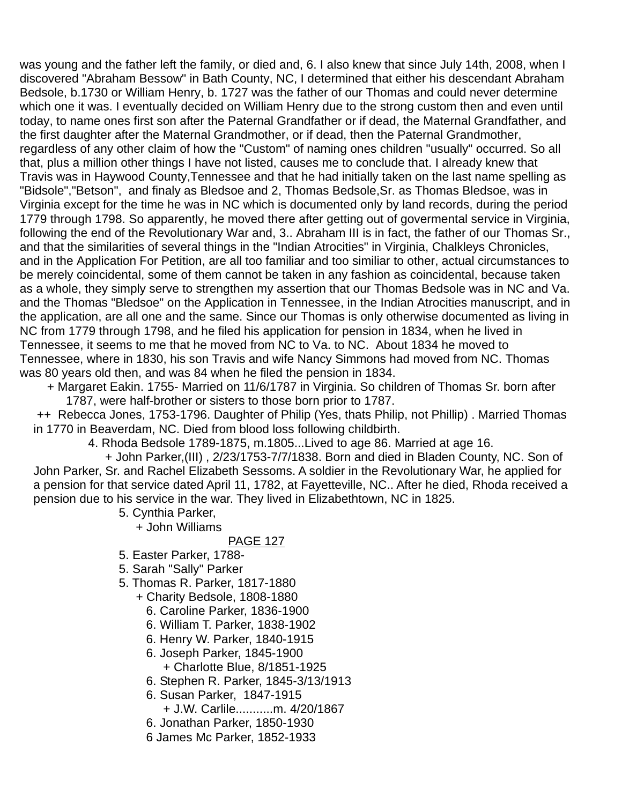was young and the father left the family, or died and, 6. I also knew that since July 14th, 2008, when I discovered "Abraham Bessow" in Bath County, NC, I determined that either his descendant Abraham Bedsole, b.1730 or William Henry, b. 1727 was the father of our Thomas and could never determine which one it was. I eventually decided on William Henry due to the strong custom then and even until today, to name ones first son after the Paternal Grandfather or if dead, the Maternal Grandfather, and the first daughter after the Maternal Grandmother, or if dead, then the Paternal Grandmother, regardless of any other claim of how the "Custom" of naming ones children "usually" occurred. So all that, plus a million other things I have not listed, causes me to conclude that. I already knew that Travis was in Haywood County,Tennessee and that he had initially taken on the last name spelling as "Bidsole","Betson", and finaly as Bledsoe and 2, Thomas Bedsole,Sr. as Thomas Bledsoe, was in Virginia except for the time he was in NC which is documented only by land records, during the period 1779 through 1798. So apparently, he moved there after getting out of govermental service in Virginia, following the end of the Revolutionary War and, 3.. Abraham III is in fact, the father of our Thomas Sr., and that the similarities of several things in the "Indian Atrocities" in Virginia, Chalkleys Chronicles, and in the Application For Petition, are all too familiar and too similiar to other, actual circumstances to be merely coincidental, some of them cannot be taken in any fashion as coincidental, because taken as a whole, they simply serve to strengthen my assertion that our Thomas Bedsole was in NC and Va. and the Thomas "Bledsoe" on the Application in Tennessee, in the Indian Atrocities manuscript, and in the application, are all one and the same. Since our Thomas is only otherwise documented as living in NC from 1779 through 1798, and he filed his application for pension in 1834, when he lived in Tennessee, it seems to me that he moved from NC to Va. to NC. About 1834 he moved to Tennessee, where in 1830, his son Travis and wife Nancy Simmons had moved from NC. Thomas was 80 years old then, and was 84 when he filed the pension in 1834.

 + Margaret Eakin. 1755- Married on 11/6/1787 in Virginia. So children of Thomas Sr. born after 1787, were half-brother or sisters to those born prior to 1787.

 ++ Rebecca Jones, 1753-1796. Daughter of Philip (Yes, thats Philip, not Phillip) . Married Thomas in 1770 in Beaverdam, NC. Died from blood loss following childbirth.

4. Rhoda Bedsole 1789-1875, m.1805...Lived to age 86. Married at age 16.

 + John Parker,(III) , 2/23/1753-7/7/1838. Born and died in Bladen County, NC. Son of John Parker, Sr. and Rachel Elizabeth Sessoms. A soldier in the Revolutionary War, he applied for a pension for that service dated April 11, 1782, at Fayetteville, NC.. After he died, Rhoda received a pension due to his service in the war. They lived in Elizabethtown, NC in 1825.

- 5. Cynthia Parker,
	- + John Williams

- 5. Easter Parker, 1788-
- 5. Sarah "Sally" Parker
- 5. Thomas R. Parker, 1817-1880
	- + Charity Bedsole, 1808-1880
		- 6. Caroline Parker, 1836-1900
		- 6. William T. Parker, 1838-1902
		- 6. Henry W. Parker, 1840-1915
		- 6. Joseph Parker, 1845-1900
			- + Charlotte Blue, 8/1851-1925
		- 6. Stephen R. Parker, 1845-3/13/1913
		- 6. Susan Parker, 1847-1915
			- + J.W. Carlile...........m. 4/20/1867
		- 6. Jonathan Parker, 1850-1930
		- 6 James Mc Parker, 1852-1933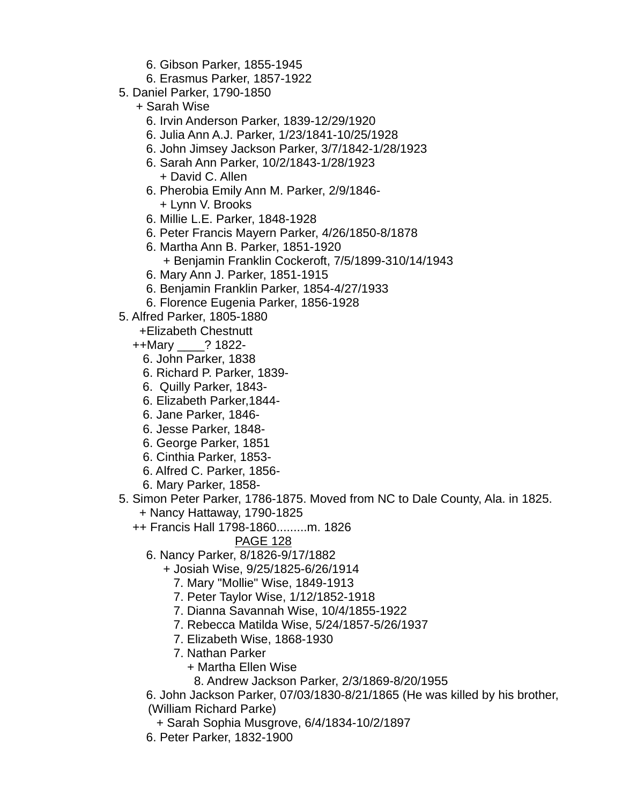- 6. Gibson Parker, 1855-1945
- 6. Erasmus Parker, 1857-1922
- 5. Daniel Parker, 1790-1850
	- + Sarah Wise
		- 6. Irvin Anderson Parker, 1839-12/29/1920
		- 6. Julia Ann A.J. Parker, 1/23/1841-10/25/1928
		- 6. John Jimsey Jackson Parker, 3/7/1842-1/28/1923
		- 6. Sarah Ann Parker, 10/2/1843-1/28/1923
			- + David C. Allen
		- 6. Pherobia Emily Ann M. Parker, 2/9/1846- + Lynn V. Brooks
		- 6. Millie L.E. Parker, 1848-1928
		- 6. Peter Francis Mayern Parker, 4/26/1850-8/1878
		- 6. Martha Ann B. Parker, 1851-1920 + Benjamin Franklin Cockeroft, 7/5/1899-310/14/1943
		- 6. Mary Ann J. Parker, 1851-1915
		- 6. Benjamin Franklin Parker, 1854-4/27/1933
		- 6. Florence Eugenia Parker, 1856-1928
- 5. Alfred Parker, 1805-1880
	- +Elizabeth Chestnutt
	- ++Mary \_\_\_\_? 1822-
		- 6. John Parker, 1838
		- 6. Richard P. Parker, 1839-
		- 6. Quilly Parker, 1843-
		- 6. Elizabeth Parker,1844-
		- 6. Jane Parker, 1846-
		- 6. Jesse Parker, 1848-
		- 6. George Parker, 1851
		- 6. Cinthia Parker, 1853-
		- 6. Alfred C. Parker, 1856-
		- 6. Mary Parker, 1858-
- 5. Simon Peter Parker, 1786-1875. Moved from NC to Dale County, Ala. in 1825. + Nancy Hattaway, 1790-1825
	- ++ Francis Hall 1798-1860.........m. 1826
		- PAGE 128
		- 6. Nancy Parker, 8/1826-9/17/1882
			- + Josiah Wise, 9/25/1825-6/26/1914
				- 7. Mary "Mollie" Wise, 1849-1913
				- 7. Peter Taylor Wise, 1/12/1852-1918
				- 7. Dianna Savannah Wise, 10/4/1855-1922
				- 7. Rebecca Matilda Wise, 5/24/1857-5/26/1937
				- 7. Elizabeth Wise, 1868-1930
				- 7. Nathan Parker
					- + Martha Ellen Wise
						- 8. Andrew Jackson Parker, 2/3/1869-8/20/1955
		- 6. John Jackson Parker, 07/03/1830-8/21/1865 (He was killed by his brother, (William Richard Parke)
			- + Sarah Sophia Musgrove, 6/4/1834-10/2/1897
		- 6. Peter Parker, 1832-1900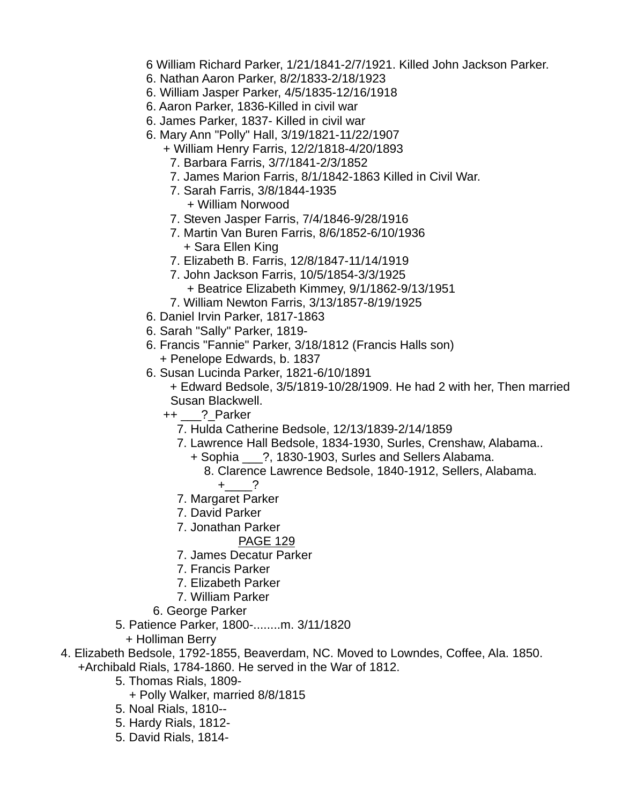6 William Richard Parker, 1/21/1841-2/7/1921. Killed John Jackson Parker.

- 6. Nathan Aaron Parker, 8/2/1833-2/18/1923
- 6. William Jasper Parker, 4/5/1835-12/16/1918
- 6. Aaron Parker, 1836-Killed in civil war
- 6. James Parker, 1837- Killed in civil war
- 6. Mary Ann "Polly" Hall, 3/19/1821-11/22/1907
	- + William Henry Farris, 12/2/1818-4/20/1893
	- 7. Barbara Farris, 3/7/1841-2/3/1852
	- 7. James Marion Farris, 8/1/1842-1863 Killed in Civil War.
	- 7. Sarah Farris, 3/8/1844-1935 + William Norwood
	- 7. Steven Jasper Farris, 7/4/1846-9/28/1916
	- 7. Martin Van Buren Farris, 8/6/1852-6/10/1936 + Sara Ellen King
	- 7. Elizabeth B. Farris, 12/8/1847-11/14/1919
	- 7. John Jackson Farris, 10/5/1854-3/3/1925
		- + Beatrice Elizabeth Kimmey, 9/1/1862-9/13/1951
	- 7. William Newton Farris, 3/13/1857-8/19/1925
- 6. Daniel Irvin Parker, 1817-1863
- 6. Sarah "Sally" Parker, 1819-
- 6. Francis "Fannie" Parker, 3/18/1812 (Francis Halls son) + Penelope Edwards, b. 1837
- 6. Susan Lucinda Parker, 1821-6/10/1891 + Edward Bedsole, 3/5/1819-10/28/1909. He had 2 with her, Then married Susan Blackwell.
	- ++ \_\_\_?\_Parker
		- 7. Hulda Catherine Bedsole, 12/13/1839-2/14/1859
		- 7. Lawrence Hall Bedsole, 1834-1930, Surles, Crenshaw, Alabama..
			- + Sophia \_\_\_?, 1830-1903, Surles and Sellers Alabama.
				- 8. Clarence Lawrence Bedsole, 1840-1912, Sellers, Alabama.  $+$  ?
		- 7. Margaret Parker
		- 7. David Parker
		- 7. Jonathan Parker

- 7. James Decatur Parker
- 7. Francis Parker
- 7. Elizabeth Parker
- 7. William Parker
- 6. George Parker
- 5. Patience Parker, 1800-........m. 3/11/1820
	- + Holliman Berry
- 4. Elizabeth Bedsole, 1792-1855, Beaverdam, NC. Moved to Lowndes, Coffee, Ala. 1850.
	- +Archibald Rials, 1784-1860. He served in the War of 1812.
		- 5. Thomas Rials, 1809-
			- + Polly Walker, married 8/8/1815
		- 5. Noal Rials, 1810--
		- 5. Hardy Rials, 1812-
		- 5. David Rials, 1814-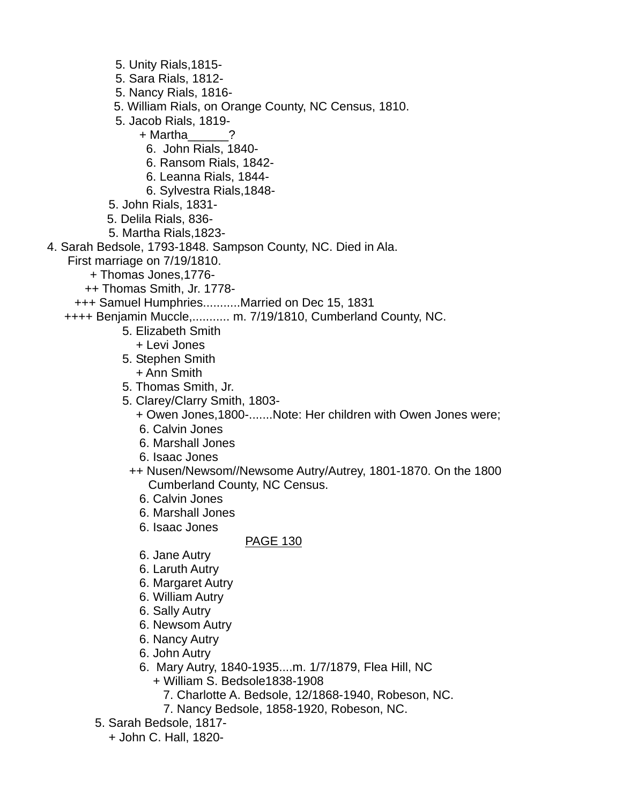- 5. Unity Rials,1815-
- 5. Sara Rials, 1812-
- 5. Nancy Rials, 1816-
- 5. William Rials, on Orange County, NC Census, 1810.
- 5. Jacob Rials, 1819-
	- + Martha\_\_\_\_\_\_?
		- 6. John Rials, 1840-
		- 6. Ransom Rials, 1842-
		- 6. Leanna Rials, 1844-
		- 6. Sylvestra Rials,1848-
- 5. John Rials, 1831-
- 5. Delila Rials, 836-
- 5. Martha Rials,1823-
- 4. Sarah Bedsole, 1793-1848. Sampson County, NC. Died in Ala.
	- First marriage on 7/19/1810.
		- + Thomas Jones,1776-
		- ++ Thomas Smith, Jr. 1778-
	- +++ Samuel Humphries...........Married on Dec 15, 1831
	- ++++ Benjamin Muccle,........... m. 7/19/1810, Cumberland County, NC.
		- 5. Elizabeth Smith
			- + Levi Jones
			- 5. Stephen Smith
				- + Ann Smith
			- 5. Thomas Smith, Jr.
			- 5. Clarey/Clarry Smith, 1803-
				- + Owen Jones,1800-.......Note: Her children with Owen Jones were;
				- 6. Calvin Jones
				- 6. Marshall Jones
				- 6. Isaac Jones
			- ++ Nusen/Newsom//Newsome Autry/Autrey, 1801-1870. On the 1800 Cumberland County, NC Census.
				- 6. Calvin Jones
				- 6. Marshall Jones
				- 6. Isaac Jones

- 6. Jane Autry
- 6. Laruth Autry
- 6. Margaret Autry
- 6. William Autry
- 6. Sally Autry
- 6. Newsom Autry
- 6. Nancy Autry
- 6. John Autry
- 6. Mary Autry, 1840-1935....m. 1/7/1879, Flea Hill, NC
	- + William S. Bedsole1838-1908
		- 7. Charlotte A. Bedsole, 12/1868-1940, Robeson, NC.
		- 7. Nancy Bedsole, 1858-1920, Robeson, NC.
- 5. Sarah Bedsole, 1817-
	- + John C. Hall, 1820-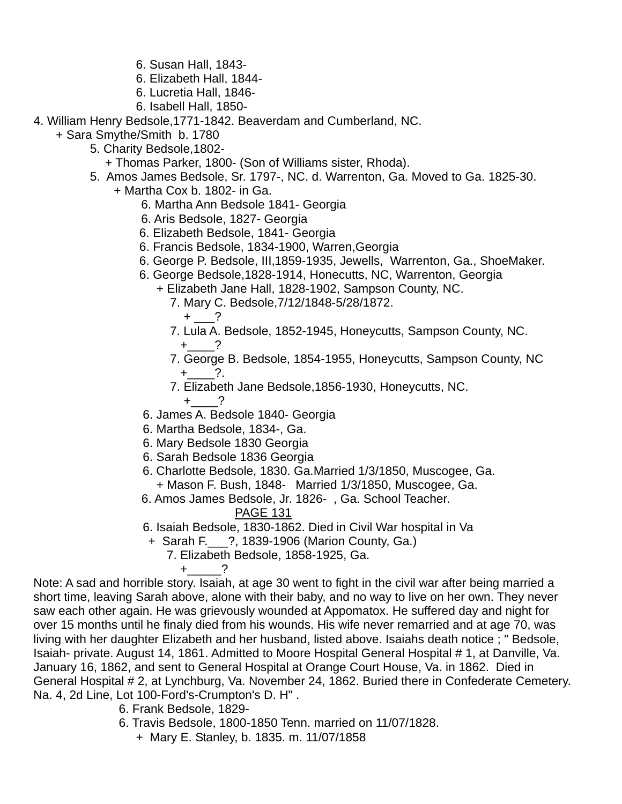- 6. Susan Hall, 1843-
- 6. Elizabeth Hall, 1844-
- 6. Lucretia Hall, 1846-
- 6. Isabell Hall, 1850-
- 4. William Henry Bedsole,1771-1842. Beaverdam and Cumberland, NC.
	- + Sara Smythe/Smith b. 1780
		- 5. Charity Bedsole,1802-
			- + Thomas Parker, 1800- (Son of Williams sister, Rhoda).
		- 5. Amos James Bedsole, Sr. 1797-, NC. d. Warrenton, Ga. Moved to Ga. 1825-30. + Martha Cox b. 1802- in Ga.
			- 6. Martha Ann Bedsole 1841- Georgia
			- 6. Aris Bedsole, 1827- Georgia
			- 6. Elizabeth Bedsole, 1841- Georgia
			- 6. Francis Bedsole, 1834-1900, Warren,Georgia
			- 6. George P. Bedsole, III,1859-1935, Jewells, Warrenton, Ga., ShoeMaker.
			- 6. George Bedsole,1828-1914, Honecutts, NC, Warrenton, Georgia
				- + Elizabeth Jane Hall, 1828-1902, Sampson County, NC.
					- 7. Mary C. Bedsole,7/12/1848-5/28/1872.
						- $+$   $-$ ?
					- 7. Lula A. Bedsole, 1852-1945, Honeycutts, Sampson County, NC.  $+$  ?
					- 7. George B. Bedsole, 1854-1955, Honeycutts, Sampson County, NC  $+$  ?.
					- 7. Elizabeth Jane Bedsole,1856-1930, Honeycutts, NC.
			- $+$  ? 6. James A. Bedsole 1840- Georgia
			- 6. Martha Bedsole, 1834-, Ga.
			- 6. Mary Bedsole 1830 Georgia
			- 6. Sarah Bedsole 1836 Georgia
			- 6. Charlotte Bedsole, 1830. Ga.Married 1/3/1850, Muscogee, Ga. + Mason F. Bush, 1848- Married 1/3/1850, Muscogee, Ga.
			- 6. Amos James Bedsole, Jr. 1826- , Ga. School Teacher.
				- PAGE 131
			- 6. Isaiah Bedsole, 1830-1862. Died in Civil War hospital in Va
			- + Sarah F.\_\_\_?, 1839-1906 (Marion County, Ga.)
				- 7. Elizabeth Bedsole, 1858-1925, Ga.

 $+$   $-$  ?

Note: A sad and horrible story. Isaiah, at age 30 went to fight in the civil war after being married a short time, leaving Sarah above, alone with their baby, and no way to live on her own. They never saw each other again. He was grievously wounded at Appomatox. He suffered day and night for over 15 months until he finaly died from his wounds. His wife never remarried and at age 70, was living with her daughter Elizabeth and her husband, listed above. Isaiahs death notice ; " Bedsole, Isaiah- private. August 14, 1861. Admitted to Moore Hospital General Hospital # 1, at Danville, Va. January 16, 1862, and sent to General Hospital at Orange Court House, Va. in 1862. Died in General Hospital # 2, at Lynchburg, Va. November 24, 1862. Buried there in Confederate Cemetery. Na. 4, 2d Line, Lot 100-Ford's-Crumpton's D. H" .

- 6. Frank Bedsole, 1829-
- 6. Travis Bedsole, 1800-1850 Tenn. married on 11/07/1828.
	- + Mary E. Stanley, b. 1835. m. 11/07/1858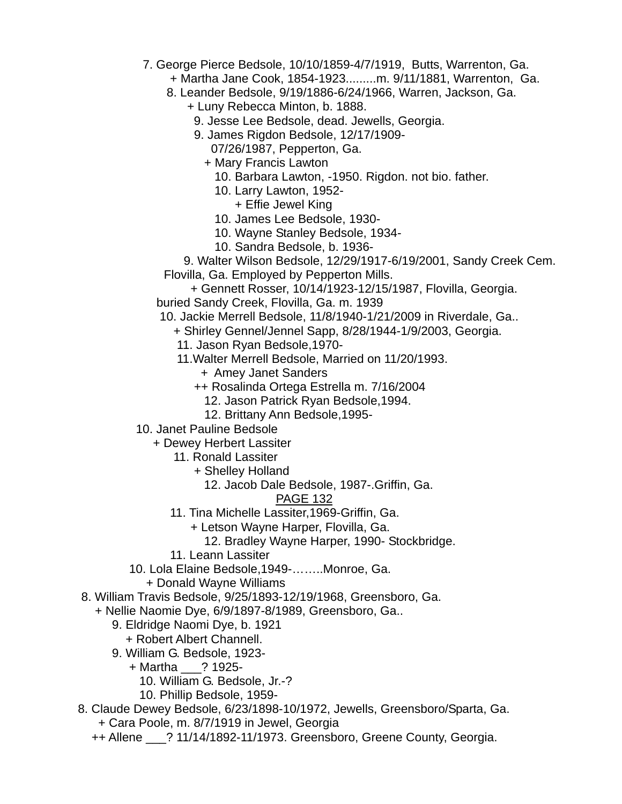- 7. George Pierce Bedsole, 10/10/1859-4/7/1919, Butts, Warrenton, Ga.
	- + Martha Jane Cook, 1854-1923.........m. 9/11/1881, Warrenton, Ga.
	- 8. Leander Bedsole, 9/19/1886-6/24/1966, Warren, Jackson, Ga.
		- + Luny Rebecca Minton, b. 1888.
		- 9. Jesse Lee Bedsole, dead. Jewells, Georgia.
		- 9. James Rigdon Bedsole, 12/17/1909-
			- 07/26/1987, Pepperton, Ga.
			- + Mary Francis Lawton
				- 10. Barbara Lawton, -1950. Rigdon. not bio. father.
				- 10. Larry Lawton, 1952-
					- + Effie Jewel King
				- 10. James Lee Bedsole, 1930-
				- 10. Wayne Stanley Bedsole, 1934-
				- 10. Sandra Bedsole, b. 1936-
	- 9. Walter Wilson Bedsole, 12/29/1917-6/19/2001, Sandy Creek Cem. Flovilla, Ga. Employed by Pepperton Mills.
	- + Gennett Rosser, 10/14/1923-12/15/1987, Flovilla, Georgia. buried Sandy Creek, Flovilla, Ga. m. 1939
	- 10. Jackie Merrell Bedsole, 11/8/1940-1/21/2009 in Riverdale, Ga..
		- + Shirley Gennel/Jennel Sapp, 8/28/1944-1/9/2003, Georgia.
			- 11. Jason Ryan Bedsole,1970-
			- 11.Walter Merrell Bedsole, Married on 11/20/1993.
				- + Amey Janet Sanders
				- ++ Rosalinda Ortega Estrella m. 7/16/2004
					- 12. Jason Patrick Ryan Bedsole,1994.
					- 12. Brittany Ann Bedsole,1995-
- 10. Janet Pauline Bedsole
	- + Dewey Herbert Lassiter
		- 11. Ronald Lassiter
			- + Shelley Holland
				- 12. Jacob Dale Bedsole, 1987-.Griffin, Ga.

- 11. Tina Michelle Lassiter,1969-Griffin, Ga.
	- + Letson Wayne Harper, Flovilla, Ga.
		- 12. Bradley Wayne Harper, 1990- Stockbridge.
- 11. Leann Lassiter
- 10. Lola Elaine Bedsole,1949-……..Monroe, Ga.
	- + Donald Wayne Williams
- 8. William Travis Bedsole, 9/25/1893-12/19/1968, Greensboro, Ga.
	- + Nellie Naomie Dye, 6/9/1897-8/1989, Greensboro, Ga..
		- 9. Eldridge Naomi Dye, b. 1921
			- + Robert Albert Channell.
		- 9. William G. Bedsole, 1923-
			- + Martha \_\_\_? 1925-
				- 10. William G. Bedsole, Jr.-?
				- 10. Phillip Bedsole, 1959-
- 8. Claude Dewey Bedsole, 6/23/1898-10/1972, Jewells, Greensboro/Sparta, Ga.
	- + Cara Poole, m. 8/7/1919 in Jewel, Georgia
	- ++ Allene \_\_\_? 11/14/1892-11/1973. Greensboro, Greene County, Georgia.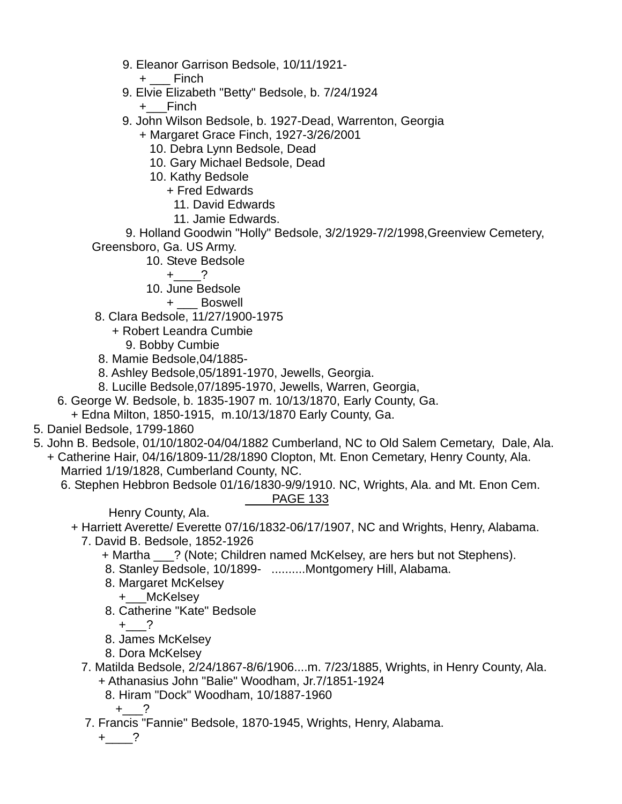- 9. Eleanor Garrison Bedsole, 10/11/1921-
	- + \_\_\_ Finch
- 9. Elvie Elizabeth "Betty" Bedsole, b. 7/24/1924
	- +\_\_\_Finch
- 9. John Wilson Bedsole, b. 1927-Dead, Warrenton, Georgia
	- + Margaret Grace Finch, 1927-3/26/2001
		- 10. Debra Lynn Bedsole, Dead
		- 10. Gary Michael Bedsole, Dead
		- 10. Kathy Bedsole
			- + Fred Edwards
				- 11. David Edwards
				- 11. Jamie Edwards.

 9. Holland Goodwin "Holly" Bedsole, 3/2/1929-7/2/1998,Greenview Cemetery, Greensboro, Ga. US Army.

10. Steve Bedsole

 $+$  ?

10. June Bedsole

+ \_\_\_ Boswell

- 8. Clara Bedsole, 11/27/1900-1975
	- + Robert Leandra Cumbie
		- 9. Bobby Cumbie
- 8. Mamie Bedsole,04/1885-
- 8. Ashley Bedsole,05/1891-1970, Jewells, Georgia.
- 8. Lucille Bedsole,07/1895-1970, Jewells, Warren, Georgia,
- 6. George W. Bedsole, b. 1835-1907 m. 10/13/1870, Early County, Ga.
- + Edna Milton, 1850-1915, m.10/13/1870 Early County, Ga.
- 5. Daniel Bedsole, 1799-1860
- 5. John B. Bedsole, 01/10/1802-04/04/1882 Cumberland, NC to Old Salem Cemetary, Dale, Ala.
- + Catherine Hair, 04/16/1809-11/28/1890 Clopton, Mt. Enon Cemetary, Henry County, Ala. Married 1/19/1828, Cumberland County, NC.
	- 6. Stephen Hebbron Bedsole 01/16/1830-9/9/1910. NC, Wrights, Ala. and Mt. Enon Cem. PAGE 133

Henry County, Ala.

- + Harriett Averette/ Everette 07/16/1832-06/17/1907, NC and Wrights, Henry, Alabama.
	- 7. David B. Bedsole, 1852-1926
		- + Martha \_\_\_? (Note; Children named McKelsey, are hers but not Stephens).
		- 8. Stanley Bedsole, 10/1899- ..........Montgomery Hill, Alabama.
		- 8. Margaret McKelsey
			- +\_\_\_McKelsey
		- 8. Catherine "Kate" Bedsole

 $+$  ?

- 8. James McKelsey
- 8. Dora McKelsey
- 7. Matilda Bedsole, 2/24/1867-8/6/1906....m. 7/23/1885, Wrights, in Henry County, Ala. + Athanasius John "Balie" Woodham, Jr.7/1851-1924
	- 8. Hiram "Dock" Woodham, 10/1887-1960

 $+$  ?

7. Francis "Fannie" Bedsole, 1870-1945, Wrights, Henry, Alabama.

 $+$   $-$ ?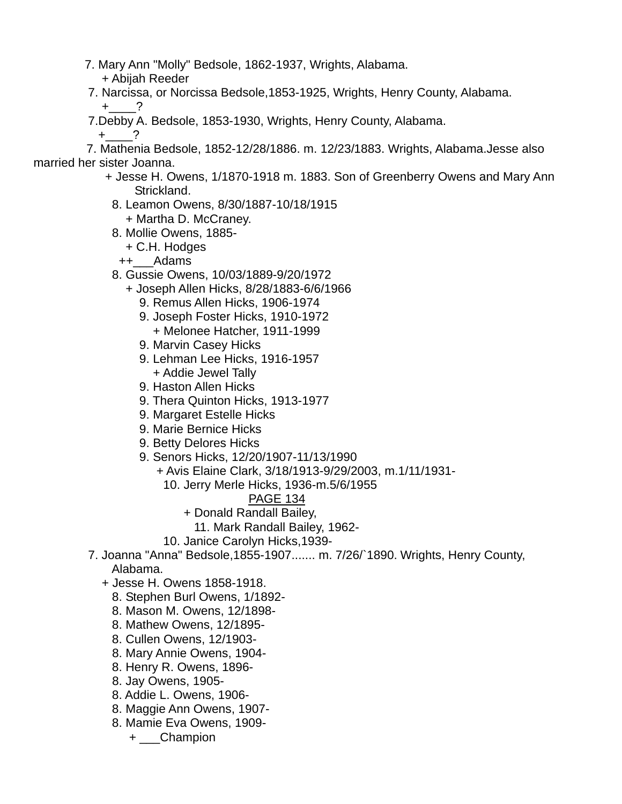- 7. Mary Ann "Molly" Bedsole, 1862-1937, Wrights, Alabama.
- + Abijah Reeder
- 7. Narcissa, or Norcissa Bedsole,1853-1925, Wrights, Henry County, Alabama.  $+$  ?
- 7.Debby A. Bedsole, 1853-1930, Wrights, Henry County, Alabama.
	- $+$  ?

 7. Mathenia Bedsole, 1852-12/28/1886. m. 12/23/1883. Wrights, Alabama.Jesse also married her sister Joanna.

- + Jesse H. Owens, 1/1870-1918 m. 1883. Son of Greenberry Owens and Mary Ann Strickland.
	- 8. Leamon Owens, 8/30/1887-10/18/1915 + Martha D. McCraney.
	- 8. Mollie Owens, 1885-
		- + C.H. Hodges
		- ++\_\_\_Adams
	- 8. Gussie Owens, 10/03/1889-9/20/1972
		- + Joseph Allen Hicks, 8/28/1883-6/6/1966
			- 9. Remus Allen Hicks, 1906-1974
			- 9. Joseph Foster Hicks, 1910-1972 + Melonee Hatcher, 1911-1999
			- 9. Marvin Casey Hicks
			- 9. Lehman Lee Hicks, 1916-1957 + Addie Jewel Tally
			- 9. Haston Allen Hicks
			- 9. Thera Quinton Hicks, 1913-1977
			- 9. Margaret Estelle Hicks
			- 9. Marie Bernice Hicks
			- 9. Betty Delores Hicks
			- 9. Senors Hicks, 12/20/1907-11/13/1990
				- + Avis Elaine Clark, 3/18/1913-9/29/2003, m.1/11/1931-
					- 10. Jerry Merle Hicks, 1936-m.5/6/1955
						- PAGE 134
						- + Donald Randall Bailey,
							- 11. Mark Randall Bailey, 1962-
					- 10. Janice Carolyn Hicks,1939-
- 7. Joanna "Anna" Bedsole,1855-1907....... m. 7/26/`1890. Wrights, Henry County, Alabama.
	- + Jesse H. Owens 1858-1918.
		- 8. Stephen Burl Owens, 1/1892-
		- 8. Mason M. Owens, 12/1898-
		- 8. Mathew Owens, 12/1895-
		- 8. Cullen Owens, 12/1903-
		- 8. Mary Annie Owens, 1904-
		- 8. Henry R. Owens, 1896-
		- 8. Jay Owens, 1905-
		- 8. Addie L. Owens, 1906-
		- 8. Maggie Ann Owens, 1907-
		- 8. Mamie Eva Owens, 1909-
			- + \_\_\_Champion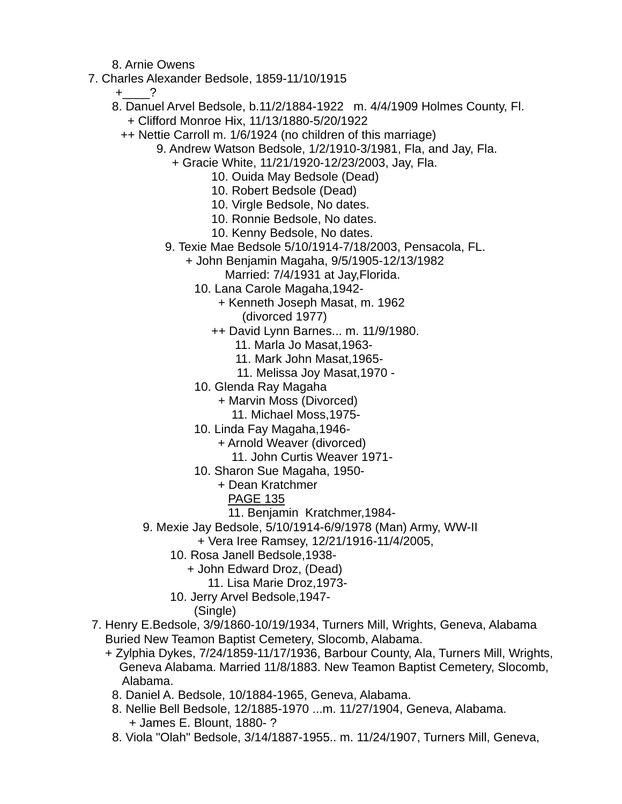8. Arnie Owens

7. Charles Alexander Bedsole, 1859-11/10/1915

 $+$  ?

- 8. Danuel Arvel Bedsole, b.11/2/1884-1922 m. 4/4/1909 Holmes County, Fl. + Clifford Monroe Hix, 11/13/1880-5/20/1922
	- ++ Nettie Carroll m. 1/6/1924 (no children of this marriage)
		- 9. Andrew Watson Bedsole, 1/2/1910-3/1981, Fla, and Jay, Fla.
			- + Gracie White, 11/21/1920-12/23/2003, Jay, Fla.
				- 10. Ouida May Bedsole (Dead)
				- 10. Robert Bedsole (Dead)
				- 10. Virgle Bedsole, No dates.
				- 10. Ronnie Bedsole, No dates.
				- 10. Kenny Bedsole, No dates.
			- 9. Texie Mae Bedsole 5/10/1914-7/18/2003, Pensacola, FL.
				- + John Benjamin Magaha, 9/5/1905-12/13/1982
					- Married: 7/4/1931 at Jay,Florida.
					- 10. Lana Carole Magaha,1942-
						- + Kenneth Joseph Masat, m. 1962
							- (divorced 1977)
						- ++ David Lynn Barnes... m. 11/9/1980.
							- 11. Marla Jo Masat,1963-
							- 11. Mark John Masat,1965-
							- 11. Melissa Joy Masat,1970 -
					- 10. Glenda Ray Magaha
						- + Marvin Moss (Divorced)
							- 11. Michael Moss,1975-
					- 10. Linda Fay Magaha,1946-
						- + Arnold Weaver (divorced)
							- 11. John Curtis Weaver 1971-
					- 10. Sharon Sue Magaha, 1950-
						- + Dean Kratchmer
							- PAGE 135
							- 11. Benjamin Kratchmer,1984-
		- 9. Mexie Jay Bedsole, 5/10/1914-6/9/1978 (Man) Army, WW-II
			- + Vera Iree Ramsey, 12/21/1916-11/4/2005,
			- 10. Rosa Janell Bedsole,1938-
				- + John Edward Droz, (Dead)
				- 11. Lisa Marie Droz,1973-
			- 10. Jerry Arvel Bedsole,1947-
				- (Single)
- 7. Henry E.Bedsole, 3/9/1860-10/19/1934, Turners Mill, Wrights, Geneva, Alabama Buried New Teamon Baptist Cemetery, Slocomb, Alabama.
	- + Zylphia Dykes, 7/24/1859-11/17/1936, Barbour County, Ala, Turners Mill, Wrights, Geneva Alabama. Married 11/8/1883. New Teamon Baptist Cemetery, Slocomb, Alabama.
		- 8. Daniel A. Bedsole, 10/1884-1965, Geneva, Alabama.
		- 8. Nellie Bell Bedsole, 12/1885-1970 ...m. 11/27/1904, Geneva, Alabama. + James E. Blount, 1880- ?
		- 8. Viola "Olah" Bedsole, 3/14/1887-1955.. m. 11/24/1907, Turners Mill, Geneva,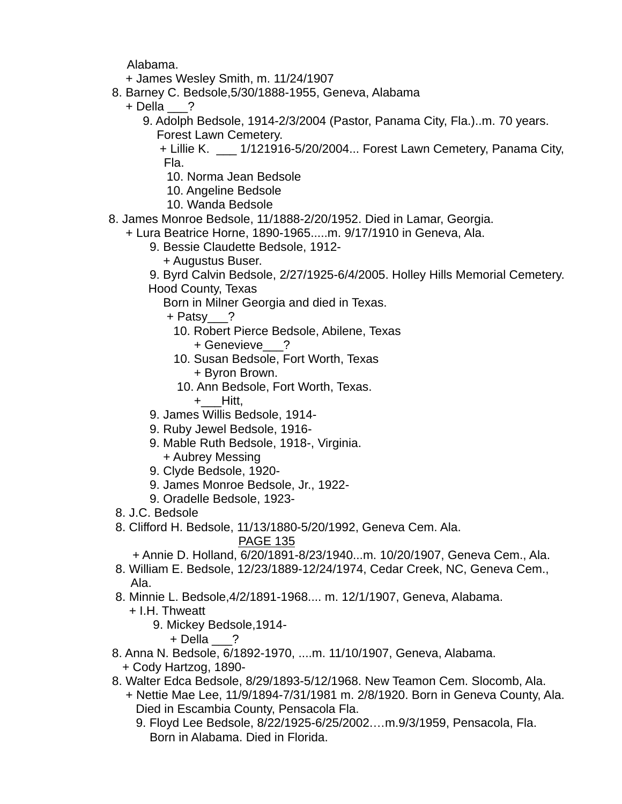Alabama.

- + James Wesley Smith, m. 11/24/1907
- 8. Barney C. Bedsole,5/30/1888-1955, Geneva, Alabama
	- + Della \_\_\_?
		- 9. Adolph Bedsole, 1914-2/3/2004 (Pastor, Panama City, Fla.)..m. 70 years. Forest Lawn Cemetery.

 + Lillie K. \_\_\_ 1/121916-5/20/2004... Forest Lawn Cemetery, Panama City, Fla.

- 10. Norma Jean Bedsole
- 10. Angeline Bedsole
- 10. Wanda Bedsole
- 8. James Monroe Bedsole, 11/1888-2/20/1952. Died in Lamar, Georgia.
	- + Lura Beatrice Horne, 1890-1965.....m. 9/17/1910 in Geneva, Ala.
		- 9. Bessie Claudette Bedsole, 1912-
			- + Augustus Buser.

9. Byrd Calvin Bedsole, 2/27/1925-6/4/2005. Holley Hills Memorial Cemetery.

Hood County, Texas

Born in Milner Georgia and died in Texas.

- + Patsy\_\_\_?
	- 10. Robert Pierce Bedsole, Abilene, Texas + Genevieve\_\_\_?
	- 10. Susan Bedsole, Fort Worth, Texas + Byron Brown.
	- 10. Ann Bedsole, Fort Worth, Texas.
		- +\_\_\_Hitt,
- 9. James Willis Bedsole, 1914-
- 9. Ruby Jewel Bedsole, 1916-
- 9. Mable Ruth Bedsole, 1918-, Virginia. + Aubrey Messing
- 9. Clyde Bedsole, 1920-
- 9. James Monroe Bedsole, Jr., 1922-
- 9. Oradelle Bedsole, 1923-
- 8. J.C. Bedsole
- 8. Clifford H. Bedsole, 11/13/1880-5/20/1992, Geneva Cem. Ala.

PAGE 135

+ Annie D. Holland, 6/20/1891-8/23/1940...m. 10/20/1907, Geneva Cem., Ala.

- 8. William E. Bedsole, 12/23/1889-12/24/1974, Cedar Creek, NC, Geneva Cem., Ala.
- 8. Minnie L. Bedsole,4/2/1891-1968.... m. 12/1/1907, Geneva, Alabama.
	- + I.H. Thweatt
		- 9. Mickey Bedsole,1914-

+ Della \_\_\_?

- 8. Anna N. Bedsole, 6/1892-1970, ....m. 11/10/1907, Geneva, Alabama.
- + Cody Hartzog, 1890-
- 8. Walter Edca Bedsole, 8/29/1893-5/12/1968. New Teamon Cem. Slocomb, Ala.
	- + Nettie Mae Lee, 11/9/1894-7/31/1981 m. 2/8/1920. Born in Geneva County, Ala. Died in Escambia County, Pensacola Fla.
		- 9. Floyd Lee Bedsole, 8/22/1925-6/25/2002.…m.9/3/1959, Pensacola, Fla. Born in Alabama. Died in Florida.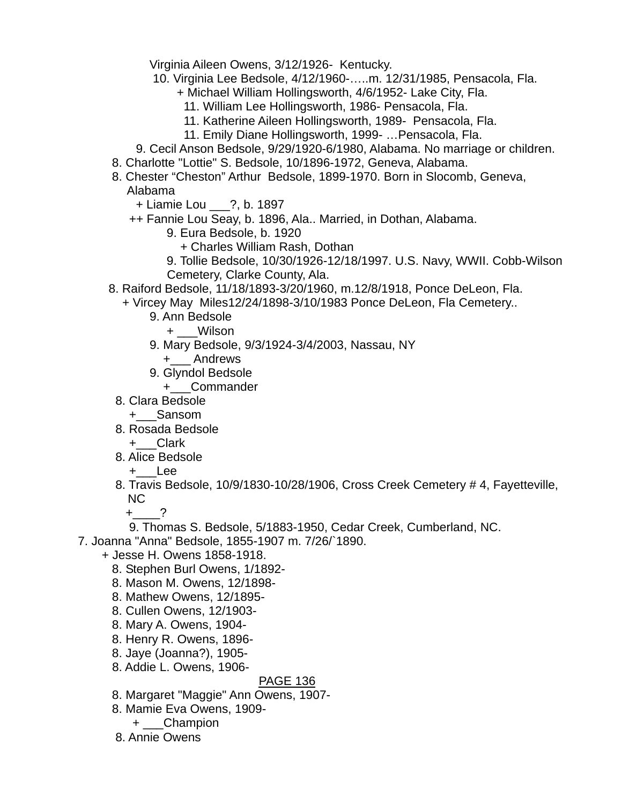Virginia Aileen Owens, 3/12/1926- Kentucky.

- 10. Virginia Lee Bedsole, 4/12/1960-…..m. 12/31/1985, Pensacola, Fla.
	- + Michael William Hollingsworth, 4/6/1952- Lake City, Fla.
		- 11. William Lee Hollingsworth, 1986- Pensacola, Fla.
	- 11. Katherine Aileen Hollingsworth, 1989- Pensacola, Fla.
	- 11. Emily Diane Hollingsworth, 1999- …Pensacola, Fla.
- 9. Cecil Anson Bedsole, 9/29/1920-6/1980, Alabama. No marriage or children.
- 8. Charlotte "Lottie" S. Bedsole, 10/1896-1972, Geneva, Alabama.
- 8. Chester "Cheston" Arthur Bedsole, 1899-1970. Born in Slocomb, Geneva, Alabama
	- + Liamie Lou \_\_\_?, b. 1897
	- ++ Fannie Lou Seay, b. 1896, Ala.. Married, in Dothan, Alabama.
		- 9. Eura Bedsole, b. 1920
			- + Charles William Rash, Dothan
		- 9. Tollie Bedsole, 10/30/1926-12/18/1997. U.S. Navy, WWII. Cobb-Wilson Cemetery, Clarke County, Ala.
- 8. Raiford Bedsole, 11/18/1893-3/20/1960, m.12/8/1918, Ponce DeLeon, Fla.
	- + Vircey May Miles12/24/1898-3/10/1983 Ponce DeLeon, Fla Cemetery..
		- 9. Ann Bedsole
			- + \_\_\_Wilson
		- 9. Mary Bedsole, 9/3/1924-3/4/2003, Nassau, NY
			- +\_\_\_ Andrews
		- 9. Glyndol Bedsole
			- +\_\_\_Commander
	- 8. Clara Bedsole
		- +\_\_\_Sansom
	- 8. Rosada Bedsole
		- +\_\_\_Clark
	- 8. Alice Bedsole
		- +\_\_\_Lee
	- 8. Travis Bedsole, 10/9/1830-10/28/1906, Cross Creek Cemetery # 4, Fayetteville, NC
		- $+$  ?
		- 9. Thomas S. Bedsole, 5/1883-1950, Cedar Creek, Cumberland, NC.
- 7. Joanna "Anna" Bedsole, 1855-1907 m. 7/26/`1890.
	- + Jesse H. Owens 1858-1918.
		- 8. Stephen Burl Owens, 1/1892-
		- 8. Mason M. Owens, 12/1898-
		- 8. Mathew Owens, 12/1895-
		- 8. Cullen Owens, 12/1903-
		- 8. Mary A. Owens, 1904-
		- 8. Henry R. Owens, 1896-
		- 8. Jaye (Joanna?), 1905-
		- 8. Addie L. Owens, 1906-

- 8. Margaret "Maggie" Ann Owens, 1907-
- 8. Mamie Eva Owens, 1909-
	- + \_\_\_Champion
- 8. Annie Owens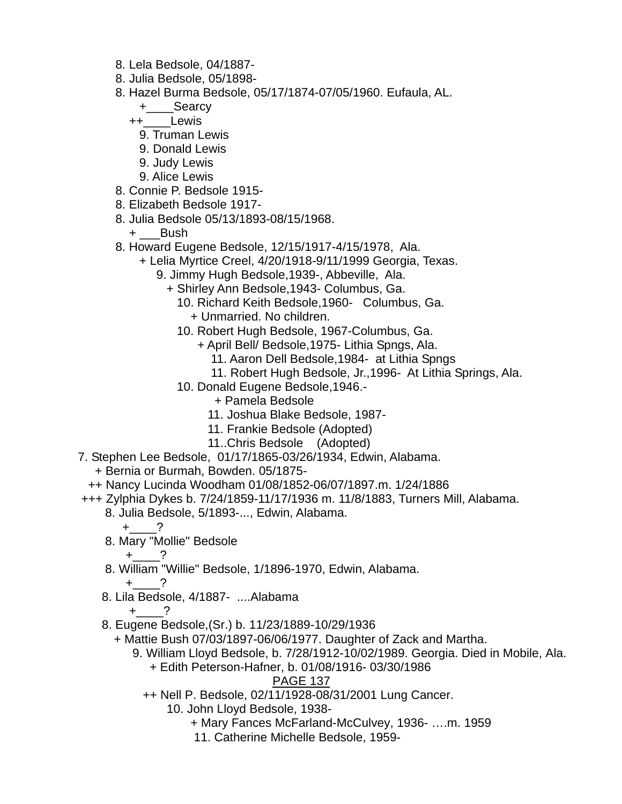- 8. Lela Bedsole, 04/1887-
- 8. Julia Bedsole, 05/1898-
- 8. Hazel Burma Bedsole, 05/17/1874-07/05/1960. Eufaula, AL.
	- +\_\_\_\_Searcy
	- ++\_\_\_\_Lewis
		- 9. Truman Lewis
		- 9. Donald Lewis
		- 9. Judy Lewis
		- 9. Alice Lewis
- 8. Connie P. Bedsole 1915-
- 8. Elizabeth Bedsole 1917-
- 8. Julia Bedsole 05/13/1893-08/15/1968.
	- + \_\_\_Bush
- 8. Howard Eugene Bedsole, 12/15/1917-4/15/1978, Ala.
	- + Lelia Myrtice Creel, 4/20/1918-9/11/1999 Georgia, Texas.
		- 9. Jimmy Hugh Bedsole,1939-, Abbeville, Ala.
			- + Shirley Ann Bedsole,1943- Columbus, Ga.
				- 10. Richard Keith Bedsole,1960- Columbus, Ga.
					- + Unmarried. No children.
				- 10. Robert Hugh Bedsole, 1967-Columbus, Ga.
					- + April Bell/ Bedsole,1975- Lithia Spngs, Ala.
						- 11. Aaron Dell Bedsole,1984- at Lithia Spngs
						- 11. Robert Hugh Bedsole, Jr.,1996- At Lithia Springs, Ala.
				- 10. Donald Eugene Bedsole,1946.-
					- + Pamela Bedsole
					- 11. Joshua Blake Bedsole, 1987-
					- 11. Frankie Bedsole (Adopted)
					- 11..Chris Bedsole (Adopted)
- 7. Stephen Lee Bedsole, 01/17/1865-03/26/1934, Edwin, Alabama.
	- + Bernia or Burmah, Bowden. 05/1875-
- ++ Nancy Lucinda Woodham 01/08/1852-06/07/1897.m. 1/24/1886
- +++ Zylphia Dykes b. 7/24/1859-11/17/1936 m. 11/8/1883, Turners Mill, Alabama.
	- 8. Julia Bedsole, 5/1893-..., Edwin, Alabama.
		- +\_\_\_\_?
	- 8. Mary "Mollie" Bedsole

$$
+\underline{\qquad}\qquad?
$$

- 8. William "Willie" Bedsole, 1/1896-1970, Edwin, Alabama.  $+$  ?
- 8. Lila Bedsole, 4/1887- ....Alabama
	- $+$  ?
- 8. Eugene Bedsole,(Sr.) b. 11/23/1889-10/29/1936
	- + Mattie Bush 07/03/1897-06/06/1977. Daughter of Zack and Martha.
		- 9. William Lloyd Bedsole, b. 7/28/1912-10/02/1989. Georgia. Died in Mobile, Ala. + Edith Peterson-Hafner, b. 01/08/1916- 03/30/1986
			- PAGE 137
			- ++ Nell P. Bedsole, 02/11/1928-08/31/2001 Lung Cancer.
				- 10. John Lloyd Bedsole, 1938-
					- + Mary Fances McFarland-McCulvey, 1936- ….m. 1959
					- 11. Catherine Michelle Bedsole, 1959-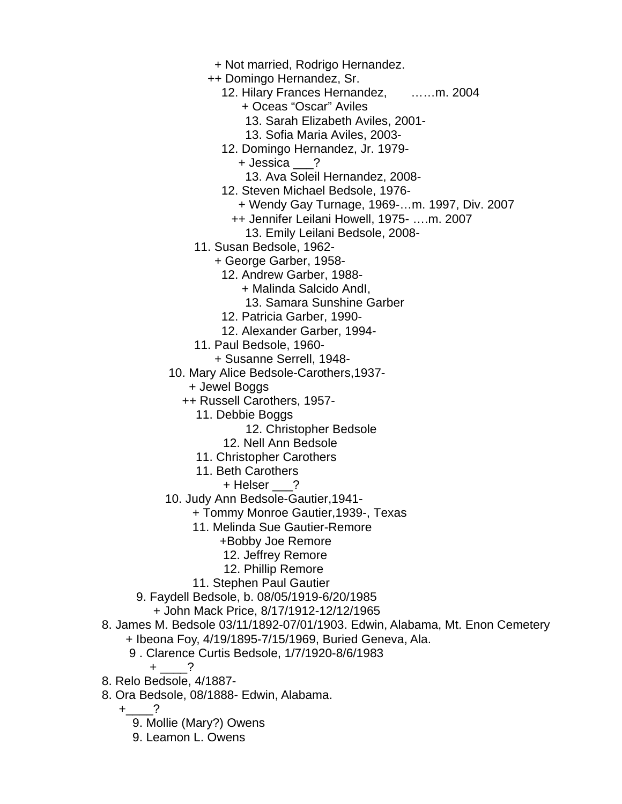- + Not married, Rodrigo Hernandez.
- ++ Domingo Hernandez, Sr.
	- 12. Hilary Frances Hernandez, ……m. 2004
		- + Oceas "Oscar" Aviles
		- 13. Sarah Elizabeth Aviles, 2001-
		- 13. Sofia Maria Aviles, 2003-
	- 12. Domingo Hernandez, Jr. 1979-
		- + Jessica \_\_\_?
		- 13. Ava Soleil Hernandez, 2008-
	- 12. Steven Michael Bedsole, 1976-
		- + Wendy Gay Turnage, 1969-…m. 1997, Div. 2007
		- ++ Jennifer Leilani Howell, 1975- ….m. 2007
			- 13. Emily Leilani Bedsole, 2008-
- 11. Susan Bedsole, 1962-
	- + George Garber, 1958-
		- 12. Andrew Garber, 1988-
			- + Malinda Salcido AndI,
				- 13. Samara Sunshine Garber
		- 12. Patricia Garber, 1990-
		- 12. Alexander Garber, 1994-
- 11. Paul Bedsole, 1960-
	- + Susanne Serrell, 1948-
- 10. Mary Alice Bedsole-Carothers,1937-
	- + Jewel Boggs
	- ++ Russell Carothers, 1957-
		- 11. Debbie Boggs
			- 12. Christopher Bedsole
			- 12. Nell Ann Bedsole
		- 11. Christopher Carothers
		- 11. Beth Carothers
			- + Helser ?
- 10. Judy Ann Bedsole-Gautier,1941-
	- + Tommy Monroe Gautier,1939-, Texas
	- 11. Melinda Sue Gautier-Remore
		- +Bobby Joe Remore
		- 12. Jeffrey Remore
		- 12. Phillip Remore
	- 11. Stephen Paul Gautier
- 9. Faydell Bedsole, b. 08/05/1919-6/20/1985
	- + John Mack Price, 8/17/1912-12/12/1965
- 8. James M. Bedsole 03/11/1892-07/01/1903. Edwin, Alabama, Mt. Enon Cemetery
	- + Ibeona Foy, 4/19/1895-7/15/1969, Buried Geneva, Ala.
	- 9 . Clarence Curtis Bedsole, 1/7/1920-8/6/1983
		- $+$  ?
- 8. Relo Bedsole, 4/1887-
- 8. Ora Bedsole, 08/1888- Edwin, Alabama.
	- $+$  ?
		- 9. Mollie (Mary?) Owens
		- 9. Leamon L. Owens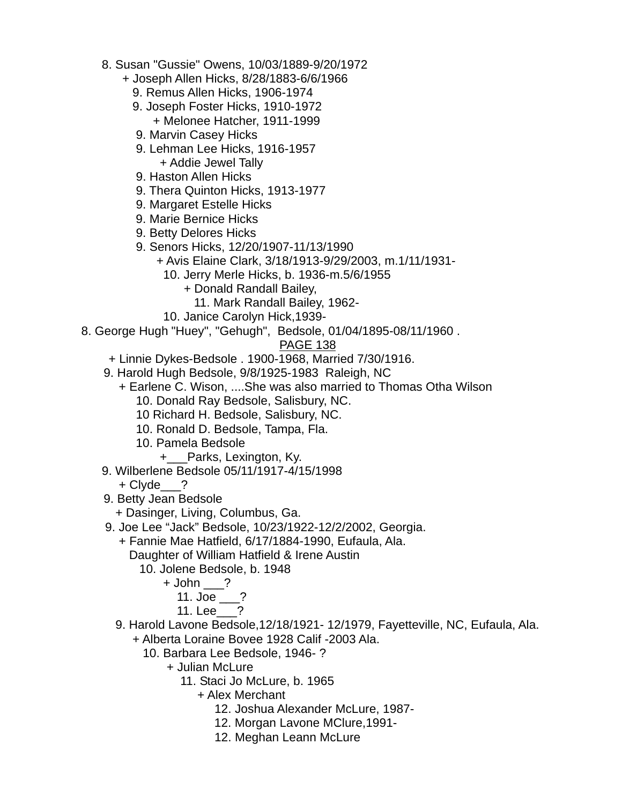- 8. Susan "Gussie" Owens, 10/03/1889-9/20/1972
	- + Joseph Allen Hicks, 8/28/1883-6/6/1966
		- 9. Remus Allen Hicks, 1906-1974
		- 9. Joseph Foster Hicks, 1910-1972 + Melonee Hatcher, 1911-1999
		- 9. Marvin Casey Hicks
		- 9. Lehman Lee Hicks, 1916-1957 + Addie Jewel Tally
		- 9. Haston Allen Hicks
		- 9. Thera Quinton Hicks, 1913-1977
		- 9. Margaret Estelle Hicks
		- 9. Marie Bernice Hicks
		- 9. Betty Delores Hicks
		- 9. Senors Hicks, 12/20/1907-11/13/1990
			- + Avis Elaine Clark, 3/18/1913-9/29/2003, m.1/11/1931-
				- 10. Jerry Merle Hicks, b. 1936-m.5/6/1955
					- + Donald Randall Bailey,
					- 11. Mark Randall Bailey, 1962-
				- 10. Janice Carolyn Hick,1939-
- 8. George Hugh "Huey", "Gehugh", Bedsole, 01/04/1895-08/11/1960 .

- + Linnie Dykes-Bedsole . 1900-1968, Married 7/30/1916.
- 9. Harold Hugh Bedsole, 9/8/1925-1983 Raleigh, NC
	- + Earlene C. Wison, ....She was also married to Thomas Otha Wilson
		- 10. Donald Ray Bedsole, Salisbury, NC.
		- 10 Richard H. Bedsole, Salisbury, NC.
		- 10. Ronald D. Bedsole, Tampa, Fla.
		- 10. Pamela Bedsole
			- +\_\_\_Parks, Lexington, Ky.
- 9. Wilberlene Bedsole 05/11/1917-4/15/1998
	- + Clyde\_\_\_?
- 9. Betty Jean Bedsole
	- + Dasinger, Living, Columbus, Ga.
- 9. Joe Lee "Jack" Bedsole, 10/23/1922-12/2/2002, Georgia.
	- + Fannie Mae Hatfield, 6/17/1884-1990, Eufaula, Ala. Daughter of William Hatfield & Irene Austin
		- 10. Jolene Bedsole, b. 1948
			- + John \_\_\_?
				- 11. Joe \_\_\_?
				- 11. Lee\_\_\_?
	- 9. Harold Lavone Bedsole,12/18/1921- 12/1979, Fayetteville, NC, Eufaula, Ala.
		- + Alberta Loraine Bovee 1928 Calif -2003 Ala.
			- 10. Barbara Lee Bedsole, 1946- ?
				- + Julian McLure
					- 11. Staci Jo McLure, b. 1965
						- + Alex Merchant
							- 12. Joshua Alexander McLure, 1987-
							- 12. Morgan Lavone MClure,1991-
							- 12. Meghan Leann McLure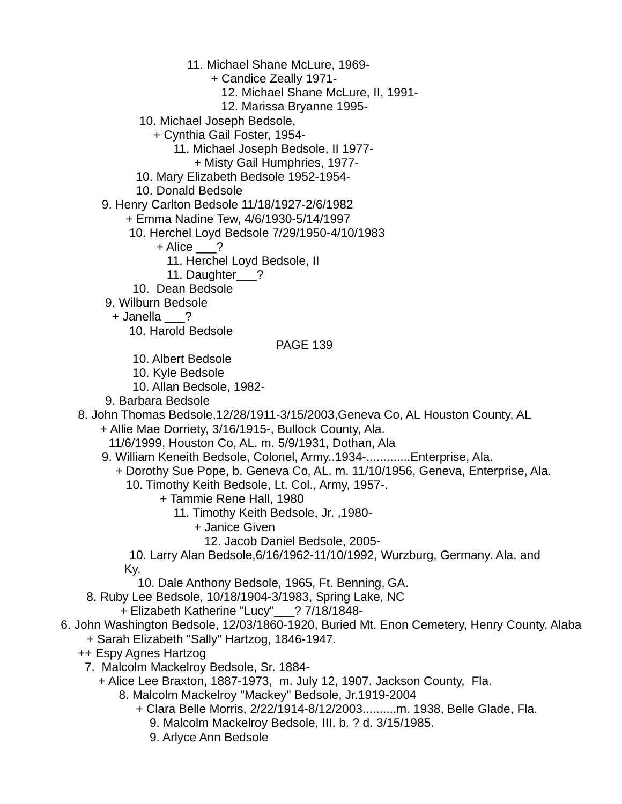- 11. Michael Shane McLure, 1969-
	- + Candice Zeally 1971-
		- 12. Michael Shane McLure, II, 1991-
		- 12. Marissa Bryanne 1995-
- 10. Michael Joseph Bedsole,
	- + Cynthia Gail Foster, 1954-
		- 11. Michael Joseph Bedsole, II 1977-
	- + Misty Gail Humphries, 1977-
- 10. Mary Elizabeth Bedsole 1952-1954-
- 10. Donald Bedsole
- 9. Henry Carlton Bedsole 11/18/1927-2/6/1982
	- + Emma Nadine Tew, 4/6/1930-5/14/1997
	- 10. Herchel Loyd Bedsole 7/29/1950-4/10/1983
		- + Alice ?
			- 11. Herchel Loyd Bedsole, II
		- 11. Daughter ?
	- 10. Dean Bedsole
- 9. Wilburn Bedsole
- + Janella \_\_\_?
	- 10. Harold Bedsole

#### PAGE 139

- 10. Albert Bedsole
- 10. Kyle Bedsole
- 10. Allan Bedsole, 1982-
- 9. Barbara Bedsole
- 8. John Thomas Bedsole,12/28/1911-3/15/2003,Geneva Co, AL Houston County, AL

+ Allie Mae Dorriety, 3/16/1915-, Bullock County, Ala.

11/6/1999, Houston Co, AL. m. 5/9/1931, Dothan, Ala

- 9. William Keneith Bedsole, Colonel, Army..1934-.............Enterprise, Ala.
	- + Dorothy Sue Pope, b. Geneva Co, AL. m. 11/10/1956, Geneva, Enterprise, Ala.
		- 10. Timothy Keith Bedsole, Lt. Col., Army, 1957-.
			- + Tammie Rene Hall, 1980
				- 11. Timothy Keith Bedsole, Jr. ,1980-
					- + Janice Given
						- 12. Jacob Daniel Bedsole, 2005-

 10. Larry Alan Bedsole,6/16/1962-11/10/1992, Wurzburg, Germany. Ala. and Ky.

10. Dale Anthony Bedsole, 1965, Ft. Benning, GA.

8. Ruby Lee Bedsole, 10/18/1904-3/1983, Spring Lake, NC

+ Elizabeth Katherine "Lucy"\_\_\_? 7/18/1848-

#### 6. John Washington Bedsole, 12/03/1860-1920, Buried Mt. Enon Cemetery, Henry County, Alaba + Sarah Elizabeth "Sally" Hartzog, 1846-1947.

- ++ Espy Agnes Hartzog
	- 7. Malcolm Mackelroy Bedsole, Sr. 1884-
		- + Alice Lee Braxton, 1887-1973, m. July 12, 1907. Jackson County, Fla.
			- 8. Malcolm Mackelroy "Mackey" Bedsole, Jr.1919-2004
				- + Clara Belle Morris, 2/22/1914-8/12/2003..........m. 1938, Belle Glade, Fla. 9. Malcolm Mackelroy Bedsole, III. b. ? d. 3/15/1985.
					- 9. Arlyce Ann Bedsole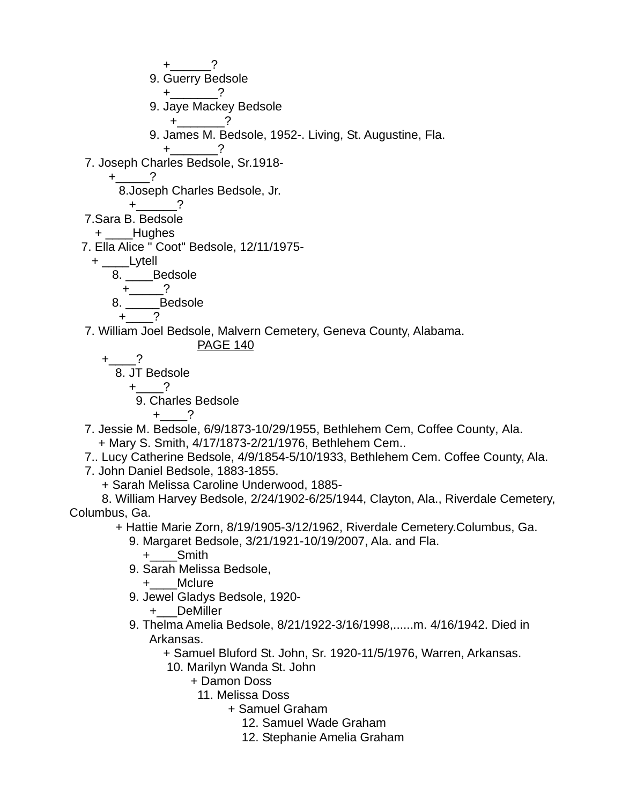$+$   $-$  ? 9. Guerry Bedsole  $+$  ? 9. Jaye Mackey Bedsole  $+$   $2$  9. James M. Bedsole, 1952-. Living, St. Augustine, Fla.  $+$  ? 7. Joseph Charles Bedsole, Sr.1918-  $+$   $?$  8.Joseph Charles Bedsole, Jr.  $+$  ? 7.Sara B. Bedsole + Hughes 7. Ella Alice " Coot" Bedsole, 12/11/1975- + \_\_\_\_Lytell 8. Bedsole  $+$   $-$  ? 8. Bedsole  $+$   $-$  ? 7. William Joel Bedsole, Malvern Cemetery, Geneva County, Alabama. PAGE 140 +\_\_\_\_? 8. JT Bedsole  $+$  ? 9. Charles Bedsole  $+$  ? 7. Jessie M. Bedsole, 6/9/1873-10/29/1955, Bethlehem Cem, Coffee County, Ala. + Mary S. Smith, 4/17/1873-2/21/1976, Bethlehem Cem.. 7.. Lucy Catherine Bedsole, 4/9/1854-5/10/1933, Bethlehem Cem. Coffee County, Ala. 7. John Daniel Bedsole, 1883-1855. + Sarah Melissa Caroline Underwood, 1885- 8. William Harvey Bedsole, 2/24/1902-6/25/1944, Clayton, Ala., Riverdale Cemetery, Columbus, Ga. + Hattie Marie Zorn, 8/19/1905-3/12/1962, Riverdale Cemetery.Columbus, Ga. 9. Margaret Bedsole, 3/21/1921-10/19/2007, Ala. and Fla. +\_\_\_\_Smith 9. Sarah Melissa Bedsole, +\_\_\_\_Mclure 9. Jewel Gladys Bedsole, 1920- +\_\_\_DeMiller 9. Thelma Amelia Bedsole, 8/21/1922-3/16/1998,......m. 4/16/1942. Died in Arkansas. + Samuel Bluford St. John, Sr. 1920-11/5/1976, Warren, Arkansas. 10. Marilyn Wanda St. John + Damon Doss

11. Melissa Doss

+ Samuel Graham

12. Samuel Wade Graham

12. Stephanie Amelia Graham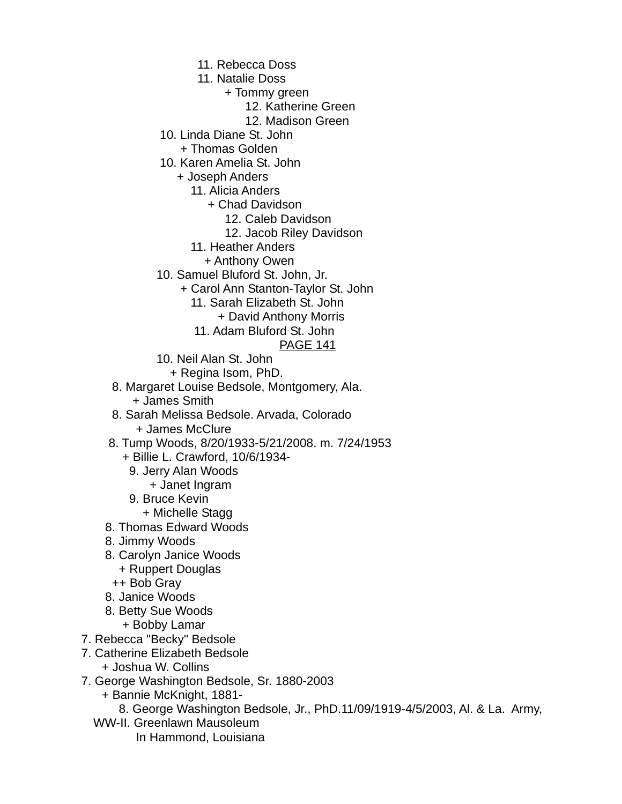- 11. Rebecca Doss
- 11. Natalie Doss
	- + Tommy green
		- 12. Katherine Green
		- 12. Madison Green
- 10. Linda Diane St. John
	- + Thomas Golden
- 10. Karen Amelia St. John
	- + Joseph Anders
		- 11. Alicia Anders
			- + Chad Davidson
				- 12. Caleb Davidson
				- 12. Jacob Riley Davidson
		- 11. Heather Anders
			- + Anthony Owen
- 10. Samuel Bluford St. John, Jr.
	- + Carol Ann Stanton-Taylor St. John
		- 11. Sarah Elizabeth St. John
			- + David Anthony Morris
		- 11. Adam Bluford St. John
			- PAGE 141
- 10. Neil Alan St. John
	- + Regina Isom, PhD.
- 8. Margaret Louise Bedsole, Montgomery, Ala. + James Smith
- 8. Sarah Melissa Bedsole. Arvada, Colorado
	- + James McClure
- 8. Tump Woods, 8/20/1933-5/21/2008. m. 7/24/1953
	- + Billie L. Crawford, 10/6/1934-
	- 9. Jerry Alan Woods
		- + Janet Ingram
	- 9. Bruce Kevin
		- + Michelle Stagg
- 8. Thomas Edward Woods
- 8. Jimmy Woods
- 8. Carolyn Janice Woods
	- + Ruppert Douglas
	- ++ Bob Gray
- 8. Janice Woods
- 8. Betty Sue Woods
	- + Bobby Lamar
- 7. Rebecca "Becky" Bedsole
- 7. Catherine Elizabeth Bedsole
	- + Joshua W. Collins
- 7. George Washington Bedsole, Sr. 1880-2003
	- + Bannie McKnight, 1881-
		- 8. George Washington Bedsole, Jr., PhD.11/09/1919-4/5/2003, Al. & La. Army,
	- WW-II. Greenlawn Mausoleum
		- In Hammond, Louisiana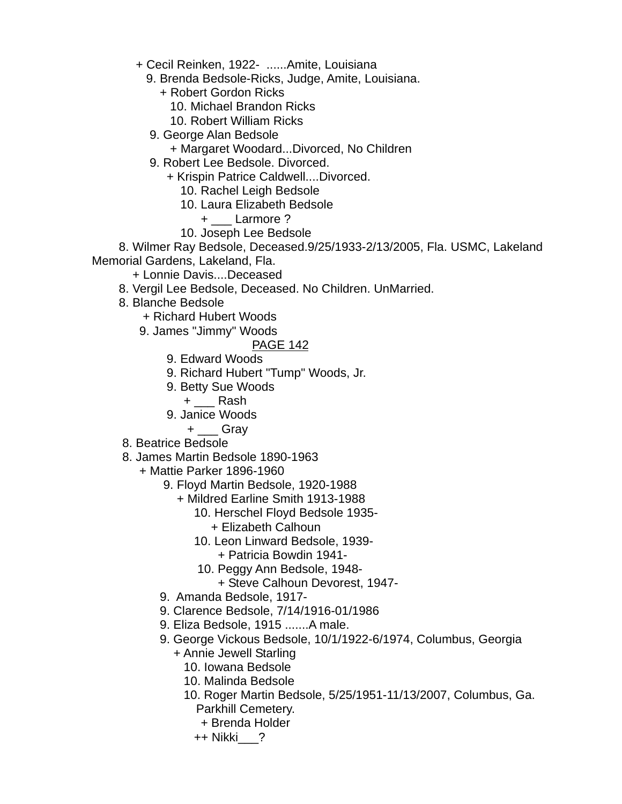+ Cecil Reinken, 1922- ......Amite, Louisiana

- 9. Brenda Bedsole-Ricks, Judge, Amite, Louisiana.
	- + Robert Gordon Ricks
		- 10. Michael Brandon Ricks
		- 10. Robert William Ricks
- 9. George Alan Bedsole
	- + Margaret Woodard...Divorced, No Children
- 9. Robert Lee Bedsole. Divorced.
	- + Krispin Patrice Caldwell....Divorced.
		- 10. Rachel Leigh Bedsole
		- 10. Laura Elizabeth Bedsole
			- + Larmore ?
		- 10. Joseph Lee Bedsole

 8. Wilmer Ray Bedsole, Deceased.9/25/1933-2/13/2005, Fla. USMC, Lakeland Memorial Gardens, Lakeland, Fla.

- + Lonnie Davis....Deceased
- 8. Vergil Lee Bedsole, Deceased. No Children. UnMarried.
- 8. Blanche Bedsole
	- + Richard Hubert Woods
	- 9. James "Jimmy" Woods

- 9. Edward Woods
- 9. Richard Hubert "Tump" Woods, Jr.
- 9. Betty Sue Woods
	- $+$   $\_\_$  Rash
- 9. Janice Woods
	- + \_\_\_ Gray
- 8. Beatrice Bedsole
- 8. James Martin Bedsole 1890-1963
	- + Mattie Parker 1896-1960
		- 9. Floyd Martin Bedsole, 1920-1988
			- + Mildred Earline Smith 1913-1988
				- 10. Herschel Floyd Bedsole 1935-
					- + Elizabeth Calhoun
				- 10. Leon Linward Bedsole, 1939-
					- + Patricia Bowdin 1941-
				- 10. Peggy Ann Bedsole, 1948-
					- + Steve Calhoun Devorest, 1947-
		- 9. Amanda Bedsole, 1917-
		- 9. Clarence Bedsole, 7/14/1916-01/1986
		- 9. Eliza Bedsole, 1915 .......A male.
		- 9. George Vickous Bedsole, 10/1/1922-6/1974, Columbus, Georgia
			- + Annie Jewell Starling
				- 10. Iowana Bedsole
				- 10. Malinda Bedsole
				- 10. Roger Martin Bedsole, 5/25/1951-11/13/2007, Columbus, Ga. Parkhill Cemetery.
					- + Brenda Holder
					- ++ Nikki\_\_\_?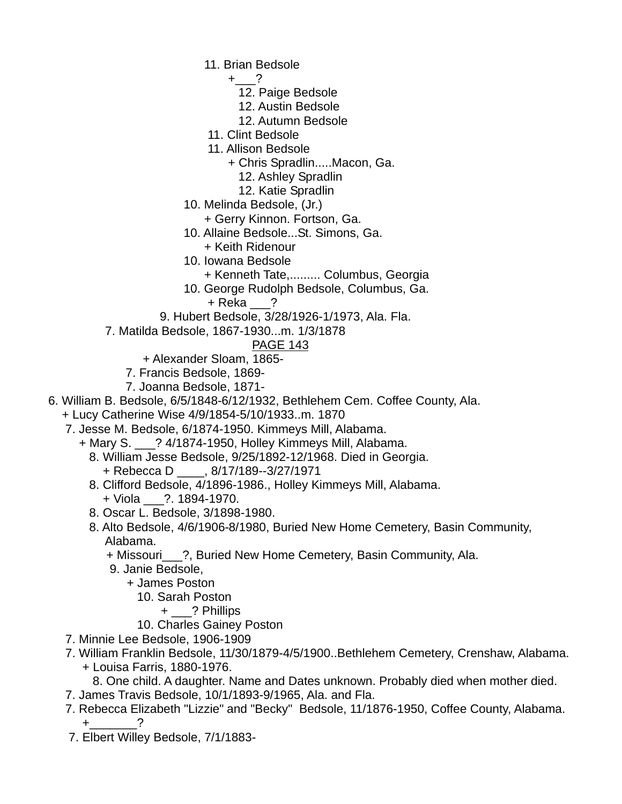- 11. Brian Bedsole
	- $+$  ?
		- 12. Paige Bedsole
		- 12. Austin Bedsole
		- 12. Autumn Bedsole
- 11. Clint Bedsole
- 11. Allison Bedsole
	- + Chris Spradlin.....Macon, Ga.
		- 12. Ashley Spradlin
		- 12. Katie Spradlin
- 10. Melinda Bedsole, (Jr.)
	- + Gerry Kinnon. Fortson, Ga.
- 10. Allaine Bedsole...St. Simons, Ga.
	- + Keith Ridenour
- 10. Iowana Bedsole
	- + Kenneth Tate,......... Columbus, Georgia
- 10. George Rudolph Bedsole, Columbus, Ga.

+ Reka \_\_\_?

- 9. Hubert Bedsole, 3/28/1926-1/1973, Ala. Fla.
- 7. Matilda Bedsole, 1867-1930...m. 1/3/1878

- + Alexander Sloam, 1865-
- 7. Francis Bedsole, 1869-
- 7. Joanna Bedsole, 1871-
- 6. William B. Bedsole, 6/5/1848-6/12/1932, Bethlehem Cem. Coffee County, Ala.
- + Lucy Catherine Wise 4/9/1854-5/10/1933..m. 1870
	- 7. Jesse M. Bedsole, 6/1874-1950. Kimmeys Mill, Alabama.
		- + Mary S. \_\_\_? 4/1874-1950, Holley Kimmeys Mill, Alabama.
			- 8. William Jesse Bedsole, 9/25/1892-12/1968. Died in Georgia.
				- + Rebecca D \_\_\_\_, 8/17/189--3/27/1971
			- 8. Clifford Bedsole, 4/1896-1986., Holley Kimmeys Mill, Alabama. + Viola \_\_\_?. 1894-1970.
			- 8. Oscar L. Bedsole, 3/1898-1980.
			- 8. Alto Bedsole, 4/6/1906-8/1980, Buried New Home Cemetery, Basin Community, Alabama.
				- + Missouri\_\_\_?, Buried New Home Cemetery, Basin Community, Ala.
				- 9. Janie Bedsole,
					- + James Poston
						- 10. Sarah Poston
							- + \_\_\_? Phillips
						- 10. Charles Gainey Poston
	- 7. Minnie Lee Bedsole, 1906-1909
	- 7. William Franklin Bedsole, 11/30/1879-4/5/1900..Bethlehem Cemetery, Crenshaw, Alabama.
		- + Louisa Farris, 1880-1976.
		- 8. One child. A daughter. Name and Dates unknown. Probably died when mother died.
	- 7. James Travis Bedsole, 10/1/1893-9/1965, Ala. and Fla.
	- 7. Rebecca Elizabeth "Lizzie" and "Becky" Bedsole, 11/1876-1950, Coffee County, Alabama.  $+$  ?
	- 7. Elbert Willey Bedsole, 7/1/1883-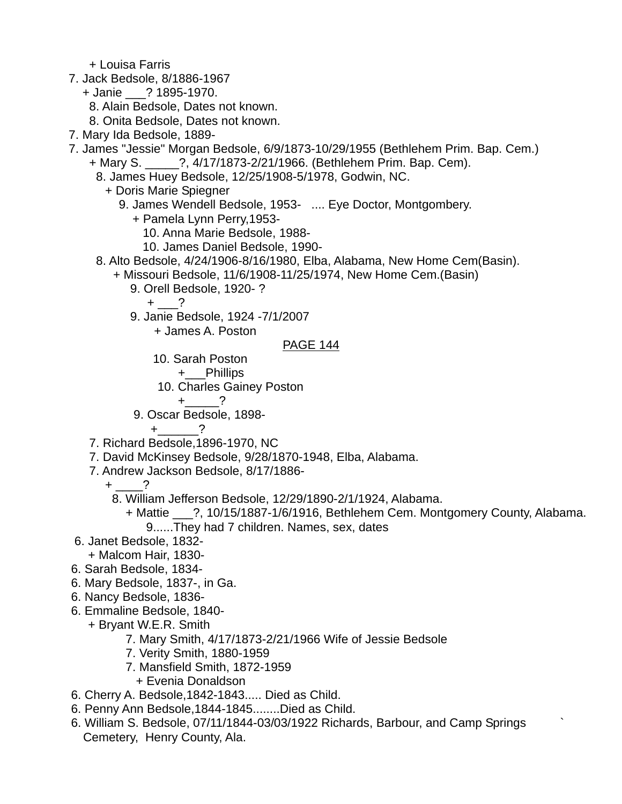+ Louisa Farris

7. Jack Bedsole, 8/1886-1967

- + Janie \_\_\_? 1895-1970.
	- 8. Alain Bedsole, Dates not known.
	- 8. Onita Bedsole, Dates not known.
- 7. Mary Ida Bedsole, 1889-
- 7. James "Jessie" Morgan Bedsole, 6/9/1873-10/29/1955 (Bethlehem Prim. Bap. Cem.) + Mary S. \_\_\_\_\_?, 4/17/1873-2/21/1966. (Bethlehem Prim. Bap. Cem).
	- 8. James Huey Bedsole, 12/25/1908-5/1978, Godwin, NC.
		- + Doris Marie Spiegner
			- 9. James Wendell Bedsole, 1953- .... Eye Doctor, Montgombery.
				- + Pamela Lynn Perry,1953-
					- 10. Anna Marie Bedsole, 1988-
					- 10. James Daniel Bedsole, 1990-
	- 8. Alto Bedsole, 4/24/1906-8/16/1980, Elba, Alabama, New Home Cem(Basin).
		- + Missouri Bedsole, 11/6/1908-11/25/1974, New Home Cem.(Basin)
			- 9. Orell Bedsole, 1920- ?
				- $+$  ?
			- 9. Janie Bedsole, 1924 -7/1/2007

+ James A. Poston

#### PAGE 144

10. Sarah Poston

+\_\_\_Phillips

10. Charles Gainey Poston

 $+$  ?

9. Oscar Bedsole, 1898-

 $+$  ?

- 7. Richard Bedsole,1896-1970, NC
- 7. David McKinsey Bedsole, 9/28/1870-1948, Elba, Alabama.
- 7. Andrew Jackson Bedsole, 8/17/1886-
	- $+$   $-$ 
		- 8. William Jefferson Bedsole, 12/29/1890-2/1/1924, Alabama.
			- + Mattie \_\_\_?, 10/15/1887-1/6/1916, Bethlehem Cem. Montgomery County, Alabama.
				- 9......They had 7 children. Names, sex, dates
- 6. Janet Bedsole, 1832-
	- + Malcom Hair, 1830-
- 6. Sarah Bedsole, 1834-
- 6. Mary Bedsole, 1837-, in Ga.
- 6. Nancy Bedsole, 1836-
- 6. Emmaline Bedsole, 1840-
	- + Bryant W.E.R. Smith
		- 7. Mary Smith, 4/17/1873-2/21/1966 Wife of Jessie Bedsole
		- 7. Verity Smith, 1880-1959
		- 7. Mansfield Smith, 1872-1959
		- + Evenia Donaldson
- 6. Cherry A. Bedsole,1842-1843..... Died as Child.
- 6. Penny Ann Bedsole,1844-1845........Died as Child.
- 6. William S. Bedsole, 07/11/1844-03/03/1922 Richards, Barbour, and Camp Springs ` Cemetery, Henry County, Ala.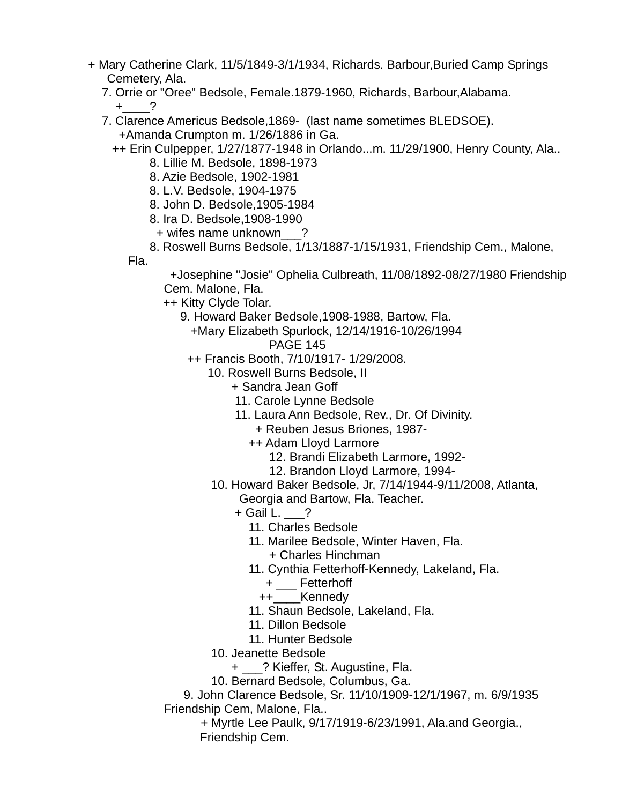- + Mary Catherine Clark, 11/5/1849-3/1/1934, Richards. Barbour,Buried Camp Springs Cemetery, Ala.
	- 7. Orrie or "Oree" Bedsole, Female.1879-1960, Richards, Barbour,Alabama.
		- $+$  ?
	- 7. Clarence Americus Bedsole,1869- (last name sometimes BLEDSOE). +Amanda Crumpton m. 1/26/1886 in Ga.

++ Erin Culpepper, 1/27/1877-1948 in Orlando...m. 11/29/1900, Henry County, Ala..

- 8. Lillie M. Bedsole, 1898-1973
- 8. Azie Bedsole, 1902-1981

8. L.V. Bedsole, 1904-1975

- 8. John D. Bedsole,1905-1984
- 8. Ira D. Bedsole,1908-1990
- + wifes name unknown\_\_\_?
- 8. Roswell Burns Bedsole, 1/13/1887-1/15/1931, Friendship Cem., Malone, Fla.

 +Josephine "Josie" Ophelia Culbreath, 11/08/1892-08/27/1980 Friendship Cem. Malone, Fla.

++ Kitty Clyde Tolar.

- 9. Howard Baker Bedsole,1908-1988, Bartow, Fla.
	- +Mary Elizabeth Spurlock, 12/14/1916-10/26/1994

# PAGE 145

- ++ Francis Booth, 7/10/1917- 1/29/2008.
	- 10. Roswell Burns Bedsole, II
		- + Sandra Jean Goff
		- 11. Carole Lynne Bedsole
		- 11. Laura Ann Bedsole, Rev., Dr. Of Divinity.
			- + Reuben Jesus Briones, 1987-
			- ++ Adam Lloyd Larmore
				- 12. Brandi Elizabeth Larmore, 1992-
				- 12. Brandon Lloyd Larmore, 1994-
		- 10. Howard Baker Bedsole, Jr, 7/14/1944-9/11/2008, Atlanta,
			- Georgia and Bartow, Fla. Teacher.
			- $+$  Gail L.  $?$ 
				- 11. Charles Bedsole
				- 11. Marilee Bedsole, Winter Haven, Fla.
					- + Charles Hinchman
				- 11. Cynthia Fetterhoff-Kennedy, Lakeland, Fla.
					- + \_\_\_ Fetterhoff
					- ++\_\_\_\_Kennedy
				- 11. Shaun Bedsole, Lakeland, Fla.
				- 11. Dillon Bedsole
				- 11. Hunter Bedsole
		- 10. Jeanette Bedsole
			- + \_\_\_? Kieffer, St. Augustine, Fla.
		- 10. Bernard Bedsole, Columbus, Ga.

 9. John Clarence Bedsole, Sr. 11/10/1909-12/1/1967, m. 6/9/1935 Friendship Cem, Malone, Fla..

 + Myrtle Lee Paulk, 9/17/1919-6/23/1991, Ala.and Georgia., Friendship Cem.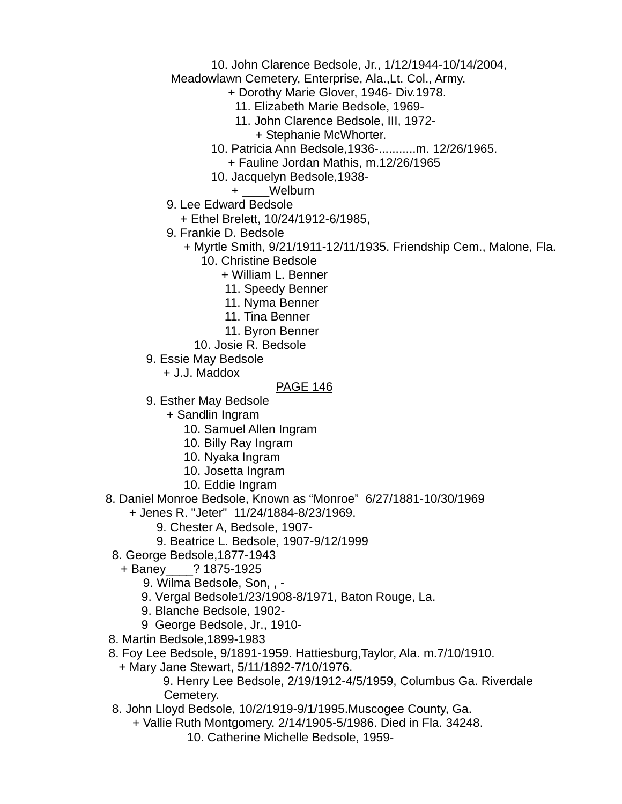### 10. John Clarence Bedsole, Jr., 1/12/1944-10/14/2004,

Meadowlawn Cemetery, Enterprise, Ala.,Lt. Col., Army.

- + Dorothy Marie Glover, 1946- Div.1978.
	- 11. Elizabeth Marie Bedsole, 1969-
	- 11. John Clarence Bedsole, III, 1972-
		- + Stephanie McWhorter.
- 10. Patricia Ann Bedsole,1936-...........m. 12/26/1965. + Fauline Jordan Mathis, m.12/26/1965
- 10. Jacquelyn Bedsole,1938-
	- + \_\_\_\_Welburn
- 9. Lee Edward Bedsole
	- + Ethel Brelett, 10/24/1912-6/1985,
- 9. Frankie D. Bedsole
	- + Myrtle Smith, 9/21/1911-12/11/1935. Friendship Cem., Malone, Fla.
		- 10. Christine Bedsole
			- + William L. Benner
				- 11. Speedy Benner
			- 11. Nyma Benner
			- 11. Tina Benner
			- 11. Byron Benner
		- 10. Josie R. Bedsole
- 9. Essie May Bedsole
	- + J.J. Maddox

### PAGE 146

- 9. Esther May Bedsole
	- + Sandlin Ingram
		- 10. Samuel Allen Ingram
		- 10. Billy Ray Ingram
		- 10. Nyaka Ingram
		- 10. Josetta Ingram
		- 10. Eddie Ingram
- 8. Daniel Monroe Bedsole, Known as "Monroe" 6/27/1881-10/30/1969
	- + Jenes R. "Jeter" 11/24/1884-8/23/1969.
		- 9. Chester A, Bedsole, 1907-
		- 9. Beatrice L. Bedsole, 1907-9/12/1999
	- 8. George Bedsole,1877-1943
		- + Baney\_\_\_\_? 1875-1925
			- 9. Wilma Bedsole, Son, , -
			- 9. Vergal Bedsole1/23/1908-8/1971, Baton Rouge, La.
			- 9. Blanche Bedsole, 1902-
			- 9 George Bedsole, Jr., 1910-
- 8. Martin Bedsole,1899-1983
- 8. Foy Lee Bedsole, 9/1891-1959. Hattiesburg,Taylor, Ala. m.7/10/1910.
	- + Mary Jane Stewart, 5/11/1892-7/10/1976.

 9. Henry Lee Bedsole, 2/19/1912-4/5/1959, Columbus Ga. Riverdale Cemetery.

- 8. John Lloyd Bedsole, 10/2/1919-9/1/1995.Muscogee County, Ga.
	- + Vallie Ruth Montgomery. 2/14/1905-5/1986. Died in Fla. 34248.
		- 10. Catherine Michelle Bedsole, 1959-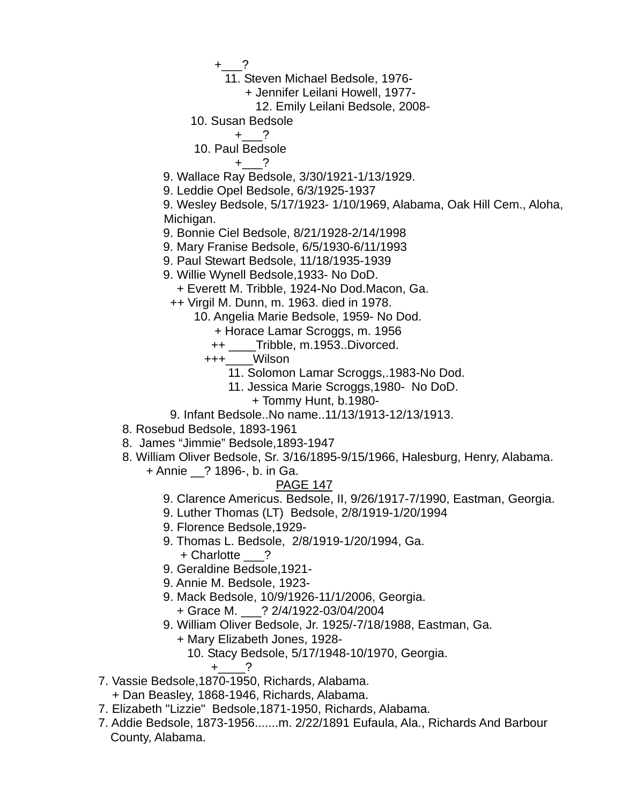$+$  ?

- 11. Steven Michael Bedsole, 1976-
	- + Jennifer Leilani Howell, 1977-
		- 12. Emily Leilani Bedsole, 2008-
- 10. Susan Bedsole

$$
+\underline{\hspace{1cm}}?
$$

10. Paul Bedsole

 $+$  ?

- 9. Wallace Ray Bedsole, 3/30/1921-1/13/1929.
- 9. Leddie Opel Bedsole, 6/3/1925-1937

 9. Wesley Bedsole, 5/17/1923- 1/10/1969, Alabama, Oak Hill Cem., Aloha, Michigan.

- 9. Bonnie Ciel Bedsole, 8/21/1928-2/14/1998
- 9. Mary Franise Bedsole, 6/5/1930-6/11/1993
- 9. Paul Stewart Bedsole, 11/18/1935-1939
- 9. Willie Wynell Bedsole,1933- No DoD.
	- + Everett M. Tribble, 1924-No Dod.Macon, Ga.
- ++ Virgil M. Dunn, m. 1963. died in 1978.
	- 10. Angelia Marie Bedsole, 1959- No Dod.
		- + Horace Lamar Scroggs, m. 1956
			- ++ \_\_\_\_Tribble, m.1953..Divorced.
		- +++\_\_\_\_Wilson
			- 11. Solomon Lamar Scroggs,.1983-No Dod.
			- 11. Jessica Marie Scroggs,1980- No DoD.
				- + Tommy Hunt, b.1980-
- 9. Infant Bedsole..No name..11/13/1913-12/13/1913.
- 8. Rosebud Bedsole, 1893-1961
- 8. James "Jimmie" Bedsole,1893-1947
- 8. William Oliver Bedsole, Sr. 3/16/1895-9/15/1966, Halesburg, Henry, Alabama.
	- + Annie \_\_? 1896-, b. in Ga.

- 9. Clarence Americus. Bedsole, II, 9/26/1917-7/1990, Eastman, Georgia.
- 9. Luther Thomas (LT) Bedsole, 2/8/1919-1/20/1994
- 9. Florence Bedsole,1929-
- 9. Thomas L. Bedsole, 2/8/1919-1/20/1994, Ga. + Charlotte \_\_\_?
- 9. Geraldine Bedsole,1921-
- 9. Annie M. Bedsole, 1923-
- 9. Mack Bedsole, 10/9/1926-11/1/2006, Georgia. + Grace M. \_\_\_? 2/4/1922-03/04/2004
- 9. William Oliver Bedsole, Jr. 1925/-7/18/1988, Eastman, Ga.
	- + Mary Elizabeth Jones, 1928-
		- 10. Stacy Bedsole, 5/17/1948-10/1970, Georgia.
			- $+$  ?
- 7. Vassie Bedsole,1870-1950, Richards, Alabama.
	- + Dan Beasley, 1868-1946, Richards, Alabama.
- 7. Elizabeth "Lizzie" Bedsole,1871-1950, Richards, Alabama.
- 7. Addie Bedsole, 1873-1956.......m. 2/22/1891 Eufaula, Ala., Richards And Barbour County, Alabama.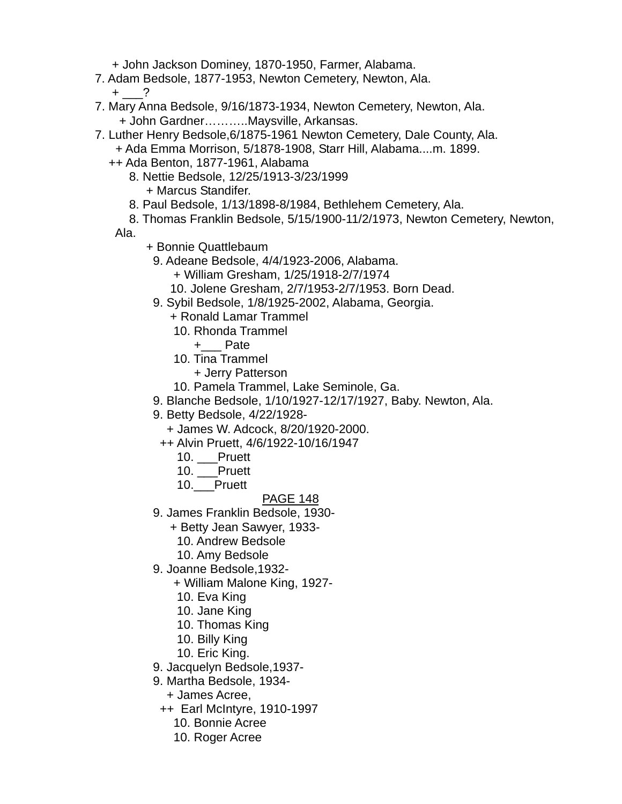+ John Jackson Dominey, 1870-1950, Farmer, Alabama.

- 7. Adam Bedsole, 1877-1953, Newton Cemetery, Newton, Ala.
	- $+$  ?
- 7. Mary Anna Bedsole, 9/16/1873-1934, Newton Cemetery, Newton, Ala. + John Gardner………..Maysville, Arkansas.
- 7. Luther Henry Bedsole,6/1875-1961 Newton Cemetery, Dale County, Ala.
	- + Ada Emma Morrison, 5/1878-1908, Starr Hill, Alabama....m. 1899.
	- ++ Ada Benton, 1877-1961, Alabama
		- 8. Nettie Bedsole, 12/25/1913-3/23/1999 + Marcus Standifer.
		- 8. Paul Bedsole, 1/13/1898-8/1984, Bethlehem Cemetery, Ala.
		- 8. Thomas Franklin Bedsole, 5/15/1900-11/2/1973, Newton Cemetery, Newton,

Ala.

- + Bonnie Quattlebaum
- 9. Adeane Bedsole, 4/4/1923-2006, Alabama.
	- + William Gresham, 1/25/1918-2/7/1974
	- 10. Jolene Gresham, 2/7/1953-2/7/1953. Born Dead.
- 9. Sybil Bedsole, 1/8/1925-2002, Alabama, Georgia.
	- + Ronald Lamar Trammel
	- 10. Rhonda Trammel
		- +\_\_\_ Pate
	- 10. Tina Trammel
		- + Jerry Patterson
	- 10. Pamela Trammel, Lake Seminole, Ga.
- 9. Blanche Bedsole, 1/10/1927-12/17/1927, Baby. Newton, Ala.
- 9. Betty Bedsole, 4/22/1928-
	- + James W. Adcock, 8/20/1920-2000.
	- ++ Alvin Pruett, 4/6/1922-10/16/1947
		- 10. \_\_\_Pruett
		- 10. \_\_\_Pruett
		- 10. Pruett

- 9. James Franklin Bedsole, 1930-
	- + Betty Jean Sawyer, 1933-
		- 10. Andrew Bedsole
		- 10. Amy Bedsole
- 9. Joanne Bedsole,1932-
	- + William Malone King, 1927-
		- 10. Eva King
		- 10. Jane King
		- 10. Thomas King
		- 10. Billy King
		- 10. Eric King.
- 9. Jacquelyn Bedsole,1937-
- 9. Martha Bedsole, 1934-
	- + James Acree,
	- ++ Earl McIntyre, 1910-1997
		- 10. Bonnie Acree
		- 10. Roger Acree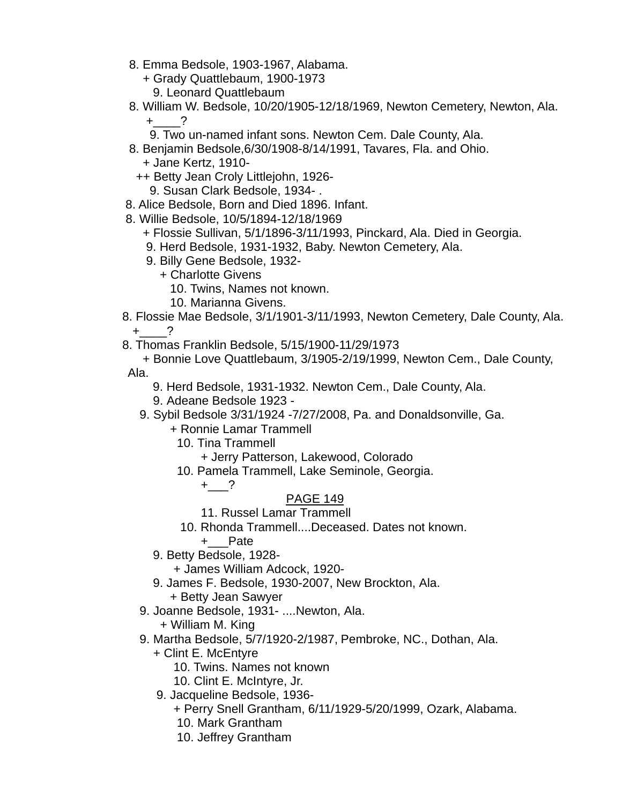- 8. Emma Bedsole, 1903-1967, Alabama.
	- + Grady Quattlebaum, 1900-1973
		- 9. Leonard Quattlebaum
- 8. William W. Bedsole, 10/20/1905-12/18/1969, Newton Cemetery, Newton, Ala.  $+$  ?
	- 9. Two un-named infant sons. Newton Cem. Dale County, Ala.
- 8. Benjamin Bedsole,6/30/1908-8/14/1991, Tavares, Fla. and Ohio. + Jane Kertz, 1910-
	- ++ Betty Jean Croly Littlejohn, 1926-
		- 9. Susan Clark Bedsole, 1934- .
- 8. Alice Bedsole, Born and Died 1896. Infant.
- 8. Willie Bedsole, 10/5/1894-12/18/1969
	- + Flossie Sullivan, 5/1/1896-3/11/1993, Pinckard, Ala. Died in Georgia.
	- 9. Herd Bedsole, 1931-1932, Baby. Newton Cemetery, Ala.
	- 9. Billy Gene Bedsole, 1932-
		- + Charlotte Givens
			- 10. Twins, Names not known.
			- 10. Marianna Givens.
- 8. Flossie Mae Bedsole, 3/1/1901-3/11/1993, Newton Cemetery, Dale County, Ala.  $+$  ?
- 8. Thomas Franklin Bedsole, 5/15/1900-11/29/1973

 + Bonnie Love Quattlebaum, 3/1905-2/19/1999, Newton Cem., Dale County, Ala.

- 9. Herd Bedsole, 1931-1932. Newton Cem., Dale County, Ala.
- 9. Adeane Bedsole 1923 -
- 9. Sybil Bedsole 3/31/1924 -7/27/2008, Pa. and Donaldsonville, Ga.
	- + Ronnie Lamar Trammell
		- 10. Tina Trammell
			- + Jerry Patterson, Lakewood, Colorado
		- 10. Pamela Trammell, Lake Seminole, Georgia.

 $+$  ?

# PAGE 149

- 11. Russel Lamar Trammell
- 10. Rhonda Trammell....Deceased. Dates not known.
	- +\_\_\_Pate
- 9. Betty Bedsole, 1928-
	- + James William Adcock, 1920-
- 9. James F. Bedsole, 1930-2007, New Brockton, Ala.

+ Betty Jean Sawyer

9. Joanne Bedsole, 1931- ....Newton, Ala.

+ William M. King

- 9. Martha Bedsole, 5/7/1920-2/1987, Pembroke, NC., Dothan, Ala.
	- + Clint E. McEntyre
		- 10. Twins. Names not known
		- 10. Clint E. McIntyre, Jr.
	- 9. Jacqueline Bedsole, 1936-
		- + Perry Snell Grantham, 6/11/1929-5/20/1999, Ozark, Alabama.
		- 10. Mark Grantham
		- 10. Jeffrey Grantham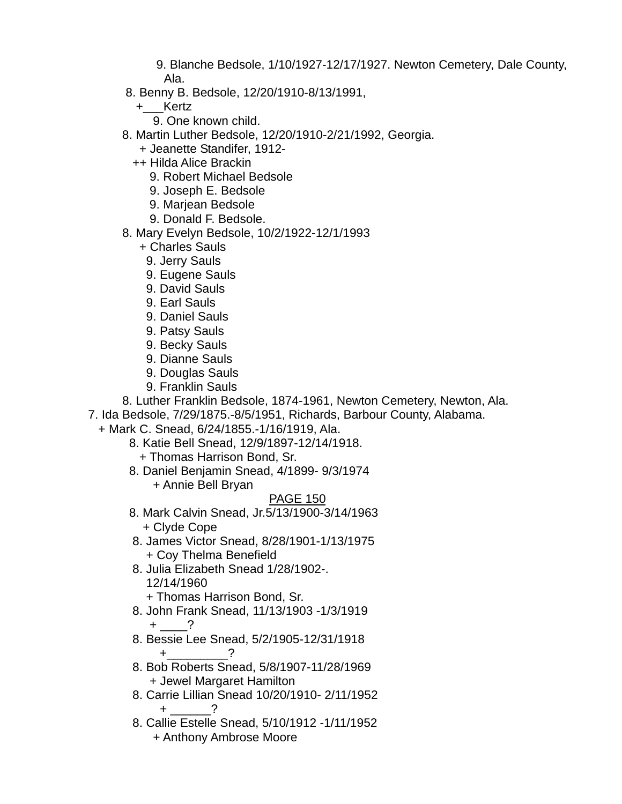9. Blanche Bedsole, 1/10/1927-12/17/1927. Newton Cemetery, Dale County, Ala.

- 8. Benny B. Bedsole, 12/20/1910-8/13/1991,
	- +\_\_\_Kertz

9. One known child.

- 8. Martin Luther Bedsole, 12/20/1910-2/21/1992, Georgia.
	- + Jeanette Standifer, 1912-
	- ++ Hilda Alice Brackin
		- 9. Robert Michael Bedsole
		- 9. Joseph E. Bedsole
		- 9. Marjean Bedsole
		- 9. Donald F. Bedsole.
- 8. Mary Evelyn Bedsole, 10/2/1922-12/1/1993
	- + Charles Sauls
	- 9. Jerry Sauls
	- 9. Eugene Sauls
	- 9. David Sauls
	- 9. Earl Sauls
	- 9. Daniel Sauls
	- 9. Patsy Sauls
	- 9. Becky Sauls
	- 9. Dianne Sauls
	- 9. Douglas Sauls
	- 9. Franklin Sauls

8. Luther Franklin Bedsole, 1874-1961, Newton Cemetery, Newton, Ala.

7. Ida Bedsole, 7/29/1875.-8/5/1951, Richards, Barbour County, Alabama.

+ Mark C. Snead, 6/24/1855.-1/16/1919, Ala.

- 8. Katie Bell Snead, 12/9/1897-12/14/1918.
	- + Thomas Harrison Bond, Sr.
- 8. Daniel Benjamin Snead, 4/1899- 9/3/1974
	- + Annie Bell Bryan

- 8. Mark Calvin Snead, Jr.5/13/1900-3/14/1963 + Clyde Cope
- 8. James Victor Snead, 8/28/1901-1/13/1975 + Coy Thelma Benefield
- 8. Julia Elizabeth Snead 1/28/1902-. 12/14/1960
	- + Thomas Harrison Bond, Sr.
- 8. John Frank Snead, 11/13/1903 -1/3/1919  $+$  ?
- 8. Bessie Lee Snead, 5/2/1905-12/31/1918  $+$  ?
- 8. Bob Roberts Snead, 5/8/1907-11/28/1969 + Jewel Margaret Hamilton
- 8. Carrie Lillian Snead 10/20/1910- 2/11/1952  $+$  \_\_\_\_\_\_?
	- 8. Callie Estelle Snead, 5/10/1912 -1/11/1952 + Anthony Ambrose Moore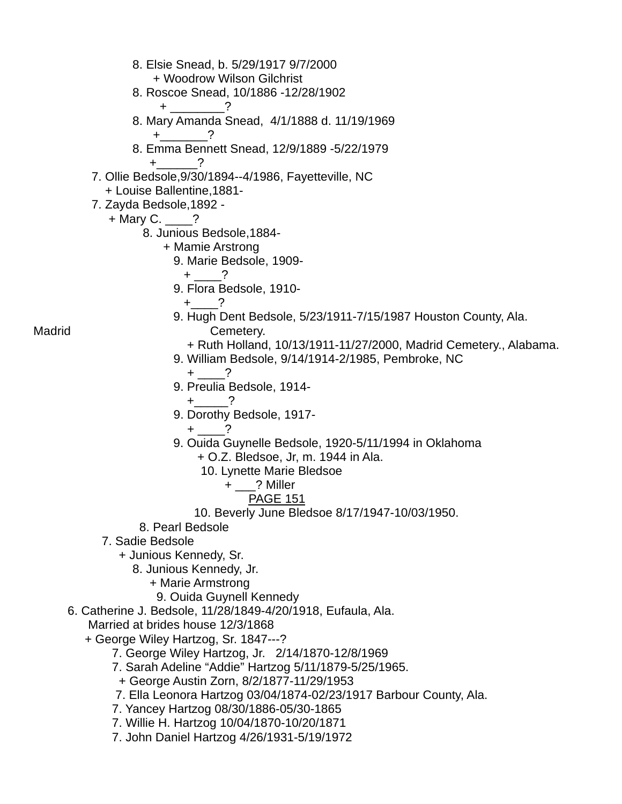8. Elsie Snead, b. 5/29/1917 9/7/2000 + Woodrow Wilson Gilchrist 8. Roscoe Snead, 10/1886 -12/28/1902 + \_\_\_\_\_\_\_\_\_\_\_\_\_\_\_ ? 8. Mary Amanda Snead, 4/1/1888 d. 11/19/1969  $+$  ? 8. Emma Bennett Snead, 12/9/1889 -5/22/1979  $+$  ? 7. Ollie Bedsole,9/30/1894--4/1986, Fayetteville, NC + Louise Ballentine,1881- 7. Zayda Bedsole,1892 - + Mary C. \_\_\_\_? 8. Junious Bedsole,1884- + Mamie Arstrong 9. Marie Bedsole, 1909-  $+$  ? 9. Flora Bedsole, 1910-  $+$  ? 9. Hugh Dent Bedsole, 5/23/1911-7/15/1987 Houston County, Ala. Madrid Cemetery. + Ruth Holland, 10/13/1911-11/27/2000, Madrid Cemetery., Alabama. 9. William Bedsole, 9/14/1914-2/1985, Pembroke, NC  $+$  ? 9. Preulia Bedsole, 1914-  $+$  ? 9. Dorothy Bedsole, 1917- + \_\_\_\_? 9. Ouida Guynelle Bedsole, 1920-5/11/1994 in Oklahoma + O.Z. Bledsoe, Jr, m. 1944 in Ala. 10. Lynette Marie Bledsoe + \_\_\_? Miller PAGE 151 10. Beverly June Bledsoe 8/17/1947-10/03/1950. 8. Pearl Bedsole 7. Sadie Bedsole + Junious Kennedy, Sr. 8. Junious Kennedy, Jr. + Marie Armstrong 9. Ouida Guynell Kennedy 6. Catherine J. Bedsole, 11/28/1849-4/20/1918, Eufaula, Ala. Married at brides house 12/3/1868 + George Wiley Hartzog, Sr. 1847---? 7. George Wiley Hartzog, Jr. 2/14/1870-12/8/1969 7. Sarah Adeline "Addie" Hartzog 5/11/1879-5/25/1965. + George Austin Zorn, 8/2/1877-11/29/1953 7. Ella Leonora Hartzog 03/04/1874-02/23/1917 Barbour County, Ala. 7. Yancey Hartzog 08/30/1886-05/30-1865 7. Willie H. Hartzog 10/04/1870-10/20/1871 7. John Daniel Hartzog 4/26/1931-5/19/1972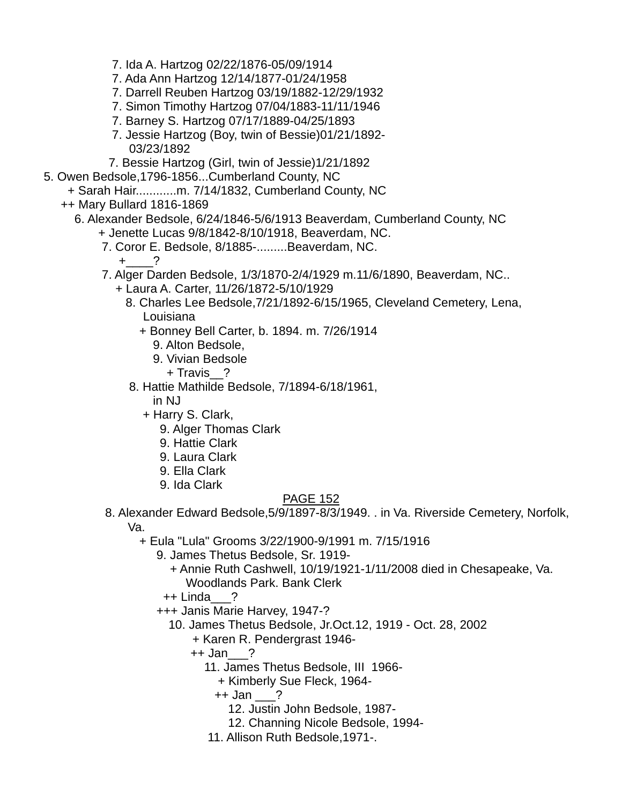- 7. Ida A. Hartzog 02/22/1876-05/09/1914
- 7. Ada Ann Hartzog 12/14/1877-01/24/1958
- 7. Darrell Reuben Hartzog 03/19/1882-12/29/1932
- 7. Simon Timothy Hartzog 07/04/1883-11/11/1946
- 7. Barney S. Hartzog 07/17/1889-04/25/1893
- 7. Jessie Hartzog (Boy, twin of Bessie)01/21/1892- 03/23/1892
- 7. Bessie Hartzog (Girl, twin of Jessie)1/21/1892
- 5. Owen Bedsole,1796-1856...Cumberland County, NC
	- + Sarah Hair............m. 7/14/1832, Cumberland County, NC
	- ++ Mary Bullard 1816-1869
		- 6. Alexander Bedsole, 6/24/1846-5/6/1913 Beaverdam, Cumberland County, NC + Jenette Lucas 9/8/1842-8/10/1918, Beaverdam, NC.
			- 7. Coror E. Bedsole, 8/1885-.........Beaverdam, NC.

 $+$  ?

- 7. Alger Darden Bedsole, 1/3/1870-2/4/1929 m.11/6/1890, Beaverdam, NC..
	- + Laura A. Carter, 11/26/1872-5/10/1929
		- 8. Charles Lee Bedsole,7/21/1892-6/15/1965, Cleveland Cemetery, Lena, Louisiana
			- + Bonney Bell Carter, b. 1894. m. 7/26/1914
				- 9. Alton Bedsole,
				- 9. Vivian Bedsole
					- + Travis\_\_?
		- 8. Hattie Mathilde Bedsole, 7/1894-6/18/1961,

in NJ

- + Harry S. Clark,
	- 9. Alger Thomas Clark
	- 9. Hattie Clark
	- 9. Laura Clark
	- 9. Ella Clark
	- 9. Ida Clark

# PAGE 152

8. Alexander Edward Bedsole,5/9/1897-8/3/1949. . in Va. Riverside Cemetery, Norfolk,

Va.

+ Eula "Lula" Grooms 3/22/1900-9/1991 m. 7/15/1916

9. James Thetus Bedsole, Sr. 1919-

- + Annie Ruth Cashwell, 10/19/1921-1/11/2008 died in Chesapeake, Va. Woodlands Park. Bank Clerk
- $++$  Linda ?
- +++ Janis Marie Harvey, 1947-?
	- 10. James Thetus Bedsole, Jr.Oct.12, 1919 Oct. 28, 2002
		- + Karen R. Pendergrast 1946-
		- ++ Jan\_\_\_?
			- 11. James Thetus Bedsole, III 1966-
				- + Kimberly Sue Fleck, 1964-

++ Jan \_\_\_?

- 12. Justin John Bedsole, 1987-
- 12. Channing Nicole Bedsole, 1994-
- 11. Allison Ruth Bedsole,1971-.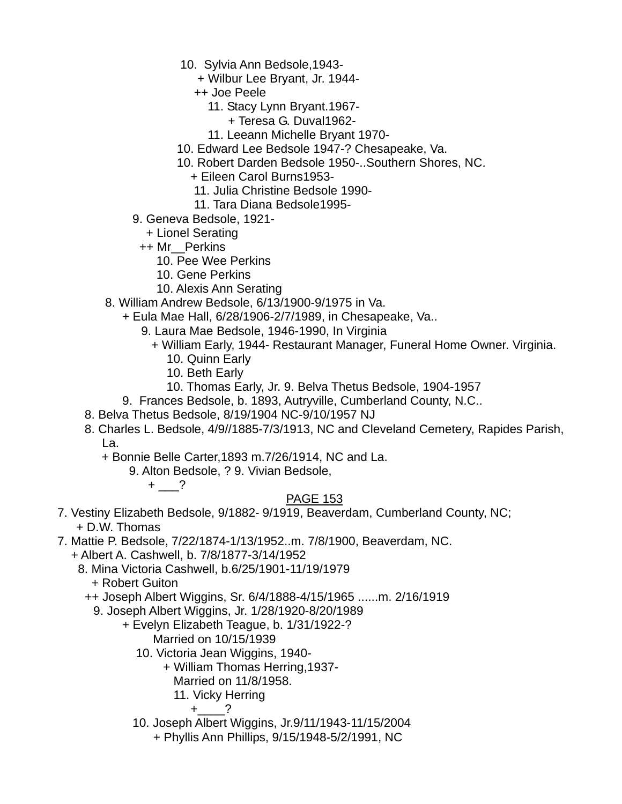- 10. Sylvia Ann Bedsole,1943-
	- + Wilbur Lee Bryant, Jr. 1944-
	- ++ Joe Peele
		- 11. Stacy Lynn Bryant.1967-
			- + Teresa G. Duval1962-
		- 11. Leeann Michelle Bryant 1970-
- 10. Edward Lee Bedsole 1947-? Chesapeake, Va.
- 10. Robert Darden Bedsole 1950-..Southern Shores, NC.
	- + Eileen Carol Burns1953-
	- 11. Julia Christine Bedsole 1990-
	- 11. Tara Diana Bedsole1995-
- 9. Geneva Bedsole, 1921-
	- + Lionel Serating
- ++ Mr\_\_Perkins
	- 10. Pee Wee Perkins
	- 10. Gene Perkins
	- 10. Alexis Ann Serating
- 8. William Andrew Bedsole, 6/13/1900-9/1975 in Va.
	- + Eula Mae Hall, 6/28/1906-2/7/1989, in Chesapeake, Va..
		- 9. Laura Mae Bedsole, 1946-1990, In Virginia
			- + William Early, 1944- Restaurant Manager, Funeral Home Owner. Virginia.
				- 10. Quinn Early
				- 10. Beth Early
				- 10. Thomas Early, Jr. 9. Belva Thetus Bedsole, 1904-1957
- 9. Frances Bedsole, b. 1893, Autryville, Cumberland County, N.C..
- 8. Belva Thetus Bedsole, 8/19/1904 NC-9/10/1957 NJ
- 8. Charles L. Bedsole, 4/9//1885-7/3/1913, NC and Cleveland Cemetery, Rapides Parish, La.
	- + Bonnie Belle Carter,1893 m.7/26/1914, NC and La.
		- 9. Alton Bedsole, ? 9. Vivian Bedsole,
			- $+$   $-$ ?

- 7. Vestiny Elizabeth Bedsole, 9/1882- 9/1919, Beaverdam, Cumberland County, NC; + D.W. Thomas
- 7. Mattie P. Bedsole, 7/22/1874-1/13/1952..m. 7/8/1900, Beaverdam, NC.
	- + Albert A. Cashwell, b. 7/8/1877-3/14/1952
		- 8. Mina Victoria Cashwell, b.6/25/1901-11/19/1979 + Robert Guiton
			- ++ Joseph Albert Wiggins, Sr. 6/4/1888-4/15/1965 ......m. 2/16/1919
				- 9. Joseph Albert Wiggins, Jr. 1/28/1920-8/20/1989
					- + Evelyn Elizabeth Teague, b. 1/31/1922-?
						- Married on 10/15/1939
						- 10. Victoria Jean Wiggins, 1940-
							- + William Thomas Herring,1937-
							- Married on 11/8/1958.
							- 11. Vicky Herring

$$
+\underline{\qquad}\qquad?
$$

- 10. Joseph Albert Wiggins, Jr.9/11/1943-11/15/2004
	- + Phyllis Ann Phillips, 9/15/1948-5/2/1991, NC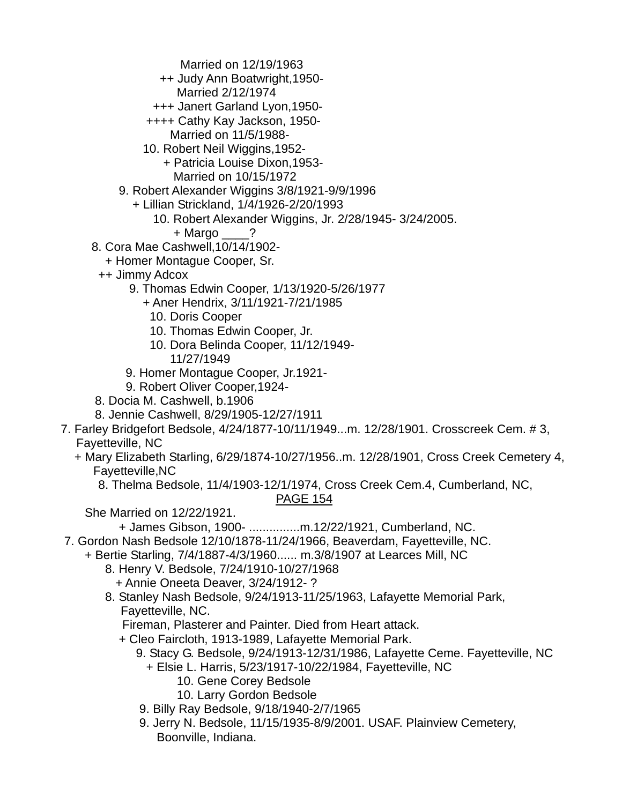Married on 12/19/1963

- ++ Judy Ann Boatwright,1950-
	- Married 2/12/1974
- +++ Janert Garland Lyon,1950-
- ++++ Cathy Kay Jackson, 1950-
	- Married on 11/5/1988-
- 10. Robert Neil Wiggins,1952-
	- + Patricia Louise Dixon,1953-
		- Married on 10/15/1972
- 9. Robert Alexander Wiggins 3/8/1921-9/9/1996
	- + Lillian Strickland, 1/4/1926-2/20/1993
		- 10. Robert Alexander Wiggins, Jr. 2/28/1945- 3/24/2005.
			- + Margo \_\_\_\_?
- 8. Cora Mae Cashwell,10/14/1902-
	- + Homer Montague Cooper, Sr.
- ++ Jimmy Adcox
	- 9. Thomas Edwin Cooper, 1/13/1920-5/26/1977
		- + Aner Hendrix, 3/11/1921-7/21/1985
			- 10. Doris Cooper
			- 10. Thomas Edwin Cooper, Jr.
			- 10. Dora Belinda Cooper, 11/12/1949- 11/27/1949
	- 9. Homer Montague Cooper, Jr.1921-
	- 9. Robert Oliver Cooper,1924-
- 8. Docia M. Cashwell, b.1906
- 8. Jennie Cashwell, 8/29/1905-12/27/1911
- 7. Farley Bridgefort Bedsole, 4/24/1877-10/11/1949...m. 12/28/1901. Crosscreek Cem. # 3, Fayetteville, NC
	- + Mary Elizabeth Starling, 6/29/1874-10/27/1956..m. 12/28/1901, Cross Creek Cemetery 4, Fayetteville,NC
		- 8. Thelma Bedsole, 11/4/1903-12/1/1974, Cross Creek Cem.4, Cumberland, NC,

# PAGE 154

She Married on 12/22/1921.

- + James Gibson, 1900- ...............m.12/22/1921, Cumberland, NC.
- 7. Gordon Nash Bedsole 12/10/1878-11/24/1966, Beaverdam, Fayetteville, NC.
	- + Bertie Starling, 7/4/1887-4/3/1960...... m.3/8/1907 at Learces Mill, NC
		- 8. Henry V. Bedsole, 7/24/1910-10/27/1968
			- + Annie Oneeta Deaver, 3/24/1912- ?
		- 8. Stanley Nash Bedsole, 9/24/1913-11/25/1963, Lafayette Memorial Park, Fayetteville, NC.
			- Fireman, Plasterer and Painter. Died from Heart attack.
			- + Cleo Faircloth, 1913-1989, Lafayette Memorial Park.
				- 9. Stacy G. Bedsole, 9/24/1913-12/31/1986, Lafayette Ceme. Fayetteville, NC + Elsie L. Harris, 5/23/1917-10/22/1984, Fayetteville, NC
					- 10. Gene Corey Bedsole
						- 10. Larry Gordon Bedsole
				- 9. Billy Ray Bedsole, 9/18/1940-2/7/1965
				- 9. Jerry N. Bedsole, 11/15/1935-8/9/2001. USAF. Plainview Cemetery, Boonville, Indiana.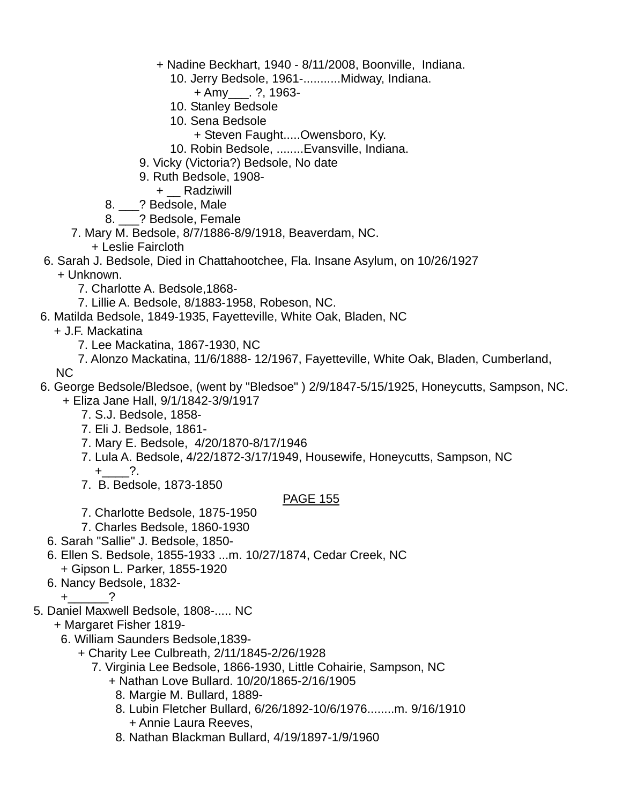- + Nadine Beckhart, 1940 8/11/2008, Boonville, Indiana.
	- 10. Jerry Bedsole, 1961-...........Midway, Indiana.
		- + Amy\_\_\_. ?, 1963-
	- 10. Stanley Bedsole
	- 10. Sena Bedsole
		- + Steven Faught.....Owensboro, Ky.
	- 10. Robin Bedsole, ........Evansville, Indiana.
- 9. Vicky (Victoria?) Bedsole, No date
- 9. Ruth Bedsole, 1908-
	- + \_\_ Radziwill
- 8. \_\_\_? Bedsole, Male
- 8. ? Bedsole, Female
- 7. Mary M. Bedsole, 8/7/1886-8/9/1918, Beaverdam, NC.
	- + Leslie Faircloth
- 6. Sarah J. Bedsole, Died in Chattahootchee, Fla. Insane Asylum, on 10/26/1927 + Unknown.
	- 7. Charlotte A. Bedsole,1868-
	- 7. Lillie A. Bedsole, 8/1883-1958, Robeson, NC.
- 6. Matilda Bedsole, 1849-1935, Fayetteville, White Oak, Bladen, NC
	- + J.F. Mackatina
		- 7. Lee Mackatina, 1867-1930, NC
		- 7. Alonzo Mackatina, 11/6/1888- 12/1967, Fayetteville, White Oak, Bladen, Cumberland,

NC

- 6. George Bedsole/Bledsoe, (went by "Bledsoe" ) 2/9/1847-5/15/1925, Honeycutts, Sampson, NC. + Eliza Jane Hall, 9/1/1842-3/9/1917
	- 7. S.J. Bedsole, 1858-
	- 7. Eli J. Bedsole, 1861-
	- 7. Mary E. Bedsole, 4/20/1870-8/17/1946
	- 7. Lula A. Bedsole, 4/22/1872-3/17/1949, Housewife, Honeycutts, Sampson, NC  $+$  ?.
	- 7. B. Bedsole, 1873-1850

- 7. Charlotte Bedsole, 1875-1950
- 7. Charles Bedsole, 1860-1930
- 6. Sarah "Sallie" J. Bedsole, 1850-
- 6. Ellen S. Bedsole, 1855-1933 ...m. 10/27/1874, Cedar Creek, NC + Gipson L. Parker, 1855-1920
- 6. Nancy Bedsole, 1832-
	- $+$  ?
- 5. Daniel Maxwell Bedsole, 1808-..... NC
	- + Margaret Fisher 1819-
		- 6. William Saunders Bedsole,1839-
			- + Charity Lee Culbreath, 2/11/1845-2/26/1928
				- 7. Virginia Lee Bedsole, 1866-1930, Little Cohairie, Sampson, NC
					- + Nathan Love Bullard. 10/20/1865-2/16/1905
					- 8. Margie M. Bullard, 1889-
					- 8. Lubin Fletcher Bullard, 6/26/1892-10/6/1976........m. 9/16/1910 + Annie Laura Reeves,
					- 8. Nathan Blackman Bullard, 4/19/1897-1/9/1960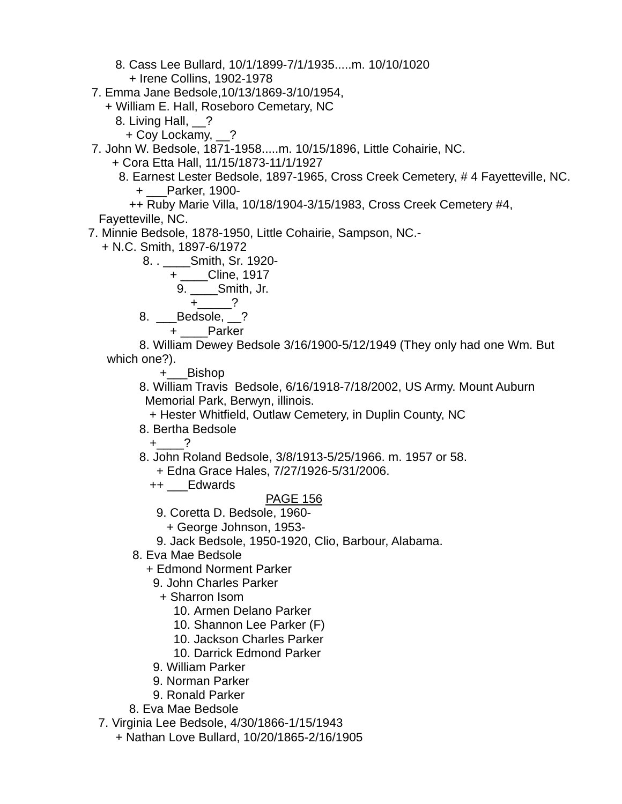8. Cass Lee Bullard, 10/1/1899-7/1/1935.....m. 10/10/1020 + Irene Collins, 1902-1978

7. Emma Jane Bedsole,10/13/1869-3/10/1954,

+ William E. Hall, Roseboro Cemetary, NC

- 8. Living Hall, ?
	- + Coy Lockamy, \_\_?

7. John W. Bedsole, 1871-1958.....m. 10/15/1896, Little Cohairie, NC.

+ Cora Etta Hall, 11/15/1873-11/1/1927

 8. Earnest Lester Bedsole, 1897-1965, Cross Creek Cemetery, # 4 Fayetteville, NC. + \_\_\_Parker, 1900-

++ Ruby Marie Villa, 10/18/1904-3/15/1983, Cross Creek Cemetery #4,

- Fayetteville, NC.
- 7. Minnie Bedsole, 1878-1950, Little Cohairie, Sampson, NC.-
	- + N.C. Smith, 1897-6/1972

8. . \_\_\_\_Smith, Sr. 1920-

$$
+ \underline{\qquad \qquad } \text{Cline, 1917}
$$

9. Smith, Jr.

$$
+\underline{\qquad}\qquad?
$$

8. \_\_\_Bedsole, \_\_?

+ \_\_\_\_Parker

 8. William Dewey Bedsole 3/16/1900-5/12/1949 (They only had one Wm. But which one?).

+\_\_\_Bishop

 8. William Travis Bedsole, 6/16/1918-7/18/2002, US Army. Mount Auburn Memorial Park, Berwyn, illinois.

+ Hester Whitfield, Outlaw Cemetery, in Duplin County, NC

8. Bertha Bedsole

 $+$  ?

- 8. John Roland Bedsole, 3/8/1913-5/25/1966. m. 1957 or 58. + Edna Grace Hales, 7/27/1926-5/31/2006.
	- ++ \_\_\_Edwards

### PAGE 156

- 9. Coretta D. Bedsole, 1960-
	- + George Johnson, 1953-
- 9. Jack Bedsole, 1950-1920, Clio, Barbour, Alabama.
- 8. Eva Mae Bedsole

+ Edmond Norment Parker

- 9. John Charles Parker
	- + Sharron Isom
		- 10. Armen Delano Parker
		- 10. Shannon Lee Parker (F)
		- 10. Jackson Charles Parker
		- 10. Darrick Edmond Parker
- 9. William Parker
- 9. Norman Parker
- 9. Ronald Parker
- 8. Eva Mae Bedsole

7. Virginia Lee Bedsole, 4/30/1866-1/15/1943

+ Nathan Love Bullard, 10/20/1865-2/16/1905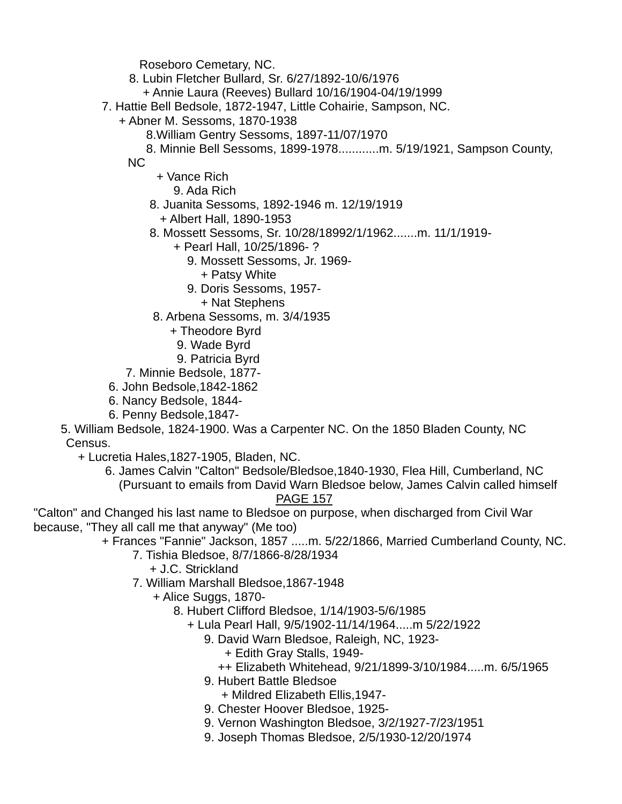Roseboro Cemetary, NC.

8. Lubin Fletcher Bullard, Sr. 6/27/1892-10/6/1976

+ Annie Laura (Reeves) Bullard 10/16/1904-04/19/1999

7. Hattie Bell Bedsole, 1872-1947, Little Cohairie, Sampson, NC.

+ Abner M. Sessoms, 1870-1938

8.William Gentry Sessoms, 1897-11/07/1970

 8. Minnie Bell Sessoms, 1899-1978............m. 5/19/1921, Sampson County, NC

+ Vance Rich

9. Ada Rich

8. Juanita Sessoms, 1892-1946 m. 12/19/1919

+ Albert Hall, 1890-1953

8. Mossett Sessoms, Sr. 10/28/18992/1/1962.......m. 11/1/1919-

+ Pearl Hall, 10/25/1896- ?

9. Mossett Sessoms, Jr. 1969-

- + Patsy White
- 9. Doris Sessoms, 1957-

+ Nat Stephens

8. Arbena Sessoms, m. 3/4/1935

- + Theodore Byrd
- 9. Wade Byrd
- 9. Patricia Byrd

7. Minnie Bedsole, 1877-

6. John Bedsole,1842-1862

- 6. Nancy Bedsole, 1844-
- 6. Penny Bedsole,1847-

 5. William Bedsole, 1824-1900. Was a Carpenter NC. On the 1850 Bladen County, NC Census.

+ Lucretia Hales,1827-1905, Bladen, NC.

 6. James Calvin "Calton" Bedsole/Bledsoe,1840-1930, Flea Hill, Cumberland, NC (Pursuant to emails from David Warn Bledsoe below, James Calvin called himself PAGE 157

"Calton" and Changed his last name to Bledsoe on purpose, when discharged from Civil War because, "They all call me that anyway" (Me too)

+ Frances "Fannie" Jackson, 1857 .....m. 5/22/1866, Married Cumberland County, NC.

7. Tishia Bledsoe, 8/7/1866-8/28/1934

+ J.C. Strickland

7. William Marshall Bledsoe,1867-1948

+ Alice Suggs, 1870-

- 8. Hubert Clifford Bledsoe, 1/14/1903-5/6/1985
	- + Lula Pearl Hall, 9/5/1902-11/14/1964.....m 5/22/1922

9. David Warn Bledsoe, Raleigh, NC, 1923-

- + Edith Gray Stalls, 1949-
- ++ Elizabeth Whitehead, 9/21/1899-3/10/1984.....m. 6/5/1965
- 9. Hubert Battle Bledsoe
	- + Mildred Elizabeth Ellis,1947-
- 9. Chester Hoover Bledsoe, 1925-
- 9. Vernon Washington Bledsoe, 3/2/1927-7/23/1951
- 9. Joseph Thomas Bledsoe, 2/5/1930-12/20/1974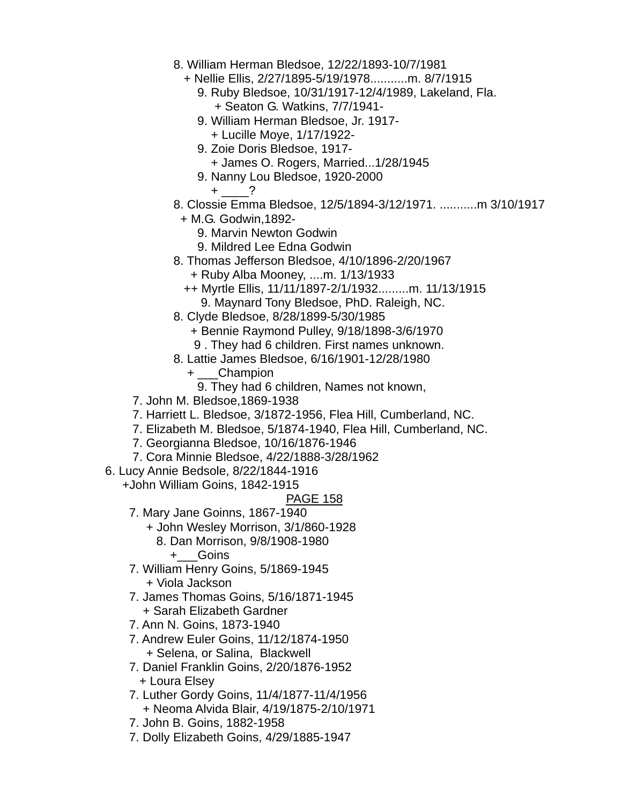- 8. William Herman Bledsoe, 12/22/1893-10/7/1981
	- + Nellie Ellis, 2/27/1895-5/19/1978...........m. 8/7/1915
		- 9. Ruby Bledsoe, 10/31/1917-12/4/1989, Lakeland, Fla. + Seaton G. Watkins, 7/7/1941-
		- 9. William Herman Bledsoe, Jr. 1917-
			- + Lucille Moye, 1/17/1922-
		- 9. Zoie Doris Bledsoe, 1917-
			- + James O. Rogers, Married...1/28/1945
		- 9. Nanny Lou Bledsoe, 1920-2000

 $+$   $-$  ?

8. Clossie Emma Bledsoe, 12/5/1894-3/12/1971. ...........m 3/10/1917

+ M.G. Godwin,1892-

- 9. Marvin Newton Godwin
- 9. Mildred Lee Edna Godwin
- 8. Thomas Jefferson Bledsoe, 4/10/1896-2/20/1967
	- + Ruby Alba Mooney, ....m. 1/13/1933
	- ++ Myrtle Ellis, 11/11/1897-2/1/1932.........m. 11/13/1915 9. Maynard Tony Bledsoe, PhD. Raleigh, NC.
- 8. Clyde Bledsoe, 8/28/1899-5/30/1985
	- + Bennie Raymond Pulley, 9/18/1898-3/6/1970
	- 9 . They had 6 children. First names unknown.
- 8. Lattie James Bledsoe, 6/16/1901-12/28/1980
	- + \_\_\_Champion
		- 9. They had 6 children, Names not known,
- 7. John M. Bledsoe,1869-1938
- 7. Harriett L. Bledsoe, 3/1872-1956, Flea Hill, Cumberland, NC.
- 7. Elizabeth M. Bledsoe, 5/1874-1940, Flea Hill, Cumberland, NC.
- 7. Georgianna Bledsoe, 10/16/1876-1946
- 7. Cora Minnie Bledsoe, 4/22/1888-3/28/1962
- 6. Lucy Annie Bedsole, 8/22/1844-1916
	- +John William Goins, 1842-1915
		- PAGE 158
	- 7. Mary Jane Goinns, 1867-1940
		- + John Wesley Morrison, 3/1/860-1928
			- 8. Dan Morrison, 9/8/1908-1980
				- +\_\_\_Goins
	- 7. William Henry Goins, 5/1869-1945 + Viola Jackson
	- 7. James Thomas Goins, 5/16/1871-1945 + Sarah Elizabeth Gardner
	- 7. Ann N. Goins, 1873-1940
	- 7. Andrew Euler Goins, 11/12/1874-1950 + Selena, or Salina, Blackwell
	- 7. Daniel Franklin Goins, 2/20/1876-1952 + Loura Elsey
	- 7. Luther Gordy Goins, 11/4/1877-11/4/1956 + Neoma Alvida Blair, 4/19/1875-2/10/1971
	- 7. John B. Goins, 1882-1958
	- 7. Dolly Elizabeth Goins, 4/29/1885-1947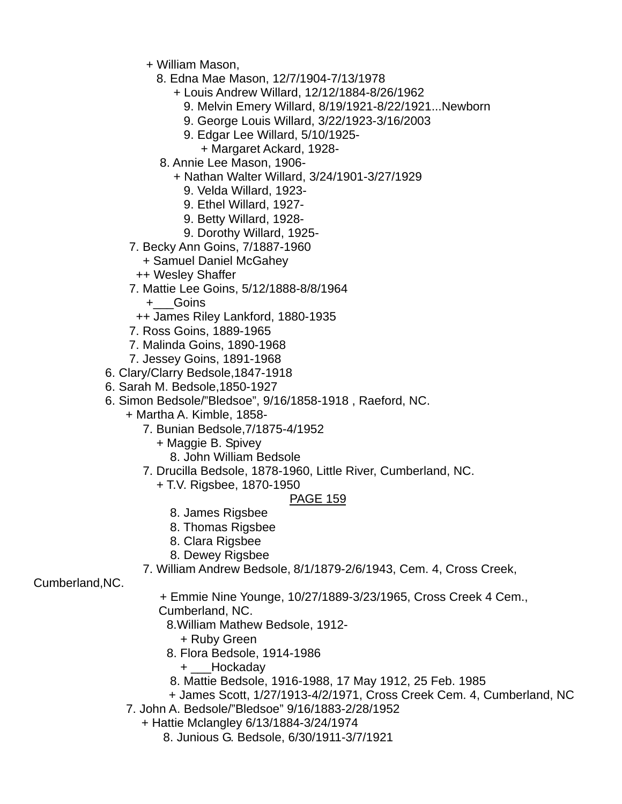- + William Mason,
	- 8. Edna Mae Mason, 12/7/1904-7/13/1978
		- + Louis Andrew Willard, 12/12/1884-8/26/1962
			- 9. Melvin Emery Willard, 8/19/1921-8/22/1921...Newborn
			- 9. George Louis Willard, 3/22/1923-3/16/2003
			- 9. Edgar Lee Willard, 5/10/1925-
			- + Margaret Ackard, 1928-
	- 8. Annie Lee Mason, 1906-
		- + Nathan Walter Willard, 3/24/1901-3/27/1929
			- 9. Velda Willard, 1923-
			- 9. Ethel Willard, 1927-
			- 9. Betty Willard, 1928-
			- 9. Dorothy Willard, 1925-
- 7. Becky Ann Goins, 7/1887-1960
	- + Samuel Daniel McGahey
	- ++ Wesley Shaffer
- 7. Mattie Lee Goins, 5/12/1888-8/8/1964
	- +\_\_\_Goins
	- ++ James Riley Lankford, 1880-1935
- 7. Ross Goins, 1889-1965
- 7. Malinda Goins, 1890-1968
- 7. Jessey Goins, 1891-1968
- 6. Clary/Clarry Bedsole,1847-1918
- 6. Sarah M. Bedsole,1850-1927
- 6. Simon Bedsole/"Bledsoe", 9/16/1858-1918 , Raeford, NC.
	- + Martha A. Kimble, 1858-
		- 7. Bunian Bedsole,7/1875-4/1952
			- + Maggie B. Spivey
				- 8. John William Bedsole
		- 7. Drucilla Bedsole, 1878-1960, Little River, Cumberland, NC.
			- + T.V. Rigsbee, 1870-1950

# PAGE 159

- 8. James Rigsbee
- 8. Thomas Rigsbee
- 8. Clara Rigsbee
- 8. Dewey Rigsbee
- 7. William Andrew Bedsole, 8/1/1879-2/6/1943, Cem. 4, Cross Creek,

Cumberland,NC.

 + Emmie Nine Younge, 10/27/1889-3/23/1965, Cross Creek 4 Cem., Cumberland, NC.

8.William Mathew Bedsole, 1912-

- + Ruby Green
- 8. Flora Bedsole, 1914-1986
	- + \_\_\_Hockaday
- 8. Mattie Bedsole, 1916-1988, 17 May 1912, 25 Feb. 1985
- + James Scott, 1/27/1913-4/2/1971, Cross Creek Cem. 4, Cumberland, NC
- 7. John A. Bedsole/"Bledsoe" 9/16/1883-2/28/1952
	- + Hattie Mclangley 6/13/1884-3/24/1974
		- 8. Junious G. Bedsole, 6/30/1911-3/7/1921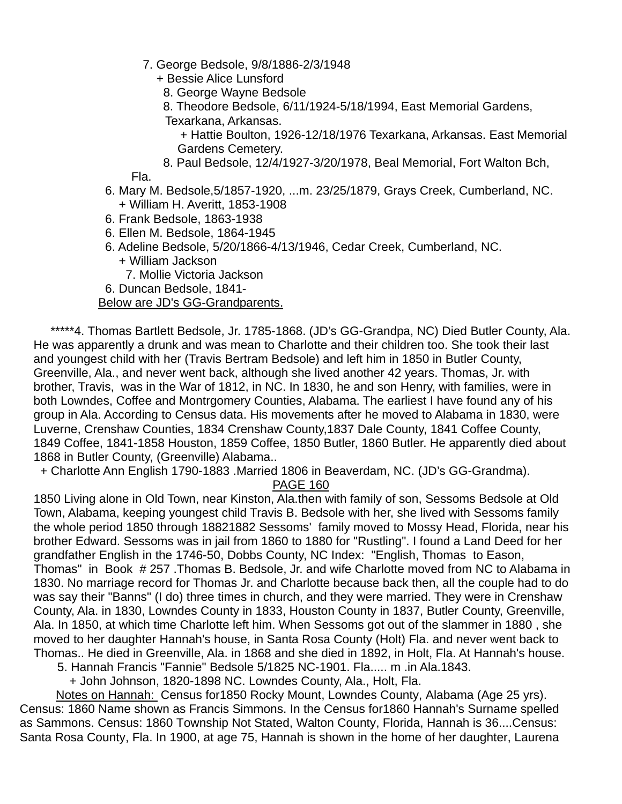- 7. George Bedsole, 9/8/1886-2/3/1948
	- + Bessie Alice Lunsford
		- 8. George Wayne Bedsole
		- 8. Theodore Bedsole, 6/11/1924-5/18/1994, East Memorial Gardens,
		- Texarkana, Arkansas.
			- + Hattie Boulton, 1926-12/18/1976 Texarkana, Arkansas. East Memorial Gardens Cemetery.
	- 8. Paul Bedsole, 12/4/1927-3/20/1978, Beal Memorial, Fort Walton Bch,

Fla.

- 6. Mary M. Bedsole,5/1857-1920, ...m. 23/25/1879, Grays Creek, Cumberland, NC. + William H. Averitt, 1853-1908
- 6. Frank Bedsole, 1863-1938
- 6. Ellen M. Bedsole, 1864-1945
- 6. Adeline Bedsole, 5/20/1866-4/13/1946, Cedar Creek, Cumberland, NC. + William Jackson
	- 7. Mollie Victoria Jackson
- 6. Duncan Bedsole, 1841-

### Below are JD's GG-Grandparents.

 \*\*\*\*\*4. Thomas Bartlett Bedsole, Jr. 1785-1868. (JD's GG-Grandpa, NC) Died Butler County, Ala. He was apparently a drunk and was mean to Charlotte and their children too. She took their last and youngest child with her (Travis Bertram Bedsole) and left him in 1850 in Butler County, Greenville, Ala., and never went back, although she lived another 42 years. Thomas, Jr. with brother, Travis, was in the War of 1812, in NC. In 1830, he and son Henry, with families, were in both Lowndes, Coffee and Montrgomery Counties, Alabama. The earliest I have found any of his group in Ala. According to Census data. His movements after he moved to Alabama in 1830, were Luverne, Crenshaw Counties, 1834 Crenshaw County,1837 Dale County, 1841 Coffee County, 1849 Coffee, 1841-1858 Houston, 1859 Coffee, 1850 Butler, 1860 Butler. He apparently died about 1868 in Butler County, (Greenville) Alabama..

+ Charlotte Ann English 1790-1883 .Married 1806 in Beaverdam, NC. (JD's GG-Grandma).

PAGE 160

1850 Living alone in Old Town, near Kinston, Ala.then with family of son, Sessoms Bedsole at Old Town, Alabama, keeping youngest child Travis B. Bedsole with her, she lived with Sessoms family the whole period 1850 through 18821882 Sessoms' family moved to Mossy Head, Florida, near his brother Edward. Sessoms was in jail from 1860 to 1880 for "Rustling". I found a Land Deed for her grandfather English in the 1746-50, Dobbs County, NC Index: "English, Thomas to Eason, Thomas" in Book # 257 .Thomas B. Bedsole, Jr. and wife Charlotte moved from NC to Alabama in 1830. No marriage record for Thomas Jr. and Charlotte because back then, all the couple had to do was say their "Banns" (I do) three times in church, and they were married. They were in Crenshaw County, Ala. in 1830, Lowndes County in 1833, Houston County in 1837, Butler County, Greenville, Ala. In 1850, at which time Charlotte left him. When Sessoms got out of the slammer in 1880 , she moved to her daughter Hannah's house, in Santa Rosa County (Holt) Fla. and never went back to Thomas.. He died in Greenville, Ala. in 1868 and she died in 1892, in Holt, Fla. At Hannah's house.

5. Hannah Francis "Fannie" Bedsole 5/1825 NC-1901. Fla..... m .in Ala.1843.

+ John Johnson, 1820-1898 NC. Lowndes County, Ala., Holt, Fla.

 Notes on Hannah: Census for1850 Rocky Mount, Lowndes County, Alabama (Age 25 yrs). Census: 1860 Name shown as Francis Simmons. In the Census for1860 Hannah's Surname spelled as Sammons. Census: 1860 Township Not Stated, Walton County, Florida, Hannah is 36....Census: Santa Rosa County, Fla. In 1900, at age 75, Hannah is shown in the home of her daughter, Laurena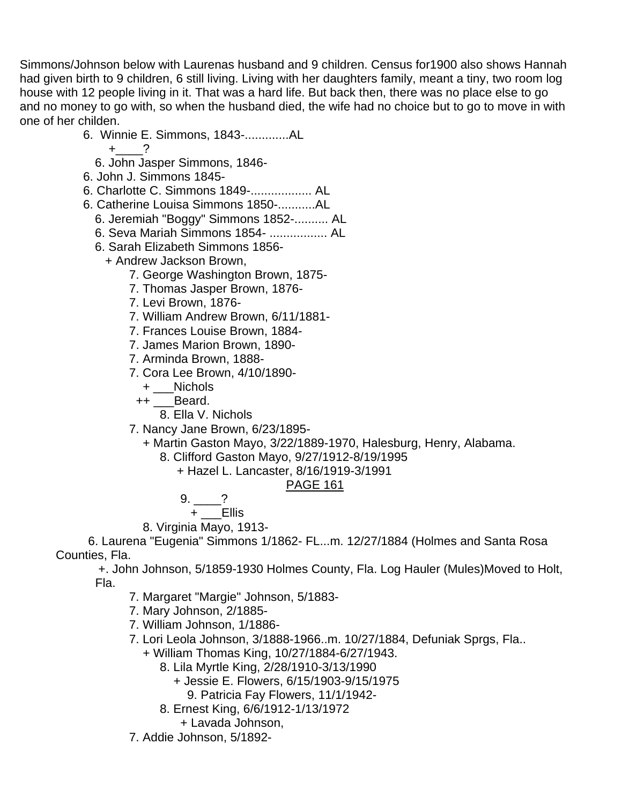Simmons/Johnson below with Laurenas husband and 9 children. Census for1900 also shows Hannah had given birth to 9 children, 6 still living. Living with her daughters family, meant a tiny, two room log house with 12 people living in it. That was a hard life. But back then, there was no place else to go and no money to go with, so when the husband died, the wife had no choice but to go to move in with one of her childen.

6. Winnie E. Simmons, 1843-.............AL

- 6. John Jasper Simmons, 1846-
- 6. John J. Simmons 1845-
- 6. Charlotte C. Simmons 1849-.................. AL
- 6. Catherine Louisa Simmons 1850-...........AL
	- 6. Jeremiah "Boggy" Simmons 1852-.......... AL
	- 6. Seva Mariah Simmons 1854- ................. AL
	- 6. Sarah Elizabeth Simmons 1856-
		- + Andrew Jackson Brown,
			- 7. George Washington Brown, 1875-
			- 7. Thomas Jasper Brown, 1876-
			- 7. Levi Brown, 1876-
			- 7. William Andrew Brown, 6/11/1881-
			- 7. Frances Louise Brown, 1884-
			- 7. James Marion Brown, 1890-
			- 7. Arminda Brown, 1888-
			- 7. Cora Lee Brown, 4/10/1890-
				- + \_\_\_Nichols
				- ++ Beard.
					- 8. Ella V. Nichols
			- 7. Nancy Jane Brown, 6/23/1895-
				- + Martin Gaston Mayo, 3/22/1889-1970, Halesburg, Henry, Alabama.
					- 8. Clifford Gaston Mayo, 9/27/1912-8/19/1995
						- + Hazel L. Lancaster, 8/16/1919-3/1991

# PAGE 161

- $9. \_ ?$ 
	- + \_\_\_Ellis
- 8. Virginia Mayo, 1913-

 6. Laurena "Eugenia" Simmons 1/1862- FL...m. 12/27/1884 (Holmes and Santa Rosa Counties, Fla.

 +. John Johnson, 5/1859-1930 Holmes County, Fla. Log Hauler (Mules)Moved to Holt, Fla.

- 7. Margaret "Margie" Johnson, 5/1883-
- 7. Mary Johnson, 2/1885-
- 7. William Johnson, 1/1886-
- 7. Lori Leola Johnson, 3/1888-1966..m. 10/27/1884, Defuniak Sprgs, Fla..
	- + William Thomas King, 10/27/1884-6/27/1943.
		- 8. Lila Myrtle King, 2/28/1910-3/13/1990
			- + Jessie E. Flowers, 6/15/1903-9/15/1975
				- 9. Patricia Fay Flowers, 11/1/1942-
		- 8. Ernest King, 6/6/1912-1/13/1972
			- + Lavada Johnson,
- 7. Addie Johnson, 5/1892-

 $+$  ?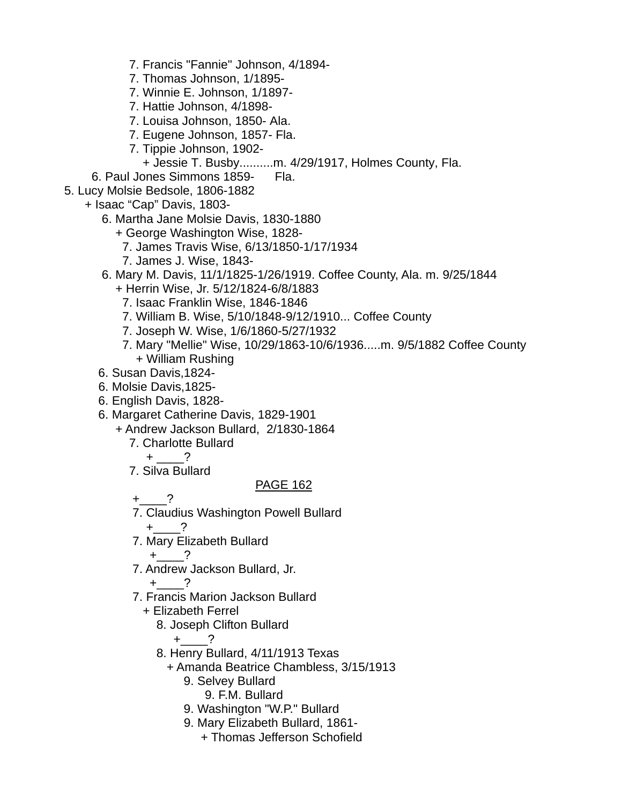- 7. Francis "Fannie" Johnson, 4/1894-
- 7. Thomas Johnson, 1/1895-
- 7. Winnie E. Johnson, 1/1897-
- 7. Hattie Johnson, 4/1898-
- 7. Louisa Johnson, 1850- Ala.
- 7. Eugene Johnson, 1857- Fla.
- 7. Tippie Johnson, 1902-
	- + Jessie T. Busby..........m. 4/29/1917, Holmes County, Fla.
- 6. Paul Jones Simmons 1859- Fla.
- 5. Lucy Molsie Bedsole, 1806-1882
	- + Isaac "Cap" Davis, 1803-
		- 6. Martha Jane Molsie Davis, 1830-1880
			- + George Washington Wise, 1828-
				- 7. James Travis Wise, 6/13/1850-1/17/1934
				- 7. James J. Wise, 1843-
		- 6. Mary M. Davis, 11/1/1825-1/26/1919. Coffee County, Ala. m. 9/25/1844 + Herrin Wise, Jr. 5/12/1824-6/8/1883
			- 7. Isaac Franklin Wise, 1846-1846
			- 7. William B. Wise, 5/10/1848-9/12/1910... Coffee County
			- 7. Joseph W. Wise, 1/6/1860-5/27/1932
			- 7. Mary "Mellie" Wise, 10/29/1863-10/6/1936.....m. 9/5/1882 Coffee County + William Rushing
		- 6. Susan Davis,1824-
		- 6. Molsie Davis,1825-
		- 6. English Davis, 1828-
		- 6. Margaret Catherine Davis, 1829-1901
			- + Andrew Jackson Bullard, 2/1830-1864
				- 7. Charlotte Bullard
					- $+$   $-$ ?
				- 7. Silva Bullard

- $+$  ?
- 7. Claudius Washington Powell Bullard
	- +\_\_\_\_?
- 7. Mary Elizabeth Bullard
	- $+$  ?
- 7. Andrew Jackson Bullard, Jr.
	- $+$  ?
- 7. Francis Marion Jackson Bullard
	- + Elizabeth Ferrel
		- 8. Joseph Clifton Bullard

$$
+\underline{\hspace{1cm}}?
$$

- 8. Henry Bullard, 4/11/1913 Texas
	- + Amanda Beatrice Chambless, 3/15/1913
		- 9. Selvey Bullard
			- 9. F.M. Bullard
		- 9. Washington "W.P." Bullard
		- 9. Mary Elizabeth Bullard, 1861-
			- + Thomas Jefferson Schofield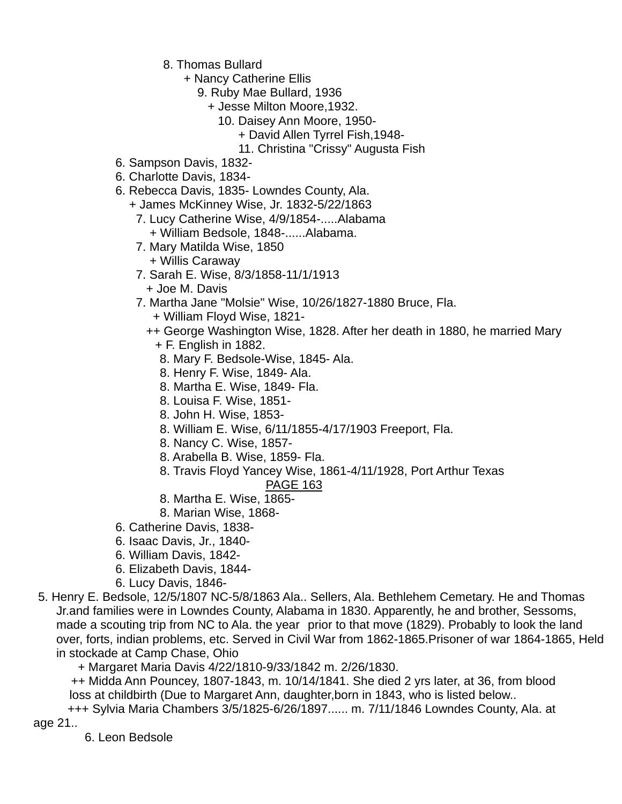- 8. Thomas Bullard
	- + Nancy Catherine Ellis
		- 9. Ruby Mae Bullard, 1936
			- + Jesse Milton Moore,1932.
				- 10. Daisey Ann Moore, 1950-
					- + David Allen Tyrrel Fish,1948-
					- 11. Christina "Crissy" Augusta Fish
- 6. Sampson Davis, 1832-
- 6. Charlotte Davis, 1834-
- 6. Rebecca Davis, 1835- Lowndes County, Ala.
	- + James McKinney Wise, Jr. 1832-5/22/1863
	- 7. Lucy Catherine Wise, 4/9/1854-.....Alabama + William Bedsole, 1848-......Alabama.
	- 7. Mary Matilda Wise, 1850 + Willis Caraway
	- 7. Sarah E. Wise, 8/3/1858-11/1/1913
		- + Joe M. Davis
	- 7. Martha Jane "Molsie" Wise, 10/26/1827-1880 Bruce, Fla.
		- + William Floyd Wise, 1821-
		- ++ George Washington Wise, 1828. After her death in 1880, he married Mary
			- + F. English in 1882.
			- 8. Mary F. Bedsole-Wise, 1845- Ala.
			- 8. Henry F. Wise, 1849- Ala.
			- 8. Martha E. Wise, 1849- Fla.
			- 8. Louisa F. Wise, 1851-
			- 8. John H. Wise, 1853-
			- 8. William E. Wise, 6/11/1855-4/17/1903 Freeport, Fla.
			- 8. Nancy C. Wise, 1857-
			- 8. Arabella B. Wise, 1859- Fla.
			- 8. Travis Floyd Yancey Wise, 1861-4/11/1928, Port Arthur Texas

## PAGE 163

- 8. Martha E. Wise, 1865-
- 8. Marian Wise, 1868-
- 6. Catherine Davis, 1838-
- 6. Isaac Davis, Jr., 1840-
- 6. William Davis, 1842-
- 6. Elizabeth Davis, 1844-
- 6. Lucy Davis, 1846-
- 5. Henry E. Bedsole, 12/5/1807 NC-5/8/1863 Ala.. Sellers, Ala. Bethlehem Cemetary. He and Thomas Jr.and families were in Lowndes County, Alabama in 1830. Apparently, he and brother, Sessoms, made a scouting trip from NC to Ala. the year prior to that move (1829). Probably to look the land over, forts, indian problems, etc. Served in Civil War from 1862-1865.Prisoner of war 1864-1865, Held in stockade at Camp Chase, Ohio
	- + Margaret Maria Davis 4/22/1810-9/33/1842 m. 2/26/1830.

 ++ Midda Ann Pouncey, 1807-1843, m. 10/14/1841. She died 2 yrs later, at 36, from blood loss at childbirth (Due to Margaret Ann, daughter,born in 1843, who is listed below..

+++ Sylvia Maria Chambers 3/5/1825-6/26/1897...... m. 7/11/1846 Lowndes County, Ala. at

age 21..

6. Leon Bedsole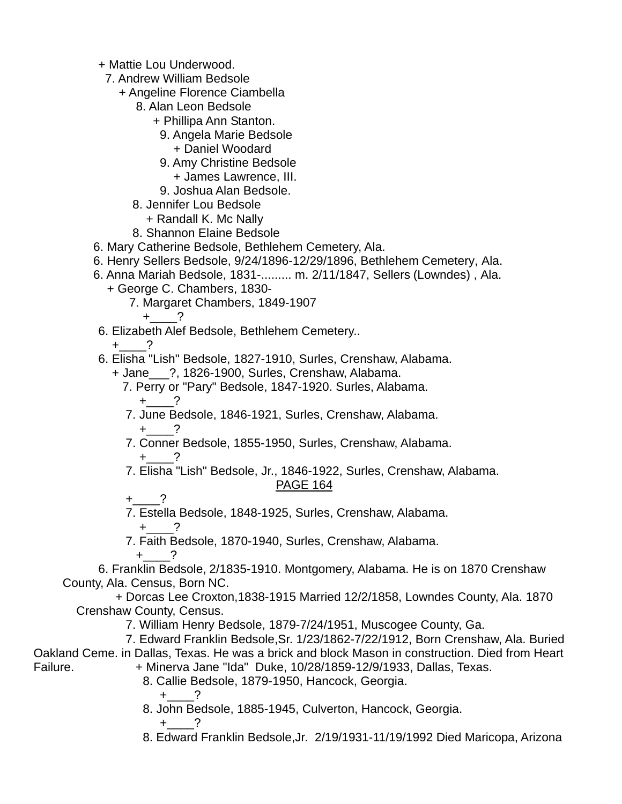- + Mattie Lou Underwood.
	- 7. Andrew William Bedsole
		- + Angeline Florence Ciambella
			- 8. Alan Leon Bedsole
				- + Phillipa Ann Stanton.
					- 9. Angela Marie Bedsole
						- + Daniel Woodard
					- 9. Amy Christine Bedsole
						- + James Lawrence, III.
					- 9. Joshua Alan Bedsole.
			- 8. Jennifer Lou Bedsole
				- + Randall K. Mc Nally
			- 8. Shannon Elaine Bedsole
- 6. Mary Catherine Bedsole, Bethlehem Cemetery, Ala.
- 6. Henry Sellers Bedsole, 9/24/1896-12/29/1896, Bethlehem Cemetery, Ala.
- 6. Anna Mariah Bedsole, 1831-......... m. 2/11/1847, Sellers (Lowndes) , Ala.
	- + George C. Chambers, 1830-
		- 7. Margaret Chambers, 1849-1907

+\_\_\_\_?

- 6. Elizabeth Alef Bedsole, Bethlehem Cemetery..
	- $+$  ?
- 6. Elisha "Lish" Bedsole, 1827-1910, Surles, Crenshaw, Alabama.
	- + Jane\_\_\_?, 1826-1900, Surles, Crenshaw, Alabama.
		- 7. Perry or "Pary" Bedsole, 1847-1920. Surles, Alabama.  $+$  ?
		- 7. June Bedsole, 1846-1921, Surles, Crenshaw, Alabama.  $+$  ?
		- 7. Conner Bedsole, 1855-1950, Surles, Crenshaw, Alabama.  $+$  ?
		- 7. Elisha "Lish" Bedsole, Jr., 1846-1922, Surles, Crenshaw, Alabama.

## PAGE 164

- $+$  ?
- 7. Estella Bedsole, 1848-1925, Surles, Crenshaw, Alabama.

 $+$   $-$ ?

7. Faith Bedsole, 1870-1940, Surles, Crenshaw, Alabama.

 $+$  ?

 6. Franklin Bedsole, 2/1835-1910. Montgomery, Alabama. He is on 1870 Crenshaw County, Ala. Census, Born NC.

 + Dorcas Lee Croxton,1838-1915 Married 12/2/1858, Lowndes County, Ala. 1870 Crenshaw County, Census.

7. William Henry Bedsole, 1879-7/24/1951, Muscogee County, Ga.

 7. Edward Franklin Bedsole,Sr. 1/23/1862-7/22/1912, Born Crenshaw, Ala. Buried Oakland Ceme. in Dallas, Texas. He was a brick and block Mason in construction. Died from Heart Failure. + Minerva Jane "Ida" Duke, 10/28/1859-12/9/1933, Dallas, Texas.

8. Callie Bedsole, 1879-1950, Hancock, Georgia.

 $+$  ?

8. John Bedsole, 1885-1945, Culverton, Hancock, Georgia.

 $+$  ?

8. Edward Franklin Bedsole,Jr. 2/19/1931-11/19/1992 Died Maricopa, Arizona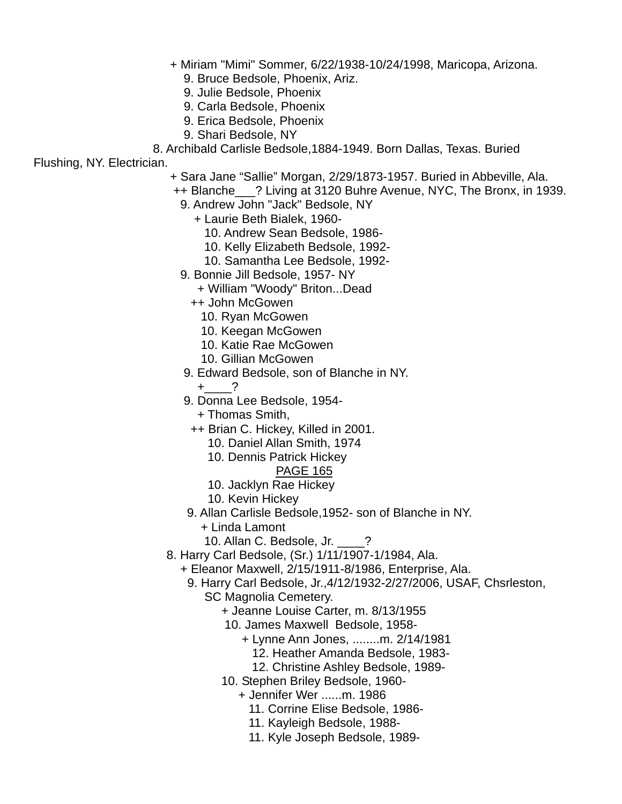- + Miriam "Mimi" Sommer, 6/22/1938-10/24/1998, Maricopa, Arizona.
	- 9. Bruce Bedsole, Phoenix, Ariz.
	- 9. Julie Bedsole, Phoenix
	- 9. Carla Bedsole, Phoenix
	- 9. Erica Bedsole, Phoenix
	- 9. Shari Bedsole, NY
- 8. Archibald Carlisle Bedsole,1884-1949. Born Dallas, Texas. Buried

Flushing, NY. Electrician.

- + Sara Jane "Sallie" Morgan, 2/29/1873-1957. Buried in Abbeville, Ala.
- ++ Blanche\_\_\_? Living at 3120 Buhre Avenue, NYC, The Bronx, in 1939.
	- 9. Andrew John "Jack" Bedsole, NY
		- + Laurie Beth Bialek, 1960-
			- 10. Andrew Sean Bedsole, 1986-
			- 10. Kelly Elizabeth Bedsole, 1992-
			- 10. Samantha Lee Bedsole, 1992-
	- 9. Bonnie Jill Bedsole, 1957- NY
		- + William "Woody" Briton...Dead
		- ++ John McGowen
			- 10. Ryan McGowen
			- 10. Keegan McGowen
			- 10. Katie Rae McGowen
			- 10. Gillian McGowen
	- 9. Edward Bedsole, son of Blanche in NY.
		- $+$  ?
	- 9. Donna Lee Bedsole, 1954-
		- + Thomas Smith,
	- ++ Brian C. Hickey, Killed in 2001.
		- 10. Daniel Allan Smith, 1974
		- 10. Dennis Patrick Hickey

- 10. Jacklyn Rae Hickey
- 10. Kevin Hickey
- 9. Allan Carlisle Bedsole,1952- son of Blanche in NY.
	- + Linda Lamont
	- 10. Allan C. Bedsole, Jr. \_\_\_\_?
- 8. Harry Carl Bedsole, (Sr.) 1/11/1907-1/1984, Ala.
	- + Eleanor Maxwell, 2/15/1911-8/1986, Enterprise, Ala.
		- 9. Harry Carl Bedsole, Jr.,4/12/1932-2/27/2006, USAF, Chsrleston,
			- SC Magnolia Cemetery.
				- + Jeanne Louise Carter, m. 8/13/1955
				- 10. James Maxwell Bedsole, 1958-
					- + Lynne Ann Jones, ........m. 2/14/1981
						- 12. Heather Amanda Bedsole, 1983-
						- 12. Christine Ashley Bedsole, 1989-
				- 10. Stephen Briley Bedsole, 1960-
					- + Jennifer Wer ......m. 1986
						- 11. Corrine Elise Bedsole, 1986-
						- 11. Kayleigh Bedsole, 1988-
						- 11. Kyle Joseph Bedsole, 1989-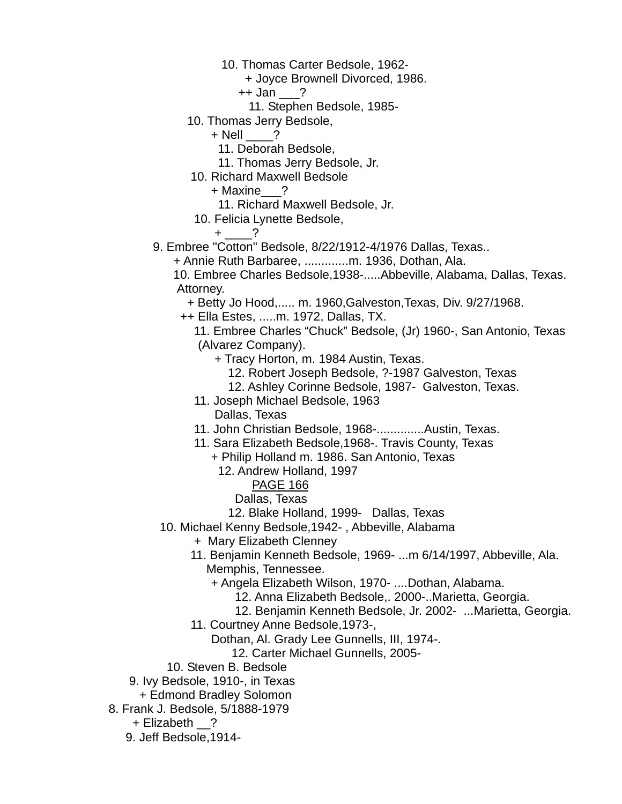- 10. Thomas Carter Bedsole, 1962-
	- + Joyce Brownell Divorced, 1986.
	- ++ Jan \_\_\_?
		- 11. Stephen Bedsole, 1985-
- 10. Thomas Jerry Bedsole,
	- $+$  Nell  $?$ 
		- 11. Deborah Bedsole,
		- 11. Thomas Jerry Bedsole, Jr.
- 10. Richard Maxwell Bedsole
	- + Maxine\_\_\_?
	- 11. Richard Maxwell Bedsole, Jr.
- 10. Felicia Lynette Bedsole,
	- $+$  ?
- 9. Embree "Cotton" Bedsole, 8/22/1912-4/1976 Dallas, Texas..
	- + Annie Ruth Barbaree, .............m. 1936, Dothan, Ala.
	- 10. Embree Charles Bedsole,1938-.....Abbeville, Alabama, Dallas, Texas. Attorney.
		- + Betty Jo Hood,..... m. 1960,Galveston,Texas, Div. 9/27/1968.
	- ++ Ella Estes, .....m. 1972, Dallas, TX.
		- 11. Embree Charles "Chuck" Bedsole, (Jr) 1960-, San Antonio, Texas (Alvarez Company).
			- + Tracy Horton, m. 1984 Austin, Texas.
				- 12. Robert Joseph Bedsole, ?-1987 Galveston, Texas
				- 12. Ashley Corinne Bedsole, 1987- Galveston, Texas.
		- 11. Joseph Michael Bedsole, 1963
			- Dallas, Texas
		- 11. John Christian Bedsole, 1968-..............Austin, Texas.
		- 11. Sara Elizabeth Bedsole,1968-. Travis County, Texas
			- + Philip Holland m. 1986. San Antonio, Texas
			- 12. Andrew Holland, 1997
				- PAGE 166
				- Dallas, Texas
				- 12. Blake Holland, 1999- Dallas, Texas
	- 10. Michael Kenny Bedsole,1942- , Abbeville, Alabama
		- + Mary Elizabeth Clenney
		- 11. Benjamin Kenneth Bedsole, 1969- ...m 6/14/1997, Abbeville, Ala. Memphis, Tennessee.
			- + Angela Elizabeth Wilson, 1970- ....Dothan, Alabama.
				- 12. Anna Elizabeth Bedsole,. 2000-..Marietta, Georgia.
				- 12. Benjamin Kenneth Bedsole, Jr. 2002- ...Marietta, Georgia.
		- 11. Courtney Anne Bedsole,1973-,
			- Dothan, Al. Grady Lee Gunnells, III, 1974-.
				- 12. Carter Michael Gunnells, 2005-
	- 10. Steven B. Bedsole
- 9. Ivy Bedsole, 1910-, in Texas
	- + Edmond Bradley Solomon
- 8. Frank J. Bedsole, 5/1888-1979
	- + Elizabeth \_\_?
	- 9. Jeff Bedsole,1914-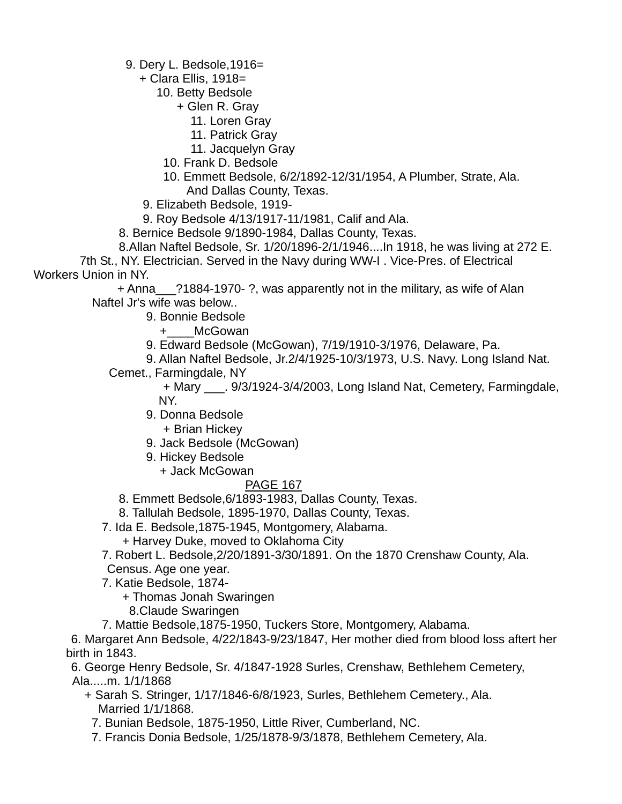9. Dery L. Bedsole,1916=

+ Clara Ellis, 1918=

10. Betty Bedsole

- + Glen R. Gray
	- 11. Loren Gray
	- 11. Patrick Gray
	- 11. Jacquelyn Gray
- 10. Frank D. Bedsole
- 10. Emmett Bedsole, 6/2/1892-12/31/1954, A Plumber, Strate, Ala. And Dallas County, Texas.
- 9. Elizabeth Bedsole, 1919-
- 9. Roy Bedsole 4/13/1917-11/1981, Calif and Ala.
- 8. Bernice Bedsole 9/1890-1984, Dallas County, Texas.
- 8.Allan Naftel Bedsole, Sr. 1/20/1896-2/1/1946....In 1918, he was living at 272 E.

 7th St., NY. Electrician. Served in the Navy during WW-I . Vice-Pres. of Electrical Workers Union in NY.

 + Anna\_\_\_?1884-1970- ?, was apparently not in the military, as wife of Alan Naftel Jr's wife was below..

- 9. Bonnie Bedsole
	- +\_\_\_\_McGowan
- 9. Edward Bedsole (McGowan), 7/19/1910-3/1976, Delaware, Pa.

9. Allan Naftel Bedsole, Jr.2/4/1925-10/3/1973, U.S. Navy. Long Island Nat.

Cemet., Farmingdale, NY

 + Mary \_\_\_. 9/3/1924-3/4/2003, Long Island Nat, Cemetery, Farmingdale, NY.

- 9. Donna Bedsole
	- + Brian Hickey
- 9. Jack Bedsole (McGowan)
- 9. Hickey Bedsole
	- + Jack McGowan

## PAGE 167

- 8. Emmett Bedsole,6/1893-1983, Dallas County, Texas.
- 8. Tallulah Bedsole, 1895-1970, Dallas County, Texas.
- 7. Ida E. Bedsole,1875-1945, Montgomery, Alabama.
	- + Harvey Duke, moved to Oklahoma City
- 7. Robert L. Bedsole,2/20/1891-3/30/1891. On the 1870 Crenshaw County, Ala.
- Census. Age one year.
- 7. Katie Bedsole, 1874-
	- + Thomas Jonah Swaringen
	- 8.Claude Swaringen
- 7. Mattie Bedsole,1875-1950, Tuckers Store, Montgomery, Alabama.

 6. Margaret Ann Bedsole, 4/22/1843-9/23/1847, Her mother died from blood loss aftert her birth in 1843.

 6. George Henry Bedsole, Sr. 4/1847-1928 Surles, Crenshaw, Bethlehem Cemetery, Ala.....m. 1/1/1868

- + Sarah S. Stringer, 1/17/1846-6/8/1923, Surles, Bethlehem Cemetery., Ala. Married 1/1/1868.
	- 7. Bunian Bedsole, 1875-1950, Little River, Cumberland, NC.
	- 7. Francis Donia Bedsole, 1/25/1878-9/3/1878, Bethlehem Cemetery, Ala.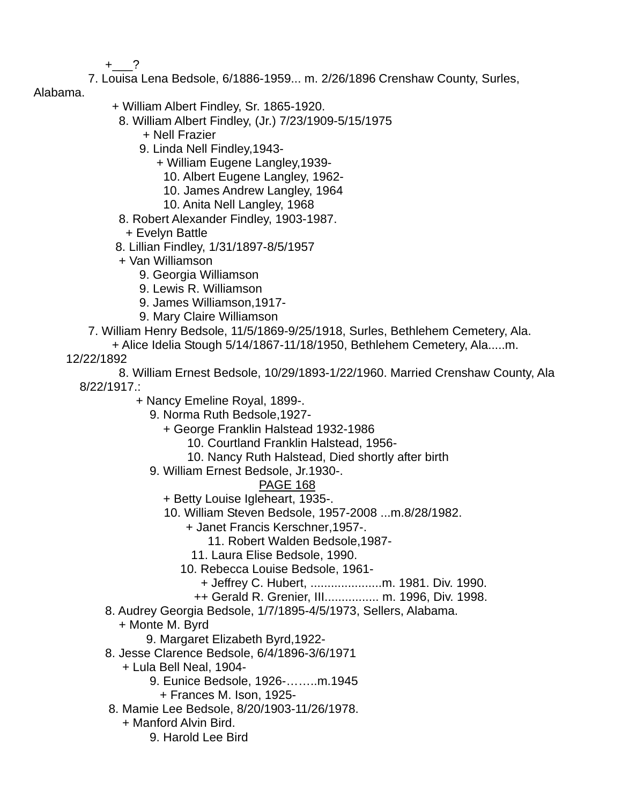$+$  ?

- 7. Louisa Lena Bedsole, 6/1886-1959... m. 2/26/1896 Crenshaw County, Surles,
- Alabama.
- + William Albert Findley, Sr. 1865-1920.
	- 8. William Albert Findley, (Jr.) 7/23/1909-5/15/1975
		- + Nell Frazier
		- 9. Linda Nell Findley,1943-
			- + William Eugene Langley,1939-
				- 10. Albert Eugene Langley, 1962-
				- 10. James Andrew Langley, 1964
				- 10. Anita Nell Langley, 1968
	- 8. Robert Alexander Findley, 1903-1987.
	- + Evelyn Battle
- 8. Lillian Findley, 1/31/1897-8/5/1957
- + Van Williamson
	- 9. Georgia Williamson
	- 9. Lewis R. Williamson
	- 9. James Williamson,1917-
	- 9. Mary Claire Williamson
- 7. William Henry Bedsole, 11/5/1869-9/25/1918, Surles, Bethlehem Cemetery, Ala.
	- + Alice Idelia Stough 5/14/1867-11/18/1950, Bethlehem Cemetery, Ala.....m.

12/22/1892

 8. William Ernest Bedsole, 10/29/1893-1/22/1960. Married Crenshaw County, Ala 8/22/1917.:

- + Nancy Emeline Royal, 1899-.
	- 9. Norma Ruth Bedsole,1927-
		- + George Franklin Halstead 1932-1986
			- 10. Courtland Franklin Halstead, 1956-
			- 10. Nancy Ruth Halstead, Died shortly after birth
	- 9. William Ernest Bedsole, Jr.1930-.

- + Betty Louise Igleheart, 1935-.
- 10. William Steven Bedsole, 1957-2008 ...m.8/28/1982.
	- + Janet Francis Kerschner,1957-.
		- 11. Robert Walden Bedsole,1987-
	- 11. Laura Elise Bedsole, 1990.
	- 10. Rebecca Louise Bedsole, 1961-
		- + Jeffrey C. Hubert, .....................m. 1981. Div. 1990.
		- ++ Gerald R. Grenier, III................ m. 1996, Div. 1998.
- 8. Audrey Georgia Bedsole, 1/7/1895-4/5/1973, Sellers, Alabama.
	- + Monte M. Byrd
		- 9. Margaret Elizabeth Byrd,1922-
- 8. Jesse Clarence Bedsole, 6/4/1896-3/6/1971
	- + Lula Bell Neal, 1904-
		- 9. Eunice Bedsole, 1926-……..m.1945
			- + Frances M. Ison, 1925-
- 8. Mamie Lee Bedsole, 8/20/1903-11/26/1978.
	- + Manford Alvin Bird.
		- 9. Harold Lee Bird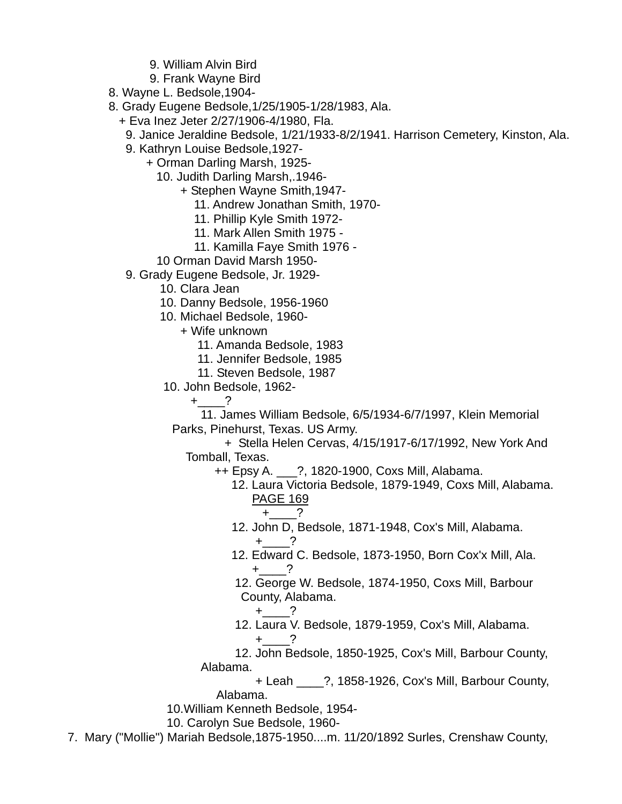- 9. William Alvin Bird
- 9. Frank Wayne Bird
- 8. Wayne L. Bedsole,1904-
- 8. Grady Eugene Bedsole,1/25/1905-1/28/1983, Ala.
	- + Eva Inez Jeter 2/27/1906-4/1980, Fla.
		- 9. Janice Jeraldine Bedsole, 1/21/1933-8/2/1941. Harrison Cemetery, Kinston, Ala.
		- 9. Kathryn Louise Bedsole,1927-
			- + Orman Darling Marsh, 1925-
				- 10. Judith Darling Marsh,.1946-
					- + Stephen Wayne Smith,1947-
						- 11. Andrew Jonathan Smith, 1970-
						- 11. Phillip Kyle Smith 1972-
						- 11. Mark Allen Smith 1975 -
						- 11. Kamilla Faye Smith 1976 -
				- 10 Orman David Marsh 1950-
		- 9. Grady Eugene Bedsole, Jr. 1929-
			- 10. Clara Jean
			- 10. Danny Bedsole, 1956-1960
			- 10. Michael Bedsole, 1960-
				- + Wife unknown
					- 11. Amanda Bedsole, 1983
					- 11. Jennifer Bedsole, 1985
					- 11. Steven Bedsole, 1987
			- 10. John Bedsole, 1962-
				- $+$  ?
				- 11. James William Bedsole, 6/5/1934-6/7/1997, Klein Memorial Parks, Pinehurst, Texas. US Army.
					- + Stella Helen Cervas, 4/15/1917-6/17/1992, New York And Tomball, Texas.
						- ++ Epsy A. \_\_\_?, 1820-1900, Coxs Mill, Alabama.
							- 12. Laura Victoria Bedsole, 1879-1949, Coxs Mill, Alabama. PAGE 169
								- $+$  ?
							- 12. John D, Bedsole, 1871-1948, Cox's Mill, Alabama.  $+$  ?
- 12. Edward C. Bedsole, 1873-1950, Born Cox'x Mill, Ala.  $+$   $-$  ?
	- 12. George W. Bedsole, 1874-1950, Coxs Mill, Barbour County, Alabama.
		- $+$  ?
	- 12. Laura V. Bedsole, 1879-1959, Cox's Mill, Alabama.
- $+$  1.  $-$  2. 12. John Bedsole, 1850-1925, Cox's Mill, Barbour County, Alabama.
	- + Leah \_\_\_\_?, 1858-1926, Cox's Mill, Barbour County, Alabama.
	- 10.William Kenneth Bedsole, 1954-
	- 10. Carolyn Sue Bedsole, 1960-
	- 7. Mary ("Mollie") Mariah Bedsole,1875-1950....m. 11/20/1892 Surles, Crenshaw County,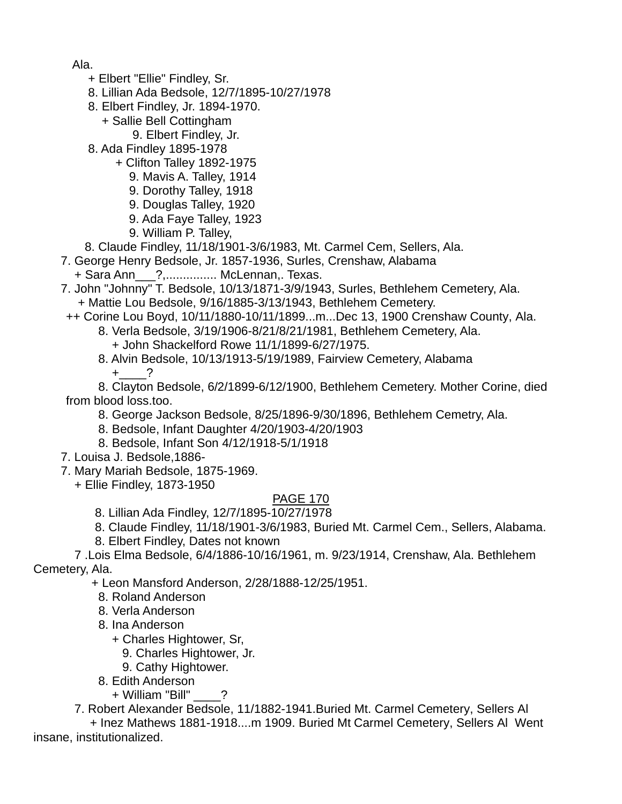Ala.

- + Elbert "Ellie" Findley, Sr.
- 8. Lillian Ada Bedsole, 12/7/1895-10/27/1978
- 8. Elbert Findley, Jr. 1894-1970.
	- + Sallie Bell Cottingham
		- 9. Elbert Findley, Jr.
- 8. Ada Findley 1895-1978
	- + Clifton Talley 1892-1975
		- 9. Mavis A. Talley, 1914
		- 9. Dorothy Talley, 1918
		- 9. Douglas Talley, 1920
		- 9. Ada Faye Talley, 1923
		- 9. William P. Talley,
- 8. Claude Findley, 11/18/1901-3/6/1983, Mt. Carmel Cem, Sellers, Ala.
- 7. George Henry Bedsole, Jr. 1857-1936, Surles, Crenshaw, Alabama
	- + Sara Ann\_\_\_?,............... McLennan,. Texas.

 7. John "Johnny" T. Bedsole, 10/13/1871-3/9/1943, Surles, Bethlehem Cemetery, Ala. + Mattie Lou Bedsole, 9/16/1885-3/13/1943, Bethlehem Cemetery.

- ++ Corine Lou Boyd, 10/11/1880-10/11/1899...m...Dec 13, 1900 Crenshaw County, Ala.
	- 8. Verla Bedsole, 3/19/1906-8/21/8/21/1981, Bethlehem Cemetery, Ala.
		- + John Shackelford Rowe 11/1/1899-6/27/1975.
	- 8. Alvin Bedsole, 10/13/1913-5/19/1989, Fairview Cemetery, Alabama  $+$  ?

 8. Clayton Bedsole, 6/2/1899-6/12/1900, Bethlehem Cemetery. Mother Corine, died from blood loss.too.

- 8. George Jackson Bedsole, 8/25/1896-9/30/1896, Bethlehem Cemetry, Ala.
- 8. Bedsole, Infant Daughter 4/20/1903-4/20/1903
- 8. Bedsole, Infant Son 4/12/1918-5/1/1918
- 7. Louisa J. Bedsole,1886-

7. Mary Mariah Bedsole, 1875-1969.

+ Ellie Findley, 1873-1950

### PAGE 170

- 8. Lillian Ada Findley, 12/7/1895-10/27/1978
- 8. Claude Findley, 11/18/1901-3/6/1983, Buried Mt. Carmel Cem., Sellers, Alabama.
- 8. Elbert Findley, Dates not known

 7 .Lois Elma Bedsole, 6/4/1886-10/16/1961, m. 9/23/1914, Crenshaw, Ala. Bethlehem Cemetery, Ala.

+ Leon Mansford Anderson, 2/28/1888-12/25/1951.

- 8. Roland Anderson
- 8. Verla Anderson
- 8. Ina Anderson
	- + Charles Hightower, Sr,
		- 9. Charles Hightower, Jr.
	- 9. Cathy Hightower.
- 8. Edith Anderson
	- + William "Bill" \_\_\_\_?

7. Robert Alexander Bedsole, 11/1882-1941.Buried Mt. Carmel Cemetery, Sellers Al

 + Inez Mathews 1881-1918....m 1909. Buried Mt Carmel Cemetery, Sellers Al Went insane, institutionalized.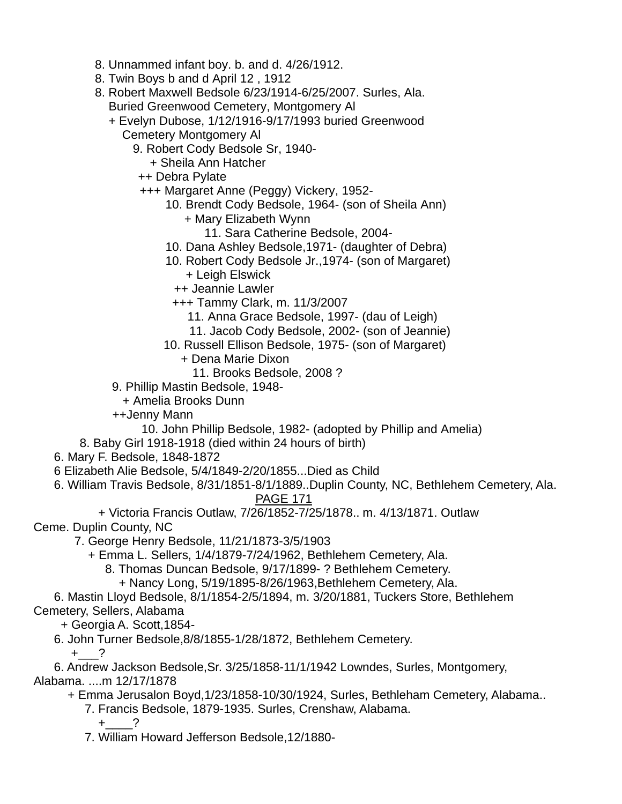- 8. Unnammed infant boy. b. and d. 4/26/1912.
- 8. Twin Boys b and d April 12 , 1912
- 8. Robert Maxwell Bedsole 6/23/1914-6/25/2007. Surles, Ala. Buried Greenwood Cemetery, Montgomery Al
	- + Evelyn Dubose, 1/12/1916-9/17/1993 buried Greenwood Cemetery Montgomery Al
		- 9. Robert Cody Bedsole Sr, 1940-
			- + Sheila Ann Hatcher
		- ++ Debra Pylate
		- +++ Margaret Anne (Peggy) Vickery, 1952-
			- 10. Brendt Cody Bedsole, 1964- (son of Sheila Ann)
				- + Mary Elizabeth Wynn
					- 11. Sara Catherine Bedsole, 2004-
			- 10. Dana Ashley Bedsole,1971- (daughter of Debra)
			- 10. Robert Cody Bedsole Jr.,1974- (son of Margaret)
				- + Leigh Elswick
				- ++ Jeannie Lawler
				- +++ Tammy Clark, m. 11/3/2007
					- 11. Anna Grace Bedsole, 1997- (dau of Leigh)
					- 11. Jacob Cody Bedsole, 2002- (son of Jeannie)
			- 10. Russell Ellison Bedsole, 1975- (son of Margaret)
				- + Dena Marie Dixon
					- 11. Brooks Bedsole, 2008 ?
	- 9. Phillip Mastin Bedsole, 1948-
	- + Amelia Brooks Dunn
	- ++Jenny Mann
		- 10. John Phillip Bedsole, 1982- (adopted by Phillip and Amelia)
- 8. Baby Girl 1918-1918 (died within 24 hours of birth)
- 6. Mary F. Bedsole, 1848-1872
- 6 Elizabeth Alie Bedsole, 5/4/1849-2/20/1855...Died as Child
- 6. William Travis Bedsole, 8/31/1851-8/1/1889..Duplin County, NC, Bethlehem Cemetery, Ala. PAGE 171
- + Victoria Francis Outlaw, 7/26/1852-7/25/1878.. m. 4/13/1871. Outlaw Ceme. Duplin County, NC
	- 7. George Henry Bedsole, 11/21/1873-3/5/1903
		- + Emma L. Sellers, 1/4/1879-7/24/1962, Bethlehem Cemetery, Ala.
			- 8. Thomas Duncan Bedsole, 9/17/1899- ? Bethlehem Cemetery.
				- + Nancy Long, 5/19/1895-8/26/1963,Bethlehem Cemetery, Ala.
- 6. Mastin Lloyd Bedsole, 8/1/1854-2/5/1894, m. 3/20/1881, Tuckers Store, Bethlehem Cemetery, Sellers, Alabama
	- + Georgia A. Scott,1854-
	- 6. John Turner Bedsole,8/8/1855-1/28/1872, Bethlehem Cemetery.
		- $+$  ?
- 6. Andrew Jackson Bedsole,Sr. 3/25/1858-11/1/1942 Lowndes, Surles, Montgomery, Alabama. ....m 12/17/1878
	- + Emma Jerusalon Boyd,1/23/1858-10/30/1924, Surles, Bethleham Cemetery, Alabama..
		- 7. Francis Bedsole, 1879-1935. Surles, Crenshaw, Alabama.
			- $+$  ?
		- 7. William Howard Jefferson Bedsole,12/1880-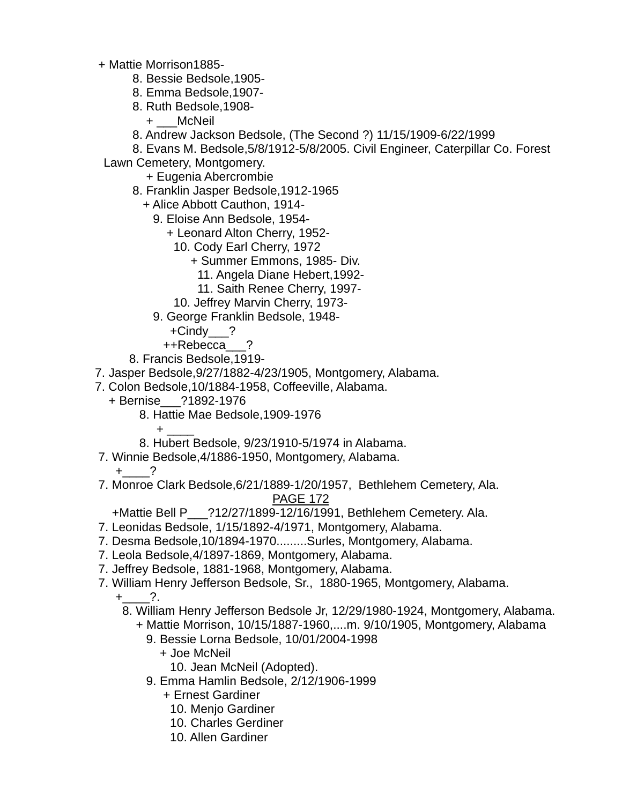- + Mattie Morrison1885-
	- 8. Bessie Bedsole,1905-
	- 8. Emma Bedsole,1907-
	- 8. Ruth Bedsole,1908-
		- + \_\_\_McNeil
	- 8. Andrew Jackson Bedsole, (The Second ?) 11/15/1909-6/22/1999

8. Evans M. Bedsole,5/8/1912-5/8/2005. Civil Engineer, Caterpillar Co. Forest

Lawn Cemetery, Montgomery.

- + Eugenia Abercrombie
- 8. Franklin Jasper Bedsole,1912-1965
	- + Alice Abbott Cauthon, 1914-
		- 9. Eloise Ann Bedsole, 1954-
			- + Leonard Alton Cherry, 1952-
				- 10. Cody Earl Cherry, 1972
					- + Summer Emmons, 1985- Div.
						- 11. Angela Diane Hebert,1992-
						- 11. Saith Renee Cherry, 1997-
				- 10. Jeffrey Marvin Cherry, 1973-
		- 9. George Franklin Bedsole, 1948-
			- +Cindy\_\_\_?
			- ++Rebecca\_\_\_?
- 8. Francis Bedsole,1919-
- 7. Jasper Bedsole,9/27/1882-4/23/1905, Montgomery, Alabama.
- 7. Colon Bedsole,10/1884-1958, Coffeeville, Alabama.
	- + Bernise\_\_\_?1892-1976
		- 8. Hattie Mae Bedsole,1909-1976
- $+$   $+$   $-$  8. Hubert Bedsole, 9/23/1910-5/1974 in Alabama.
	- 7. Winnie Bedsole,4/1886-1950, Montgomery, Alabama.

 $+$  ?

 7. Monroe Clark Bedsole,6/21/1889-1/20/1957, Bethlehem Cemetery, Ala. PAGE 172

+Mattie Bell P\_\_\_?12/27/1899-12/16/1991, Bethlehem Cemetery. Ala.

- 7. Leonidas Bedsole, 1/15/1892-4/1971, Montgomery, Alabama.
- 7. Desma Bedsole,10/1894-1970.........Surles, Montgomery, Alabama.
- 7. Leola Bedsole,4/1897-1869, Montgomery, Alabama.
- 7. Jeffrey Bedsole, 1881-1968, Montgomery, Alabama.
- 7. William Henry Jefferson Bedsole, Sr., 1880-1965, Montgomery, Alabama.
	- $+$  ?.
		- 8. William Henry Jefferson Bedsole Jr, 12/29/1980-1924, Montgomery, Alabama.
			- + Mattie Morrison, 10/15/1887-1960,....m. 9/10/1905, Montgomery, Alabama
				- 9. Bessie Lorna Bedsole, 10/01/2004-1998
					- + Joe McNeil
						- 10. Jean McNeil (Adopted).
				- 9. Emma Hamlin Bedsole, 2/12/1906-1999
					- + Ernest Gardiner
						- 10. Menjo Gardiner
						- 10. Charles Gerdiner
						- 10. Allen Gardiner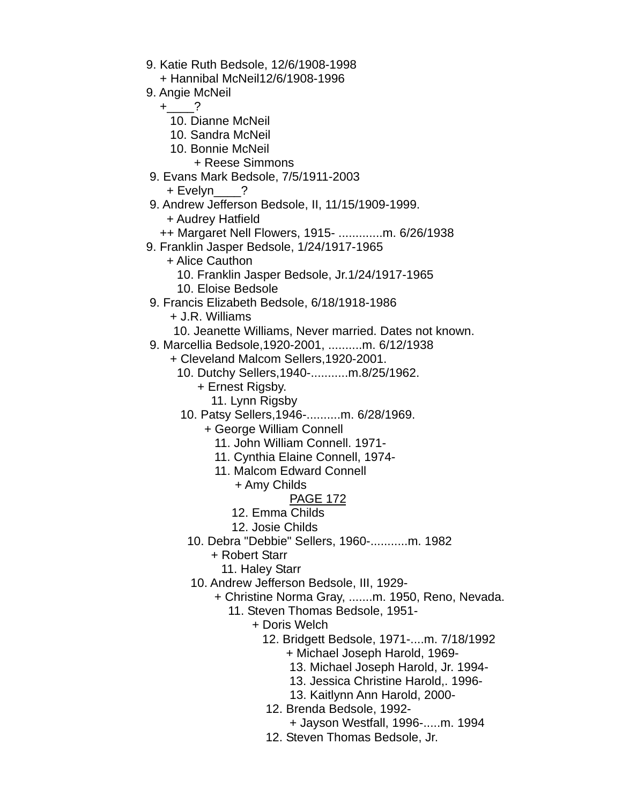- 9. Katie Ruth Bedsole, 12/6/1908-1998
	- + Hannibal McNeil12/6/1908-1996
- 9. Angie McNeil
- $+$   $-$  ?
	- 10. Dianne McNeil
	- 10. Sandra McNeil
	- 10. Bonnie McNeil
		- + Reese Simmons
	- 9. Evans Mark Bedsole, 7/5/1911-2003
		- + Evelyn ?
	- 9. Andrew Jefferson Bedsole, II, 11/15/1909-1999.
		- + Audrey Hatfield
	- ++ Margaret Nell Flowers, 1915- .............m. 6/26/1938
	- 9. Franklin Jasper Bedsole, 1/24/1917-1965
		- + Alice Cauthon
			- 10. Franklin Jasper Bedsole, Jr.1/24/1917-1965
			- 10. Eloise Bedsole
	- 9. Francis Elizabeth Bedsole, 6/18/1918-1986
		- + J.R. Williams
		- 10. Jeanette Williams, Never married. Dates not known.
	- 9. Marcellia Bedsole,1920-2001, ..........m. 6/12/1938
		- + Cleveland Malcom Sellers,1920-2001.
			- 10. Dutchy Sellers,1940-...........m.8/25/1962.
				- + Ernest Rigsby.
				- 11. Lynn Rigsby
			- 10. Patsy Sellers,1946-..........m. 6/28/1969.
				- + George William Connell
					- 11. John William Connell. 1971-
					- 11. Cynthia Elaine Connell, 1974-
					- 11. Malcom Edward Connell
						- + Amy Childs
							- PAGE 172
						- 12. Emma Childs
						- 12. Josie Childs
				- 10. Debra "Debbie" Sellers, 1960-...........m. 1982
					- + Robert Starr
						- 11. Haley Starr
				- 10. Andrew Jefferson Bedsole, III, 1929-
					- + Christine Norma Gray, .......m. 1950, Reno, Nevada.
						- 11. Steven Thomas Bedsole, 1951-
							- + Doris Welch
								- 12. Bridgett Bedsole, 1971-....m. 7/18/1992
									- + Michael Joseph Harold, 1969-
									- 13. Michael Joseph Harold, Jr. 1994-
									- 13. Jessica Christine Harold,. 1996-
									- 13. Kaitlynn Ann Harold, 2000-
								- 12. Brenda Bedsole, 1992-
									- + Jayson Westfall, 1996-.....m. 1994
								- 12. Steven Thomas Bedsole, Jr.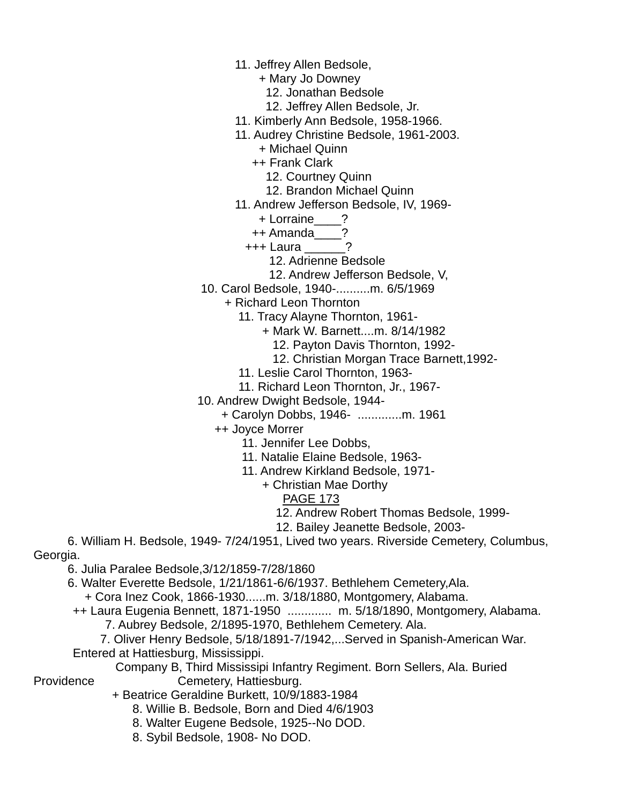- 11. Jeffrey Allen Bedsole,
	- + Mary Jo Downey
		- 12. Jonathan Bedsole
	- 12. Jeffrey Allen Bedsole, Jr.
- 11. Kimberly Ann Bedsole, 1958-1966.
- 11. Audrey Christine Bedsole, 1961-2003.
	- + Michael Quinn
	- ++ Frank Clark
		- 12. Courtney Quinn
		- 12. Brandon Michael Quinn
- 11. Andrew Jefferson Bedsole, IV, 1969-
	- + Lorraine\_\_\_\_?
	- ++ Amanda\_\_\_\_?
	- +++ Laura \_\_\_\_\_\_?
		- 12. Adrienne Bedsole
		- 12. Andrew Jefferson Bedsole, V,
- 10. Carol Bedsole, 1940-..........m. 6/5/1969
	- + Richard Leon Thornton
		- 11. Tracy Alayne Thornton, 1961-
			- + Mark W. Barnett....m. 8/14/1982
				- 12. Payton Davis Thornton, 1992-
				- 12. Christian Morgan Trace Barnett,1992-
		- 11. Leslie Carol Thornton, 1963-
		- 11. Richard Leon Thornton, Jr., 1967-
- 10. Andrew Dwight Bedsole, 1944-
	- + Carolyn Dobbs, 1946- .............m. 1961
		- ++ Joyce Morrer
			- 11. Jennifer Lee Dobbs,
			- 11. Natalie Elaine Bedsole, 1963-
			- 11. Andrew Kirkland Bedsole, 1971-
				- + Christian Mae Dorthy
					- PAGE 173
					- 12. Andrew Robert Thomas Bedsole, 1999-
					- 12. Bailey Jeanette Bedsole, 2003-

 6. William H. Bedsole, 1949- 7/24/1951, Lived two years. Riverside Cemetery, Columbus, Georgia.

6. Julia Paralee Bedsole,3/12/1859-7/28/1860

6. Walter Everette Bedsole, 1/21/1861-6/6/1937. Bethlehem Cemetery,Ala.

+ Cora Inez Cook, 1866-1930......m. 3/18/1880, Montgomery, Alabama.

- ++ Laura Eugenia Bennett, 1871-1950 ............. m. 5/18/1890, Montgomery, Alabama.
	- 7. Aubrey Bedsole, 2/1895-1970, Bethlehem Cemetery. Ala.

 7. Oliver Henry Bedsole, 5/18/1891-7/1942,...Served in Spanish-American War. Entered at Hattiesburg, Mississippi.

 Company B, Third Mississipi Infantry Regiment. Born Sellers, Ala. Buried Providence Cemetery, Hattiesburg.

- + Beatrice Geraldine Burkett, 10/9/1883-1984
	- 8. Willie B. Bedsole, Born and Died 4/6/1903
	- 8. Walter Eugene Bedsole, 1925--No DOD.
	- 8. Sybil Bedsole, 1908- No DOD.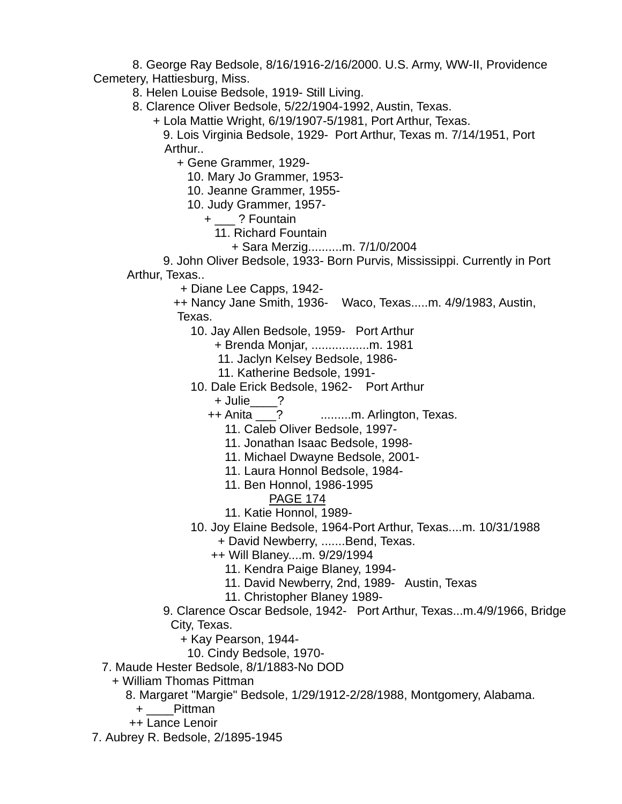8. George Ray Bedsole, 8/16/1916-2/16/2000. U.S. Army, WW-II, Providence Cemetery, Hattiesburg, Miss.

8. Helen Louise Bedsole, 1919- Still Living.

8. Clarence Oliver Bedsole, 5/22/1904-1992, Austin, Texas.

+ Lola Mattie Wright, 6/19/1907-5/1981, Port Arthur, Texas.

 9. Lois Virginia Bedsole, 1929- Port Arthur, Texas m. 7/14/1951, Port Arthur..

+ Gene Grammer, 1929-

10. Mary Jo Grammer, 1953-

10. Jeanne Grammer, 1955-

10. Judy Grammer, 1957-

+ \_\_\_ ? Fountain

- 11. Richard Fountain
	- + Sara Merzig..........m. 7/1/0/2004

 9. John Oliver Bedsole, 1933- Born Purvis, Mississippi. Currently in Port Arthur, Texas..

+ Diane Lee Capps, 1942-

 ++ Nancy Jane Smith, 1936- Waco, Texas.....m. 4/9/1983, Austin, Texas.

- 10. Jay Allen Bedsole, 1959- Port Arthur
	- + Brenda Monjar, .................m. 1981
	- 11. Jaclyn Kelsey Bedsole, 1986-
	- 11. Katherine Bedsole, 1991-
- 10. Dale Erick Bedsole, 1962- Port Arthur

+ Julie\_\_\_\_?<br>++ Anita ?

- .........m. Arlington, Texas.
- 11. Caleb Oliver Bedsole, 1997-
- 11. Jonathan Isaac Bedsole, 1998-
- 11. Michael Dwayne Bedsole, 2001-
- 11. Laura Honnol Bedsole, 1984-
- 11. Ben Honnol, 1986-1995
	- PAGE 174
- 11. Katie Honnol, 1989-

10. Joy Elaine Bedsole, 1964-Port Arthur, Texas....m. 10/31/1988

- + David Newberry, .......Bend, Texas.
- ++ Will Blaney....m. 9/29/1994
	- 11. Kendra Paige Blaney, 1994-
	- 11. David Newberry, 2nd, 1989- Austin, Texas
	- 11. Christopher Blaney 1989-
- 9. Clarence Oscar Bedsole, 1942- Port Arthur, Texas...m.4/9/1966, Bridge City, Texas.

+ Kay Pearson, 1944-

- 10. Cindy Bedsole, 1970-
- 7. Maude Hester Bedsole, 8/1/1883-No DOD
- + William Thomas Pittman
	- 8. Margaret "Margie" Bedsole, 1/29/1912-2/28/1988, Montgomery, Alabama.
		- + \_\_\_\_Pittman
	- ++ Lance Lenoir
- 7. Aubrey R. Bedsole, 2/1895-1945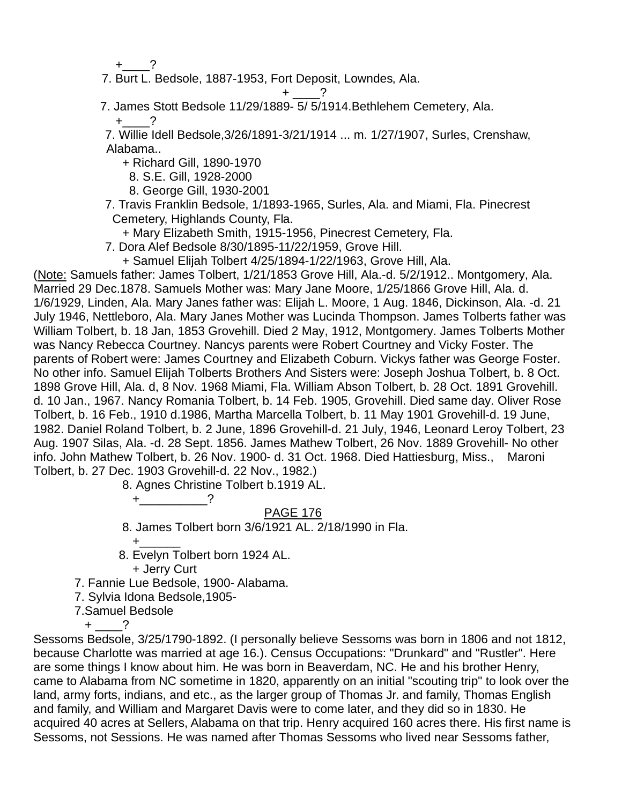$+$  ?

7. Burt L. Bedsole, 1887-1953, Fort Deposit, Lowndes, Ala.

 $+$   $?$ 

7. James Stott Bedsole 11/29/1889- 5/ 5/1914.Bethlehem Cemetery, Ala.

 $+$   $-$ ?

 7. Willie Idell Bedsole,3/26/1891-3/21/1914 ... m. 1/27/1907, Surles, Crenshaw, Alabama..

+ Richard Gill, 1890-1970

8. S.E. Gill, 1928-2000

8. George Gill, 1930-2001

 7. Travis Franklin Bedsole, 1/1893-1965, Surles, Ala. and Miami, Fla. Pinecrest Cemetery, Highlands County, Fla.

+ Mary Elizabeth Smith, 1915-1956, Pinecrest Cemetery, Fla.

7. Dora Alef Bedsole 8/30/1895-11/22/1959, Grove Hill.

+ Samuel Elijah Tolbert 4/25/1894-1/22/1963, Grove Hill, Ala.

(Note: Samuels father: James Tolbert, 1/21/1853 Grove Hill, Ala.-d. 5/2/1912.. Montgomery, Ala. Married 29 Dec.1878. Samuels Mother was: Mary Jane Moore, 1/25/1866 Grove Hill, Ala. d. 1/6/1929, Linden, Ala. Mary Janes father was: Elijah L. Moore, 1 Aug. 1846, Dickinson, Ala. -d. 21 July 1946, Nettleboro, Ala. Mary Janes Mother was Lucinda Thompson. James Tolberts father was William Tolbert, b. 18 Jan, 1853 Grovehill. Died 2 May, 1912, Montgomery. James Tolberts Mother was Nancy Rebecca Courtney. Nancys parents were Robert Courtney and Vicky Foster. The parents of Robert were: James Courtney and Elizabeth Coburn. Vickys father was George Foster. No other info. Samuel Elijah Tolberts Brothers And Sisters were: Joseph Joshua Tolbert, b. 8 Oct. 1898 Grove Hill, Ala. d, 8 Nov. 1968 Miami, Fla. William Abson Tolbert, b. 28 Oct. 1891 Grovehill. d. 10 Jan., 1967. Nancy Romania Tolbert, b. 14 Feb. 1905, Grovehill. Died same day. Oliver Rose Tolbert, b. 16 Feb., 1910 d.1986, Martha Marcella Tolbert, b. 11 May 1901 Grovehill-d. 19 June, 1982. Daniel Roland Tolbert, b. 2 June, 1896 Grovehill-d. 21 July, 1946, Leonard Leroy Tolbert, 23 Aug. 1907 Silas, Ala. -d. 28 Sept. 1856. James Mathew Tolbert, 26 Nov. 1889 Grovehill- No other info. John Mathew Tolbert, b. 26 Nov. 1900- d. 31 Oct. 1968. Died Hattiesburg, Miss., Maroni Tolbert, b. 27 Dec. 1903 Grovehill-d. 22 Nov., 1982.)

8. Agnes Christine Tolbert b.1919 AL.

 $+$  ?

# PAGE 176

8. James Tolbert born 3/6/1921 AL. 2/18/1990 in Fla.

 $+\underline{\hspace{1cm}}$ 

8. Evelyn Tolbert born 1924 AL.

+ Jerry Curt

7. Fannie Lue Bedsole, 1900- Alabama.

7. Sylvia Idona Bedsole,1905-

7.Samuel Bedsole

 $+$  ?

Sessoms Bedsole, 3/25/1790-1892. (I personally believe Sessoms was born in 1806 and not 1812, because Charlotte was married at age 16.). Census Occupations: "Drunkard" and "Rustler". Here are some things I know about him. He was born in Beaverdam, NC. He and his brother Henry, came to Alabama from NC sometime in 1820, apparently on an initial "scouting trip" to look over the land, army forts, indians, and etc., as the larger group of Thomas Jr. and family, Thomas English and family, and William and Margaret Davis were to come later, and they did so in 1830. He acquired 40 acres at Sellers, Alabama on that trip. Henry acquired 160 acres there. His first name is Sessoms, not Sessions. He was named after Thomas Sessoms who lived near Sessoms father,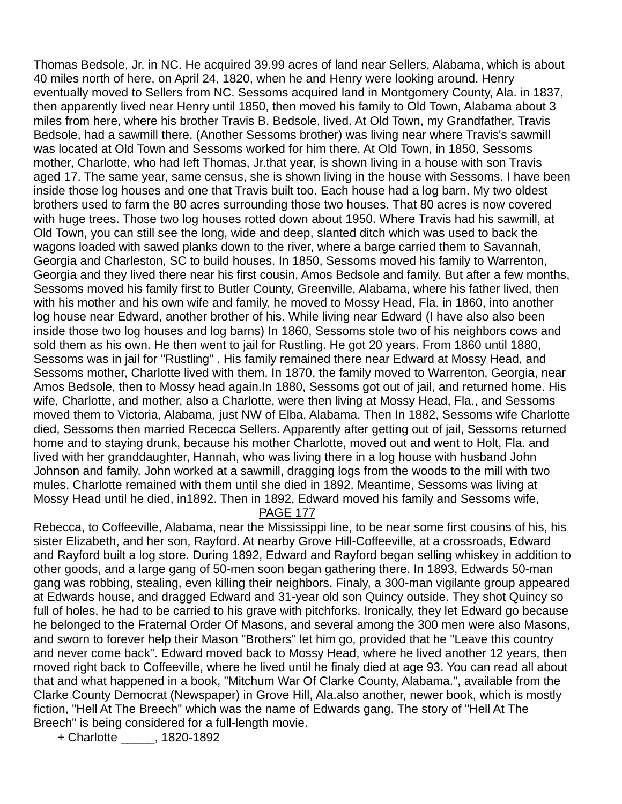Thomas Bedsole, Jr. in NC. He acquired 39.99 acres of land near Sellers, Alabama, which is about 40 miles north of here, on April 24, 1820, when he and Henry were looking around. Henry eventually moved to Sellers from NC. Sessoms acquired land in Montgomery County, Ala. in 1837, then apparently lived near Henry until 1850, then moved his family to Old Town, Alabama about 3 miles from here, where his brother Travis B. Bedsole, lived. At Old Town, my Grandfather, Travis Bedsole, had a sawmill there. (Another Sessoms brother) was living near where Travis's sawmill was located at Old Town and Sessoms worked for him there. At Old Town, in 1850, Sessoms mother, Charlotte, who had left Thomas, Jr.that year, is shown living in a house with son Travis aged 17. The same year, same census, she is shown living in the house with Sessoms. I have been inside those log houses and one that Travis built too. Each house had a log barn. My two oldest brothers used to farm the 80 acres surrounding those two houses. That 80 acres is now covered with huge trees. Those two log houses rotted down about 1950. Where Travis had his sawmill, at Old Town, you can still see the long, wide and deep, slanted ditch which was used to back the wagons loaded with sawed planks down to the river, where a barge carried them to Savannah, Georgia and Charleston, SC to build houses. In 1850, Sessoms moved his family to Warrenton, Georgia and they lived there near his first cousin, Amos Bedsole and family. But after a few months, Sessoms moved his family first to Butler County, Greenville, Alabama, where his father lived, then with his mother and his own wife and family, he moved to Mossy Head, Fla. in 1860, into another log house near Edward, another brother of his. While living near Edward (I have also also been inside those two log houses and log barns) In 1860, Sessoms stole two of his neighbors cows and sold them as his own. He then went to jail for Rustling. He got 20 years. From 1860 until 1880, Sessoms was in jail for "Rustling" . His family remained there near Edward at Mossy Head, and Sessoms mother, Charlotte lived with them. In 1870, the family moved to Warrenton, Georgia, near Amos Bedsole, then to Mossy head again.In 1880, Sessoms got out of jail, and returned home. His wife, Charlotte, and mother, also a Charlotte, were then living at Mossy Head, Fla., and Sessoms moved them to Victoria, Alabama, just NW of Elba, Alabama. Then In 1882, Sessoms wife Charlotte died, Sessoms then married Rececca Sellers. Apparently after getting out of jail, Sessoms returned home and to staying drunk, because his mother Charlotte, moved out and went to Holt, Fla. and lived with her granddaughter, Hannah, who was living there in a log house with husband John Johnson and family. John worked at a sawmill, dragging logs from the woods to the mill with two mules. Charlotte remained with them until she died in 1892. Meantime, Sessoms was living at Mossy Head until he died, in1892. Then in 1892, Edward moved his family and Sessoms wife,

#### PAGE 177

Rebecca, to Coffeeville, Alabama, near the Mississippi line, to be near some first cousins of his, his sister Elizabeth, and her son, Rayford. At nearby Grove Hill-Coffeeville, at a crossroads, Edward and Rayford built a log store. During 1892, Edward and Rayford began selling whiskey in addition to other goods, and a large gang of 50-men soon began gathering there. In 1893, Edwards 50-man gang was robbing, stealing, even killing their neighbors. Finaly, a 300-man vigilante group appeared at Edwards house, and dragged Edward and 31-year old son Quincy outside. They shot Quincy so full of holes, he had to be carried to his grave with pitchforks. Ironically, they let Edward go because he belonged to the Fraternal Order Of Masons, and several among the 300 men were also Masons, and sworn to forever help their Mason "Brothers" let him go, provided that he "Leave this country and never come back". Edward moved back to Mossy Head, where he lived another 12 years, then moved right back to Coffeeville, where he lived until he finaly died at age 93. You can read all about that and what happened in a book, "Mitchum War Of Clarke County, Alabama.", available from the Clarke County Democrat (Newspaper) in Grove Hill, Ala.also another, newer book, which is mostly fiction, "Hell At The Breech" which was the name of Edwards gang. The story of "Hell At The Breech" is being considered for a full-length movie.

+ Charlotte \_\_\_\_\_, 1820-1892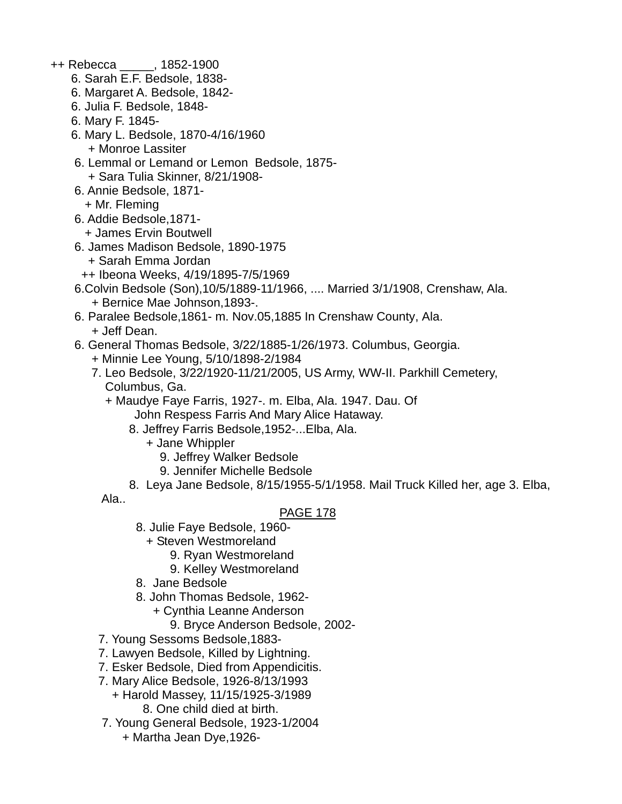- ++ Rebecca \_\_\_\_\_, 1852-1900
	- 6. Sarah E.F. Bedsole, 1838-
	- 6. Margaret A. Bedsole, 1842-
	- 6. Julia F. Bedsole, 1848-
	- 6. Mary F. 1845-
	- 6. Mary L. Bedsole, 1870-4/16/1960 + Monroe Lassiter
	- 6. Lemmal or Lemand or Lemon Bedsole, 1875- + Sara Tulia Skinner, 8/21/1908-
	- 6. Annie Bedsole, 1871- + Mr. Fleming
	- 6. Addie Bedsole,1871-
		- + James Ervin Boutwell
	- 6. James Madison Bedsole, 1890-1975
		- + Sarah Emma Jordan
	- ++ Ibeona Weeks, 4/19/1895-7/5/1969
	- 6.Colvin Bedsole (Son),10/5/1889-11/1966, .... Married 3/1/1908, Crenshaw, Ala. + Bernice Mae Johnson,1893-.
	- 6. Paralee Bedsole,1861- m. Nov.05,1885 In Crenshaw County, Ala. + Jeff Dean.
	- 6. General Thomas Bedsole, 3/22/1885-1/26/1973. Columbus, Georgia.
		- + Minnie Lee Young, 5/10/1898-2/1984
		- 7. Leo Bedsole, 3/22/1920-11/21/2005, US Army, WW-II. Parkhill Cemetery, Columbus, Ga.
			- + Maudye Faye Farris, 1927-. m. Elba, Ala. 1947. Dau. Of John Respess Farris And Mary Alice Hataway.
				- 8. Jeffrey Farris Bedsole,1952-...Elba, Ala.
					- + Jane Whippler
						- 9. Jeffrey Walker Bedsole
						- 9. Jennifer Michelle Bedsole
			- 8. Leya Jane Bedsole, 8/15/1955-5/1/1958. Mail Truck Killed her, age 3. Elba,

Ala..

- 8. Julie Faye Bedsole, 1960-
	- + Steven Westmoreland
		- 9. Ryan Westmoreland
		- 9. Kelley Westmoreland
- 8. Jane Bedsole
- 8. John Thomas Bedsole, 1962-
	- + Cynthia Leanne Anderson
		- 9. Bryce Anderson Bedsole, 2002-
- 7. Young Sessoms Bedsole,1883-
- 7. Lawyen Bedsole, Killed by Lightning.
- 7. Esker Bedsole, Died from Appendicitis.
- 7. Mary Alice Bedsole, 1926-8/13/1993
	- + Harold Massey, 11/15/1925-3/1989
		- 8. One child died at birth.
- 7. Young General Bedsole, 1923-1/2004
	- + Martha Jean Dye,1926-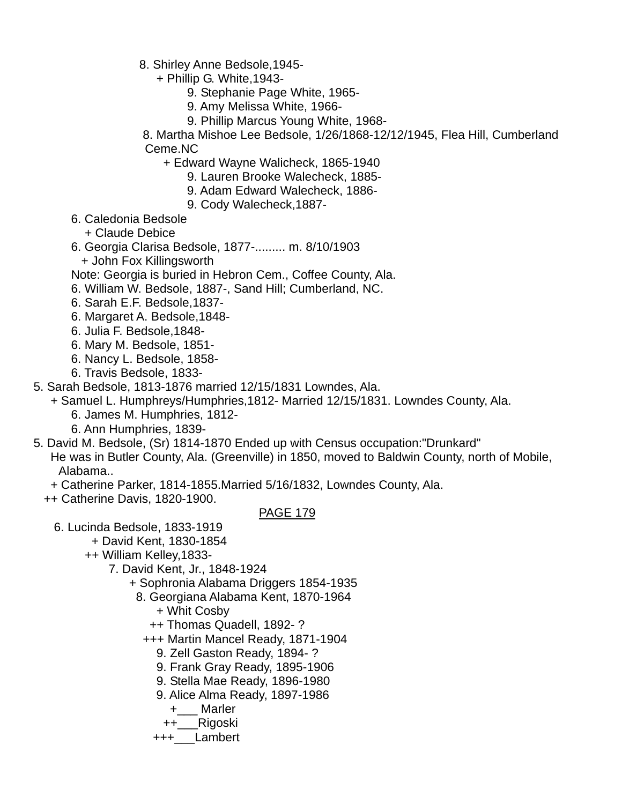- 8. Shirley Anne Bedsole,1945-
	- + Phillip G. White,1943-
		- 9. Stephanie Page White, 1965-
		- 9. Amy Melissa White, 1966-
		- 9. Phillip Marcus Young White, 1968-
- 8. Martha Mishoe Lee Bedsole, 1/26/1868-12/12/1945, Flea Hill, Cumberland Ceme.NC
	- + Edward Wayne Walicheck, 1865-1940
		- 9. Lauren Brooke Walecheck, 1885-
		- 9. Adam Edward Walecheck, 1886-
		- 9. Cody Walecheck,1887-
- 6. Caledonia Bedsole
	- + Claude Debice
- 6. Georgia Clarisa Bedsole, 1877-......... m. 8/10/1903
	- + John Fox Killingsworth
- Note: Georgia is buried in Hebron Cem., Coffee County, Ala.
- 6. William W. Bedsole, 1887-, Sand Hill; Cumberland, NC.
- 6. Sarah E.F. Bedsole,1837-
- 6. Margaret A. Bedsole,1848-
- 6. Julia F. Bedsole,1848-
- 6. Mary M. Bedsole, 1851-
- 6. Nancy L. Bedsole, 1858-
- 6. Travis Bedsole, 1833-
- 5. Sarah Bedsole, 1813-1876 married 12/15/1831 Lowndes, Ala.
	- + Samuel L. Humphreys/Humphries,1812- Married 12/15/1831. Lowndes County, Ala. 6. James M. Humphries, 1812-
		-
		- 6. Ann Humphries, 1839-
- 5. David M. Bedsole, (Sr) 1814-1870 Ended up with Census occupation:"Drunkard"
	- He was in Butler County, Ala. (Greenville) in 1850, moved to Baldwin County, north of Mobile, Alabama..
	- + Catherine Parker, 1814-1855.Married 5/16/1832, Lowndes County, Ala.
	- ++ Catherine Davis, 1820-1900.

- 6. Lucinda Bedsole, 1833-1919
	- + David Kent, 1830-1854
	- ++ William Kelley,1833-
		- 7. David Kent, Jr., 1848-1924
			- + Sophronia Alabama Driggers 1854-1935
				- 8. Georgiana Alabama Kent, 1870-1964
					- + Whit Cosby
					- ++ Thomas Quadell, 1892- ?
					- +++ Martin Mancel Ready, 1871-1904
						- 9. Zell Gaston Ready, 1894- ?
						- 9. Frank Gray Ready, 1895-1906
						- 9. Stella Mae Ready, 1896-1980
						- 9. Alice Alma Ready, 1897-1986
							- +\_\_\_ Marler
							- ++\_\_\_Rigoski
						- +++\_\_\_Lambert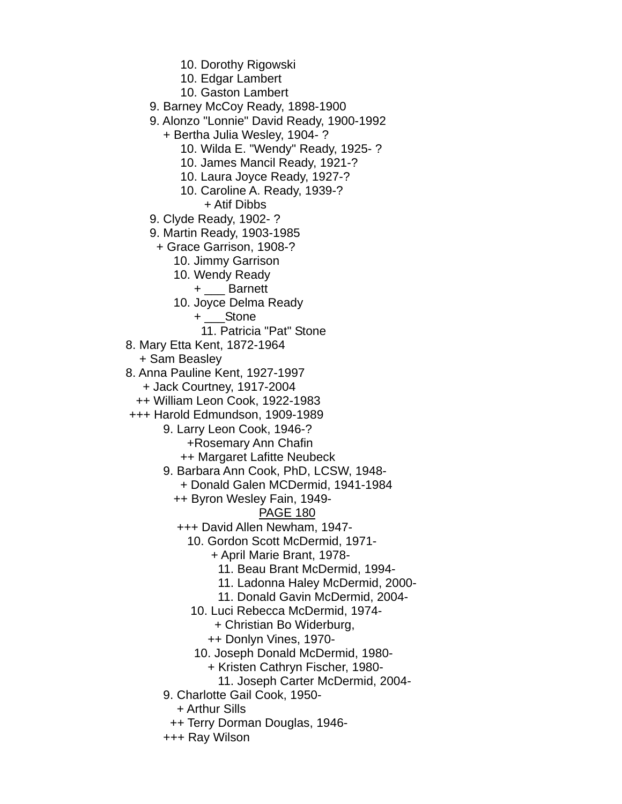10. Dorothy Rigowski

10. Edgar Lambert

10. Gaston Lambert

9. Barney McCoy Ready, 1898-1900

9. Alonzo "Lonnie" David Ready, 1900-1992

+ Bertha Julia Wesley, 1904- ?

10. Wilda E. "Wendy" Ready, 1925- ?

10. James Mancil Ready, 1921-?

10. Laura Joyce Ready, 1927-?

 10. Caroline A. Ready, 1939-? + Atif Dibbs

9. Clyde Ready, 1902- ?

9. Martin Ready, 1903-1985

+ Grace Garrison, 1908-?

10. Jimmy Garrison

10. Wendy Ready

+ \_\_\_ Barnett

10. Joyce Delma Ready

+ \_\_\_Stone

11. Patricia "Pat" Stone

8. Mary Etta Kent, 1872-1964

+ Sam Beasley

8. Anna Pauline Kent, 1927-1997

+ Jack Courtney, 1917-2004

++ William Leon Cook, 1922-1983

+++ Harold Edmundson, 1909-1989

9. Larry Leon Cook, 1946-?

+Rosemary Ann Chafin

++ Margaret Lafitte Neubeck

9. Barbara Ann Cook, PhD, LCSW, 1948-

+ Donald Galen MCDermid, 1941-1984

++ Byron Wesley Fain, 1949-

#### PAGE 180

+++ David Allen Newham, 1947-

10. Gordon Scott McDermid, 1971-

+ April Marie Brant, 1978-

11. Beau Brant McDermid, 1994-

11. Ladonna Haley McDermid, 2000-

11. Donald Gavin McDermid, 2004-

10. Luci Rebecca McDermid, 1974-

+ Christian Bo Widerburg,

++ Donlyn Vines, 1970-

10. Joseph Donald McDermid, 1980-

+ Kristen Cathryn Fischer, 1980-

11. Joseph Carter McDermid, 2004-

9. Charlotte Gail Cook, 1950-

+ Arthur Sills

++ Terry Dorman Douglas, 1946-

+++ Ray Wilson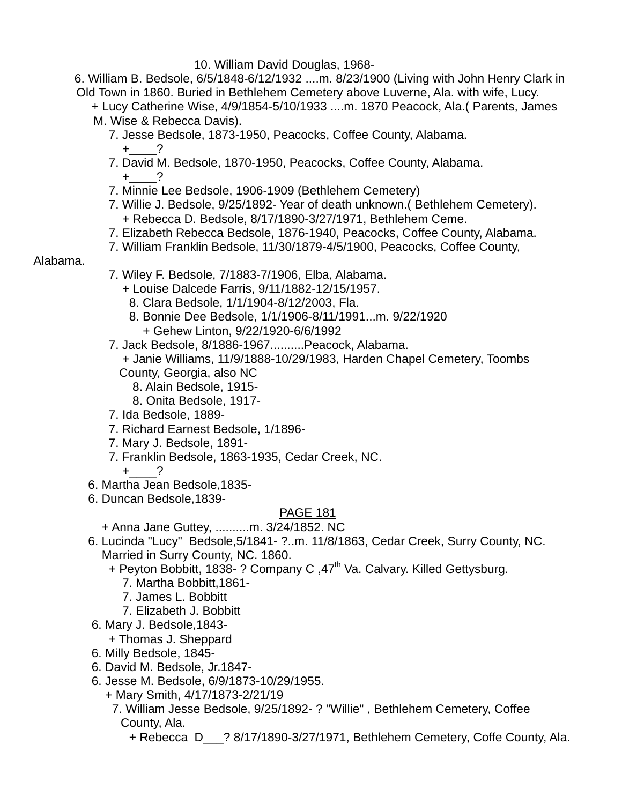10. William David Douglas, 1968-

 6. William B. Bedsole, 6/5/1848-6/12/1932 ....m. 8/23/1900 (Living with John Henry Clark in Old Town in 1860. Buried in Bethlehem Cemetery above Luverne, Ala. with wife, Lucy.

 + Lucy Catherine Wise, 4/9/1854-5/10/1933 ....m. 1870 Peacock, Ala.( Parents, James M. Wise & Rebecca Davis).

- 7. Jesse Bedsole, 1873-1950, Peacocks, Coffee County, Alabama.  $+$  ?
- 7. David M. Bedsole, 1870-1950, Peacocks, Coffee County, Alabama.  $+$   $?$
- 7. Minnie Lee Bedsole, 1906-1909 (Bethlehem Cemetery)
- 7. Willie J. Bedsole, 9/25/1892- Year of death unknown.( Bethlehem Cemetery). + Rebecca D. Bedsole, 8/17/1890-3/27/1971, Bethlehem Ceme.
- 7. Elizabeth Rebecca Bedsole, 1876-1940, Peacocks, Coffee County, Alabama.
- 7. William Franklin Bedsole, 11/30/1879-4/5/1900, Peacocks, Coffee County,

#### Alabama.

- 7. Wiley F. Bedsole, 7/1883-7/1906, Elba, Alabama.
	- + Louise Dalcede Farris, 9/11/1882-12/15/1957.
	- 8. Clara Bedsole, 1/1/1904-8/12/2003, Fla.
	- 8. Bonnie Dee Bedsole, 1/1/1906-8/11/1991...m. 9/22/1920 + Gehew Linton, 9/22/1920-6/6/1992
- 7. Jack Bedsole, 8/1886-1967..........Peacock, Alabama.
	- + Janie Williams, 11/9/1888-10/29/1983, Harden Chapel Cemetery, Toombs County, Georgia, also NC
		- 8. Alain Bedsole, 1915-
		- 8. Onita Bedsole, 1917-
- 7. Ida Bedsole, 1889-
- 7. Richard Earnest Bedsole, 1/1896-
- 7. Mary J. Bedsole, 1891-
- 7. Franklin Bedsole, 1863-1935, Cedar Creek, NC.

$$
+\underline{\qquad}?
$$

- 6. Martha Jean Bedsole,1835-
- 6. Duncan Bedsole,1839-

- + Anna Jane Guttey, ..........m. 3/24/1852. NC
- 6. Lucinda "Lucy" Bedsole,5/1841- ?..m. 11/8/1863, Cedar Creek, Surry County, NC. Married in Surry County, NC. 1860.
	- + Peyton Bobbitt, 1838- ? Company C, 47<sup>th</sup> Va. Calvary. Killed Gettysburg.
		- 7. Martha Bobbitt,1861-
		- 7. James L. Bobbitt
		- 7. Elizabeth J. Bobbitt
- 6. Mary J. Bedsole,1843-
	- + Thomas J. Sheppard
- 6. Milly Bedsole, 1845-
- 6. David M. Bedsole, Jr.1847-
- 6. Jesse M. Bedsole, 6/9/1873-10/29/1955.
	- + Mary Smith, 4/17/1873-2/21/19
		- 7. William Jesse Bedsole, 9/25/1892- ? "Willie" , Bethlehem Cemetery, Coffee County, Ala.
			- + Rebecca D\_\_\_? 8/17/1890-3/27/1971, Bethlehem Cemetery, Coffe County, Ala.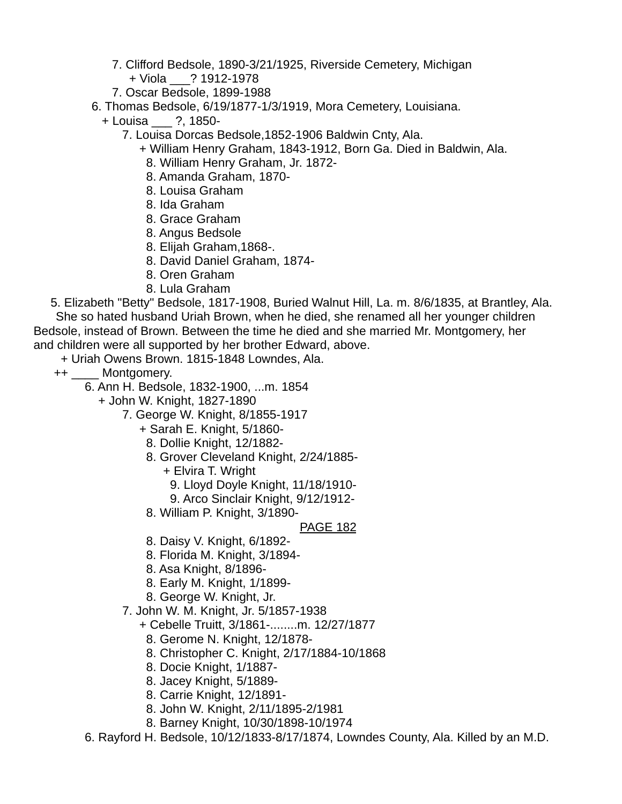- 7. Clifford Bedsole, 1890-3/21/1925, Riverside Cemetery, Michigan
- + Viola \_\_\_? 1912-1978
- 7. Oscar Bedsole, 1899-1988

6. Thomas Bedsole, 6/19/1877-1/3/1919, Mora Cemetery, Louisiana.

- + Louisa \_\_\_ ?, 1850-
	- 7. Louisa Dorcas Bedsole,1852-1906 Baldwin Cnty, Ala.
		- + William Henry Graham, 1843-1912, Born Ga. Died in Baldwin, Ala.
		- 8. William Henry Graham, Jr. 1872-
		- 8. Amanda Graham, 1870-
		- 8. Louisa Graham
		- 8. Ida Graham
		- 8. Grace Graham
		- 8. Angus Bedsole
		- 8. Elijah Graham,1868-.
		- 8. David Daniel Graham, 1874-
		- 8. Oren Graham
		- 8. Lula Graham

 5. Elizabeth "Betty" Bedsole, 1817-1908, Buried Walnut Hill, La. m. 8/6/1835, at Brantley, Ala. She so hated husband Uriah Brown, when he died, she renamed all her younger children Bedsole, instead of Brown. Between the time he died and she married Mr. Montgomery, her and children were all supported by her brother Edward, above.

+ Uriah Owens Brown. 1815-1848 Lowndes, Ala.

- ++ \_\_\_\_ Montgomery.
	- 6. Ann H. Bedsole, 1832-1900, ...m. 1854
		- + John W. Knight, 1827-1890
			- 7. George W. Knight, 8/1855-1917
				- + Sarah E. Knight, 5/1860-
				- 8. Dollie Knight, 12/1882-
				- 8. Grover Cleveland Knight, 2/24/1885-
					- + Elvira T. Wright
						- 9. Lloyd Doyle Knight, 11/18/1910-
						- 9. Arco Sinclair Knight, 9/12/1912-
				- 8. William P. Knight, 3/1890-

- 8. Daisy V. Knight, 6/1892-
- 8. Florida M. Knight, 3/1894-
- 8. Asa Knight, 8/1896-
- 8. Early M. Knight, 1/1899-
- 8. George W. Knight, Jr.
- 7. John W. M. Knight, Jr. 5/1857-1938
	- + Cebelle Truitt, 3/1861-........m. 12/27/1877
		- 8. Gerome N. Knight, 12/1878-
		- 8. Christopher C. Knight, 2/17/1884-10/1868
	- 8. Docie Knight, 1/1887-
	- 8. Jacey Knight, 5/1889-
	- 8. Carrie Knight, 12/1891-
	- 8. John W. Knight, 2/11/1895-2/1981
	- 8. Barney Knight, 10/30/1898-10/1974
- 6. Rayford H. Bedsole, 10/12/1833-8/17/1874, Lowndes County, Ala. Killed by an M.D.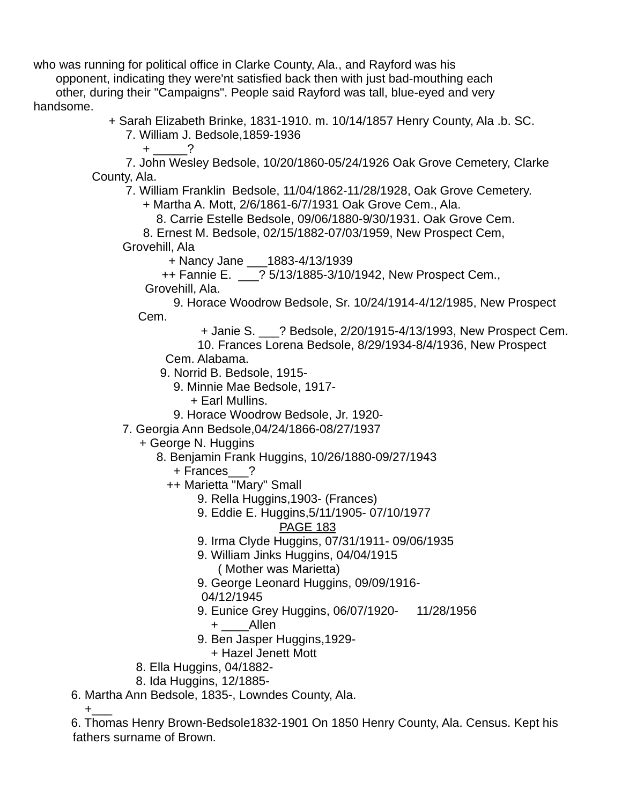who was running for political office in Clarke County, Ala., and Rayford was his

 opponent, indicating they were'nt satisfied back then with just bad-mouthing each other, during their "Campaigns". People said Rayford was tall, blue-eyed and very handsome.

+ Sarah Elizabeth Brinke, 1831-1910. m. 10/14/1857 Henry County, Ala .b. SC.

 7. William J. Bedsole,1859-1936 + \_\_\_\_\_?

 7. John Wesley Bedsole, 10/20/1860-05/24/1926 Oak Grove Cemetery, Clarke County, Ala.

7. William Franklin Bedsole, 11/04/1862-11/28/1928, Oak Grove Cemetery.

+ Martha A. Mott, 2/6/1861-6/7/1931 Oak Grove Cem., Ala.

8. Carrie Estelle Bedsole, 09/06/1880-9/30/1931. Oak Grove Cem.

8. Ernest M. Bedsole, 02/15/1882-07/03/1959, New Prospect Cem,

Grovehill, Ala

+ Nancy Jane \_\_\_1883-4/13/1939

++ Fannie E. \_\_\_? 5/13/1885-3/10/1942, New Prospect Cem.,

Grovehill, Ala.

 9. Horace Woodrow Bedsole, Sr. 10/24/1914-4/12/1985, New Prospect Cem.

+ Janie S. \_\_\_? Bedsole, 2/20/1915-4/13/1993, New Prospect Cem.

10. Frances Lorena Bedsole, 8/29/1934-8/4/1936, New Prospect

Cem. Alabama.

9. Norrid B. Bedsole, 1915-

9. Minnie Mae Bedsole, 1917-

+ Earl Mullins.

9. Horace Woodrow Bedsole, Jr. 1920-

7. Georgia Ann Bedsole,04/24/1866-08/27/1937

+ George N. Huggins

8. Benjamin Frank Huggins, 10/26/1880-09/27/1943

+ Frances\_\_\_?

++ Marietta "Mary" Small

9. Rella Huggins,1903- (Frances)

9. Eddie E. Huggins,5/11/1905- 07/10/1977

PAGE 183

9. Irma Clyde Huggins, 07/31/1911- 09/06/1935

- 9. William Jinks Huggins, 04/04/1915 ( Mother was Marietta)
- 9. George Leonard Huggins, 09/09/1916-

04/12/1945

9. Eunice Grey Huggins, 06/07/1920- 11/28/1956

+ \_\_\_\_Allen

- 9. Ben Jasper Huggins,1929-
- + Hazel Jenett Mott
- 8. Ella Huggins, 04/1882-
- 8. Ida Huggins, 12/1885-

6. Martha Ann Bedsole, 1835-, Lowndes County, Ala.

 $+$ 

 6. Thomas Henry Brown-Bedsole1832-1901 On 1850 Henry County, Ala. Census. Kept his fathers surname of Brown.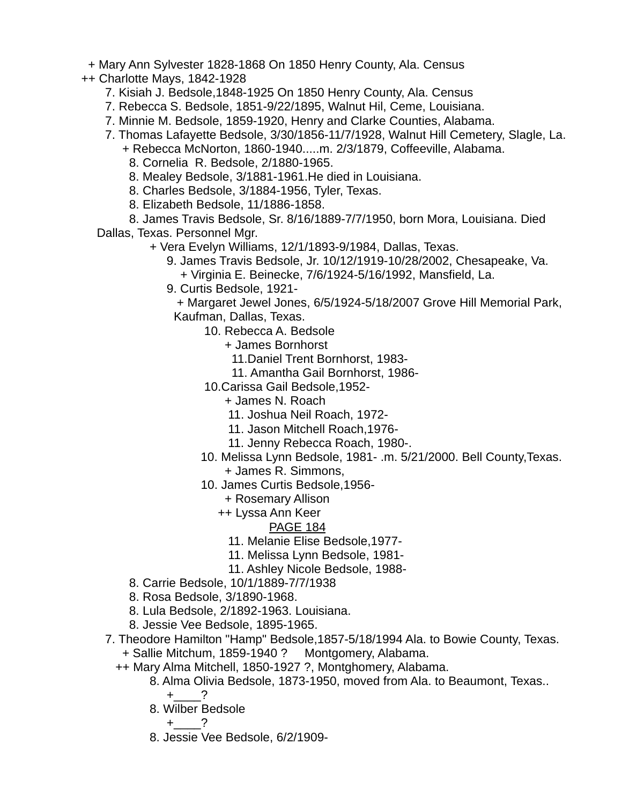+ Mary Ann Sylvester 1828-1868 On 1850 Henry County, Ala. Census

- ++ Charlotte Mays, 1842-1928
	- 7. Kisiah J. Bedsole,1848-1925 On 1850 Henry County, Ala. Census
	- 7. Rebecca S. Bedsole, 1851-9/22/1895, Walnut Hil, Ceme, Louisiana.
	- 7. Minnie M. Bedsole, 1859-1920, Henry and Clarke Counties, Alabama.
	- 7. Thomas Lafayette Bedsole, 3/30/1856-11/7/1928, Walnut Hill Cemetery, Slagle, La.
		- + Rebecca McNorton, 1860-1940.....m. 2/3/1879, Coffeeville, Alabama. 8. Cornelia R. Bedsole, 2/1880-1965.
		- 8. Mealey Bedsole, 3/1881-1961.He died in Louisiana.
		- 8. Charles Bedsole, 3/1884-1956, Tyler, Texas.
		- 8. Elizabeth Bedsole, 11/1886-1858.

 8. James Travis Bedsole, Sr. 8/16/1889-7/7/1950, born Mora, Louisiana. Died Dallas, Texas. Personnel Mgr.

- + Vera Evelyn Williams, 12/1/1893-9/1984, Dallas, Texas.
	- 9. James Travis Bedsole, Jr. 10/12/1919-10/28/2002, Chesapeake, Va.
		- + Virginia E. Beinecke, 7/6/1924-5/16/1992, Mansfield, La.
	- 9. Curtis Bedsole, 1921-

 + Margaret Jewel Jones, 6/5/1924-5/18/2007 Grove Hill Memorial Park, Kaufman, Dallas, Texas.

- 10. Rebecca A. Bedsole
	- + James Bornhorst
		- 11.Daniel Trent Bornhorst, 1983-
		- 11. Amantha Gail Bornhorst, 1986-
	- 10.Carissa Gail Bedsole,1952-
		- + James N. Roach
		- 11. Joshua Neil Roach, 1972-
		- 11. Jason Mitchell Roach,1976-
		- 11. Jenny Rebecca Roach, 1980-.
	- 10. Melissa Lynn Bedsole, 1981- .m. 5/21/2000. Bell County,Texas. + James R. Simmons,
	- 10. James Curtis Bedsole,1956-
		- + Rosemary Allison
		- ++ Lyssa Ann Keer
			- PAGE 184
			- 11. Melanie Elise Bedsole,1977-
			- 11. Melissa Lynn Bedsole, 1981-
			- 11. Ashley Nicole Bedsole, 1988-
- 8. Carrie Bedsole, 10/1/1889-7/7/1938
- 8. Rosa Bedsole, 3/1890-1968.
- 8. Lula Bedsole, 2/1892-1963. Louisiana.
- 8. Jessie Vee Bedsole, 1895-1965.
- 7. Theodore Hamilton "Hamp" Bedsole,1857-5/18/1994 Ala. to Bowie County, Texas. + Sallie Mitchum, 1859-1940 ? Montgomery, Alabama.
	- ++ Mary Alma Mitchell, 1850-1927 ?, Montghomery, Alabama.
		- 8. Alma Olivia Bedsole, 1873-1950, moved from Ala. to Beaumont, Texas..  $+$  ?
		- 8. Wilber Bedsole
			- $+$  ?
		- 8. Jessie Vee Bedsole, 6/2/1909-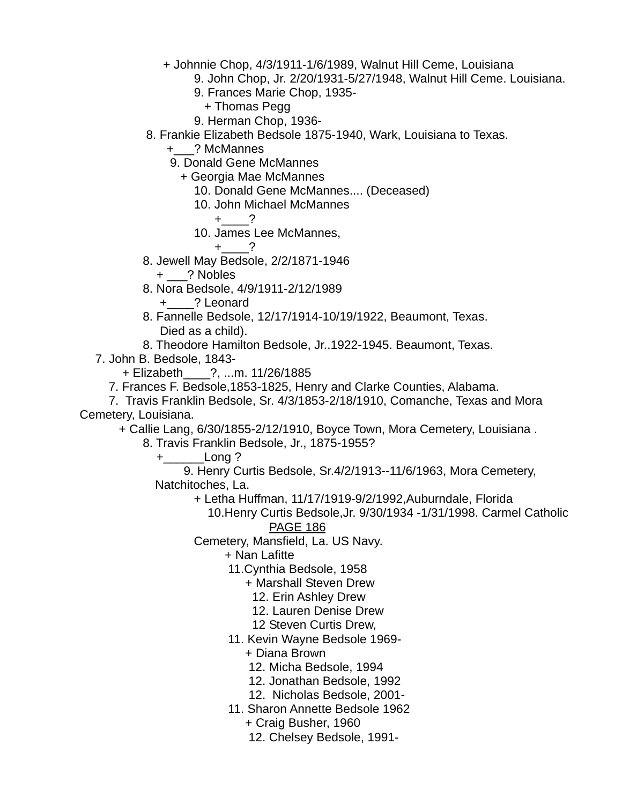- + Johnnie Chop, 4/3/1911-1/6/1989, Walnut Hill Ceme, Louisiana
	- 9. John Chop, Jr. 2/20/1931-5/27/1948, Walnut Hill Ceme. Louisiana.
	- 9. Frances Marie Chop, 1935-
		- + Thomas Pegg
	- 9. Herman Chop, 1936-
- 8. Frankie Elizabeth Bedsole 1875-1940, Wark, Louisiana to Texas.
	- +\_\_\_? McMannes
	- 9. Donald Gene McMannes
		- + Georgia Mae McMannes
			- 10. Donald Gene McMannes.... (Deceased)
			- 10. John Michael McMannes

$$
+\underline{\qquad}?
$$

10. James Lee McMannes,

$$
+\underline{\qquad}\qquad?
$$

- 8. Jewell May Bedsole, 2/2/1871-1946
	- + \_\_\_? Nobles
- 8. Nora Bedsole, 4/9/1911-2/12/1989
	- +\_\_\_\_? Leonard
- 8. Fannelle Bedsole, 12/17/1914-10/19/1922, Beaumont, Texas. Died as a child).
- 8. Theodore Hamilton Bedsole, Jr..1922-1945. Beaumont, Texas.
- 7. John B. Bedsole, 1843-
	- + Elizabeth\_\_\_\_?, ...m. 11/26/1885
	- 7. Frances F. Bedsole,1853-1825, Henry and Clarke Counties, Alabama.
- 7. Travis Franklin Bedsole, Sr. 4/3/1853-2/18/1910, Comanche, Texas and Mora Cemetery, Louisiana.

+ Callie Lang, 6/30/1855-2/12/1910, Boyce Town, Mora Cemetery, Louisiana .

8. Travis Franklin Bedsole, Jr., 1875-1955?

+\_\_\_\_\_\_Long ?

 9. Henry Curtis Bedsole, Sr.4/2/1913--11/6/1963, Mora Cemetery, Natchitoches, La.

- + Letha Huffman, 11/17/1919-9/2/1992,Auburndale, Florida
	- 10.Henry Curtis Bedsole,Jr. 9/30/1934 -1/31/1998. Carmel Catholic PAGE 186
- Cemetery, Mansfield, La. US Navy.
	- + Nan Lafitte
	- 11.Cynthia Bedsole, 1958
		- + Marshall Steven Drew
			- 12. Erin Ashley Drew
			- 12. Lauren Denise Drew
			- 12 Steven Curtis Drew,
	- 11. Kevin Wayne Bedsole 1969-
		- + Diana Brown
		- 12. Micha Bedsole, 1994
		- 12. Jonathan Bedsole, 1992
		- 12. Nicholas Bedsole, 2001-
	- 11. Sharon Annette Bedsole 1962
		- + Craig Busher, 1960
		- 12. Chelsey Bedsole, 1991-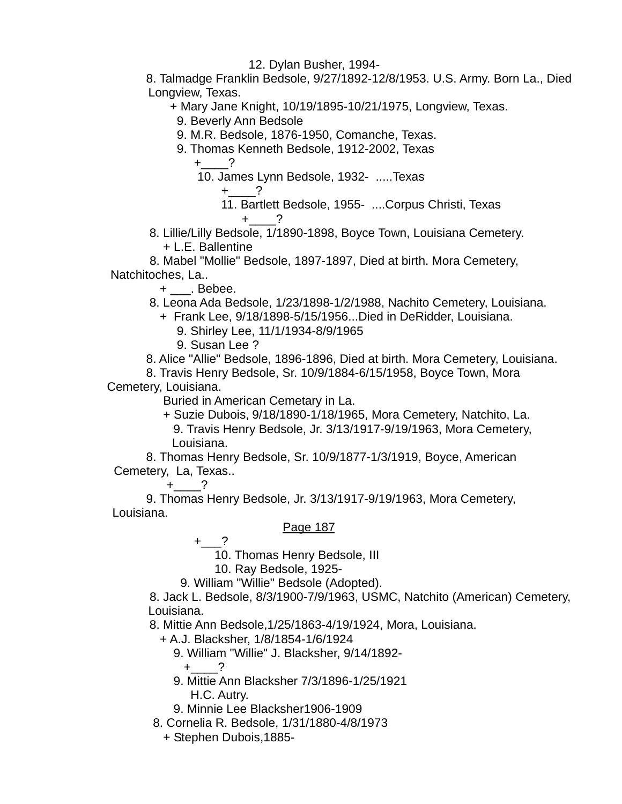12. Dylan Busher, 1994-

 8. Talmadge Franklin Bedsole, 9/27/1892-12/8/1953. U.S. Army. Born La., Died Longview, Texas.

+ Mary Jane Knight, 10/19/1895-10/21/1975, Longview, Texas.

9. Beverly Ann Bedsole

9. M.R. Bedsole, 1876-1950, Comanche, Texas.

9. Thomas Kenneth Bedsole, 1912-2002, Texas

 $+$  ?

10. James Lynn Bedsole, 1932- .....Texas

 $+$  2

- 11. Bartlett Bedsole, 1955- ....Corpus Christi, Texas  $+$  ?
- 8. Lillie/Lilly Bedsole, 1/1890-1898, Boyce Town, Louisiana Cemetery. + L.E. Ballentine

 8. Mabel "Mollie" Bedsole, 1897-1897, Died at birth. Mora Cemetery, Natchitoches, La..

+ \_\_\_. Bebee.

- 8. Leona Ada Bedsole, 1/23/1898-1/2/1988, Nachito Cemetery, Louisiana.
	- + Frank Lee, 9/18/1898-5/15/1956...Died in DeRidder, Louisiana.
		- 9. Shirley Lee, 11/1/1934-8/9/1965
		- 9. Susan Lee ?

8. Alice "Allie" Bedsole, 1896-1896, Died at birth. Mora Cemetery, Louisiana.

8. Travis Henry Bedsole, Sr. 10/9/1884-6/15/1958, Boyce Town, Mora

Cemetery, Louisiana.

Buried in American Cemetary in La.

 + Suzie Dubois, 9/18/1890-1/18/1965, Mora Cemetery, Natchito, La. 9. Travis Henry Bedsole, Jr. 3/13/1917-9/19/1963, Mora Cemetery, Louisiana.

 8. Thomas Henry Bedsole, Sr. 10/9/1877-1/3/1919, Boyce, American Cemetery, La, Texas..

 $+$ 

 9. Thomas Henry Bedsole, Jr. 3/13/1917-9/19/1963, Mora Cemetery, Louisiana.

#### Page 187

 $+$   $^{2}$ 

10. Thomas Henry Bedsole, III

10. Ray Bedsole, 1925-

9. William "Willie" Bedsole (Adopted).

 8. Jack L. Bedsole, 8/3/1900-7/9/1963, USMC, Natchito (American) Cemetery, Louisiana.

8. Mittie Ann Bedsole,1/25/1863-4/19/1924, Mora, Louisiana.

+ A.J. Blacksher, 1/8/1854-1/6/1924

9. William "Willie" J. Blacksher, 9/14/1892-

 $+$  ?

 9. Mittie Ann Blacksher 7/3/1896-1/25/1921 H.C. Autry.

9. Minnie Lee Blacksher1906-1909

8. Cornelia R. Bedsole, 1/31/1880-4/8/1973

+ Stephen Dubois,1885-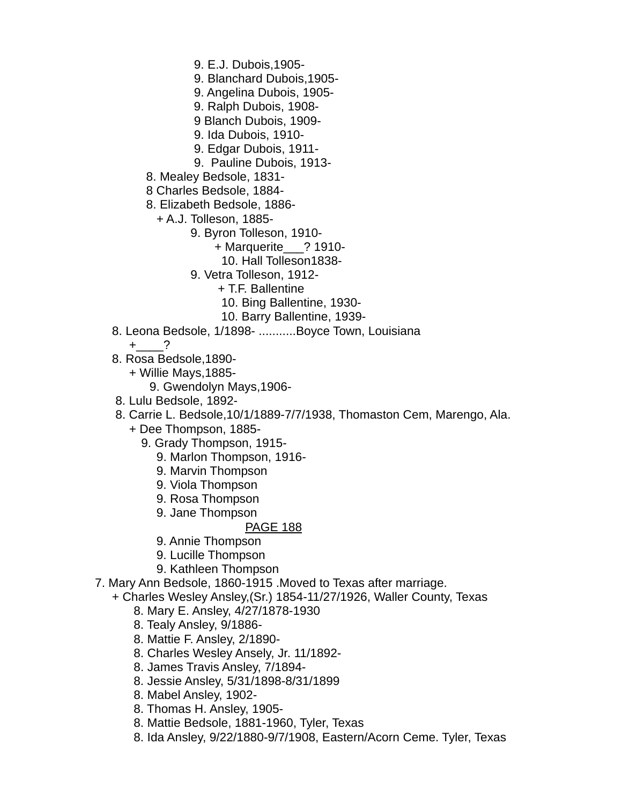9. E.J. Dubois,1905-

9. Blanchard Dubois,1905-

9. Angelina Dubois, 1905-

- 9. Ralph Dubois, 1908-
- 9 Blanch Dubois, 1909-
- 9. Ida Dubois, 1910-
- 9. Edgar Dubois, 1911-
- 9. Pauline Dubois, 1913-
- 8. Mealey Bedsole, 1831-

8 Charles Bedsole, 1884-

- 8. Elizabeth Bedsole, 1886-
	- + A.J. Tolleson, 1885-
		- 9. Byron Tolleson, 1910-
			- + Marquerite\_\_\_? 1910-
				- 10. Hall Tolleson1838-
			- 9. Vetra Tolleson, 1912-
				- + T.F. Ballentine
				- 10. Bing Ballentine, 1930-
				- 10. Barry Ballentine, 1939-
- 8. Leona Bedsole, 1/1898- ...........Boyce Town, Louisiana
	- $+$  ?
- 8. Rosa Bedsole,1890-
	- + Willie Mays,1885-
		- 9. Gwendolyn Mays,1906-
- 8. Lulu Bedsole, 1892-
- 8. Carrie L. Bedsole,10/1/1889-7/7/1938, Thomaston Cem, Marengo, Ala.
	- + Dee Thompson, 1885-
		- 9. Grady Thompson, 1915-
			- 9. Marlon Thompson, 1916-
			- 9. Marvin Thompson
			- 9. Viola Thompson
			- 9. Rosa Thompson
			- 9. Jane Thompson

- 9. Annie Thompson
- 9. Lucille Thompson
- 9. Kathleen Thompson
- 7. Mary Ann Bedsole, 1860-1915 .Moved to Texas after marriage.
	- + Charles Wesley Ansley,(Sr.) 1854-11/27/1926, Waller County, Texas
		- 8. Mary E. Ansley, 4/27/1878-1930
		- 8. Tealy Ansley, 9/1886-
		- 8. Mattie F. Ansley, 2/1890-
		- 8. Charles Wesley Ansely, Jr. 11/1892-
		- 8. James Travis Ansley, 7/1894-
		- 8. Jessie Ansley, 5/31/1898-8/31/1899
		- 8. Mabel Ansley, 1902-
		- 8. Thomas H. Ansley, 1905-
		- 8. Mattie Bedsole, 1881-1960, Tyler, Texas
		- 8. Ida Ansley, 9/22/1880-9/7/1908, Eastern/Acorn Ceme. Tyler, Texas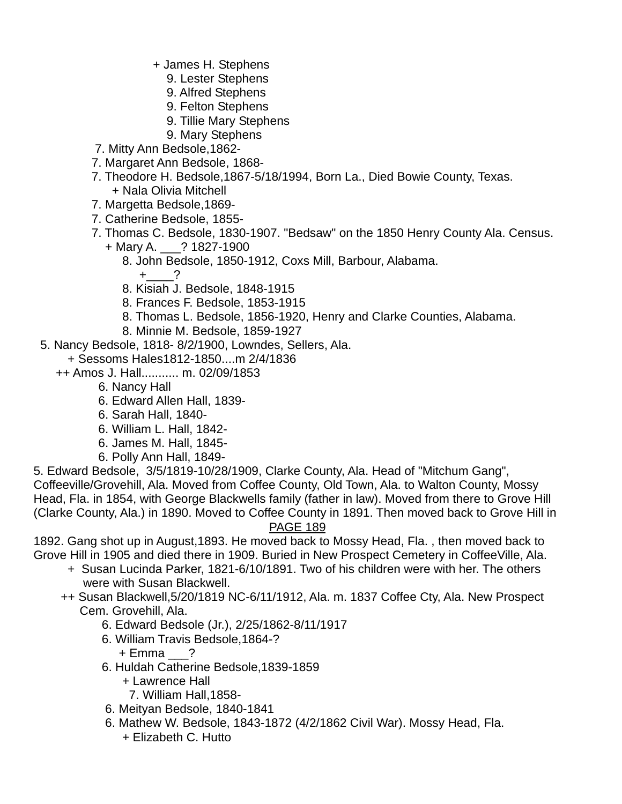- + James H. Stephens
	- 9. Lester Stephens
	- 9. Alfred Stephens
	- 9. Felton Stephens
	- 9. Tillie Mary Stephens
- 9. Mary Stephens
- 7. Mitty Ann Bedsole,1862-
- 7. Margaret Ann Bedsole, 1868-
- 7. Theodore H. Bedsole,1867-5/18/1994, Born La., Died Bowie County, Texas. + Nala Olivia Mitchell
- 7. Margetta Bedsole,1869-
- 7. Catherine Bedsole, 1855-
- 7. Thomas C. Bedsole, 1830-1907. "Bedsaw" on the 1850 Henry County Ala. Census.
	- + Mary A. \_\_\_? 1827-1900
		- 8. John Bedsole, 1850-1912, Coxs Mill, Barbour, Alabama.
			- $+$  ?
		- 8. Kisiah J. Bedsole, 1848-1915
		- 8. Frances F. Bedsole, 1853-1915
		- 8. Thomas L. Bedsole, 1856-1920, Henry and Clarke Counties, Alabama.
		- 8. Minnie M. Bedsole, 1859-1927
- 5. Nancy Bedsole, 1818- 8/2/1900, Lowndes, Sellers, Ala.
	- + Sessoms Hales1812-1850....m 2/4/1836
	- ++ Amos J. Hall........... m. 02/09/1853
		- 6. Nancy Hall
		- 6. Edward Allen Hall, 1839-
		- 6. Sarah Hall, 1840-
		- 6. William L. Hall, 1842-
		- 6. James M. Hall, 1845-
		- 6. Polly Ann Hall, 1849-

5. Edward Bedsole, 3/5/1819-10/28/1909, Clarke County, Ala. Head of "Mitchum Gang", Coffeeville/Grovehill, Ala. Moved from Coffee County, Old Town, Ala. to Walton County, Mossy Head, Fla. in 1854, with George Blackwells family (father in law). Moved from there to Grove Hill (Clarke County, Ala.) in 1890. Moved to Coffee County in 1891. Then moved back to Grove Hill in

#### PAGE 189

1892. Gang shot up in August,1893. He moved back to Mossy Head, Fla. , then moved back to Grove Hill in 1905 and died there in 1909. Buried in New Prospect Cemetery in CoffeeVille, Ala.

- + Susan Lucinda Parker, 1821-6/10/1891. Two of his children were with her. The others were with Susan Blackwell.
- ++ Susan Blackwell,5/20/1819 NC-6/11/1912, Ala. m. 1837 Coffee Cty, Ala. New Prospect Cem. Grovehill, Ala.
	- 6. Edward Bedsole (Jr.), 2/25/1862-8/11/1917
	- 6. William Travis Bedsole,1864-?
		- + Emma \_\_\_?
	- 6. Huldah Catherine Bedsole,1839-1859
		- + Lawrence Hall
			- 7. William Hall,1858-
	- 6. Meityan Bedsole, 1840-1841
	- 6. Mathew W. Bedsole, 1843-1872 (4/2/1862 Civil War). Mossy Head, Fla.
		- + Elizabeth C. Hutto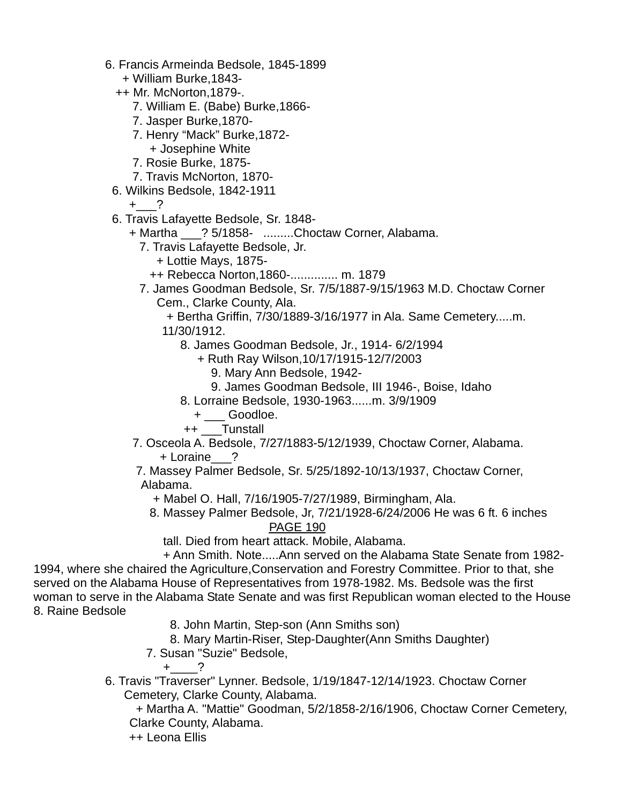- 6. Francis Armeinda Bedsole, 1845-1899
	- + William Burke,1843-
	- ++ Mr. McNorton,1879-.
		- 7. William E. (Babe) Burke,1866-
		- 7. Jasper Burke,1870-
		- 7. Henry "Mack" Burke,1872-
		- + Josephine White
		- 7. Rosie Burke, 1875-
		- 7. Travis McNorton, 1870-
	- 6. Wilkins Bedsole, 1842-1911

 $+$  ?

- 6. Travis Lafayette Bedsole, Sr. 1848-
	- + Martha \_\_\_? 5/1858- .........Choctaw Corner, Alabama.
		- 7. Travis Lafayette Bedsole, Jr.
			- + Lottie Mays, 1875-
			- ++ Rebecca Norton,1860-.............. m. 1879
		- 7. James Goodman Bedsole, Sr. 7/5/1887-9/15/1963 M.D. Choctaw Corner Cem., Clarke County, Ala.
			- + Bertha Griffin, 7/30/1889-3/16/1977 in Ala. Same Cemetery.....m.
			- 11/30/1912.
				- 8. James Goodman Bedsole, Jr., 1914- 6/2/1994
					- + Ruth Ray Wilson,10/17/1915-12/7/2003
						- 9. Mary Ann Bedsole, 1942-
					- 9. James Goodman Bedsole, III 1946-, Boise, Idaho
				- 8. Lorraine Bedsole, 1930-1963......m. 3/9/1909
					- + \_\_\_ Goodloe.
				- ++ \_\_\_Tunstall
	- 7. Osceola A. Bedsole, 7/27/1883-5/12/1939, Choctaw Corner, Alabama. + Loraine\_\_\_?
	- 7. Massey Palmer Bedsole, Sr. 5/25/1892-10/13/1937, Choctaw Corner, Alabama.
		- + Mabel O. Hall, 7/16/1905-7/27/1989, Birmingham, Ala.
		- 8. Massey Palmer Bedsole, Jr, 7/21/1928-6/24/2006 He was 6 ft. 6 inches PAGE 190
			- tall. Died from heart attack. Mobile, Alabama.

 + Ann Smith. Note.....Ann served on the Alabama State Senate from 1982- 1994, where she chaired the Agriculture,Conservation and Forestry Committee. Prior to that, she served on the Alabama House of Representatives from 1978-1982. Ms. Bedsole was the first woman to serve in the Alabama State Senate and was first Republican woman elected to the House 8. Raine Bedsole

- 8. John Martin, Step-son (Ann Smiths son)
- 8. Mary Martin-Riser, Step-Daughter(Ann Smiths Daughter)
- 7. Susan "Suzie" Bedsole,

 $+$  ?

 6. Travis "Traverser" Lynner. Bedsole, 1/19/1847-12/14/1923. Choctaw Corner Cemetery, Clarke County, Alabama.

 + Martha A. "Mattie" Goodman, 5/2/1858-2/16/1906, Choctaw Corner Cemetery, Clarke County, Alabama.

++ Leona Ellis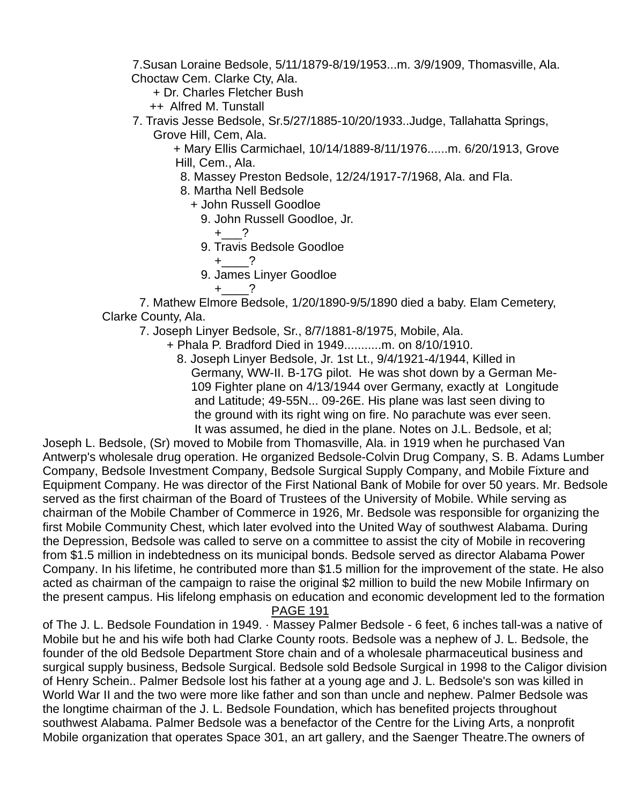7.Susan Loraine Bedsole, 5/11/1879-8/19/1953...m. 3/9/1909, Thomasville, Ala. Choctaw Cem. Clarke Cty, Ala.

+ Dr. Charles Fletcher Bush

++ Alfred M. Tunstall

 7. Travis Jesse Bedsole, Sr.5/27/1885-10/20/1933..Judge, Tallahatta Springs, Grove Hill, Cem, Ala.

 + Mary Ellis Carmichael, 10/14/1889-8/11/1976......m. 6/20/1913, Grove Hill, Cem., Ala.

- 8. Massey Preston Bedsole, 12/24/1917-7/1968, Ala. and Fla.
- 8. Martha Nell Bedsole
	- + John Russell Goodloe
		- 9. John Russell Goodloe, Jr.
			- $+$  ?
		- 9. Travis Bedsole Goodloe
			- $+$  ?
		- 9. James Linyer Goodloe

 $+$  ?

 7. Mathew Elmore Bedsole, 1/20/1890-9/5/1890 died a baby. Elam Cemetery, Clarke County, Ala.

7. Joseph Linyer Bedsole, Sr., 8/7/1881-8/1975, Mobile, Ala.

- + Phala P. Bradford Died in 1949...........m. on 8/10/1910.
	- 8. Joseph Linyer Bedsole, Jr. 1st Lt., 9/4/1921-4/1944, Killed in Germany, WW-II. B-17G pilot. He was shot down by a German Me- 109 Fighter plane on 4/13/1944 over Germany, exactly at Longitude and Latitude; 49-55N... 09-26E. His plane was last seen diving to the ground with its right wing on fire. No parachute was ever seen. It was assumed, he died in the plane. Notes on J.L. Bedsole, et al;

Joseph L. Bedsole, (Sr) moved to Mobile from Thomasville, Ala. in 1919 when he purchased Van Antwerp's wholesale drug operation. He organized Bedsole-Colvin Drug Company, S. B. Adams Lumber Company, Bedsole Investment Company, Bedsole Surgical Supply Company, and Mobile Fixture and Equipment Company. He was director of the First National Bank of Mobile for over 50 years. Mr. Bedsole served as the first chairman of the Board of Trustees of the University of Mobile. While serving as chairman of the Mobile Chamber of Commerce in 1926, Mr. Bedsole was responsible for organizing the first Mobile Community Chest, which later evolved into the United Way of southwest Alabama. During the Depression, Bedsole was called to serve on a committee to assist the city of Mobile in recovering from \$1.5 million in indebtedness on its municipal bonds. Bedsole served as director Alabama Power Company. In his lifetime, he contributed more than \$1.5 million for the improvement of the state. He also acted as chairman of the campaign to raise the original \$2 million to build the new Mobile Infirmary on the present campus. His lifelong emphasis on education and economic development led to the formation

PAGE 191

of The J. L. Bedsole Foundation in 1949. · Massey Palmer Bedsole - 6 feet, 6 inches tall-was a native of Mobile but he and his wife both had Clarke County roots. Bedsole was a nephew of J. L. Bedsole, the founder of the old Bedsole Department Store chain and of a wholesale pharmaceutical business and surgical supply business, Bedsole Surgical. Bedsole sold Bedsole Surgical in 1998 to the Caligor division of Henry Schein.. Palmer Bedsole lost his father at a young age and J. L. Bedsole's son was killed in World War II and the two were more like father and son than uncle and nephew. Palmer Bedsole was the longtime chairman of the J. L. Bedsole Foundation, which has benefited projects throughout southwest Alabama. Palmer Bedsole was a benefactor of the Centre for the Living Arts, a nonprofit Mobile organization that operates Space 301, an art gallery, and the Saenger Theatre.The owners of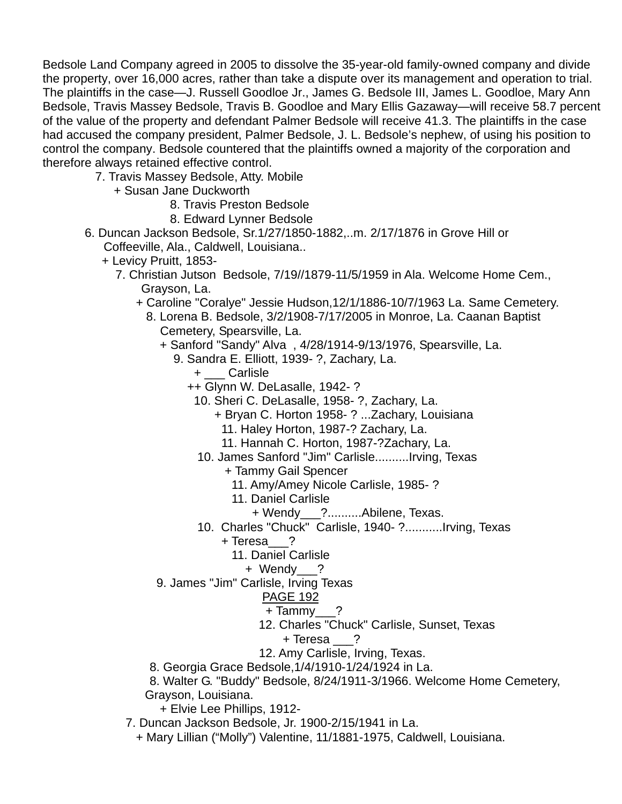Bedsole Land Company agreed in 2005 to dissolve the 35-year-old family-owned company and divide the property, over 16,000 acres, rather than take a dispute over its management and operation to trial. The plaintiffs in the case—J. Russell Goodloe Jr., James G. Bedsole III, James L. Goodloe, Mary Ann Bedsole, Travis Massey Bedsole, Travis B. Goodloe and Mary Ellis Gazaway—will receive 58.7 percent of the value of the property and defendant Palmer Bedsole will receive 41.3. The plaintiffs in the case had accused the company president, Palmer Bedsole, J. L. Bedsole's nephew, of using his position to control the company. Bedsole countered that the plaintiffs owned a majority of the corporation and therefore always retained effective control.

- 7. Travis Massey Bedsole, Atty. Mobile
	- + Susan Jane Duckworth
		- 8. Travis Preston Bedsole
		- 8. Edward Lynner Bedsole
- 6. Duncan Jackson Bedsole, Sr.1/27/1850-1882,..m. 2/17/1876 in Grove Hill or Coffeeville, Ala., Caldwell, Louisiana..
	- + Levicy Pruitt, 1853-
		- 7. Christian Jutson Bedsole, 7/19//1879-11/5/1959 in Ala. Welcome Home Cem., Grayson, La.
			- + Caroline "Coralye" Jessie Hudson,12/1/1886-10/7/1963 La. Same Cemetery.
				- 8. Lorena B. Bedsole, 3/2/1908-7/17/2005 in Monroe, La. Caanan Baptist Cemetery, Spearsville, La.
					- + Sanford "Sandy" Alva , 4/28/1914-9/13/1976, Spearsville, La.
						- 9. Sandra E. Elliott, 1939- ?, Zachary, La.
							- + \_\_\_ Carlisle
							- ++ Glynn W. DeLasalle, 1942- ?
								- 10. Sheri C. DeLasalle, 1958- ?, Zachary, La.
									- + Bryan C. Horton 1958- ? ...Zachary, Louisiana
										- 11. Haley Horton, 1987-? Zachary, La.
										- 11. Hannah C. Horton, 1987-?Zachary, La.
							- 10. James Sanford "Jim" Carlisle..........Irving, Texas
								- + Tammy Gail Spencer
									- 11. Amy/Amey Nicole Carlisle, 1985- ?
									- 11. Daniel Carlisle
										- + Wendy\_\_\_?..........Abilene, Texas.
							- 10. Charles "Chuck" Carlisle, 1940- ?...........Irving, Texas
								- + Teresa\_\_\_?
									- 11. Daniel Carlisle
										- + Wendy\_\_\_?
					- 9. James "Jim" Carlisle, Irving Texas

- + Tammy\_\_\_?
- 12. Charles "Chuck" Carlisle, Sunset, Texas
	- + Teresa \_\_\_?
- 12. Amy Carlisle, Irving, Texas.
- 8. Georgia Grace Bedsole,1/4/1910-1/24/1924 in La.
- 8. Walter G. "Buddy" Bedsole, 8/24/1911-3/1966. Welcome Home Cemetery, Grayson, Louisiana.
	- + Elvie Lee Phillips, 1912-
- 7. Duncan Jackson Bedsole, Jr. 1900-2/15/1941 in La.
	- + Mary Lillian ("Molly") Valentine, 11/1881-1975, Caldwell, Louisiana.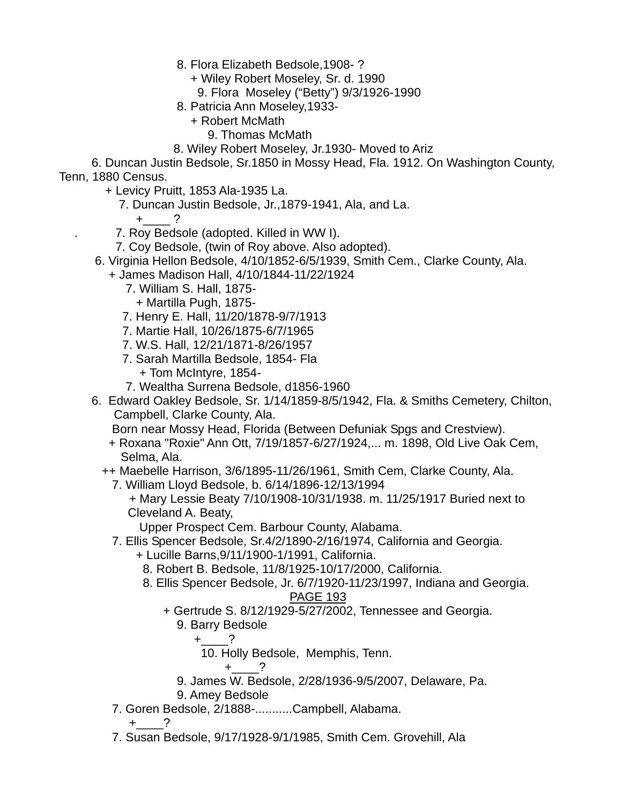8. Flora Elizabeth Bedsole,1908- ?

+ Wiley Robert Moseley, Sr. d. 1990

9. Flora Moseley ("Betty") 9/3/1926-1990

8. Patricia Ann Moseley,1933-

- + Robert McMath
	- 9. Thomas McMath
- 8. Wiley Robert Moseley, Jr.1930- Moved to Ariz

 6. Duncan Justin Bedsole, Sr.1850 in Mossy Head, Fla. 1912. On Washington County, Tenn, 1880 Census.

+ Levicy Pruitt, 1853 Ala-1935 La.

7. Duncan Justin Bedsole, Jr.,1879-1941, Ala, and La.

+ ?

. 7. Roy Bedsole (adopted. Killed in WW I).

7. Coy Bedsole, (twin of Roy above. Also adopted).

- 6. Virginia Hellon Bedsole, 4/10/1852-6/5/1939, Smith Cem., Clarke County, Ala.
	- + James Madison Hall, 4/10/1844-11/22/1924
		- 7. William S. Hall, 1875-
		- + Martilla Pugh, 1875-
		- 7. Henry E. Hall, 11/20/1878-9/7/1913
		- 7. Martie Hall, 10/26/1875-6/7/1965
		- 7. W.S. Hall, 12/21/1871-8/26/1957
		- 7. Sarah Martilla Bedsole, 1854- Fla
			- + Tom McIntyre, 1854-
		- 7. Wealtha Surrena Bedsole, d1856-1960
- 6. Edward Oakley Bedsole, Sr. 1/14/1859-8/5/1942, Fla. & Smiths Cemetery, Chilton, Campbell, Clarke County, Ala.

Born near Mossy Head, Florida (Between Defuniak Spgs and Crestview).

 + Roxana "Roxie" Ann Ott, 7/19/1857-6/27/1924,... m. 1898, Old Live Oak Cem, Selma, Ala.

++ Maebelle Harrison, 3/6/1895-11/26/1961, Smith Cem, Clarke County, Ala.

- 7. William Lloyd Bedsole, b. 6/14/1896-12/13/1994
	- + Mary Lessie Beaty 7/10/1908-10/31/1938. m. 11/25/1917 Buried next to Cleveland A. Beaty,

Upper Prospect Cem. Barbour County, Alabama.

- 7. Ellis Spencer Bedsole, Sr.4/2/1890-2/16/1974, California and Georgia.
	- + Lucille Barns,9/11/1900-1/1991, California.
	- 8. Robert B. Bedsole, 11/8/1925-10/17/2000, California.
	- 8. Ellis Spencer Bedsole, Jr. 6/7/1920-11/23/1997, Indiana and Georgia. PAGE 193
		- + Gertrude S. 8/12/1929-5/27/2002, Tennessee and Georgia.

# 9. Barry Bedsole

 $+$  ?

- 10. Holly Bedsole, Memphis, Tenn.
- $+$  ?
- 9. James W. Bedsole, 2/28/1936-9/5/2007, Delaware, Pa.

9. Amey Bedsole

7. Goren Bedsole, 2/1888-...........Campbell, Alabama.

 $+$  ?

7. Susan Bedsole, 9/17/1928-9/1/1985, Smith Cem. Grovehill, Ala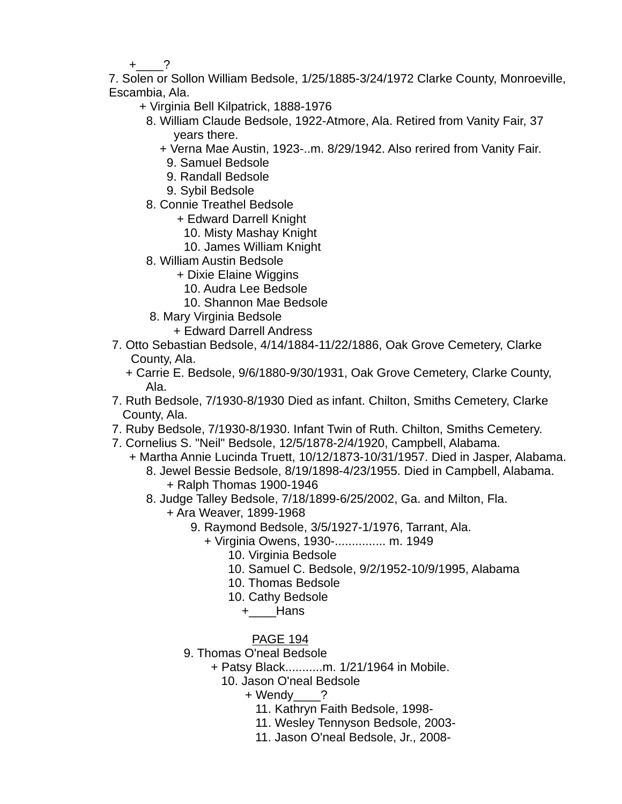$+$  ?

 7. Solen or Sollon William Bedsole, 1/25/1885-3/24/1972 Clarke County, Monroeville, Escambia, Ala.

- + Virginia Bell Kilpatrick, 1888-1976
- 8. William Claude Bedsole, 1922-Atmore, Ala. Retired from Vanity Fair, 37 years there.
	- + Verna Mae Austin, 1923-..m. 8/29/1942. Also rerired from Vanity Fair.
		- 9. Samuel Bedsole
	- 9. Randall Bedsole
	- 9. Sybil Bedsole
- 8. Connie Treathel Bedsole
	- + Edward Darrell Knight
		- 10. Misty Mashay Knight
		- 10. James William Knight
- 8. William Austin Bedsole
	- + Dixie Elaine Wiggins
		- 10. Audra Lee Bedsole
		- 10. Shannon Mae Bedsole
- 8. Mary Virginia Bedsole
	- + Edward Darrell Andress
- 7. Otto Sebastian Bedsole, 4/14/1884-11/22/1886, Oak Grove Cemetery, Clarke County, Ala.
	- + Carrie E. Bedsole, 9/6/1880-9/30/1931, Oak Grove Cemetery, Clarke County, Ala.
- 7. Ruth Bedsole, 7/1930-8/1930 Died as infant. Chilton, Smiths Cemetery, Clarke County, Ala.
- 7. Ruby Bedsole, 7/1930-8/1930. Infant Twin of Ruth. Chilton, Smiths Cemetery.
- 7. Cornelius S. "Neil" Bedsole, 12/5/1878-2/4/1920, Campbell, Alabama.
	- + Martha Annie Lucinda Truett, 10/12/1873-10/31/1957. Died in Jasper, Alabama. 8. Jewel Bessie Bedsole, 8/19/1898-4/23/1955. Died in Campbell, Alabama. + Ralph Thomas 1900-1946
		- 8. Judge Talley Bedsole, 7/18/1899-6/25/2002, Ga. and Milton, Fla.
			- + Ara Weaver, 1899-1968
				- 9. Raymond Bedsole, 3/5/1927-1/1976, Tarrant, Ala.
					- + Virginia Owens, 1930-............... m. 1949
						- 10. Virginia Bedsole
						- 10. Samuel C. Bedsole, 9/2/1952-10/9/1995, Alabama
						- 10. Thomas Bedsole
						- 10. Cathy Bedsole
							- +\_\_\_\_Hans
						- PAGE 194
				- 9. Thomas O'neal Bedsole
					- + Patsy Black...........m. 1/21/1964 in Mobile.
						- 10. Jason O'neal Bedsole
							- + Wendy ?
								- 11. Kathryn Faith Bedsole, 1998-
								- 11. Wesley Tennyson Bedsole, 2003-
								- 11. Jason O'neal Bedsole, Jr., 2008-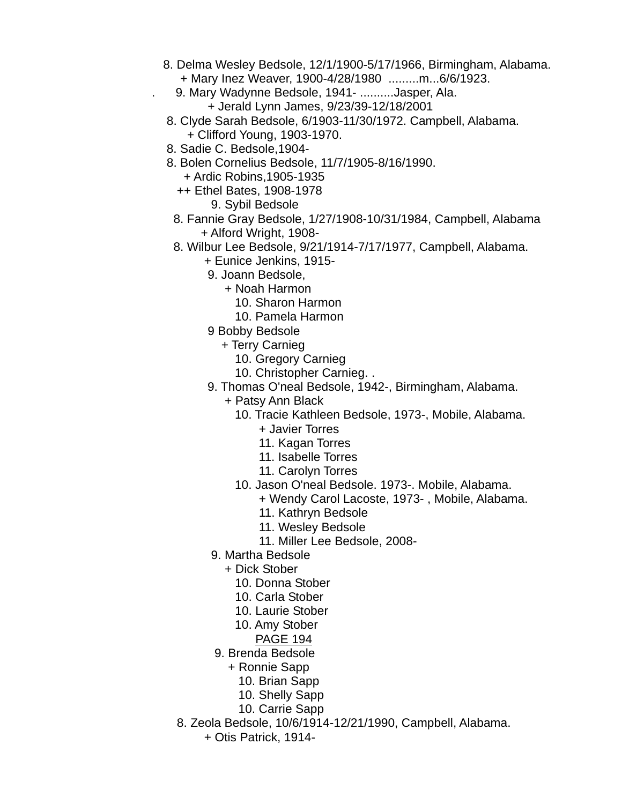- 8. Delma Wesley Bedsole, 12/1/1900-5/17/1966, Birmingham, Alabama. + Mary Inez Weaver, 1900-4/28/1980 .........m...6/6/1923.
	- . 9. Mary Wadynne Bedsole, 1941- ..........Jasper, Ala. + Jerald Lynn James, 9/23/39-12/18/2001
- 8. Clyde Sarah Bedsole, 6/1903-11/30/1972. Campbell, Alabama. + Clifford Young, 1903-1970.
- 8. Sadie C. Bedsole,1904-
- 8. Bolen Cornelius Bedsole, 11/7/1905-8/16/1990.
	- + Ardic Robins,1905-1935
	- ++ Ethel Bates, 1908-1978
		- 9. Sybil Bedsole
	- 8. Fannie Gray Bedsole, 1/27/1908-10/31/1984, Campbell, Alabama + Alford Wright, 1908-
	- 8. Wilbur Lee Bedsole, 9/21/1914-7/17/1977, Campbell, Alabama.
		- + Eunice Jenkins, 1915-
		- 9. Joann Bedsole,
			- + Noah Harmon
				- 10. Sharon Harmon
				- 10. Pamela Harmon
		- 9 Bobby Bedsole
			- + Terry Carnieg
				- 10. Gregory Carnieg
				- 10. Christopher Carnieg. .
		- 9. Thomas O'neal Bedsole, 1942-, Birmingham, Alabama.
			- + Patsy Ann Black
				- 10. Tracie Kathleen Bedsole, 1973-, Mobile, Alabama.
					- + Javier Torres
					- 11. Kagan Torres
					- 11. Isabelle Torres
					- 11. Carolyn Torres
				- 10. Jason O'neal Bedsole. 1973-. Mobile, Alabama.
					- + Wendy Carol Lacoste, 1973- , Mobile, Alabama.
					- 11. Kathryn Bedsole
					- 11. Wesley Bedsole
					- 11. Miller Lee Bedsole, 2008-
			- 9. Martha Bedsole
				- + Dick Stober
					- 10. Donna Stober
					- 10. Carla Stober
					- 10. Laurie Stober
					- 10. Amy Stober
					- PAGE 194
			- 9. Brenda Bedsole
				- + Ronnie Sapp
					- 10. Brian Sapp
					- 10. Shelly Sapp
					- 10. Carrie Sapp
	- 8. Zeola Bedsole, 10/6/1914-12/21/1990, Campbell, Alabama.
		- + Otis Patrick, 1914-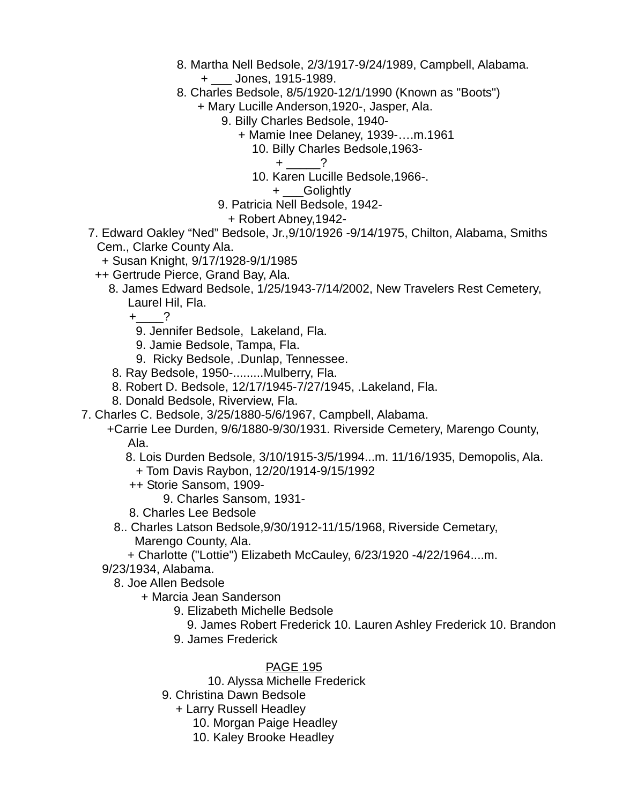- 8. Martha Nell Bedsole, 2/3/1917-9/24/1989, Campbell, Alabama.
	- + \_\_\_ Jones, 1915-1989.
- 8. Charles Bedsole, 8/5/1920-12/1/1990 (Known as "Boots")
	- + Mary Lucille Anderson,1920-, Jasper, Ala.
		- 9. Billy Charles Bedsole, 1940-
			- + Mamie Inee Delaney, 1939-….m.1961
				- 10. Billy Charles Bedsole,1963-
					- $+$  ?
				- 10. Karen Lucille Bedsole,1966-.
					- + Golightly
		- 9. Patricia Nell Bedsole, 1942-
			- + Robert Abney,1942-
- 7. Edward Oakley "Ned" Bedsole, Jr.,9/10/1926 -9/14/1975, Chilton, Alabama, Smiths Cem., Clarke County Ala.
	- + Susan Knight, 9/17/1928-9/1/1985
	- ++ Gertrude Pierce, Grand Bay, Ala.
		- 8. James Edward Bedsole, 1/25/1943-7/14/2002, New Travelers Rest Cemetery, Laurel Hil, Fla.

 $+$   $?$ 

- 9. Jennifer Bedsole, Lakeland, Fla.
- 9. Jamie Bedsole, Tampa, Fla.
- 9. Ricky Bedsole, .Dunlap, Tennessee.
- 8. Ray Bedsole, 1950-.........Mulberry, Fla.
- 8. Robert D. Bedsole, 12/17/1945-7/27/1945, .Lakeland, Fla.
- 8. Donald Bedsole, Riverview, Fla.
- 7. Charles C. Bedsole, 3/25/1880-5/6/1967, Campbell, Alabama.
	- +Carrie Lee Durden, 9/6/1880-9/30/1931. Riverside Cemetery, Marengo County, Ala.
		- 8. Lois Durden Bedsole, 3/10/1915-3/5/1994...m. 11/16/1935, Demopolis, Ala.
			- + Tom Davis Raybon, 12/20/1914-9/15/1992
		- ++ Storie Sansom, 1909-
			- 9. Charles Sansom, 1931-
		- 8. Charles Lee Bedsole
	- 8.. Charles Latson Bedsole,9/30/1912-11/15/1968, Riverside Cemetary, Marengo County, Ala.
	- + Charlotte ("Lottie") Elizabeth McCauley, 6/23/1920 -4/22/1964....m.

9/23/1934, Alabama.

8. Joe Allen Bedsole

- + Marcia Jean Sanderson
	- 9. Elizabeth Michelle Bedsole
		- 9. James Robert Frederick 10. Lauren Ashley Frederick 10. Brandon
	- 9. James Frederick

- 10. Alyssa Michelle Frederick
- 9. Christina Dawn Bedsole
	- + Larry Russell Headley
		- 10. Morgan Paige Headley
		- 10. Kaley Brooke Headley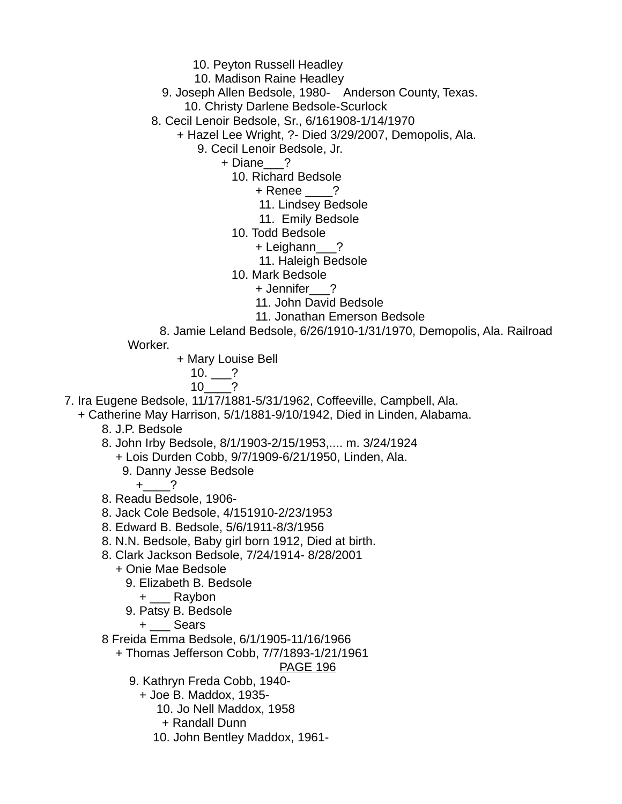- 10. Peyton Russell Headley
- 10. Madison Raine Headley
- 9. Joseph Allen Bedsole, 1980- Anderson County, Texas.
	- 10. Christy Darlene Bedsole-Scurlock
- 8. Cecil Lenoir Bedsole, Sr., 6/161908-1/14/1970
	- + Hazel Lee Wright, ?- Died 3/29/2007, Demopolis, Ala.
		- 9. Cecil Lenoir Bedsole, Jr.

+ Diane ?

- 10. Richard Bedsole
	- + Renee ?
	- 11. Lindsey Bedsole
	- 11. Emily Bedsole
- 10. Todd Bedsole
	- + Leighann\_\_\_?
		- 11. Haleigh Bedsole
- 10. Mark Bedsole
	- + Jennifer\_\_\_?
		- 11. John David Bedsole
		- 11. Jonathan Emerson Bedsole
- 8. Jamie Leland Bedsole, 6/26/1910-1/31/1970, Demopolis, Ala. Railroad Worker.
	- + Mary Louise Bell

$$
10. \t 2
$$

$$
10 \underline{\hspace{1cm}}?
$$

7. Ira Eugene Bedsole, 11/17/1881-5/31/1962, Coffeeville, Campbell, Ala.

+ Catherine May Harrison, 5/1/1881-9/10/1942, Died in Linden, Alabama.

- 8. J.P. Bedsole
- 8. John Irby Bedsole, 8/1/1903-2/15/1953,.... m. 3/24/1924
	- + Lois Durden Cobb, 9/7/1909-6/21/1950, Linden, Ala.
		- 9. Danny Jesse Bedsole

 $+$  ?

- 8. Readu Bedsole, 1906-
- 8. Jack Cole Bedsole, 4/151910-2/23/1953
- 8. Edward B. Bedsole, 5/6/1911-8/3/1956
- 8. N.N. Bedsole, Baby girl born 1912, Died at birth.
- 8. Clark Jackson Bedsole, 7/24/1914- 8/28/2001
	- + Onie Mae Bedsole
		- 9. Elizabeth B. Bedsole
			- + \_\_\_ Raybon
		- 9. Patsy B. Bedsole
			- + \_\_\_ Sears
- 8 Freida Emma Bedsole, 6/1/1905-11/16/1966
	- + Thomas Jefferson Cobb, 7/7/1893-1/21/1961

- 9. Kathryn Freda Cobb, 1940-
	- + Joe B. Maddox, 1935-
		- 10. Jo Nell Maddox, 1958
		- + Randall Dunn
		- 10. John Bentley Maddox, 1961-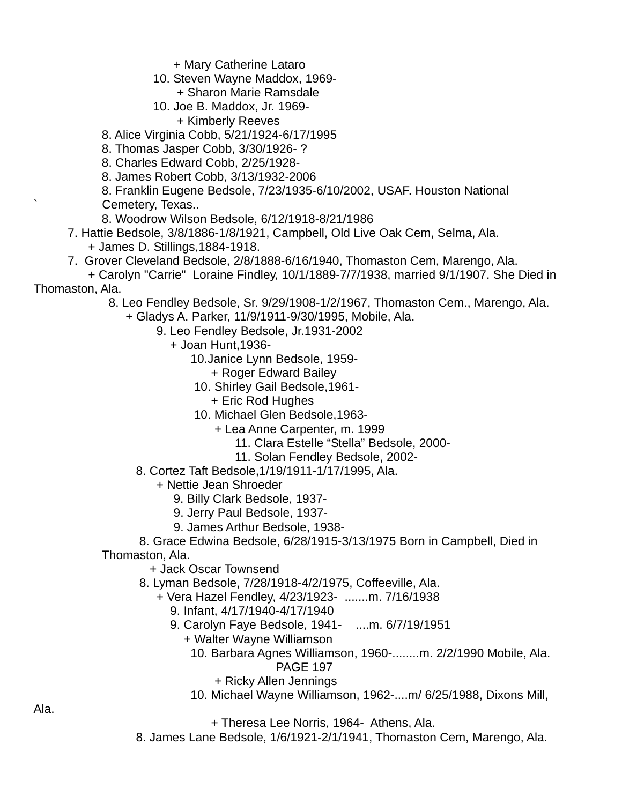+ Mary Catherine Lataro

- 10. Steven Wayne Maddox, 1969-
	- + Sharon Marie Ramsdale
- 10. Joe B. Maddox, Jr. 1969- + Kimberly Reeves
- 8. Alice Virginia Cobb, 5/21/1924-6/17/1995
- 8. Thomas Jasper Cobb, 3/30/1926- ?
- 8. Charles Edward Cobb, 2/25/1928-
- 8. James Robert Cobb, 3/13/1932-2006

 8. Franklin Eugene Bedsole, 7/23/1935-6/10/2002, USAF. Houston National Cemetery, Texas..

- 8. Woodrow Wilson Bedsole, 6/12/1918-8/21/1986
- 7. Hattie Bedsole, 3/8/1886-1/8/1921, Campbell, Old Live Oak Cem, Selma, Ala. + James D. Stillings,1884-1918.
- 7. Grover Cleveland Bedsole, 2/8/1888-6/16/1940, Thomaston Cem, Marengo, Ala.
- + Carolyn "Carrie" Loraine Findley, 10/1/1889-7/7/1938, married 9/1/1907. She Died in Thomaston, Ala.
	- 8. Leo Fendley Bedsole, Sr. 9/29/1908-1/2/1967, Thomaston Cem., Marengo, Ala.
		- + Gladys A. Parker, 11/9/1911-9/30/1995, Mobile, Ala.
			- 9. Leo Fendley Bedsole, Jr.1931-2002
				- + Joan Hunt,1936-
					- 10.Janice Lynn Bedsole, 1959-
						- + Roger Edward Bailey
					- 10. Shirley Gail Bedsole,1961-
						- + Eric Rod Hughes
					- 10. Michael Glen Bedsole,1963-
						- + Lea Anne Carpenter, m. 1999
							- 11. Clara Estelle "Stella" Bedsole, 2000-
							- 11. Solan Fendley Bedsole, 2002-
			- 8. Cortez Taft Bedsole,1/19/1911-1/17/1995, Ala.
				- + Nettie Jean Shroeder
					- 9. Billy Clark Bedsole, 1937-
					- 9. Jerry Paul Bedsole, 1937-
					- 9. James Arthur Bedsole, 1938-
	- 8. Grace Edwina Bedsole, 6/28/1915-3/13/1975 Born in Campbell, Died in Thomaston, Ala.

+ Jack Oscar Townsend

- 8. Lyman Bedsole, 7/28/1918-4/2/1975, Coffeeville, Ala.
	- + Vera Hazel Fendley, 4/23/1923- .......m. 7/16/1938
		- 9. Infant, 4/17/1940-4/17/1940
		- 9. Carolyn Faye Bedsole, 1941- ....m. 6/7/19/1951
			- + Walter Wayne Williamson
				- 10. Barbara Agnes Williamson, 1960-........m. 2/2/1990 Mobile, Ala. PAGE 197
					- + Ricky Allen Jennings
				- 10. Michael Wayne Williamson, 1962-....m/ 6/25/1988, Dixons Mill,
					- + Theresa Lee Norris, 1964- Athens, Ala.
- 8. James Lane Bedsole, 1/6/1921-2/1/1941, Thomaston Cem, Marengo, Ala.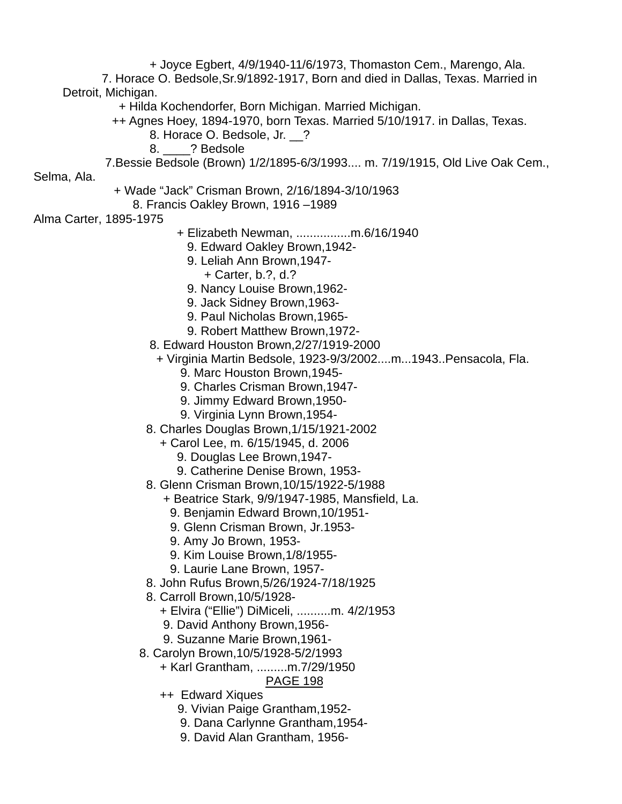+ Joyce Egbert, 4/9/1940-11/6/1973, Thomaston Cem., Marengo, Ala. 7. Horace O. Bedsole,Sr.9/1892-1917, Born and died in Dallas, Texas. Married in Detroit, Michigan. + Hilda Kochendorfer, Born Michigan. Married Michigan.

- ++ Agnes Hoey, 1894-1970, born Texas. Married 5/10/1917. in Dallas, Texas.
	- 8. Horace O. Bedsole, Jr. \_\_?
		- 8. <sup>?</sup> Bedsole

7.Bessie Bedsole (Brown) 1/2/1895-6/3/1993.... m. 7/19/1915, Old Live Oak Cem.,

Selma, Ala.

- + Wade "Jack" Crisman Brown, 2/16/1894-3/10/1963
	- 8. Francis Oakley Brown, 1916 –1989

Alma Carter, 1895-1975

- + Elizabeth Newman, ................m.6/16/1940
	- 9. Edward Oakley Brown,1942-
	- 9. Leliah Ann Brown,1947-
		- + Carter, b.?, d.?
	- 9. Nancy Louise Brown,1962-
	- 9. Jack Sidney Brown,1963-
	- 9. Paul Nicholas Brown,1965-
	- 9. Robert Matthew Brown,1972-
- 8. Edward Houston Brown,2/27/1919-2000
- + Virginia Martin Bedsole, 1923-9/3/2002....m...1943..Pensacola, Fla.
	- 9. Marc Houston Brown,1945-
	- 9. Charles Crisman Brown,1947-
	- 9. Jimmy Edward Brown,1950-
	- 9. Virginia Lynn Brown,1954-
- 8. Charles Douglas Brown,1/15/1921-2002
	- + Carol Lee, m. 6/15/1945, d. 2006
		- 9. Douglas Lee Brown,1947-
		- 9. Catherine Denise Brown, 1953-
- 8. Glenn Crisman Brown,10/15/1922-5/1988
	- + Beatrice Stark, 9/9/1947-1985, Mansfield, La.
		- 9. Benjamin Edward Brown,10/1951-
		- 9. Glenn Crisman Brown, Jr.1953-
		- 9. Amy Jo Brown, 1953-
		- 9. Kim Louise Brown,1/8/1955-
		- 9. Laurie Lane Brown, 1957-
- 8. John Rufus Brown,5/26/1924-7/18/1925
- 8. Carroll Brown,10/5/1928-
	- + Elvira ("Ellie") DiMiceli, ..........m. 4/2/1953
	- 9. David Anthony Brown,1956-
	- 9. Suzanne Marie Brown,1961-
- 8. Carolyn Brown,10/5/1928-5/2/1993

+ Karl Grantham, .........m.7/29/1950

- ++ Edward Xiques
	- 9. Vivian Paige Grantham,1952-
	- 9. Dana Carlynne Grantham,1954-
	- 9. David Alan Grantham, 1956-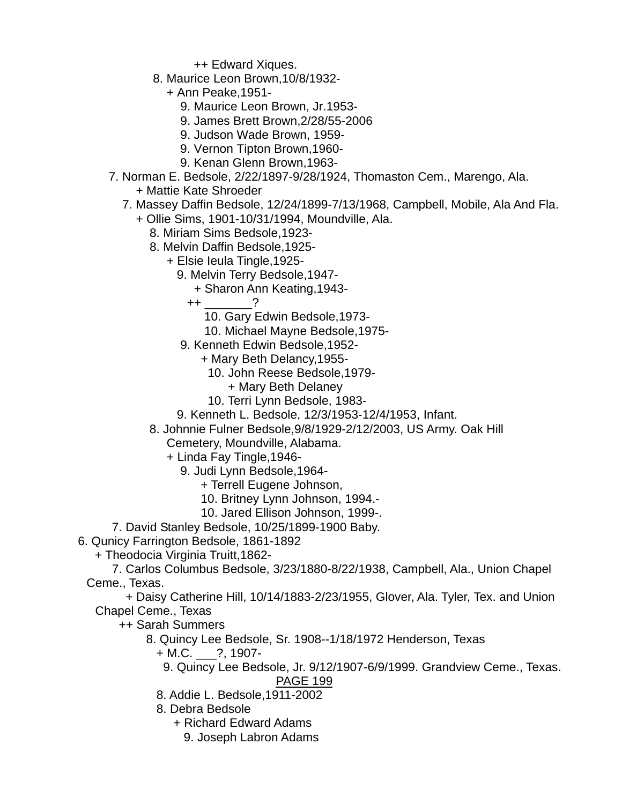++ Edward Xiques.

- 8. Maurice Leon Brown,10/8/1932-
	- + Ann Peake,1951-
		- 9. Maurice Leon Brown, Jr.1953-
		- 9. James Brett Brown,2/28/55-2006
		- 9. Judson Wade Brown, 1959-
		- 9. Vernon Tipton Brown,1960-
		- 9. Kenan Glenn Brown,1963-
- 7. Norman E. Bedsole, 2/22/1897-9/28/1924, Thomaston Cem., Marengo, Ala.
	- + Mattie Kate Shroeder
	- 7. Massey Daffin Bedsole, 12/24/1899-7/13/1968, Campbell, Mobile, Ala And Fla.
		- + Ollie Sims, 1901-10/31/1994, Moundville, Ala.
			- 8. Miriam Sims Bedsole,1923-
			- 8. Melvin Daffin Bedsole,1925-
				- + Elsie Ieula Tingle,1925-
					- 9. Melvin Terry Bedsole,1947-
						- + Sharon Ann Keating,1943-
						- $++$  ?
							- 10. Gary Edwin Bedsole,1973-
							- 10. Michael Mayne Bedsole,1975-
					- 9. Kenneth Edwin Bedsole,1952-
						- + Mary Beth Delancy,1955-
							- 10. John Reese Bedsole,1979-
								- + Mary Beth Delaney
							- 10. Terri Lynn Bedsole, 1983-
					- 9. Kenneth L. Bedsole, 12/3/1953-12/4/1953, Infant.
			- 8. Johnnie Fulner Bedsole,9/8/1929-2/12/2003, US Army. Oak Hill Cemetery, Moundville, Alabama.
				- + Linda Fay Tingle,1946-
					- 9. Judi Lynn Bedsole,1964-
						- + Terrell Eugene Johnson,
						- 10. Britney Lynn Johnson, 1994.-
						- 10. Jared Ellison Johnson, 1999-.
- 7. David Stanley Bedsole, 10/25/1899-1900 Baby.
- 6. Qunicy Farrington Bedsole, 1861-1892
	- + Theodocia Virginia Truitt,1862-
	- 7. Carlos Columbus Bedsole, 3/23/1880-8/22/1938, Campbell, Ala., Union Chapel Ceme., Texas.
		- + Daisy Catherine Hill, 10/14/1883-2/23/1955, Glover, Ala. Tyler, Tex. and Union Chapel Ceme., Texas
			- ++ Sarah Summers
				- 8. Quincy Lee Bedsole, Sr. 1908--1/18/1972 Henderson, Texas
					- + M.C. \_\_\_?, 1907-
					- 9. Quincy Lee Bedsole, Jr. 9/12/1907-6/9/1999. Grandview Ceme., Texas. PAGE 199
					- 8. Addie L. Bedsole,1911-2002
					- 8. Debra Bedsole
						- + Richard Edward Adams
							- 9. Joseph Labron Adams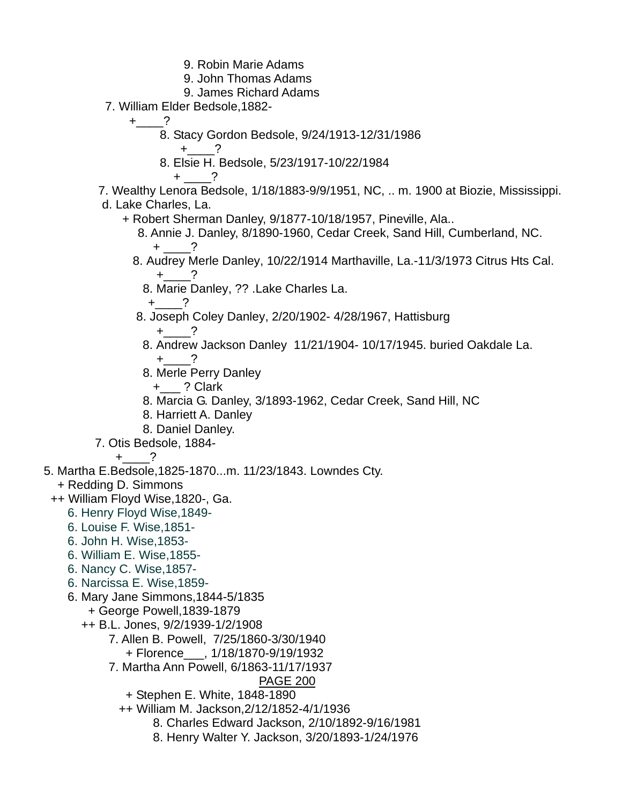- 9. Robin Marie Adams
- 9. John Thomas Adams
- 9. James Richard Adams
- 7. William Elder Bedsole,1882-
	- $+$  ?
		- 8. Stacy Gordon Bedsole, 9/24/1913-12/31/1986
			- $+$  ?
		- 8. Elsie H. Bedsole, 5/23/1917-10/22/1984

+ \_\_\_\_?

 7. Wealthy Lenora Bedsole, 1/18/1883-9/9/1951, NC, .. m. 1900 at Biozie, Mississippi. d. Lake Charles, La.

- + Robert Sherman Danley, 9/1877-10/18/1957, Pineville, Ala..
- 8. Annie J. Danley, 8/1890-1960, Cedar Creek, Sand Hill, Cumberland, NC.  $+$   $-$  ?
	- 8. Audrey Merle Danley, 10/22/1914 Marthaville, La.-11/3/1973 Citrus Hts Cal.  $+$  ?
		- 8. Marie Danley, ?? .Lake Charles La.
	- $+$  ? 8. Joseph Coley Danley, 2/20/1902- 4/28/1967, Hattisburg  $+$  ?
		-
		- 8. Andrew Jackson Danley 11/21/1904- 10/17/1945. buried Oakdale La.  $+$  ?
		- 8. Merle Perry Danley

+\_\_\_ ? Clark

- 8. Marcia G. Danley, 3/1893-1962, Cedar Creek, Sand Hill, NC
- 8. Harriett A. Danley
- 8. Daniel Danley.
- 7. Otis Bedsole, 1884-

 $+$  ?

5. Martha E.Bedsole,1825-1870...m. 11/23/1843. Lowndes Cty.

- + Redding D. Simmons
- ++ William Floyd Wise,1820-, Ga.
	- 6. Henry Floyd Wise,1849-
	- 6. Louise F. Wise,1851-
	- 6. John H. Wise,1853-
	- 6. William E. Wise,1855-
	- 6. Nancy C. Wise,1857-
	- 6. Narcissa E. Wise,1859-
	- 6. Mary Jane Simmons,1844-5/1835
		- + George Powell,1839-1879
		- ++ B.L. Jones, 9/2/1939-1/2/1908
			- 7. Allen B. Powell, 7/25/1860-3/30/1940
				- + Florence\_\_\_, 1/18/1870-9/19/1932
			- 7. Martha Ann Powell, 6/1863-11/17/1937
				- PAGE 200
				- + Stephen E. White, 1848-1890
				- ++ William M. Jackson,2/12/1852-4/1/1936
					- 8. Charles Edward Jackson, 2/10/1892-9/16/1981
					- 8. Henry Walter Y. Jackson, 3/20/1893-1/24/1976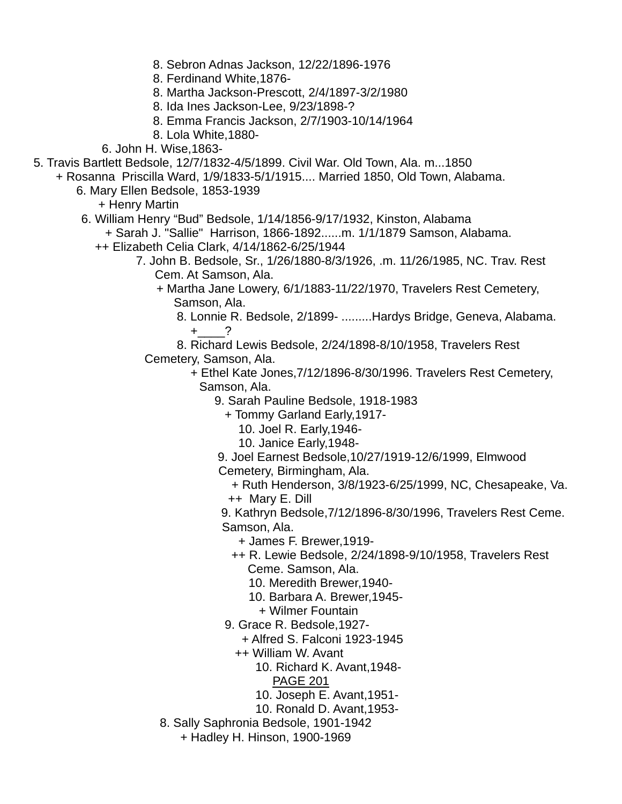- 8. Sebron Adnas Jackson, 12/22/1896-1976
- 8. Ferdinand White,1876-
- 8. Martha Jackson-Prescott, 2/4/1897-3/2/1980
- 8. Ida Ines Jackson-Lee, 9/23/1898-?
- 8. Emma Francis Jackson, 2/7/1903-10/14/1964
- 8. Lola White,1880-
- 6. John H. Wise,1863-
- 5. Travis Bartlett Bedsole, 12/7/1832-4/5/1899. Civil War. Old Town, Ala. m...1850
	- + Rosanna Priscilla Ward, 1/9/1833-5/1/1915.... Married 1850, Old Town, Alabama.
		- 6. Mary Ellen Bedsole, 1853-1939

+ Henry Martin

6. William Henry "Bud" Bedsole, 1/14/1856-9/17/1932, Kinston, Alabama

+ Sarah J. "Sallie" Harrison, 1866-1892......m. 1/1/1879 Samson, Alabama.

- ++ Elizabeth Celia Clark, 4/14/1862-6/25/1944
	- 7. John B. Bedsole, Sr., 1/26/1880-8/3/1926, .m. 11/26/1985, NC. Trav. Rest Cem. At Samson, Ala.
		- + Martha Jane Lowery, 6/1/1883-11/22/1970, Travelers Rest Cemetery, Samson, Ala.
			- 8. Lonnie R. Bedsole, 2/1899- .........Hardys Bridge, Geneva, Alabama.  $+$  ?
		- 8. Richard Lewis Bedsole, 2/24/1898-8/10/1958, Travelers Rest Cemetery, Samson, Ala.
			- + Ethel Kate Jones,7/12/1896-8/30/1996. Travelers Rest Cemetery, Samson, Ala.
				- 9. Sarah Pauline Bedsole, 1918-1983
					- + Tommy Garland Early,1917-
						- 10. Joel R. Early,1946-
						- 10. Janice Early,1948-
				- 9. Joel Earnest Bedsole,10/27/1919-12/6/1999, Elmwood Cemetery, Birmingham, Ala.
					- + Ruth Henderson, 3/8/1923-6/25/1999, NC, Chesapeake, Va.
					- ++ Mary E. Dill
				- 9. Kathryn Bedsole,7/12/1896-8/30/1996, Travelers Rest Ceme. Samson, Ala.
					- + James F. Brewer,1919-
					- ++ R. Lewie Bedsole, 2/24/1898-9/10/1958, Travelers Rest Ceme. Samson, Ala.
						- 10. Meredith Brewer,1940-
						- 10. Barbara A. Brewer,1945-
							- + Wilmer Fountain
				- 9. Grace R. Bedsole,1927-
					- + Alfred S. Falconi 1923-1945
					- ++ William W. Avant
						- 10. Richard K. Avant,1948-
							- PAGE 201
						- 10. Joseph E. Avant,1951-
						- 10. Ronald D. Avant,1953-
			- 8. Sally Saphronia Bedsole, 1901-1942
				- + Hadley H. Hinson, 1900-1969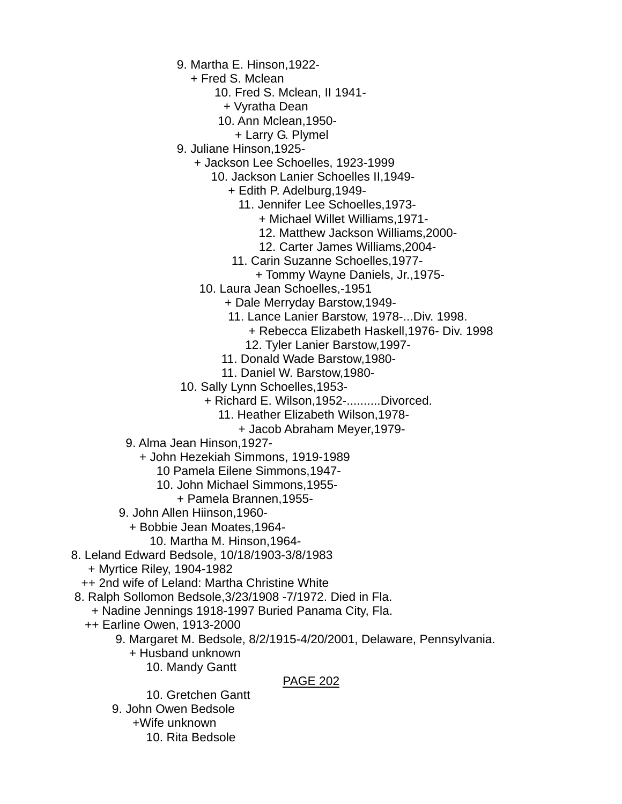- 9. Martha E. Hinson,1922-
	- + Fred S. Mclean
		- 10. Fred S. Mclean, II 1941-
			- + Vyratha Dean
		- 10. Ann Mclean,1950-
			- + Larry G. Plymel
- 9. Juliane Hinson,1925-
	- + Jackson Lee Schoelles, 1923-1999
		- 10. Jackson Lanier Schoelles II,1949-
			- + Edith P. Adelburg,1949-
				- 11. Jennifer Lee Schoelles,1973-
					- + Michael Willet Williams,1971-
					- 12. Matthew Jackson Williams,2000-
					- 12. Carter James Williams,2004-
			- 11. Carin Suzanne Schoelles,1977-
				- + Tommy Wayne Daniels, Jr.,1975-
		- 10. Laura Jean Schoelles,-1951
			- + Dale Merryday Barstow,1949-
			- 11. Lance Lanier Barstow, 1978-...Div. 1998. + Rebecca Elizabeth Haskell,1976- Div. 1998
				- 12. Tyler Lanier Barstow,1997-
				-
			- 11. Donald Wade Barstow,1980-
			- 11. Daniel W. Barstow,1980-
- 10. Sally Lynn Schoelles,1953-
	- + Richard E. Wilson,1952-..........Divorced.
		- 11. Heather Elizabeth Wilson,1978-
			- + Jacob Abraham Meyer,1979-
- 9. Alma Jean Hinson,1927-
	- + John Hezekiah Simmons, 1919-1989
		- 10 Pamela Eilene Simmons,1947-
		- 10. John Michael Simmons,1955-
			- + Pamela Brannen,1955-
- 9. John Allen Hiinson,1960-
	- + Bobbie Jean Moates,1964-
		- 10. Martha M. Hinson,1964-
- 8. Leland Edward Bedsole, 10/18/1903-3/8/1983
	- + Myrtice Riley, 1904-1982
	- ++ 2nd wife of Leland: Martha Christine White
- 8. Ralph Sollomon Bedsole,3/23/1908 -7/1972. Died in Fla.
	- + Nadine Jennings 1918-1997 Buried Panama City, Fla.
	- ++ Earline Owen, 1913-2000
		- 9. Margaret M. Bedsole, 8/2/1915-4/20/2001, Delaware, Pennsylvania.
			- + Husband unknown
				- 10. Mandy Gantt

#### PAGE 202

 10. Gretchen Gantt 9. John Owen Bedsole +Wife unknown 10. Rita Bedsole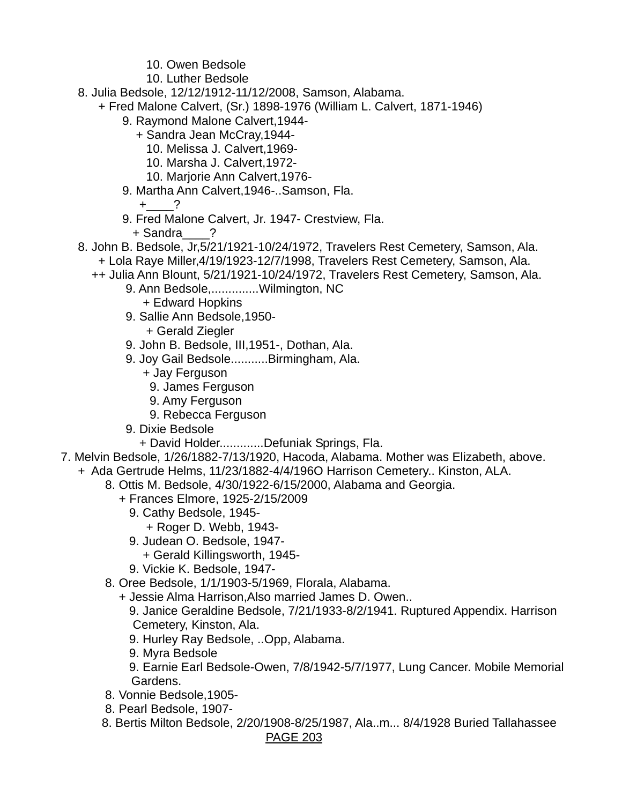- 10. Owen Bedsole
- 10. Luther Bedsole
- 8. Julia Bedsole, 12/12/1912-11/12/2008, Samson, Alabama.
	- + Fred Malone Calvert, (Sr.) 1898-1976 (William L. Calvert, 1871-1946)
		- 9. Raymond Malone Calvert,1944-
			- + Sandra Jean McCray,1944-
				- 10. Melissa J. Calvert,1969-
				- 10. Marsha J. Calvert,1972-
				- 10. Marjorie Ann Calvert,1976-
		- 9. Martha Ann Calvert,1946-..Samson, Fla.

 $+$  ?

- 9. Fred Malone Calvert, Jr. 1947- Crestview, Fla.
	- + Sandra\_\_\_\_?
- 8. John B. Bedsole, Jr,5/21/1921-10/24/1972, Travelers Rest Cemetery, Samson, Ala.
	- + Lola Raye Miller,4/19/1923-12/7/1998, Travelers Rest Cemetery, Samson, Ala.
	- ++ Julia Ann Blount, 5/21/1921-10/24/1972, Travelers Rest Cemetery, Samson, Ala.
		- 9. Ann Bedsole,..............Wilmington, NC
			- + Edward Hopkins
		- 9. Sallie Ann Bedsole,1950- + Gerald Ziegler
		- 9. John B. Bedsole, III,1951-, Dothan, Ala.
		- 9. Joy Gail Bedsole...........Birmingham, Ala.
			- + Jay Ferguson
				- 9. James Ferguson
			- 9. Amy Ferguson
			- 9. Rebecca Ferguson
		- 9. Dixie Bedsole
			- + David Holder.............Defuniak Springs, Fla.
- 7. Melvin Bedsole, 1/26/1882-7/13/1920, Hacoda, Alabama. Mother was Elizabeth, above.
	- + Ada Gertrude Helms, 11/23/1882-4/4/196O Harrison Cemetery.. Kinston, ALA.
		- 8. Ottis M. Bedsole, 4/30/1922-6/15/2000, Alabama and Georgia.
			- + Frances Elmore, 1925-2/15/2009
				- 9. Cathy Bedsole, 1945-
				- + Roger D. Webb, 1943-
				- 9. Judean O. Bedsole, 1947-
					- + Gerald Killingsworth, 1945-
				- 9. Vickie K. Bedsole, 1947-
		- 8. Oree Bedsole, 1/1/1903-5/1969, Florala, Alabama.
			- + Jessie Alma Harrison,Also married James D. Owen..
				- 9. Janice Geraldine Bedsole, 7/21/1933-8/2/1941. Ruptured Appendix. Harrison Cemetery, Kinston, Ala.
				- 9. Hurley Ray Bedsole, ..Opp, Alabama.
				- 9. Myra Bedsole
				- 9. Earnie Earl Bedsole-Owen, 7/8/1942-5/7/1977, Lung Cancer. Mobile Memorial Gardens.
		- 8. Vonnie Bedsole,1905-
		- 8. Pearl Bedsole, 1907-
		- 8. Bertis Milton Bedsole, 2/20/1908-8/25/1987, Ala..m... 8/4/1928 Buried Tallahassee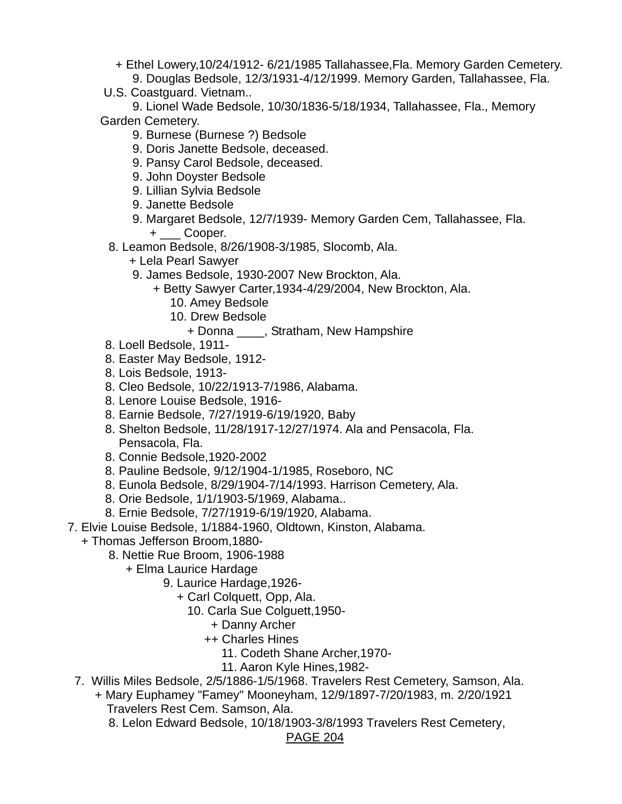- + Ethel Lowery,10/24/1912- 6/21/1985 Tallahassee,Fla. Memory Garden Cemetery.
- 9. Douglas Bedsole, 12/3/1931-4/12/1999. Memory Garden, Tallahassee, Fla.
- U.S. Coastguard. Vietnam..
- 9. Lionel Wade Bedsole, 10/30/1836-5/18/1934, Tallahassee, Fla., Memory Garden Cemetery.
	- 9. Burnese (Burnese ?) Bedsole
	- 9. Doris Janette Bedsole, deceased.
	- 9. Pansy Carol Bedsole, deceased.
	- 9. John Doyster Bedsole
	- 9. Lillian Sylvia Bedsole
	- 9. Janette Bedsole
	- 9. Margaret Bedsole, 12/7/1939- Memory Garden Cem, Tallahassee, Fla. + \_\_\_ Cooper.
	- 8. Leamon Bedsole, 8/26/1908-3/1985, Slocomb, Ala.
		- + Lela Pearl Sawyer
		- 9. James Bedsole, 1930-2007 New Brockton, Ala.
			- + Betty Sawyer Carter,1934-4/29/2004, New Brockton, Ala.
				- 10. Amey Bedsole
				- 10. Drew Bedsole
					- + Donna \_\_\_\_, Stratham, New Hampshire
- 8. Loell Bedsole, 1911-
- 8. Easter May Bedsole, 1912-
- 8. Lois Bedsole, 1913-
- 8. Cleo Bedsole, 10/22/1913-7/1986, Alabama.
- 8. Lenore Louise Bedsole, 1916-
- 8. Earnie Bedsole, 7/27/1919-6/19/1920, Baby
- 8. Shelton Bedsole, 11/28/1917-12/27/1974. Ala and Pensacola, Fla. Pensacola, Fla.
- 8. Connie Bedsole,1920-2002
- 8. Pauline Bedsole, 9/12/1904-1/1985, Roseboro, NC
- 8. Eunola Bedsole, 8/29/1904-7/14/1993. Harrison Cemetery, Ala.
- 8. Orie Bedsole, 1/1/1903-5/1969, Alabama..
- 8. Ernie Bedsole, 7/27/1919-6/19/1920, Alabama.
- 7. Elvie Louise Bedsole, 1/1884-1960, Oldtown, Kinston, Alabama.
	- + Thomas Jefferson Broom,1880-
		- 8. Nettie Rue Broom, 1906-1988
			- + Elma Laurice Hardage
				- 9. Laurice Hardage,1926-
					- + Carl Colquett, Opp, Ala.
						- 10. Carla Sue Colguett,1950-
							- + Danny Archer
							- ++ Charles Hines
								- 11. Codeth Shane Archer,1970-
								- 11. Aaron Kyle Hines,1982-
	- 7. Willis Miles Bedsole, 2/5/1886-1/5/1968. Travelers Rest Cemetery, Samson, Ala.
		- + Mary Euphamey "Famey" Mooneyham, 12/9/1897-7/20/1983, m. 2/20/1921 Travelers Rest Cem. Samson, Ala.
			- 8. Lelon Edward Bedsole, 10/18/1903-3/8/1993 Travelers Rest Cemetery,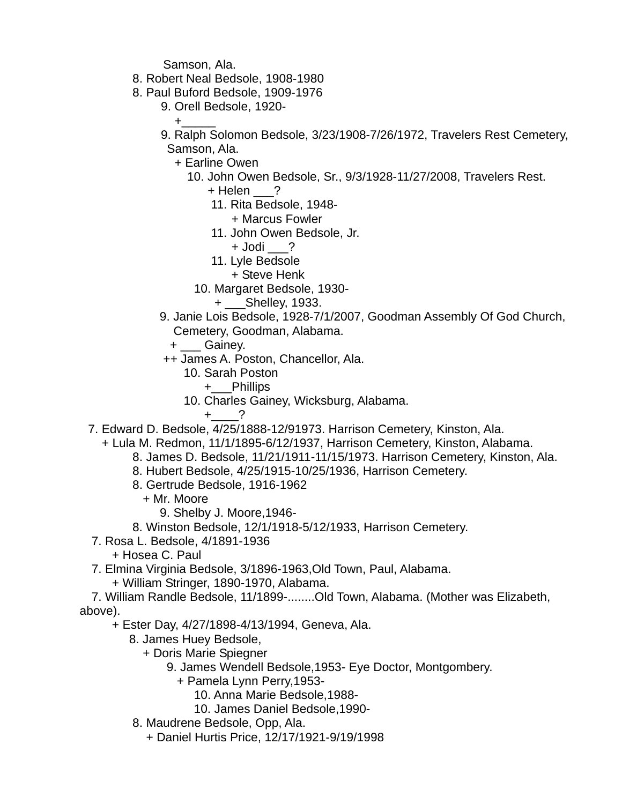Samson, Ala.

- 8. Robert Neal Bedsole, 1908-1980
- 8. Paul Buford Bedsole, 1909-1976
	- 9. Orell Bedsole, 1920-
- +\_\_\_\_\_ 9. Ralph Solomon Bedsole, 3/23/1908-7/26/1972, Travelers Rest Cemetery,
	- Samson, Ala.

+ Earline Owen

10. John Owen Bedsole, Sr., 9/3/1928-11/27/2008, Travelers Rest.

+ Helen ?

- 11. Rita Bedsole, 1948-
	- + Marcus Fowler
- 11. John Owen Bedsole, Jr.
	- + Jodi \_\_\_?
- 11. Lyle Bedsole
	- + Steve Henk
- 10. Margaret Bedsole, 1930-
	- + \_\_\_Shelley, 1933.
- 9. Janie Lois Bedsole, 1928-7/1/2007, Goodman Assembly Of God Church, Cemetery, Goodman, Alabama.
	- + Gainey.
- ++ James A. Poston, Chancellor, Ala.
	- 10. Sarah Poston
		- +\_\_\_Phillips
	- 10. Charles Gainey, Wicksburg, Alabama.
		- $+$  ?
- 7. Edward D. Bedsole, 4/25/1888-12/91973. Harrison Cemetery, Kinston, Ala.
	- + Lula M. Redmon, 11/1/1895-6/12/1937, Harrison Cemetery, Kinston, Alabama.
		- 8. James D. Bedsole, 11/21/1911-11/15/1973. Harrison Cemetery, Kinston, Ala.
		- 8. Hubert Bedsole, 4/25/1915-10/25/1936, Harrison Cemetery.
		- 8. Gertrude Bedsole, 1916-1962
			- + Mr. Moore
				- 9. Shelby J. Moore,1946-
		- 8. Winston Bedsole, 12/1/1918-5/12/1933, Harrison Cemetery.
- 7. Rosa L. Bedsole, 4/1891-1936
	- + Hosea C. Paul
- 7. Elmina Virginia Bedsole, 3/1896-1963,Old Town, Paul, Alabama.
	- + William Stringer, 1890-1970, Alabama.

 7. William Randle Bedsole, 11/1899-........Old Town, Alabama. (Mother was Elizabeth, above).

- + Ester Day, 4/27/1898-4/13/1994, Geneva, Ala.
	- 8. James Huey Bedsole,
		- + Doris Marie Spiegner
			- 9. James Wendell Bedsole,1953- Eye Doctor, Montgombery.
				- + Pamela Lynn Perry,1953-
					- 10. Anna Marie Bedsole,1988-
					- 10. James Daniel Bedsole,1990-
	- 8. Maudrene Bedsole, Opp, Ala.
		- + Daniel Hurtis Price, 12/17/1921-9/19/1998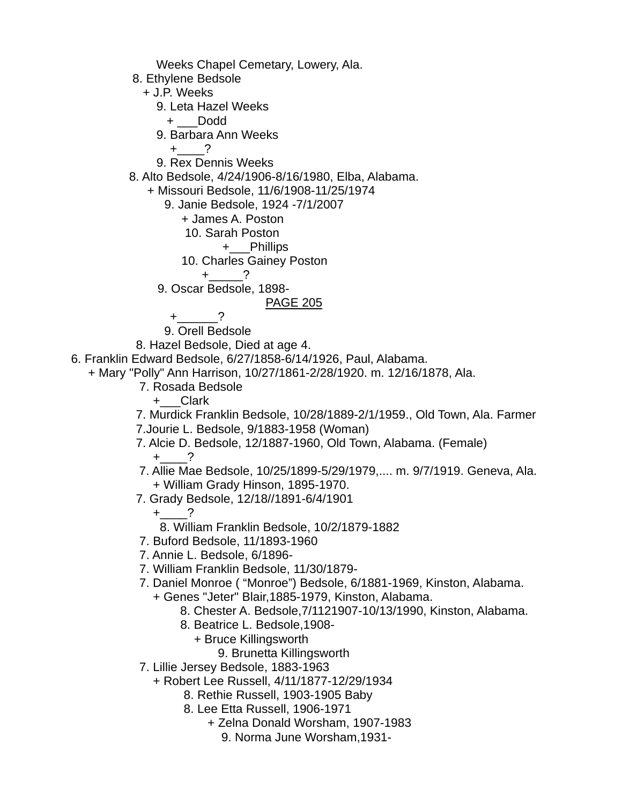Weeks Chapel Cemetary, Lowery, Ala. 8. Ethylene Bedsole + J.P. Weeks 9. Leta Hazel Weeks + \_\_\_Dodd 9. Barbara Ann Weeks  $+$  ? 9. Rex Dennis Weeks 8. Alto Bedsole, 4/24/1906-8/16/1980, Elba, Alabama. + Missouri Bedsole, 11/6/1908-11/25/1974 9. Janie Bedsole, 1924 -7/1/2007 + James A. Poston 10. Sarah Poston +\_\_\_Phillips 10. Charles Gainey Poston  $+$  ? 9. Oscar Bedsole, 1898- PAGE 205  $+$  ? 9. Orell Bedsole 8. Hazel Bedsole, Died at age 4. 6. Franklin Edward Bedsole, 6/27/1858-6/14/1926, Paul, Alabama. + Mary "Polly" Ann Harrison, 10/27/1861-2/28/1920. m. 12/16/1878, Ala. 7. Rosada Bedsole +\_\_\_Clark 7. Murdick Franklin Bedsole, 10/28/1889-2/1/1959., Old Town, Ala. Farmer 7.Jourie L. Bedsole, 9/1883-1958 (Woman) 7. Alcie D. Bedsole, 12/1887-1960, Old Town, Alabama. (Female)  $+$  ? 7. Allie Mae Bedsole, 10/25/1899-5/29/1979,.... m. 9/7/1919. Geneva, Ala. + William Grady Hinson, 1895-1970. 7. Grady Bedsole, 12/18//1891-6/4/1901  $+$  ? 8. William Franklin Bedsole, 10/2/1879-1882 7. Buford Bedsole, 11/1893-1960 7. Annie L. Bedsole, 6/1896- 7. William Franklin Bedsole, 11/30/1879- 7. Daniel Monroe ( "Monroe") Bedsole, 6/1881-1969, Kinston, Alabama. + Genes "Jeter" Blair,1885-1979, Kinston, Alabama. 8. Chester A. Bedsole,7/1121907-10/13/1990, Kinston, Alabama. 8. Beatrice L. Bedsole,1908- + Bruce Killingsworth 9. Brunetta Killingsworth 7. Lillie Jersey Bedsole, 1883-1963 + Robert Lee Russell, 4/11/1877-12/29/1934 8. Rethie Russell, 1903-1905 Baby 8. Lee Etta Russell, 1906-1971 + Zelna Donald Worsham, 1907-1983

9. Norma June Worsham,1931-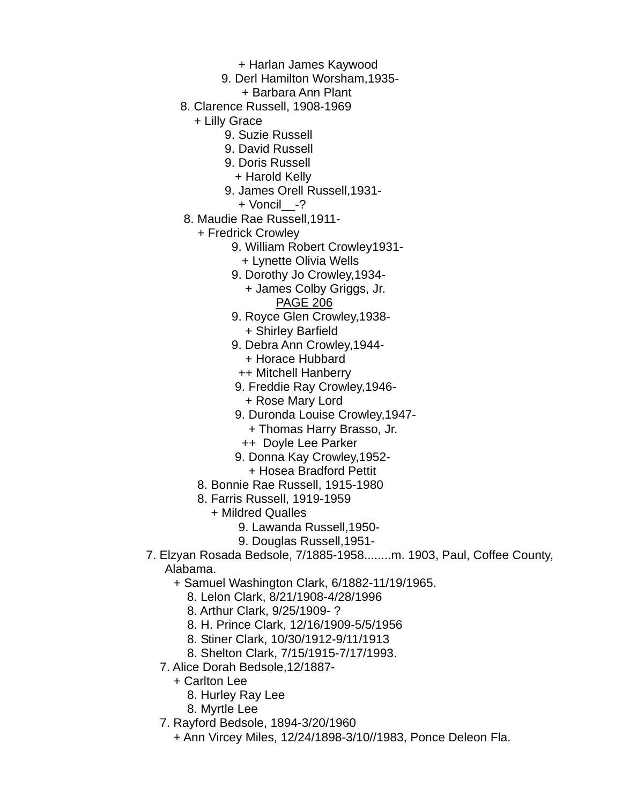- + Harlan James Kaywood
- 9. Derl Hamilton Worsham,1935-
	- + Barbara Ann Plant
- 8. Clarence Russell, 1908-1969
	- + Lilly Grace
		- 9. Suzie Russell
		- 9. David Russell
		- 9. Doris Russell
			- + Harold Kelly
		- 9. James Orell Russell,1931-
			- + Voncil\_\_-?
- 8. Maudie Rae Russell,1911-
	- + Fredrick Crowley
		- 9. William Robert Crowley1931-
			- + Lynette Olivia Wells
		- 9. Dorothy Jo Crowley,1934-
			- + James Colby Griggs, Jr. PAGE 206
		- 9. Royce Glen Crowley,1938- + Shirley Barfield
		- 9. Debra Ann Crowley,1944- + Horace Hubbard
			- ++ Mitchell Hanberry
		- 9. Freddie Ray Crowley,1946- + Rose Mary Lord
		- 9. Duronda Louise Crowley,1947-
			- + Thomas Harry Brasso, Jr.
			- ++ Doyle Lee Parker
		- 9. Donna Kay Crowley,1952-
		- + Hosea Bradford Pettit
	- 8. Bonnie Rae Russell, 1915-1980
	- 8. Farris Russell, 1919-1959
		- + Mildred Qualles
			- 9. Lawanda Russell,1950-
			- 9. Douglas Russell,1951-
- 7. Elzyan Rosada Bedsole, 7/1885-1958........m. 1903, Paul, Coffee County, Alabama.
	- + Samuel Washington Clark, 6/1882-11/19/1965.
		- 8. Lelon Clark, 8/21/1908-4/28/1996
		- 8. Arthur Clark, 9/25/1909- ?
		- 8. H. Prince Clark, 12/16/1909-5/5/1956
		- 8. Stiner Clark, 10/30/1912-9/11/1913
		- 8. Shelton Clark, 7/15/1915-7/17/1993.
	- 7. Alice Dorah Bedsole,12/1887-
		- + Carlton Lee
			- 8. Hurley Ray Lee
			- 8. Myrtle Lee
	- 7. Rayford Bedsole, 1894-3/20/1960
		- + Ann Vircey Miles, 12/24/1898-3/10//1983, Ponce Deleon Fla.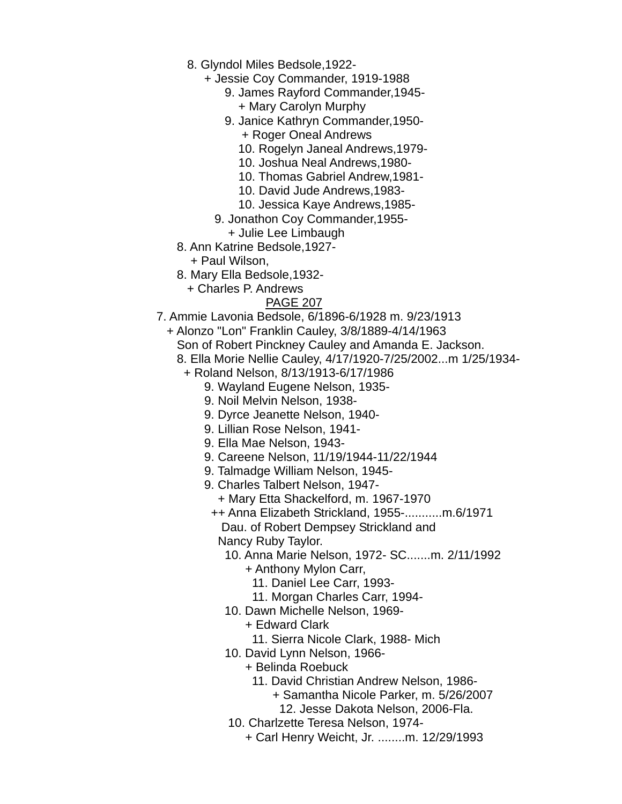- 8. Glyndol Miles Bedsole,1922-
	- + Jessie Coy Commander, 1919-1988
		- 9. James Rayford Commander,1945-
			- + Mary Carolyn Murphy
		- 9. Janice Kathryn Commander,1950- + Roger Oneal Andrews
			- 10. Rogelyn Janeal Andrews,1979-
			- 10. Joshua Neal Andrews,1980-
			- 10. Thomas Gabriel Andrew,1981-
			- 10. David Jude Andrews,1983-
			- 10. Jessica Kaye Andrews,1985-
		- 9. Jonathon Coy Commander,1955-
		- + Julie Lee Limbaugh
- 8. Ann Katrine Bedsole,1927-
	- + Paul Wilson,
- 8. Mary Ella Bedsole,1932-
	- + Charles P. Andrews

- 7. Ammie Lavonia Bedsole, 6/1896-6/1928 m. 9/23/1913
	- + Alonzo "Lon" Franklin Cauley, 3/8/1889-4/14/1963
		- Son of Robert Pinckney Cauley and Amanda E. Jackson.
		- 8. Ella Morie Nellie Cauley, 4/17/1920-7/25/2002...m 1/25/1934-
			- + Roland Nelson, 8/13/1913-6/17/1986
				- 9. Wayland Eugene Nelson, 1935-
				- 9. Noil Melvin Nelson, 1938-
				- 9. Dyrce Jeanette Nelson, 1940-
				- 9. Lillian Rose Nelson, 1941-
				- 9. Ella Mae Nelson, 1943-
				- 9. Careene Nelson, 11/19/1944-11/22/1944
				- 9. Talmadge William Nelson, 1945-
				- 9. Charles Talbert Nelson, 1947-
					- + Mary Etta Shackelford, m. 1967-1970
					- ++ Anna Elizabeth Strickland, 1955-...........m.6/1971 Dau. of Robert Dempsey Strickland and Nancy Ruby Taylor.
						- 10. Anna Marie Nelson, 1972- SC.......m. 2/11/1992
							- + Anthony Mylon Carr,
								- 11. Daniel Lee Carr, 1993-
								- 11. Morgan Charles Carr, 1994-
						- 10. Dawn Michelle Nelson, 1969-
							- + Edward Clark
							- 11. Sierra Nicole Clark, 1988- Mich
						- 10. David Lynn Nelson, 1966-
							- + Belinda Roebuck
								- 11. David Christian Andrew Nelson, 1986-
									- + Samantha Nicole Parker, m. 5/26/2007
										- 12. Jesse Dakota Nelson, 2006-Fla.
						- 10. Charlzette Teresa Nelson, 1974-
							- + Carl Henry Weicht, Jr. ........m. 12/29/1993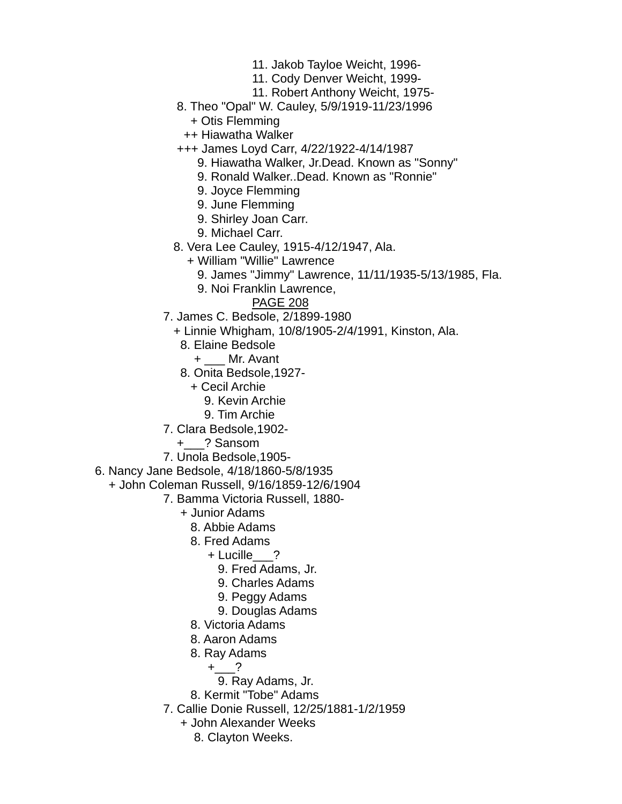- 11. Jakob Tayloe Weicht, 1996-
- 11. Cody Denver Weicht, 1999-
- 11. Robert Anthony Weicht, 1975-
- 8. Theo "Opal" W. Cauley, 5/9/1919-11/23/1996
	- + Otis Flemming
	- ++ Hiawatha Walker
- +++ James Loyd Carr, 4/22/1922-4/14/1987
	- 9. Hiawatha Walker, Jr.Dead. Known as "Sonny"
	- 9. Ronald Walker..Dead. Known as "Ronnie"
	- 9. Joyce Flemming
	- 9. June Flemming
	- 9. Shirley Joan Carr.
	- 9. Michael Carr.
- 8. Vera Lee Cauley, 1915-4/12/1947, Ala.
	- + William "Willie" Lawrence
		- 9. James "Jimmy" Lawrence, 11/11/1935-5/13/1985, Fla.
		- 9. Noi Franklin Lawrence,
			- PAGE 208
- 7. James C. Bedsole, 2/1899-1980
	- + Linnie Whigham, 10/8/1905-2/4/1991, Kinston, Ala.
		- 8. Elaine Bedsole
			- + \_\_\_ Mr. Avant
		- 8. Onita Bedsole,1927-
			- + Cecil Archie
				- 9. Kevin Archie
				- 9. Tim Archie
- 7. Clara Bedsole,1902-
	- +\_\_\_? Sansom
- 7. Unola Bedsole,1905-
- 6. Nancy Jane Bedsole, 4/18/1860-5/8/1935
	- + John Coleman Russell, 9/16/1859-12/6/1904
		- 7. Bamma Victoria Russell, 1880-
			- + Junior Adams
				- 8. Abbie Adams
				- 8. Fred Adams
					- + Lucille\_\_\_?
						- 9. Fred Adams, Jr.
						- 9. Charles Adams
						- 9. Peggy Adams
						- 9. Douglas Adams
				- 8. Victoria Adams
				- 8. Aaron Adams
				- 8. Ray Adams
					- $+$  ?
					- 9. Ray Adams, Jr.
				- 8. Kermit "Tobe" Adams
			- 7. Callie Donie Russell, 12/25/1881-1/2/1959
				- + John Alexander Weeks
					- 8. Clayton Weeks.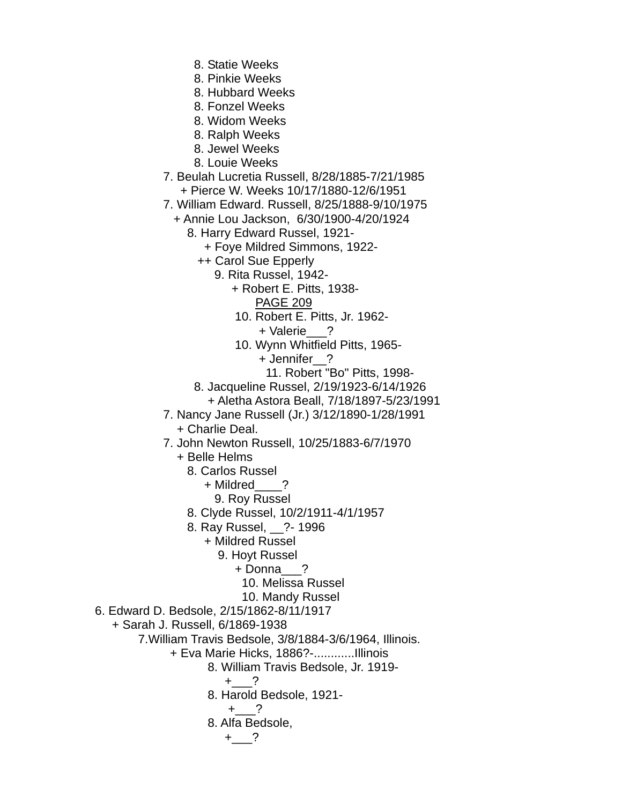- 8. Statie Weeks
- 8. Pinkie Weeks
- 8. Hubbard Weeks
- 8. Fonzel Weeks
- 8. Widom Weeks
- 8. Ralph Weeks
- 8. Jewel Weeks
- 8. Louie Weeks
- 7. Beulah Lucretia Russell, 8/28/1885-7/21/1985 + Pierce W. Weeks 10/17/1880-12/6/1951
- 7. William Edward. Russell, 8/25/1888-9/10/1975
	- + Annie Lou Jackson, 6/30/1900-4/20/1924
		- 8. Harry Edward Russel, 1921-
			- + Foye Mildred Simmons, 1922-
			- ++ Carol Sue Epperly
				- 9. Rita Russel, 1942-
					- + Robert E. Pitts, 1938- PAGE 209
					- 10. Robert E. Pitts, Jr. 1962- + Valerie\_\_\_?
					- 10. Wynn Whitfield Pitts, 1965-
						- + Jennifer\_\_?
							- 11. Robert "Bo" Pitts, 1998-
			- 8. Jacqueline Russel, 2/19/1923-6/14/1926
		- + Aletha Astora Beall, 7/18/1897-5/23/1991
- 7. Nancy Jane Russell (Jr.) 3/12/1890-1/28/1991
	- + Charlie Deal.
- 7. John Newton Russell, 10/25/1883-6/7/1970
	- + Belle Helms
		- 8. Carlos Russel
			- + Mildred ?
			- 9. Roy Russel
		- 8. Clyde Russel, 10/2/1911-4/1/1957
		- 8. Ray Russel, \_\_?- 1996
			- + Mildred Russel
				- 9. Hoyt Russel
					- + Donna\_\_\_?
						- 10. Melissa Russel
						- 10. Mandy Russel
- 6. Edward D. Bedsole, 2/15/1862-8/11/1917
	- + Sarah J. Russell, 6/1869-1938
		- 7.William Travis Bedsole, 3/8/1884-3/6/1964, Illinois.
			- + Eva Marie Hicks, 1886?-............Illinois
				- 8. William Travis Bedsole, Jr. 1919-
					- $+$  ?
				- 8. Harold Bedsole, 1921-

$$
+\underline{\hspace{1cm}}?
$$

8. Alfa Bedsole,

$$
+\underline{\hspace{1cm}}?
$$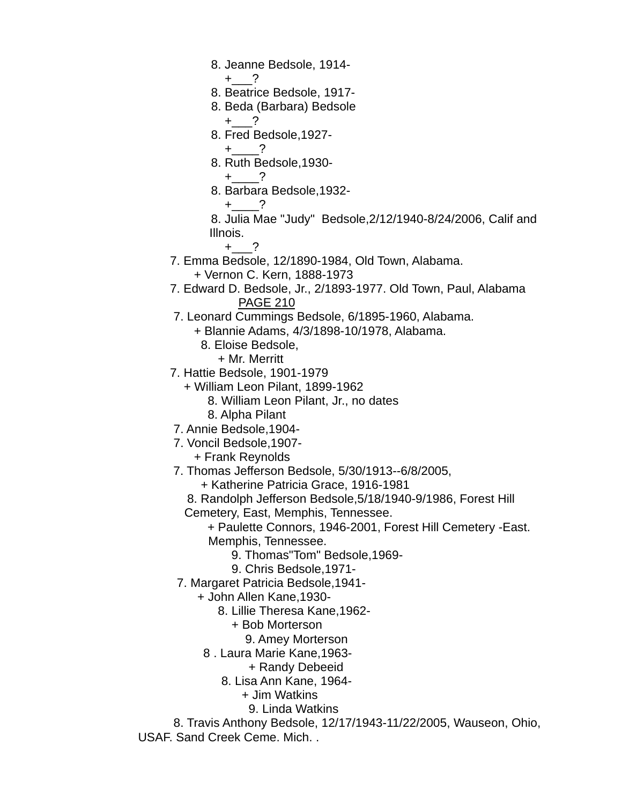- 8. Jeanne Bedsole, 1914-
	- $+$  ?
- 8. Beatrice Bedsole, 1917-
- 8. Beda (Barbara) Bedsole  $+$  ?
- 8. Fred Bedsole,1927-
	- $+$  ?
- 8. Ruth Bedsole,1930-
	- $+$   $-$ ?
- 8. Barbara Bedsole,1932-
- $+$  2

 8. Julia Mae "Judy" Bedsole,2/12/1940-8/24/2006, Calif and Illnois.

- $+$   $-$ ?
	- 7. Emma Bedsole, 12/1890-1984, Old Town, Alabama.
		- + Vernon C. Kern, 1888-1973
	- 7. Edward D. Bedsole, Jr., 2/1893-1977. Old Town, Paul, Alabama PAGE 210
	- 7. Leonard Cummings Bedsole, 6/1895-1960, Alabama.
		- + Blannie Adams, 4/3/1898-10/1978, Alabama.
			- 8. Eloise Bedsole,
				- + Mr. Merritt
	- 7. Hattie Bedsole, 1901-1979
		- + William Leon Pilant, 1899-1962
			- 8. William Leon Pilant, Jr., no dates
			- 8. Alpha Pilant
	- 7. Annie Bedsole,1904-
	- 7. Voncil Bedsole,1907-
		- + Frank Reynolds
	- 7. Thomas Jefferson Bedsole, 5/30/1913--6/8/2005,
		- + Katherine Patricia Grace, 1916-1981
		- 8. Randolph Jefferson Bedsole,5/18/1940-9/1986, Forest Hill
		- Cemetery, East, Memphis, Tennessee.
			- + Paulette Connors, 1946-2001, Forest Hill Cemetery -East. Memphis, Tennessee.
				- 9. Thomas"Tom" Bedsole,1969-
				- 9. Chris Bedsole,1971-
	- 7. Margaret Patricia Bedsole,1941-
		- + John Allen Kane,1930-
			- 8. Lillie Theresa Kane,1962-
				- + Bob Morterson
				- 9. Amey Morterson
		- 8 . Laura Marie Kane,1963-
			- + Randy Debeeid
			- 8. Lisa Ann Kane, 1964-
				- + Jim Watkins
				- 9. Linda Watkins

 8. Travis Anthony Bedsole, 12/17/1943-11/22/2005, Wauseon, Ohio, USAF. Sand Creek Ceme. Mich. .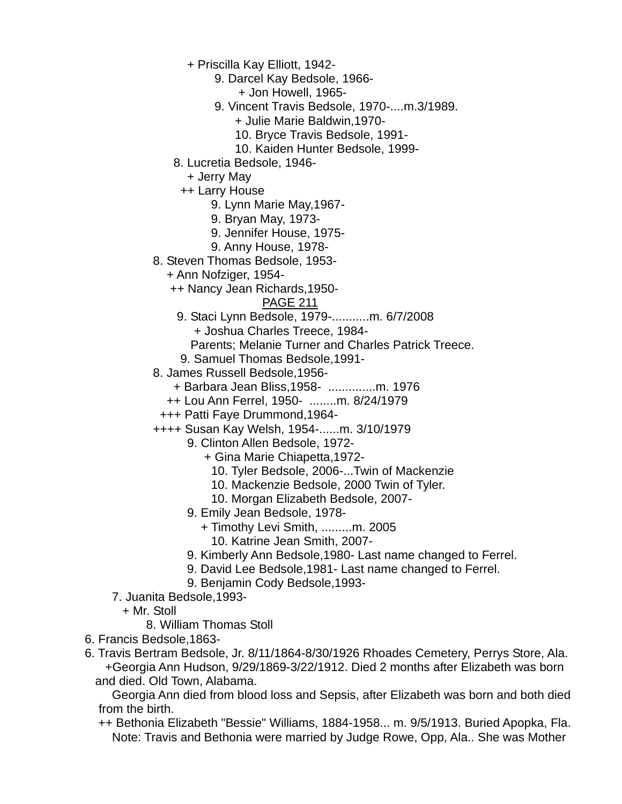+ Priscilla Kay Elliott, 1942-

9. Darcel Kay Bedsole, 1966-

+ Jon Howell, 1965-

- 9. Vincent Travis Bedsole, 1970-....m.3/1989.
	- + Julie Marie Baldwin,1970-
	- 10. Bryce Travis Bedsole, 1991-
	- 10. Kaiden Hunter Bedsole, 1999-
- 8. Lucretia Bedsole, 1946-
	- + Jerry May

++ Larry House

- 9. Lynn Marie May,1967-
- 9. Bryan May, 1973-
- 9. Jennifer House, 1975-
- 9. Anny House, 1978-
- 8. Steven Thomas Bedsole, 1953-
	- + Ann Nofziger, 1954-
	- ++ Nancy Jean Richards,1950-

### PAGE 211

9. Staci Lynn Bedsole, 1979-...........m. 6/7/2008

+ Joshua Charles Treece, 1984-

- Parents; Melanie Turner and Charles Patrick Treece.
- 9. Samuel Thomas Bedsole,1991-
- 8. James Russell Bedsole,1956-
	- + Barbara Jean Bliss,1958- ..............m. 1976
	- ++ Lou Ann Ferrel, 1950- ........m. 8/24/1979
	- +++ Patti Faye Drummond,1964-
- ++++ Susan Kay Welsh, 1954-......m. 3/10/1979
	- 9. Clinton Allen Bedsole, 1972-
		- + Gina Marie Chiapetta,1972-
			- 10. Tyler Bedsole, 2006-...Twin of Mackenzie
			- 10. Mackenzie Bedsole, 2000 Twin of Tyler.
			- 10. Morgan Elizabeth Bedsole, 2007-
	- 9. Emily Jean Bedsole, 1978-
		- + Timothy Levi Smith, .........m. 2005
			- 10. Katrine Jean Smith, 2007-
	- 9. Kimberly Ann Bedsole,1980- Last name changed to Ferrel.
	- 9. David Lee Bedsole,1981- Last name changed to Ferrel.
	- 9. Benjamin Cody Bedsole,1993-
- 7. Juanita Bedsole,1993-
	- + Mr. Stoll
		- 8. William Thomas Stoll
- 6. Francis Bedsole,1863-
- 6. Travis Bertram Bedsole, Jr. 8/11/1864-8/30/1926 Rhoades Cemetery, Perrys Store, Ala. +Georgia Ann Hudson, 9/29/1869-3/22/1912. Died 2 months after Elizabeth was born and died. Old Town, Alabama.

 Georgia Ann died from blood loss and Sepsis, after Elizabeth was born and both died from the birth.

 ++ Bethonia Elizabeth "Bessie" Williams, 1884-1958... m. 9/5/1913. Buried Apopka, Fla. Note: Travis and Bethonia were married by Judge Rowe, Opp, Ala.. She was Mother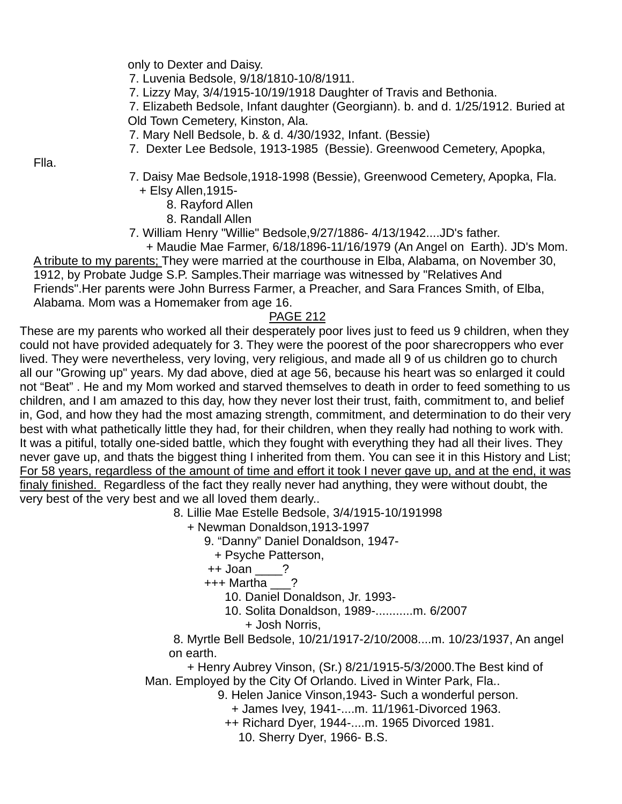only to Dexter and Daisy.

7. Luvenia Bedsole, 9/18/1810-10/8/1911.

7. Lizzy May, 3/4/1915-10/19/1918 Daughter of Travis and Bethonia.

 7. Elizabeth Bedsole, Infant daughter (Georgiann). b. and d. 1/25/1912. Buried at Old Town Cemetery, Kinston, Ala.

- 7. Mary Nell Bedsole, b. & d. 4/30/1932, Infant. (Bessie)
- 7. Dexter Lee Bedsole, 1913-1985 (Bessie). Greenwood Cemetery, Apopka,

Flla.

- 7. Daisy Mae Bedsole,1918-1998 (Bessie), Greenwood Cemetery, Apopka, Fla. + Elsy Allen,1915-
	- 8. Rayford Allen
	- 8. Randall Allen
- 7. William Henry "Willie" Bedsole,9/27/1886- 4/13/1942....JD's father.

 + Maudie Mae Farmer, 6/18/1896-11/16/1979 (An Angel on Earth). JD's Mom. A tribute to my parents; They were married at the courthouse in Elba, Alabama, on November 30, 1912, by Probate Judge S.P. Samples.Their marriage was witnessed by "Relatives And Friends".Her parents were John Burress Farmer, a Preacher, and Sara Frances Smith, of Elba, Alabama. Mom was a Homemaker from age 16.

### PAGE 212

These are my parents who worked all their desperately poor lives just to feed us 9 children, when they could not have provided adequately for 3. They were the poorest of the poor sharecroppers who ever lived. They were nevertheless, very loving, very religious, and made all 9 of us children go to church all our "Growing up" years. My dad above, died at age 56, because his heart was so enlarged it could not "Beat" . He and my Mom worked and starved themselves to death in order to feed something to us children, and I am amazed to this day, how they never lost their trust, faith, commitment to, and belief in, God, and how they had the most amazing strength, commitment, and determination to do their very best with what pathetically little they had, for their children, when they really had nothing to work with. It was a pitiful, totally one-sided battle, which they fought with everything they had all their lives. They never gave up, and thats the biggest thing I inherited from them. You can see it in this History and List; For 58 years, regardless of the amount of time and effort it took I never gave up, and at the end, it was finaly finished. Regardless of the fact they really never had anything, they were without doubt, the very best of the very best and we all loved them dearly..

8. Lillie Mae Estelle Bedsole, 3/4/1915-10/191998

+ Newman Donaldson,1913-1997

9. "Danny" Daniel Donaldson, 1947-

+ Psyche Patterson,

++ Joan ?

+++ Martha \_\_\_?

10. Daniel Donaldson, Jr. 1993-

- 10. Solita Donaldson, 1989-...........m. 6/2007
	- + Josh Norris,

 8. Myrtle Bell Bedsole, 10/21/1917-2/10/2008....m. 10/23/1937, An angel on earth.

 + Henry Aubrey Vinson, (Sr.) 8/21/1915-5/3/2000.The Best kind of Man. Employed by the City Of Orlando. Lived in Winter Park, Fla..

9. Helen Janice Vinson,1943- Such a wonderful person.

- + James Ivey, 1941-....m. 11/1961-Divorced 1963.
- ++ Richard Dyer, 1944-....m. 1965 Divorced 1981.

10. Sherry Dyer, 1966- B.S.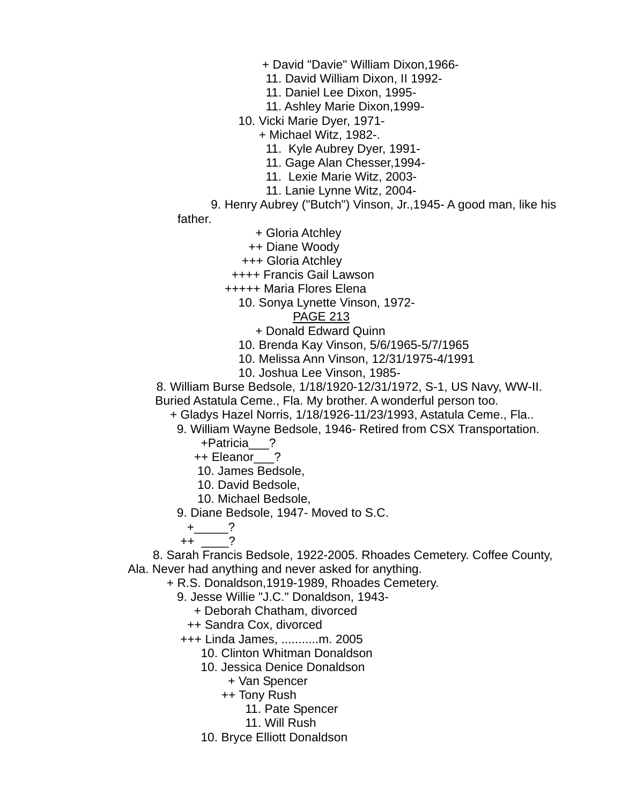+ David "Davie" William Dixon,1966-

11. David William Dixon, II 1992-

11. Daniel Lee Dixon, 1995-

11. Ashley Marie Dixon,1999-

10. Vicki Marie Dyer, 1971-

+ Michael Witz, 1982-.

11. Kyle Aubrey Dyer, 1991-

11. Gage Alan Chesser,1994-

11. Lexie Marie Witz, 2003-

11. Lanie Lynne Witz, 2004-

 9. Henry Aubrey ("Butch") Vinson, Jr.,1945- A good man, like his father.

+ Gloria Atchley

++ Diane Woody

+++ Gloria Atchley

++++ Francis Gail Lawson

+++++ Maria Flores Elena

10. Sonya Lynette Vinson, 1972-

#### PAGE 213

+ Donald Edward Quinn

- 10. Brenda Kay Vinson, 5/6/1965-5/7/1965
- 10. Melissa Ann Vinson, 12/31/1975-4/1991
- 10. Joshua Lee Vinson, 1985-

 8. William Burse Bedsole, 1/18/1920-12/31/1972, S-1, US Navy, WW-II. Buried Astatula Ceme., Fla. My brother. A wonderful person too.

+ Gladys Hazel Norris, 1/18/1926-11/23/1993, Astatula Ceme., Fla..

9. William Wayne Bedsole, 1946- Retired from CSX Transportation.

+Patricia\_\_\_?

++ Eleanor\_\_\_?

10. James Bedsole,

10. David Bedsole,

10. Michael Bedsole,

9. Diane Bedsole, 1947- Moved to S.C.

 $+$  2

++ \_\_\_\_?

 8. Sarah Francis Bedsole, 1922-2005. Rhoades Cemetery. Coffee County, Ala. Never had anything and never asked for anything.

+ R.S. Donaldson,1919-1989, Rhoades Cemetery.

9. Jesse Willie "J.C." Donaldson, 1943-

+ Deborah Chatham, divorced

++ Sandra Cox, divorced

+++ Linda James, ...........m. 2005

10. Clinton Whitman Donaldson

10. Jessica Denice Donaldson

+ Van Spencer

++ Tony Rush

11. Pate Spencer

11. Will Rush

10. Bryce Elliott Donaldson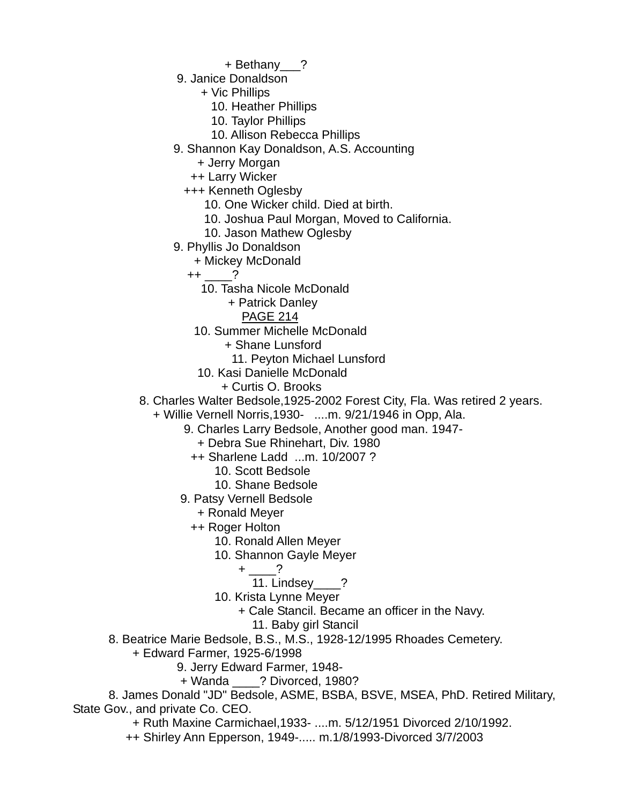- + Bethany\_\_\_?
- 9. Janice Donaldson
	- + Vic Phillips
		- 10. Heather Phillips
		- 10. Taylor Phillips
		- 10. Allison Rebecca Phillips
- 9. Shannon Kay Donaldson, A.S. Accounting
	- + Jerry Morgan
	- ++ Larry Wicker
	- +++ Kenneth Oglesby
		- 10. One Wicker child. Died at birth.
		- 10. Joshua Paul Morgan, Moved to California.
		- 10. Jason Mathew Oglesby
- 9. Phyllis Jo Donaldson
	- + Mickey McDonald
	- $++$  ?
		- 10. Tasha Nicole McDonald
			- + Patrick Danley
				- PAGE 214
		- 10. Summer Michelle McDonald
			- + Shane Lunsford
				- 11. Peyton Michael Lunsford
		- 10. Kasi Danielle McDonald
			- + Curtis O. Brooks
- 8. Charles Walter Bedsole,1925-2002 Forest City, Fla. Was retired 2 years.
	- + Willie Vernell Norris,1930- ....m. 9/21/1946 in Opp, Ala.
		- 9. Charles Larry Bedsole, Another good man. 1947-
			- + Debra Sue Rhinehart, Div. 1980
		- ++ Sharlene Ladd ...m. 10/2007 ?
			- 10. Scott Bedsole
			- 10. Shane Bedsole
		- 9. Patsy Vernell Bedsole
			- + Ronald Meyer
			- ++ Roger Holton
				- 10. Ronald Allen Meyer
				- 10. Shannon Gayle Meyer
- $+$   $-$ ?
	- 11. Lindsey ?
	- 10. Krista Lynne Meyer
		- + Cale Stancil. Became an officer in the Navy.
			- 11. Baby girl Stancil
	- 8. Beatrice Marie Bedsole, B.S., M.S., 1928-12/1995 Rhoades Cemetery.
		- + Edward Farmer, 1925-6/1998
			- 9. Jerry Edward Farmer, 1948-
			- + Wanda \_\_\_\_? Divorced, 1980?

 8. James Donald "JD" Bedsole, ASME, BSBA, BSVE, MSEA, PhD. Retired Military, State Gov., and private Co. CEO.

- + Ruth Maxine Carmichael,1933- ....m. 5/12/1951 Divorced 2/10/1992.
- ++ Shirley Ann Epperson, 1949-..... m.1/8/1993-Divorced 3/7/2003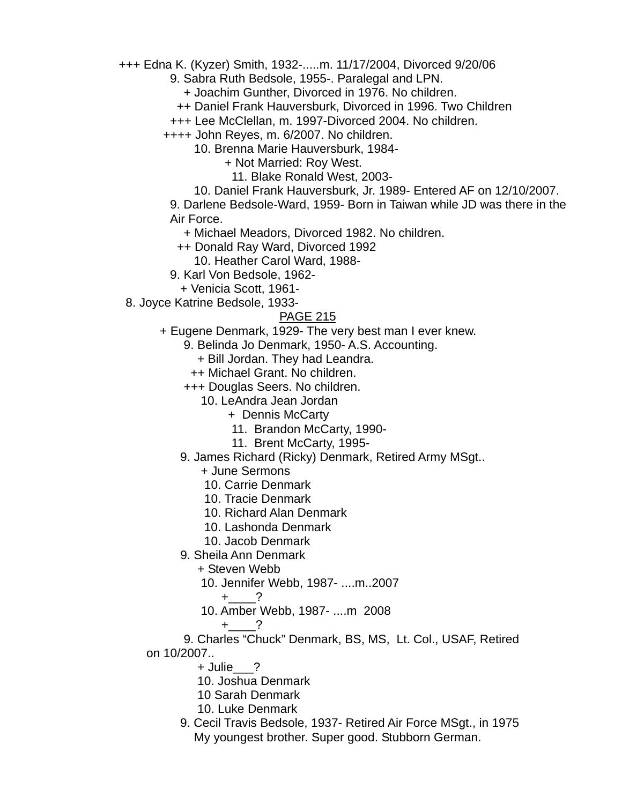+++ Edna K. (Kyzer) Smith, 1932-.....m. 11/17/2004, Divorced 9/20/06

9. Sabra Ruth Bedsole, 1955-. Paralegal and LPN.

+ Joachim Gunther, Divorced in 1976. No children.

++ Daniel Frank Hauversburk, Divorced in 1996. Two Children

+++ Lee McClellan, m. 1997-Divorced 2004. No children.

++++ John Reyes, m. 6/2007. No children.

10. Brenna Marie Hauversburk, 1984-

+ Not Married: Roy West.

11. Blake Ronald West, 2003-

10. Daniel Frank Hauversburk, Jr. 1989- Entered AF on 12/10/2007.

 9. Darlene Bedsole-Ward, 1959- Born in Taiwan while JD was there in the Air Force.

+ Michael Meadors, Divorced 1982. No children.

++ Donald Ray Ward, Divorced 1992

10. Heather Carol Ward, 1988-

9. Karl Von Bedsole, 1962-

+ Venicia Scott, 1961-

8. Joyce Katrine Bedsole, 1933-

### PAGE 215

+ Eugene Denmark, 1929- The very best man I ever knew.

9. Belinda Jo Denmark, 1950- A.S. Accounting.

+ Bill Jordan. They had Leandra.

++ Michael Grant. No children.

+++ Douglas Seers. No children.

10. LeAndra Jean Jordan

+ Dennis McCarty

11. Brandon McCarty, 1990-

11. Brent McCarty, 1995-

9. James Richard (Ricky) Denmark, Retired Army MSgt..

+ June Sermons

10. Carrie Denmark

10. Tracie Denmark

10. Richard Alan Denmark

10. Lashonda Denmark

10. Jacob Denmark

9. Sheila Ann Denmark

+ Steven Webb

10. Jennifer Webb, 1987- ....m..2007

+\_\_\_\_?

10. Amber Webb, 1987- ....m 2008

 $+$  ?

 9. Charles "Chuck" Denmark, BS, MS, Lt. Col., USAF, Retired on 10/2007..

+ Julie\_\_\_?

10. Joshua Denmark

10 Sarah Denmark

10. Luke Denmark

 9. Cecil Travis Bedsole, 1937- Retired Air Force MSgt., in 1975 My youngest brother. Super good. Stubborn German.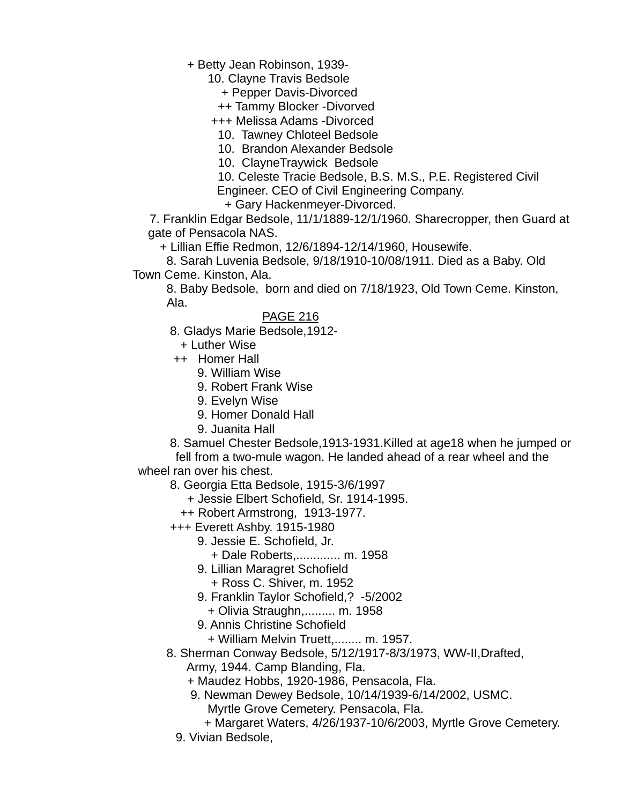+ Betty Jean Robinson, 1939-

10. Clayne Travis Bedsole

+ Pepper Davis-Divorced

++ Tammy Blocker -Divorved

+++ Melissa Adams -Divorced

10. Tawney Chloteel Bedsole

10. Brandon Alexander Bedsole

10. ClayneTraywick Bedsole

 10. Celeste Tracie Bedsole, B.S. M.S., P.E. Registered Civil Engineer. CEO of Civil Engineering Company.

+ Gary Hackenmeyer-Divorced.

 7. Franklin Edgar Bedsole, 11/1/1889-12/1/1960. Sharecropper, then Guard at gate of Pensacola NAS.

+ Lillian Effie Redmon, 12/6/1894-12/14/1960, Housewife.

 8. Sarah Luvenia Bedsole, 9/18/1910-10/08/1911. Died as a Baby. Old Town Ceme. Kinston, Ala.

 8. Baby Bedsole, born and died on 7/18/1923, Old Town Ceme. Kinston, Ala.

PAGE 216

8. Gladys Marie Bedsole,1912-

+ Luther Wise

++ Homer Hall

- 9. William Wise
- 9. Robert Frank Wise
- 9. Evelyn Wise
- 9. Homer Donald Hall
- 9. Juanita Hall

 8. Samuel Chester Bedsole,1913-1931.Killed at age18 when he jumped or fell from a two-mule wagon. He landed ahead of a rear wheel and the

wheel ran over his chest.

8. Georgia Etta Bedsole, 1915-3/6/1997

+ Jessie Elbert Schofield, Sr. 1914-1995.

++ Robert Armstrong, 1913-1977.

+++ Everett Ashby. 1915-1980

- 9. Jessie E. Schofield, Jr.
	- + Dale Roberts,............. m. 1958
- 9. Lillian Maragret Schofield
- + Ross C. Shiver, m. 1952
- 9. Franklin Taylor Schofield,? -5/2002
	- + Olivia Straughn,......... m. 1958
- 9. Annis Christine Schofield

+ William Melvin Truett,........ m. 1957.

8. Sherman Conway Bedsole, 5/12/1917-8/3/1973, WW-II,Drafted,

Army, 1944. Camp Blanding, Fla.

- + Maudez Hobbs, 1920-1986, Pensacola, Fla.
- 9. Newman Dewey Bedsole, 10/14/1939-6/14/2002, USMC. Myrtle Grove Cemetery. Pensacola, Fla.
- + Margaret Waters, 4/26/1937-10/6/2003, Myrtle Grove Cemetery.
- 9. Vivian Bedsole,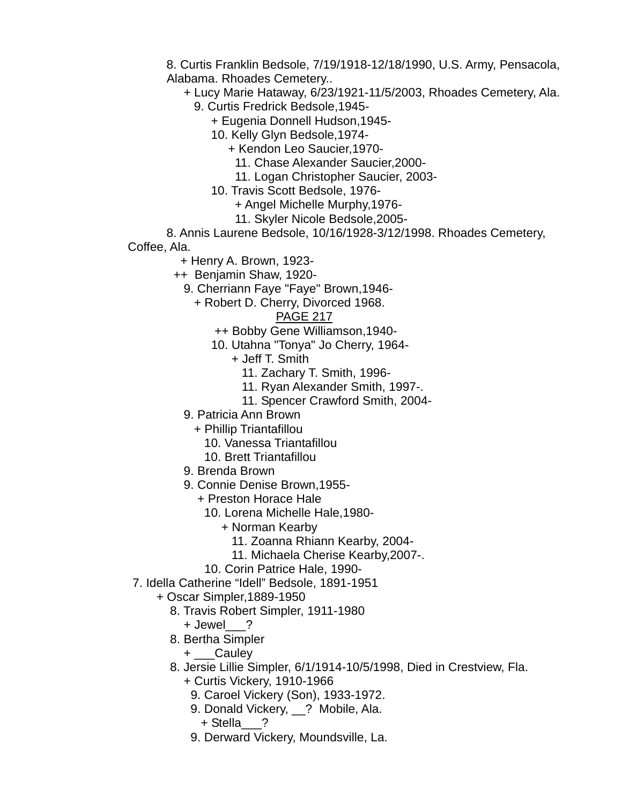8. Curtis Franklin Bedsole, 7/19/1918-12/18/1990, U.S. Army, Pensacola, Alabama. Rhoades Cemetery..

- + Lucy Marie Hataway, 6/23/1921-11/5/2003, Rhoades Cemetery, Ala.
	- 9. Curtis Fredrick Bedsole,1945-
		- + Eugenia Donnell Hudson,1945-
		- 10. Kelly Glyn Bedsole,1974-
			- + Kendon Leo Saucier,1970-
				- 11. Chase Alexander Saucier,2000-
			- 11. Logan Christopher Saucier, 2003-
		- 10. Travis Scott Bedsole, 1976-
			- + Angel Michelle Murphy,1976-
			- 11. Skyler Nicole Bedsole,2005-

 8. Annis Laurene Bedsole, 10/16/1928-3/12/1998. Rhoades Cemetery, Coffee, Ala.

- + Henry A. Brown, 1923-
- ++ Benjamin Shaw, 1920-
	- 9. Cherriann Faye "Faye" Brown,1946-
		- + Robert D. Cherry, Divorced 1968.

- ++ Bobby Gene Williamson,1940-
- 10. Utahna "Tonya" Jo Cherry, 1964-
	- + Jeff T. Smith
		- 11. Zachary T. Smith, 1996-
		- 11. Ryan Alexander Smith, 1997-.
		- 11. Spencer Crawford Smith, 2004-
- 9. Patricia Ann Brown
	- + Phillip Triantafillou
		- 10. Vanessa Triantafillou
		- 10. Brett Triantafillou
- 9. Brenda Brown
- 9. Connie Denise Brown,1955-
	- + Preston Horace Hale
		- 10. Lorena Michelle Hale,1980-
			- + Norman Kearby
				- 11. Zoanna Rhiann Kearby, 2004-
				- 11. Michaela Cherise Kearby,2007-.
		- 10. Corin Patrice Hale, 1990-
- 7. Idella Catherine "Idell" Bedsole, 1891-1951
	- + Oscar Simpler,1889-1950
		- 8. Travis Robert Simpler, 1911-1980
			- + Jewel\_\_\_?
		- 8. Bertha Simpler
			- + Cauley
		- 8. Jersie Lillie Simpler, 6/1/1914-10/5/1998, Died in Crestview, Fla.
			- + Curtis Vickery, 1910-1966
				- 9. Caroel Vickery (Son), 1933-1972.
				- 9. Donald Vickery, ? Mobile, Ala.
					- + Stella\_\_\_?
				- 9. Derward Vickery, Moundsville, La.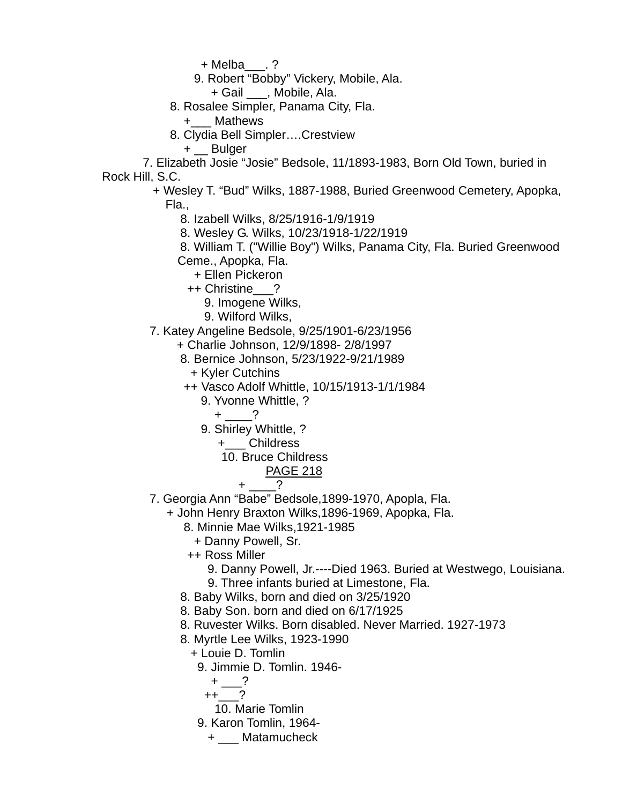+ Melba\_\_\_. ?

9. Robert "Bobby" Vickery, Mobile, Ala.

+ Gail \_\_\_, Mobile, Ala.

- 8. Rosalee Simpler, Panama City, Fla.
	- +\_\_\_ Mathews
- 8. Clydia Bell Simpler….Crestview

+ Bulger

 7. Elizabeth Josie "Josie" Bedsole, 11/1893-1983, Born Old Town, buried in Rock Hill, S.C.

> + Wesley T. "Bud" Wilks, 1887-1988, Buried Greenwood Cemetery, Apopka, Fla.,

8. Izabell Wilks, 8/25/1916-1/9/1919

8. Wesley G. Wilks, 10/23/1918-1/22/1919

 8. William T. ("Willie Boy") Wilks, Panama City, Fla. Buried Greenwood Ceme., Apopka, Fla.

- + Ellen Pickeron
- ++ Christine\_\_\_?
	- 9. Imogene Wilks,
	- 9. Wilford Wilks,
- 7. Katey Angeline Bedsole, 9/25/1901-6/23/1956
	- + Charlie Johnson, 12/9/1898- 2/8/1997
	- 8. Bernice Johnson, 5/23/1922-9/21/1989
		- + Kyler Cutchins
	- ++ Vasco Adolf Whittle, 10/15/1913-1/1/1984
		- 9. Yvonne Whittle, ?
			- $+$  ?
		- 9. Shirley Whittle, ?
			- +\_\_\_ Childress
			- 10. Bruce Childress

$$
+\underline{\hspace{1cm}}?
$$

- 7. Georgia Ann "Babe" Bedsole,1899-1970, Apopla, Fla.
	- + John Henry Braxton Wilks,1896-1969, Apopka, Fla.
		- 8. Minnie Mae Wilks,1921-1985
			- + Danny Powell, Sr.
		- ++ Ross Miller
			- 9. Danny Powell, Jr.----Died 1963. Buried at Westwego, Louisiana.
			- 9. Three infants buried at Limestone, Fla.
		- 8. Baby Wilks, born and died on 3/25/1920
		- 8. Baby Son. born and died on 6/17/1925
		- 8. Ruvester Wilks. Born disabled. Never Married. 1927-1973
		- 8. Myrtle Lee Wilks, 1923-1990
			- + Louie D. Tomlin
				- 9. Jimmie D. Tomlin. 1946-
					- $+$   $-$ ?
					- $++$  ?
					- 10. Marie Tomlin
				- 9. Karon Tomlin, 1964-
					- + \_\_\_ Matamucheck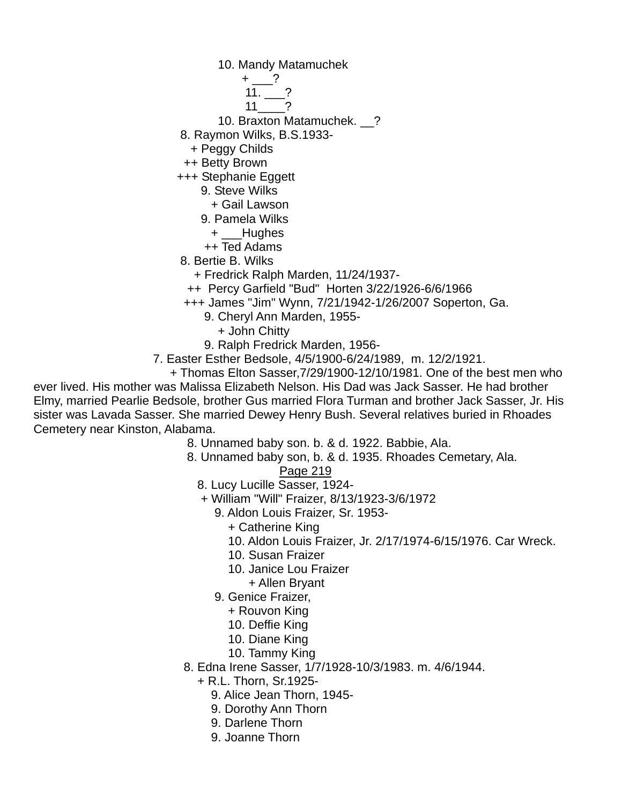10. Mandy Matamuchek

 $+$  ? 11. ?  $11$   $2$ 

10. Braxton Matamuchek. \_\_?

- 8. Raymon Wilks, B.S.1933-
- + Peggy Childs

++ Betty Brown

+++ Stephanie Eggett

9. Steve Wilks

- + Gail Lawson
- 9. Pamela Wilks
	- + Hughes
- ++ Ted Adams

8. Bertie B. Wilks

- + Fredrick Ralph Marden, 11/24/1937-
- ++ Percy Garfield "Bud" Horten 3/22/1926-6/6/1966

+++ James "Jim" Wynn, 7/21/1942-1/26/2007 Soperton, Ga.

- 9. Cheryl Ann Marden, 1955-
	- + John Chitty

9. Ralph Fredrick Marden, 1956-

- 7. Easter Esther Bedsole, 4/5/1900-6/24/1989, m. 12/2/1921.
	- + Thomas Elton Sasser,7/29/1900-12/10/1981. One of the best men who

ever lived. His mother was Malissa Elizabeth Nelson. His Dad was Jack Sasser. He had brother Elmy, married Pearlie Bedsole, brother Gus married Flora Turman and brother Jack Sasser, Jr. His sister was Lavada Sasser. She married Dewey Henry Bush. Several relatives buried in Rhoades Cemetery near Kinston, Alabama.

8. Unnamed baby son. b. & d. 1922. Babbie, Ala.

 8. Unnamed baby son, b. & d. 1935. Rhoades Cemetary, Ala. Page 219

8. Lucy Lucille Sasser, 1924-

- + William "Will" Fraizer, 8/13/1923-3/6/1972
	- 9. Aldon Louis Fraizer, Sr. 1953-
		- + Catherine King
		- 10. Aldon Louis Fraizer, Jr. 2/17/1974-6/15/1976. Car Wreck.
		- 10. Susan Fraizer
		- 10. Janice Lou Fraizer
		- + Allen Bryant
	- 9. Genice Fraizer,
		- + Rouvon King
		- 10. Deffie King
		- 10. Diane King
		- 10. Tammy King
- 8. Edna Irene Sasser, 1/7/1928-10/3/1983. m. 4/6/1944.

+ R.L. Thorn, Sr.1925-

- 9. Alice Jean Thorn, 1945-
- 9. Dorothy Ann Thorn
- 9. Darlene Thorn
- 9. Joanne Thorn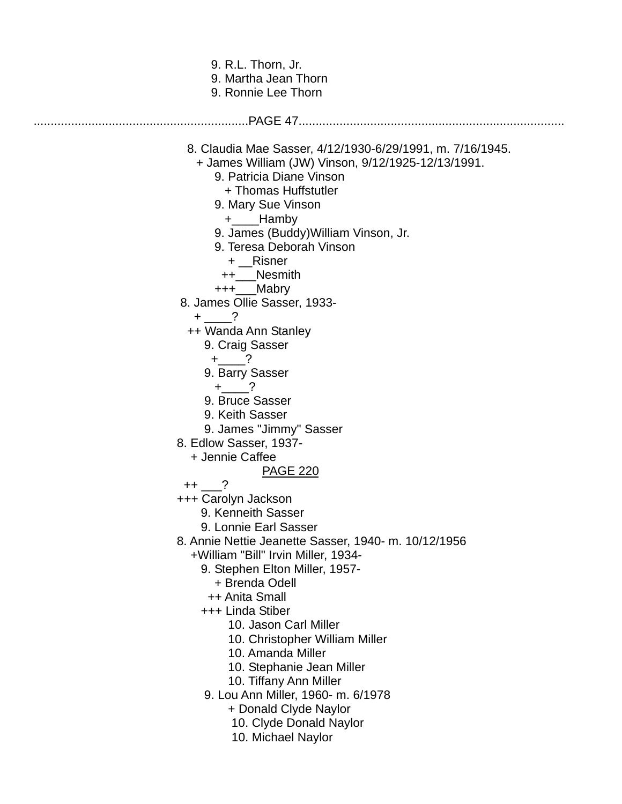| 9. R.L. Thorn, Jr.<br>9. Martha Jean Thorn<br>9. Ronnie Lee Thorn                                                                                                                                                                                                                                                                                                                                                                                                                                                                                                                                                                                                                                                                                                                                                                                                                                                                                                                                                                                                                          |  |
|--------------------------------------------------------------------------------------------------------------------------------------------------------------------------------------------------------------------------------------------------------------------------------------------------------------------------------------------------------------------------------------------------------------------------------------------------------------------------------------------------------------------------------------------------------------------------------------------------------------------------------------------------------------------------------------------------------------------------------------------------------------------------------------------------------------------------------------------------------------------------------------------------------------------------------------------------------------------------------------------------------------------------------------------------------------------------------------------|--|
|                                                                                                                                                                                                                                                                                                                                                                                                                                                                                                                                                                                                                                                                                                                                                                                                                                                                                                                                                                                                                                                                                            |  |
| 8. Claudia Mae Sasser, 4/12/1930-6/29/1991, m. 7/16/1945.<br>+ James William (JW) Vinson, 9/12/1925-12/13/1991.<br>9. Patricia Diane Vinson<br>+ Thomas Huffstutler<br>9. Mary Sue Vinson<br>$+$ ____Hamby<br>9. James (Buddy) William Vinson, Jr.<br>9. Teresa Deborah Vinson<br>+ Risner<br>++ Nesmith<br>+++__Mabry<br>8. James Ollie Sasser, 1933-<br>$+$ ?<br>++ Wanda Ann Stanley<br>9. Craig Sasser<br>$+$ ?<br>9. Barry Sasser<br>$+$ ?<br>9. Bruce Sasser<br>9. Keith Sasser<br>9. James "Jimmy" Sasser<br>8. Edlow Sasser, 1937-<br>+ Jennie Caffee<br><b>PAGE 220</b><br>$++$ ?<br>+++ Carolyn Jackson<br>9. Kenneith Sasser<br>9. Lonnie Earl Sasser<br>8. Annie Nettie Jeanette Sasser, 1940- m. 10/12/1956<br>+William "Bill" Irvin Miller, 1934-<br>9. Stephen Elton Miller, 1957-<br>+ Brenda Odell<br>++ Anita Small<br>+++ Linda Stiber<br>10. Jason Carl Miller<br>10. Christopher William Miller<br>10. Amanda Miller<br>10. Stephanie Jean Miller<br>10. Tiffany Ann Miller<br>9. Lou Ann Miller, 1960- m. 6/1978<br>+ Donald Clyde Naylor<br>10. Clyde Donald Naylor |  |
| 10. Michael Naylor                                                                                                                                                                                                                                                                                                                                                                                                                                                                                                                                                                                                                                                                                                                                                                                                                                                                                                                                                                                                                                                                         |  |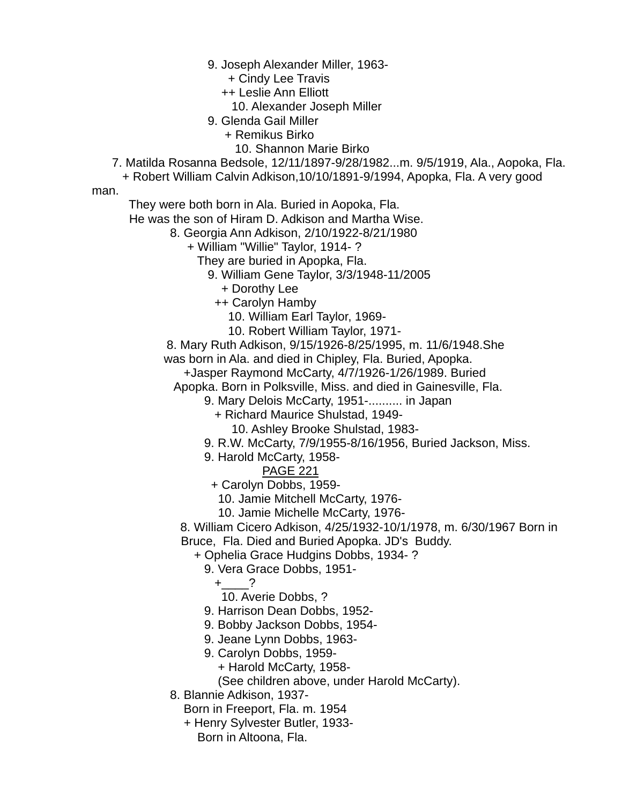9. Joseph Alexander Miller, 1963-

+ Cindy Lee Travis

++ Leslie Ann Elliott

- 10. Alexander Joseph Miller
- 9. Glenda Gail Miller
	- + Remikus Birko
	- 10. Shannon Marie Birko

7. Matilda Rosanna Bedsole, 12/11/1897-9/28/1982...m. 9/5/1919, Ala., Aopoka, Fla.

+ Robert William Calvin Adkison,10/10/1891-9/1994, Apopka, Fla. A very good

man.

They were both born in Ala. Buried in Aopoka, Fla.

He was the son of Hiram D. Adkison and Martha Wise.

8. Georgia Ann Adkison, 2/10/1922-8/21/1980

+ William "Willie" Taylor, 1914- ?

They are buried in Apopka, Fla.

- 9. William Gene Taylor, 3/3/1948-11/2005
	- + Dorothy Lee

++ Carolyn Hamby

- 10. William Earl Taylor, 1969-
- 10. Robert William Taylor, 1971-

8. Mary Ruth Adkison, 9/15/1926-8/25/1995, m. 11/6/1948.She

was born in Ala. and died in Chipley, Fla. Buried, Apopka.

+Jasper Raymond McCarty, 4/7/1926-1/26/1989. Buried

Apopka. Born in Polksville, Miss. and died in Gainesville, Fla.

9. Mary Delois McCarty, 1951-.......... in Japan

+ Richard Maurice Shulstad, 1949-

- 10. Ashley Brooke Shulstad, 1983-
- 9. R.W. McCarty, 7/9/1955-8/16/1956, Buried Jackson, Miss.
- 9. Harold McCarty, 1958-

PAGE 221

+ Carolyn Dobbs, 1959-

- 10. Jamie Mitchell McCarty, 1976-
- 10. Jamie Michelle McCarty, 1976-

 8. William Cicero Adkison, 4/25/1932-10/1/1978, m. 6/30/1967 Born in Bruce, Fla. Died and Buried Apopka. JD's Buddy.

+ Ophelia Grace Hudgins Dobbs, 1934- ?

9. Vera Grace Dobbs, 1951-

 $+$  ?

- 10. Averie Dobbs, ?
- 9. Harrison Dean Dobbs, 1952-
- 9. Bobby Jackson Dobbs, 1954-
- 9. Jeane Lynn Dobbs, 1963-
- 9. Carolyn Dobbs, 1959-
	- + Harold McCarty, 1958-

(See children above, under Harold McCarty).

8. Blannie Adkison, 1937-

Born in Freeport, Fla. m. 1954

 + Henry Sylvester Butler, 1933- Born in Altoona, Fla.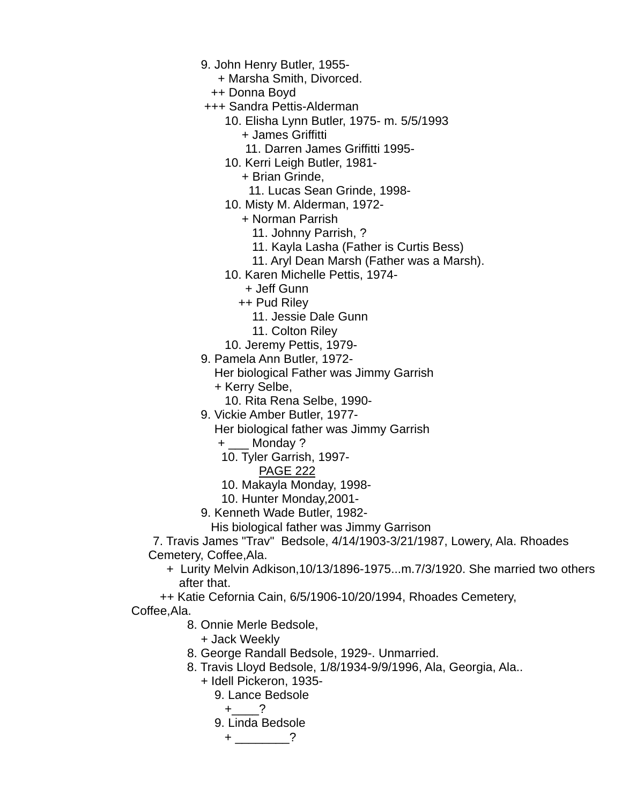- 9. John Henry Butler, 1955-
	- + Marsha Smith, Divorced.
	- ++ Donna Boyd
- +++ Sandra Pettis-Alderman
	- 10. Elisha Lynn Butler, 1975- m. 5/5/1993
		- + James Griffitti
		- 11. Darren James Griffitti 1995-
	- 10. Kerri Leigh Butler, 1981-
		- + Brian Grinde,
			- 11. Lucas Sean Grinde, 1998-
	- 10. Misty M. Alderman, 1972-
		- + Norman Parrish
			- 11. Johnny Parrish, ?
			- 11. Kayla Lasha (Father is Curtis Bess)
			- 11. Aryl Dean Marsh (Father was a Marsh).
	- 10. Karen Michelle Pettis, 1974-
		- + Jeff Gunn
		- ++ Pud Riley
			- 11. Jessie Dale Gunn
			- 11. Colton Riley
	- 10. Jeremy Pettis, 1979-
- 9. Pamela Ann Butler, 1972-

Her biological Father was Jimmy Garrish

- + Kerry Selbe,
- 10. Rita Rena Selbe, 1990-
- 9. Vickie Amber Butler, 1977-
	- Her biological father was Jimmy Garrish
	- + Monday ?
	- 10. Tyler Garrish, 1997-
		- PAGE 222
	- 10. Makayla Monday, 1998-
	- 10. Hunter Monday,2001-
- 9. Kenneth Wade Butler, 1982-

His biological father was Jimmy Garrison

 7. Travis James "Trav" Bedsole, 4/14/1903-3/21/1987, Lowery, Ala. Rhoades Cemetery, Coffee,Ala.

- + Lurity Melvin Adkison,10/13/1896-1975...m.7/3/1920. She married two others after that.
- ++ Katie Cefornia Cain, 6/5/1906-10/20/1994, Rhoades Cemetery,
- Coffee,Ala.
	- 8. Onnie Merle Bedsole,
		- + Jack Weekly
	- 8. George Randall Bedsole, 1929-. Unmarried.
	- 8. Travis Lloyd Bedsole, 1/8/1934-9/9/1996, Ala, Georgia, Ala..
		- + Idell Pickeron, 1935-
			- 9. Lance Bedsole
				- $+$  ?
			- 9. Linda Bedsole
				- $+$   $-$  ?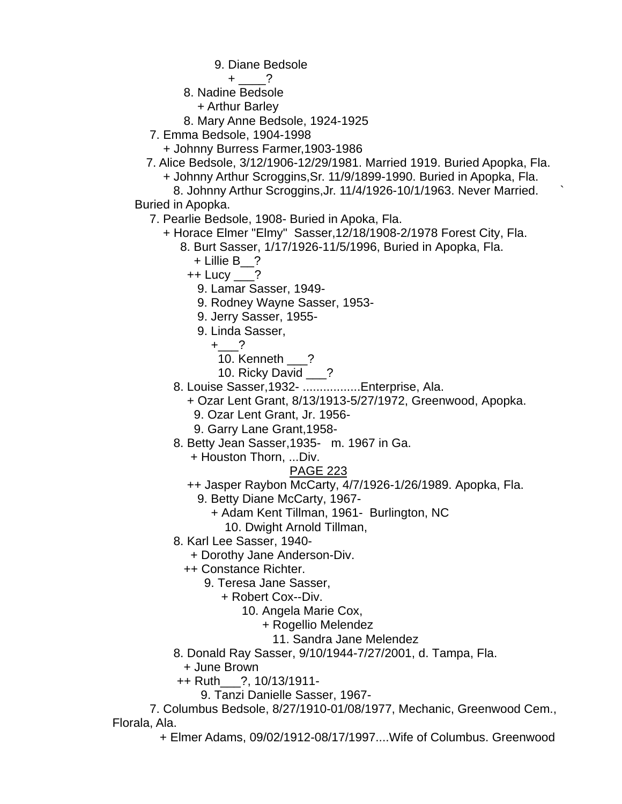9. Diane Bedsole

 $+$  ?

8. Nadine Bedsole

- + Arthur Barley
- 8. Mary Anne Bedsole, 1924-1925
- 7. Emma Bedsole, 1904-1998
- + Johnny Burress Farmer,1903-1986
- 7. Alice Bedsole, 3/12/1906-12/29/1981. Married 1919. Buried Apopka, Fla.
	- + Johnny Arthur Scroggins,Sr. 11/9/1899-1990. Buried in Apopka, Fla. 8. Johnny Arthur Scroggins,Jr. 11/4/1926-10/1/1963. Never Married. `

Buried in Apopka.

- 7. Pearlie Bedsole, 1908- Buried in Apoka, Fla.
	- + Horace Elmer "Elmy" Sasser,12/18/1908-2/1978 Forest City, Fla.
		- 8. Burt Sasser, 1/17/1926-11/5/1996, Buried in Apopka, Fla. + Lillie B\_\_?
			-
			- $++$  Lucy ?
				- 9. Lamar Sasser, 1949-
				- 9. Rodney Wayne Sasser, 1953-
				- 9. Jerry Sasser, 1955-
				- 9. Linda Sasser,
					- $+$  ?
						- 10. Kenneth ?
					- 10. Ricky David \_\_\_?
		- 8. Louise Sasser,1932- .................Enterprise, Ala.
			- + Ozar Lent Grant, 8/13/1913-5/27/1972, Greenwood, Apopka.
			- 9. Ozar Lent Grant, Jr. 1956-
			- 9. Garry Lane Grant,1958-
		- 8. Betty Jean Sasser,1935- m. 1967 in Ga.
			- + Houston Thorn, ...Div.

# PAGE 223

- ++ Jasper Raybon McCarty, 4/7/1926-1/26/1989. Apopka, Fla.
	- 9. Betty Diane McCarty, 1967-
		- + Adam Kent Tillman, 1961- Burlington, NC
			- 10. Dwight Arnold Tillman,
- 8. Karl Lee Sasser, 1940-
	- + Dorothy Jane Anderson-Div.
	- ++ Constance Richter.
		- 9. Teresa Jane Sasser,
			- + Robert Cox--Div.
				- 10. Angela Marie Cox,
					- + Rogellio Melendez
						- 11. Sandra Jane Melendez
- 8. Donald Ray Sasser, 9/10/1944-7/27/2001, d. Tampa, Fla.
	- + June Brown
- ++ Ruth\_\_\_?, 10/13/1911-
	- 9. Tanzi Danielle Sasser, 1967-

 7. Columbus Bedsole, 8/27/1910-01/08/1977, Mechanic, Greenwood Cem., Florala, Ala.

+ Elmer Adams, 09/02/1912-08/17/1997....Wife of Columbus. Greenwood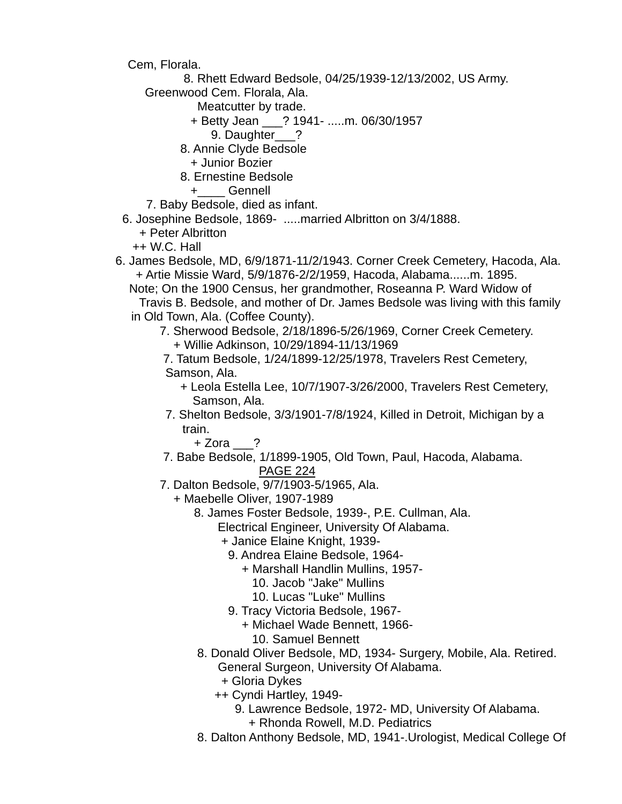Cem, Florala.

8. Rhett Edward Bedsole, 04/25/1939-12/13/2002, US Army.

Greenwood Cem. Florala, Ala.

Meatcutter by trade.

- + Betty Jean \_\_\_? 1941- .....m. 06/30/1957
	- 9. Daughter ?
- 8. Annie Clyde Bedsole
	- + Junior Bozier
- 8. Ernestine Bedsole
	- +\_\_\_\_ Gennell

7. Baby Bedsole, died as infant.

- 6. Josephine Bedsole, 1869- .....married Albritton on 3/4/1888.
	- + Peter Albritton
	- ++ W.C. Hall
- 6. James Bedsole, MD, 6/9/1871-11/2/1943. Corner Creek Cemetery, Hacoda, Ala. + Artie Missie Ward, 5/9/1876-2/2/1959, Hacoda, Alabama......m. 1895.

 Note; On the 1900 Census, her grandmother, Roseanna P. Ward Widow of Travis B. Bedsole, and mother of Dr. James Bedsole was living with this family in Old Town, Ala. (Coffee County).

- 7. Sherwood Bedsole, 2/18/1896-5/26/1969, Corner Creek Cemetery. + Willie Adkinson, 10/29/1894-11/13/1969
- 7. Tatum Bedsole, 1/24/1899-12/25/1978, Travelers Rest Cemetery, Samson, Ala.
	- + Leola Estella Lee, 10/7/1907-3/26/2000, Travelers Rest Cemetery, Samson, Ala.
- 7. Shelton Bedsole, 3/3/1901-7/8/1924, Killed in Detroit, Michigan by a train.

+ Zora ?

- 7. Babe Bedsole, 1/1899-1905, Old Town, Paul, Hacoda, Alabama. PAGE 224
- 7. Dalton Bedsole, 9/7/1903-5/1965, Ala.
	- + Maebelle Oliver, 1907-1989
		- 8. James Foster Bedsole, 1939-, P.E. Cullman, Ala.

Electrical Engineer, University Of Alabama.

- + Janice Elaine Knight, 1939-
	- 9. Andrea Elaine Bedsole, 1964-
		- + Marshall Handlin Mullins, 1957-
			- 10. Jacob "Jake" Mullins
			- 10. Lucas "Luke" Mullins
	- 9. Tracy Victoria Bedsole, 1967-
		- + Michael Wade Bennett, 1966-
		- 10. Samuel Bennett
- 8. Donald Oliver Bedsole, MD, 1934- Surgery, Mobile, Ala. Retired. General Surgeon, University Of Alabama.
	- + Gloria Dykes
	- ++ Cyndi Hartley, 1949-
		- 9. Lawrence Bedsole, 1972- MD, University Of Alabama.
			- + Rhonda Rowell, M.D. Pediatrics
- 8. Dalton Anthony Bedsole, MD, 1941-.Urologist, Medical College Of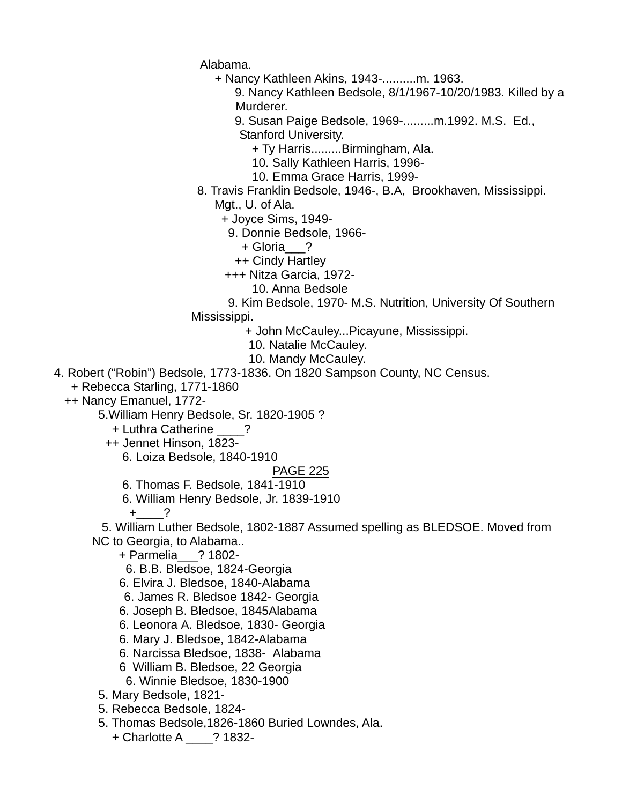Alabama.

- + Nancy Kathleen Akins, 1943-..........m. 1963.
	- 9. Nancy Kathleen Bedsole, 8/1/1967-10/20/1983. Killed by a Murderer.
	- 9. Susan Paige Bedsole, 1969-.........m.1992. M.S. Ed., Stanford University.
		- + Ty Harris.........Birmingham, Ala.
		- 10. Sally Kathleen Harris, 1996-
		- 10. Emma Grace Harris, 1999-
- 8. Travis Franklin Bedsole, 1946-, B.A, Brookhaven, Mississippi. Mgt., U. of Ala.
	- + Joyce Sims, 1949-
		- 9. Donnie Bedsole, 1966-
		- + Gloria\_\_\_?
		- ++ Cindy Hartley
	- +++ Nitza Garcia, 1972-
		- 10. Anna Bedsole
- 9. Kim Bedsole, 1970- M.S. Nutrition, University Of Southern Mississippi.
	- + John McCauley...Picayune, Mississippi.
		- 10. Natalie McCauley.
		- 10. Mandy McCauley.
- 4. Robert ("Robin") Bedsole, 1773-1836. On 1820 Sampson County, NC Census.
	- + Rebecca Starling, 1771-1860
	- ++ Nancy Emanuel, 1772-
		- 5.William Henry Bedsole, Sr. 1820-1905 ?
			- + Luthra Catherine \_\_\_\_?
			- ++ Jennet Hinson, 1823-
				- 6. Loiza Bedsole, 1840-1910

# PAGE 225

- 6. Thomas F. Bedsole, 1841-1910
- 6. William Henry Bedsole, Jr. 1839-1910
	- $+$  ?

 5. William Luther Bedsole, 1802-1887 Assumed spelling as BLEDSOE. Moved from NC to Georgia, to Alabama..

- + Parmelia\_\_\_? 1802-
- 6. B.B. Bledsoe, 1824-Georgia
- 6. Elvira J. Bledsoe, 1840-Alabama
- 6. James R. Bledsoe 1842- Georgia
- 6. Joseph B. Bledsoe, 1845Alabama
- 6. Leonora A. Bledsoe, 1830- Georgia
- 6. Mary J. Bledsoe, 1842-Alabama
- 6. Narcissa Bledsoe, 1838- Alabama
- 6 William B. Bledsoe, 22 Georgia
- 6. Winnie Bledsoe, 1830-1900
- 5. Mary Bedsole, 1821-
- 5. Rebecca Bedsole, 1824-
- 5. Thomas Bedsole,1826-1860 Buried Lowndes, Ala.
	- + Charlotte A \_\_\_\_? 1832-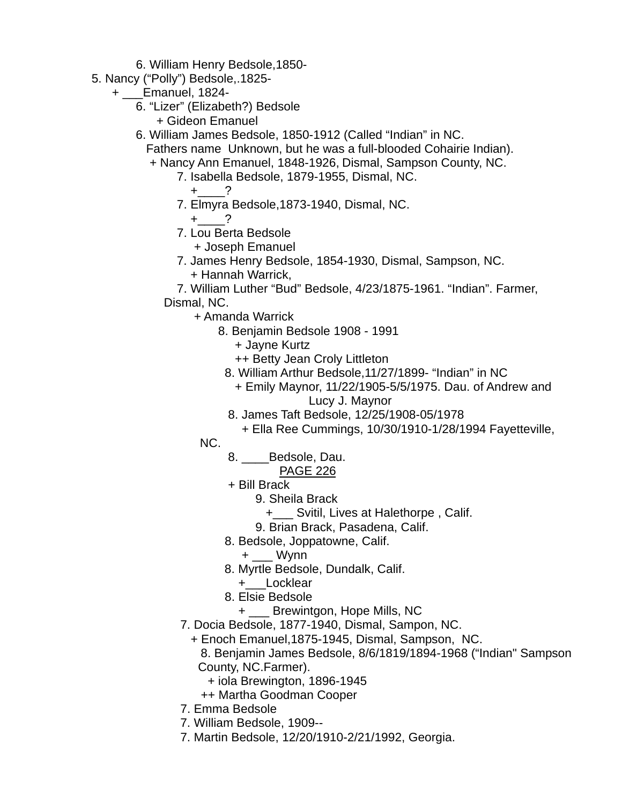6. William Henry Bedsole,1850-

- 5. Nancy ("Polly") Bedsole,.1825-
	- + \_\_\_Emanuel, 1824-
		- 6. "Lizer" (Elizabeth?) Bedsole + Gideon Emanuel
		- 6. William James Bedsole, 1850-1912 (Called "Indian" in NC.
			- Fathers name Unknown, but he was a full-blooded Cohairie Indian). + Nancy Ann Emanuel, 1848-1926, Dismal, Sampson County, NC.
				- 7. Isabella Bedsole, 1879-1955, Dismal, NC.
- $+$   $-$  ?
	- 7. Elmyra Bedsole,1873-1940, Dismal, NC.

$$
+\underline{\hspace{1cm}}?
$$

7. Lou Berta Bedsole

+ Joseph Emanuel

 7. James Henry Bedsole, 1854-1930, Dismal, Sampson, NC. + Hannah Warrick,

 7. William Luther "Bud" Bedsole, 4/23/1875-1961. "Indian". Farmer, Dismal, NC.

- + Amanda Warrick
	- 8. Benjamin Bedsole 1908 1991
		- + Jayne Kurtz
		- ++ Betty Jean Croly Littleton
		- 8. William Arthur Bedsole,11/27/1899- "Indian" in NC
			- + Emily Maynor, 11/22/1905-5/5/1975. Dau. of Andrew and Lucy J. Maynor
		- 8. James Taft Bedsole, 12/25/1908-05/1978
			- + Ella Ree Cummings, 10/30/1910-1/28/1994 Fayetteville,

**NC.** NO.

8. \_\_\_\_Bedsole, Dau.

- + Bill Brack
	- 9. Sheila Brack
		- +\_\_\_ Svitil, Lives at Halethorpe , Calif.
	- 9. Brian Brack, Pasadena, Calif.
- 8. Bedsole, Joppatowne, Calif.
	- + \_\_\_ Wynn
- 8. Myrtle Bedsole, Dundalk, Calif.
- +\_\_\_Locklear
- 8. Elsie Bedsole
	- + \_\_\_ Brewintgon, Hope Mills, NC
- 7. Docia Bedsole, 1877-1940, Dismal, Sampon, NC.
	- + Enoch Emanuel,1875-1945, Dismal, Sampson, NC.
		- 8. Benjamin James Bedsole, 8/6/1819/1894-1968 ("Indian" Sampson County, NC.Farmer).
			- + iola Brewington, 1896-1945
		- ++ Martha Goodman Cooper
- 7. Emma Bedsole
- 7. William Bedsole, 1909--
- 7. Martin Bedsole, 12/20/1910-2/21/1992, Georgia.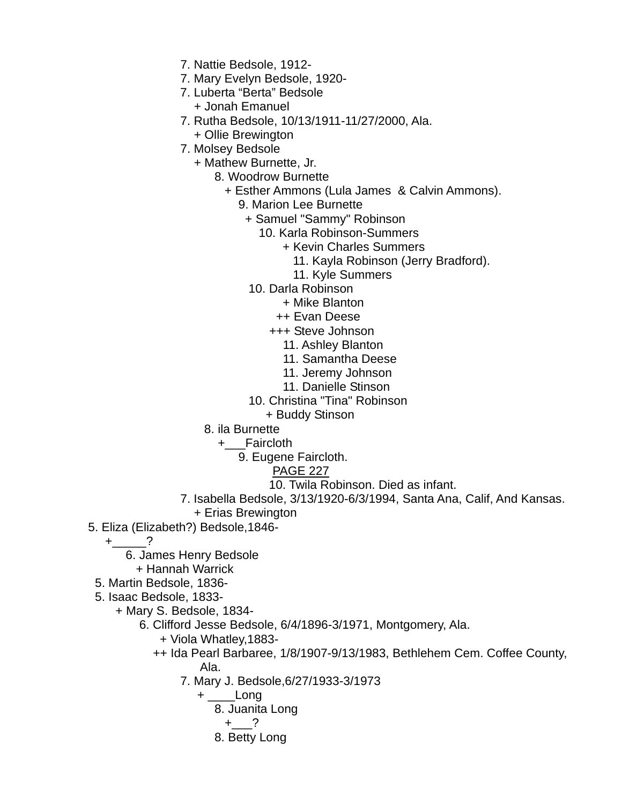- 7. Nattie Bedsole, 1912-
- 7. Mary Evelyn Bedsole, 1920-
- 7. Luberta "Berta" Bedsole + Jonah Emanuel
- 7. Rutha Bedsole, 10/13/1911-11/27/2000, Ala.
	- + Ollie Brewington
- 7. Molsey Bedsole
	- + Mathew Burnette, Jr.
		- 8. Woodrow Burnette
			- + Esther Ammons (Lula James & Calvin Ammons).
				- 9. Marion Lee Burnette
				- + Samuel "Sammy" Robinson
					- 10. Karla Robinson-Summers
						- + Kevin Charles Summers
							- 11. Kayla Robinson (Jerry Bradford).
							- 11. Kyle Summers
					- 10. Darla Robinson
						- + Mike Blanton
						- ++ Evan Deese
						- +++ Steve Johnson
							- 11. Ashley Blanton
							- 11. Samantha Deese
							- 11. Jeremy Johnson
							- 11. Danielle Stinson
					- 10. Christina "Tina" Robinson
					- + Buddy Stinson
		- 8. ila Burnette
			- +\_\_\_Faircloth
				- 9. Eugene Faircloth.
					- PAGE 227
					- 10. Twila Robinson. Died as infant.
- 7. Isabella Bedsole, 3/13/1920-6/3/1994, Santa Ana, Calif, And Kansas. + Erias Brewington
- 5. Eliza (Elizabeth?) Bedsole,1846-
	- $+$  ?
		- 6. James Henry Bedsole
	- + Hannah Warrick
	- 5. Martin Bedsole, 1836-
	- 5. Isaac Bedsole, 1833-
		- + Mary S. Bedsole, 1834-
			- 6. Clifford Jesse Bedsole, 6/4/1896-3/1971, Montgomery, Ala.
				- + Viola Whatley,1883-
- ++ Ida Pearl Barbaree, 1/8/1907-9/13/1983, Bethlehem Cem. Coffee County, Ala.
	- 7. Mary J. Bedsole,6/27/1933-3/1973
		- + \_\_\_\_Long
			- 8. Juanita Long

$$
+\underline{\hspace{1cm}}?
$$

8. Betty Long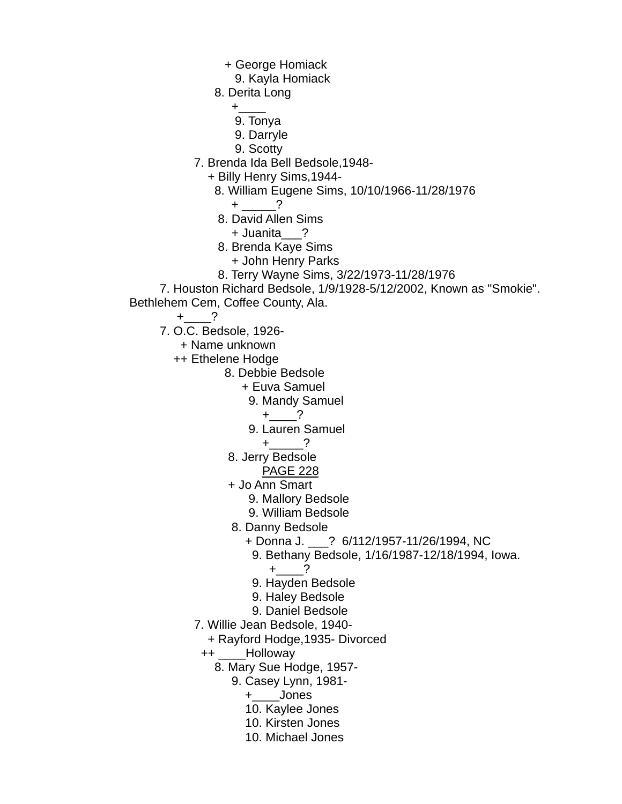- + George Homiack
- 9. Kayla Homiack
- 8. Derita Long

 $+\underline{\hspace{1cm}}$  +  $-\underline{\hspace{1cm}}$  +  $-\underline{\hspace{1cm}}$  +  $-\underline{\hspace{1cm}}$ 

- 9. Tonya
- 9. Darryle
- 9. Scotty
- 7. Brenda Ida Bell Bedsole,1948-
	- + Billy Henry Sims,1944-
		- 8. William Eugene Sims, 10/10/1966-11/28/1976
			- + \_\_\_\_\_?
		- 8. David Allen Sims
			- + Juanita\_\_\_?
		- 8. Brenda Kaye Sims
			- + John Henry Parks
		- 8. Terry Wayne Sims, 3/22/1973-11/28/1976
- 7. Houston Richard Bedsole, 1/9/1928-5/12/2002, Known as "Smokie". Bethlehem Cem, Coffee County, Ala.
	- $+$   $?$
	- 7. O.C. Bedsole, 1926-
		- + Name unknown
		- ++ Ethelene Hodge
			- 8. Debbie Bedsole
				- + Euva Samuel
					- 9. Mandy Samuel
						- $+$  ?
					- 9. Lauren Samuel
						- $+$  ?
				- 8. Jerry Bedsole
					- PAGE 228
				- + Jo Ann Smart
					- 9. Mallory Bedsole
					- 9. William Bedsole
				- 8. Danny Bedsole
					- + Donna J. \_\_\_? 6/112/1957-11/26/1994, NC
						- 9. Bethany Bedsole, 1/16/1987-12/18/1994, Iowa.
							- $+$  ?
					- 9. Hayden Bedsole
					- 9. Haley Bedsole
					- 9. Daniel Bedsole
			- 7. Willie Jean Bedsole, 1940-
				- + Rayford Hodge,1935- Divorced
				- ++ \_\_\_\_Holloway
					- 8. Mary Sue Hodge, 1957-
						- 9. Casey Lynn, 1981-
							- +\_\_\_\_Jones
							- 10. Kaylee Jones
							- 10. Kirsten Jones
							- 10. Michael Jones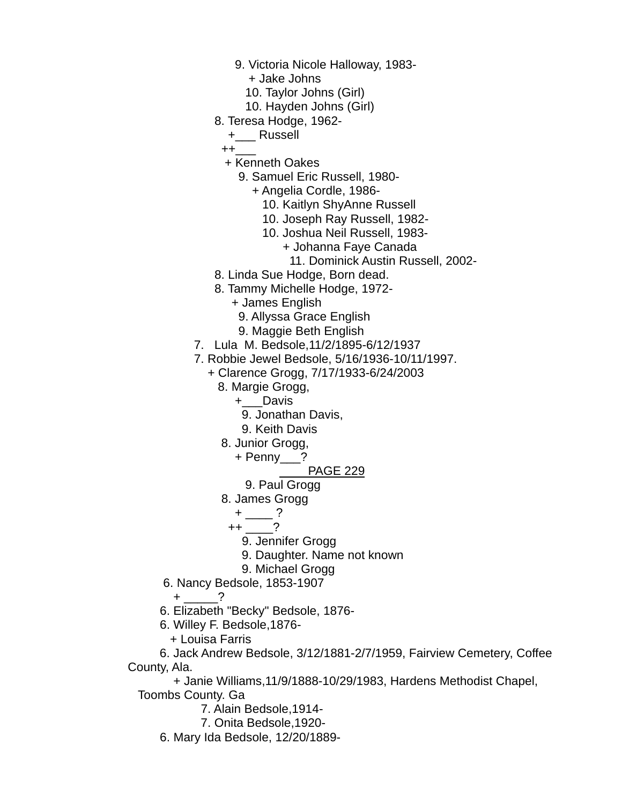- 9. Victoria Nicole Halloway, 1983-
	- + Jake Johns
	- 10. Taylor Johns (Girl)
	- 10. Hayden Johns (Girl)
- 8. Teresa Hodge, 1962-
	- +\_\_\_ Russell

++\_\_\_

- + Kenneth Oakes
	- 9. Samuel Eric Russell, 1980-
		- + Angelia Cordle, 1986-
			- 10. Kaitlyn ShyAnne Russell
			- 10. Joseph Ray Russell, 1982-
			- 10. Joshua Neil Russell, 1983-
				- + Johanna Faye Canada
					- 11. Dominick Austin Russell, 2002-
- 8. Linda Sue Hodge, Born dead.
- 8. Tammy Michelle Hodge, 1972-
	- + James English
		- 9. Allyssa Grace English
	- 9. Maggie Beth English
- 7. Lula M. Bedsole,11/2/1895-6/12/1937
- 7. Robbie Jewel Bedsole, 5/16/1936-10/11/1997.
	- + Clarence Grogg, 7/17/1933-6/24/2003
		- 8. Margie Grogg,
			- +\_\_\_Davis
				- 9. Jonathan Davis,
			- 9. Keith Davis
		- 8. Junior Grogg,
			- + Penny\_\_\_?

PAGE 229

- 9. Paul Grogg
- 8. James Grogg
	- $+$   $\qquad$  ?
	- ++ \_\_\_\_?
		- 9. Jennifer Grogg
		- 9. Daughter. Name not known
- 9. Michael Grogg
- 6. Nancy Bedsole, 1853-1907
	- + \_\_\_\_\_?
- 6. Elizabeth "Becky" Bedsole, 1876-
- 6. Willey F. Bedsole,1876-
- + Louisa Farris

 6. Jack Andrew Bedsole, 3/12/1881-2/7/1959, Fairview Cemetery, Coffee County, Ala.

 + Janie Williams,11/9/1888-10/29/1983, Hardens Methodist Chapel, Toombs County. Ga

- 7. Alain Bedsole,1914-
- 7. Onita Bedsole,1920-
- 6. Mary Ida Bedsole, 12/20/1889-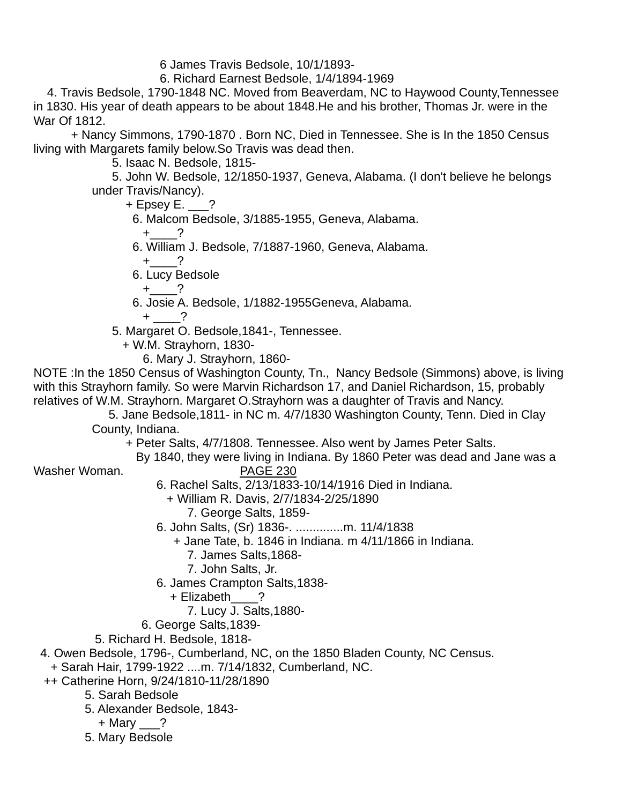6 James Travis Bedsole, 10/1/1893-

6. Richard Earnest Bedsole, 1/4/1894-1969

 4. Travis Bedsole, 1790-1848 NC. Moved from Beaverdam, NC to Haywood County,Tennessee in 1830. His year of death appears to be about 1848.He and his brother, Thomas Jr. were in the War Of 1812.

 + Nancy Simmons, 1790-1870 . Born NC, Died in Tennessee. She is In the 1850 Census living with Margarets family below.So Travis was dead then.

5. Isaac N. Bedsole, 1815-

 5. John W. Bedsole, 12/1850-1937, Geneva, Alabama. (I don't believe he belongs under Travis/Nancy).

 $+$  Epsey E.  $?$ 

- 6. Malcom Bedsole, 3/1885-1955, Geneva, Alabama.
	- +\_\_\_\_?
- 6. William J. Bedsole, 7/1887-1960, Geneva, Alabama.

 $+$  ?

6. Lucy Bedsole

 $+$   $^{2}$ 

- 6. Josie A. Bedsole, 1/1882-1955Geneva, Alabama.
- $+$   $-$  ?
- 5. Margaret O. Bedsole,1841-, Tennessee.
	- + W.M. Strayhorn, 1830-
		- 6. Mary J. Strayhorn, 1860-

NOTE :In the 1850 Census of Washington County, Tn., Nancy Bedsole (Simmons) above, is living with this Strayhorn family. So were Marvin Richardson 17, and Daniel Richardson, 15, probably relatives of W.M. Strayhorn. Margaret O.Strayhorn was a daughter of Travis and Nancy.

 5. Jane Bedsole,1811- in NC m. 4/7/1830 Washington County, Tenn. Died in Clay County, Indiana.

+ Peter Salts, 4/7/1808. Tennessee. Also went by James Peter Salts.

By 1840, they were living in Indiana. By 1860 Peter was dead and Jane was a

Washer Woman. **PAGE 230** 

6. Rachel Salts, 2/13/1833-10/14/1916 Died in Indiana.

- + William R. Davis, 2/7/1834-2/25/1890 7. George Salts, 1859-
- 6. John Salts, (Sr) 1836-. ..............m. 11/4/1838
	- + Jane Tate, b. 1846 in Indiana. m 4/11/1866 in Indiana.
		- 7. James Salts,1868-

7. John Salts, Jr.

- 6. James Crampton Salts,1838-
	- + Elizabeth\_\_\_\_?
		- 7. Lucy J. Salts,1880-
- 6. George Salts,1839-
- 5. Richard H. Bedsole, 1818-

4. Owen Bedsole, 1796-, Cumberland, NC, on the 1850 Bladen County, NC Census.

+ Sarah Hair, 1799-1922 ....m. 7/14/1832, Cumberland, NC.

++ Catherine Horn, 9/24/1810-11/28/1890

- 5. Sarah Bedsole
- 5. Alexander Bedsole, 1843-
	- $+$  Mary  $\_\$ ?
- 5. Mary Bedsole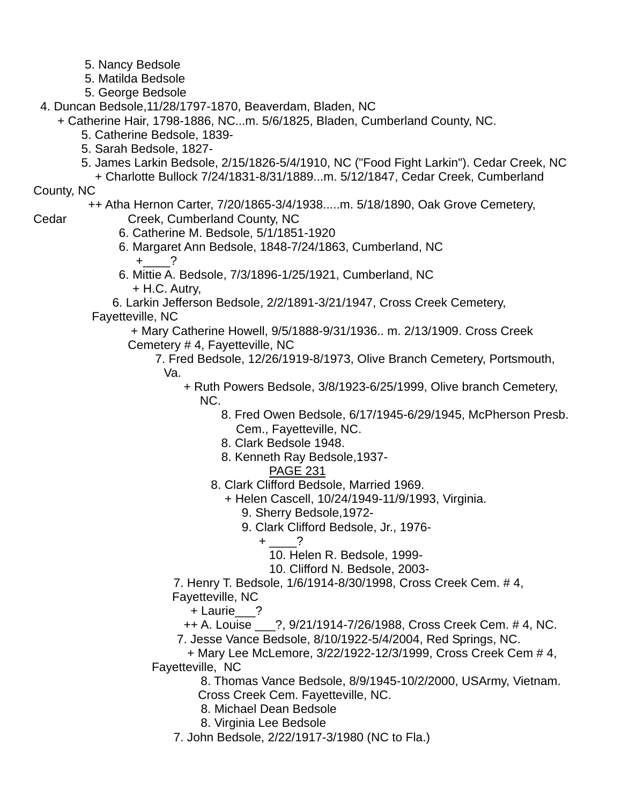- 5. Nancy Bedsole
- 5. Matilda Bedsole
- 5. George Bedsole
- 4. Duncan Bedsole,11/28/1797-1870, Beaverdam, Bladen, NC
	- + Catherine Hair, 1798-1886, NC...m. 5/6/1825, Bladen, Cumberland County, NC.
		- 5. Catherine Bedsole, 1839-
		- 5. Sarah Bedsole, 1827-
		- 5. James Larkin Bedsole, 2/15/1826-5/4/1910, NC ("Food Fight Larkin"). Cedar Creek, NC
			- + Charlotte Bullock 7/24/1831-8/31/1889...m. 5/12/1847, Cedar Creek, Cumberland

#### County, NC

++ Atha Hernon Carter, 7/20/1865-3/4/1938.....m. 5/18/1890, Oak Grove Cemetery,

- Cedar Creek, Cumberland County, NC
	- 6. Catherine M. Bedsole, 5/1/1851-1920
	- 6. Margaret Ann Bedsole, 1848-7/24/1863, Cumberland, NC  $+$  ?
	- 6. Mittie A. Bedsole, 7/3/1896-1/25/1921, Cumberland, NC + H.C. Autry,

 6. Larkin Jefferson Bedsole, 2/2/1891-3/21/1947, Cross Creek Cemetery, Fayetteville, NC

 + Mary Catherine Howell, 9/5/1888-9/31/1936.. m. 2/13/1909. Cross Creek Cemetery # 4, Fayetteville, NC

 7. Fred Bedsole, 12/26/1919-8/1973, Olive Branch Cemetery, Portsmouth, Va.

- + Ruth Powers Bedsole, 3/8/1923-6/25/1999, Olive branch Cemetery, NC.
	- 8. Fred Owen Bedsole, 6/17/1945-6/29/1945, McPherson Presb. Cem., Fayetteville, NC.
	- 8. Clark Bedsole 1948.
	- 8. Kenneth Ray Bedsole,1937-
		- PAGE 231
	- 8. Clark Clifford Bedsole, Married 1969.
		- + Helen Cascell, 10/24/1949-11/9/1993, Virginia.
			- 9. Sherry Bedsole,1972-
			- 9. Clark Clifford Bedsole, Jr., 1976-

$$
+\underline{\qquad}\qquad?
$$

- 10. Helen R. Bedsole, 1999-
- 10. Clifford N. Bedsole, 2003-

 7. Henry T. Bedsole, 1/6/1914-8/30/1998, Cross Creek Cem. # 4, Fayetteville, NC

+ Laurie\_\_\_?

++ A. Louise \_\_\_?, 9/21/1914-7/26/1988, Cross Creek Cem. # 4, NC.

7. Jesse Vance Bedsole, 8/10/1922-5/4/2004, Red Springs, NC.

 + Mary Lee McLemore, 3/22/1922-12/3/1999, Cross Creek Cem # 4, Fayetteville, NC

> 8. Thomas Vance Bedsole, 8/9/1945-10/2/2000, USArmy, Vietnam. Cross Creek Cem. Fayetteville, NC.

- 8. Michael Dean Bedsole
- 8. Virginia Lee Bedsole
- 7. John Bedsole, 2/22/1917-3/1980 (NC to Fla.)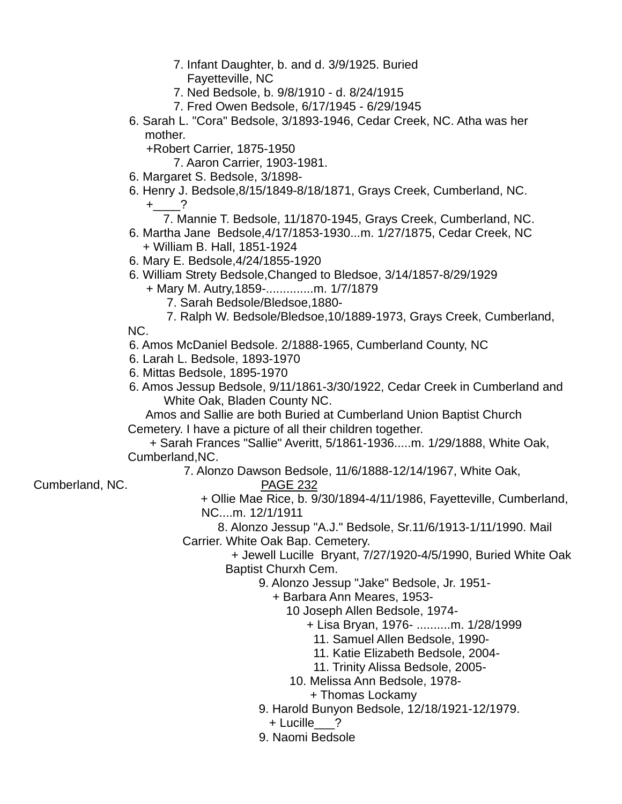- 7. Infant Daughter, b. and d. 3/9/1925. Buried
	- Fayetteville, NC
- 7. Ned Bedsole, b. 9/8/1910 d. 8/24/1915
- 7. Fred Owen Bedsole, 6/17/1945 6/29/1945
- 6. Sarah L. "Cora" Bedsole, 3/1893-1946, Cedar Creek, NC. Atha was her mother.

+Robert Carrier, 1875-1950

7. Aaron Carrier, 1903-1981.

- 6. Margaret S. Bedsole, 3/1898-
- 6. Henry J. Bedsole,8/15/1849-8/18/1871, Grays Creek, Cumberland, NC.  $+$  ?
	- 7. Mannie T. Bedsole, 11/1870-1945, Grays Creek, Cumberland, NC.
- 6. Martha Jane Bedsole,4/17/1853-1930...m. 1/27/1875, Cedar Creek, NC + William B. Hall, 1851-1924
- 6. Mary E. Bedsole,4/24/1855-1920
- 6. William Strety Bedsole,Changed to Bledsoe, 3/14/1857-8/29/1929
	- + Mary M. Autry,1859-..............m. 1/7/1879
		- 7. Sarah Bedsole/Bledsoe,1880-
		- 7. Ralph W. Bedsole/Bledsoe,10/1889-1973, Grays Creek, Cumberland,

NC.

- 6. Amos McDaniel Bedsole. 2/1888-1965, Cumberland County, NC
- 6. Larah L. Bedsole, 1893-1970
- 6. Mittas Bedsole, 1895-1970
- 6. Amos Jessup Bedsole, 9/11/1861-3/30/1922, Cedar Creek in Cumberland and White Oak, Bladen County NC.

 Amos and Sallie are both Buried at Cumberland Union Baptist Church Cemetery. I have a picture of all their children together.

 + Sarah Frances "Sallie" Averitt, 5/1861-1936.....m. 1/29/1888, White Oak, Cumberland,NC.

7. Alonzo Dawson Bedsole, 11/6/1888-12/14/1967, White Oak,

# Cumberland, NC. PAGE 232

 + Ollie Mae Rice, b. 9/30/1894-4/11/1986, Fayetteville, Cumberland, NC....m. 12/1/1911

 8. Alonzo Jessup "A.J." Bedsole, Sr.11/6/1913-1/11/1990. Mail Carrier. White Oak Bap. Cemetery.

 + Jewell Lucille Bryant, 7/27/1920-4/5/1990, Buried White Oak Baptist Churxh Cem.

9. Alonzo Jessup "Jake" Bedsole, Jr. 1951-

+ Barbara Ann Meares, 1953-

10 Joseph Allen Bedsole, 1974-

+ Lisa Bryan, 1976- ..........m. 1/28/1999

11. Samuel Allen Bedsole, 1990-

11. Katie Elizabeth Bedsole, 2004-

11. Trinity Alissa Bedsole, 2005-

10. Melissa Ann Bedsole, 1978-

+ Thomas Lockamy

9. Harold Bunyon Bedsole, 12/18/1921-12/1979.

+ Lucille\_\_\_?

9. Naomi Bedsole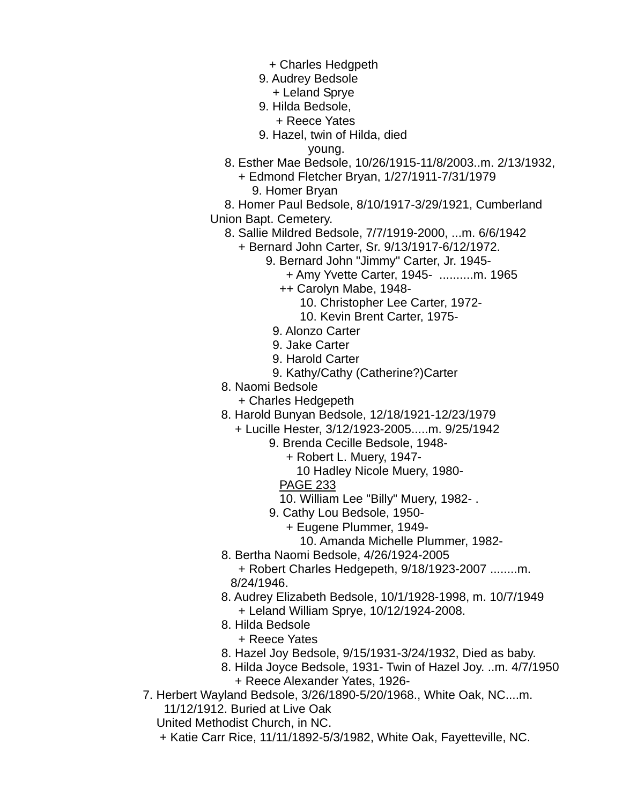- + Charles Hedgpeth
- 9. Audrey Bedsole
- + Leland Sprye
- 9. Hilda Bedsole,
	- + Reece Yates
- 9. Hazel, twin of Hilda, died

young.

- 8. Esther Mae Bedsole, 10/26/1915-11/8/2003..m. 2/13/1932,
	- + Edmond Fletcher Bryan, 1/27/1911-7/31/1979 9. Homer Bryan
- 8. Homer Paul Bedsole, 8/10/1917-3/29/1921, Cumberland Union Bapt. Cemetery.
	- 8. Sallie Mildred Bedsole, 7/7/1919-2000, ...m. 6/6/1942
		- + Bernard John Carter, Sr. 9/13/1917-6/12/1972.
			- 9. Bernard John "Jimmy" Carter, Jr. 1945-
				- + Amy Yvette Carter, 1945- ..........m. 1965
				- ++ Carolyn Mabe, 1948-
					- 10. Christopher Lee Carter, 1972-
					- 10. Kevin Brent Carter, 1975-
				- 9. Alonzo Carter
				- 9. Jake Carter
			- 9. Harold Carter
			- 9. Kathy/Cathy (Catherine?)Carter
	- 8. Naomi Bedsole
		- + Charles Hedgepeth
	- 8. Harold Bunyan Bedsole, 12/18/1921-12/23/1979
		- + Lucille Hester, 3/12/1923-2005.....m. 9/25/1942
			- 9. Brenda Cecille Bedsole, 1948-
				- + Robert L. Muery, 1947-
					- 10 Hadley Nicole Muery, 1980-
				- PAGE 233
				- 10. William Lee "Billy" Muery, 1982- .
			- 9. Cathy Lou Bedsole, 1950-
				- + Eugene Plummer, 1949-
					- 10. Amanda Michelle Plummer, 1982-
	- 8. Bertha Naomi Bedsole, 4/26/1924-2005

 + Robert Charles Hedgepeth, 9/18/1923-2007 ........m. 8/24/1946.

- 8. Audrey Elizabeth Bedsole, 10/1/1928-1998, m. 10/7/1949 + Leland William Sprye, 10/12/1924-2008.
- 8. Hilda Bedsole
	- + Reece Yates
- 8. Hazel Joy Bedsole, 9/15/1931-3/24/1932, Died as baby.
- 8. Hilda Joyce Bedsole, 1931- Twin of Hazel Joy. ..m. 4/7/1950 + Reece Alexander Yates, 1926-
- 7. Herbert Wayland Bedsole, 3/26/1890-5/20/1968., White Oak, NC....m. 11/12/1912. Buried at Live Oak

United Methodist Church, in NC.

+ Katie Carr Rice, 11/11/1892-5/3/1982, White Oak, Fayetteville, NC.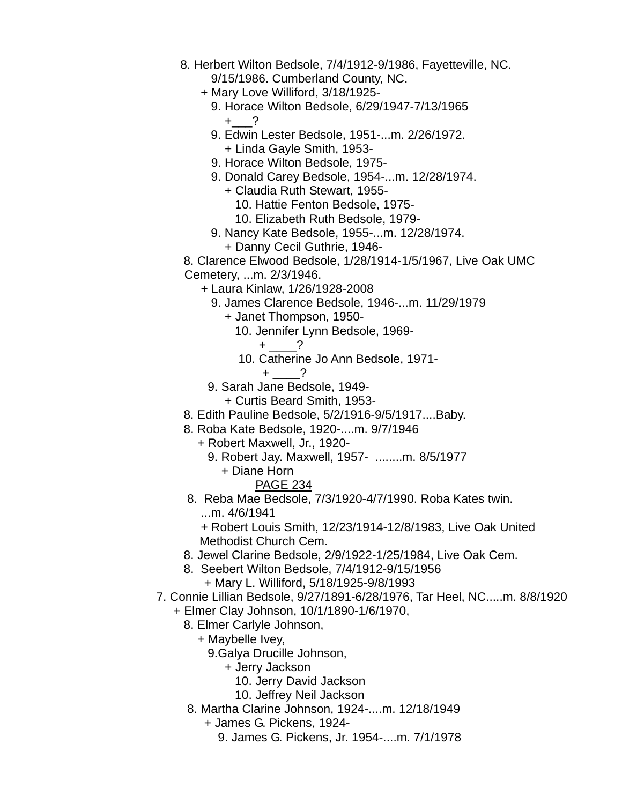- 8. Herbert Wilton Bedsole, 7/4/1912-9/1986, Fayetteville, NC. 9/15/1986. Cumberland County, NC.
	- + Mary Love Williford, 3/18/1925-
		- 9. Horace Wilton Bedsole, 6/29/1947-7/13/1965  $+$  ?
		- 9. Edwin Lester Bedsole, 1951-...m. 2/26/1972. + Linda Gayle Smith, 1953-
		- 9. Horace Wilton Bedsole, 1975-
		- 9. Donald Carey Bedsole, 1954-...m. 12/28/1974.
			- + Claudia Ruth Stewart, 1955-
				- 10. Hattie Fenton Bedsole, 1975-
				- 10. Elizabeth Ruth Bedsole, 1979-
		- 9. Nancy Kate Bedsole, 1955-...m. 12/28/1974.
			- + Danny Cecil Guthrie, 1946-

 8. Clarence Elwood Bedsole, 1/28/1914-1/5/1967, Live Oak UMC Cemetery, ...m. 2/3/1946.

- + Laura Kinlaw, 1/26/1928-2008
	- 9. James Clarence Bedsole, 1946-...m. 11/29/1979
		- + Janet Thompson, 1950-
			- 10. Jennifer Lynn Bedsole, 1969-
				- + \_\_\_\_?
			- 10. Catherine Jo Ann Bedsole, 1971-
				- $+$  ?
- 9. Sarah Jane Bedsole, 1949-
	- + Curtis Beard Smith, 1953-
- 8. Edith Pauline Bedsole, 5/2/1916-9/5/1917....Baby.
- 8. Roba Kate Bedsole, 1920-....m. 9/7/1946
	- + Robert Maxwell, Jr., 1920-
		- 9. Robert Jay. Maxwell, 1957- ........m. 8/5/1977
			- + Diane Horn
				- PAGE 234
- 8. Reba Mae Bedsole, 7/3/1920-4/7/1990. Roba Kates twin. ...m. 4/6/1941

 + Robert Louis Smith, 12/23/1914-12/8/1983, Live Oak United Methodist Church Cem.

- 8. Jewel Clarine Bedsole, 2/9/1922-1/25/1984, Live Oak Cem.
- 8. Seebert Wilton Bedsole, 7/4/1912-9/15/1956 + Mary L. Williford, 5/18/1925-9/8/1993
- 7. Connie Lillian Bedsole, 9/27/1891-6/28/1976, Tar Heel, NC.....m. 8/8/1920
	- + Elmer Clay Johnson, 10/1/1890-1/6/1970,
		- 8. Elmer Carlyle Johnson,
			- + Maybelle Ivey,
				- 9.Galya Drucille Johnson,
					- + Jerry Jackson
						- 10. Jerry David Jackson
						- 10. Jeffrey Neil Jackson
		- 8. Martha Clarine Johnson, 1924-....m. 12/18/1949
			- + James G. Pickens, 1924-
				- 9. James G. Pickens, Jr. 1954-....m. 7/1/1978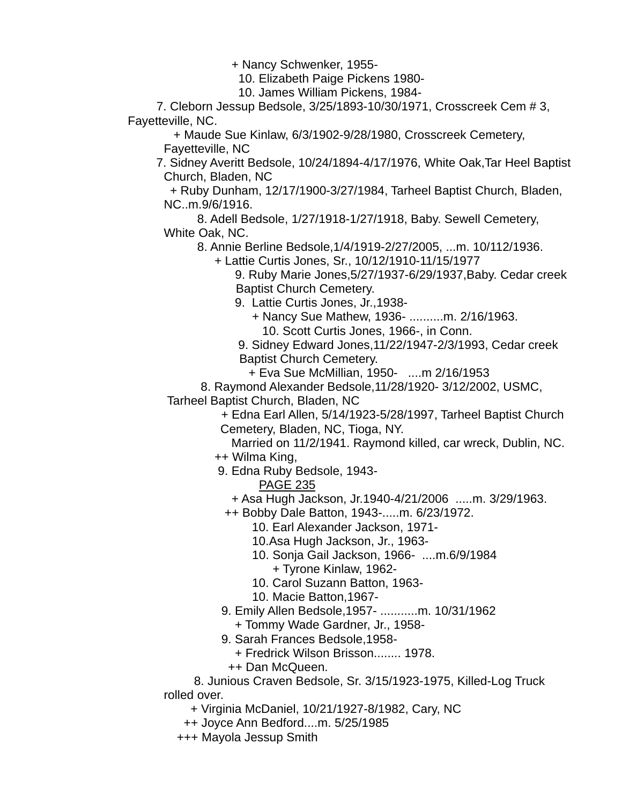+ Nancy Schwenker, 1955-

10. Elizabeth Paige Pickens 1980-

10. James William Pickens, 1984-

 7. Cleborn Jessup Bedsole, 3/25/1893-10/30/1971, Crosscreek Cem # 3, Fayetteville, NC.

 + Maude Sue Kinlaw, 6/3/1902-9/28/1980, Crosscreek Cemetery, Fayetteville, NC

 7. Sidney Averitt Bedsole, 10/24/1894-4/17/1976, White Oak,Tar Heel Baptist Church, Bladen, NC

 + Ruby Dunham, 12/17/1900-3/27/1984, Tarheel Baptist Church, Bladen, NC..m.9/6/1916.

 8. Adell Bedsole, 1/27/1918-1/27/1918, Baby. Sewell Cemetery, White Oak, NC.

8. Annie Berline Bedsole,1/4/1919-2/27/2005, ...m. 10/112/1936.

+ Lattie Curtis Jones, Sr., 10/12/1910-11/15/1977

 9. Ruby Marie Jones,5/27/1937-6/29/1937,Baby. Cedar creek Baptist Church Cemetery.

9. Lattie Curtis Jones, Jr.,1938-

 + Nancy Sue Mathew, 1936- ..........m. 2/16/1963. 10. Scott Curtis Jones, 1966-, in Conn.

 9. Sidney Edward Jones,11/22/1947-2/3/1993, Cedar creek Baptist Church Cemetery.

+ Eva Sue McMillian, 1950- ....m 2/16/1953

8. Raymond Alexander Bedsole,11/28/1920- 3/12/2002, USMC,

Tarheel Baptist Church, Bladen, NC

 + Edna Earl Allen, 5/14/1923-5/28/1997, Tarheel Baptist Church Cemetery, Bladen, NC, Tioga, NY.

Married on 11/2/1941. Raymond killed, car wreck, Dublin, NC.

++ Wilma King,

9. Edna Ruby Bedsole, 1943-

PAGE 235

+ Asa Hugh Jackson, Jr.1940-4/21/2006 .....m. 3/29/1963.

++ Bobby Dale Batton, 1943-.....m. 6/23/1972.

10. Earl Alexander Jackson, 1971-

10.Asa Hugh Jackson, Jr., 1963-

 10. Sonja Gail Jackson, 1966- ....m.6/9/1984 + Tyrone Kinlaw, 1962-

10. Carol Suzann Batton, 1963-

- 10. Macie Batton,1967-
- 9. Emily Allen Bedsole,1957- ...........m. 10/31/1962

+ Tommy Wade Gardner, Jr., 1958-

9. Sarah Frances Bedsole,1958-

+ Fredrick Wilson Brisson........ 1978.

++ Dan McQueen.

 8. Junious Craven Bedsole, Sr. 3/15/1923-1975, Killed-Log Truck rolled over.

+ Virginia McDaniel, 10/21/1927-8/1982, Cary, NC

++ Joyce Ann Bedford....m. 5/25/1985

+++ Mayola Jessup Smith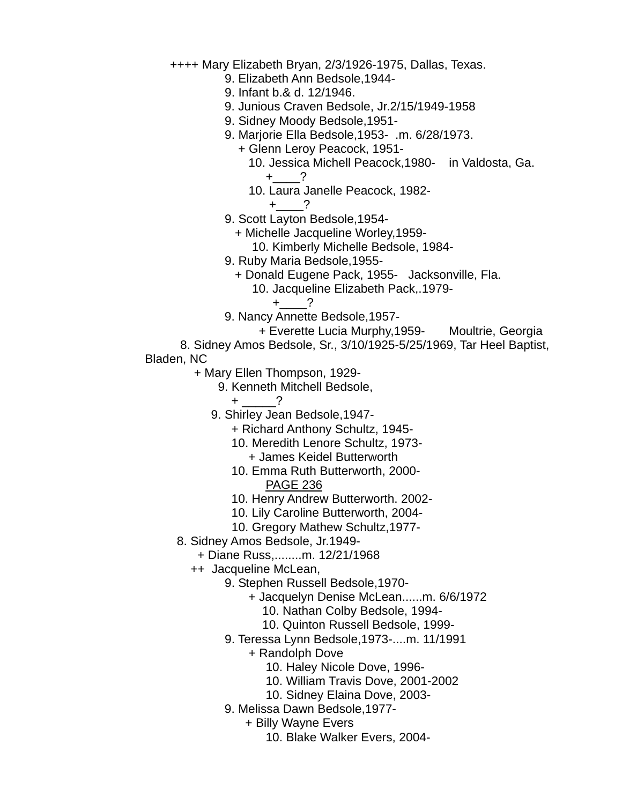++++ Mary Elizabeth Bryan, 2/3/1926-1975, Dallas, Texas.

- 9. Elizabeth Ann Bedsole,1944-
- 9. Infant b.& d. 12/1946.
- 9. Junious Craven Bedsole, Jr.2/15/1949-1958
- 9. Sidney Moody Bedsole,1951-
- 9. Marjorie Ella Bedsole,1953- .m. 6/28/1973.
	- + Glenn Leroy Peacock, 1951-
		- 10. Jessica Michell Peacock,1980- in Valdosta, Ga.
			- +\_\_\_\_?
		- 10. Laura Janelle Peacock, 1982-
			- $+$  ?
- 9. Scott Layton Bedsole,1954-
	- + Michelle Jacqueline Worley,1959-
		- 10. Kimberly Michelle Bedsole, 1984-
- 9. Ruby Maria Bedsole,1955-
	- + Donald Eugene Pack, 1955- Jacksonville, Fla.
		- 10. Jacqueline Elizabeth Pack,.1979-
			- $+$  ?
- 9. Nancy Annette Bedsole,1957-
	- + Everette Lucia Murphy,1959- Moultrie, Georgia
- 8. Sidney Amos Bedsole, Sr., 3/10/1925-5/25/1969, Tar Heel Baptist,
- Bladen, NC
	- + Mary Ellen Thompson, 1929-
		- 9. Kenneth Mitchell Bedsole,
			- + \_\_\_\_\_?
		- 9. Shirley Jean Bedsole,1947-
			- + Richard Anthony Schultz, 1945-
			- 10. Meredith Lenore Schultz, 1973-
				- + James Keidel Butterworth
			- 10. Emma Ruth Butterworth, 2000- PAGE 236
			- 10. Henry Andrew Butterworth. 2002-
			- 10. Lily Caroline Butterworth, 2004-
			- 10. Gregory Mathew Schultz,1977-
	- 8. Sidney Amos Bedsole, Jr.1949-
		- + Diane Russ,........m. 12/21/1968
		- ++ Jacqueline McLean,
			- 9. Stephen Russell Bedsole,1970-
				- + Jacquelyn Denise McLean......m. 6/6/1972
					- 10. Nathan Colby Bedsole, 1994-
					- 10. Quinton Russell Bedsole, 1999-
			- 9. Teressa Lynn Bedsole,1973-....m. 11/1991
				- + Randolph Dove
					- 10. Haley Nicole Dove, 1996-
					- 10. William Travis Dove, 2001-2002
					- 10. Sidney Elaina Dove, 2003-
			- 9. Melissa Dawn Bedsole,1977-
				- + Billy Wayne Evers
					- 10. Blake Walker Evers, 2004-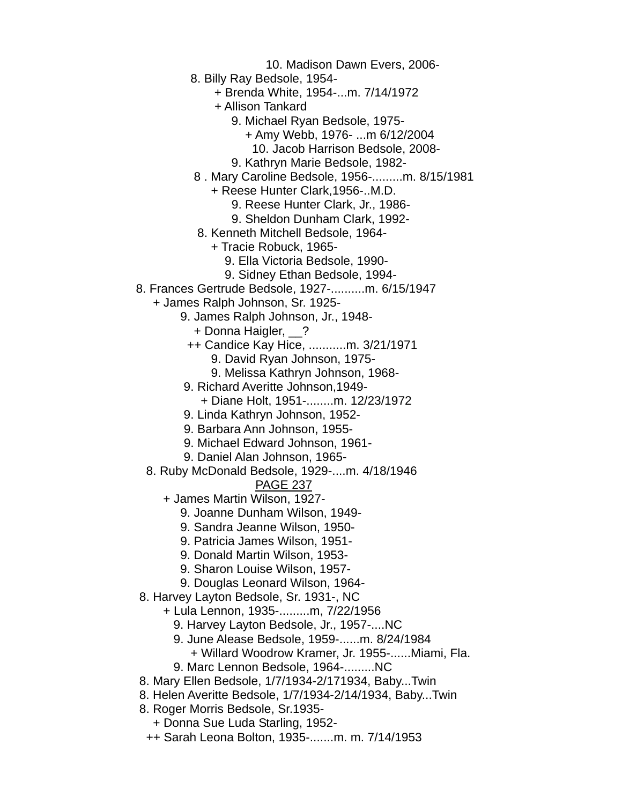10. Madison Dawn Evers, 2006-

8. Billy Ray Bedsole, 1954-

+ Brenda White, 1954-...m. 7/14/1972

+ Allison Tankard

9. Michael Ryan Bedsole, 1975-

+ Amy Webb, 1976- ...m 6/12/2004

- 10. Jacob Harrison Bedsole, 2008-
- 9. Kathryn Marie Bedsole, 1982-
- 8 . Mary Caroline Bedsole, 1956-.........m. 8/15/1981

+ Reese Hunter Clark,1956-..M.D.

- 9. Reese Hunter Clark, Jr., 1986-
- 9. Sheldon Dunham Clark, 1992-
- 8. Kenneth Mitchell Bedsole, 1964-
	- + Tracie Robuck, 1965-
		- 9. Ella Victoria Bedsole, 1990-
		- 9. Sidney Ethan Bedsole, 1994-
- 8. Frances Gertrude Bedsole, 1927-..........m. 6/15/1947
	- + James Ralph Johnson, Sr. 1925-
		- 9. James Ralph Johnson, Jr., 1948-
			- + Donna Haigler, \_\_?
			- ++ Candice Kay Hice, ...........m. 3/21/1971
				- 9. David Ryan Johnson, 1975-
				- 9. Melissa Kathryn Johnson, 1968-
		- 9. Richard Averitte Johnson,1949-
			- + Diane Holt, 1951-........m. 12/23/1972
		- 9. Linda Kathryn Johnson, 1952-
		- 9. Barbara Ann Johnson, 1955-
		- 9. Michael Edward Johnson, 1961-
		- 9. Daniel Alan Johnson, 1965-
	- 8. Ruby McDonald Bedsole, 1929-....m. 4/18/1946

- + James Martin Wilson, 1927-
	- 9. Joanne Dunham Wilson, 1949-
	- 9. Sandra Jeanne Wilson, 1950-
	- 9. Patricia James Wilson, 1951-
	- 9. Donald Martin Wilson, 1953-
	- 9. Sharon Louise Wilson, 1957-
	- 9. Douglas Leonard Wilson, 1964-
- 8. Harvey Layton Bedsole, Sr. 1931-, NC
	- + Lula Lennon, 1935-.........m, 7/22/1956
		- 9. Harvey Layton Bedsole, Jr., 1957-....NC
		- 9. June Alease Bedsole, 1959-......m. 8/24/1984
		- + Willard Woodrow Kramer, Jr. 1955-......Miami, Fla.
		- 9. Marc Lennon Bedsole, 1964-.........NC
- 8. Mary Ellen Bedsole, 1/7/1934-2/171934, Baby...Twin
- 8. Helen Averitte Bedsole, 1/7/1934-2/14/1934, Baby...Twin
- 8. Roger Morris Bedsole, Sr.1935-
	- + Donna Sue Luda Starling, 1952-
	- ++ Sarah Leona Bolton, 1935-.......m. m. 7/14/1953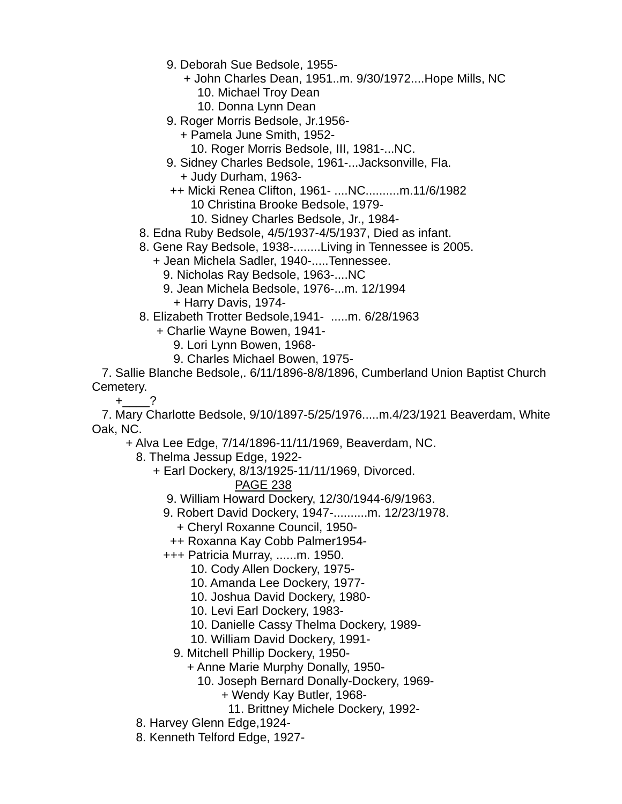- 9. Deborah Sue Bedsole, 1955-
	- + John Charles Dean, 1951..m. 9/30/1972....Hope Mills, NC 10. Michael Troy Dean
		- 10. Donna Lynn Dean
- 9. Roger Morris Bedsole, Jr.1956-
	- + Pamela June Smith, 1952-
	- 10. Roger Morris Bedsole, III, 1981-...NC.
- 9. Sidney Charles Bedsole, 1961-...Jacksonville, Fla.
	- + Judy Durham, 1963-
- ++ Micki Renea Clifton, 1961- ....NC..........m.11/6/1982
	- 10 Christina Brooke Bedsole, 1979-
	- 10. Sidney Charles Bedsole, Jr., 1984-
- 8. Edna Ruby Bedsole, 4/5/1937-4/5/1937, Died as infant.
- 8. Gene Ray Bedsole, 1938-........Living in Tennessee is 2005.
	- + Jean Michela Sadler, 1940-.....Tennessee.
		- 9. Nicholas Ray Bedsole, 1963-....NC
		- 9. Jean Michela Bedsole, 1976-...m. 12/1994 + Harry Davis, 1974-
- 8. Elizabeth Trotter Bedsole,1941- .....m. 6/28/1963
	- + Charlie Wayne Bowen, 1941-
		- 9. Lori Lynn Bowen, 1968-
		- 9. Charles Michael Bowen, 1975-

 7. Sallie Blanche Bedsole,. 6/11/1896-8/8/1896, Cumberland Union Baptist Church Cemetery.

 $+$  ?

 7. Mary Charlotte Bedsole, 9/10/1897-5/25/1976.....m.4/23/1921 Beaverdam, White Oak, NC.

+ Alva Lee Edge, 7/14/1896-11/11/1969, Beaverdam, NC.

8. Thelma Jessup Edge, 1922-

+ Earl Dockery, 8/13/1925-11/11/1969, Divorced.

PAGE 238

9. William Howard Dockery, 12/30/1944-6/9/1963.

- 9. Robert David Dockery, 1947-..........m. 12/23/1978.
	- + Cheryl Roxanne Council, 1950-
	- ++ Roxanna Kay Cobb Palmer1954-
- +++ Patricia Murray, ......m. 1950.
	- 10. Cody Allen Dockery, 1975-
	- 10. Amanda Lee Dockery, 1977-
	- 10. Joshua David Dockery, 1980-
	- 10. Levi Earl Dockery, 1983-
	- 10. Danielle Cassy Thelma Dockery, 1989-
	- 10. William David Dockery, 1991-
	- 9. Mitchell Phillip Dockery, 1950-
		- + Anne Marie Murphy Donally, 1950-
			- 10. Joseph Bernard Donally-Dockery, 1969-
				- + Wendy Kay Butler, 1968-
					- 11. Brittney Michele Dockery, 1992-
- 8. Harvey Glenn Edge,1924-
- 8. Kenneth Telford Edge, 1927-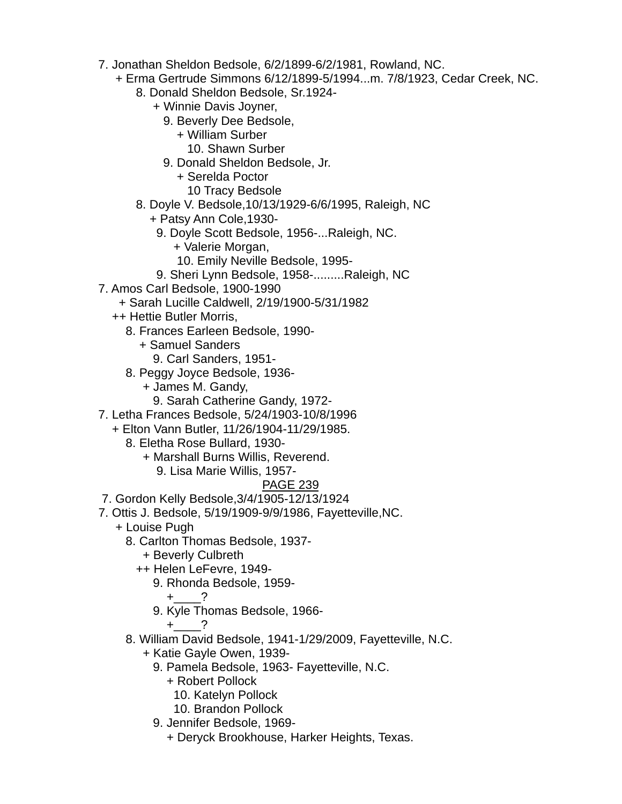- 7. Jonathan Sheldon Bedsole, 6/2/1899-6/2/1981, Rowland, NC.
	- + Erma Gertrude Simmons 6/12/1899-5/1994...m. 7/8/1923, Cedar Creek, NC.
		- 8. Donald Sheldon Bedsole, Sr.1924-
			- + Winnie Davis Joyner,
				- 9. Beverly Dee Bedsole,
					- + William Surber
						- 10. Shawn Surber
				- 9. Donald Sheldon Bedsole, Jr.
					- + Serelda Poctor
						- 10 Tracy Bedsole
		- 8. Doyle V. Bedsole,10/13/1929-6/6/1995, Raleigh, NC
			- + Patsy Ann Cole,1930-
				- 9. Doyle Scott Bedsole, 1956-...Raleigh, NC.
					- + Valerie Morgan,
					- 10. Emily Neville Bedsole, 1995-
				- 9. Sheri Lynn Bedsole, 1958-.........Raleigh, NC
- 7. Amos Carl Bedsole, 1900-1990
	- + Sarah Lucille Caldwell, 2/19/1900-5/31/1982
	- ++ Hettie Butler Morris,
		- 8. Frances Earleen Bedsole, 1990-
			- + Samuel Sanders
				- 9. Carl Sanders, 1951-
		- 8. Peggy Joyce Bedsole, 1936-
			- + James M. Gandy,
				- 9. Sarah Catherine Gandy, 1972-
- 7. Letha Frances Bedsole, 5/24/1903-10/8/1996
	- + Elton Vann Butler, 11/26/1904-11/29/1985.
		- 8. Eletha Rose Bullard, 1930-
			- + Marshall Burns Willis, Reverend.
				- 9. Lisa Marie Willis, 1957-

# PAGE 239

- 7. Gordon Kelly Bedsole,3/4/1905-12/13/1924
- 7. Ottis J. Bedsole, 5/19/1909-9/9/1986, Fayetteville,NC.
	- + Louise Pugh
		- 8. Carlton Thomas Bedsole, 1937-
			- + Beverly Culbreth
			- ++ Helen LeFevre, 1949-
				- 9. Rhonda Bedsole, 1959-
					- $+$  ?
				- 9. Kyle Thomas Bedsole, 1966-

 $+$  ?

- 8. William David Bedsole, 1941-1/29/2009, Fayetteville, N.C.
	- + Katie Gayle Owen, 1939-
		- 9. Pamela Bedsole, 1963- Fayetteville, N.C.
			- + Robert Pollock
				- 10. Katelyn Pollock
				- 10. Brandon Pollock
		- 9. Jennifer Bedsole, 1969-
			- + Deryck Brookhouse, Harker Heights, Texas.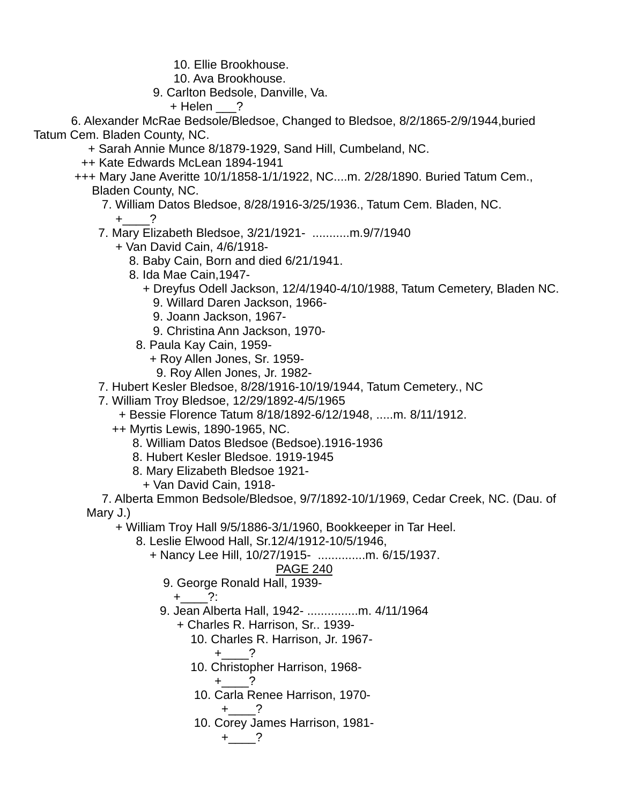- 10. Ellie Brookhouse.
- 10. Ava Brookhouse.
- 9. Carlton Bedsole, Danville, Va.
	- + Helen ?

 6. Alexander McRae Bedsole/Bledsoe, Changed to Bledsoe, 8/2/1865-2/9/1944,buried Tatum Cem. Bladen County, NC.

- + Sarah Annie Munce 8/1879-1929, Sand Hill, Cumbeland, NC.
- ++ Kate Edwards McLean 1894-1941
- +++ Mary Jane Averitte 10/1/1858-1/1/1922, NC....m. 2/28/1890. Buried Tatum Cem., Bladen County, NC.
	- 7. William Datos Bledsoe, 8/28/1916-3/25/1936., Tatum Cem. Bladen, NC.  $+$  ?
	- 7. Mary Elizabeth Bledsoe, 3/21/1921- ...........m.9/7/1940
		- + Van David Cain, 4/6/1918-
			- 8. Baby Cain, Born and died 6/21/1941.
			- 8. Ida Mae Cain,1947-
				- + Dreyfus Odell Jackson, 12/4/1940-4/10/1988, Tatum Cemetery, Bladen NC.
					- 9. Willard Daren Jackson, 1966-
					- 9. Joann Jackson, 1967-
					- 9. Christina Ann Jackson, 1970-
				- 8. Paula Kay Cain, 1959-
					- + Roy Allen Jones, Sr. 1959-
					- 9. Roy Allen Jones, Jr. 1982-
	- 7. Hubert Kesler Bledsoe, 8/28/1916-10/19/1944, Tatum Cemetery., NC
	- 7. William Troy Bledsoe, 12/29/1892-4/5/1965
		- + Bessie Florence Tatum 8/18/1892-6/12/1948, .....m. 8/11/1912.
		- ++ Myrtis Lewis, 1890-1965, NC.
			- 8. William Datos Bledsoe (Bedsoe).1916-1936
			- 8. Hubert Kesler Bledsoe. 1919-1945
			- 8. Mary Elizabeth Bledsoe 1921-
			- + Van David Cain, 1918-

 7. Alberta Emmon Bedsole/Bledsoe, 9/7/1892-10/1/1969, Cedar Creek, NC. (Dau. of Mary J.)

+ William Troy Hall 9/5/1886-3/1/1960, Bookkeeper in Tar Heel.

- 8. Leslie Elwood Hall, Sr.12/4/1912-10/5/1946,
	- + Nancy Lee Hill, 10/27/1915- ..............m. 6/15/1937.

# PAGE 240

- 9. George Ronald Hall, 1939-
	- $+$  ?:
- 9. Jean Alberta Hall, 1942- ...............m. 4/11/1964
	- + Charles R. Harrison, Sr.. 1939-
		- 10. Charles R. Harrison, Jr. 1967-

$$
+\underline{\hspace{1cm}}?
$$

10. Christopher Harrison, 1968-

$$
+\underline{\hspace{1cm}}?
$$

10. Carla Renee Harrison, 1970-

$$
+\underline{\qquad}\,?
$$

 10. Corey James Harrison, 1981-  $+$   $?$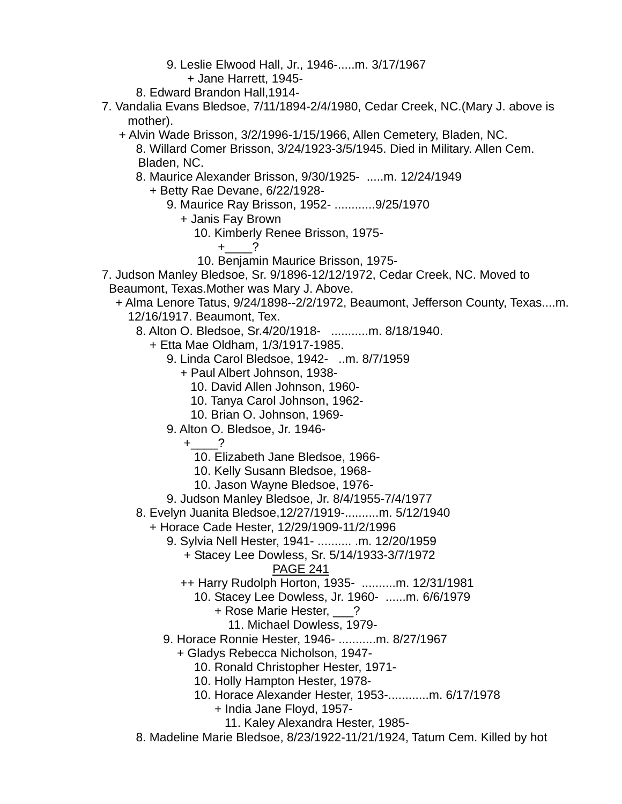- 9. Leslie Elwood Hall, Jr., 1946-.....m. 3/17/1967
- + Jane Harrett, 1945-
- 8. Edward Brandon Hall,1914-
- 7. Vandalia Evans Bledsoe, 7/11/1894-2/4/1980, Cedar Creek, NC.(Mary J. above is mother).
	- + Alvin Wade Brisson, 3/2/1996-1/15/1966, Allen Cemetery, Bladen, NC. 8. Willard Comer Brisson, 3/24/1923-3/5/1945. Died in Military. Allen Cem. Bladen, NC.
		- 8. Maurice Alexander Brisson, 9/30/1925- .....m. 12/24/1949
			- + Betty Rae Devane, 6/22/1928-
				- 9. Maurice Ray Brisson, 1952- ............9/25/1970
					- + Janis Fay Brown
						- 10. Kimberly Renee Brisson, 1975-
							- $+$  ?
						- 10. Benjamin Maurice Brisson, 1975-
- 7. Judson Manley Bledsoe, Sr. 9/1896-12/12/1972, Cedar Creek, NC. Moved to Beaumont, Texas.Mother was Mary J. Above.
	- + Alma Lenore Tatus, 9/24/1898--2/2/1972, Beaumont, Jefferson County, Texas....m. 12/16/1917. Beaumont, Tex.
		- 8. Alton O. Bledsoe, Sr.4/20/1918- ...........m. 8/18/1940.
			- + Etta Mae Oldham, 1/3/1917-1985.
				- 9. Linda Carol Bledsoe, 1942- ..m. 8/7/1959
					- + Paul Albert Johnson, 1938-
						- 10. David Allen Johnson, 1960-
						- 10. Tanya Carol Johnson, 1962-
						- 10. Brian O. Johnson, 1969-
				- 9. Alton O. Bledsoe, Jr. 1946-
					- $+$  ?
						- 10. Elizabeth Jane Bledsoe, 1966-
						- 10. Kelly Susann Bledsoe, 1968-
						- 10. Jason Wayne Bledsoe, 1976-
				- 9. Judson Manley Bledsoe, Jr. 8/4/1955-7/4/1977
		- 8. Evelyn Juanita Bledsoe,12/27/1919-..........m. 5/12/1940
			- + Horace Cade Hester, 12/29/1909-11/2/1996
				- 9. Sylvia Nell Hester, 1941- .......... .m. 12/20/1959
					- + Stacey Lee Dowless, Sr. 5/14/1933-3/7/1972

- ++ Harry Rudolph Horton, 1935- ..........m. 12/31/1981
	- 10. Stacey Lee Dowless, Jr. 1960- ......m. 6/6/1979
		- + Rose Marie Hester, \_\_\_?
			- 11. Michael Dowless, 1979-
- 9. Horace Ronnie Hester, 1946- ...........m. 8/27/1967
	- + Gladys Rebecca Nicholson, 1947-
		- 10. Ronald Christopher Hester, 1971-
		- 10. Holly Hampton Hester, 1978-
		- 10. Horace Alexander Hester, 1953-............m. 6/17/1978
			- + India Jane Floyd, 1957-
				- 11. Kaley Alexandra Hester, 1985-
- 8. Madeline Marie Bledsoe, 8/23/1922-11/21/1924, Tatum Cem. Killed by hot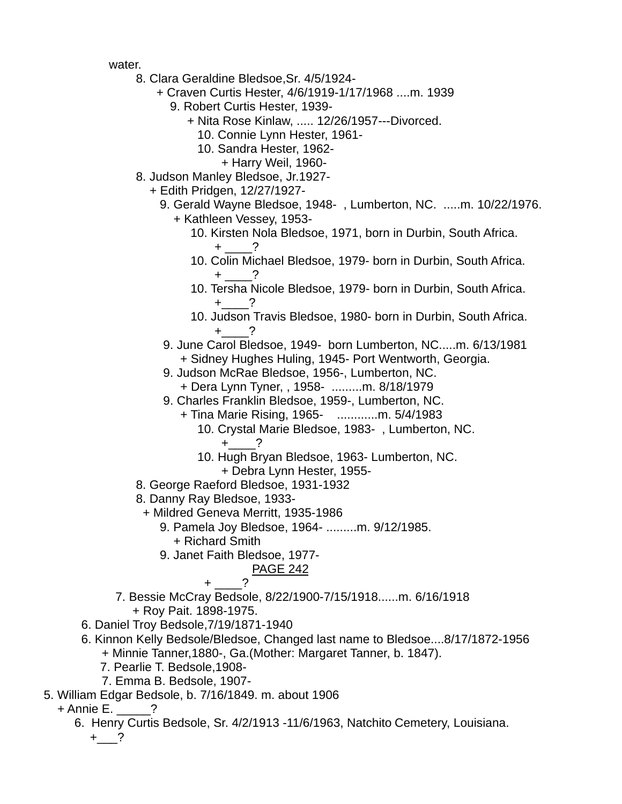water.

- 8. Clara Geraldine Bledsoe,Sr. 4/5/1924-
	- + Craven Curtis Hester, 4/6/1919-1/17/1968 ....m. 1939
		- 9. Robert Curtis Hester, 1939-
			- + Nita Rose Kinlaw, ..... 12/26/1957---Divorced.
				- 10. Connie Lynn Hester, 1961-
				- 10. Sandra Hester, 1962-
					- + Harry Weil, 1960-
- 8. Judson Manley Bledsoe, Jr.1927-
	- + Edith Pridgen, 12/27/1927-
		- 9. Gerald Wayne Bledsoe, 1948- , Lumberton, NC. .....m. 10/22/1976.
			- + Kathleen Vessey, 1953-
- 10. Kirsten Nola Bledsoe, 1971, born in Durbin, South Africa.  $+$   $-$ ?
	- 10. Colin Michael Bledsoe, 1979- born in Durbin, South Africa.  $+$  ?
	- 10. Tersha Nicole Bledsoe, 1979- born in Durbin, South Africa.  $+$  ?
	- 10. Judson Travis Bledsoe, 1980- born in Durbin, South Africa.  $+$  ?
	- 9. June Carol Bledsoe, 1949- born Lumberton, NC.....m. 6/13/1981 + Sidney Hughes Huling, 1945- Port Wentworth, Georgia.
	- 9. Judson McRae Bledsoe, 1956-, Lumberton, NC.
		- + Dera Lynn Tyner, , 1958- .........m. 8/18/1979
	- 9. Charles Franklin Bledsoe, 1959-, Lumberton, NC.
		- + Tina Marie Rising, 1965- ............m. 5/4/1983
			- 10. Crystal Marie Bledsoe, 1983- , Lumberton, NC.  $+$  ?
			- 10. Hugh Bryan Bledsoe, 1963- Lumberton, NC.
			- + Debra Lynn Hester, 1955-
	- 8. George Raeford Bledsoe, 1931-1932
	- 8. Danny Ray Bledsoe, 1933-
		- + Mildred Geneva Merritt, 1935-1986
			- 9. Pamela Joy Bledsoe, 1964- .........m. 9/12/1985.
				- + Richard Smith
			- 9. Janet Faith Bledsoe, 1977-

# PAGE 242

# $+$  ?

- 7. Bessie McCray Bedsole, 8/22/1900-7/15/1918......m. 6/16/1918 + Roy Pait. 1898-1975.
- 6. Daniel Troy Bedsole,7/19/1871-1940
- 6. Kinnon Kelly Bedsole/Bledsoe, Changed last name to Bledsoe....8/17/1872-1956
	- + Minnie Tanner,1880-, Ga.(Mother: Margaret Tanner, b. 1847).
	- 7. Pearlie T. Bedsole,1908-
	- 7. Emma B. Bedsole, 1907-
- 5. William Edgar Bedsole, b. 7/16/1849. m. about 1906
	- $+$  Annie E.  $\qquad$  ?
		- 6. Henry Curtis Bedsole, Sr. 4/2/1913 -11/6/1963, Natchito Cemetery, Louisiana.  $+$   $\frac{?}{}$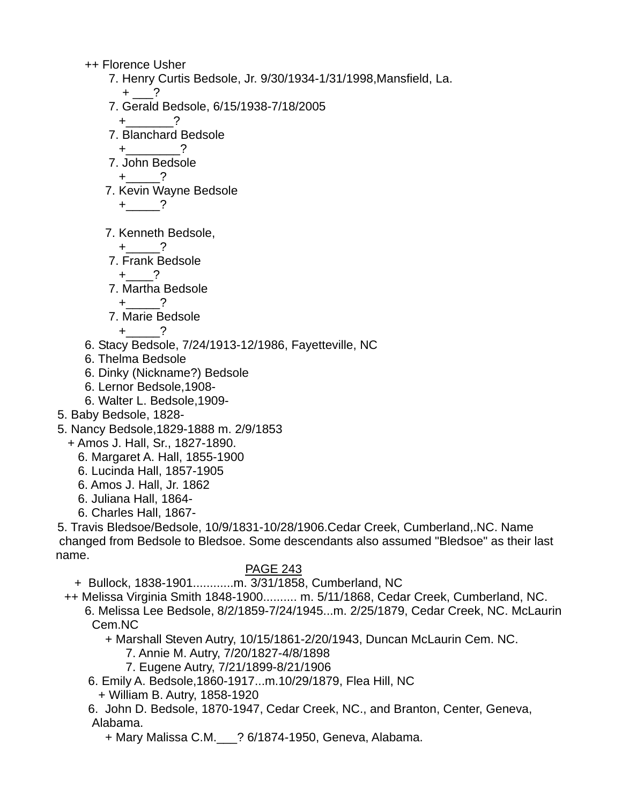++ Florence Usher

- 7. Henry Curtis Bedsole, Jr. 9/30/1934-1/31/1998,Mansfield, La.  $+$  ?
- 7. Gerald Bedsole, 6/15/1938-7/18/2005
	- $+$  ?
- 7. Blanchard Bedsole
- $+$  ?
- 7. John Bedsole

 $+$ <sub>\_\_\_\_\_\_\_</sub>?

7. Kevin Wayne Bedsole

$$
+ \underline{\hspace{1cm}}?
$$

7. Kenneth Bedsole,

$$
+\underline{\qquad}?
$$

7. Frank Bedsole

$$
+\underline{\qquad}?
$$

7. Martha Bedsole

$$
+\underline{\qquad}?
$$

7. Marie Bedsole

$$
+\qquad \qquad ?
$$

- 6. Stacy Bedsole, 7/24/1913-12/1986, Fayetteville, NC
- 6. Thelma Bedsole
- 6. Dinky (Nickname?) Bedsole
- 6. Lernor Bedsole,1908-
- 6. Walter L. Bedsole,1909-
- 5. Baby Bedsole, 1828-
- 5. Nancy Bedsole,1829-1888 m. 2/9/1853
	- + Amos J. Hall, Sr., 1827-1890.
		- 6. Margaret A. Hall, 1855-1900
		- 6. Lucinda Hall, 1857-1905
		- 6. Amos J. Hall, Jr. 1862
		- 6. Juliana Hall, 1864-
		- 6. Charles Hall, 1867-

 5. Travis Bledsoe/Bedsole, 10/9/1831-10/28/1906.Cedar Creek, Cumberland,.NC. Name changed from Bedsole to Bledsoe. Some descendants also assumed "Bledsoe" as their last name.

# PAGE 243

+ Bullock, 1838-1901............m. 3/31/1858, Cumberland, NC

- ++ Melissa Virginia Smith 1848-1900.......... m. 5/11/1868, Cedar Creek, Cumberland, NC.
	- 6. Melissa Lee Bedsole, 8/2/1859-7/24/1945...m. 2/25/1879, Cedar Creek, NC. McLaurin Cem.NC

+ Marshall Steven Autry, 10/15/1861-2/20/1943, Duncan McLaurin Cem. NC.

- 7. Annie M. Autry, 7/20/1827-4/8/1898
- 7. Eugene Autry, 7/21/1899-8/21/1906
- 6. Emily A. Bedsole,1860-1917...m.10/29/1879, Flea Hill, NC
	- + William B. Autry, 1858-1920
- 6. John D. Bedsole, 1870-1947, Cedar Creek, NC., and Branton, Center, Geneva, Alabama.
	- + Mary Malissa C.M.\_\_\_? 6/1874-1950, Geneva, Alabama.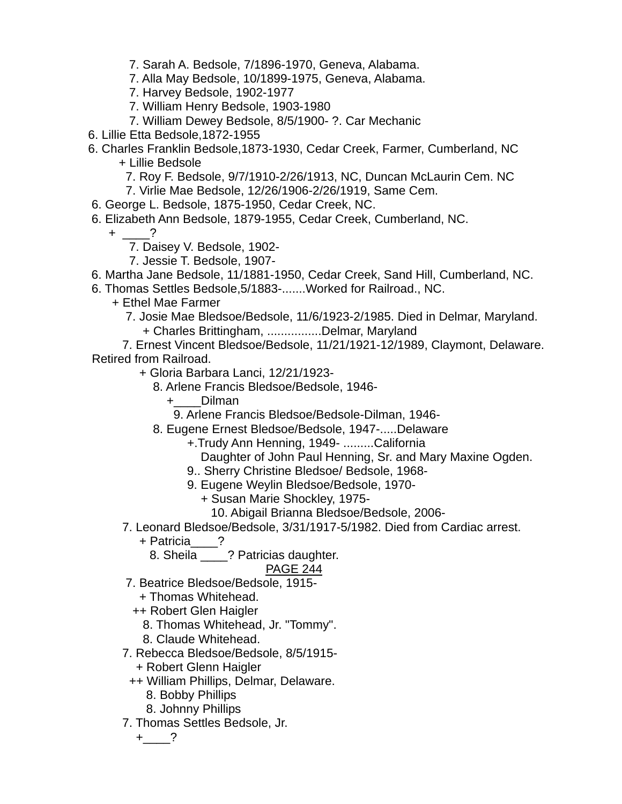- 7. Sarah A. Bedsole, 7/1896-1970, Geneva, Alabama.
- 7. Alla May Bedsole, 10/1899-1975, Geneva, Alabama.
- 7. Harvey Bedsole, 1902-1977
- 7. William Henry Bedsole, 1903-1980
- 7. William Dewey Bedsole, 8/5/1900- ?. Car Mechanic
- 6. Lillie Etta Bedsole,1872-1955
- 6. Charles Franklin Bedsole,1873-1930, Cedar Creek, Farmer, Cumberland, NC + Lillie Bedsole
	- 7. Roy F. Bedsole, 9/7/1910-2/26/1913, NC, Duncan McLaurin Cem. NC
	- 7. Virlie Mae Bedsole, 12/26/1906-2/26/1919, Same Cem.
- 6. George L. Bedsole, 1875-1950, Cedar Creek, NC.
- 6. Elizabeth Ann Bedsole, 1879-1955, Cedar Creek, Cumberland, NC.
	- $+$  ?
		- 7. Daisey V. Bedsole, 1902-
		- 7. Jessie T. Bedsole, 1907-
- 6. Martha Jane Bedsole, 11/1881-1950, Cedar Creek, Sand Hill, Cumberland, NC.
- 6. Thomas Settles Bedsole,5/1883-.......Worked for Railroad., NC.
	- + Ethel Mae Farmer
		- 7. Josie Mae Bledsoe/Bedsole, 11/6/1923-2/1985. Died in Delmar, Maryland. + Charles Brittingham, ................Delmar, Maryland

 7. Ernest Vincent Bledsoe/Bedsole, 11/21/1921-12/1989, Claymont, Delaware. Retired from Railroad.

- + Gloria Barbara Lanci, 12/21/1923-
	- 8. Arlene Francis Bledsoe/Bedsole, 1946-
		- +\_\_\_\_Dilman
			- 9. Arlene Francis Bledsoe/Bedsole-Dilman, 1946-
	- 8. Eugene Ernest Bledsoe/Bedsole, 1947-.....Delaware
		- +.Trudy Ann Henning, 1949- .........California
			- Daughter of John Paul Henning, Sr. and Mary Maxine Ogden.
		- 9.. Sherry Christine Bledsoe/ Bedsole, 1968-
		- 9. Eugene Weylin Bledsoe/Bedsole, 1970-
			- + Susan Marie Shockley, 1975-
				- 10. Abigail Brianna Bledsoe/Bedsole, 2006-
- 7. Leonard Bledsoe/Bedsole, 3/31/1917-5/1982. Died from Cardiac arrest.
	- + Patricia\_\_\_\_?
		- 8. Sheila \_\_\_\_? Patricias daughter.

### PAGE 244

- 7. Beatrice Bledsoe/Bedsole, 1915-
	- + Thomas Whitehead.
	- ++ Robert Glen Haigler
		- 8. Thomas Whitehead, Jr. "Tommy".
		- 8. Claude Whitehead.
- 7. Rebecca Bledsoe/Bedsole, 8/5/1915-
	- + Robert Glenn Haigler
- ++ William Phillips, Delmar, Delaware.
	- 8. Bobby Phillips
	- 8. Johnny Phillips
- 7. Thomas Settles Bedsole, Jr.

 $+$   $?$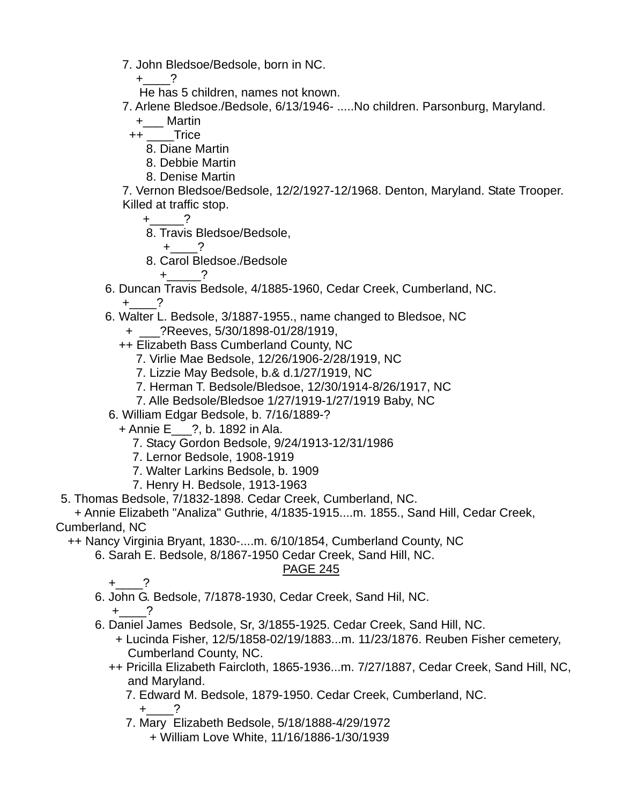7. John Bledsoe/Bedsole, born in NC.

 $+$  ?

He has 5 children, names not known.

7. Arlene Bledsoe./Bedsole, 6/13/1946- .....No children. Parsonburg, Maryland.

+\_\_\_ Martin

++ Trice

- 8. Diane Martin
- 8. Debbie Martin
- 8. Denise Martin

 7. Vernon Bledsoe/Bedsole, 12/2/1927-12/1968. Denton, Maryland. State Trooper. Killed at traffic stop.

 $+$  ?

- 8. Travis Bledsoe/Bedsole,
	- $+$  ?
- 8. Carol Bledsoe./Bedsole

 $+$  ?

- 6. Duncan Travis Bedsole, 4/1885-1960, Cedar Creek, Cumberland, NC.  $+$  ?
- 6. Walter L. Bedsole, 3/1887-1955., name changed to Bledsoe, NC
	- + \_\_\_?Reeves, 5/30/1898-01/28/1919,
	- ++ Elizabeth Bass Cumberland County, NC
		- 7. Virlie Mae Bedsole, 12/26/1906-2/28/1919, NC
		- 7. Lizzie May Bedsole, b.& d.1/27/1919, NC
		- 7. Herman T. Bedsole/Bledsoe, 12/30/1914-8/26/1917, NC
		- 7. Alle Bedsole/Bledsoe 1/27/1919-1/27/1919 Baby, NC
- 6. William Edgar Bedsole, b. 7/16/1889-?
	- + Annie E\_\_\_?, b. 1892 in Ala.
		- 7. Stacy Gordon Bedsole, 9/24/1913-12/31/1986
		- 7. Lernor Bedsole, 1908-1919
		- 7. Walter Larkins Bedsole, b. 1909
		- 7. Henry H. Bedsole, 1913-1963
- 5. Thomas Bedsole, 7/1832-1898. Cedar Creek, Cumberland, NC.

 + Annie Elizabeth "Analiza" Guthrie, 4/1835-1915....m. 1855., Sand Hill, Cedar Creek, Cumberland, NC

++ Nancy Virginia Bryant, 1830-....m. 6/10/1854, Cumberland County, NC

6. Sarah E. Bedsole, 8/1867-1950 Cedar Creek, Sand Hill, NC.

# PAGE 245

 $+$  ?

- 6. John G. Bedsole, 7/1878-1930, Cedar Creek, Sand Hil, NC.  $+$  ?
- 6. Daniel James Bedsole, Sr, 3/1855-1925. Cedar Creek, Sand Hill, NC.
	- + Lucinda Fisher, 12/5/1858-02/19/1883...m. 11/23/1876. Reuben Fisher cemetery, Cumberland County, NC.
	- ++ Pricilla Elizabeth Faircloth, 1865-1936...m. 7/27/1887, Cedar Creek, Sand Hill, NC, and Maryland.
		- 7. Edward M. Bedsole, 1879-1950. Cedar Creek, Cumberland, NC.
			- $+$  ?
		- 7. Mary Elizabeth Bedsole, 5/18/1888-4/29/1972
			- + William Love White, 11/16/1886-1/30/1939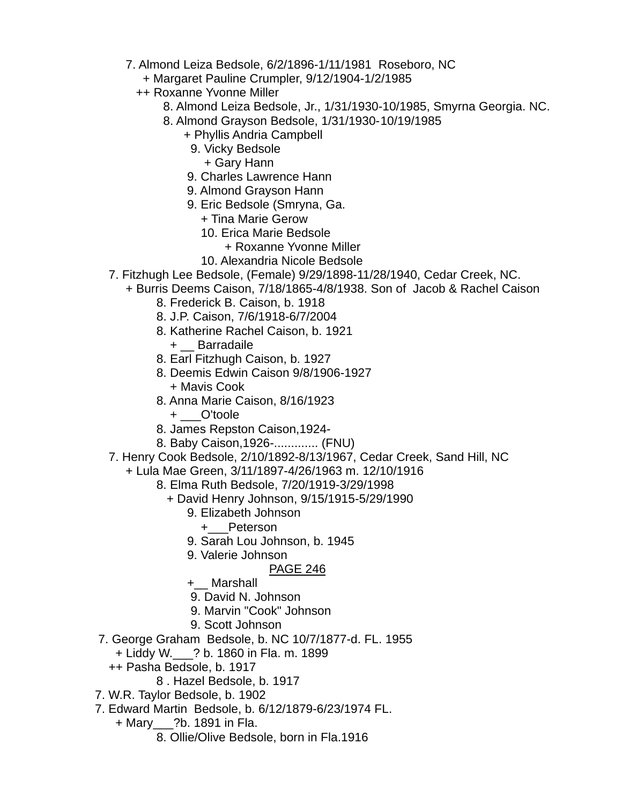- 7. Almond Leiza Bedsole, 6/2/1896-1/11/1981 Roseboro, NC
	- + Margaret Pauline Crumpler, 9/12/1904-1/2/1985
	- ++ Roxanne Yvonne Miller
		- 8. Almond Leiza Bedsole, Jr., 1/31/1930-10/1985, Smyrna Georgia. NC.
		- 8. Almond Grayson Bedsole, 1/31/1930- 10/19/1985
			- + Phyllis Andria Campbell
				- 9. Vicky Bedsole
					- + Gary Hann
			- 9. Charles Lawrence Hann
			- 9. Almond Grayson Hann
			- 9. Eric Bedsole (Smryna, Ga.
				- + Tina Marie Gerow
				- 10. Erica Marie Bedsole
					- + Roxanne Yvonne Miller
				- 10. Alexandria Nicole Bedsole
- 7. Fitzhugh Lee Bedsole, (Female) 9/29/1898-11/28/1940, Cedar Creek, NC.
- + Burris Deems Caison, 7/18/1865-4/8/1938. Son of Jacob & Rachel Caison
	- 8. Frederick B. Caison, b. 1918
	- 8. J.P. Caison, 7/6/1918-6/7/2004
	- 8. Katherine Rachel Caison, b. 1921
		- + \_\_ Barradaile
	- 8. Earl Fitzhugh Caison, b. 1927
	- 8. Deemis Edwin Caison 9/8/1906-1927 + Mavis Cook
	- 8. Anna Marie Caison, 8/16/1923
		- + \_\_\_O'toole
	- 8. James Repston Caison,1924-
	- 8. Baby Caison,1926-............. (FNU)
- 7. Henry Cook Bedsole, 2/10/1892-8/13/1967, Cedar Creek, Sand Hill, NC
	- + Lula Mae Green, 3/11/1897-4/26/1963 m. 12/10/1916
		- 8. Elma Ruth Bedsole, 7/20/1919-3/29/1998
			- + David Henry Johnson, 9/15/1915-5/29/1990
				- 9. Elizabeth Johnson
					- +\_\_\_Peterson
				- 9. Sarah Lou Johnson, b. 1945
				- 9. Valerie Johnson

- +\_\_ Marshall
- 9. David N. Johnson
- 9. Marvin "Cook" Johnson
- 9. Scott Johnson
- 7. George Graham Bedsole, b. NC 10/7/1877-d. FL. 1955
	- + Liddy W.\_\_\_? b. 1860 in Fla. m. 1899
	- ++ Pasha Bedsole, b. 1917
		- 8 . Hazel Bedsole, b. 1917
- 7. W.R. Taylor Bedsole, b. 1902
- 7. Edward Martin Bedsole, b. 6/12/1879-6/23/1974 FL.
	- + Mary\_\_\_?b. 1891 in Fla.
		- 8. Ollie/Olive Bedsole, born in Fla.1916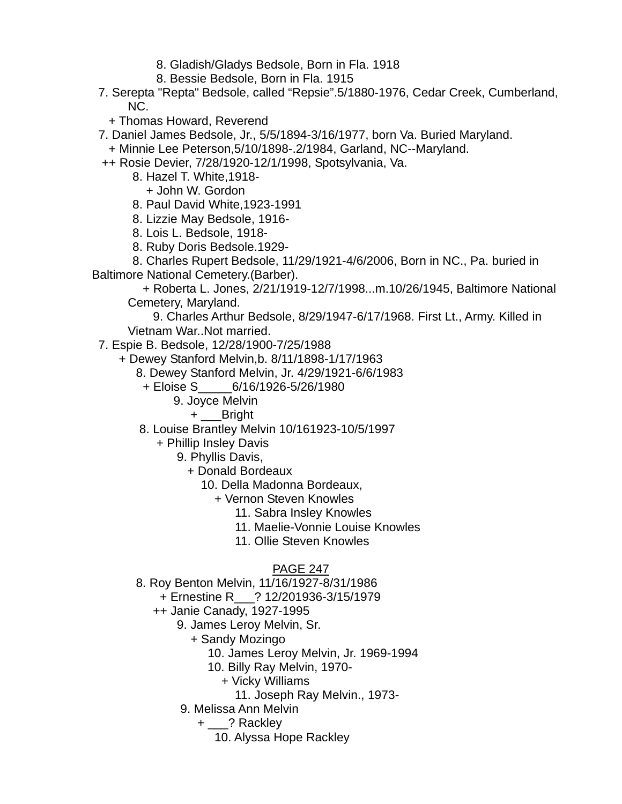- 8. Gladish/Gladys Bedsole, Born in Fla. 1918
- 8. Bessie Bedsole, Born in Fla. 1915
- 7. Serepta "Repta" Bedsole, called "Repsie".5/1880-1976, Cedar Creek, Cumberland, NC.
	- + Thomas Howard, Reverend
- 7. Daniel James Bedsole, Jr., 5/5/1894-3/16/1977, born Va. Buried Maryland.
- + Minnie Lee Peterson,5/10/1898-.2/1984, Garland, NC--Maryland.
- ++ Rosie Devier, 7/28/1920-12/1/1998, Spotsylvania, Va.
	- 8. Hazel T. White,1918-
		- + John W. Gordon
	- 8. Paul David White,1923-1991
	- 8. Lizzie May Bedsole, 1916-
	- 8. Lois L. Bedsole, 1918-
	- 8. Ruby Doris Bedsole.1929-

 8. Charles Rupert Bedsole, 11/29/1921-4/6/2006, Born in NC., Pa. buried in Baltimore National Cemetery.(Barber).

 + Roberta L. Jones, 2/21/1919-12/7/1998...m.10/26/1945, Baltimore National Cemetery, Maryland.

 9. Charles Arthur Bedsole, 8/29/1947-6/17/1968. First Lt., Army. Killed in Vietnam War..Not married.

7. Espie B. Bedsole, 12/28/1900-7/25/1988

- + Dewey Stanford Melvin,b. 8/11/1898-1/17/1963
	- 8. Dewey Stanford Melvin, Jr. 4/29/1921-6/6/1983
		- + Eloise S\_\_\_\_\_6/16/1926-5/26/1980
			- 9. Joyce Melvin
				- + \_\_\_Bright
	- 8. Louise Brantley Melvin 10/161923-10/5/1997
		- + Phillip Insley Davis
			- 9. Phyllis Davis,
				- + Donald Bordeaux
					- 10. Della Madonna Bordeaux,
						- + Vernon Steven Knowles
							- 11. Sabra Insley Knowles
							- 11. Maelie-Vonnie Louise Knowles
							- 11. Ollie Steven Knowles

- 8. Roy Benton Melvin, 11/16/1927-8/31/1986
	- + Ernestine R\_\_\_? 12/201936-3/15/1979
	- ++ Janie Canady, 1927-1995
		- 9. James Leroy Melvin, Sr.
			- + Sandy Mozingo
				- 10. James Leroy Melvin, Jr. 1969-1994
				- 10. Billy Ray Melvin, 1970-
					- + Vicky Williams
						- 11. Joseph Ray Melvin., 1973-
		- 9. Melissa Ann Melvin
			- + \_\_\_? Rackley
				- 10. Alyssa Hope Rackley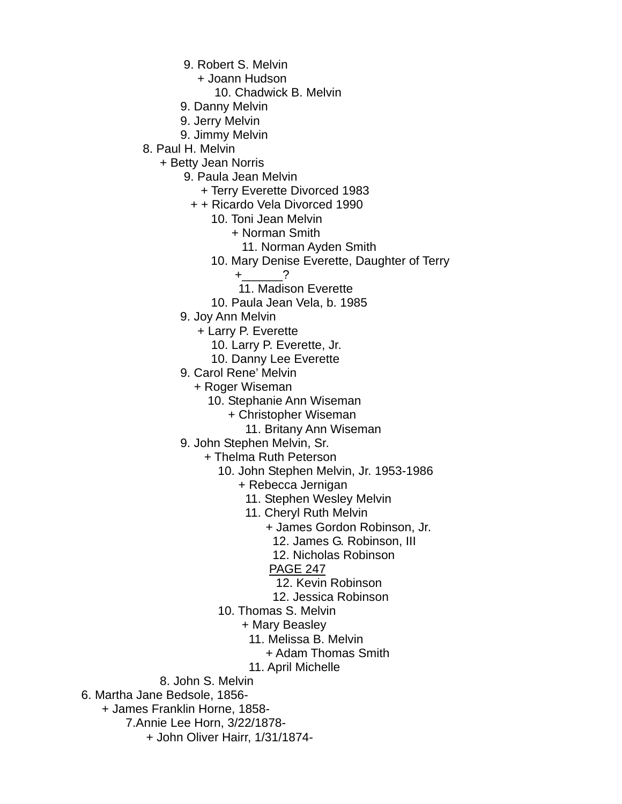- 9. Robert S. Melvin
	- + Joann Hudson
		- 10. Chadwick B. Melvin
- 9. Danny Melvin
- 9. Jerry Melvin
- 9. Jimmy Melvin
- 8. Paul H. Melvin
	- + Betty Jean Norris
		- 9. Paula Jean Melvin
			- + Terry Everette Divorced 1983
			- + + Ricardo Vela Divorced 1990
				- 10. Toni Jean Melvin
					- + Norman Smith
						- 11. Norman Ayden Smith
				- 10. Mary Denise Everette, Daughter of Terry
					- $+$  ?
					- 11. Madison Everette
				- 10. Paula Jean Vela, b. 1985
		- 9. Joy Ann Melvin
			- + Larry P. Everette
				- 10. Larry P. Everette, Jr.
				- 10. Danny Lee Everette
		- 9. Carol Rene' Melvin
			- + Roger Wiseman
				- 10. Stephanie Ann Wiseman
					- + Christopher Wiseman
						- 11. Britany Ann Wiseman
		- 9. John Stephen Melvin, Sr.
			- + Thelma Ruth Peterson
				- 10. John Stephen Melvin, Jr. 1953-1986
					- + Rebecca Jernigan
						- 11. Stephen Wesley Melvin
						- 11. Cheryl Ruth Melvin
							- + James Gordon Robinson, Jr.
								- 12. James G. Robinson, III
								- 12. Nicholas Robinson
							- PAGE 247
							- 12. Kevin Robinson
							- 12. Jessica Robinson
				- 10. Thomas S. Melvin
					- + Mary Beasley
						- 11. Melissa B. Melvin
							- + Adam Thomas Smith
						- 11. April Michelle
	- 8. John S. Melvin
- 6. Martha Jane Bedsole, 1856-
	- + James Franklin Horne, 1858-
		- 7.Annie Lee Horn, 3/22/1878-
			- + John Oliver Hairr, 1/31/1874-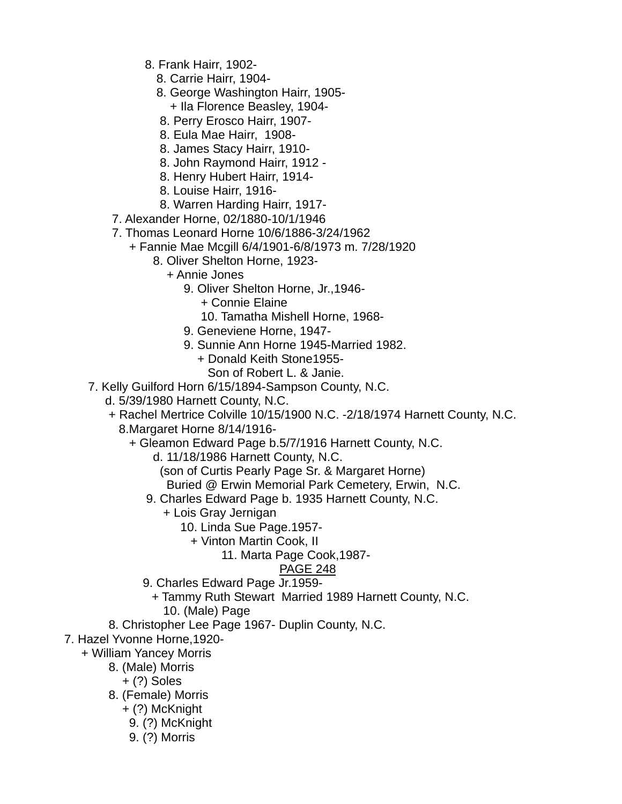- 8. Frank Hairr, 1902-
	- 8. Carrie Hairr, 1904-
	- 8. George Washington Hairr, 1905- + Ila Florence Beasley, 1904-
	- 8. Perry Erosco Hairr, 1907-
	- 8. Eula Mae Hairr, 1908-
	- 8. James Stacy Hairr, 1910-
	- 8. John Raymond Hairr, 1912 -
	- 8. Henry Hubert Hairr, 1914-
	- 8. Louise Hairr, 1916-
	- 8. Warren Harding Hairr, 1917-
- 7. Alexander Horne, 02/1880-10/1/1946
- 7. Thomas Leonard Horne 10/6/1886-3/24/1962
	- + Fannie Mae Mcgill 6/4/1901-6/8/1973 m. 7/28/1920
		- 8. Oliver Shelton Horne, 1923-
			- + Annie Jones
				- 9. Oliver Shelton Horne, Jr.,1946-
					- + Connie Elaine
					- 10. Tamatha Mishell Horne, 1968-
				- 9. Geneviene Horne, 1947-
				- 9. Sunnie Ann Horne 1945-Married 1982.
					- + Donald Keith Stone1955- Son of Robert L. & Janie.
- 7. Kelly Guilford Horn 6/15/1894-Sampson County, N.C.
	- d. 5/39/1980 Harnett County, N.C.
	- + Rachel Mertrice Colville 10/15/1900 N.C. -2/18/1974 Harnett County, N.C. 8.Margaret Horne 8/14/1916-
		- + Gleamon Edward Page b.5/7/1916 Harnett County, N.C.
			- d. 11/18/1986 Harnett County, N.C.
				- (son of Curtis Pearly Page Sr. & Margaret Horne)
			- Buried @ Erwin Memorial Park Cemetery, Erwin, N.C.
			- 9. Charles Edward Page b. 1935 Harnett County, N.C.
				- + Lois Gray Jernigan
					- 10. Linda Sue Page.1957-
						- + Vinton Martin Cook, II
							- 11. Marta Page Cook,1987-

- 9. Charles Edward Page Jr.1959-
	- + Tammy Ruth Stewart Married 1989 Harnett County, N.C.
		- 10. (Male) Page
- 8. Christopher Lee Page 1967- Duplin County, N.C.
- 7. Hazel Yvonne Horne,1920-
	- + William Yancey Morris
		- 8. (Male) Morris
			- + (?) Soles
		- 8. (Female) Morris
			- + (?) McKnight
			- 9. (?) McKnight
			- 9. (?) Morris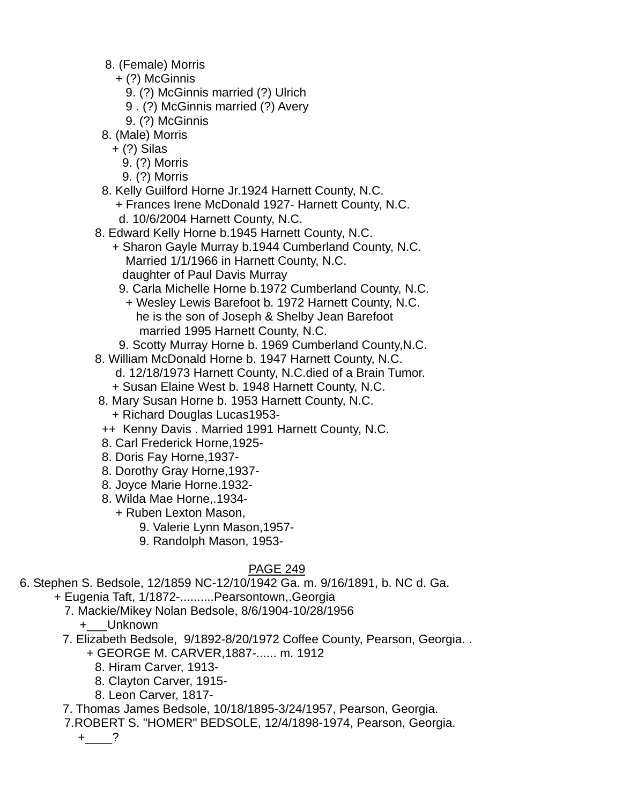- 8. (Female) Morris
	- + (?) McGinnis
		- 9. (?) McGinnis married (?) Ulrich
		- 9 . (?) McGinnis married (?) Avery
		- 9. (?) McGinnis
- 8. (Male) Morris
	- + (?) Silas
	- 9. (?) Morris
	- 9. (?) Morris
- 8. Kelly Guilford Horne Jr.1924 Harnett County, N.C. + Frances Irene McDonald 1927- Harnett County, N.C.
	- d. 10/6/2004 Harnett County, N.C.
- 8. Edward Kelly Horne b.1945 Harnett County, N.C.
	- + Sharon Gayle Murray b.1944 Cumberland County, N.C. Married 1/1/1966 in Harnett County, N.C. daughter of Paul Davis Murray
		- 9. Carla Michelle Horne b.1972 Cumberland County, N.C.
		- + Wesley Lewis Barefoot b. 1972 Harnett County, N.C. he is the son of Joseph & Shelby Jean Barefoot married 1995 Harnett County, N.C.
	- 9. Scotty Murray Horne b. 1969 Cumberland County,N.C.
- 8. William McDonald Horne b. 1947 Harnett County, N.C.
	- d. 12/18/1973 Harnett County, N.C.died of a Brain Tumor.
	- + Susan Elaine West b. 1948 Harnett County, N.C.
- 8. Mary Susan Horne b. 1953 Harnett County, N.C. + Richard Douglas Lucas1953-
- ++ Kenny Davis . Married 1991 Harnett County, N.C.
- 8. Carl Frederick Horne,1925-
- 8. Doris Fay Horne,1937-
- 8. Dorothy Gray Horne,1937-
- 8. Joyce Marie Horne.1932-
- 8. Wilda Mae Horne,.1934-
	- + Ruben Lexton Mason,
		- 9. Valerie Lynn Mason,1957-
		- 9. Randolph Mason, 1953-

# PAGE 249

- 6. Stephen S. Bedsole, 12/1859 NC-12/10/1942 Ga. m. 9/16/1891, b. NC d. Ga.
	- + Eugenia Taft, 1/1872-..........Pearsontown,.Georgia
		- 7. Mackie/Mikey Nolan Bedsole, 8/6/1904-10/28/1956
			- +\_\_\_Unknown
		- 7. Elizabeth Bedsole, 9/1892-8/20/1972 Coffee County, Pearson, Georgia. .
			- + GEORGE M. CARVER,1887-...... m. 1912
				- 8. Hiram Carver, 1913-
				- 8. Clayton Carver, 1915-
				- 8. Leon Carver, 1817-
		- 7. Thomas James Bedsole, 10/18/1895-3/24/1957, Pearson, Georgia.
		- 7.ROBERT S. "HOMER" BEDSOLE, 12/4/1898-1974, Pearson, Georgia.

 $+$   $-$ ?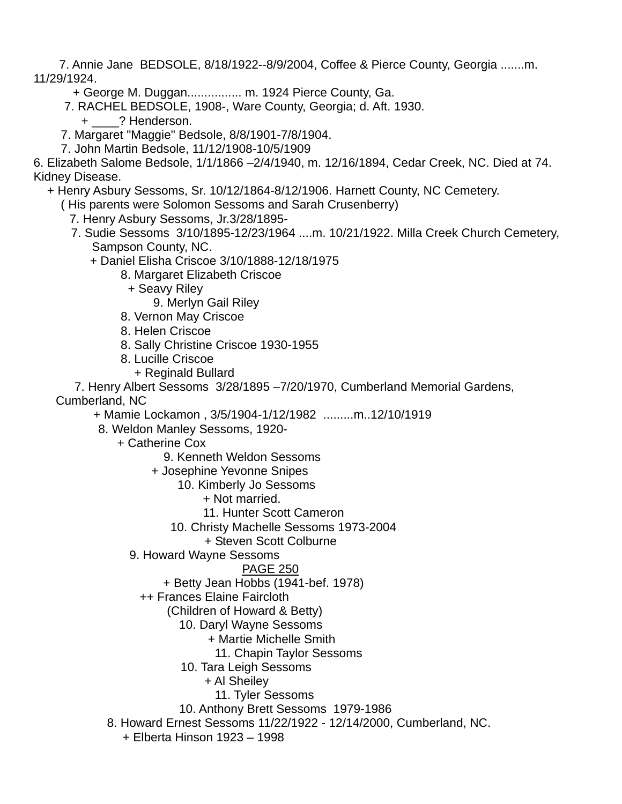7. Annie Jane BEDSOLE, 8/18/1922--8/9/2004, Coffee & Pierce County, Georgia .......m. 11/29/1924.

- + George M. Duggan................ m. 1924 Pierce County, Ga.
- 7. RACHEL BEDSOLE, 1908-, Ware County, Georgia; d. Aft. 1930.
	- + \_\_\_\_? Henderson.
- 7. Margaret "Maggie" Bedsole, 8/8/1901-7/8/1904.
- 7. John Martin Bedsole, 11/12/1908-10/5/1909

6. Elizabeth Salome Bedsole, 1/1/1866 –2/4/1940, m. 12/16/1894, Cedar Creek, NC. Died at 74. Kidney Disease.

+ Henry Asbury Sessoms, Sr. 10/12/1864-8/12/1906. Harnett County, NC Cemetery.

( His parents were Solomon Sessoms and Sarah Crusenberry)

- 7. Henry Asbury Sessoms, Jr.3/28/1895-
- 7. Sudie Sessoms 3/10/1895-12/23/1964 ....m. 10/21/1922. Milla Creek Church Cemetery, Sampson County, NC.
	- + Daniel Elisha Criscoe 3/10/1888-12/18/1975
		- 8. Margaret Elizabeth Criscoe
			- + Seavy Riley
				- 9. Merlyn Gail Riley
		- 8. Vernon May Criscoe
		- 8. Helen Criscoe
		- 8. Sally Christine Criscoe 1930-1955
		- 8. Lucille Criscoe
			- + Reginald Bullard

7. Henry Albert Sessoms 3/28/1895 –7/20/1970, Cumberland Memorial Gardens,

Cumberland, NC

+ Mamie Lockamon , 3/5/1904-1/12/1982 .........m..12/10/1919

- 8. Weldon Manley Sessoms, 1920-
	- + Catherine Cox

9. Kenneth Weldon Sessoms

+ Josephine Yevonne Snipes

10. Kimberly Jo Sessoms

+ Not married.

- 11. Hunter Scott Cameron
- 10. Christy Machelle Sessoms 1973-2004
	- + Steven Scott Colburne
- 9. Howard Wayne Sessoms

- + Betty Jean Hobbs (1941-bef. 1978)
- ++ Frances Elaine Faircloth
	- (Children of Howard & Betty)
		- 10. Daryl Wayne Sessoms
			- + Martie Michelle Smith
			- 11. Chapin Taylor Sessoms
		- 10. Tara Leigh Sessoms
			- + Al Sheiley
				- 11. Tyler Sessoms
		- 10. Anthony Brett Sessoms 1979-1986
- 8. Howard Ernest Sessoms 11/22/1922 12/14/2000, Cumberland, NC.
	- + Elberta Hinson 1923 1998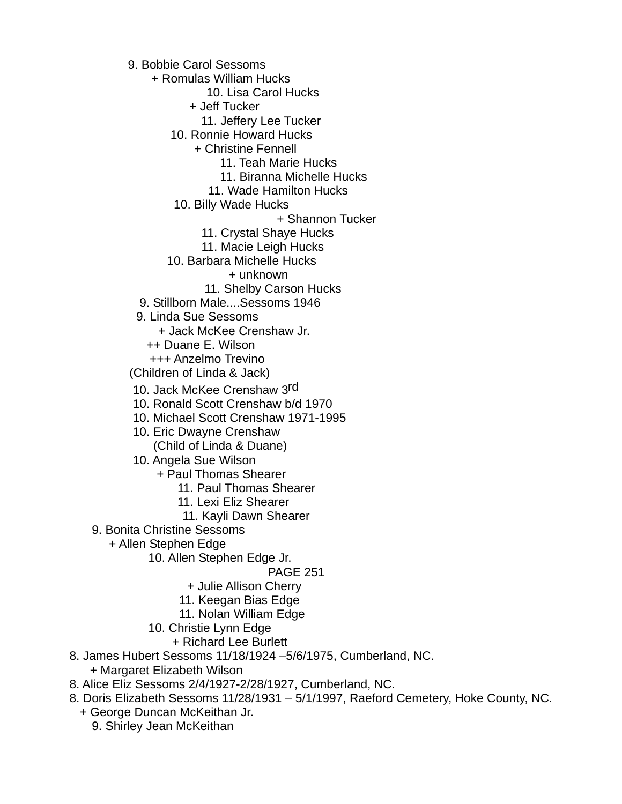9. Bobbie Carol Sessoms

+ Romulas William Hucks

10. Lisa Carol Hucks

+ Jeff Tucker

11. Jeffery Lee Tucker

10. Ronnie Howard Hucks

+ Christine Fennell

11. Teah Marie Hucks

11. Biranna Michelle Hucks

11. Wade Hamilton Hucks

10. Billy Wade Hucks

+ Shannon Tucker

11. Crystal Shaye Hucks

11. Macie Leigh Hucks

10. Barbara Michelle Hucks

+ unknown

11. Shelby Carson Hucks

9. Stillborn Male....Sessoms 1946

9. Linda Sue Sessoms

+ Jack McKee Crenshaw Jr.

++ Duane E. Wilson

+++ Anzelmo Trevino

(Children of Linda & Jack)

10. Jack McKee Crenshaw 3rd

10. Ronald Scott Crenshaw b/d 1970

10. Michael Scott Crenshaw 1971-1995

10. Eric Dwayne Crenshaw

(Child of Linda & Duane)

10. Angela Sue Wilson

+ Paul Thomas Shearer

11. Paul Thomas Shearer

11. Lexi Eliz Shearer

11. Kayli Dawn Shearer

9. Bonita Christine Sessoms

+ Allen Stephen Edge

10. Allen Stephen Edge Jr.

#### PAGE 251

+ Julie Allison Cherry

11. Keegan Bias Edge

11. Nolan William Edge

10. Christie Lynn Edge

+ Richard Lee Burlett

8. James Hubert Sessoms 11/18/1924 –5/6/1975, Cumberland, NC.

+ Margaret Elizabeth Wilson

8. Alice Eliz Sessoms 2/4/1927-2/28/1927, Cumberland, NC.

8. Doris Elizabeth Sessoms 11/28/1931 – 5/1/1997, Raeford Cemetery, Hoke County, NC.

 + George Duncan McKeithan Jr. 9. Shirley Jean McKeithan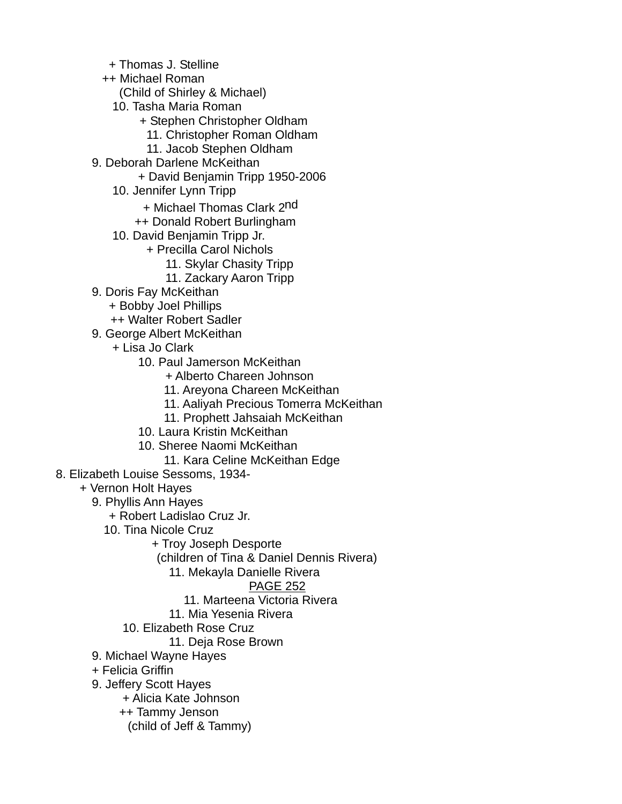- + Thomas J. Stelline
- ++ Michael Roman
	- (Child of Shirley & Michael)
	- 10. Tasha Maria Roman
		- + Stephen Christopher Oldham
			- 11. Christopher Roman Oldham
		- 11. Jacob Stephen Oldham
- 9. Deborah Darlene McKeithan
	- + David Benjamin Tripp 1950-2006
	- 10. Jennifer Lynn Tripp
		- + Michael Thomas Clark 2<sup>nd</sup>
		- ++ Donald Robert Burlingham
	- 10. David Benjamin Tripp Jr.
		- + Precilla Carol Nichols
			- 11. Skylar Chasity Tripp
			- 11. Zackary Aaron Tripp
- 9. Doris Fay McKeithan
	- + Bobby Joel Phillips
	- ++ Walter Robert Sadler
- 9. George Albert McKeithan
	- + Lisa Jo Clark
		- 10. Paul Jamerson McKeithan
			- + Alberto Chareen Johnson
			- 11. Areyona Chareen McKeithan
			- 11. Aaliyah Precious Tomerra McKeithan
			- 11. Prophett Jahsaiah McKeithan
		- 10. Laura Kristin McKeithan
		- 10. Sheree Naomi McKeithan
			- 11. Kara Celine McKeithan Edge
- 8. Elizabeth Louise Sessoms, 1934-
	- + Vernon Holt Hayes
		- 9. Phyllis Ann Hayes
			- + Robert Ladislao Cruz Jr.
			- 10. Tina Nicole Cruz
				- + Troy Joseph Desporte
				- (children of Tina & Daniel Dennis Rivera)
					- 11. Mekayla Danielle Rivera

## PAGE 252

- 11. Marteena Victoria Rivera
- 11. Mia Yesenia Rivera
- 10. Elizabeth Rose Cruz
	- 11. Deja Rose Brown
- 9. Michael Wayne Hayes
- + Felicia Griffin
- 9. Jeffery Scott Hayes
	- + Alicia Kate Johnson
	- ++ Tammy Jenson
		- (child of Jeff & Tammy)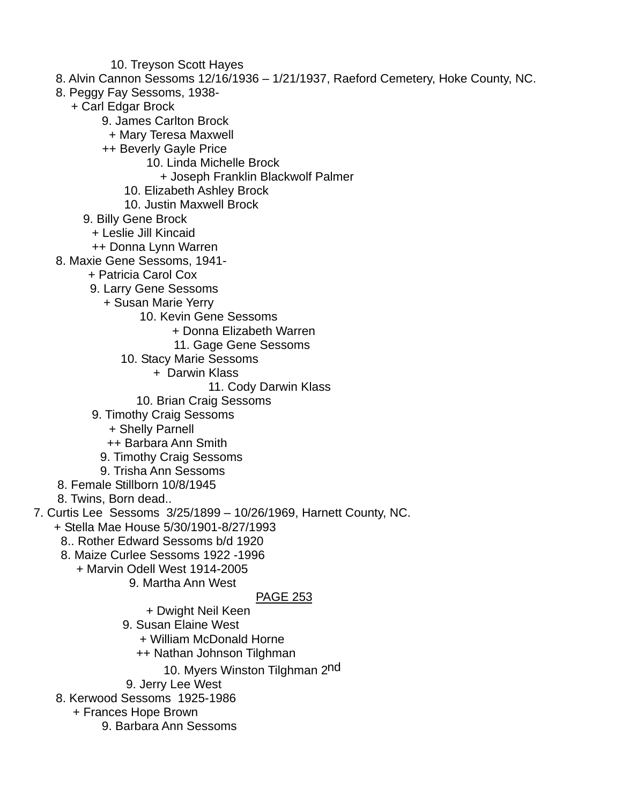- 10. Treyson Scott Hayes
- 8. Alvin Cannon Sessoms 12/16/1936 1/21/1937, Raeford Cemetery, Hoke County, NC.
- 8. Peggy Fay Sessoms, 1938-
	- + Carl Edgar Brock
		- 9. James Carlton Brock
		- + Mary Teresa Maxwell
		- ++ Beverly Gayle Price
			- 10. Linda Michelle Brock
				- + Joseph Franklin Blackwolf Palmer
			- 10. Elizabeth Ashley Brock
			- 10. Justin Maxwell Brock
		- 9. Billy Gene Brock
			- + Leslie Jill Kincaid
		- ++ Donna Lynn Warren
- 8. Maxie Gene Sessoms, 1941-
	- + Patricia Carol Cox
	- 9. Larry Gene Sessoms
		- + Susan Marie Yerry
			- 10. Kevin Gene Sessoms
				- + Donna Elizabeth Warren
				- 11. Gage Gene Sessoms
			- 10. Stacy Marie Sessoms
				- + Darwin Klass
					- 11. Cody Darwin Klass
				- 10. Brian Craig Sessoms
	- 9. Timothy Craig Sessoms
		- + Shelly Parnell
		- ++ Barbara Ann Smith
		- 9. Timothy Craig Sessoms
	- 9. Trisha Ann Sessoms
- 8. Female Stillborn 10/8/1945
- 8. Twins, Born dead..
- 7. Curtis Lee Sessoms 3/25/1899 10/26/1969, Harnett County, NC.
	- + Stella Mae House 5/30/1901-8/27/1993
		- 8.. Rother Edward Sessoms b/d 1920
		- 8. Maize Curlee Sessoms 1922 -1996
			- + Marvin Odell West 1914-2005
				- 9. Martha Ann West

## PAGE 253

- + Dwight Neil Keen
- 9. Susan Elaine West
	- + William McDonald Horne
	- ++ Nathan Johnson Tilghman
		- 10. Myers Winston Tilghman 2nd
- 9. Jerry Lee West
- 8. Kerwood Sessoms 1925-1986
	- + Frances Hope Brown
		- 9. Barbara Ann Sessoms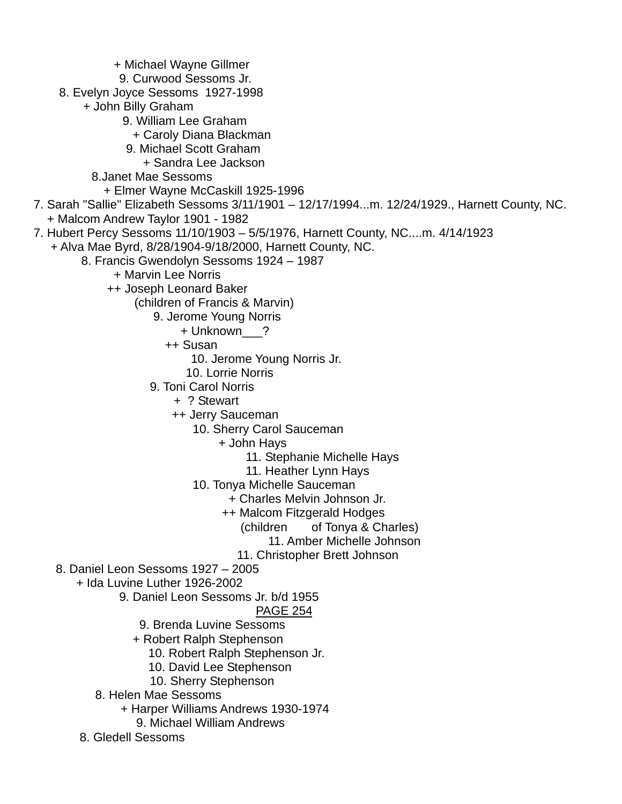+ Michael Wayne Gillmer 9. Curwood Sessoms Jr. 8. Evelyn Joyce Sessoms 1927-1998 + John Billy Graham 9. William Lee Graham + Caroly Diana Blackman 9. Michael Scott Graham + Sandra Lee Jackson 8.Janet Mae Sessoms + Elmer Wayne McCaskill 1925-1996 7. Sarah "Sallie" Elizabeth Sessoms 3/11/1901 – 12/17/1994...m. 12/24/1929., Harnett County, NC. + Malcom Andrew Taylor 1901 - 1982 7. Hubert Percy Sessoms 11/10/1903 – 5/5/1976, Harnett County, NC....m. 4/14/1923 + Alva Mae Byrd, 8/28/1904-9/18/2000, Harnett County, NC. 8. Francis Gwendolyn Sessoms 1924 – 1987 + Marvin Lee Norris ++ Joseph Leonard Baker (children of Francis & Marvin) 9. Jerome Young Norris + Unknown\_\_\_? ++ Susan 10. Jerome Young Norris Jr. 10. Lorrie Norris 9. Toni Carol Norris + ? Stewart ++ Jerry Sauceman 10. Sherry Carol Sauceman + John Hays 11. Stephanie Michelle Hays 11. Heather Lynn Hays 10. Tonya Michelle Sauceman + Charles Melvin Johnson Jr. ++ Malcom Fitzgerald Hodges (children of Tonya & Charles) 11. Amber Michelle Johnson 11. Christopher Brett Johnson 8. Daniel Leon Sessoms 1927 – 2005 + Ida Luvine Luther 1926-2002 9. Daniel Leon Sessoms Jr. b/d 1955 PAGE 254 9. Brenda Luvine Sessoms + Robert Ralph Stephenson 10. Robert Ralph Stephenson Jr. 10. David Lee Stephenson 10. Sherry Stephenson 8. Helen Mae Sessoms + Harper Williams Andrews 1930-1974 9. Michael William Andrews 8. Gledell Sessoms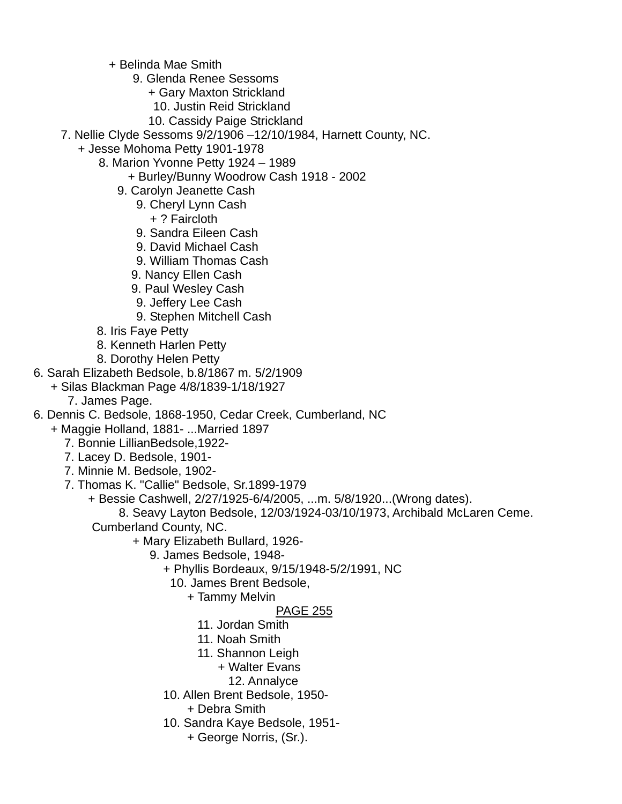+ Belinda Mae Smith

- 9. Glenda Renee Sessoms
	- + Gary Maxton Strickland
	- 10. Justin Reid Strickland
	- 10. Cassidy Paige Strickland
- 7. Nellie Clyde Sessoms 9/2/1906 –12/10/1984, Harnett County, NC.
	- + Jesse Mohoma Petty 1901-1978
		- 8. Marion Yvonne Petty 1924 1989
			- + Burley/Bunny Woodrow Cash 1918 2002
			- 9. Carolyn Jeanette Cash
				- 9. Cheryl Lynn Cash + ? Faircloth
				- 9. Sandra Eileen Cash
				- 9. David Michael Cash
				- 9. William Thomas Cash
				- 9. Nancy Ellen Cash
				- 9. Paul Wesley Cash
				- 9. Jeffery Lee Cash
				- 9. Stephen Mitchell Cash
		- 8. Iris Faye Petty
		- 8. Kenneth Harlen Petty
		- 8. Dorothy Helen Petty
- 6. Sarah Elizabeth Bedsole, b.8/1867 m. 5/2/1909
	- + Silas Blackman Page 4/8/1839-1/18/1927
		- 7. James Page.
- 6. Dennis C. Bedsole, 1868-1950, Cedar Creek, Cumberland, NC
	- + Maggie Holland, 1881- ...Married 1897
		- 7. Bonnie LillianBedsole,1922-
		- 7. Lacey D. Bedsole, 1901-
		- 7. Minnie M. Bedsole, 1902-
		- 7. Thomas K. "Callie" Bedsole, Sr.1899-1979
			- + Bessie Cashwell, 2/27/1925-6/4/2005, ...m. 5/8/1920...(Wrong dates).
			- 8. Seavy Layton Bedsole, 12/03/1924-03/10/1973, Archibald McLaren Ceme. Cumberland County, NC.
				- + Mary Elizabeth Bullard, 1926-
					- 9. James Bedsole, 1948-
						- + Phyllis Bordeaux, 9/15/1948-5/2/1991, NC
							- 10. James Brent Bedsole,
								- + Tammy Melvin

## PAGE 255

- 11. Jordan Smith
- 11. Noah Smith
- 11. Shannon Leigh
	- + Walter Evans
		- 12. Annalyce
- 10. Allen Brent Bedsole, 1950-
	- + Debra Smith
- 10. Sandra Kaye Bedsole, 1951-
	- + George Norris, (Sr.).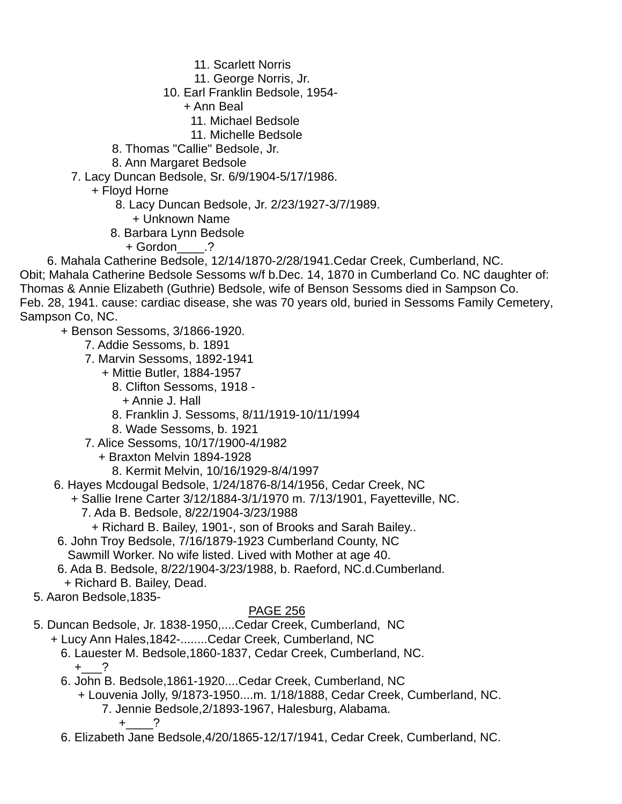- 11. Scarlett Norris
- 11. George Norris, Jr.
- 10. Earl Franklin Bedsole, 1954-
	- + Ann Beal
		- 11. Michael Bedsole
		- 11. Michelle Bedsole
- 8. Thomas "Callie" Bedsole, Jr.
- 8. Ann Margaret Bedsole
- 7. Lacy Duncan Bedsole, Sr. 6/9/1904-5/17/1986.
	- + Floyd Horne
		- 8. Lacy Duncan Bedsole, Jr. 2/23/1927-3/7/1989.
			- + Unknown Name
		- 8. Barbara Lynn Bedsole
			- + Gordon\_\_\_\_.?
- 6. Mahala Catherine Bedsole, 12/14/1870-2/28/1941.Cedar Creek, Cumberland, NC.
- Obit; Mahala Catherine Bedsole Sessoms w/f b.Dec. 14, 1870 in Cumberland Co. NC daughter of: Thomas & Annie Elizabeth (Guthrie) Bedsole, wife of Benson Sessoms died in Sampson Co. Feb. 28, 1941. cause: cardiac disease, she was 70 years old, buried in Sessoms Family Cemetery,

Sampson Co, NC.

- + Benson Sessoms, 3/1866-1920.
	- 7. Addie Sessoms, b. 1891
	- 7. Marvin Sessoms, 1892-1941
		- + Mittie Butler, 1884-1957
			- 8. Clifton Sessoms, 1918
				- + Annie J. Hall
			- 8. Franklin J. Sessoms, 8/11/1919-10/11/1994
			- 8. Wade Sessoms, b. 1921
	- 7. Alice Sessoms, 10/17/1900-4/1982
		- + Braxton Melvin 1894-1928
			- 8. Kermit Melvin, 10/16/1929-8/4/1997
- 6. Hayes Mcdougal Bedsole, 1/24/1876-8/14/1956, Cedar Creek, NC
	- + Sallie Irene Carter 3/12/1884-3/1/1970 m. 7/13/1901, Fayetteville, NC.
		- 7. Ada B. Bedsole, 8/22/1904-3/23/1988
			- + Richard B. Bailey, 1901-, son of Brooks and Sarah Bailey..
- 6. John Troy Bedsole, 7/16/1879-1923 Cumberland County, NC Sawmill Worker. No wife listed. Lived with Mother at age 40.
- 6. Ada B. Bedsole, 8/22/1904-3/23/1988, b. Raeford, NC.d.Cumberland.
- + Richard B. Bailey, Dead.
- 5. Aaron Bedsole,1835-

## PAGE 256

- 5. Duncan Bedsole, Jr. 1838-1950,....Cedar Creek, Cumberland, NC
	- + Lucy Ann Hales,1842-........Cedar Creek, Cumberland, NC
		- 6. Lauester M. Bedsole,1860-1837, Cedar Creek, Cumberland, NC.  $+$  ?
		- 6. John B. Bedsole,1861-1920....Cedar Creek, Cumberland, NC
			- + Louvenia Jolly, 9/1873-1950....m. 1/18/1888, Cedar Creek, Cumberland, NC. 7. Jennie Bedsole,2/1893-1967, Halesburg, Alabama.

 $+$  ?

6. Elizabeth Jane Bedsole,4/20/1865-12/17/1941, Cedar Creek, Cumberland, NC.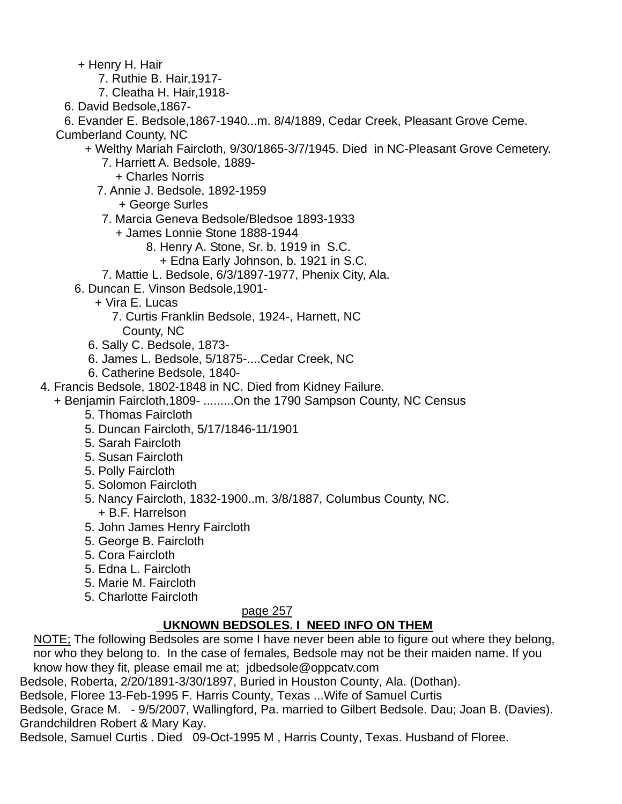+ Henry H. Hair

- 7. Ruthie B. Hair,1917-
- 7. Cleatha H. Hair,1918-
- 6. David Bedsole,1867-

6. Evander E. Bedsole,1867-1940...m. 8/4/1889, Cedar Creek, Pleasant Grove Ceme.

Cumberland County, NC

- + Welthy Mariah Faircloth, 9/30/1865-3/7/1945. Died in NC-Pleasant Grove Cemetery.
	- 7. Harriett A. Bedsole, 1889-
		- + Charles Norris
	- 7. Annie J. Bedsole, 1892-1959
		- + George Surles
	- 7. Marcia Geneva Bedsole/Bledsoe 1893-1933
		- + James Lonnie Stone 1888-1944
			- 8. Henry A. Stone, Sr. b. 1919 in S.C.
				- + Edna Early Johnson, b. 1921 in S.C.
	- 7. Mattie L. Bedsole, 6/3/1897-1977, Phenix City, Ala.
- 6. Duncan E. Vinson Bedsole,1901-
	- + Vira E. Lucas
		- 7. Curtis Franklin Bedsole, 1924-, Harnett, NC
		- County, NC
	- 6. Sally C. Bedsole, 1873-
	- 6. James L. Bedsole, 5/1875-....Cedar Creek, NC
	- 6. Catherine Bedsole, 1840-
- 4. Francis Bedsole, 1802-1848 in NC. Died from Kidney Failure.
	- + Benjamin Faircloth,1809- .........On the 1790 Sampson County, NC Census
		- 5. Thomas Faircloth
		- 5. Duncan Faircloth, 5/17/1846-11/1901
		- 5. Sarah Faircloth
		- 5. Susan Faircloth
		- 5. Polly Faircloth
		- 5. Solomon Faircloth
		- 5. Nancy Faircloth, 1832-1900..m. 3/8/1887, Columbus County, NC. + B.F. Harrelson
		- 5. John James Henry Faircloth
		- 5. George B. Faircloth
		- 5. Cora Faircloth
		- 5. Edna L. Faircloth
		- 5. Marie M. Faircloth
		- 5. Charlotte Faircloth

#### page 257

# \_**UKNOWN BEDSOLES. I NEED INFO ON THEM**

NOTE; The following Bedsoles are some I have never been able to figure out where they belong, nor who they belong to. In the case of females, Bedsole may not be their maiden name. If you know how they fit, please email me at; jdbedsole@oppcatv.com

Bedsole, Roberta, 2/20/1891-3/30/1897, Buried in Houston County, Ala. (Dothan).

Bedsole, Floree 13-Feb-1995 F. Harris County, Texas ...Wife of Samuel Curtis

Bedsole, Grace M. - 9/5/2007, Wallingford, Pa. married to Gilbert Bedsole. Dau; Joan B. (Davies). Grandchildren Robert & Mary Kay.

Bedsole, Samuel Curtis . Died 09-Oct-1995 M , Harris County, Texas. Husband of Floree.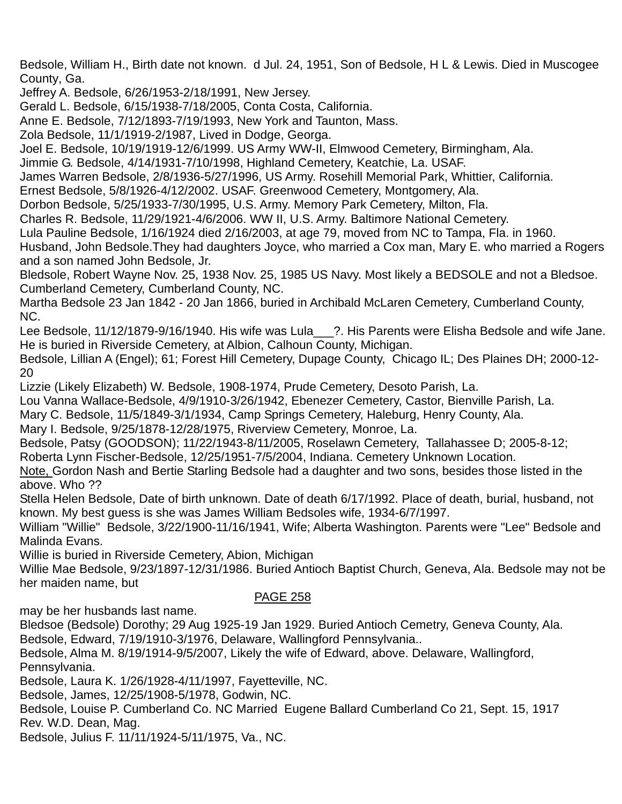Bedsole, William H., Birth date not known. d Jul. 24, 1951, Son of Bedsole, H L & Lewis. Died in Muscogee County, Ga.

Jeffrey A. Bedsole, 6/26/1953-2/18/1991, New Jersey.

Gerald L. Bedsole, 6/15/1938-7/18/2005, Conta Costa, California.

Anne E. Bedsole, 7/12/1893-7/19/1993, New York and Taunton, Mass.

Zola Bedsole, 11/1/1919-2/1987, Lived in Dodge, Georga.

Joel E. Bedsole, 10/19/1919-12/6/1999. US Army WW-II, Elmwood Cemetery, Birmingham, Ala.

Jimmie G. Bedsole, 4/14/1931-7/10/1998, Highland Cemetery, Keatchie, La. USAF.

James Warren Bedsole, 2/8/1936-5/27/1996, US Army. Rosehill Memorial Park, Whittier, California.

Ernest Bedsole, 5/8/1926-4/12/2002. USAF. Greenwood Cemetery, Montgomery, Ala.

Dorbon Bedsole, 5/25/1933-7/30/1995, U.S. Army. Memory Park Cemetery, Milton, Fla.

Charles R. Bedsole, 11/29/1921-4/6/2006. WW II, U.S. Army. Baltimore National Cemetery.

Lula Pauline Bedsole, 1/16/1924 died 2/16/2003, at age 79, moved from NC to Tampa, Fla. in 1960.

Husband, John Bedsole.They had daughters Joyce, who married a Cox man, Mary E. who married a Rogers and a son named John Bedsole, Jr.

Bledsole, Robert Wayne Nov. 25, 1938 Nov. 25, 1985 US Navy. Most likely a BEDSOLE and not a Bledsoe. Cumberland Cemetery, Cumberland County, NC.

Martha Bedsole 23 Jan 1842 - 20 Jan 1866, buried in Archibald McLaren Cemetery, Cumberland County, NC.

Lee Bedsole, 11/12/1879-9/16/1940. His wife was Lula 2. His Parents were Elisha Bedsole and wife Jane. He is buried in Riverside Cemetery, at Albion, Calhoun County, Michigan.

Bedsole, Lillian A (Engel); 61; Forest Hill Cemetery, Dupage County, Chicago IL; Des Plaines DH; 2000-12- 20

Lizzie (Likely Elizabeth) W. Bedsole, 1908-1974, Prude Cemetery, Desoto Parish, La.

Lou Vanna Wallace-Bedsole, 4/9/1910-3/26/1942, Ebenezer Cemetery, Castor, Bienville Parish, La.

Mary C. Bedsole, 11/5/1849-3/1/1934, Camp Springs Cemetery, Haleburg, Henry County, Ala.

Mary I. Bedsole, 9/25/1878-12/28/1975, Riverview Cemetery, Monroe, La.

Bedsole, Patsy (GOODSON); 11/22/1943-8/11/2005, Roselawn Cemetery, Tallahassee D; 2005-8-12;

Roberta Lynn Fischer-Bedsole, 12/25/1951-7/5/2004, Indiana. Cemetery Unknown Location.

Note, Gordon Nash and Bertie Starling Bedsole had a daughter and two sons, besides those listed in the above. Who ??

Stella Helen Bedsole, Date of birth unknown. Date of death 6/17/1992. Place of death, burial, husband, not known. My best guess is she was James William Bedsoles wife, 1934-6/7/1997.

William "Willie" Bedsole, 3/22/1900-11/16/1941, Wife; Alberta Washington. Parents were "Lee" Bedsole and Malinda Evans.

Willie is buried in Riverside Cemetery, Abion, Michigan

Willie Mae Bedsole, 9/23/1897-12/31/1986. Buried Antioch Baptist Church, Geneva, Ala. Bedsole may not be her maiden name, but

#### PAGE 258

may be her husbands last name.

Bledsoe (Bedsole) Dorothy; 29 Aug 1925-19 Jan 1929. Buried Antioch Cemetry, Geneva County, Ala. Bedsole, Edward, 7/19/1910-3/1976, Delaware, Wallingford Pennsylvania..

Bedsole, Alma M. 8/19/1914-9/5/2007, Likely the wife of Edward, above. Delaware, Wallingford,

Pennsylvania.

Bedsole, Laura K. 1/26/1928-4/11/1997, Fayetteville, NC.

Bedsole, James, 12/25/1908-5/1978, Godwin, NC.

Bedsole, Louise P. Cumberland Co. NC Married Eugene Ballard Cumberland Co 21, Sept. 15, 1917 Rev. W.D. Dean, Mag.

Bedsole, Julius F. 11/11/1924-5/11/1975, Va., NC.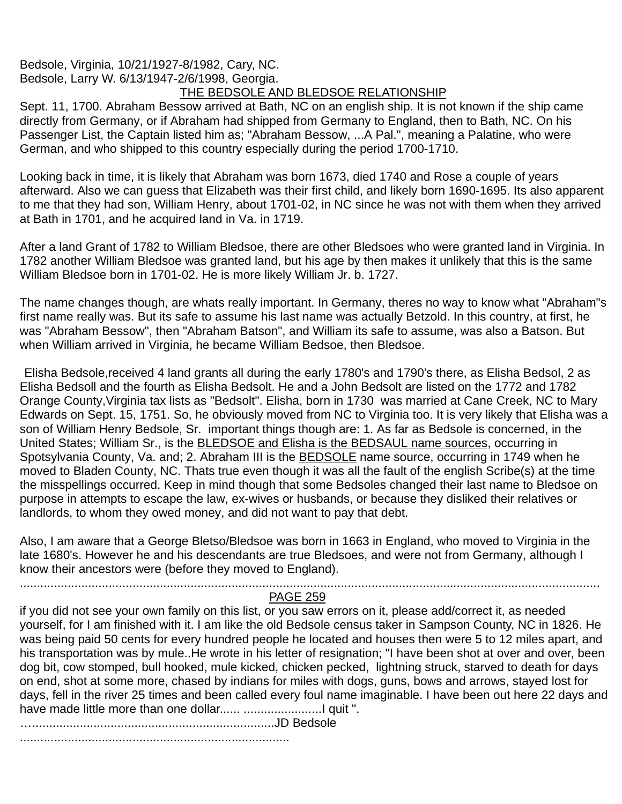#### Bedsole, Virginia, 10/21/1927-8/1982, Cary, NC. Bedsole, Larry W. 6/13/1947-2/6/1998, Georgia. THE BEDSOLE AND BLEDSOE RELATIONSHIP

Sept. 11, 1700. Abraham Bessow arrived at Bath, NC on an english ship. It is not known if the ship came directly from Germany, or if Abraham had shipped from Germany to England, then to Bath, NC. On his Passenger List, the Captain listed him as; "Abraham Bessow, ...A Pal.", meaning a Palatine, who were German, and who shipped to this country especially during the period 1700-1710.

Looking back in time, it is likely that Abraham was born 1673, died 1740 and Rose a couple of years afterward. Also we can guess that Elizabeth was their first child, and likely born 1690-1695. Its also apparent to me that they had son, William Henry, about 1701-02, in NC since he was not with them when they arrived at Bath in 1701, and he acquired land in Va. in 1719.

After a land Grant of 1782 to William Bledsoe, there are other Bledsoes who were granted land in Virginia. In 1782 another William Bledsoe was granted land, but his age by then makes it unlikely that this is the same William Bledsoe born in 1701-02. He is more likely William Jr. b. 1727.

The name changes though, are whats really important. In Germany, theres no way to know what "Abraham"s first name really was. But its safe to assume his last name was actually Betzold. In this country, at first, he was "Abraham Bessow", then "Abraham Batson", and William its safe to assume, was also a Batson. But when William arrived in Virginia, he became William Bedsoe, then Bledsoe.

Elisha Bedsole,received 4 land grants all during the early 1780's and 1790's there, as Elisha Bedsol, 2 as Elisha Bedsoll and the fourth as Elisha Bedsolt. He and a John Bedsolt are listed on the 1772 and 1782 Orange County,Virginia tax lists as "Bedsolt". Elisha, born in 1730 was married at Cane Creek, NC to Mary Edwards on Sept. 15, 1751. So, he obviously moved from NC to Virginia too. It is very likely that Elisha was a son of William Henry Bedsole, Sr. important things though are: 1. As far as Bedsole is concerned, in the United States; William Sr., is the BLEDSOE and Elisha is the BEDSAUL name sources, occurring in Spotsylvania County, Va. and; 2. Abraham III is the BEDSOLE name source, occurring in 1749 when he moved to Bladen County, NC. Thats true even though it was all the fault of the english Scribe(s) at the time the misspellings occurred. Keep in mind though that some Bedsoles changed their last name to Bledsoe on purpose in attempts to escape the law, ex-wives or husbands, or because they disliked their relatives or landlords, to whom they owed money, and did not want to pay that debt.

Also, I am aware that a George Bletso/Bledsoe was born in 1663 in England, who moved to Virginia in the late 1680's. However he and his descendants are true Bledsoes, and were not from Germany, although I know their ancestors were (before they moved to England).

#### .......................................................................................................................................................................... PAGE 259

if you did not see your own family on this list, or you saw errors on it, please add/correct it, as needed yourself, for I am finished with it. I am like the old Bedsole census taker in Sampson County, NC in 1826. He was being paid 50 cents for every hundred people he located and houses then were 5 to 12 miles apart, and his transportation was by mule..He wrote in his letter of resignation; "I have been shot at over and over, been dog bit, cow stomped, bull hooked, mule kicked, chicken pecked, lightning struck, starved to death for days on end, shot at some more, chased by indians for miles with dogs, guns, bows and arrows, stayed lost for days, fell in the river 25 times and been called every foul name imaginable. I have been out here 22 days and have made little more than one dollar...... .......................I quit ".

….......................................................................JD Bedsole

...............................................................................